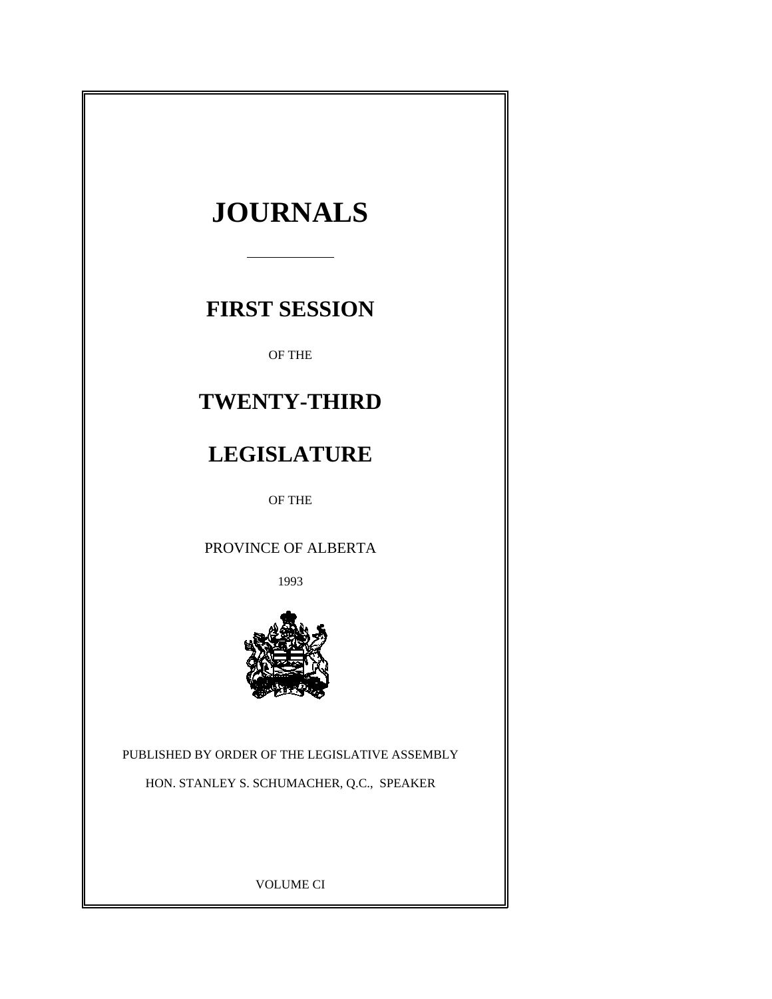

VOLUME CI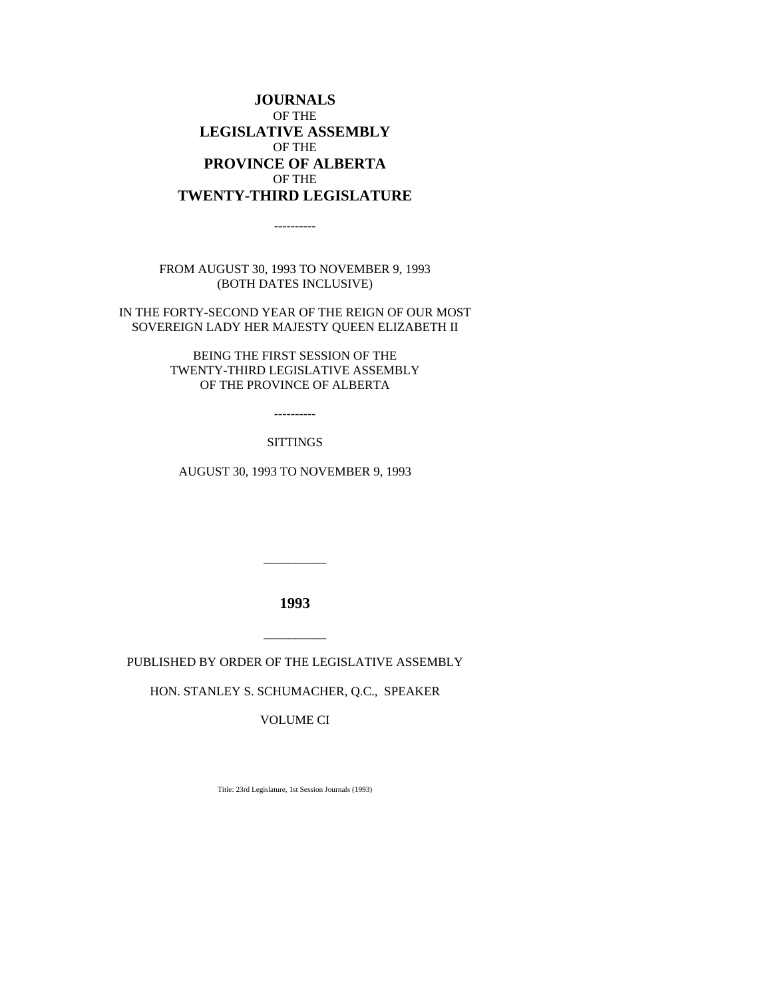## **JOURNALS** OF THE **LEGISLATIVE ASSEMBLY** OF THE **PROVINCE OF ALBERTA** OF THE **TWENTY-THIRD LEGISLATURE**

----------

FROM AUGUST 30, 1993 TO NOVEMBER 9, 1993 (BOTH DATES INCLUSIVE)

IN THE FORTY-SECOND YEAR OF THE REIGN OF OUR MOST SOVEREIGN LADY HER MAJESTY QUEEN ELIZABETH II

> BEING THE FIRST SESSION OF THE TWENTY-THIRD LEGISLATIVE ASSEMBLY OF THE PROVINCE OF ALBERTA

> > ----------

#### SITTINGS

AUGUST 30, 1993 TO NOVEMBER 9, 1993

**1993**

\_\_\_\_\_\_\_\_\_\_

PUBLISHED BY ORDER OF THE LEGISLATIVE ASSEMBLY

\_\_\_\_\_\_\_\_\_\_

HON. STANLEY S. SCHUMACHER, Q.C., SPEAKER

VOLUME CI

Title: 23rd Legislature, 1st Session Journals (1993)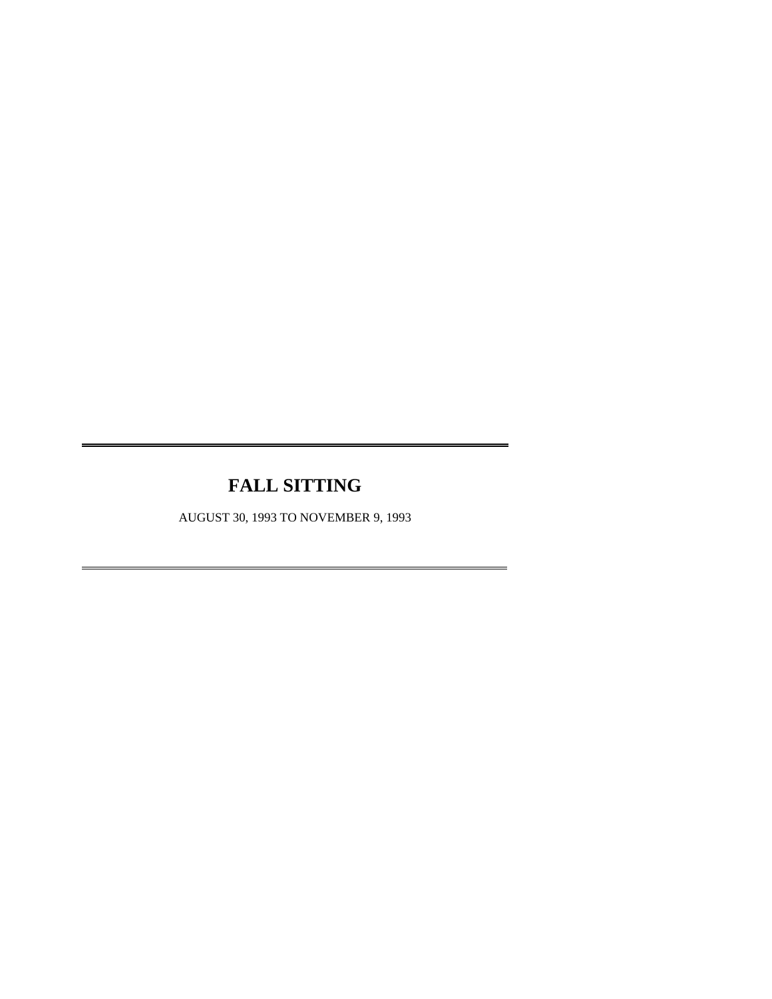# **FALL SITTING**

 $\overline{a}$ 

 $\overline{a}$ 

AUGUST 30, 1993 TO NOVEMBER 9, 1993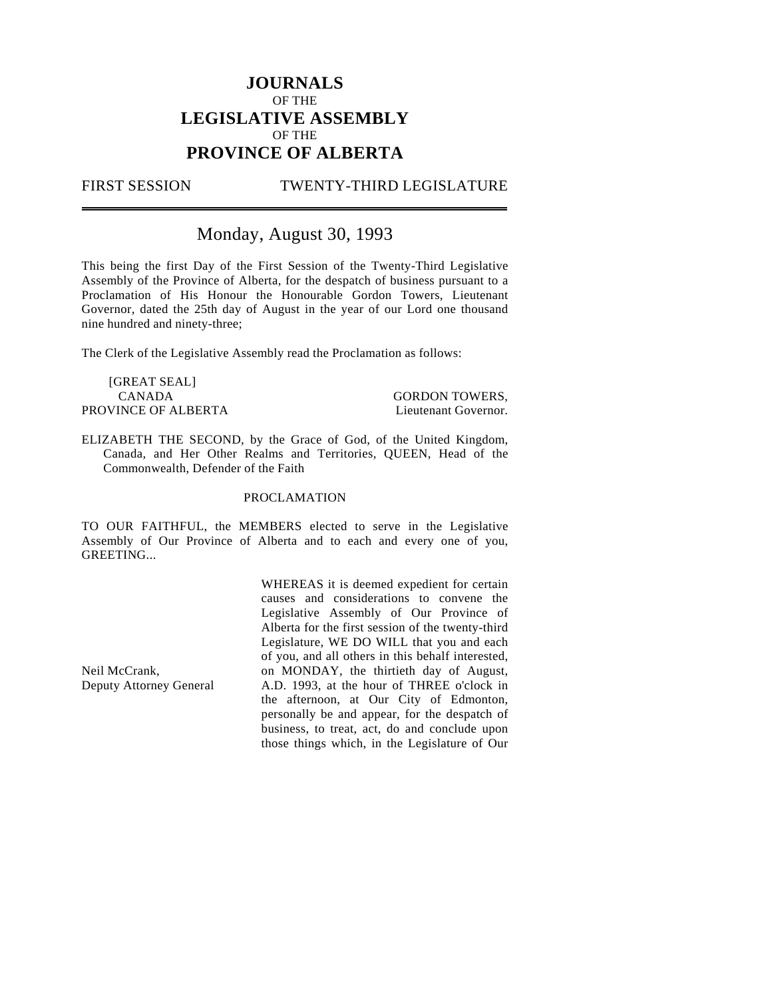## **JOURNALS** OF THE **LEGISLATIVE ASSEMBLY** OF THE **PROVINCE OF ALBERTA**

 $\overline{a}$ 

### FIRST SESSION TWENTY-THIRD LEGISLATURE

## Monday, August 30, 1993

This being the first Day of the First Session of the Twenty-Third Legislative Assembly of the Province of Alberta, for the despatch of business pursuant to a Proclamation of His Honour the Honourable Gordon Towers, Lieutenant Governor, dated the 25th day of August in the year of our Lord one thousand nine hundred and ninety-three;

The Clerk of the Legislative Assembly read the Proclamation as follows:

[GREAT SEAL] CANADA GORDON TOWERS, PROVINCE OF ALBERTA Lieutenant Governor.

ELIZABETH THE SECOND, by the Grace of God, of the United Kingdom, Canada, and Her Other Realms and Territories, QUEEN, Head of the Commonwealth, Defender of the Faith

#### PROCLAMATION

TO OUR FAITHFUL, the MEMBERS elected to serve in the Legislative Assembly of Our Province of Alberta and to each and every one of you, GREETING...

> WHEREAS it is deemed expedient for certain causes and considerations to convene the Legislative Assembly of Our Province of Alberta for the first session of the twenty-third Legislature, WE DO WILL that you and each of you, and all others in this behalf interested, on MONDAY, the thirtieth day of August, A.D. 1993, at the hour of THREE o'clock in the afternoon, at Our City of Edmonton, personally be and appear, for the despatch of business, to treat, act, do and conclude upon those things which, in the Legislature of Our

Neil McCrank, Deputy Attorney General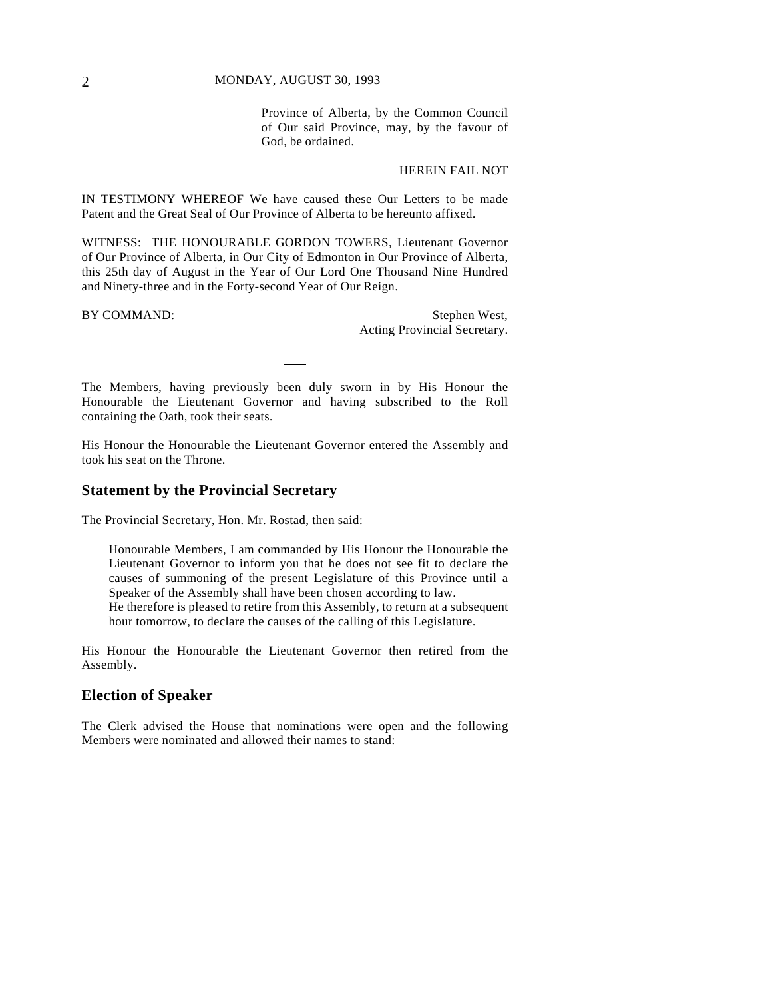Province of Alberta, by the Common Council of Our said Province, may, by the favour of God, be ordained.

#### HEREIN FAIL NOT

IN TESTIMONY WHEREOF We have caused these Our Letters to be made Patent and the Great Seal of Our Province of Alberta to be hereunto affixed.

WITNESS: THE HONOURABLE GORDON TOWERS, Lieutenant Governor of Our Province of Alberta, in Our City of Edmonton in Our Province of Alberta, this 25th day of August in the Year of Our Lord One Thousand Nine Hundred and Ninety-three and in the Forty-second Year of Our Reign.

BY COMMAND: Stephen West, Acting Provincial Secretary.

The Members, having previously been duly sworn in by His Honour the Honourable the Lieutenant Governor and having subscribed to the Roll containing the Oath, took their seats.

His Honour the Honourable the Lieutenant Governor entered the Assembly and took his seat on the Throne.

## **Statement by the Provincial Secretary**

The Provincial Secretary, Hon. Mr. Rostad, then said:

Honourable Members, I am commanded by His Honour the Honourable the Lieutenant Governor to inform you that he does not see fit to declare the causes of summoning of the present Legislature of this Province until a Speaker of the Assembly shall have been chosen according to law. He therefore is pleased to retire from this Assembly, to return at a subsequent hour tomorrow, to declare the causes of the calling of this Legislature.

His Honour the Honourable the Lieutenant Governor then retired from the Assembly.

#### **Election of Speaker**

The Clerk advised the House that nominations were open and the following Members were nominated and allowed their names to stand: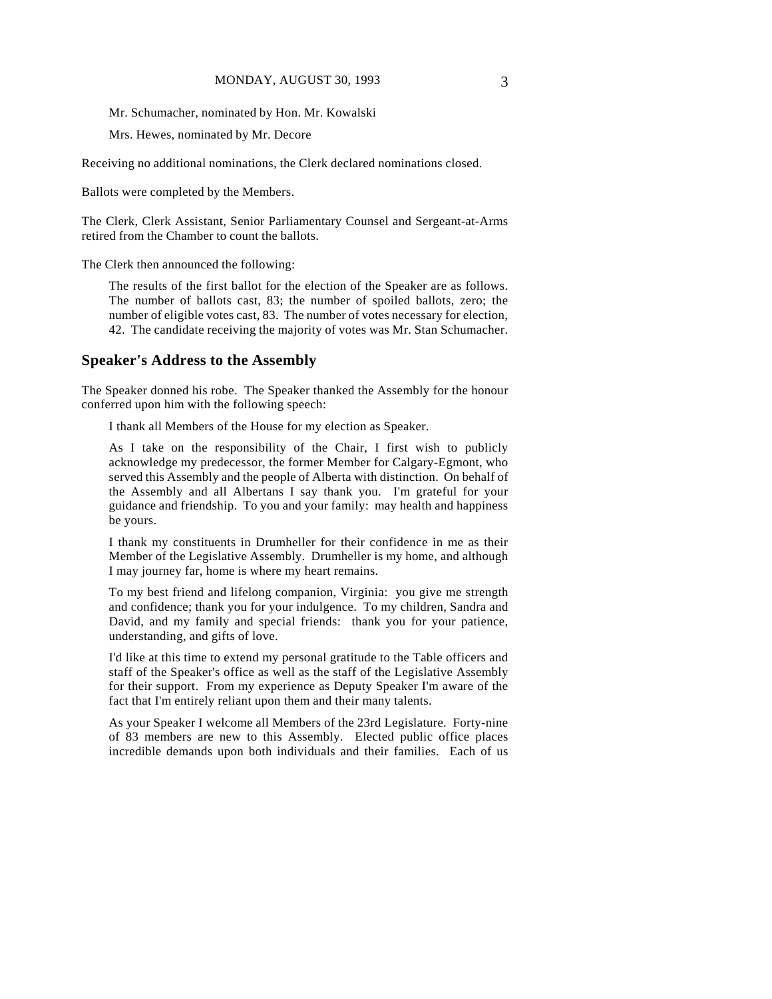Mr. Schumacher, nominated by Hon. Mr. Kowalski

Mrs. Hewes, nominated by Mr. Decore

Receiving no additional nominations, the Clerk declared nominations closed.

Ballots were completed by the Members.

The Clerk, Clerk Assistant, Senior Parliamentary Counsel and Sergeant-at-Arms retired from the Chamber to count the ballots.

The Clerk then announced the following:

The results of the first ballot for the election of the Speaker are as follows. The number of ballots cast, 83; the number of spoiled ballots, zero; the number of eligible votes cast, 83. The number of votes necessary for election, 42. The candidate receiving the majority of votes was Mr. Stan Schumacher.

### **Speaker's Address to the Assembly**

The Speaker donned his robe. The Speaker thanked the Assembly for the honour conferred upon him with the following speech:

I thank all Members of the House for my election as Speaker.

As I take on the responsibility of the Chair, I first wish to publicly acknowledge my predecessor, the former Member for Calgary-Egmont, who served this Assembly and the people of Alberta with distinction. On behalf of the Assembly and all Albertans I say thank you. I'm grateful for your guidance and friendship. To you and your family: may health and happiness be yours.

I thank my constituents in Drumheller for their confidence in me as their Member of the Legislative Assembly. Drumheller is my home, and although I may journey far, home is where my heart remains.

To my best friend and lifelong companion, Virginia: you give me strength and confidence; thank you for your indulgence. To my children, Sandra and David, and my family and special friends: thank you for your patience, understanding, and gifts of love.

I'd like at this time to extend my personal gratitude to the Table officers and staff of the Speaker's office as well as the staff of the Legislative Assembly for their support. From my experience as Deputy Speaker I'm aware of the fact that I'm entirely reliant upon them and their many talents.

As your Speaker I welcome all Members of the 23rd Legislature. Forty-nine of 83 members are new to this Assembly. Elected public office places incredible demands upon both individuals and their families. Each of us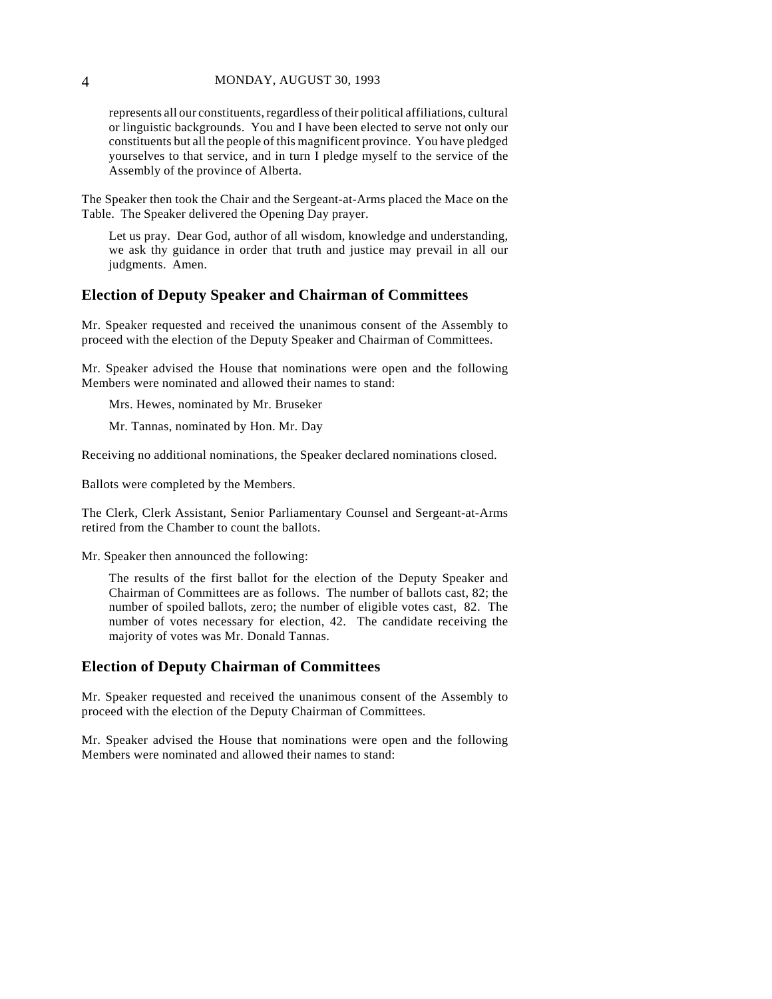represents all our constituents, regardless of their political affiliations, cultural or linguistic backgrounds. You and I have been elected to serve not only our constituents but all the people of this magnificent province. You have pledged yourselves to that service, and in turn I pledge myself to the service of the Assembly of the province of Alberta.

The Speaker then took the Chair and the Sergeant-at-Arms placed the Mace on the Table. The Speaker delivered the Opening Day prayer.

Let us pray. Dear God, author of all wisdom, knowledge and understanding, we ask thy guidance in order that truth and justice may prevail in all our judgments. Amen.

#### **Election of Deputy Speaker and Chairman of Committees**

Mr. Speaker requested and received the unanimous consent of the Assembly to proceed with the election of the Deputy Speaker and Chairman of Committees.

Mr. Speaker advised the House that nominations were open and the following Members were nominated and allowed their names to stand:

Mrs. Hewes, nominated by Mr. Bruseker

Mr. Tannas, nominated by Hon. Mr. Day

Receiving no additional nominations, the Speaker declared nominations closed.

Ballots were completed by the Members.

The Clerk, Clerk Assistant, Senior Parliamentary Counsel and Sergeant-at-Arms retired from the Chamber to count the ballots.

Mr. Speaker then announced the following:

The results of the first ballot for the election of the Deputy Speaker and Chairman of Committees are as follows. The number of ballots cast, 82; the number of spoiled ballots, zero; the number of eligible votes cast, 82. The number of votes necessary for election, 42. The candidate receiving the majority of votes was Mr. Donald Tannas.

### **Election of Deputy Chairman of Committees**

Mr. Speaker requested and received the unanimous consent of the Assembly to proceed with the election of the Deputy Chairman of Committees.

Mr. Speaker advised the House that nominations were open and the following Members were nominated and allowed their names to stand: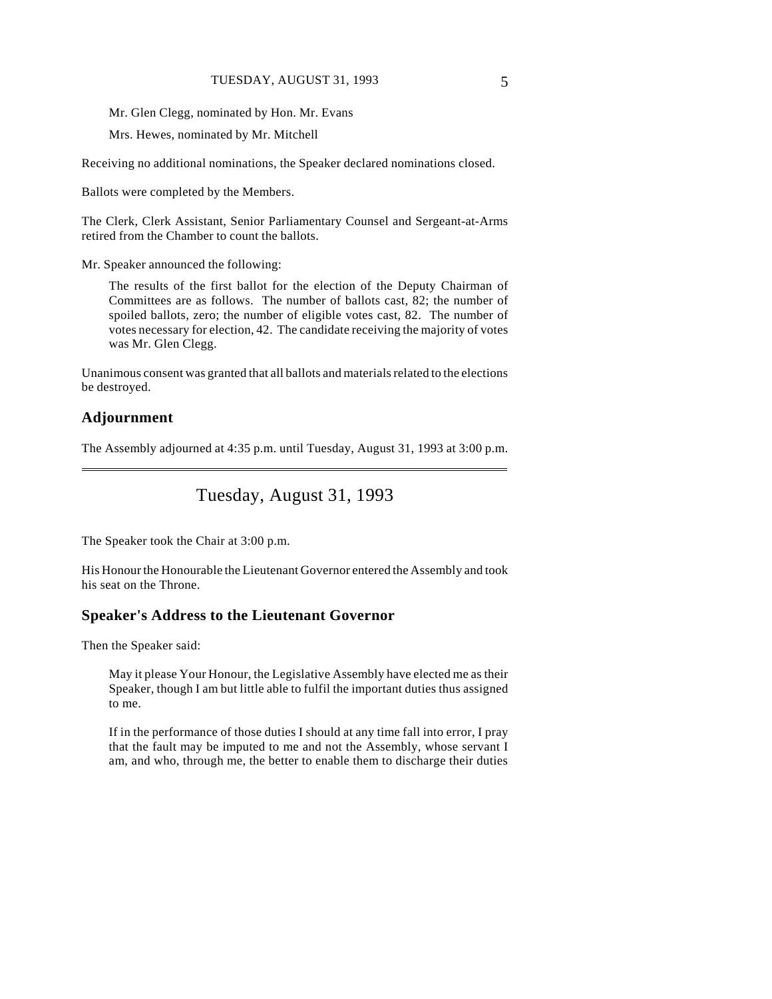Mr. Glen Clegg, nominated by Hon. Mr. Evans

Mrs. Hewes, nominated by Mr. Mitchell

Receiving no additional nominations, the Speaker declared nominations closed.

Ballots were completed by the Members.

The Clerk, Clerk Assistant, Senior Parliamentary Counsel and Sergeant-at-Arms retired from the Chamber to count the ballots.

Mr. Speaker announced the following:

The results of the first ballot for the election of the Deputy Chairman of Committees are as follows. The number of ballots cast, 82; the number of spoiled ballots, zero; the number of eligible votes cast, 82. The number of votes necessary for election, 42. The candidate receiving the majority of votes was Mr. Glen Clegg.

Unanimous consent was granted that all ballots and materials related to the elections be destroyed.

## **Adjournment**

 $\overline{a}$ 

The Assembly adjourned at 4:35 p.m. until Tuesday, August 31, 1993 at 3:00 p.m.

## Tuesday, August 31, 1993

The Speaker took the Chair at 3:00 p.m.

His Honour the Honourable the Lieutenant Governor entered the Assembly and took his seat on the Throne.

#### **Speaker's Address to the Lieutenant Governor**

Then the Speaker said:

May it please Your Honour, the Legislative Assembly have elected me as their Speaker, though I am but little able to fulfil the important duties thus assigned to me.

If in the performance of those duties I should at any time fall into error, I pray that the fault may be imputed to me and not the Assembly, whose servant I am, and who, through me, the better to enable them to discharge their duties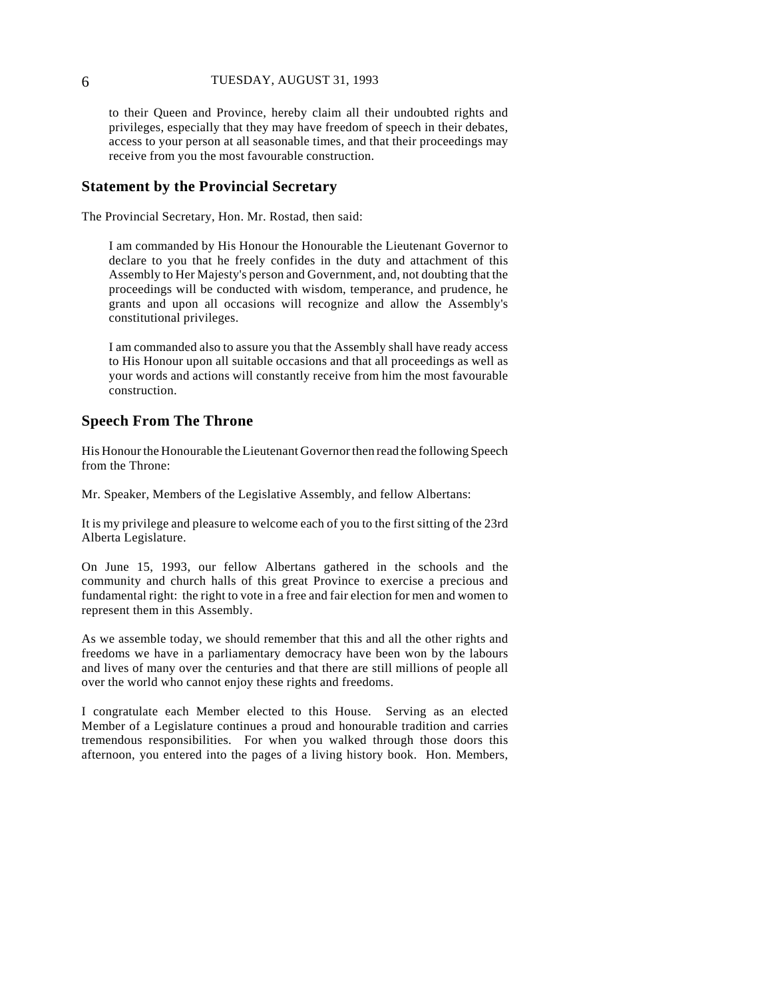to their Queen and Province, hereby claim all their undoubted rights and privileges, especially that they may have freedom of speech in their debates, access to your person at all seasonable times, and that their proceedings may receive from you the most favourable construction.

## **Statement by the Provincial Secretary**

The Provincial Secretary, Hon. Mr. Rostad, then said:

I am commanded by His Honour the Honourable the Lieutenant Governor to declare to you that he freely confides in the duty and attachment of this Assembly to Her Majesty's person and Government, and, not doubting that the proceedings will be conducted with wisdom, temperance, and prudence, he grants and upon all occasions will recognize and allow the Assembly's constitutional privileges.

I am commanded also to assure you that the Assembly shall have ready access to His Honour upon all suitable occasions and that all proceedings as well as your words and actions will constantly receive from him the most favourable construction.

#### **Speech From The Throne**

His Honour the Honourable the Lieutenant Governor then read the following Speech from the Throne:

Mr. Speaker, Members of the Legislative Assembly, and fellow Albertans:

It is my privilege and pleasure to welcome each of you to the first sitting of the 23rd Alberta Legislature.

On June 15, 1993, our fellow Albertans gathered in the schools and the community and church halls of this great Province to exercise a precious and fundamental right: the right to vote in a free and fair election for men and women to represent them in this Assembly.

As we assemble today, we should remember that this and all the other rights and freedoms we have in a parliamentary democracy have been won by the labours and lives of many over the centuries and that there are still millions of people all over the world who cannot enjoy these rights and freedoms.

I congratulate each Member elected to this House. Serving as an elected Member of a Legislature continues a proud and honourable tradition and carries tremendous responsibilities. For when you walked through those doors this afternoon, you entered into the pages of a living history book. Hon. Members,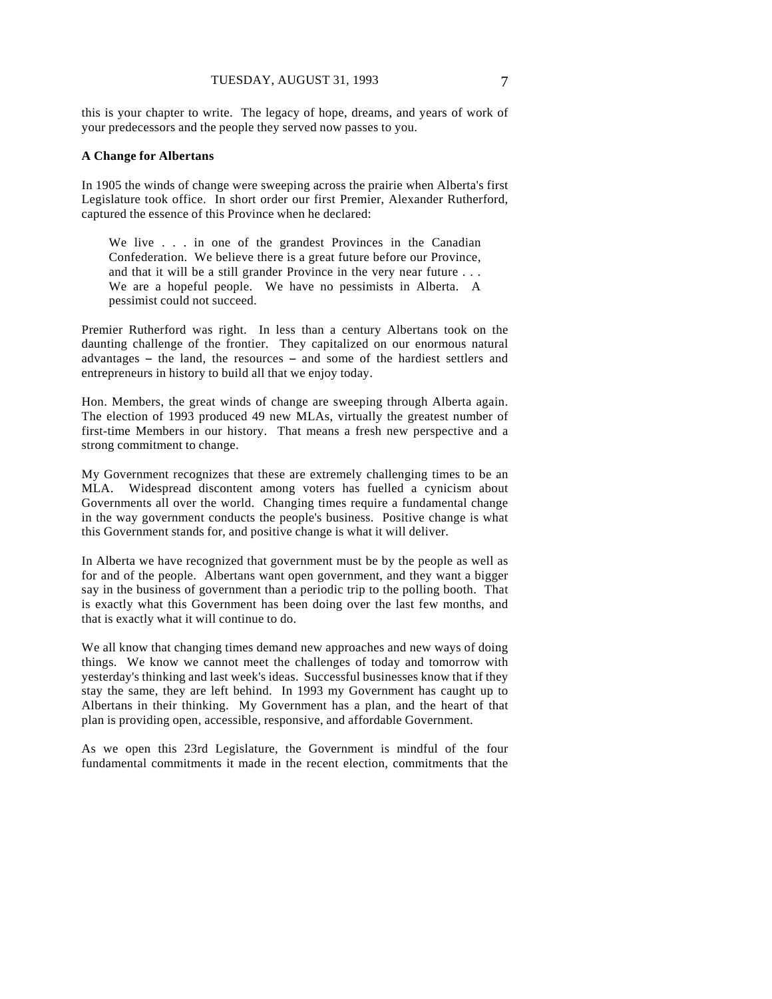this is your chapter to write. The legacy of hope, dreams, and years of work of your predecessors and the people they served now passes to you.

#### **A Change for Albertans**

In 1905 the winds of change were sweeping across the prairie when Alberta's first Legislature took office. In short order our first Premier, Alexander Rutherford, captured the essence of this Province when he declared:

We live . . . in one of the grandest Provinces in the Canadian Confederation. We believe there is a great future before our Province, and that it will be a still grander Province in the very near future . . . We are a hopeful people. We have no pessimists in Alberta. A pessimist could not succeed.

Premier Rutherford was right. In less than a century Albertans took on the daunting challenge of the frontier. They capitalized on our enormous natural advantages  $-$  the land, the resources  $-$  and some of the hardiest settlers and entrepreneurs in history to build all that we enjoy today.

Hon. Members, the great winds of change are sweeping through Alberta again. The election of 1993 produced 49 new MLAs, virtually the greatest number of first-time Members in our history. That means a fresh new perspective and a strong commitment to change.

My Government recognizes that these are extremely challenging times to be an MLA. Widespread discontent among voters has fuelled a cynicism about Governments all over the world. Changing times require a fundamental change in the way government conducts the people's business. Positive change is what this Government stands for, and positive change is what it will deliver.

In Alberta we have recognized that government must be by the people as well as for and of the people. Albertans want open government, and they want a bigger say in the business of government than a periodic trip to the polling booth. That is exactly what this Government has been doing over the last few months, and that is exactly what it will continue to do.

We all know that changing times demand new approaches and new ways of doing things. We know we cannot meet the challenges of today and tomorrow with yesterday's thinking and last week's ideas. Successful businesses know that if they stay the same, they are left behind. In 1993 my Government has caught up to Albertans in their thinking. My Government has a plan, and the heart of that plan is providing open, accessible, responsive, and affordable Government.

As we open this 23rd Legislature, the Government is mindful of the four fundamental commitments it made in the recent election, commitments that the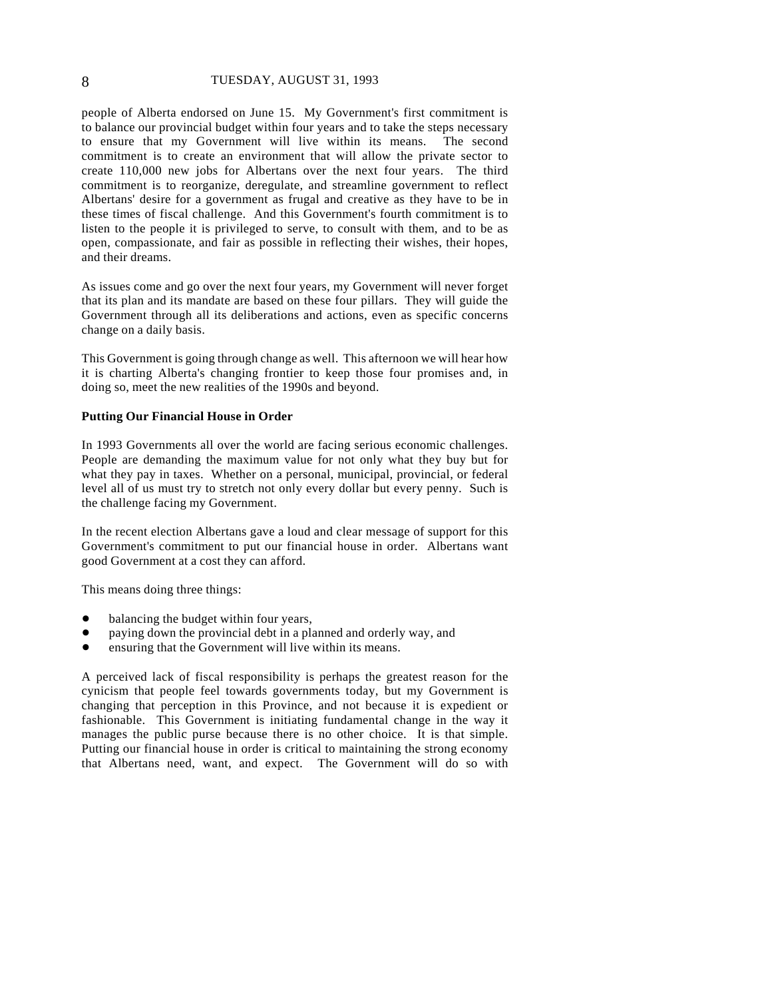#### 8 TUESDAY, AUGUST 31, 1993

people of Alberta endorsed on June 15. My Government's first commitment is to balance our provincial budget within four years and to take the steps necessary to ensure that my Government will live within its means. The second commitment is to create an environment that will allow the private sector to create 110,000 new jobs for Albertans over the next four years. The third commitment is to reorganize, deregulate, and streamline government to reflect Albertans' desire for a government as frugal and creative as they have to be in these times of fiscal challenge. And this Government's fourth commitment is to listen to the people it is privileged to serve, to consult with them, and to be as open, compassionate, and fair as possible in reflecting their wishes, their hopes, and their dreams.

As issues come and go over the next four years, my Government will never forget that its plan and its mandate are based on these four pillars. They will guide the Government through all its deliberations and actions, even as specific concerns change on a daily basis.

This Government is going through change as well. This afternoon we will hear how it is charting Alberta's changing frontier to keep those four promises and, in doing so, meet the new realities of the 1990s and beyond.

#### **Putting Our Financial House in Order**

In 1993 Governments all over the world are facing serious economic challenges. People are demanding the maximum value for not only what they buy but for what they pay in taxes. Whether on a personal, municipal, provincial, or federal level all of us must try to stretch not only every dollar but every penny. Such is the challenge facing my Government.

In the recent election Albertans gave a loud and clear message of support for this Government's commitment to put our financial house in order. Albertans want good Government at a cost they can afford.

This means doing three things:

- balancing the budget within four years,
- paying down the provincial debt in a planned and orderly way, and
- ensuring that the Government will live within its means.

A perceived lack of fiscal responsibility is perhaps the greatest reason for the cynicism that people feel towards governments today, but my Government is changing that perception in this Province, and not because it is expedient or fashionable. This Government is initiating fundamental change in the way it manages the public purse because there is no other choice. It is that simple. Putting our financial house in order is critical to maintaining the strong economy that Albertans need, want, and expect. The Government will do so with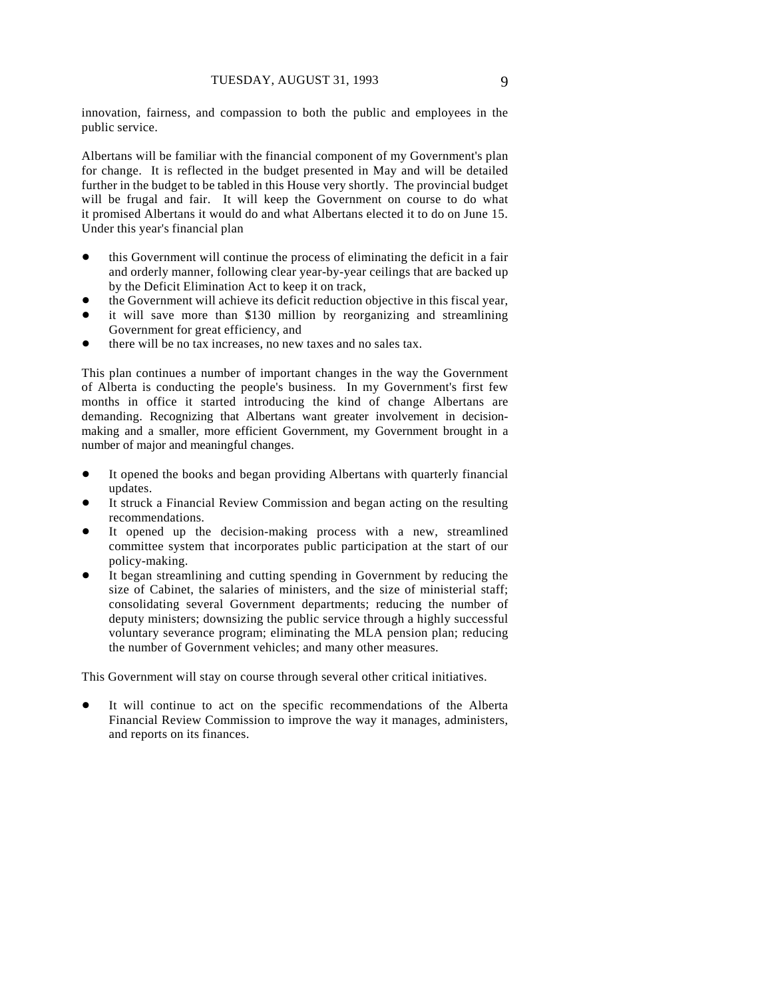innovation, fairness, and compassion to both the public and employees in the public service.

Albertans will be familiar with the financial component of my Government's plan for change. It is reflected in the budget presented in May and will be detailed further in the budget to be tabled in this House very shortly. The provincial budget will be frugal and fair. It will keep the Government on course to do what it promised Albertans it would do and what Albertans elected it to do on June 15. Under this year's financial plan

- this Government will continue the process of eliminating the deficit in a fair and orderly manner, following clear year-by-year ceilings that are backed up by the Deficit Elimination Act to keep it on track,
- the Government will achieve its deficit reduction objective in this fiscal year,
- it will save more than \$130 million by reorganizing and streamlining Government for great efficiency, and
- there will be no tax increases, no new taxes and no sales tax.

This plan continues a number of important changes in the way the Government of Alberta is conducting the people's business. In my Government's first few months in office it started introducing the kind of change Albertans are demanding. Recognizing that Albertans want greater involvement in decisionmaking and a smaller, more efficient Government, my Government brought in a number of major and meaningful changes.

- It opened the books and began providing Albertans with quarterly financial updates.
- It struck a Financial Review Commission and began acting on the resulting recommendations.
- It opened up the decision-making process with a new, streamlined committee system that incorporates public participation at the start of our policy-making.
- It began streamlining and cutting spending in Government by reducing the size of Cabinet, the salaries of ministers, and the size of ministerial staff; consolidating several Government departments; reducing the number of deputy ministers; downsizing the public service through a highly successful voluntary severance program; eliminating the MLA pension plan; reducing the number of Government vehicles; and many other measures.

This Government will stay on course through several other critical initiatives.

It will continue to act on the specific recommendations of the Alberta Financial Review Commission to improve the way it manages, administers, and reports on its finances.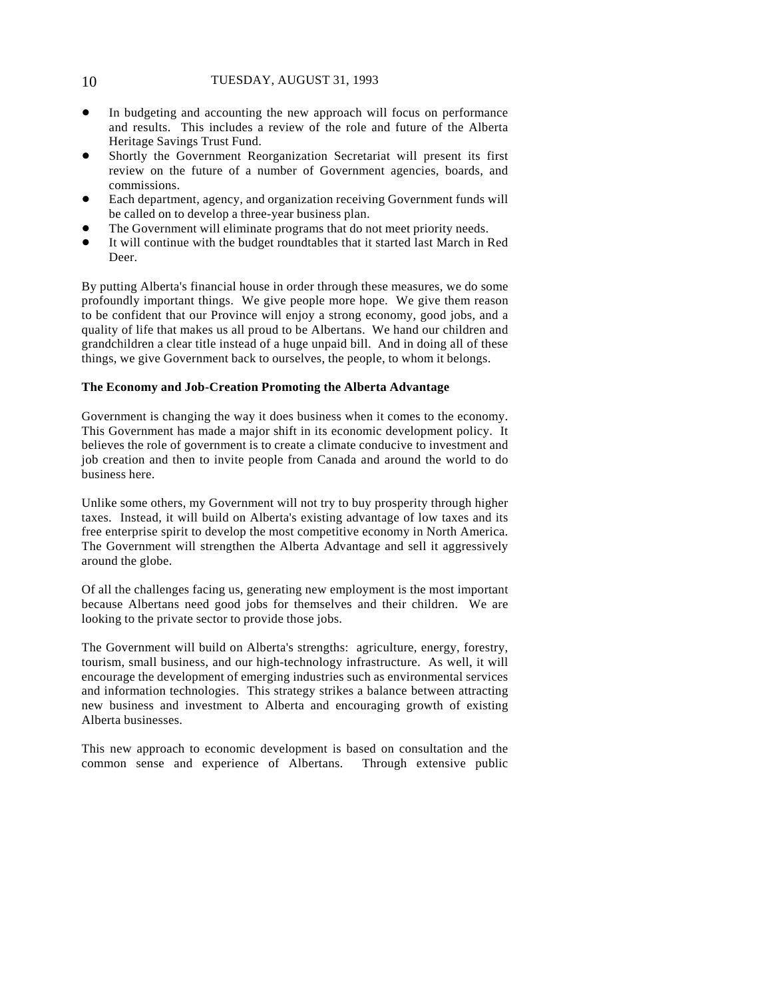- In budgeting and accounting the new approach will focus on performance and results. This includes a review of the role and future of the Alberta Heritage Savings Trust Fund.
- ! Shortly the Government Reorganization Secretariat will present its first review on the future of a number of Government agencies, boards, and commissions.
- ! Each department, agency, and organization receiving Government funds will be called on to develop a three-year business plan.
- The Government will eliminate programs that do not meet priority needs.
- It will continue with the budget roundtables that it started last March in Red Deer.

By putting Alberta's financial house in order through these measures, we do some profoundly important things. We give people more hope. We give them reason to be confident that our Province will enjoy a strong economy, good jobs, and a quality of life that makes us all proud to be Albertans. We hand our children and grandchildren a clear title instead of a huge unpaid bill. And in doing all of these things, we give Government back to ourselves, the people, to whom it belongs.

#### **The Economy and Job-Creation Promoting the Alberta Advantage**

Government is changing the way it does business when it comes to the economy. This Government has made a major shift in its economic development policy. It believes the role of government is to create a climate conducive to investment and job creation and then to invite people from Canada and around the world to do business here.

Unlike some others, my Government will not try to buy prosperity through higher taxes. Instead, it will build on Alberta's existing advantage of low taxes and its free enterprise spirit to develop the most competitive economy in North America. The Government will strengthen the Alberta Advantage and sell it aggressively around the globe.

Of all the challenges facing us, generating new employment is the most important because Albertans need good jobs for themselves and their children. We are looking to the private sector to provide those jobs.

The Government will build on Alberta's strengths: agriculture, energy, forestry, tourism, small business, and our high-technology infrastructure. As well, it will encourage the development of emerging industries such as environmental services and information technologies. This strategy strikes a balance between attracting new business and investment to Alberta and encouraging growth of existing Alberta businesses.

This new approach to economic development is based on consultation and the common sense and experience of Albertans. Through extensive public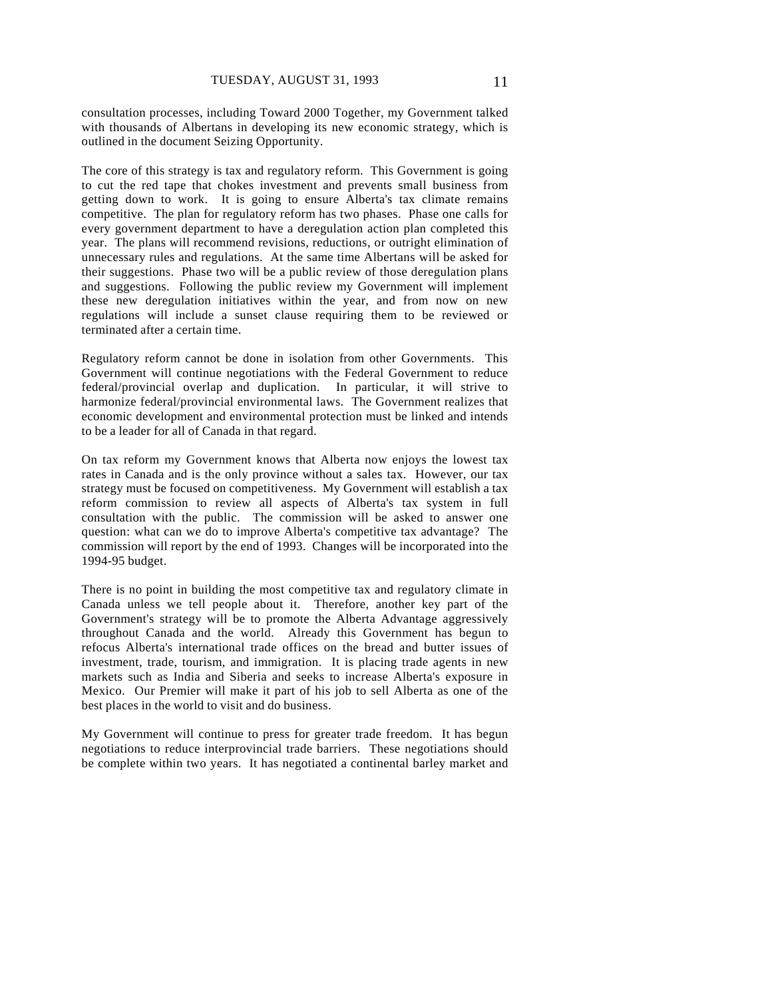consultation processes, including Toward 2000 Together, my Government talked with thousands of Albertans in developing its new economic strategy, which is outlined in the document Seizing Opportunity.

The core of this strategy is tax and regulatory reform. This Government is going to cut the red tape that chokes investment and prevents small business from getting down to work. It is going to ensure Alberta's tax climate remains competitive. The plan for regulatory reform has two phases. Phase one calls for every government department to have a deregulation action plan completed this year. The plans will recommend revisions, reductions, or outright elimination of unnecessary rules and regulations. At the same time Albertans will be asked for their suggestions. Phase two will be a public review of those deregulation plans and suggestions. Following the public review my Government will implement these new deregulation initiatives within the year, and from now on new regulations will include a sunset clause requiring them to be reviewed or terminated after a certain time.

Regulatory reform cannot be done in isolation from other Governments. This Government will continue negotiations with the Federal Government to reduce federal/provincial overlap and duplication. In particular, it will strive to harmonize federal/provincial environmental laws. The Government realizes that economic development and environmental protection must be linked and intends to be a leader for all of Canada in that regard.

On tax reform my Government knows that Alberta now enjoys the lowest tax rates in Canada and is the only province without a sales tax. However, our tax strategy must be focused on competitiveness. My Government will establish a tax reform commission to review all aspects of Alberta's tax system in full consultation with the public. The commission will be asked to answer one question: what can we do to improve Alberta's competitive tax advantage? The commission will report by the end of 1993. Changes will be incorporated into the 1994-95 budget.

There is no point in building the most competitive tax and regulatory climate in Canada unless we tell people about it. Therefore, another key part of the Government's strategy will be to promote the Alberta Advantage aggressively throughout Canada and the world. Already this Government has begun to refocus Alberta's international trade offices on the bread and butter issues of investment, trade, tourism, and immigration. It is placing trade agents in new markets such as India and Siberia and seeks to increase Alberta's exposure in Mexico. Our Premier will make it part of his job to sell Alberta as one of the best places in the world to visit and do business.

My Government will continue to press for greater trade freedom. It has begun negotiations to reduce interprovincial trade barriers. These negotiations should be complete within two years. It has negotiated a continental barley market and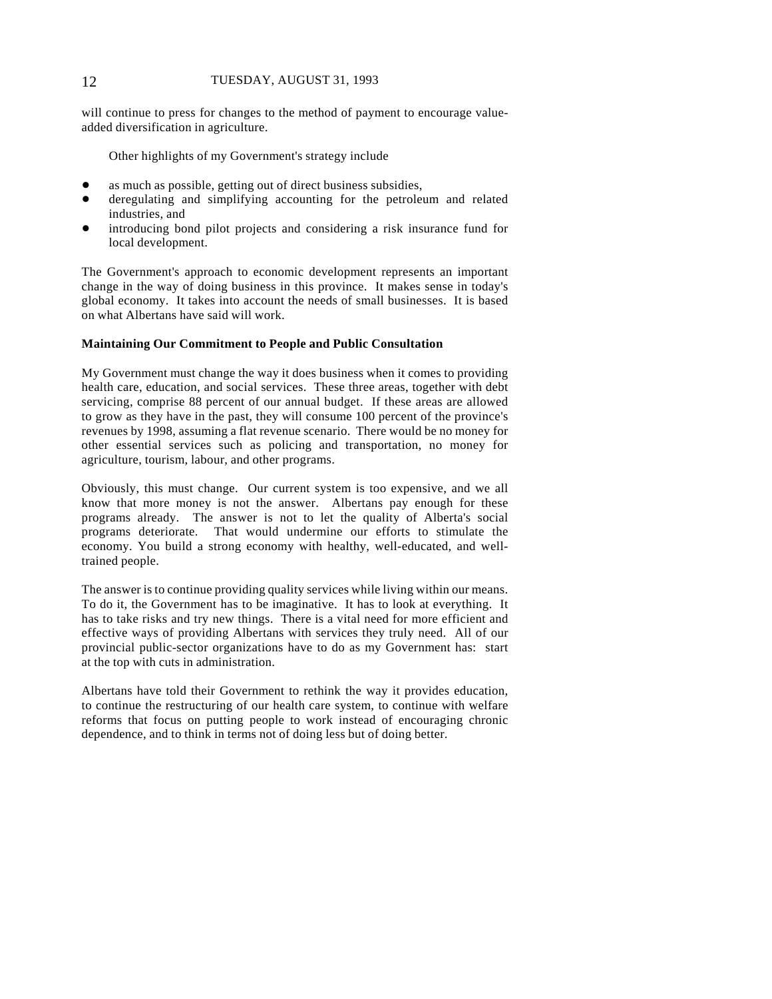#### 12 TUESDAY, AUGUST 31, 1993

will continue to press for changes to the method of payment to encourage valueadded diversification in agriculture.

Other highlights of my Government's strategy include

- as much as possible, getting out of direct business subsidies,
- ! deregulating and simplifying accounting for the petroleum and related industries, and
- introducing bond pilot projects and considering a risk insurance fund for local development.

The Government's approach to economic development represents an important change in the way of doing business in this province. It makes sense in today's global economy. It takes into account the needs of small businesses. It is based on what Albertans have said will work.

#### **Maintaining Our Commitment to People and Public Consultation**

My Government must change the way it does business when it comes to providing health care, education, and social services. These three areas, together with debt servicing, comprise 88 percent of our annual budget. If these areas are allowed to grow as they have in the past, they will consume 100 percent of the province's revenues by 1998, assuming a flat revenue scenario. There would be no money for other essential services such as policing and transportation, no money for agriculture, tourism, labour, and other programs.

Obviously, this must change. Our current system is too expensive, and we all know that more money is not the answer. Albertans pay enough for these programs already. The answer is not to let the quality of Alberta's social programs deteriorate. That would undermine our efforts to stimulate the economy. You build a strong economy with healthy, well-educated, and welltrained people.

The answer is to continue providing quality services while living within our means. To do it, the Government has to be imaginative. It has to look at everything. It has to take risks and try new things. There is a vital need for more efficient and effective ways of providing Albertans with services they truly need. All of our provincial public-sector organizations have to do as my Government has: start at the top with cuts in administration.

Albertans have told their Government to rethink the way it provides education, to continue the restructuring of our health care system, to continue with welfare reforms that focus on putting people to work instead of encouraging chronic dependence, and to think in terms not of doing less but of doing better.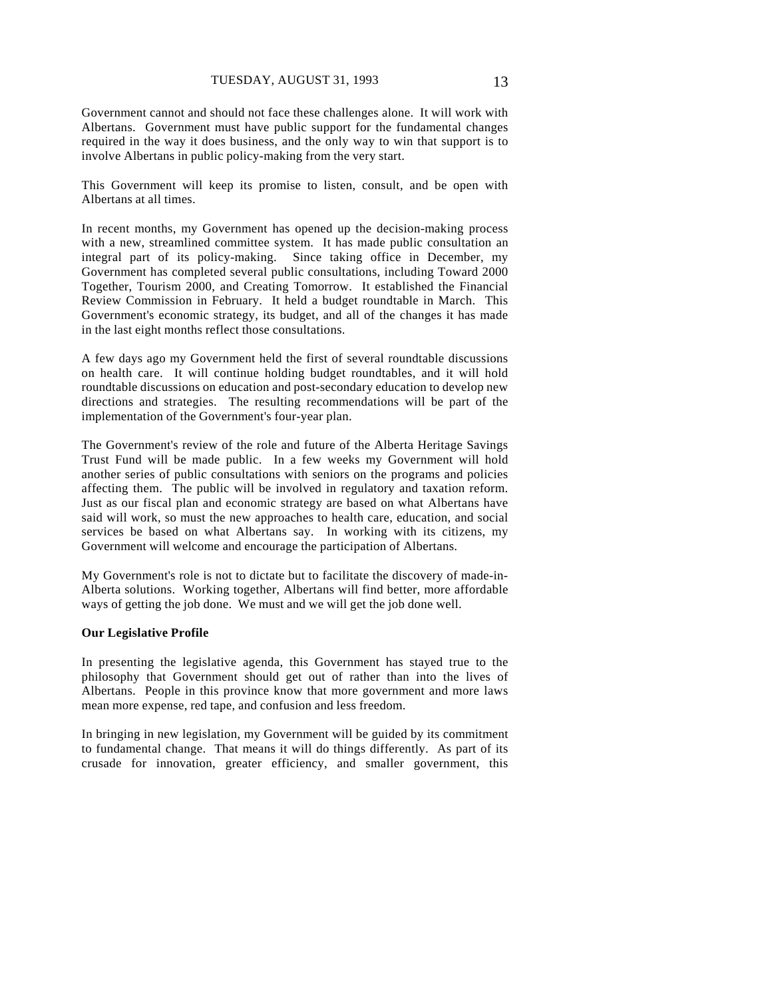Government cannot and should not face these challenges alone. It will work with Albertans. Government must have public support for the fundamental changes required in the way it does business, and the only way to win that support is to involve Albertans in public policy-making from the very start.

This Government will keep its promise to listen, consult, and be open with Albertans at all times.

In recent months, my Government has opened up the decision-making process with a new, streamlined committee system. It has made public consultation an integral part of its policy-making. Since taking office in December, my Government has completed several public consultations, including Toward 2000 Together, Tourism 2000, and Creating Tomorrow. It established the Financial Review Commission in February. It held a budget roundtable in March. This Government's economic strategy, its budget, and all of the changes it has made in the last eight months reflect those consultations.

A few days ago my Government held the first of several roundtable discussions on health care. It will continue holding budget roundtables, and it will hold roundtable discussions on education and post-secondary education to develop new directions and strategies. The resulting recommendations will be part of the implementation of the Government's four-year plan.

The Government's review of the role and future of the Alberta Heritage Savings Trust Fund will be made public. In a few weeks my Government will hold another series of public consultations with seniors on the programs and policies affecting them. The public will be involved in regulatory and taxation reform. Just as our fiscal plan and economic strategy are based on what Albertans have said will work, so must the new approaches to health care, education, and social services be based on what Albertans say. In working with its citizens, my Government will welcome and encourage the participation of Albertans.

My Government's role is not to dictate but to facilitate the discovery of made-in-Alberta solutions. Working together, Albertans will find better, more affordable ways of getting the job done. We must and we will get the job done well.

#### **Our Legislative Profile**

In presenting the legislative agenda, this Government has stayed true to the philosophy that Government should get out of rather than into the lives of Albertans. People in this province know that more government and more laws mean more expense, red tape, and confusion and less freedom.

In bringing in new legislation, my Government will be guided by its commitment to fundamental change. That means it will do things differently. As part of its crusade for innovation, greater efficiency, and smaller government, this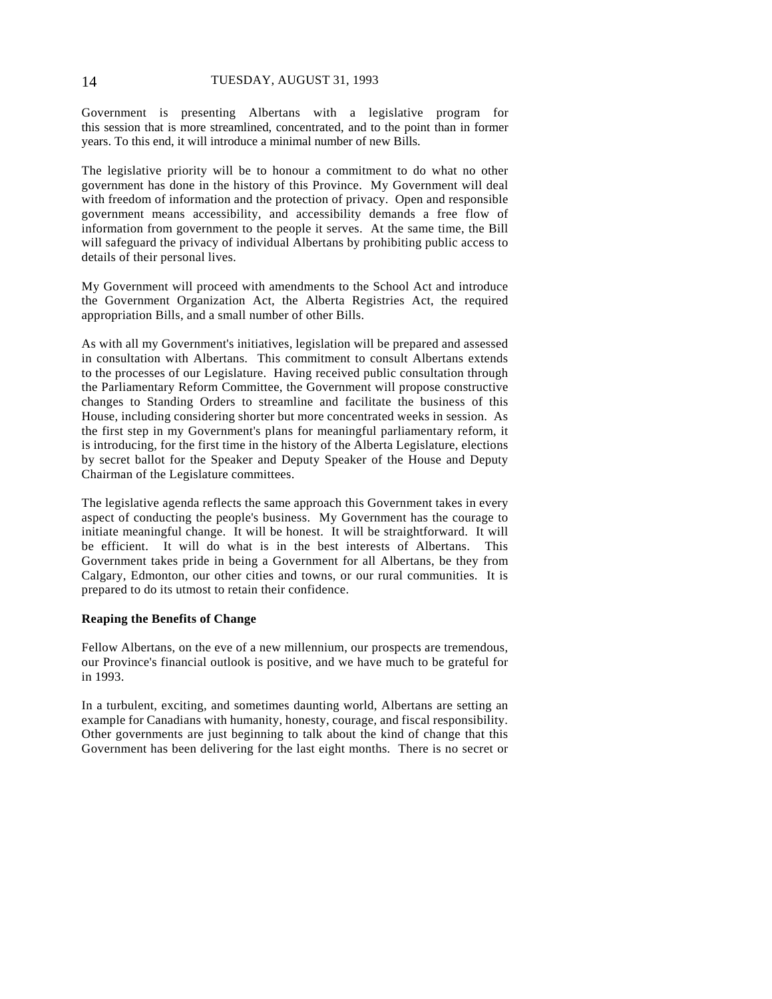Government is presenting Albertans with a legislative program for this session that is more streamlined, concentrated, and to the point than in former years. To this end, it will introduce a minimal number of new Bills.

The legislative priority will be to honour a commitment to do what no other government has done in the history of this Province. My Government will deal with freedom of information and the protection of privacy. Open and responsible government means accessibility, and accessibility demands a free flow of information from government to the people it serves. At the same time, the Bill will safeguard the privacy of individual Albertans by prohibiting public access to details of their personal lives.

My Government will proceed with amendments to the School Act and introduce the Government Organization Act, the Alberta Registries Act, the required appropriation Bills, and a small number of other Bills.

As with all my Government's initiatives, legislation will be prepared and assessed in consultation with Albertans. This commitment to consult Albertans extends to the processes of our Legislature. Having received public consultation through the Parliamentary Reform Committee, the Government will propose constructive changes to Standing Orders to streamline and facilitate the business of this House, including considering shorter but more concentrated weeks in session. As the first step in my Government's plans for meaningful parliamentary reform, it is introducing, for the first time in the history of the Alberta Legislature, elections by secret ballot for the Speaker and Deputy Speaker of the House and Deputy Chairman of the Legislature committees.

The legislative agenda reflects the same approach this Government takes in every aspect of conducting the people's business. My Government has the courage to initiate meaningful change. It will be honest. It will be straightforward. It will be efficient. It will do what is in the best interests of Albertans. This Government takes pride in being a Government for all Albertans, be they from Calgary, Edmonton, our other cities and towns, or our rural communities. It is prepared to do its utmost to retain their confidence.

#### **Reaping the Benefits of Change**

Fellow Albertans, on the eve of a new millennium, our prospects are tremendous, our Province's financial outlook is positive, and we have much to be grateful for in 1993.

In a turbulent, exciting, and sometimes daunting world, Albertans are setting an example for Canadians with humanity, honesty, courage, and fiscal responsibility. Other governments are just beginning to talk about the kind of change that this Government has been delivering for the last eight months. There is no secret or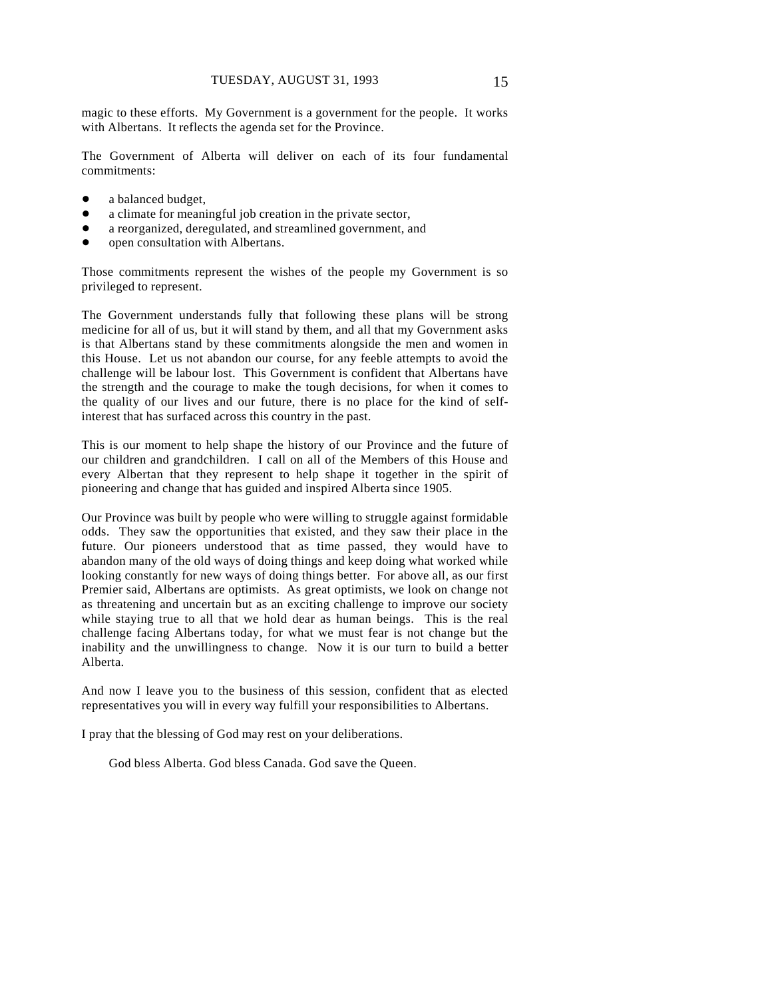magic to these efforts. My Government is a government for the people. It works with Albertans. It reflects the agenda set for the Province.

The Government of Alberta will deliver on each of its four fundamental commitments:

- a balanced budget,
- a climate for meaningful job creation in the private sector,
- a reorganized, deregulated, and streamlined government, and
- open consultation with Albertans.

Those commitments represent the wishes of the people my Government is so privileged to represent.

The Government understands fully that following these plans will be strong medicine for all of us, but it will stand by them, and all that my Government asks is that Albertans stand by these commitments alongside the men and women in this House. Let us not abandon our course, for any feeble attempts to avoid the challenge will be labour lost. This Government is confident that Albertans have the strength and the courage to make the tough decisions, for when it comes to the quality of our lives and our future, there is no place for the kind of selfinterest that has surfaced across this country in the past.

This is our moment to help shape the history of our Province and the future of our children and grandchildren. I call on all of the Members of this House and every Albertan that they represent to help shape it together in the spirit of pioneering and change that has guided and inspired Alberta since 1905.

Our Province was built by people who were willing to struggle against formidable odds. They saw the opportunities that existed, and they saw their place in the future. Our pioneers understood that as time passed, they would have to abandon many of the old ways of doing things and keep doing what worked while looking constantly for new ways of doing things better. For above all, as our first Premier said, Albertans are optimists. As great optimists, we look on change not as threatening and uncertain but as an exciting challenge to improve our society while staying true to all that we hold dear as human beings. This is the real challenge facing Albertans today, for what we must fear is not change but the inability and the unwillingness to change. Now it is our turn to build a better Alberta.

And now I leave you to the business of this session, confident that as elected representatives you will in every way fulfill your responsibilities to Albertans.

I pray that the blessing of God may rest on your deliberations.

God bless Alberta. God bless Canada. God save the Queen.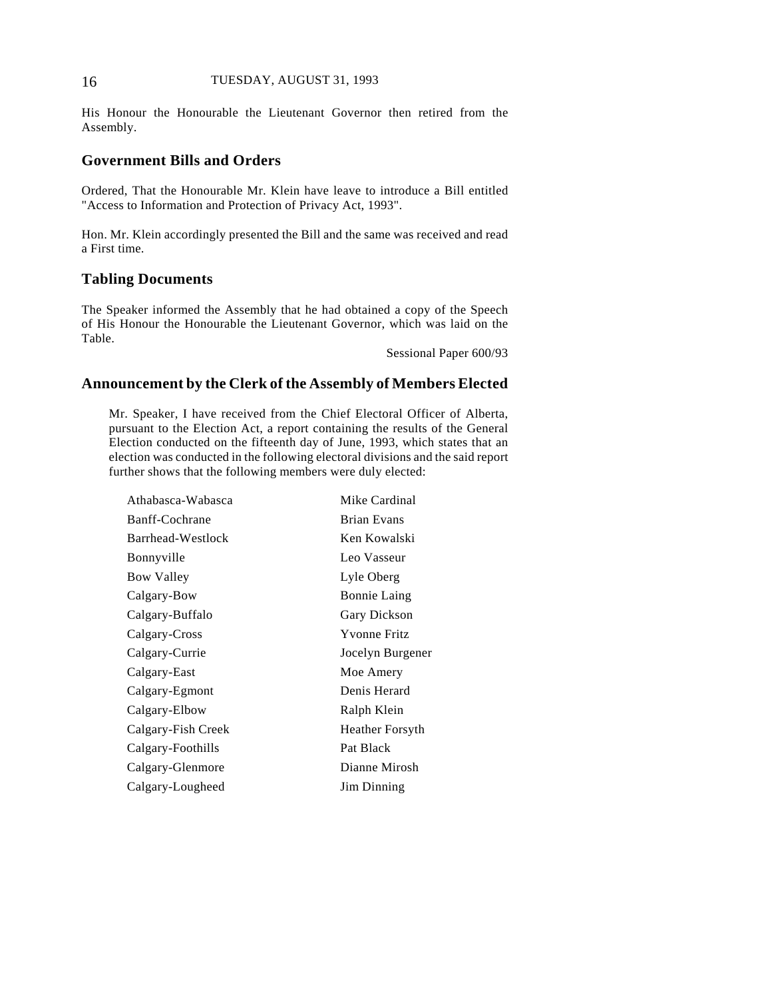#### 16 TUESDAY, AUGUST 31, 1993

His Honour the Honourable the Lieutenant Governor then retired from the Assembly.

## **Government Bills and Orders**

Ordered, That the Honourable Mr. Klein have leave to introduce a Bill entitled "Access to Information and Protection of Privacy Act, 1993".

Hon. Mr. Klein accordingly presented the Bill and the same was received and read a First time.

## **Tabling Documents**

The Speaker informed the Assembly that he had obtained a copy of the Speech of His Honour the Honourable the Lieutenant Governor, which was laid on the Table.

Sessional Paper 600/93

## **Announcement by the Clerk of the Assembly of Members Elected**

Mr. Speaker, I have received from the Chief Electoral Officer of Alberta, pursuant to the Election Act, a report containing the results of the General Election conducted on the fifteenth day of June, 1993, which states that an election was conducted in the following electoral divisions and the said report further shows that the following members were duly elected:

| Athabasca-Wabasca  | Mike Cardinal       |
|--------------------|---------------------|
| Banff-Cochrane     | <b>Brian Evans</b>  |
| Barrhead-Westlock  | Ken Kowalski        |
| Bonnyville         | Leo Vasseur         |
| <b>Bow Valley</b>  | Lyle Oberg          |
| Calgary-Bow        | <b>Bonnie Laing</b> |
| Calgary-Buffalo    | Gary Dickson        |
| Calgary-Cross      | <b>Yvonne Fritz</b> |
| Calgary-Currie     | Jocelyn Burgener    |
| Calgary-East       | Moe Amery           |
| Calgary-Egmont     | Denis Herard        |
| Calgary-Elbow      | Ralph Klein         |
| Calgary-Fish Creek | Heather Forsyth     |
| Calgary-Foothills  | Pat Black           |
| Calgary-Glenmore   | Dianne Mirosh       |
| Calgary-Lougheed   | Jim Dinning         |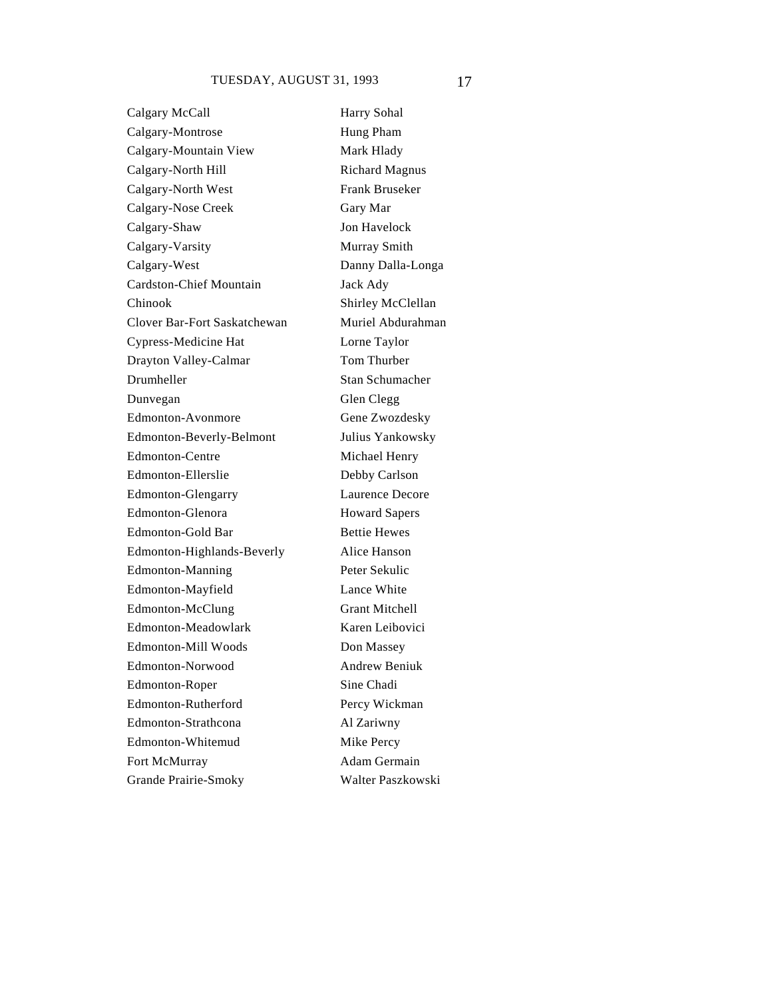Calgary McCall Harry Sohal Calgary-Montrose Hung Pham Calgary-Mountain View Mark Hlady Calgary-North Hill Richard Magnus Calgary-North West Frank Bruseker Calgary-Nose Creek Gary Mar Calgary-Shaw Jon Havelock Calgary-Varsity Murray Smith Calgary-West Danny Dalla-Longa Cardston-Chief Mountain Jack Ady Chinook Shirley McClellan Clover Bar-Fort Saskatchewan Muriel Abdurahman Cypress-Medicine Hat Lorne Taylor Drayton Valley-Calmar Tom Thurber Drumheller Stan Schumacher Dunvegan Glen Clegg Edmonton-Avonmore Gene Zwozdesky Edmonton-Beverly-Belmont Julius Yankowsky Edmonton-Centre Michael Henry Edmonton-Ellerslie Debby Carlson Edmonton-Glengarry Laurence Decore Edmonton-Glenora Howard Sapers Edmonton-Gold Bar Bettie Hewes Edmonton-Highlands-Beverly Alice Hanson Edmonton-Manning Peter Sekulic Edmonton-Mayfield Lance White Edmonton-McClung Grant Mitchell Edmonton-Meadowlark Karen Leibovici Edmonton-Mill Woods Don Massey Edmonton-Norwood Andrew Beniuk Edmonton-Roper Sine Chadi Edmonton-Rutherford Percy Wickman Edmonton-Strathcona Al Zariwny Edmonton-Whitemud Mike Percy Fort McMurray Adam Germain Grande Prairie-Smoky Walter Paszkowski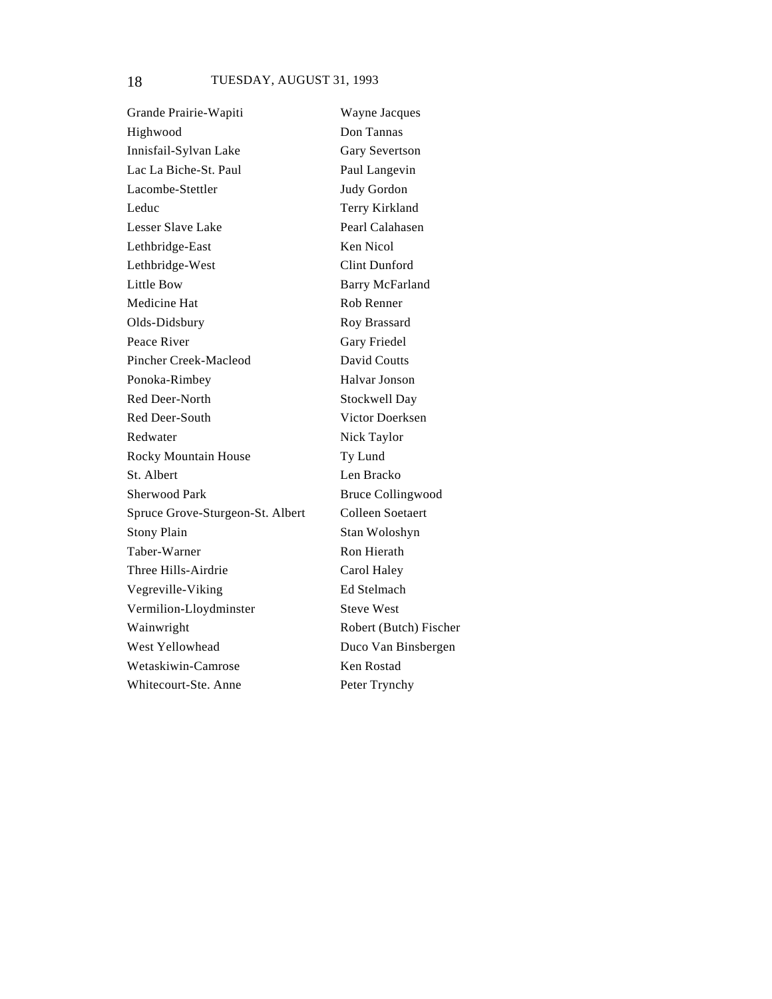Grande Prairie-Wapiti Wayne Jacques Highwood Don Tannas Innisfail-Sylvan Lake Gary Severtson Lac La Biche-St. Paul Paul Langevin Lacombe-Stettler Judy Gordon Leduc Terry Kirkland Lesser Slave Lake Pearl Calahasen Lethbridge-East Ken Nicol Lethbridge-West Clint Dunford Little Bow Barry McFarland Medicine Hat Rob Renner Olds-Didsbury Roy Brassard Peace River Gary Friedel Pincher Creek-Macleod David Coutts Ponoka-Rimbey Halvar Jonson Red Deer-North Stockwell Day Red Deer-South Victor Doerksen Redwater Nick Taylor Rocky Mountain House Ty Lund St. Albert Len Bracko Sherwood Park Bruce Collingwood Spruce Grove-Sturgeon-St. Albert Colleen Soetaert Stony Plain Stan Woloshyn Taber-Warner Ron Hierath Three Hills-Airdrie Carol Haley Vegreville-Viking Ed Stelmach Vermilion-Lloydminster Steve West Wainwright Robert (Butch) Fischer West Yellowhead Duco Van Binsbergen Wetaskiwin-Camrose Ken Rostad Whitecourt-Ste. Anne Peter Trynchy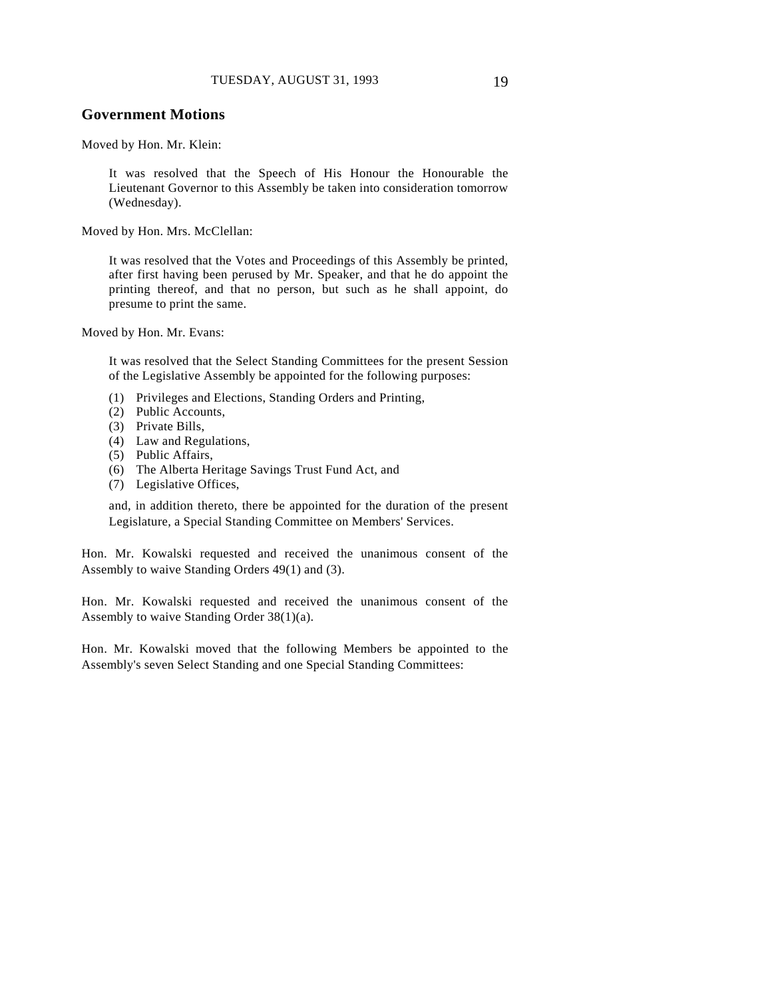## **Government Motions**

Moved by Hon. Mr. Klein:

It was resolved that the Speech of His Honour the Honourable the Lieutenant Governor to this Assembly be taken into consideration tomorrow (Wednesday).

Moved by Hon. Mrs. McClellan:

It was resolved that the Votes and Proceedings of this Assembly be printed, after first having been perused by Mr. Speaker, and that he do appoint the printing thereof, and that no person, but such as he shall appoint, do presume to print the same.

Moved by Hon. Mr. Evans:

It was resolved that the Select Standing Committees for the present Session of the Legislative Assembly be appointed for the following purposes:

- (1) Privileges and Elections, Standing Orders and Printing,
- (2) Public Accounts,
- (3) Private Bills,
- (4) Law and Regulations,
- (5) Public Affairs,
- (6) The Alberta Heritage Savings Trust Fund Act, and
- (7) Legislative Offices,

and, in addition thereto, there be appointed for the duration of the present Legislature, a Special Standing Committee on Members' Services.

Hon. Mr. Kowalski requested and received the unanimous consent of the Assembly to waive Standing Orders 49(1) and (3).

Hon. Mr. Kowalski requested and received the unanimous consent of the Assembly to waive Standing Order 38(1)(a).

Hon. Mr. Kowalski moved that the following Members be appointed to the Assembly's seven Select Standing and one Special Standing Committees: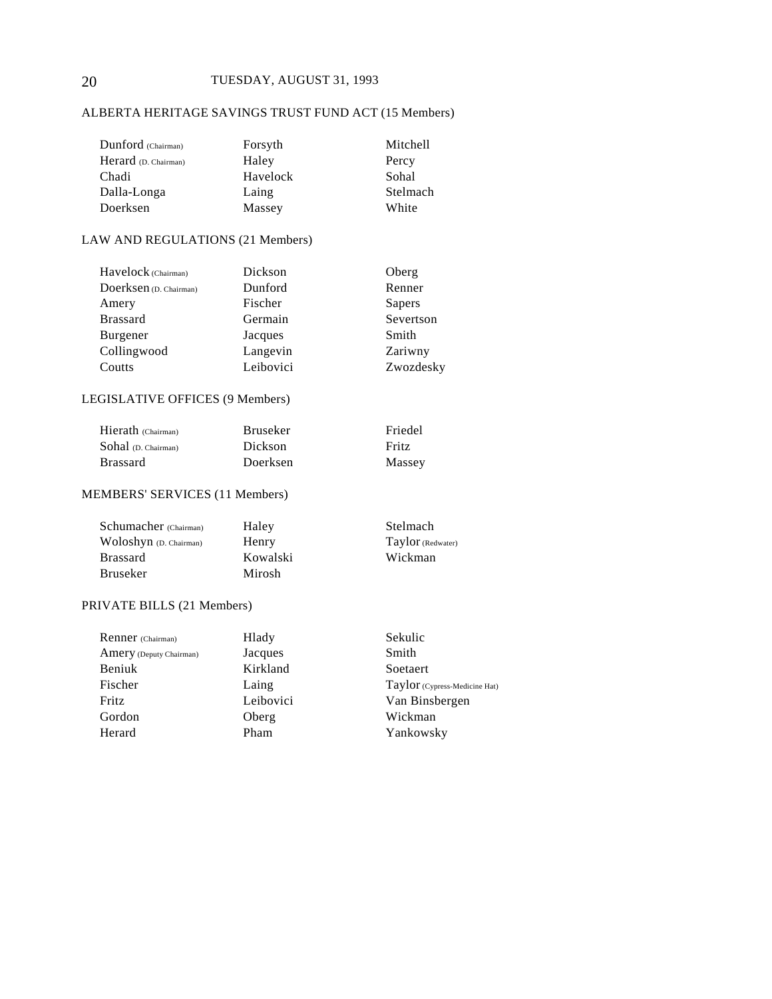## 20 TUESDAY, AUGUST 31, 1993

## ALBERTA HERITAGE SAVINGS TRUST FUND ACT (15 Members)

| Dunford (Chairman)   | Forsyth  | Mitchell |
|----------------------|----------|----------|
| Herard (D. Chairman) | Haley    | Percy    |
| Chadi                | Havelock | Sohal    |
| Dalla-Longa          | Laing    | Stelmach |
| Doerksen             | Massey   | White    |

#### LAW AND REGULATIONS (21 Members)

| Havelock (Chairman)    | Dickson   | Oberg     |
|------------------------|-----------|-----------|
| Doerksen (D. Chairman) | Dunford   | Renner    |
| Amery                  | Fischer   | Sapers    |
| <b>Brassard</b>        | Germain   | Severtson |
| Burgener               | Jacques   | Smith     |
| Collingwood            | Langevin  | Zariwny   |
| Coutts                 | Leibovici | Zwozdesky |

## LEGISLATIVE OFFICES (9 Members)

| Hierath (Chairman)         | <b>Bruseker</b> | Friedel |
|----------------------------|-----------------|---------|
| $Sohal$ (D. Chairman) $\,$ | Dickson         | Fritz   |
| Brassard                   | Doerksen        | Massey  |

## MEMBERS' SERVICES (11 Members)

| Schumacher (Chairman)  | Haley    | Stelmach          |
|------------------------|----------|-------------------|
| Woloshyn (D. Chairman) | Henry    | Taylor (Redwater) |
| <b>Brassard</b>        | Kowalski | Wickman           |
| Bruseker               | Mirosh   |                   |

## PRIVATE BILLS (21 Members)

| Renner (Chairman)       | Hlady     | Sekulic                       |
|-------------------------|-----------|-------------------------------|
| Amery (Deputy Chairman) | Jacques   | Smith                         |
| Beniuk                  | Kirkland  | Soetaert                      |
| Fischer                 | Laing     | Taylor (Cypress-Medicine Hat) |
| Fritz                   | Leibovici | Van Binsbergen                |
| Gordon                  | Oberg     | Wickman                       |
| Herard                  | Pham      | Yankowsky                     |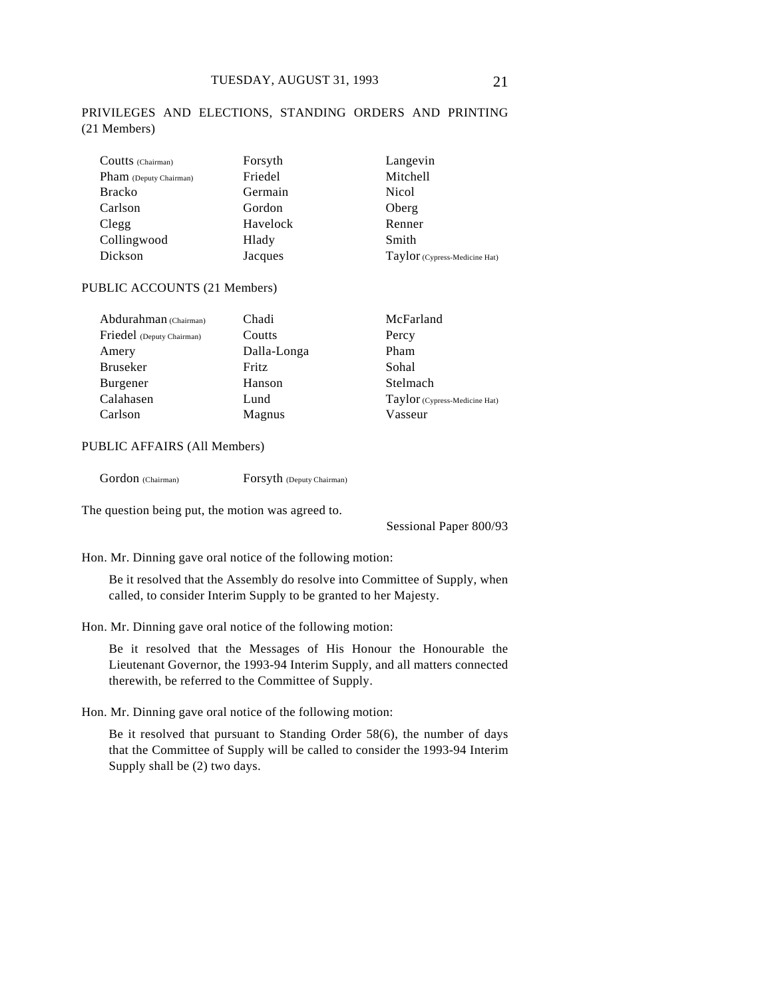### PRIVILEGES AND ELECTIONS, STANDING ORDERS AND PRINTING (21 Members)

| Coutts (Chairman)      | Forsyth  | Langevin                      |
|------------------------|----------|-------------------------------|
| Pham (Deputy Chairman) | Friedel  | Mitchell                      |
| <b>Bracko</b>          | Germain  | Nicol                         |
| Carlson                | Gordon   | Oberg                         |
| Clegg                  | Havelock | Renner                        |
| Collingwood            | Hlady    | Smith                         |
| Dickson                | Jacques  | Taylor (Cypress-Medicine Hat) |

#### PUBLIC ACCOUNTS (21 Members)

| Abdurahman (Chairman)     | Chadi       | McFarland                     |
|---------------------------|-------------|-------------------------------|
| Friedel (Deputy Chairman) | Coutts      | Percy                         |
| Amery                     | Dalla-Longa | Pham                          |
| <b>Bruseker</b>           | Fritz       | Sohal                         |
| Burgener                  | Hanson      | Stelmach                      |
| Calahasen                 | Lund        | Taylor (Cypress-Medicine Hat) |
| Carlson                   | Magnus      | Vasseur                       |

#### PUBLIC AFFAIRS (All Members)

Gordon (Chairman) Forsyth (Deputy Chairman)

The question being put, the motion was agreed to.

Sessional Paper 800/93

Hon. Mr. Dinning gave oral notice of the following motion:

Be it resolved that the Assembly do resolve into Committee of Supply, when called, to consider Interim Supply to be granted to her Majesty.

Hon. Mr. Dinning gave oral notice of the following motion:

Be it resolved that the Messages of His Honour the Honourable the Lieutenant Governor, the 1993-94 Interim Supply, and all matters connected therewith, be referred to the Committee of Supply.

Hon. Mr. Dinning gave oral notice of the following motion:

Be it resolved that pursuant to Standing Order 58(6), the number of days that the Committee of Supply will be called to consider the 1993-94 Interim Supply shall be (2) two days.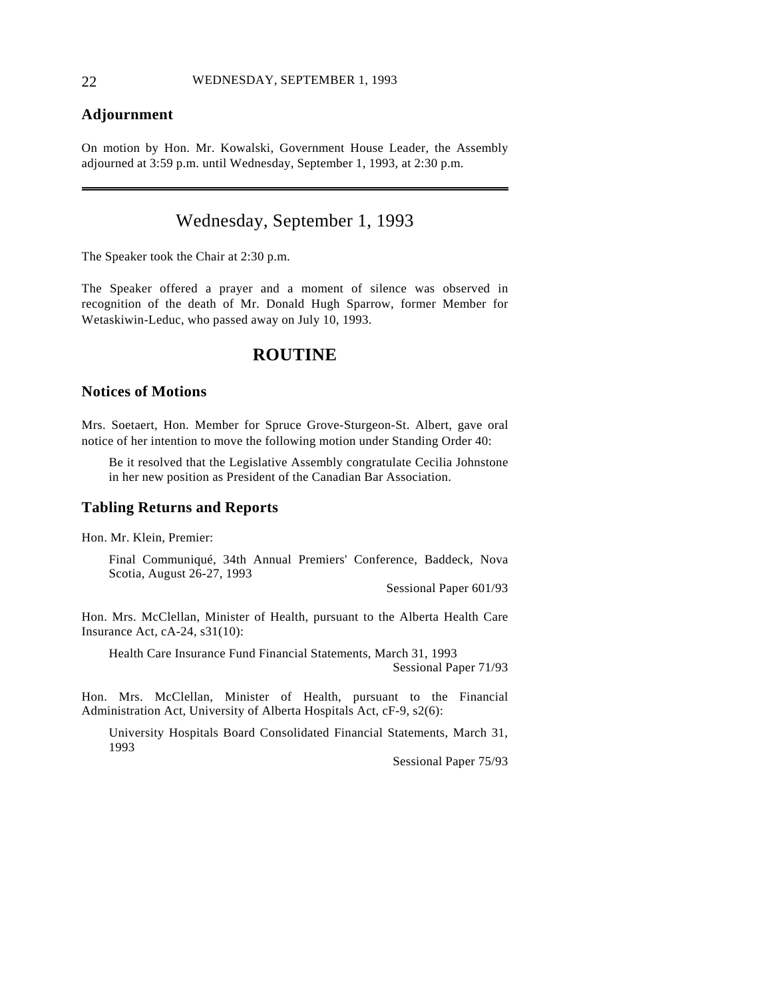## **Adjournment**

On motion by Hon. Mr. Kowalski, Government House Leader, the Assembly adjourned at 3:59 p.m. until Wednesday, September 1, 1993, at 2:30 p.m.

## Wednesday, September 1, 1993

The Speaker took the Chair at 2:30 p.m.

The Speaker offered a prayer and a moment of silence was observed in recognition of the death of Mr. Donald Hugh Sparrow, former Member for Wetaskiwin-Leduc, who passed away on July 10, 1993.

## **ROUTINE**

### **Notices of Motions**

Mrs. Soetaert, Hon. Member for Spruce Grove-Sturgeon-St. Albert, gave oral notice of her intention to move the following motion under Standing Order 40:

Be it resolved that the Legislative Assembly congratulate Cecilia Johnstone in her new position as President of the Canadian Bar Association.

#### **Tabling Returns and Reports**

Hon. Mr. Klein, Premier:

Final Communiqué, 34th Annual Premiers' Conference, Baddeck, Nova Scotia, August 26-27, 1993

Sessional Paper 601/93

Hon. Mrs. McClellan, Minister of Health, pursuant to the Alberta Health Care Insurance Act, cA-24, s31(10):

Health Care Insurance Fund Financial Statements, March 31, 1993

Sessional Paper 71/93

Hon. Mrs. McClellan, Minister of Health, pursuant to the Financial Administration Act, University of Alberta Hospitals Act, cF-9, s2(6):

University Hospitals Board Consolidated Financial Statements, March 31, 1993

Sessional Paper 75/93

 $\overline{a}$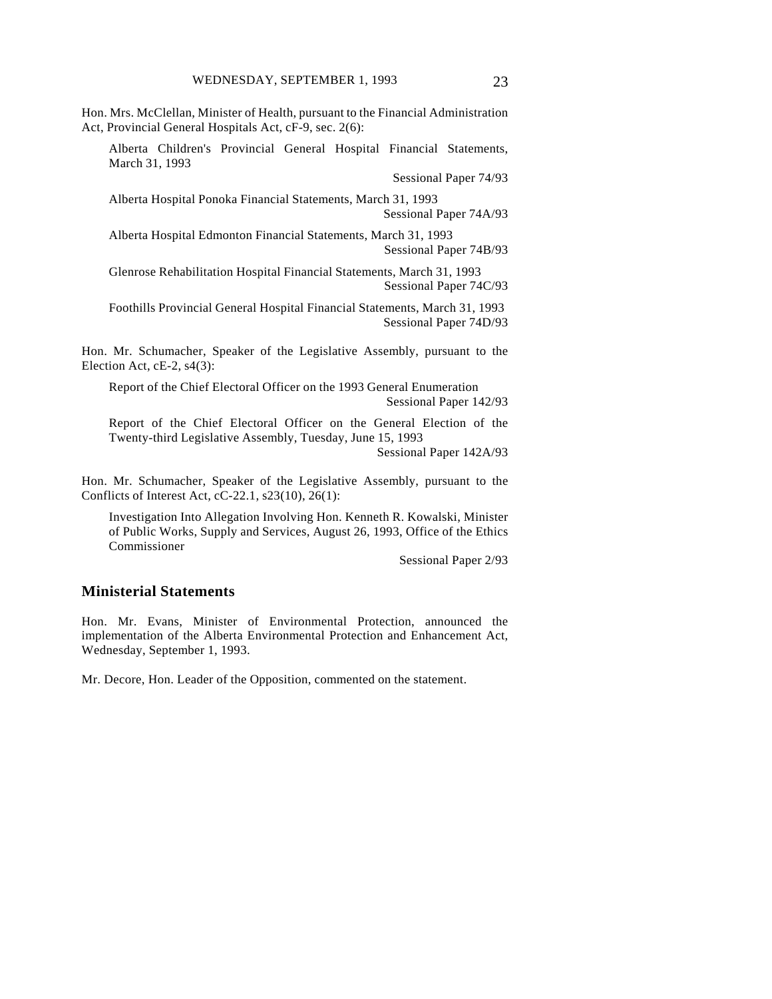Hon. Mrs. McClellan, Minister of Health, pursuant to the Financial Administration Act, Provincial General Hospitals Act, cF-9, sec. 2(6):

Alberta Children's Provincial General Hospital Financial Statements, March 31, 1993

Sessional Paper 74/93

Alberta Hospital Ponoka Financial Statements, March 31, 1993 Sessional Paper 74A/93

Alberta Hospital Edmonton Financial Statements, March 31, 1993 Sessional Paper 74B/93

Glenrose Rehabilitation Hospital Financial Statements, March 31, 1993 Sessional Paper 74C/93

Foothills Provincial General Hospital Financial Statements, March 31, 1993 Sessional Paper 74D/93

Hon. Mr. Schumacher, Speaker of the Legislative Assembly, pursuant to the Election Act, cE-2, s4(3):

Report of the Chief Electoral Officer on the 1993 General Enumeration Sessional Paper 142/93

Report of the Chief Electoral Officer on the General Election of the Twenty-third Legislative Assembly, Tuesday, June 15, 1993

Sessional Paper 142A/93

Hon. Mr. Schumacher, Speaker of the Legislative Assembly, pursuant to the Conflicts of Interest Act, cC-22.1, s23(10), 26(1):

Investigation Into Allegation Involving Hon. Kenneth R. Kowalski, Minister of Public Works, Supply and Services, August 26, 1993, Office of the Ethics Commissioner

Sessional Paper 2/93

## **Ministerial Statements**

Hon. Mr. Evans, Minister of Environmental Protection, announced the implementation of the Alberta Environmental Protection and Enhancement Act, Wednesday, September 1, 1993.

Mr. Decore, Hon. Leader of the Opposition, commented on the statement.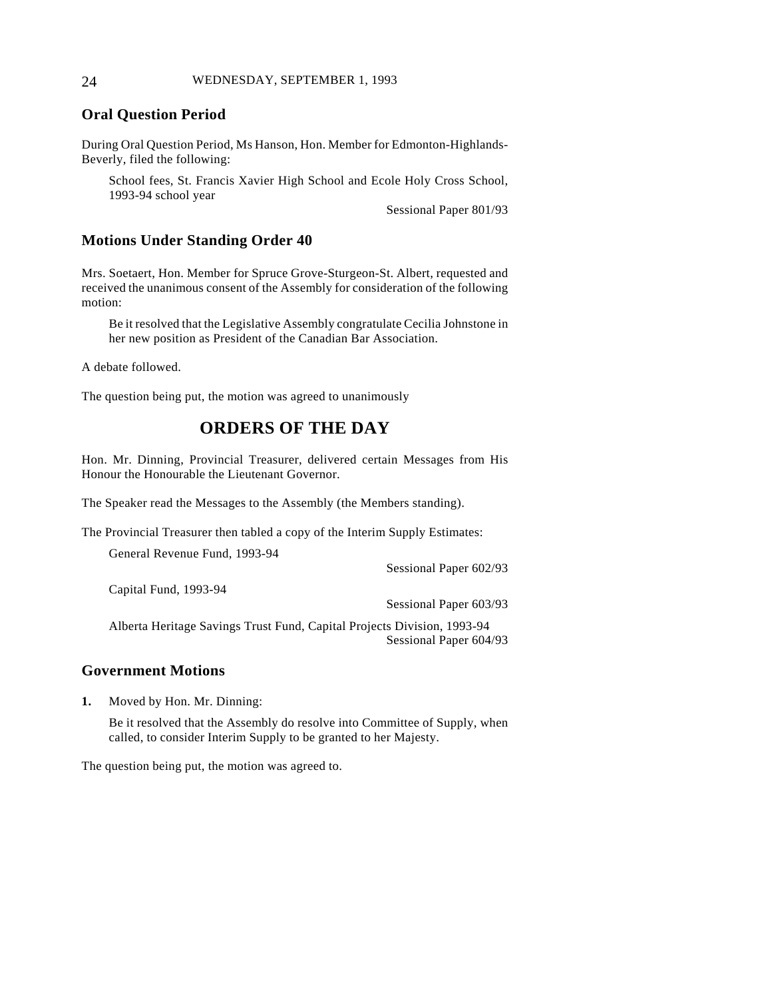#### 24 WEDNESDAY, SEPTEMBER 1, 1993

## **Oral Question Period**

During Oral Question Period, Ms Hanson, Hon. Member for Edmonton-Highlands-Beverly, filed the following:

School fees, St. Francis Xavier High School and Ecole Holy Cross School, 1993-94 school year

Sessional Paper 801/93

### **Motions Under Standing Order 40**

Mrs. Soetaert, Hon. Member for Spruce Grove-Sturgeon-St. Albert, requested and received the unanimous consent of the Assembly for consideration of the following motion:

Be it resolved that the Legislative Assembly congratulate Cecilia Johnstone in her new position as President of the Canadian Bar Association.

A debate followed.

The question being put, the motion was agreed to unanimously

## **ORDERS OF THE DAY**

Hon. Mr. Dinning, Provincial Treasurer, delivered certain Messages from His Honour the Honourable the Lieutenant Governor.

The Speaker read the Messages to the Assembly (the Members standing).

The Provincial Treasurer then tabled a copy of the Interim Supply Estimates:

| General Revenue Fund, 1993-94                                           |                          |
|-------------------------------------------------------------------------|--------------------------|
|                                                                         | Sessional Paper 602/93   |
| Capital Fund, 1993-94                                                   |                          |
|                                                                         | Sessional Paper 603/93   |
| Alberta Heritage Savings Trust Fund, Capital Projects Division, 1993-94 |                          |
|                                                                         | Sessional Paper $604/93$ |

Sessional Paper 604/93

#### **Government Motions**

**1.** Moved by Hon. Mr. Dinning:

Be it resolved that the Assembly do resolve into Committee of Supply, when called, to consider Interim Supply to be granted to her Majesty.

The question being put, the motion was agreed to.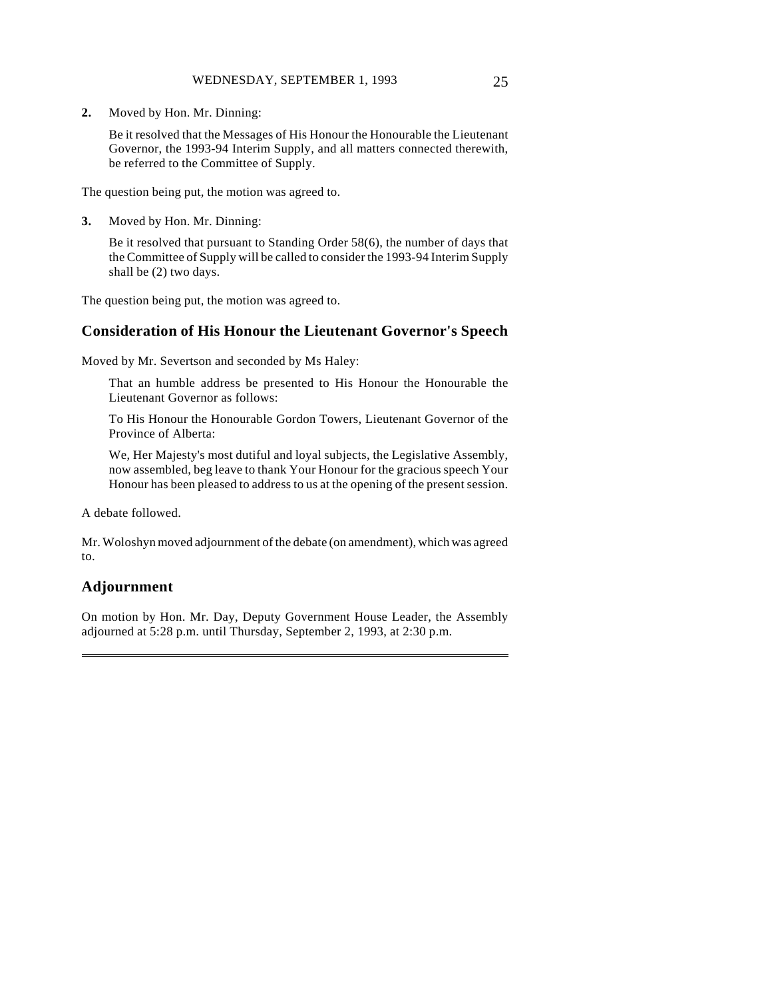**2.** Moved by Hon. Mr. Dinning:

Be it resolved that the Messages of His Honour the Honourable the Lieutenant Governor, the 1993-94 Interim Supply, and all matters connected therewith, be referred to the Committee of Supply.

The question being put, the motion was agreed to.

**3.** Moved by Hon. Mr. Dinning:

Be it resolved that pursuant to Standing Order 58(6), the number of days that the Committee of Supply will be called to consider the 1993-94 Interim Supply shall be (2) two days.

The question being put, the motion was agreed to.

### **Consideration of His Honour the Lieutenant Governor's Speech**

Moved by Mr. Severtson and seconded by Ms Haley:

That an humble address be presented to His Honour the Honourable the Lieutenant Governor as follows:

To His Honour the Honourable Gordon Towers, Lieutenant Governor of the Province of Alberta:

We, Her Majesty's most dutiful and loyal subjects, the Legislative Assembly, now assembled, beg leave to thank Your Honour for the gracious speech Your Honour has been pleased to address to us at the opening of the present session.

A debate followed.

Mr. Woloshyn moved adjournment of the debate (on amendment), which was agreed to.

## **Adjournment**

 $\overline{a}$ 

On motion by Hon. Mr. Day, Deputy Government House Leader, the Assembly adjourned at 5:28 p.m. until Thursday, September 2, 1993, at 2:30 p.m.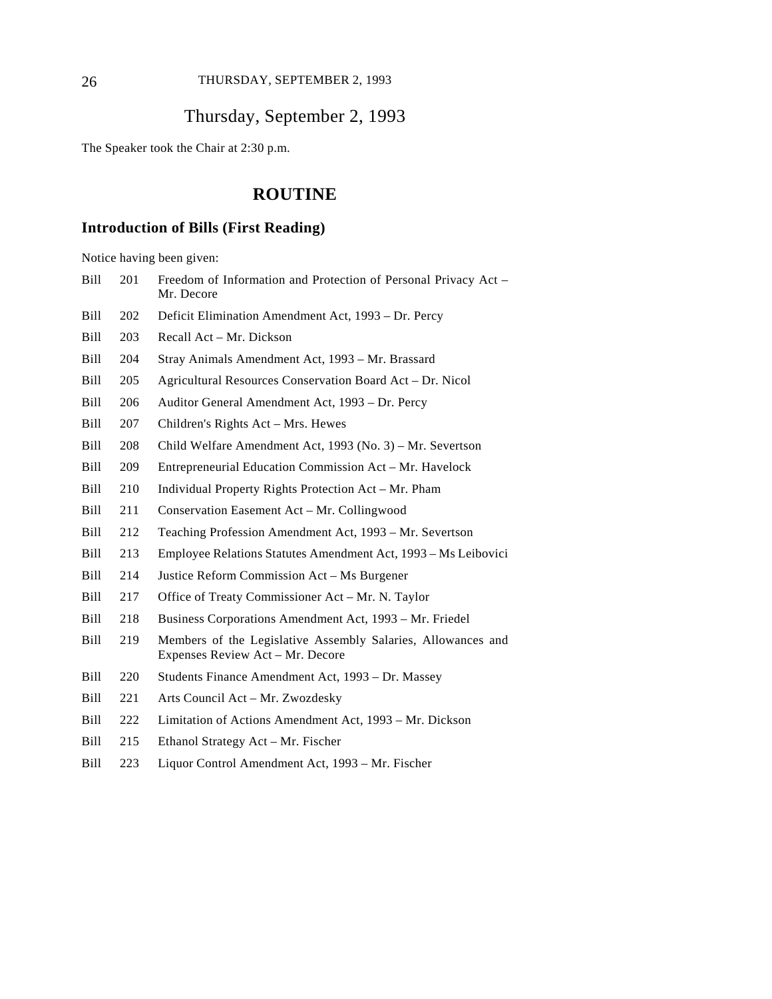## 26 THURSDAY, SEPTEMBER 2, 1993

## Thursday, September 2, 1993

The Speaker took the Chair at 2:30 p.m.

## **ROUTINE**

## **Introduction of Bills (First Reading)**

Notice having been given:

| Bill        | 201 | Freedom of Information and Protection of Personal Privacy Act -<br>Mr. Decore                    |
|-------------|-----|--------------------------------------------------------------------------------------------------|
| Bill        | 202 | Deficit Elimination Amendment Act, 1993 – Dr. Percy                                              |
| Bill        | 203 | Recall Act – Mr. Dickson                                                                         |
| Bill        | 204 | Stray Animals Amendment Act, 1993 - Mr. Brassard                                                 |
| <b>Bill</b> | 205 | Agricultural Resources Conservation Board Act - Dr. Nicol                                        |
| <b>Bill</b> | 206 | Auditor General Amendment Act, 1993 – Dr. Percy                                                  |
| Bill        | 207 | Children's Rights Act – Mrs. Hewes                                                               |
| Bill        | 208 | Child Welfare Amendment Act, 1993 (No. 3) – Mr. Severtson                                        |
| Bill        | 209 | Entrepreneurial Education Commission Act – Mr. Havelock                                          |
| Bill        | 210 | Individual Property Rights Protection Act – Mr. Pham                                             |
| Bill        | 211 | Conservation Easement Act - Mr. Collingwood                                                      |
| Bill        | 212 | Teaching Profession Amendment Act, 1993 – Mr. Severtson                                          |
| Bill        | 213 | Employee Relations Statutes Amendment Act, 1993 - Ms Leibovici                                   |
| Bill        | 214 | Justice Reform Commission Act – Ms Burgener                                                      |
| Bill        | 217 | Office of Treaty Commissioner Act - Mr. N. Taylor                                                |
| Bill        | 218 | Business Corporations Amendment Act, 1993 – Mr. Friedel                                          |
| Bill        | 219 | Members of the Legislative Assembly Salaries, Allowances and<br>Expenses Review Act - Mr. Decore |
| Bill        | 220 | Students Finance Amendment Act, 1993 – Dr. Massey                                                |
| Bill        | 221 | Arts Council Act - Mr. Zwozdesky                                                                 |
| Bill        | 222 | Limitation of Actions Amendment Act, 1993 – Mr. Dickson                                          |
| Bill        | 215 | Ethanol Strategy Act – Mr. Fischer                                                               |

Bill 223 Liquor Control Amendment Act, 1993 – Mr. Fischer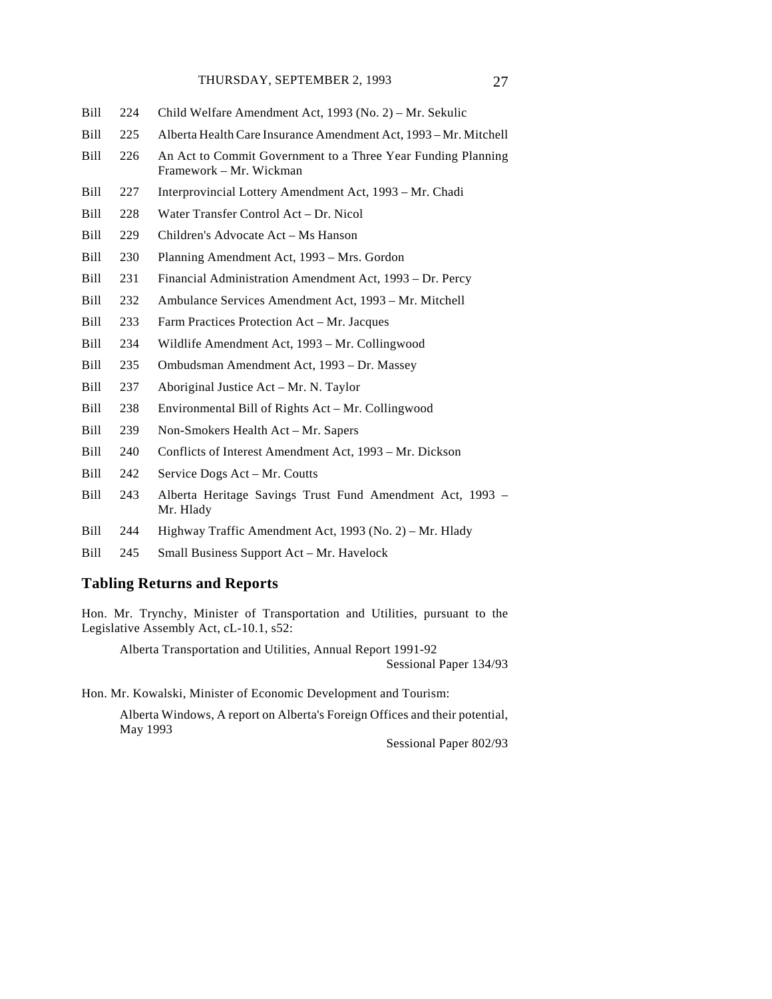- Bill 224 Child Welfare Amendment Act, 1993 (No. 2) Mr. Sekulic
- Bill 225 Alberta Health Care Insurance Amendment Act, 1993 Mr. Mitchell
- Bill 226 An Act to Commit Government to a Three Year Funding Planning Framework – Mr. Wickman
- Bill 227 Interprovincial Lottery Amendment Act, 1993 Mr. Chadi
- Bill 228 Water Transfer Control Act Dr. Nicol
- Bill 229 Children's Advocate Act Ms Hanson
- Bill 230 Planning Amendment Act, 1993 Mrs. Gordon
- Bill 231 Financial Administration Amendment Act, 1993 Dr. Percy
- Bill 232 Ambulance Services Amendment Act, 1993 Mr. Mitchell
- Bill 233 Farm Practices Protection Act Mr. Jacques
- Bill 234 Wildlife Amendment Act, 1993 Mr. Collingwood
- Bill 235 Ombudsman Amendment Act, 1993 Dr. Massey
- Bill 237 Aboriginal Justice Act Mr. N. Taylor
- Bill 238 Environmental Bill of Rights Act Mr. Collingwood
- Bill 239 Non-Smokers Health Act Mr. Sapers
- Bill 240 Conflicts of Interest Amendment Act, 1993 Mr. Dickson
- Bill 242 Service Dogs Act Mr. Coutts
- Bill 243 Alberta Heritage Savings Trust Fund Amendment Act, 1993 Mr. Hlady
- Bill 244 Highway Traffic Amendment Act, 1993 (No. 2) Mr. Hlady
- Bill 245 Small Business Support Act Mr. Havelock

#### **Tabling Returns and Reports**

Hon. Mr. Trynchy, Minister of Transportation and Utilities, pursuant to the Legislative Assembly Act, cL-10.1, s52:

Alberta Transportation and Utilities, Annual Report 1991-92

Sessional Paper 134/93

Hon. Mr. Kowalski, Minister of Economic Development and Tourism:

Alberta Windows, A report on Alberta's Foreign Offices and their potential, May 1993

Sessional Paper 802/93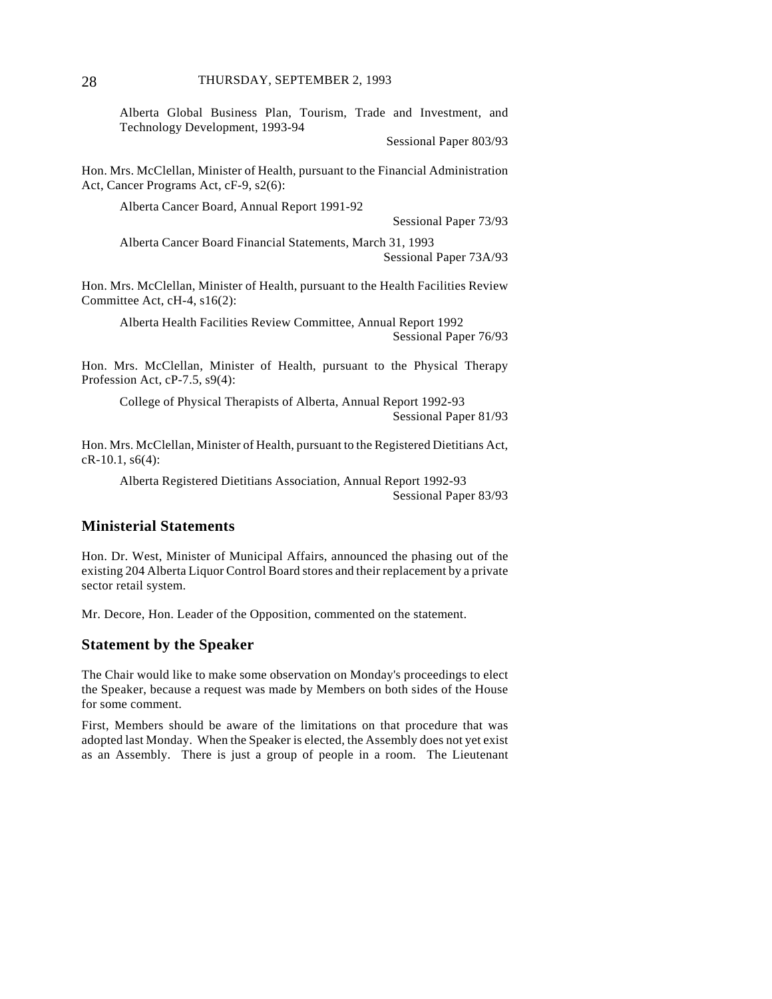Alberta Global Business Plan, Tourism, Trade and Investment, and Technology Development, 1993-94

Sessional Paper 803/93

Hon. Mrs. McClellan, Minister of Health, pursuant to the Financial Administration Act, Cancer Programs Act, cF-9, s2(6):

Alberta Cancer Board, Annual Report 1991-92

Sessional Paper 73/93

Alberta Cancer Board Financial Statements, March 31, 1993 Sessional Paper 73A/93

Hon. Mrs. McClellan, Minister of Health, pursuant to the Health Facilities Review Committee Act, cH-4, s16(2):

Alberta Health Facilities Review Committee, Annual Report 1992 Sessional Paper 76/93

Hon. Mrs. McClellan, Minister of Health, pursuant to the Physical Therapy Profession Act, cP-7.5, s9(4):

College of Physical Therapists of Alberta, Annual Report 1992-93 Sessional Paper 81/93

Hon. Mrs. McClellan, Minister of Health, pursuant to the Registered Dietitians Act, cR-10.1, s6(4):

Alberta Registered Dietitians Association, Annual Report 1992-93 Sessional Paper 83/93

## **Ministerial Statements**

Hon. Dr. West, Minister of Municipal Affairs, announced the phasing out of the existing 204 Alberta Liquor Control Board stores and their replacement by a private sector retail system.

Mr. Decore, Hon. Leader of the Opposition, commented on the statement.

#### **Statement by the Speaker**

The Chair would like to make some observation on Monday's proceedings to elect the Speaker, because a request was made by Members on both sides of the House for some comment.

First, Members should be aware of the limitations on that procedure that was adopted last Monday. When the Speaker is elected, the Assembly does not yet exist as an Assembly. There is just a group of people in a room. The Lieutenant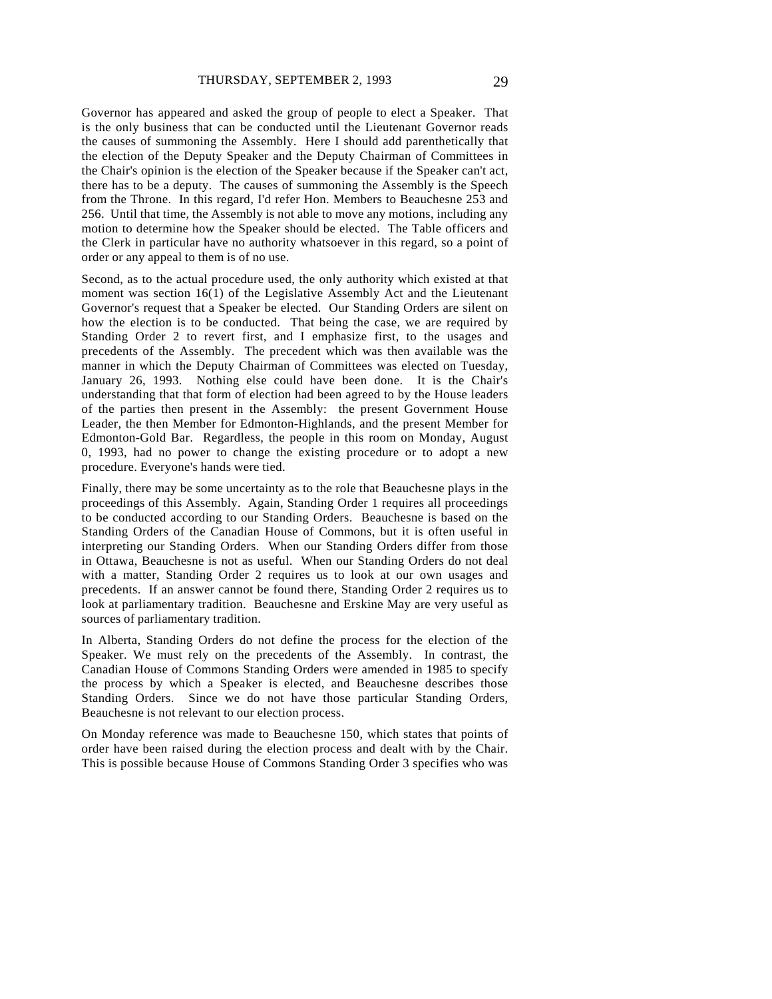Governor has appeared and asked the group of people to elect a Speaker. That is the only business that can be conducted until the Lieutenant Governor reads the causes of summoning the Assembly. Here I should add parenthetically that the election of the Deputy Speaker and the Deputy Chairman of Committees in the Chair's opinion is the election of the Speaker because if the Speaker can't act, there has to be a deputy. The causes of summoning the Assembly is the Speech from the Throne. In this regard, I'd refer Hon. Members to Beauchesne 253 and 256. Until that time, the Assembly is not able to move any motions, including any motion to determine how the Speaker should be elected. The Table officers and the Clerk in particular have no authority whatsoever in this regard, so a point of order or any appeal to them is of no use.

Second, as to the actual procedure used, the only authority which existed at that moment was section 16(1) of the Legislative Assembly Act and the Lieutenant Governor's request that a Speaker be elected. Our Standing Orders are silent on how the election is to be conducted. That being the case, we are required by Standing Order 2 to revert first, and I emphasize first, to the usages and precedents of the Assembly. The precedent which was then available was the manner in which the Deputy Chairman of Committees was elected on Tuesday, January 26, 1993. Nothing else could have been done. It is the Chair's understanding that that form of election had been agreed to by the House leaders of the parties then present in the Assembly: the present Government House Leader, the then Member for Edmonton-Highlands, and the present Member for Edmonton-Gold Bar. Regardless, the people in this room on Monday, August 0, 1993, had no power to change the existing procedure or to adopt a new procedure. Everyone's hands were tied.

Finally, there may be some uncertainty as to the role that Beauchesne plays in the proceedings of this Assembly. Again, Standing Order 1 requires all proceedings to be conducted according to our Standing Orders. Beauchesne is based on the Standing Orders of the Canadian House of Commons, but it is often useful in interpreting our Standing Orders. When our Standing Orders differ from those in Ottawa, Beauchesne is not as useful. When our Standing Orders do not deal with a matter, Standing Order 2 requires us to look at our own usages and precedents. If an answer cannot be found there, Standing Order 2 requires us to look at parliamentary tradition. Beauchesne and Erskine May are very useful as sources of parliamentary tradition.

In Alberta, Standing Orders do not define the process for the election of the Speaker. We must rely on the precedents of the Assembly. In contrast, the Canadian House of Commons Standing Orders were amended in 1985 to specify the process by which a Speaker is elected, and Beauchesne describes those Standing Orders. Since we do not have those particular Standing Orders, Beauchesne is not relevant to our election process.

On Monday reference was made to Beauchesne 150, which states that points of order have been raised during the election process and dealt with by the Chair. This is possible because House of Commons Standing Order 3 specifies who was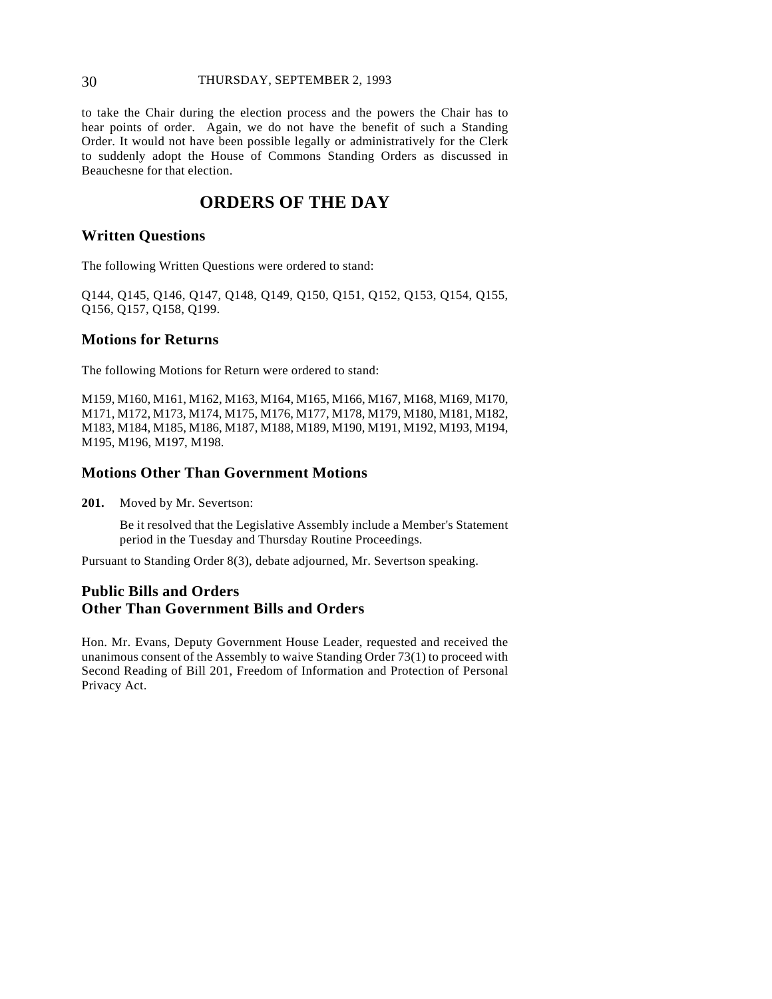### 30 THURSDAY, SEPTEMBER 2, 1993

to take the Chair during the election process and the powers the Chair has to hear points of order. Again, we do not have the benefit of such a Standing Order. It would not have been possible legally or administratively for the Clerk to suddenly adopt the House of Commons Standing Orders as discussed in Beauchesne for that election.

## **ORDERS OF THE DAY**

### **Written Questions**

The following Written Questions were ordered to stand:

Q144, Q145, Q146, Q147, Q148, Q149, Q150, Q151, Q152, Q153, Q154, Q155, Q156, Q157, Q158, Q199.

### **Motions for Returns**

The following Motions for Return were ordered to stand:

M159, M160, M161, M162, M163, M164, M165, M166, M167, M168, M169, M170, M171, M172, M173, M174, M175, M176, M177, M178, M179, M180, M181, M182, M183, M184, M185, M186, M187, M188, M189, M190, M191, M192, M193, M194, M195, M196, M197, M198.

## **Motions Other Than Government Motions**

**201.** Moved by Mr. Severtson:

Be it resolved that the Legislative Assembly include a Member's Statement period in the Tuesday and Thursday Routine Proceedings.

Pursuant to Standing Order 8(3), debate adjourned, Mr. Severtson speaking.

## **Public Bills and Orders Other Than Government Bills and Orders**

Hon. Mr. Evans, Deputy Government House Leader, requested and received the unanimous consent of the Assembly to waive Standing Order 73(1) to proceed with Second Reading of Bill 201, Freedom of Information and Protection of Personal Privacy Act.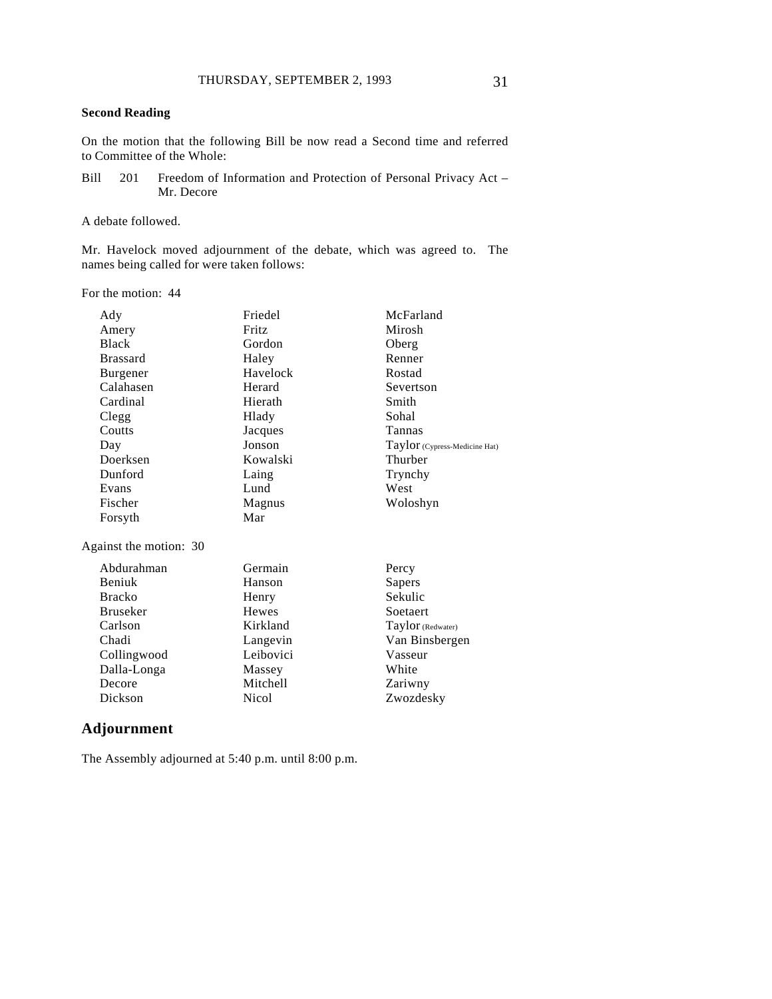### **Second Reading**

On the motion that the following Bill be now read a Second time and referred to Committee of the Whole:

Bill 201 Freedom of Information and Protection of Personal Privacy Act – Mr. Decore

A debate followed.

Mr. Havelock moved adjournment of the debate, which was agreed to. The names being called for were taken follows:

For the motion: 44

| Ady                    | Friedel      | McFarland                       |
|------------------------|--------------|---------------------------------|
| Amery                  | Fritz        | Mirosh                          |
| <b>Black</b>           | Gordon       | Oberg                           |
| <b>Brassard</b>        | Haley        | Renner                          |
| Burgener               | Havelock     | Rostad                          |
| Calahasen              | Herard       | Severtson                       |
| Cardinal               | Hierath      | Smith                           |
| Clegg                  | Hlady        | Sohal                           |
| Coutts                 | Jacques      | Tannas                          |
| Day                    | Jonson       | $Taylor$ (Cypress-Medicine Hat) |
| Doerksen               | Kowalski     | Thurber                         |
| Dunford                | Laing        | Trynchy                         |
| Evans                  | Lund         | West                            |
| Fischer                | Magnus       | Woloshyn                        |
| Forsyth                | Mar          |                                 |
| Against the motion: 30 |              |                                 |
| Abdurahman             | Germain      | Percy                           |
| Beniuk                 | Hanson       | Sapers                          |
| <b>Bracko</b>          | Henry        | Sekulic                         |
| <b>Bruseker</b>        | <b>Hewes</b> | Soetaert                        |
| Carlson                | Kirkland     | Taylor (Redwater)               |
| Chadi                  | Langevin     | Van Binsbergen                  |
| Collingwood            | Leibovici    | Vasseur                         |
| Dalla-Longa            | Massey       | White                           |
| Decore                 | Mitchell     | Zariwny                         |
| Dickson                | Nicol        | Zwozdesky                       |

## **Adjournment**

The Assembly adjourned at 5:40 p.m. until 8:00 p.m.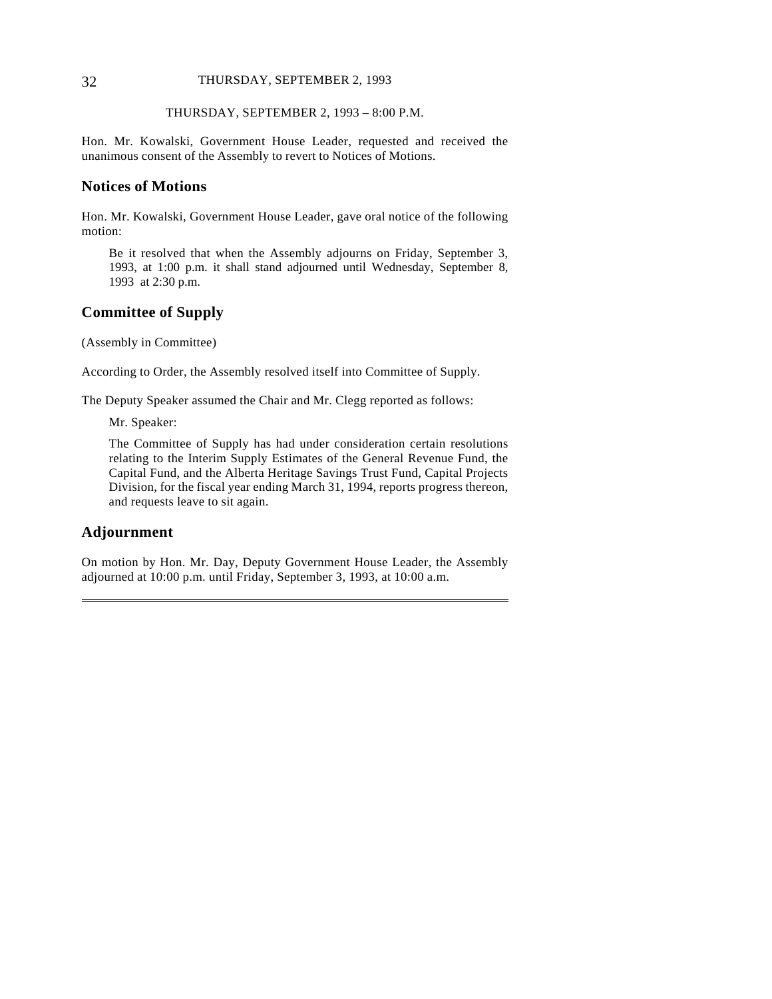#### 32 THURSDAY, SEPTEMBER 2, 1993

#### THURSDAY, SEPTEMBER 2, 1993 – 8:00 P.M.

Hon. Mr. Kowalski, Government House Leader, requested and received the unanimous consent of the Assembly to revert to Notices of Motions.

### **Notices of Motions**

Hon. Mr. Kowalski, Government House Leader, gave oral notice of the following motion:

Be it resolved that when the Assembly adjourns on Friday, September 3, 1993, at 1:00 p.m. it shall stand adjourned until Wednesday, September 8, 1993 at 2:30 p.m.

## **Committee of Supply**

(Assembly in Committee)

According to Order, the Assembly resolved itself into Committee of Supply.

The Deputy Speaker assumed the Chair and Mr. Clegg reported as follows:

Mr. Speaker:

The Committee of Supply has had under consideration certain resolutions relating to the Interim Supply Estimates of the General Revenue Fund, the Capital Fund, and the Alberta Heritage Savings Trust Fund, Capital Projects Division, for the fiscal year ending March 31, 1994, reports progress thereon, and requests leave to sit again.

#### **Adjournment**

 $\overline{a}$ 

On motion by Hon. Mr. Day, Deputy Government House Leader, the Assembly adjourned at 10:00 p.m. until Friday, September 3, 1993, at 10:00 a.m.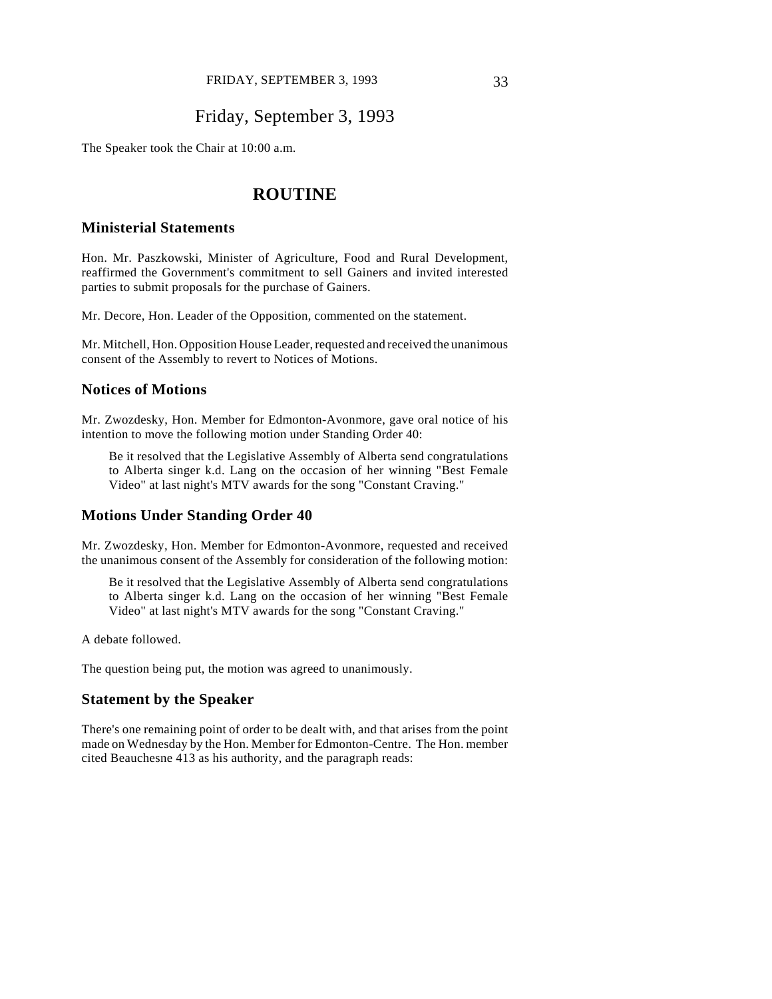## Friday, September 3, 1993

The Speaker took the Chair at 10:00 a.m.

## **ROUTINE**

### **Ministerial Statements**

Hon. Mr. Paszkowski, Minister of Agriculture, Food and Rural Development, reaffirmed the Government's commitment to sell Gainers and invited interested parties to submit proposals for the purchase of Gainers.

Mr. Decore, Hon. Leader of the Opposition, commented on the statement.

Mr. Mitchell, Hon. Opposition House Leader, requested and received the unanimous consent of the Assembly to revert to Notices of Motions.

#### **Notices of Motions**

Mr. Zwozdesky, Hon. Member for Edmonton-Avonmore, gave oral notice of his intention to move the following motion under Standing Order 40:

Be it resolved that the Legislative Assembly of Alberta send congratulations to Alberta singer k.d. Lang on the occasion of her winning "Best Female Video" at last night's MTV awards for the song "Constant Craving."

#### **Motions Under Standing Order 40**

Mr. Zwozdesky, Hon. Member for Edmonton-Avonmore, requested and received the unanimous consent of the Assembly for consideration of the following motion:

Be it resolved that the Legislative Assembly of Alberta send congratulations to Alberta singer k.d. Lang on the occasion of her winning "Best Female Video" at last night's MTV awards for the song "Constant Craving."

A debate followed.

The question being put, the motion was agreed to unanimously.

#### **Statement by the Speaker**

There's one remaining point of order to be dealt with, and that arises from the point made on Wednesday by the Hon. Member for Edmonton-Centre. The Hon. member cited Beauchesne 413 as his authority, and the paragraph reads: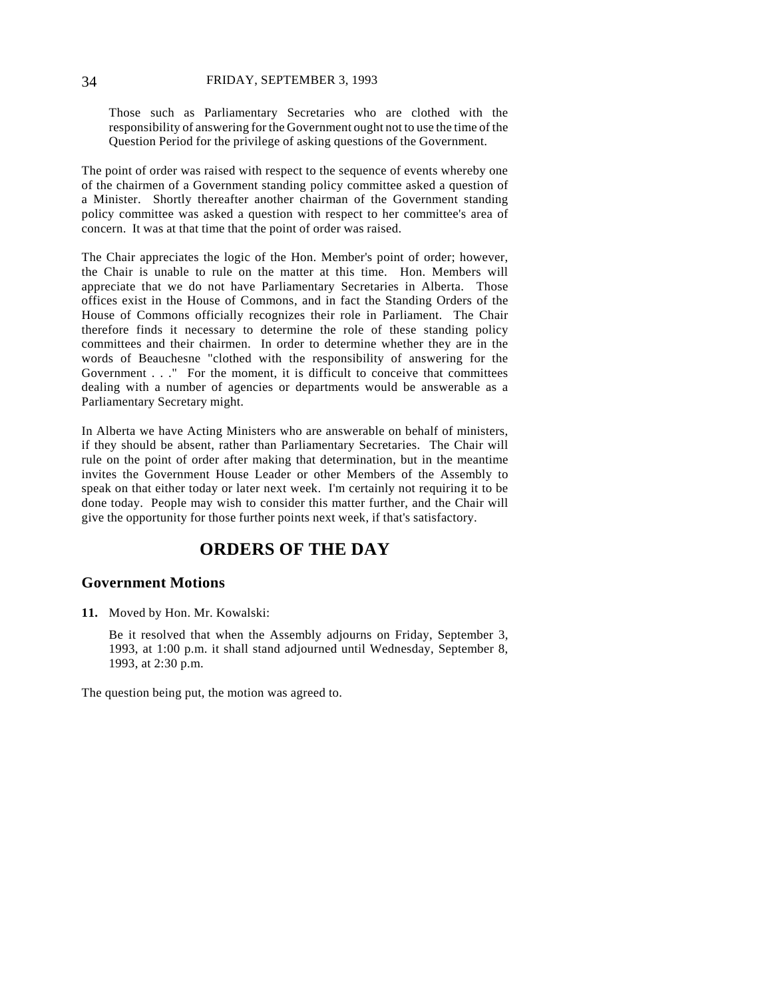Those such as Parliamentary Secretaries who are clothed with the responsibility of answering for the Government ought not to use the time of the Question Period for the privilege of asking questions of the Government.

The point of order was raised with respect to the sequence of events whereby one of the chairmen of a Government standing policy committee asked a question of a Minister. Shortly thereafter another chairman of the Government standing policy committee was asked a question with respect to her committee's area of concern. It was at that time that the point of order was raised.

The Chair appreciates the logic of the Hon. Member's point of order; however, the Chair is unable to rule on the matter at this time. Hon. Members will appreciate that we do not have Parliamentary Secretaries in Alberta. Those offices exist in the House of Commons, and in fact the Standing Orders of the House of Commons officially recognizes their role in Parliament. The Chair therefore finds it necessary to determine the role of these standing policy committees and their chairmen. In order to determine whether they are in the words of Beauchesne "clothed with the responsibility of answering for the Government . . ." For the moment, it is difficult to conceive that committees dealing with a number of agencies or departments would be answerable as a Parliamentary Secretary might.

In Alberta we have Acting Ministers who are answerable on behalf of ministers, if they should be absent, rather than Parliamentary Secretaries. The Chair will rule on the point of order after making that determination, but in the meantime invites the Government House Leader or other Members of the Assembly to speak on that either today or later next week. I'm certainly not requiring it to be done today. People may wish to consider this matter further, and the Chair will give the opportunity for those further points next week, if that's satisfactory.

# **ORDERS OF THE DAY**

## **Government Motions**

**11.** Moved by Hon. Mr. Kowalski:

Be it resolved that when the Assembly adjourns on Friday, September 3, 1993, at 1:00 p.m. it shall stand adjourned until Wednesday, September 8, 1993, at 2:30 p.m.

The question being put, the motion was agreed to.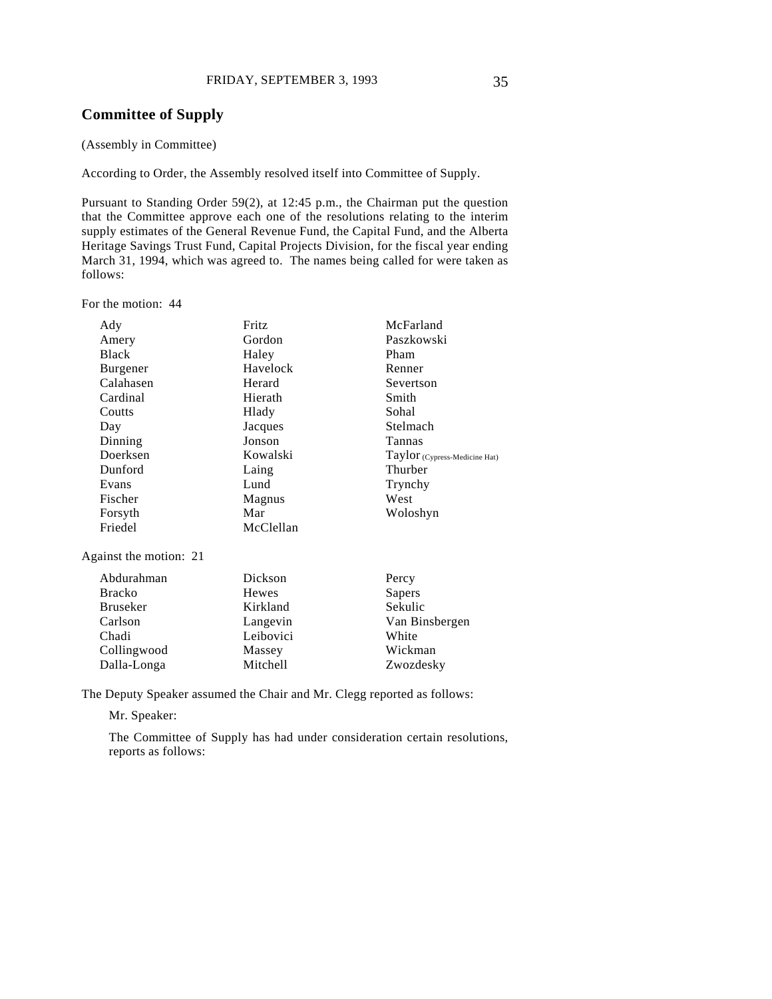## **Committee of Supply**

#### (Assembly in Committee)

According to Order, the Assembly resolved itself into Committee of Supply.

Pursuant to Standing Order 59(2), at 12:45 p.m., the Chairman put the question that the Committee approve each one of the resolutions relating to the interim supply estimates of the General Revenue Fund, the Capital Fund, and the Alberta Heritage Savings Trust Fund, Capital Projects Division, for the fiscal year ending March 31, 1994, which was agreed to. The names being called for were taken as follows:

For the motion: 44

| Ady             | Fritz     | McFarland                     |
|-----------------|-----------|-------------------------------|
| Amery           | Gordon    | Paszkowski                    |
| <b>Black</b>    | Haley     | Pham                          |
| <b>Burgener</b> | Havelock  | Renner                        |
| Calahasen       | Herard    | Severtson                     |
| Cardinal        | Hierath   | Smith                         |
| Coutts          | Hlady     | Sohal                         |
| Day             | Jacques   | Stelmach                      |
| Dinning         | Jonson    | <b>Tannas</b>                 |
| Doerksen        | Kowalski  | Taylor (Cypress-Medicine Hat) |
| Dunford         | Laing     | Thurber                       |
| Evans           | Lund      | Trynchy                       |
| Fischer         | Magnus    | West                          |
| Forsyth         | Mar       | Woloshyn                      |
| Friedel         | McClellan |                               |

Against the motion: 21

| Abdurahman      | Dickson   | Percy          |
|-----------------|-----------|----------------|
| <b>Bracko</b>   | Hewes     | Sapers         |
| <b>Bruseker</b> | Kirkland  | Sekulic        |
| Carlson         | Langevin  | Van Binsbergen |
| Chadi           | Leibovici | White          |
| Collingwood     | Massey    | Wickman        |
| Dalla-Longa     | Mitchell  | Zwozdesky      |

The Deputy Speaker assumed the Chair and Mr. Clegg reported as follows:

Mr. Speaker:

The Committee of Supply has had under consideration certain resolutions, reports as follows: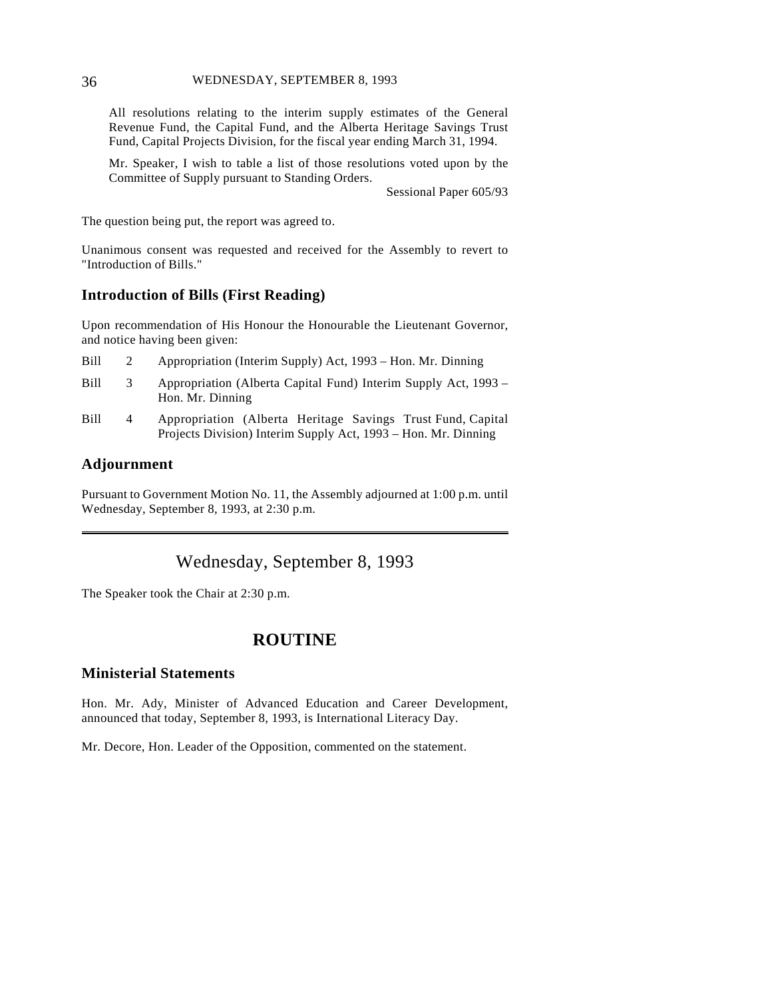#### 36 WEDNESDAY, SEPTEMBER 8, 1993

All resolutions relating to the interim supply estimates of the General Revenue Fund, the Capital Fund, and the Alberta Heritage Savings Trust Fund, Capital Projects Division, for the fiscal year ending March 31, 1994.

Mr. Speaker, I wish to table a list of those resolutions voted upon by the Committee of Supply pursuant to Standing Orders.

Sessional Paper 605/93

The question being put, the report was agreed to.

Unanimous consent was requested and received for the Assembly to revert to "Introduction of Bills."

#### **Introduction of Bills (First Reading)**

Upon recommendation of His Honour the Honourable the Lieutenant Governor, and notice having been given:

| Bill | Appropriation (Interim Supply) Act, 1993 – Hon. Mr. Dinning |  |  |
|------|-------------------------------------------------------------|--|--|
|      |                                                             |  |  |

- Bill 3 Appropriation (Alberta Capital Fund) Interim Supply Act, 1993 Hon. Mr. Dinning
- Bill 4 Appropriation (Alberta Heritage Savings Trust Fund, Capital Projects Division) Interim Supply Act, 1993 – Hon. Mr. Dinning

## **Adjournment**

 $\overline{a}$ 

Pursuant to Government Motion No. 11, the Assembly adjourned at 1:00 p.m. until Wednesday, September 8, 1993, at 2:30 p.m.

# Wednesday, September 8, 1993

The Speaker took the Chair at 2:30 p.m.

# **ROUTINE**

## **Ministerial Statements**

Hon. Mr. Ady, Minister of Advanced Education and Career Development, announced that today, September 8, 1993, is International Literacy Day.

Mr. Decore, Hon. Leader of the Opposition, commented on the statement.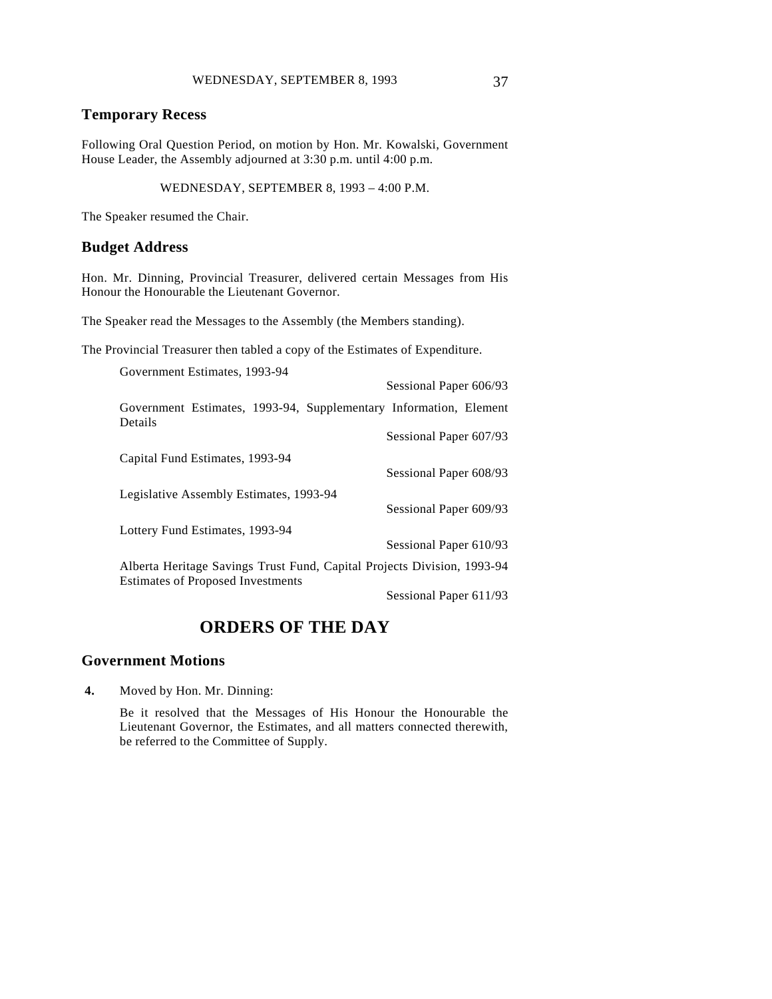## **Temporary Recess**

Following Oral Question Period, on motion by Hon. Mr. Kowalski, Government House Leader, the Assembly adjourned at 3:30 p.m. until 4:00 p.m.

WEDNESDAY, SEPTEMBER 8, 1993 – 4:00 P.M.

The Speaker resumed the Chair.

## **Budget Address**

Hon. Mr. Dinning, Provincial Treasurer, delivered certain Messages from His Honour the Honourable the Lieutenant Governor.

The Speaker read the Messages to the Assembly (the Members standing).

The Provincial Treasurer then tabled a copy of the Estimates of Expenditure.

| Government Estimates, 1993-94                                                                                       |                        |
|---------------------------------------------------------------------------------------------------------------------|------------------------|
|                                                                                                                     | Sessional Paper 606/93 |
| Government Estimates, 1993-94, Supplementary Information, Element<br>Details                                        |                        |
|                                                                                                                     | Sessional Paper 607/93 |
| Capital Fund Estimates, 1993-94                                                                                     |                        |
|                                                                                                                     | Sessional Paper 608/93 |
| Legislative Assembly Estimates, 1993-94                                                                             |                        |
|                                                                                                                     | Sessional Paper 609/93 |
| Lottery Fund Estimates, 1993-94                                                                                     |                        |
|                                                                                                                     | Sessional Paper 610/93 |
| Alberta Heritage Savings Trust Fund, Capital Projects Division, 1993-94<br><b>Estimates of Proposed Investments</b> |                        |

Sessional Paper 611/93

# **ORDERS OF THE DAY**

## **Government Motions**

**4.** Moved by Hon. Mr. Dinning:

Be it resolved that the Messages of His Honour the Honourable the Lieutenant Governor, the Estimates, and all matters connected therewith, be referred to the Committee of Supply.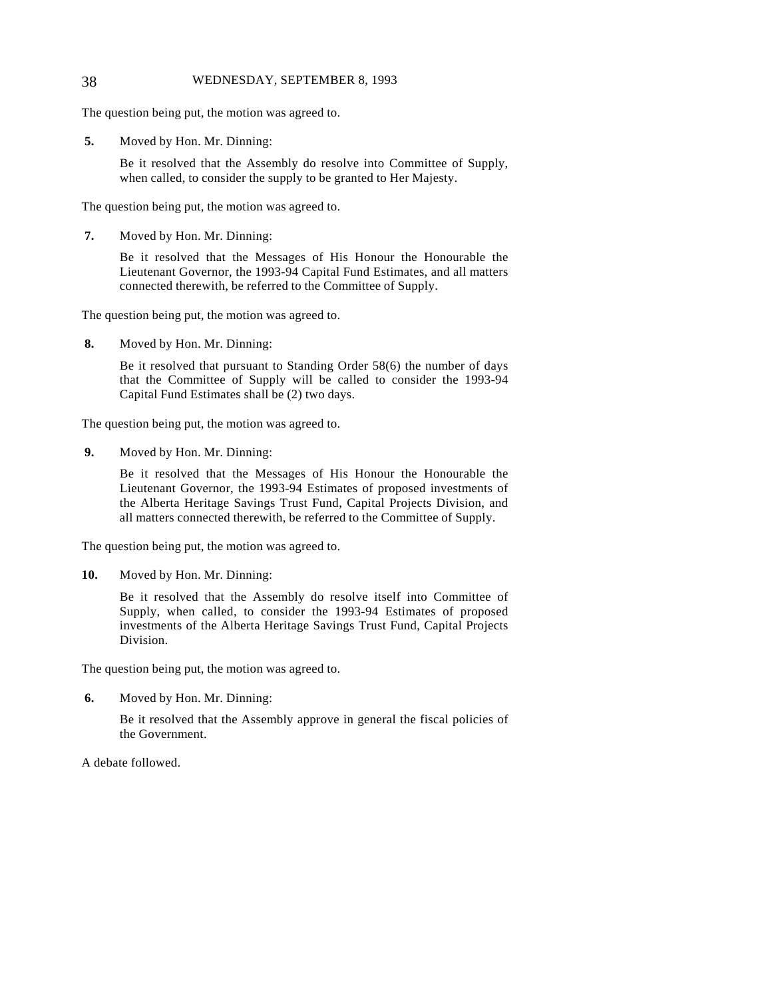#### 38 WEDNESDAY, SEPTEMBER 8, 1993

The question being put, the motion was agreed to.

**5.** Moved by Hon. Mr. Dinning:

Be it resolved that the Assembly do resolve into Committee of Supply, when called, to consider the supply to be granted to Her Majesty.

The question being put, the motion was agreed to.

**7.** Moved by Hon. Mr. Dinning:

Be it resolved that the Messages of His Honour the Honourable the Lieutenant Governor, the 1993-94 Capital Fund Estimates, and all matters connected therewith, be referred to the Committee of Supply.

The question being put, the motion was agreed to.

**8.** Moved by Hon. Mr. Dinning:

Be it resolved that pursuant to Standing Order 58(6) the number of days that the Committee of Supply will be called to consider the 1993-94 Capital Fund Estimates shall be (2) two days.

The question being put, the motion was agreed to.

**9.** Moved by Hon. Mr. Dinning:

Be it resolved that the Messages of His Honour the Honourable the Lieutenant Governor, the 1993-94 Estimates of proposed investments of the Alberta Heritage Savings Trust Fund, Capital Projects Division, and all matters connected therewith, be referred to the Committee of Supply.

The question being put, the motion was agreed to.

**10.** Moved by Hon. Mr. Dinning:

Be it resolved that the Assembly do resolve itself into Committee of Supply, when called, to consider the 1993-94 Estimates of proposed investments of the Alberta Heritage Savings Trust Fund, Capital Projects Division.

The question being put, the motion was agreed to.

**6.** Moved by Hon. Mr. Dinning:

Be it resolved that the Assembly approve in general the fiscal policies of the Government.

A debate followed.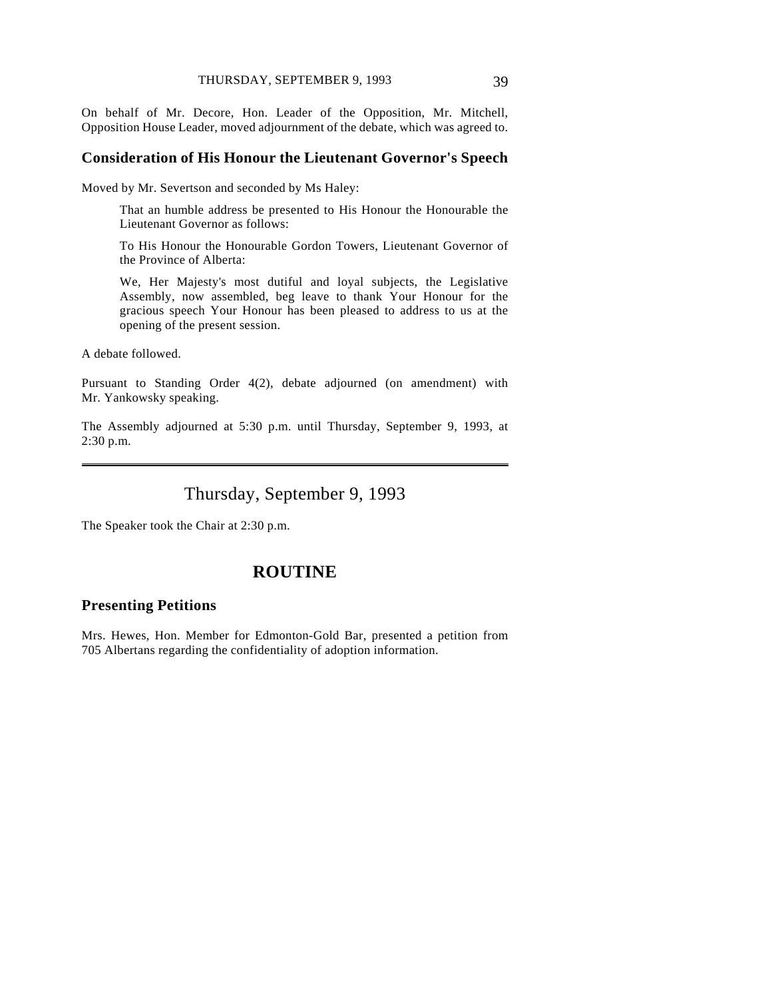On behalf of Mr. Decore, Hon. Leader of the Opposition, Mr. Mitchell, Opposition House Leader, moved adjournment of the debate, which was agreed to.

#### **Consideration of His Honour the Lieutenant Governor's Speech**

Moved by Mr. Severtson and seconded by Ms Haley:

That an humble address be presented to His Honour the Honourable the Lieutenant Governor as follows:

To His Honour the Honourable Gordon Towers, Lieutenant Governor of the Province of Alberta:

We, Her Majesty's most dutiful and loyal subjects, the Legislative Assembly, now assembled, beg leave to thank Your Honour for the gracious speech Your Honour has been pleased to address to us at the opening of the present session.

A debate followed.

 $\overline{a}$ 

Pursuant to Standing Order 4(2), debate adjourned (on amendment) with Mr. Yankowsky speaking.

The Assembly adjourned at 5:30 p.m. until Thursday, September 9, 1993, at 2:30 p.m.

# Thursday, September 9, 1993

The Speaker took the Chair at 2:30 p.m.

## **ROUTINE**

#### **Presenting Petitions**

Mrs. Hewes, Hon. Member for Edmonton-Gold Bar, presented a petition from 705 Albertans regarding the confidentiality of adoption information.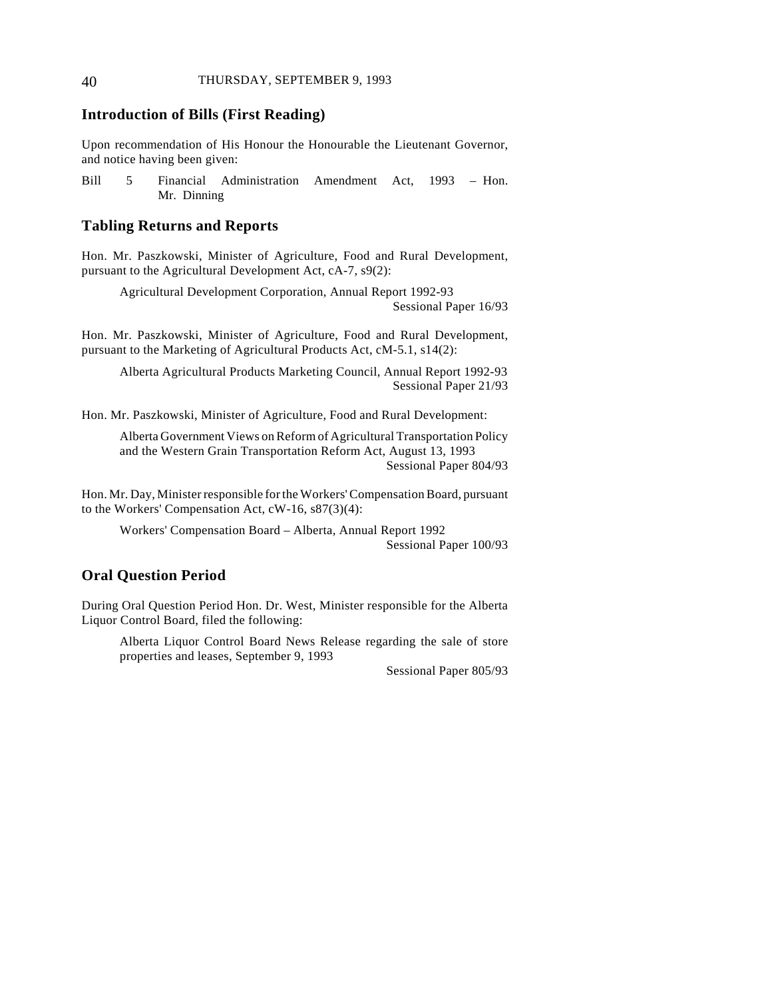## **Introduction of Bills (First Reading)**

Upon recommendation of His Honour the Honourable the Lieutenant Governor, and notice having been given:

Bill 5 Financial Administration Amendment Act, 1993 – Hon. Mr. Dinning

#### **Tabling Returns and Reports**

Hon. Mr. Paszkowski, Minister of Agriculture, Food and Rural Development, pursuant to the Agricultural Development Act, cA-7, s9(2):

Agricultural Development Corporation, Annual Report 1992-93 Sessional Paper 16/93

Hon. Mr. Paszkowski, Minister of Agriculture, Food and Rural Development, pursuant to the Marketing of Agricultural Products Act, cM-5.1, s14(2):

Alberta Agricultural Products Marketing Council, Annual Report 1992-93 Sessional Paper 21/93

Hon. Mr. Paszkowski, Minister of Agriculture, Food and Rural Development:

Alberta Government Views on Reform of Agricultural Transportation Policy and the Western Grain Transportation Reform Act, August 13, 1993 Sessional Paper 804/93

Hon. Mr. Day, Minister responsible for the Workers' Compensation Board, pursuant to the Workers' Compensation Act, cW-16, s87(3)(4):

Workers' Compensation Board – Alberta, Annual Report 1992 Sessional Paper 100/93

## **Oral Question Period**

During Oral Question Period Hon. Dr. West, Minister responsible for the Alberta Liquor Control Board, filed the following:

Alberta Liquor Control Board News Release regarding the sale of store properties and leases, September 9, 1993

Sessional Paper 805/93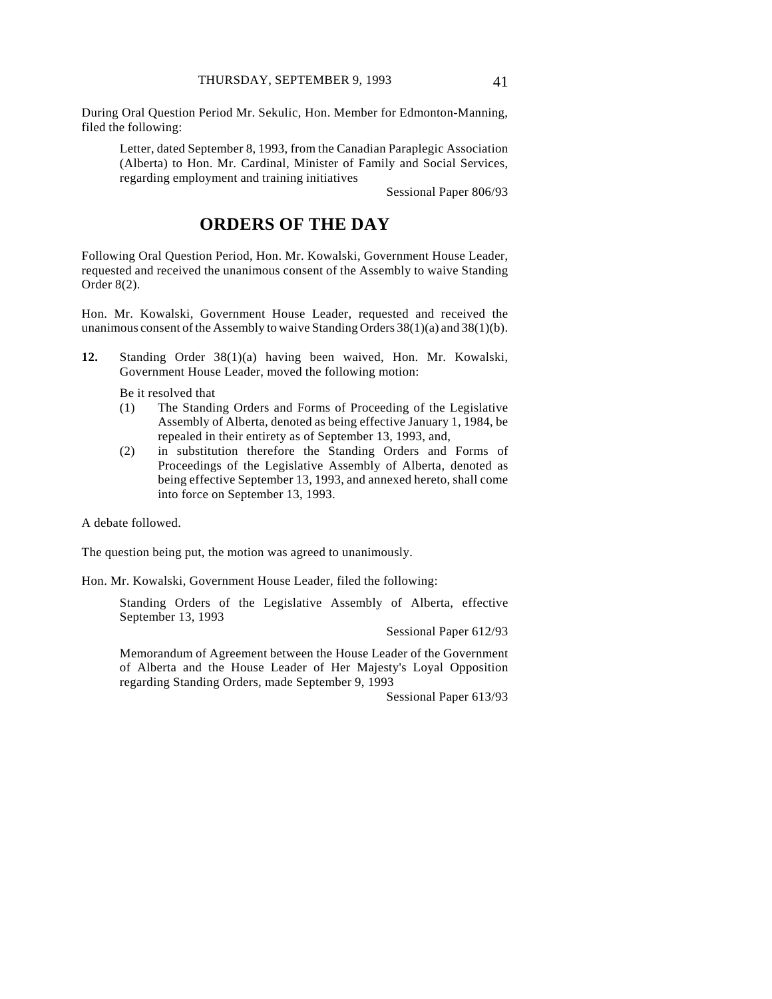During Oral Question Period Mr. Sekulic, Hon. Member for Edmonton-Manning, filed the following:

Letter, dated September 8, 1993, from the Canadian Paraplegic Association (Alberta) to Hon. Mr. Cardinal, Minister of Family and Social Services, regarding employment and training initiatives

Sessional Paper 806/93

# **ORDERS OF THE DAY**

Following Oral Question Period, Hon. Mr. Kowalski, Government House Leader, requested and received the unanimous consent of the Assembly to waive Standing Order 8(2).

Hon. Mr. Kowalski, Government House Leader, requested and received the unanimous consent of the Assembly to waive Standing Orders  $38(1)(a)$  and  $38(1)(b)$ .

**12.** Standing Order 38(1)(a) having been waived, Hon. Mr. Kowalski, Government House Leader, moved the following motion:

Be it resolved that

- (1) The Standing Orders and Forms of Proceeding of the Legislative Assembly of Alberta, denoted as being effective January 1, 1984, be repealed in their entirety as of September 13, 1993, and,
- (2) in substitution therefore the Standing Orders and Forms of Proceedings of the Legislative Assembly of Alberta, denoted as being effective September 13, 1993, and annexed hereto, shall come into force on September 13, 1993.

A debate followed.

The question being put, the motion was agreed to unanimously.

Hon. Mr. Kowalski, Government House Leader, filed the following:

Standing Orders of the Legislative Assembly of Alberta, effective September 13, 1993

Sessional Paper 612/93

Memorandum of Agreement between the House Leader of the Government of Alberta and the House Leader of Her Majesty's Loyal Opposition regarding Standing Orders, made September 9, 1993

Sessional Paper 613/93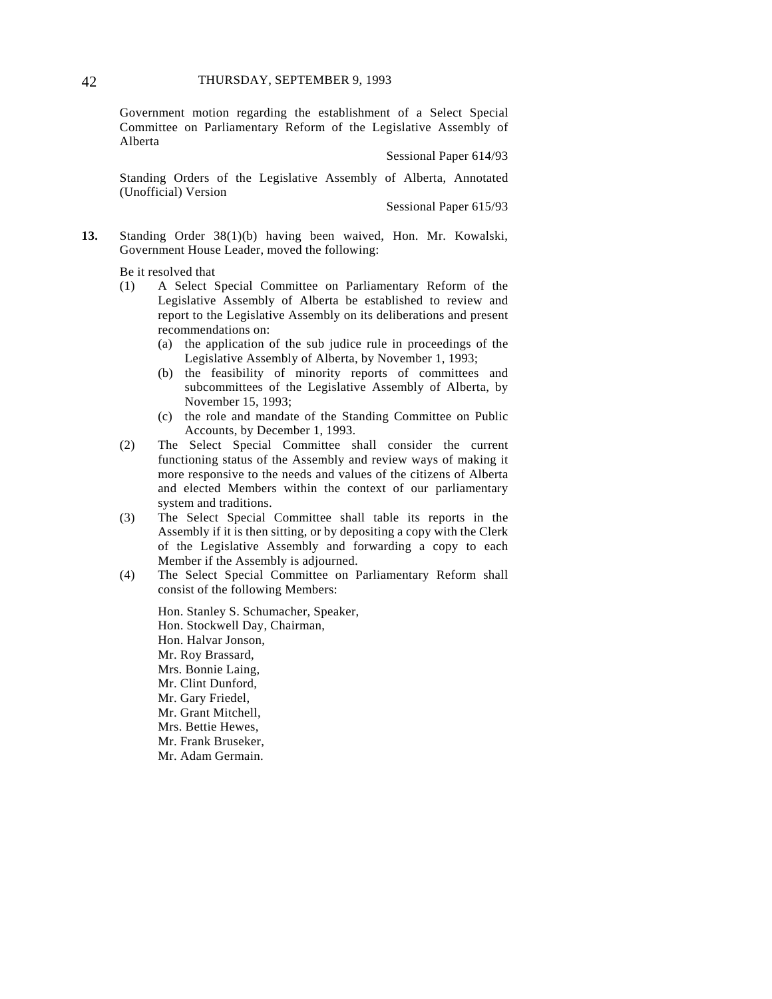Government motion regarding the establishment of a Select Special Committee on Parliamentary Reform of the Legislative Assembly of Alberta

Sessional Paper 614/93

Standing Orders of the Legislative Assembly of Alberta, Annotated (Unofficial) Version

Sessional Paper 615/93

**13.** Standing Order 38(1)(b) having been waived, Hon. Mr. Kowalski, Government House Leader, moved the following:

Be it resolved that

- (1) A Select Special Committee on Parliamentary Reform of the Legislative Assembly of Alberta be established to review and report to the Legislative Assembly on its deliberations and present recommendations on:
	- (a) the application of the sub judice rule in proceedings of the Legislative Assembly of Alberta, by November 1, 1993;
	- (b) the feasibility of minority reports of committees and subcommittees of the Legislative Assembly of Alberta, by November 15, 1993;
	- (c) the role and mandate of the Standing Committee on Public Accounts, by December 1, 1993.
- (2) The Select Special Committee shall consider the current functioning status of the Assembly and review ways of making it more responsive to the needs and values of the citizens of Alberta and elected Members within the context of our parliamentary system and traditions.
- (3) The Select Special Committee shall table its reports in the Assembly if it is then sitting, or by depositing a copy with the Clerk of the Legislative Assembly and forwarding a copy to each Member if the Assembly is adjourned.
- (4) The Select Special Committee on Parliamentary Reform shall consist of the following Members:

Hon. Stanley S. Schumacher, Speaker, Hon. Stockwell Day, Chairman, Hon. Halvar Jonson, Mr. Roy Brassard, Mrs. Bonnie Laing, Mr. Clint Dunford, Mr. Gary Friedel, Mr. Grant Mitchell, Mrs. Bettie Hewes, Mr. Frank Bruseker, Mr. Adam Germain.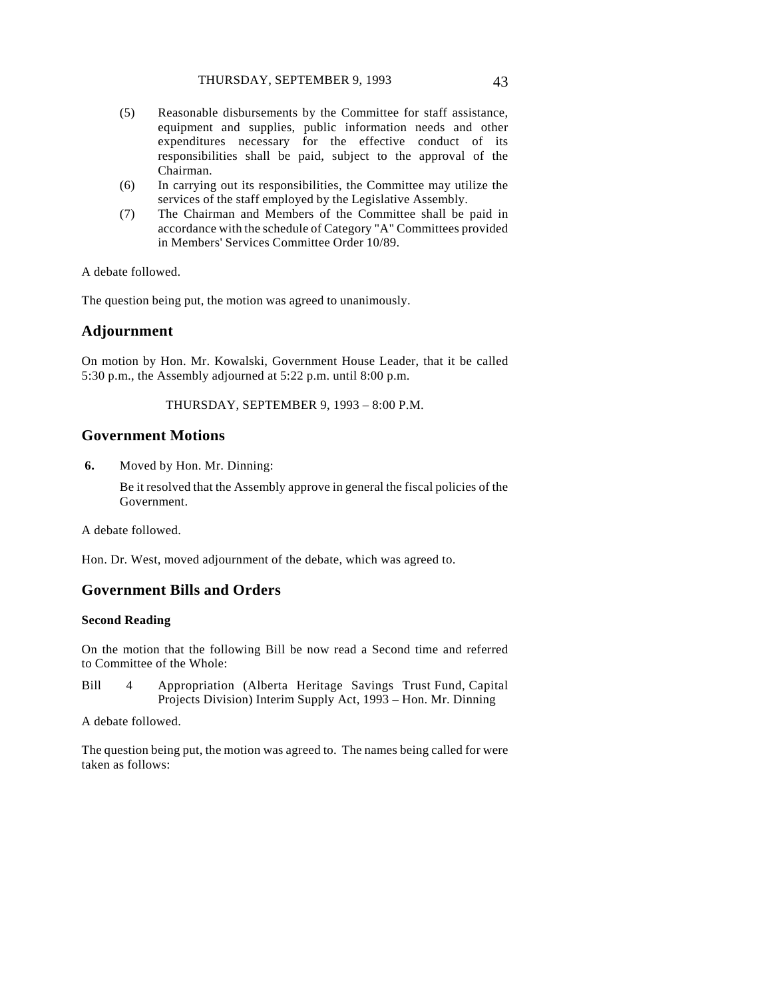- (5) Reasonable disbursements by the Committee for staff assistance, equipment and supplies, public information needs and other expenditures necessary for the effective conduct of its responsibilities shall be paid, subject to the approval of the Chairman.
- (6) In carrying out its responsibilities, the Committee may utilize the services of the staff employed by the Legislative Assembly.
- (7) The Chairman and Members of the Committee shall be paid in accordance with the schedule of Category "A" Committees provided in Members' Services Committee Order 10/89.

A debate followed.

The question being put, the motion was agreed to unanimously.

### **Adjournment**

On motion by Hon. Mr. Kowalski, Government House Leader, that it be called 5:30 p.m., the Assembly adjourned at 5:22 p.m. until 8:00 p.m.

THURSDAY, SEPTEMBER 9, 1993 – 8:00 P.M.

### **Government Motions**

**6.** Moved by Hon. Mr. Dinning:

Be it resolved that the Assembly approve in general the fiscal policies of the Government.

A debate followed.

Hon. Dr. West, moved adjournment of the debate, which was agreed to.

#### **Government Bills and Orders**

#### **Second Reading**

On the motion that the following Bill be now read a Second time and referred to Committee of the Whole:

Bill 4 Appropriation (Alberta Heritage Savings Trust Fund, Capital Projects Division) Interim Supply Act, 1993 – Hon. Mr. Dinning

A debate followed.

The question being put, the motion was agreed to. The names being called for were taken as follows: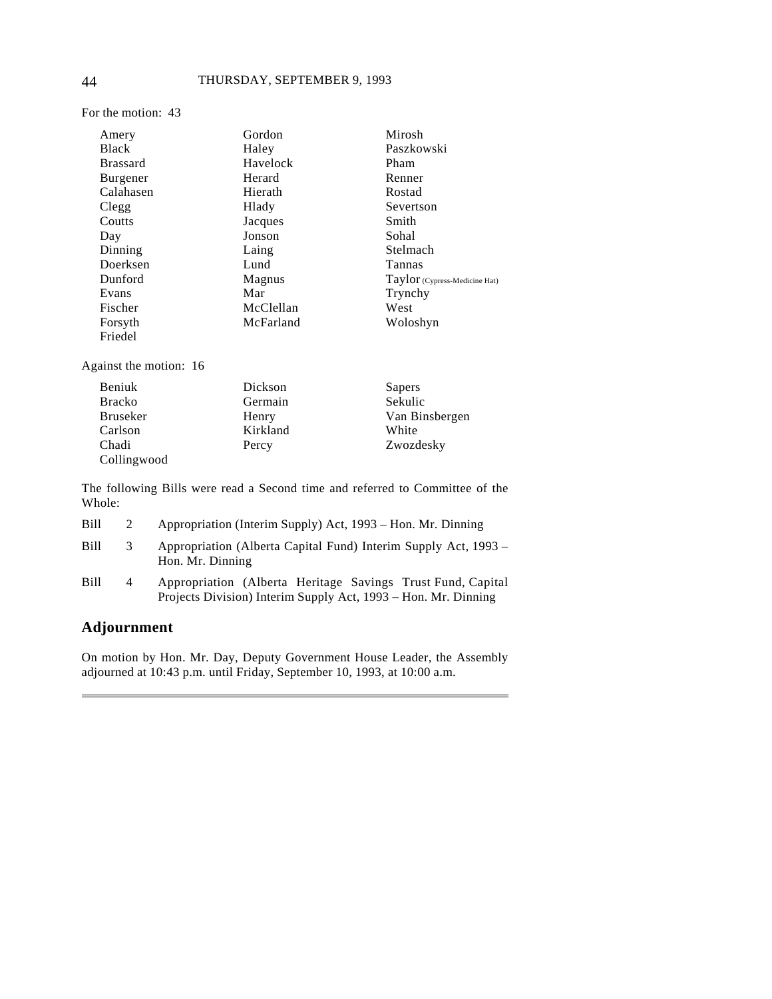For the motion: 43

| Amery           | Gordon    | Mirosh                        |
|-----------------|-----------|-------------------------------|
| <b>Black</b>    | Haley     | Paszkowski                    |
| <b>Brassard</b> | Havelock  | Pham                          |
| <b>Burgener</b> | Herard    | Renner                        |
| Calahasen       | Hierath   | Rostad                        |
| Clegg           | Hlady     | Severtson                     |
| Coutts          | Jacques   | Smith                         |
| Day             | Jonson    | Sohal                         |
| Dinning         | Laing     | Stelmach                      |
| Doerksen        | Lund      | Tannas                        |
| Dunford         | Magnus    | Taylor (Cypress-Medicine Hat) |
| Evans           | Mar       | Trynchy                       |
| Fischer         | McClellan | West                          |
| Forsyth         | McFarland | Woloshyn                      |
| Friedel         |           |                               |

Against the motion: 16

| Beniuk          | Dickson  | Sapers         |
|-----------------|----------|----------------|
| <b>Bracko</b>   | Germain  | Sekulic        |
| <b>Bruseker</b> | Henry    | Van Binsbergen |
| Carlson         | Kirkland | White          |
| Chadi           | Percy    | Zwozdesky      |
| Collingwood     |          |                |

The following Bills were read a Second time and referred to Committee of the Whole:

| Bill |   | Appropriation (Interim Supply) Act, 1993 – Hon. Mr. Dinning                                                                   |
|------|---|-------------------------------------------------------------------------------------------------------------------------------|
| Bill | 3 | Appropriation (Alberta Capital Fund) Interim Supply Act, 1993 –<br>Hon. Mr. Dinning                                           |
| Bill | 4 | Appropriation (Alberta Heritage Savings Trust Fund, Capital<br>Projects Division) Interim Supply Act, 1993 – Hon. Mr. Dinning |

# **Adjournment**

 $\overline{a}$ 

On motion by Hon. Mr. Day, Deputy Government House Leader, the Assembly adjourned at 10:43 p.m. until Friday, September 10, 1993, at 10:00 a.m.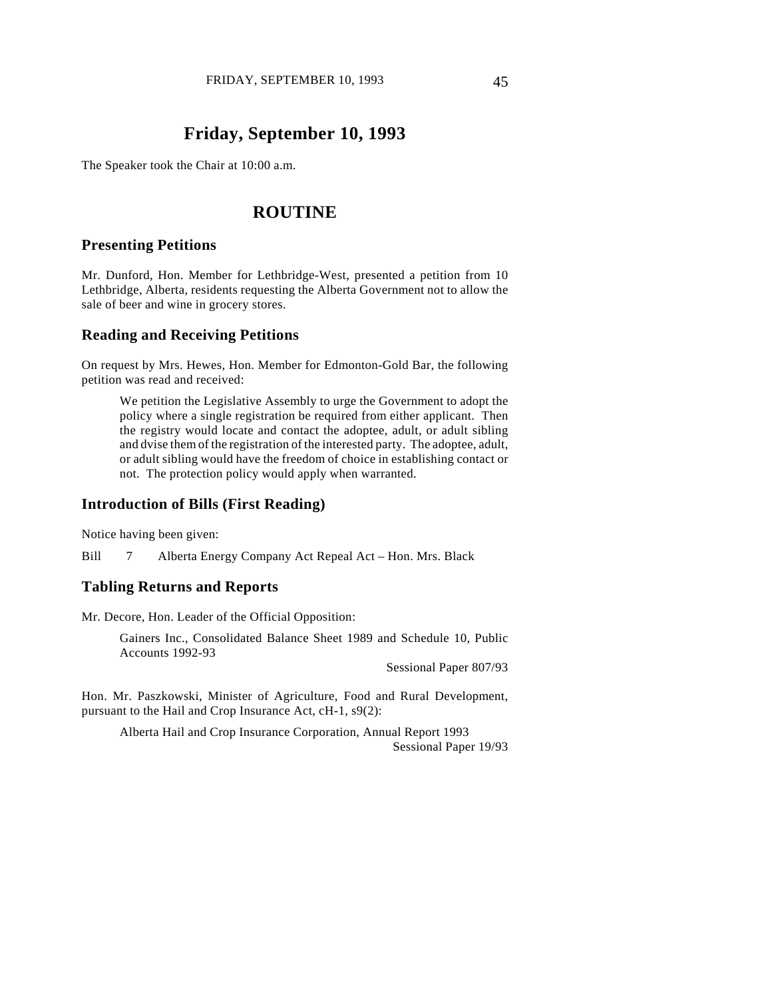# **Friday, September 10, 1993**

The Speaker took the Chair at 10:00 a.m.

## **ROUTINE**

## **Presenting Petitions**

Mr. Dunford, Hon. Member for Lethbridge-West, presented a petition from 10 Lethbridge, Alberta, residents requesting the Alberta Government not to allow the sale of beer and wine in grocery stores.

#### **Reading and Receiving Petitions**

On request by Mrs. Hewes, Hon. Member for Edmonton-Gold Bar, the following petition was read and received:

We petition the Legislative Assembly to urge the Government to adopt the policy where a single registration be required from either applicant. Then the registry would locate and contact the adoptee, adult, or adult sibling and dvise them of the registration of the interested party. The adoptee, adult, or adult sibling would have the freedom of choice in establishing contact or not. The protection policy would apply when warranted.

### **Introduction of Bills (First Reading)**

Notice having been given:

Bill 7 Alberta Energy Company Act Repeal Act – Hon. Mrs. Black

### **Tabling Returns and Reports**

Mr. Decore, Hon. Leader of the Official Opposition:

Gainers Inc., Consolidated Balance Sheet 1989 and Schedule 10, Public Accounts 1992-93

Sessional Paper 807/93

Hon. Mr. Paszkowski, Minister of Agriculture, Food and Rural Development, pursuant to the Hail and Crop Insurance Act, cH-1, s9(2):

Alberta Hail and Crop Insurance Corporation, Annual Report 1993 Sessional Paper 19/93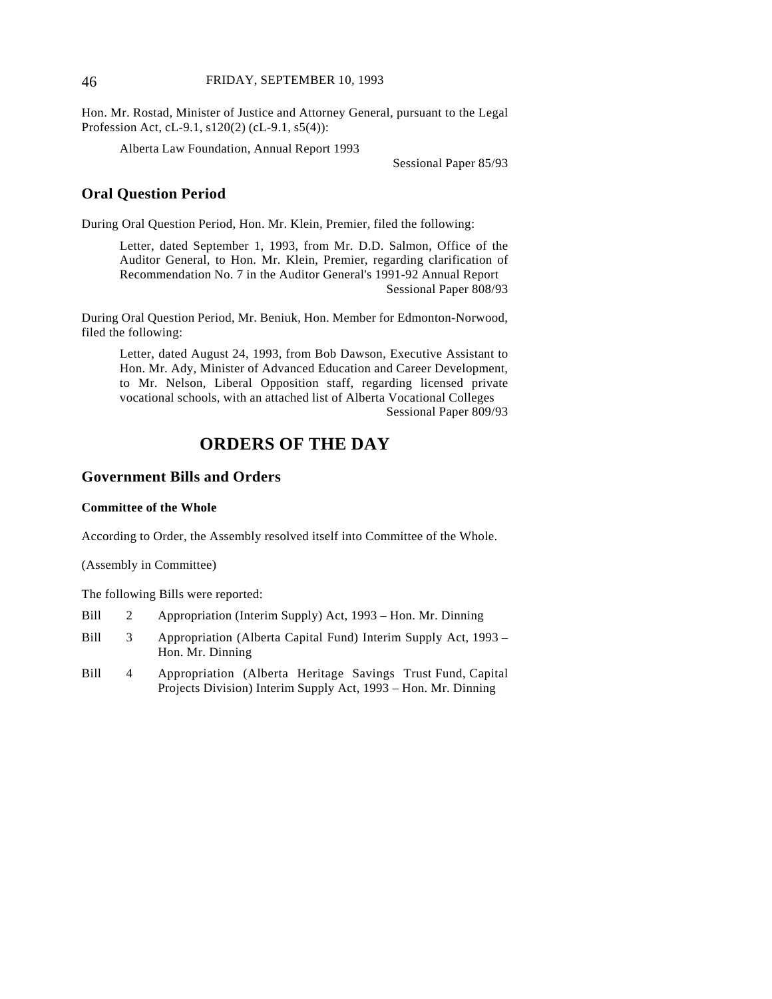#### 46 FRIDAY, SEPTEMBER 10, 1993

Hon. Mr. Rostad, Minister of Justice and Attorney General, pursuant to the Legal Profession Act, cL-9.1, s120(2) (cL-9.1, s5(4)):

Alberta Law Foundation, Annual Report 1993

Sessional Paper 85/93

## **Oral Question Period**

During Oral Question Period, Hon. Mr. Klein, Premier, filed the following:

Letter, dated September 1, 1993, from Mr. D.D. Salmon, Office of the Auditor General, to Hon. Mr. Klein, Premier, regarding clarification of Recommendation No. 7 in the Auditor General's 1991-92 Annual Report Sessional Paper 808/93

During Oral Question Period, Mr. Beniuk, Hon. Member for Edmonton-Norwood, filed the following:

Letter, dated August 24, 1993, from Bob Dawson, Executive Assistant to Hon. Mr. Ady, Minister of Advanced Education and Career Development, to Mr. Nelson, Liberal Opposition staff, regarding licensed private vocational schools, with an attached list of Alberta Vocational Colleges Sessional Paper 809/93

# **ORDERS OF THE DAY**

## **Government Bills and Orders**

#### **Committee of the Whole**

According to Order, the Assembly resolved itself into Committee of the Whole.

(Assembly in Committee)

The following Bills were reported:

| Bill |   | Appropriation (Interim Supply) Act, 1993 – Hon. Mr. Dinning                         |
|------|---|-------------------------------------------------------------------------------------|
| Bill | 3 | Appropriation (Alberta Capital Fund) Interim Supply Act, 1993 –<br>Hon. Mr. Dinning |
| Bill | 4 | Appropriation (Alberta Heritage Savings Trust Fund, Capital                         |

Projects Division) Interim Supply Act, 1993 – Hon. Mr. Dinning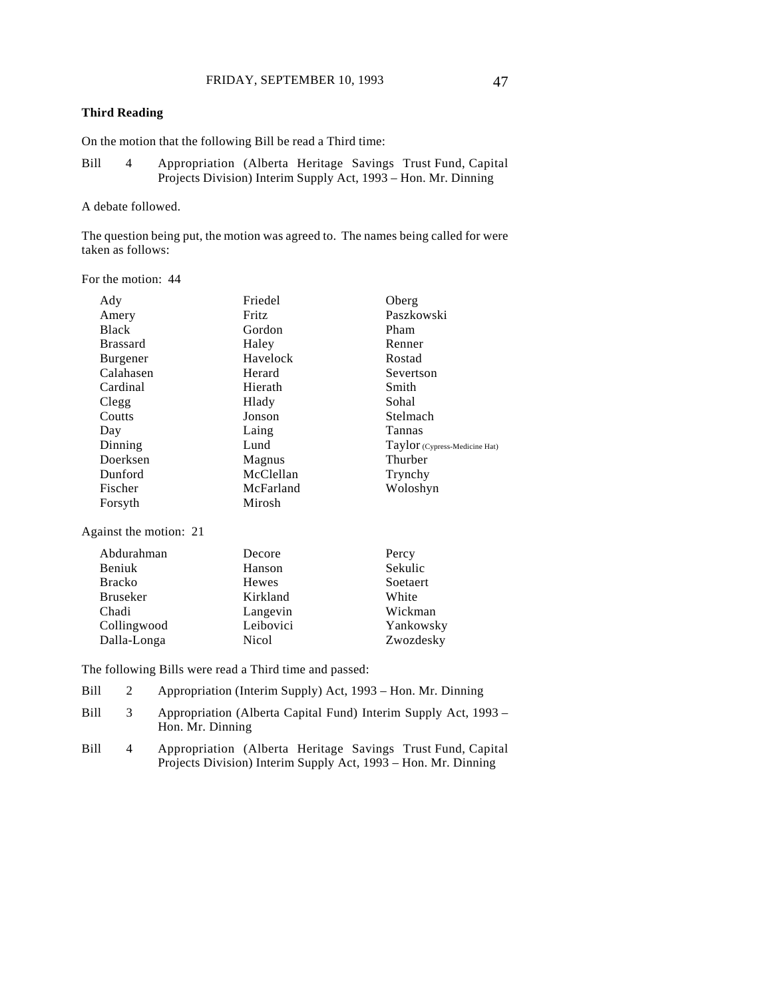### **Third Reading**

On the motion that the following Bill be read a Third time:

Bill 4 Appropriation (Alberta Heritage Savings Trust Fund, Capital Projects Division) Interim Supply Act, 1993 – Hon. Mr. Dinning

#### A debate followed.

The question being put, the motion was agreed to. The names being called for were taken as follows:

For the motion: 44

| Ady             | Friedel   | Oberg                         |
|-----------------|-----------|-------------------------------|
| Amery           | Fritz     | Paszkowski                    |
| <b>Black</b>    | Gordon    | Pham                          |
| <b>Brassard</b> | Haley     | Renner                        |
| <b>Burgener</b> | Havelock  | Rostad                        |
| Calahasen       | Herard    | Severtson                     |
| Cardinal        | Hierath   | Smith                         |
| Clegg           | Hlady     | Sohal                         |
| Coutts          | Jonson    | Stelmach                      |
| Day             | Laing     | Tannas                        |
| Dinning         | Lund      | Taylor (Cypress-Medicine Hat) |
| Doerksen        | Magnus    | Thurber                       |
| Dunford         | McClellan | Trynchy                       |
| Fischer         | McFarland | Woloshyn                      |
| Forsyth         | Mirosh    |                               |

Against the motion: 21

| Abdurahman      | Decore    | Percy     |
|-----------------|-----------|-----------|
| Beniuk          | Hanson    | Sekulic   |
| <b>Bracko</b>   | Hewes     | Soetaert  |
| <b>Bruseker</b> | Kirkland  | White     |
| Chadi           | Langevin  | Wickman   |
| Collingwood     | Leibovici | Yankowsky |
| Dalla-Longa     | Nicol     | Zwozdesky |

The following Bills were read a Third time and passed:

- Bill 2 Appropriation (Interim Supply) Act, 1993 Hon. Mr. Dinning
- Bill 3 Appropriation (Alberta Capital Fund) Interim Supply Act, 1993 Hon. Mr. Dinning
- Bill 4 Appropriation (Alberta Heritage Savings Trust Fund, Capital Projects Division) Interim Supply Act, 1993 – Hon. Mr. Dinning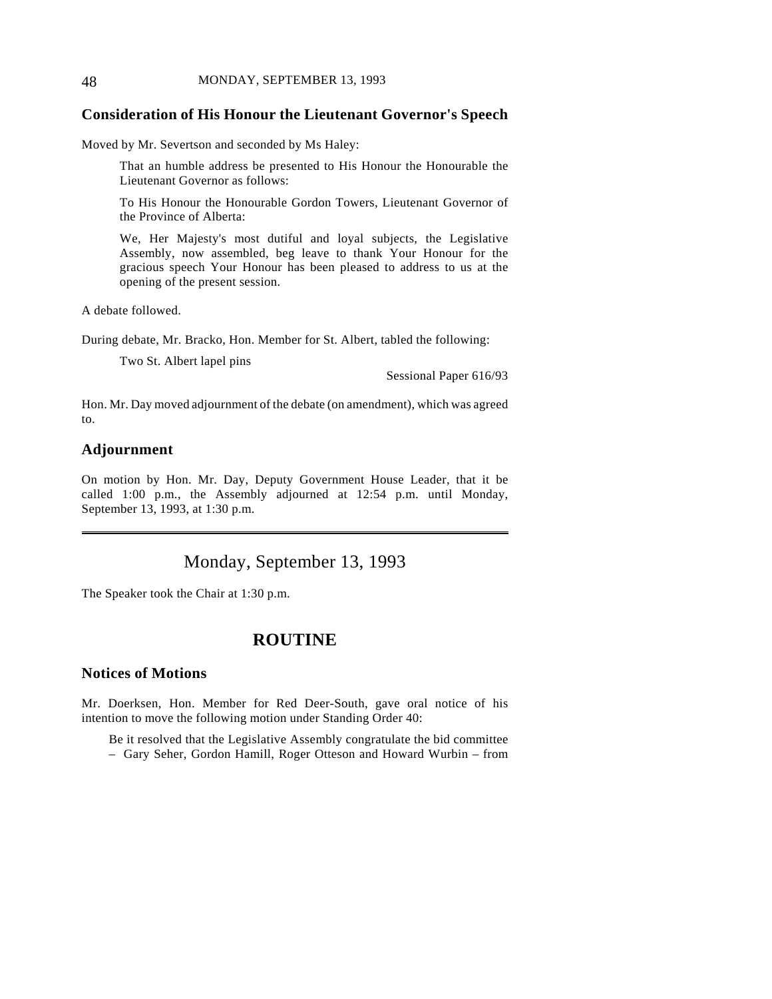#### 48 MONDAY, SEPTEMBER 13, 1993

## **Consideration of His Honour the Lieutenant Governor's Speech**

Moved by Mr. Severtson and seconded by Ms Haley:

That an humble address be presented to His Honour the Honourable the Lieutenant Governor as follows:

To His Honour the Honourable Gordon Towers, Lieutenant Governor of the Province of Alberta:

We, Her Majesty's most dutiful and loyal subjects, the Legislative Assembly, now assembled, beg leave to thank Your Honour for the gracious speech Your Honour has been pleased to address to us at the opening of the present session.

A debate followed.

During debate, Mr. Bracko, Hon. Member for St. Albert, tabled the following:

Two St. Albert lapel pins

Sessional Paper 616/93

Hon. Mr. Day moved adjournment of the debate (on amendment), which was agreed to.

## **Adjournment**

 $\overline{a}$ 

On motion by Hon. Mr. Day, Deputy Government House Leader, that it be called 1:00 p.m., the Assembly adjourned at 12:54 p.m. until Monday, September 13, 1993, at 1:30 p.m.

# Monday, September 13, 1993

The Speaker took the Chair at 1:30 p.m.

# **ROUTINE**

## **Notices of Motions**

Mr. Doerksen, Hon. Member for Red Deer-South, gave oral notice of his intention to move the following motion under Standing Order 40:

Be it resolved that the Legislative Assembly congratulate the bid committee

– Gary Seher, Gordon Hamill, Roger Otteson and Howard Wurbin – from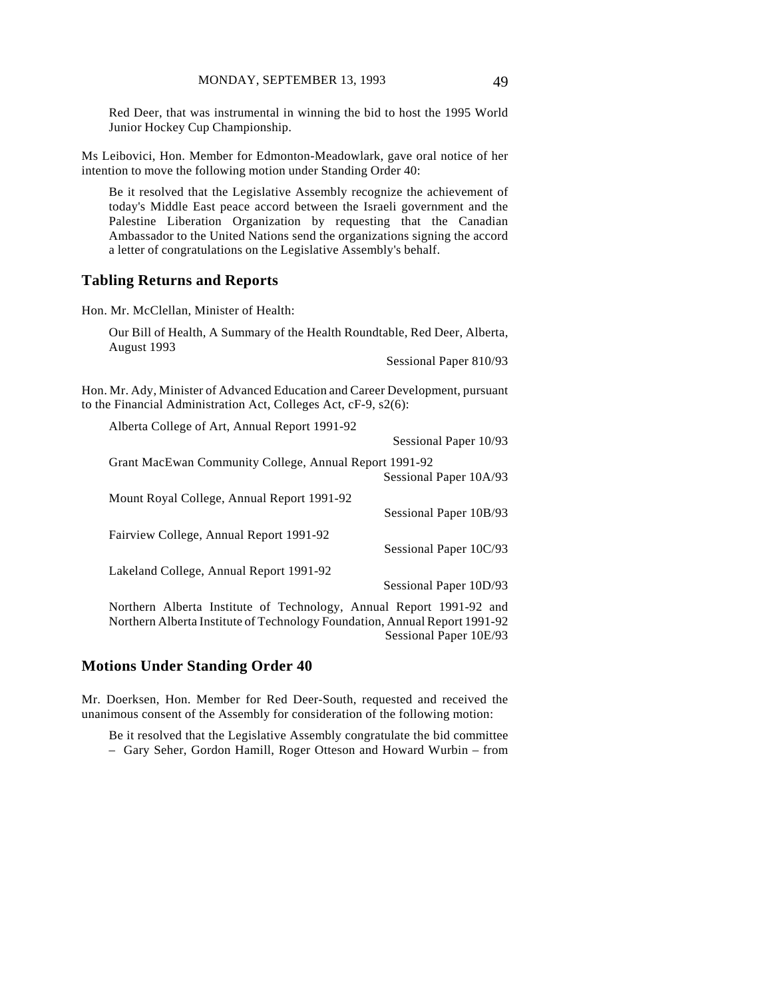Red Deer, that was instrumental in winning the bid to host the 1995 World Junior Hockey Cup Championship.

Ms Leibovici, Hon. Member for Edmonton-Meadowlark, gave oral notice of her intention to move the following motion under Standing Order 40:

Be it resolved that the Legislative Assembly recognize the achievement of today's Middle East peace accord between the Israeli government and the Palestine Liberation Organization by requesting that the Canadian Ambassador to the United Nations send the organizations signing the accord a letter of congratulations on the Legislative Assembly's behalf.

#### **Tabling Returns and Reports**

Hon. Mr. McClellan, Minister of Health:

Our Bill of Health, A Summary of the Health Roundtable, Red Deer, Alberta, August 1993

Sessional Paper 810/93

Hon. Mr. Ady, Minister of Advanced Education and Career Development, pursuant to the Financial Administration Act, Colleges Act, cF-9, s2(6):

| Alberta College of Art, Annual Report 1991-92                                                                                                                                                                                                                                                                       |                        |
|---------------------------------------------------------------------------------------------------------------------------------------------------------------------------------------------------------------------------------------------------------------------------------------------------------------------|------------------------|
|                                                                                                                                                                                                                                                                                                                     | Sessional Paper 10/93  |
| Grant MacEwan Community College, Annual Report 1991-92                                                                                                                                                                                                                                                              |                        |
|                                                                                                                                                                                                                                                                                                                     | Sessional Paper 10A/93 |
| Mount Royal College, Annual Report 1991-92                                                                                                                                                                                                                                                                          |                        |
|                                                                                                                                                                                                                                                                                                                     | Sessional Paper 10B/93 |
| Fairview College, Annual Report 1991-92                                                                                                                                                                                                                                                                             |                        |
|                                                                                                                                                                                                                                                                                                                     | Sessional Paper 10C/93 |
| Lakeland College, Annual Report 1991-92                                                                                                                                                                                                                                                                             |                        |
|                                                                                                                                                                                                                                                                                                                     | Sessional Paper 10D/93 |
| <b>M</b> and $\mathbf{A}$ <b>H</b> and $\mathbf{L}$ and $\mathbf{L}$ and $\mathbf{C}$ <b>T</b> and $\mathbf{L}$ and $\mathbf{L}$ and $\mathbf{L}$ <b>M</b> and $\mathbf{L}$ <b>M</b> and $\mathbf{L}$ and $\mathbf{L}$ and $\mathbf{L}$ and $\mathbf{L}$ and $\mathbf{L}$ and $\mathbf{L}$ and $\mathbf{L}$ and $\$ |                        |

Northern Alberta Institute of Technology, Annual Report 1991-92 and Northern Alberta Institute of Technology Foundation, Annual Report 1991-92 Sessional Paper 10E/93

## **Motions Under Standing Order 40**

Mr. Doerksen, Hon. Member for Red Deer-South, requested and received the unanimous consent of the Assembly for consideration of the following motion:

Be it resolved that the Legislative Assembly congratulate the bid committee – Gary Seher, Gordon Hamill, Roger Otteson and Howard Wurbin – from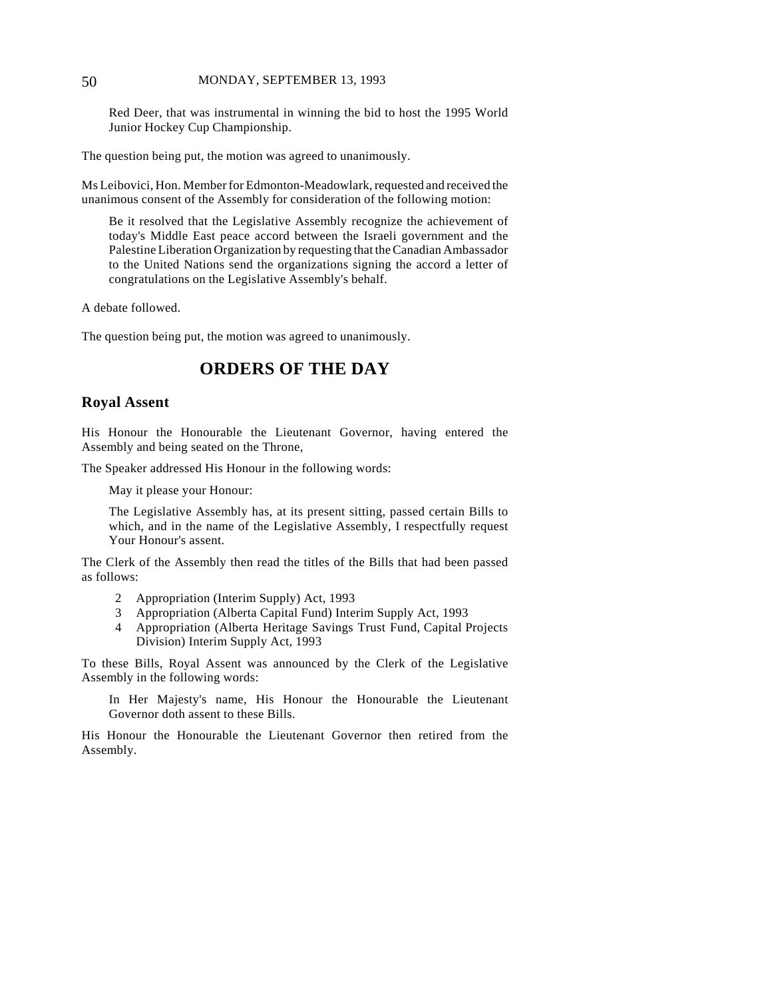#### 50 MONDAY, SEPTEMBER 13, 1993

Red Deer, that was instrumental in winning the bid to host the 1995 World Junior Hockey Cup Championship.

The question being put, the motion was agreed to unanimously.

Ms Leibovici, Hon. Member for Edmonton-Meadowlark, requested and received the unanimous consent of the Assembly for consideration of the following motion:

Be it resolved that the Legislative Assembly recognize the achievement of today's Middle East peace accord between the Israeli government and the Palestine Liberation Organization by requesting that the Canadian Ambassador to the United Nations send the organizations signing the accord a letter of congratulations on the Legislative Assembly's behalf.

A debate followed.

The question being put, the motion was agreed to unanimously.

## **ORDERS OF THE DAY**

### **Royal Assent**

His Honour the Honourable the Lieutenant Governor, having entered the Assembly and being seated on the Throne,

The Speaker addressed His Honour in the following words:

May it please your Honour:

The Legislative Assembly has, at its present sitting, passed certain Bills to which, and in the name of the Legislative Assembly, I respectfully request Your Honour's assent.

The Clerk of the Assembly then read the titles of the Bills that had been passed as follows:

- 2 Appropriation (Interim Supply) Act, 1993
- 3 Appropriation (Alberta Capital Fund) Interim Supply Act, 1993
- 4 Appropriation (Alberta Heritage Savings Trust Fund, Capital Projects Division) Interim Supply Act, 1993

To these Bills, Royal Assent was announced by the Clerk of the Legislative Assembly in the following words:

In Her Majesty's name, His Honour the Honourable the Lieutenant Governor doth assent to these Bills.

His Honour the Honourable the Lieutenant Governor then retired from the Assembly.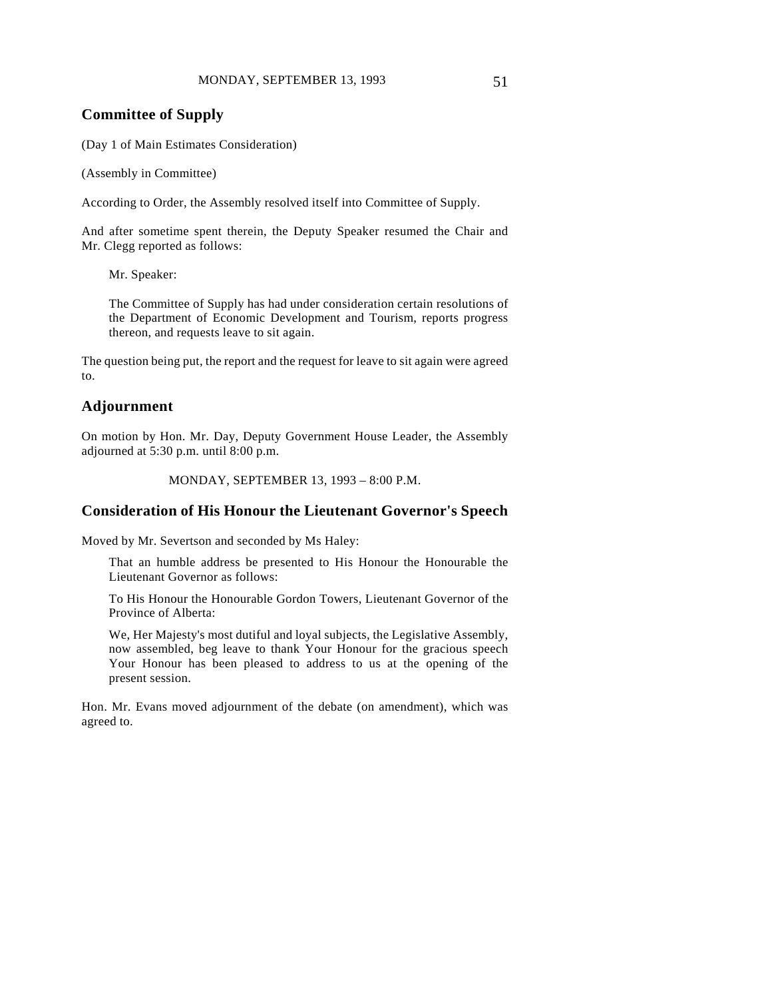## **Committee of Supply**

(Day 1 of Main Estimates Consideration)

(Assembly in Committee)

According to Order, the Assembly resolved itself into Committee of Supply.

And after sometime spent therein, the Deputy Speaker resumed the Chair and Mr. Clegg reported as follows:

Mr. Speaker:

The Committee of Supply has had under consideration certain resolutions of the Department of Economic Development and Tourism, reports progress thereon, and requests leave to sit again.

The question being put, the report and the request for leave to sit again were agreed to.

## **Adjournment**

On motion by Hon. Mr. Day, Deputy Government House Leader, the Assembly adjourned at 5:30 p.m. until 8:00 p.m.

```
MONDAY, SEPTEMBER 13, 1993 – 8:00 P.M.
```
## **Consideration of His Honour the Lieutenant Governor's Speech**

Moved by Mr. Severtson and seconded by Ms Haley:

That an humble address be presented to His Honour the Honourable the Lieutenant Governor as follows:

To His Honour the Honourable Gordon Towers, Lieutenant Governor of the Province of Alberta:

We, Her Majesty's most dutiful and loyal subjects, the Legislative Assembly, now assembled, beg leave to thank Your Honour for the gracious speech Your Honour has been pleased to address to us at the opening of the present session.

Hon. Mr. Evans moved adjournment of the debate (on amendment), which was agreed to.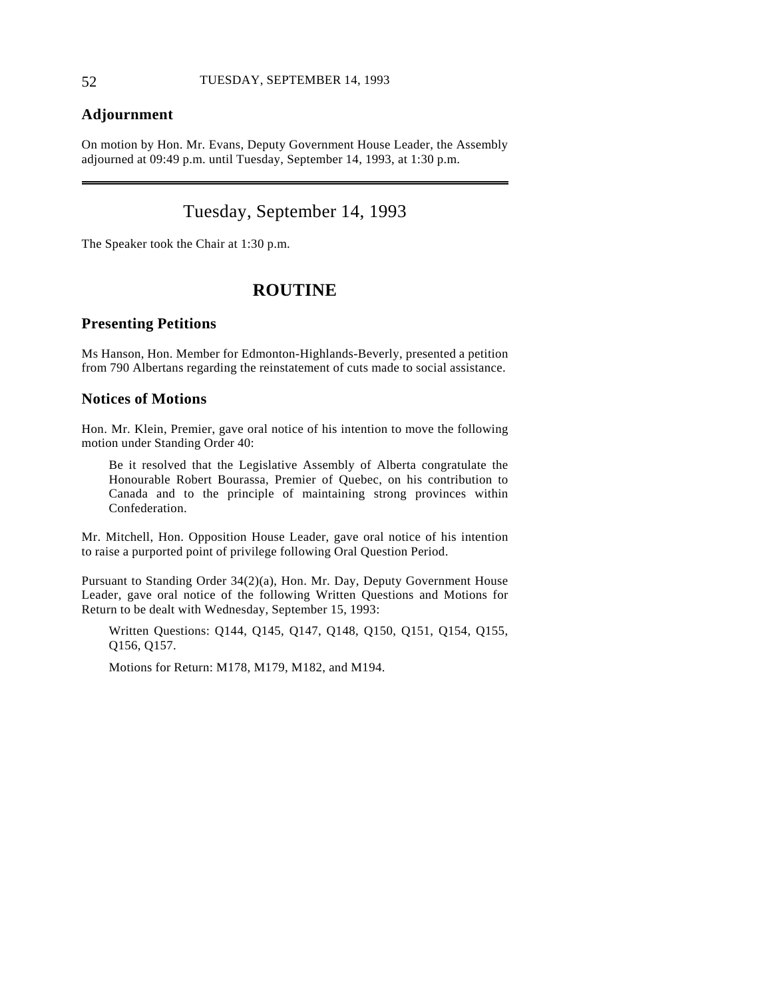## **Adjournment**

On motion by Hon. Mr. Evans, Deputy Government House Leader, the Assembly adjourned at 09:49 p.m. until Tuesday, September 14, 1993, at 1:30 p.m.

# Tuesday, September 14, 1993

The Speaker took the Chair at 1:30 p.m.

## **ROUTINE**

## **Presenting Petitions**

Ms Hanson, Hon. Member for Edmonton-Highlands-Beverly, presented a petition from 790 Albertans regarding the reinstatement of cuts made to social assistance.

## **Notices of Motions**

Hon. Mr. Klein, Premier, gave oral notice of his intention to move the following motion under Standing Order 40:

Be it resolved that the Legislative Assembly of Alberta congratulate the Honourable Robert Bourassa, Premier of Quebec, on his contribution to Canada and to the principle of maintaining strong provinces within Confederation.

Mr. Mitchell, Hon. Opposition House Leader, gave oral notice of his intention to raise a purported point of privilege following Oral Question Period.

Pursuant to Standing Order 34(2)(a), Hon. Mr. Day, Deputy Government House Leader, gave oral notice of the following Written Questions and Motions for Return to be dealt with Wednesday, September 15, 1993:

Written Questions: Q144, Q145, Q147, Q148, Q150, Q151, Q154, Q155, Q156, Q157.

Motions for Return: M178, M179, M182, and M194.

 $\overline{a}$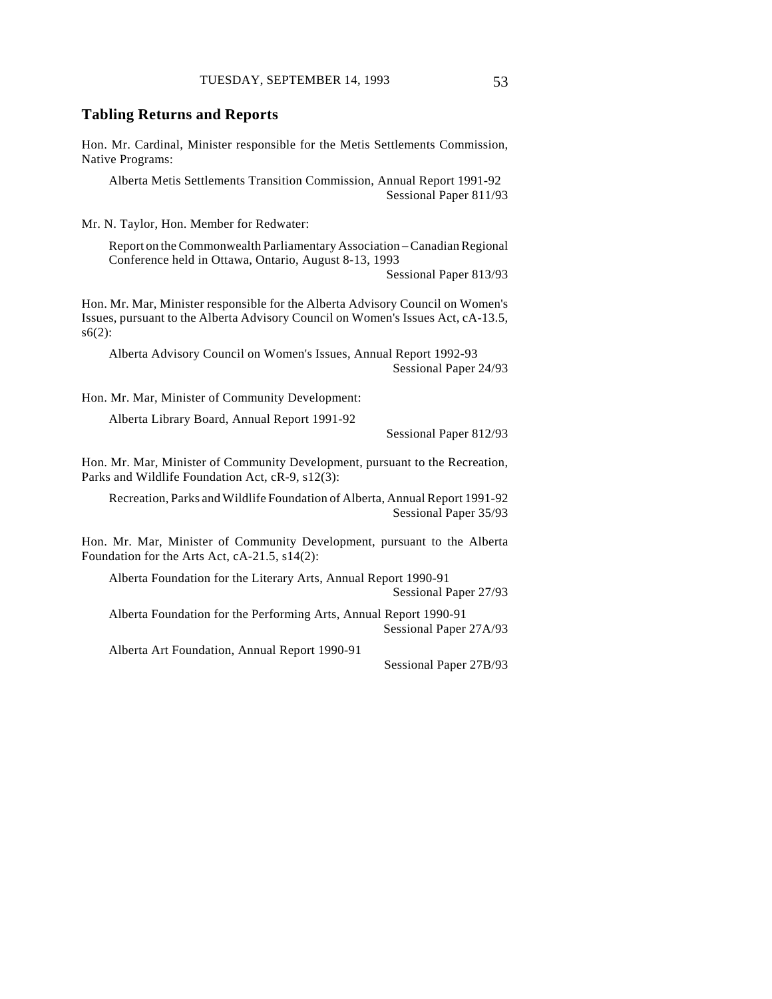#### **Tabling Returns and Reports**

Hon. Mr. Cardinal, Minister responsible for the Metis Settlements Commission, Native Programs:

Alberta Metis Settlements Transition Commission, Annual Report 1991-92 Sessional Paper 811/93

Mr. N. Taylor, Hon. Member for Redwater:

Report on the Commonwealth Parliamentary Association – Canadian Regional Conference held in Ottawa, Ontario, August 8-13, 1993

Sessional Paper 813/93

Hon. Mr. Mar, Minister responsible for the Alberta Advisory Council on Women's Issues, pursuant to the Alberta Advisory Council on Women's Issues Act, cA-13.5, s6(2):

Alberta Advisory Council on Women's Issues, Annual Report 1992-93 Sessional Paper 24/93

Hon. Mr. Mar, Minister of Community Development:

Alberta Library Board, Annual Report 1991-92

Sessional Paper 812/93

Hon. Mr. Mar, Minister of Community Development, pursuant to the Recreation, Parks and Wildlife Foundation Act, cR-9, s12(3):

Recreation, Parks and Wildlife Foundation of Alberta, Annual Report 1991-92 Sessional Paper 35/93

Hon. Mr. Mar, Minister of Community Development, pursuant to the Alberta Foundation for the Arts Act, cA-21.5, s14(2):

Alberta Foundation for the Literary Arts, Annual Report 1990-91 Sessional Paper 27/93

Alberta Foundation for the Performing Arts, Annual Report 1990-91 Sessional Paper 27A/93

Alberta Art Foundation, Annual Report 1990-91

Sessional Paper 27B/93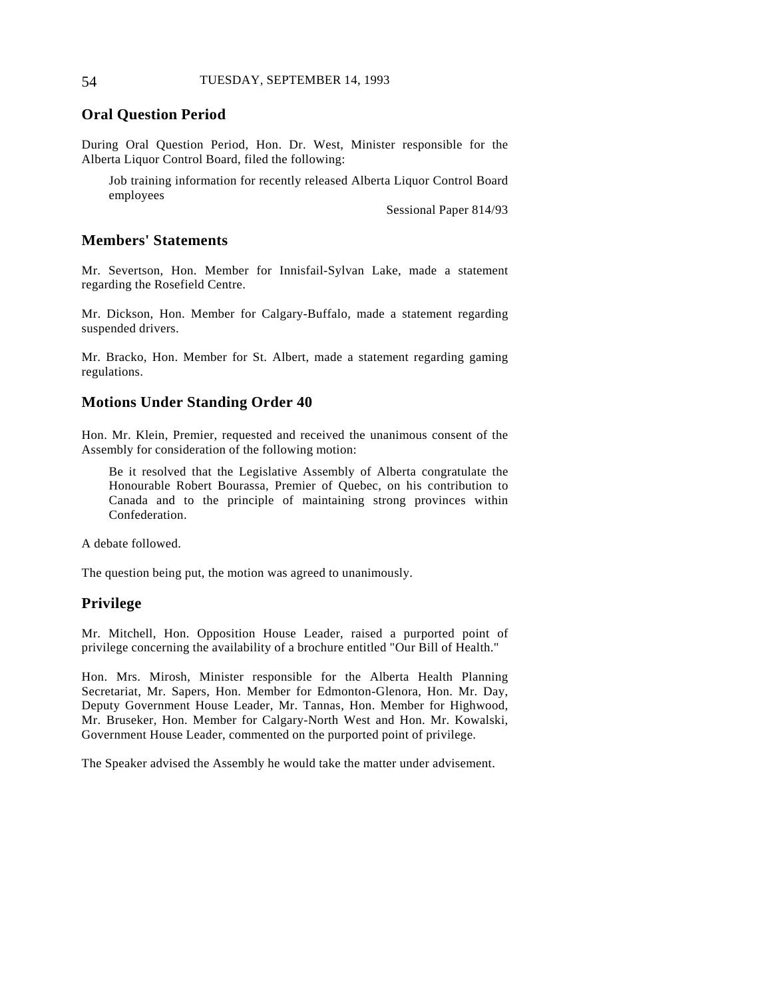## **Oral Question Period**

During Oral Question Period, Hon. Dr. West, Minister responsible for the Alberta Liquor Control Board, filed the following:

Job training information for recently released Alberta Liquor Control Board employees

Sessional Paper 814/93

#### **Members' Statements**

Mr. Severtson, Hon. Member for Innisfail-Sylvan Lake, made a statement regarding the Rosefield Centre.

Mr. Dickson, Hon. Member for Calgary-Buffalo, made a statement regarding suspended drivers.

Mr. Bracko, Hon. Member for St. Albert, made a statement regarding gaming regulations.

## **Motions Under Standing Order 40**

Hon. Mr. Klein, Premier, requested and received the unanimous consent of the Assembly for consideration of the following motion:

Be it resolved that the Legislative Assembly of Alberta congratulate the Honourable Robert Bourassa, Premier of Quebec, on his contribution to Canada and to the principle of maintaining strong provinces within Confederation.

A debate followed.

The question being put, the motion was agreed to unanimously.

## **Privilege**

Mr. Mitchell, Hon. Opposition House Leader, raised a purported point of privilege concerning the availability of a brochure entitled "Our Bill of Health."

Hon. Mrs. Mirosh, Minister responsible for the Alberta Health Planning Secretariat, Mr. Sapers, Hon. Member for Edmonton-Glenora, Hon. Mr. Day, Deputy Government House Leader, Mr. Tannas, Hon. Member for Highwood, Mr. Bruseker, Hon. Member for Calgary-North West and Hon. Mr. Kowalski, Government House Leader, commented on the purported point of privilege.

The Speaker advised the Assembly he would take the matter under advisement.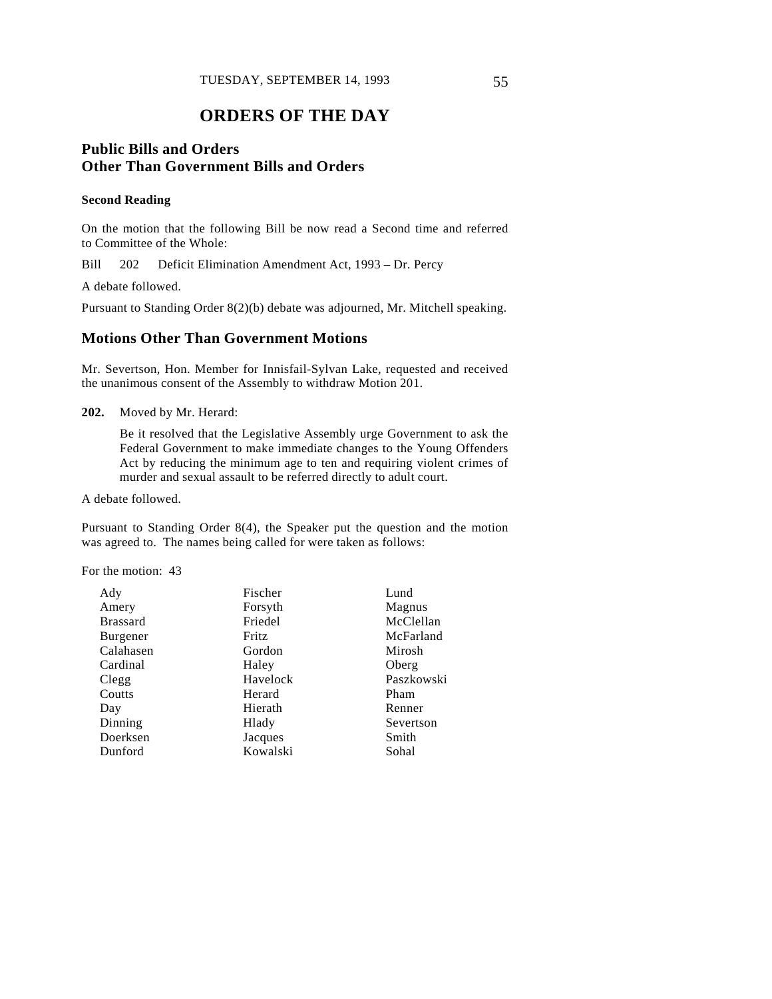# **ORDERS OF THE DAY**

## **Public Bills and Orders Other Than Government Bills and Orders**

#### **Second Reading**

On the motion that the following Bill be now read a Second time and referred to Committee of the Whole:

Bill 202 Deficit Elimination Amendment Act, 1993 – Dr. Percy

A debate followed.

Pursuant to Standing Order 8(2)(b) debate was adjourned, Mr. Mitchell speaking.

## **Motions Other Than Government Motions**

Mr. Severtson, Hon. Member for Innisfail-Sylvan Lake, requested and received the unanimous consent of the Assembly to withdraw Motion 201.

**202.** Moved by Mr. Herard:

Be it resolved that the Legislative Assembly urge Government to ask the Federal Government to make immediate changes to the Young Offenders Act by reducing the minimum age to ten and requiring violent crimes of murder and sexual assault to be referred directly to adult court.

A debate followed.

Pursuant to Standing Order 8(4), the Speaker put the question and the motion was agreed to. The names being called for were taken as follows:

For the motion: 43

| Fischer      | Lund       |
|--------------|------------|
| Forsyth      | Magnus     |
| Friedel      | McClellan  |
| <b>Fritz</b> | McFarland  |
| Gordon       | Mirosh     |
| Haley        | Oberg      |
| Havelock     | Paszkowski |
| Herard       | Pham       |
| Hierath      | Renner     |
| Hlady        | Severtson  |
| Jacques      | Smith      |
| Kowalski     | Sohal      |
|              |            |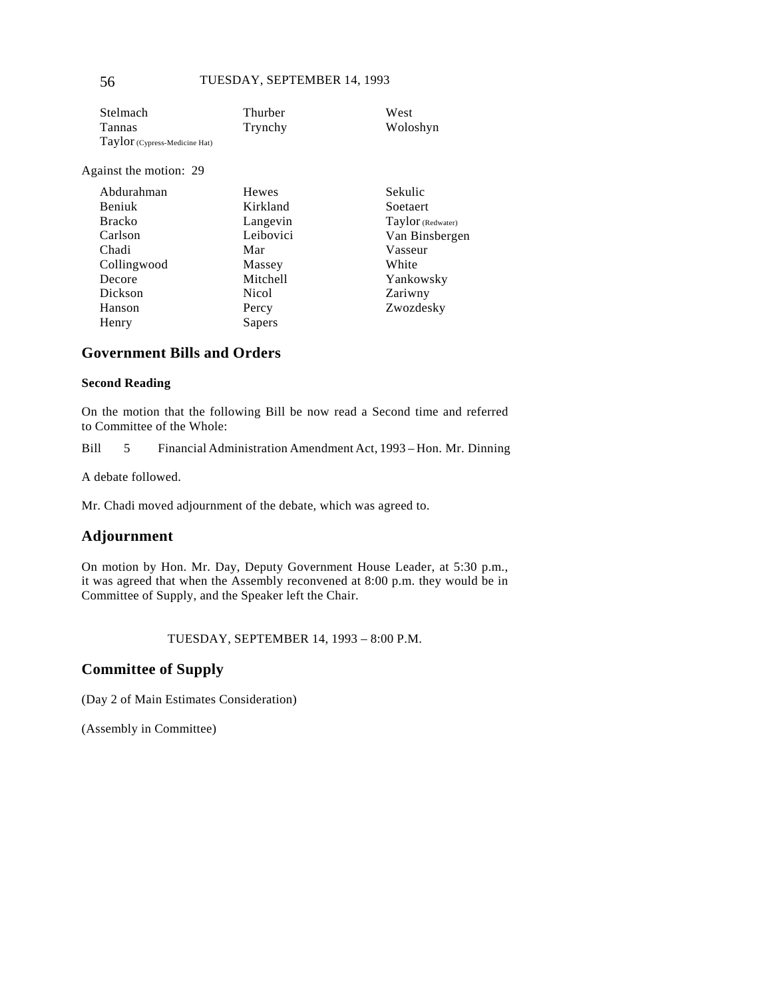| Stelmach                      | Thurber | West     |
|-------------------------------|---------|----------|
| Tannas                        | Trynchy | Woloshyn |
| Taylor (Cypress-Medicine Hat) |         |          |

Against the motion: 29

| Abdurahman    | <b>Hewes</b> | Sekulic           |
|---------------|--------------|-------------------|
| Beniuk        | Kirkland     | Soetaert          |
| <b>Bracko</b> | Langevin     | Taylor (Redwater) |
| Carlson       | Leibovici    | Van Binsbergen    |
| Chadi         | Mar          | Vasseur           |
| Collingwood   | Massey       | White             |
| Decore        | Mitchell     | Yankowsky         |
| Dickson       | Nicol        | Zariwny           |
| Hanson        | Percy        | Zwozdesky         |
| Henry         | Sapers       |                   |

## **Government Bills and Orders**

#### **Second Reading**

On the motion that the following Bill be now read a Second time and referred to Committee of the Whole:

Bill 5 Financial Administration Amendment Act, 1993 – Hon. Mr. Dinning

A debate followed.

Mr. Chadi moved adjournment of the debate, which was agreed to.

## **Adjournment**

On motion by Hon. Mr. Day, Deputy Government House Leader, at 5:30 p.m., it was agreed that when the Assembly reconvened at 8:00 p.m. they would be in Committee of Supply, and the Speaker left the Chair.

TUESDAY, SEPTEMBER 14, 1993 – 8:00 P.M.

## **Committee of Supply**

(Day 2 of Main Estimates Consideration)

(Assembly in Committee)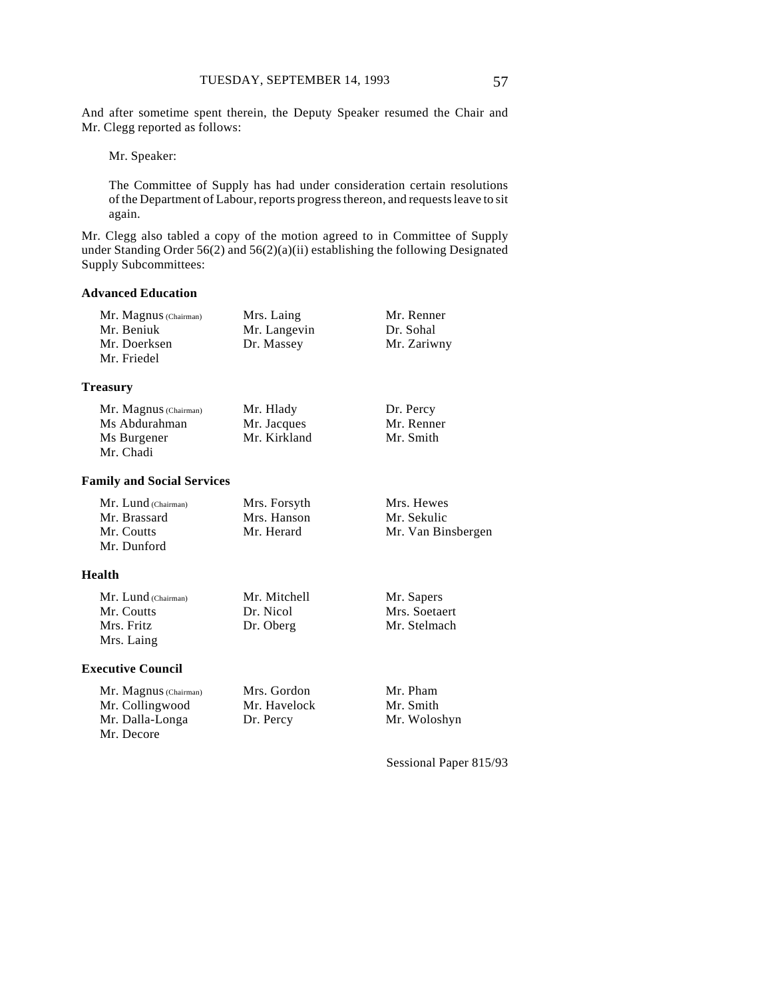And after sometime spent therein, the Deputy Speaker resumed the Chair and Mr. Clegg reported as follows:

Mr. Speaker:

The Committee of Supply has had under consideration certain resolutions of the Department of Labour, reports progress thereon, and requests leave to sit again.

Mr. Clegg also tabled a copy of the motion agreed to in Committee of Supply under Standing Order 56(2) and 56(2)(a)(ii) establishing the following Designated Supply Subcommittees:

#### **Advanced Education**

| Mr. Magnus (Chairman) | Mrs. Laing   | Mr. Renner  |
|-----------------------|--------------|-------------|
| Mr. Beniuk            | Mr. Langevin | Dr. Sohal   |
| Mr. Doerksen          | Dr. Massey   | Mr. Zariwny |
| Mr. Friedel           |              |             |

#### **Treasury**

| Mr. Magnus (Chairman) | Mr. Hlady    | Dr. Percy  |
|-----------------------|--------------|------------|
| Ms Abdurahman         | Mr. Jacques  | Mr. Renner |
| Ms Burgener           | Mr. Kirkland | Mr. Smith  |
| Mr. Chadi             |              |            |

#### **Family and Social Services**

| $Mr.$ Lund (Chairman) | Mrs. Forsyth | Mrs. Hewes      |
|-----------------------|--------------|-----------------|
| Mr. Brassard          | Mrs. Hanson  | Mr. Sekulic     |
| Mr. Coutts            | Mr. Herard   | Mr. Van Binsber |
| Mr. Dunford           |              |                 |

#### **Health**

Mr. Lund (Chairman) Mr. Coutts Mrs. Fritz Mrs. Laing Mr. Mitchell Dr. Nicol Dr. Oberg Mr. Sapers Mrs. Soetaert Mr. Stelmach

#### **Executive Council**

Mr. Magnus (Chairman) Mr. Collingwood Mr. Dalla-Longa Mr. Decore

Mrs. Gordon Mr. Havelock Dr. Percy

gen:

Mr. Pham Mr. Smith Mr. Woloshyn

Sessional Paper 815/93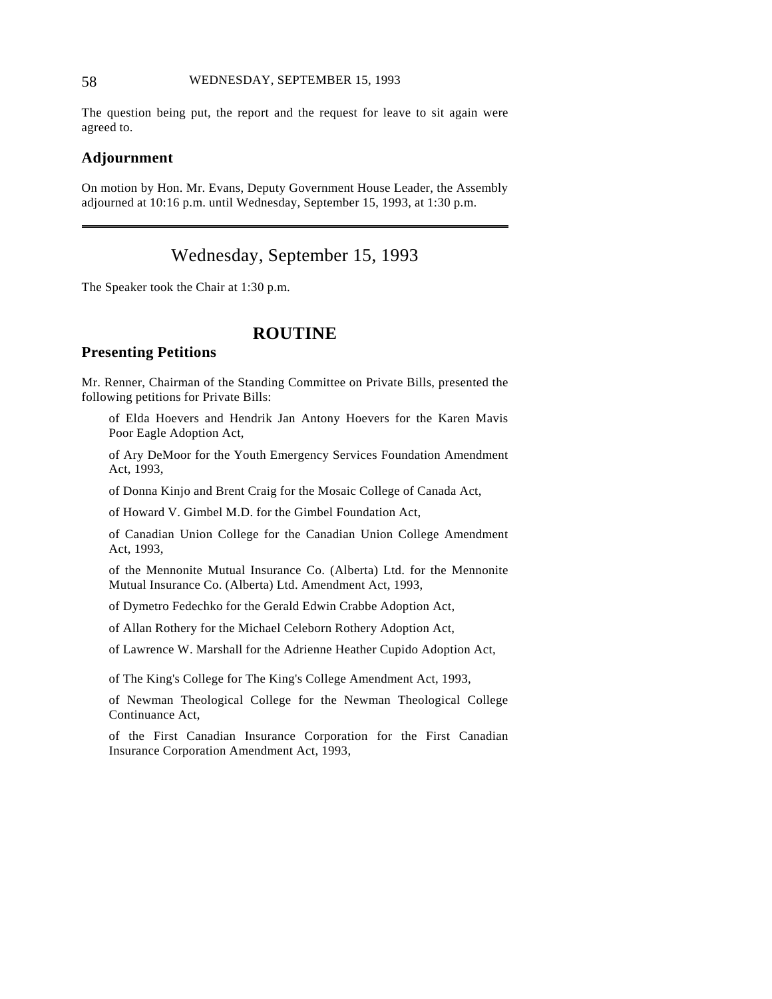### 58 WEDNESDAY, SEPTEMBER 15, 1993

The question being put, the report and the request for leave to sit again were agreed to.

#### **Adjournment**

 $\overline{a}$ 

On motion by Hon. Mr. Evans, Deputy Government House Leader, the Assembly adjourned at 10:16 p.m. until Wednesday, September 15, 1993, at 1:30 p.m.

# Wednesday, September 15, 1993

The Speaker took the Chair at 1:30 p.m.

# **ROUTINE**

## **Presenting Petitions**

Mr. Renner, Chairman of the Standing Committee on Private Bills, presented the following petitions for Private Bills:

of Elda Hoevers and Hendrik Jan Antony Hoevers for the Karen Mavis Poor Eagle Adoption Act,

of Ary DeMoor for the Youth Emergency Services Foundation Amendment Act, 1993,

of Donna Kinjo and Brent Craig for the Mosaic College of Canada Act,

of Howard V. Gimbel M.D. for the Gimbel Foundation Act,

of Canadian Union College for the Canadian Union College Amendment Act, 1993,

of the Mennonite Mutual Insurance Co. (Alberta) Ltd. for the Mennonite Mutual Insurance Co. (Alberta) Ltd. Amendment Act, 1993,

of Dymetro Fedechko for the Gerald Edwin Crabbe Adoption Act,

of Allan Rothery for the Michael Celeborn Rothery Adoption Act,

of Lawrence W. Marshall for the Adrienne Heather Cupido Adoption Act,

of The King's College for The King's College Amendment Act, 1993,

of Newman Theological College for the Newman Theological College Continuance Act,

of the First Canadian Insurance Corporation for the First Canadian Insurance Corporation Amendment Act, 1993,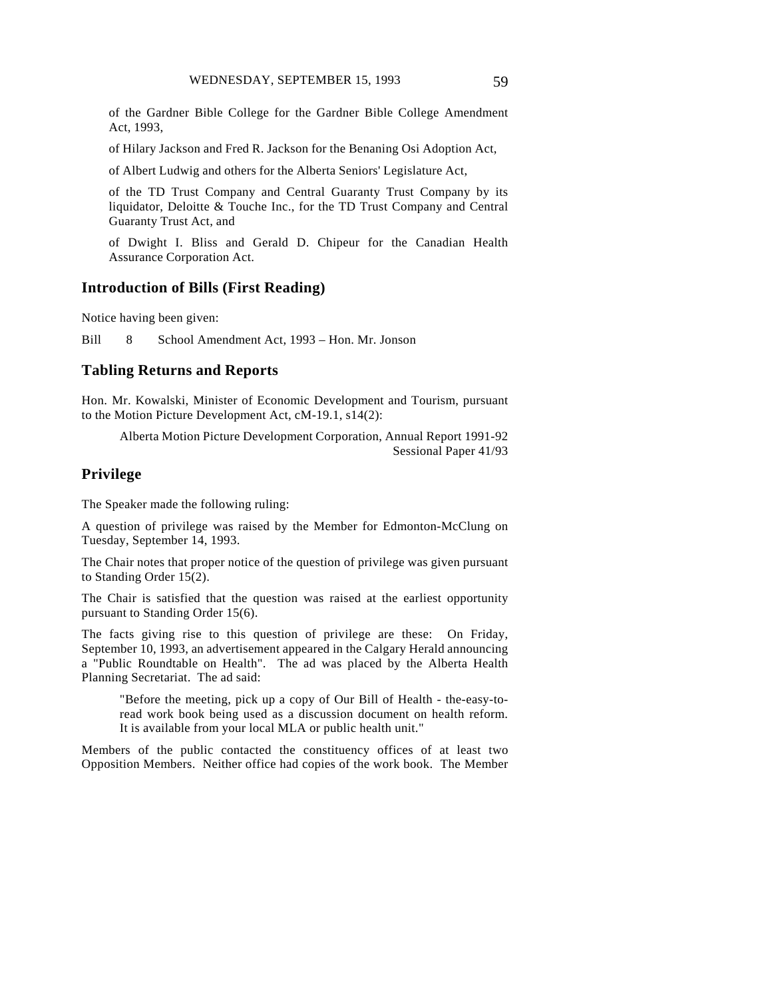of the Gardner Bible College for the Gardner Bible College Amendment Act, 1993,

of Hilary Jackson and Fred R. Jackson for the Benaning Osi Adoption Act,

of Albert Ludwig and others for the Alberta Seniors' Legislature Act,

of the TD Trust Company and Central Guaranty Trust Company by its liquidator, Deloitte & Touche Inc., for the TD Trust Company and Central Guaranty Trust Act, and

of Dwight I. Bliss and Gerald D. Chipeur for the Canadian Health Assurance Corporation Act.

#### **Introduction of Bills (First Reading)**

Notice having been given:

Bill 8 School Amendment Act, 1993 – Hon. Mr. Jonson

#### **Tabling Returns and Reports**

Hon. Mr. Kowalski, Minister of Economic Development and Tourism, pursuant to the Motion Picture Development Act, cM-19.1, s14(2):

Alberta Motion Picture Development Corporation, Annual Report 1991-92 Sessional Paper 41/93

## **Privilege**

The Speaker made the following ruling:

A question of privilege was raised by the Member for Edmonton-McClung on Tuesday, September 14, 1993.

The Chair notes that proper notice of the question of privilege was given pursuant to Standing Order 15(2).

The Chair is satisfied that the question was raised at the earliest opportunity pursuant to Standing Order 15(6).

The facts giving rise to this question of privilege are these: On Friday, September 10, 1993, an advertisement appeared in the Calgary Herald announcing a "Public Roundtable on Health". The ad was placed by the Alberta Health Planning Secretariat. The ad said:

"Before the meeting, pick up a copy of Our Bill of Health - the-easy-toread work book being used as a discussion document on health reform. It is available from your local MLA or public health unit."

Members of the public contacted the constituency offices of at least two Opposition Members. Neither office had copies of the work book. The Member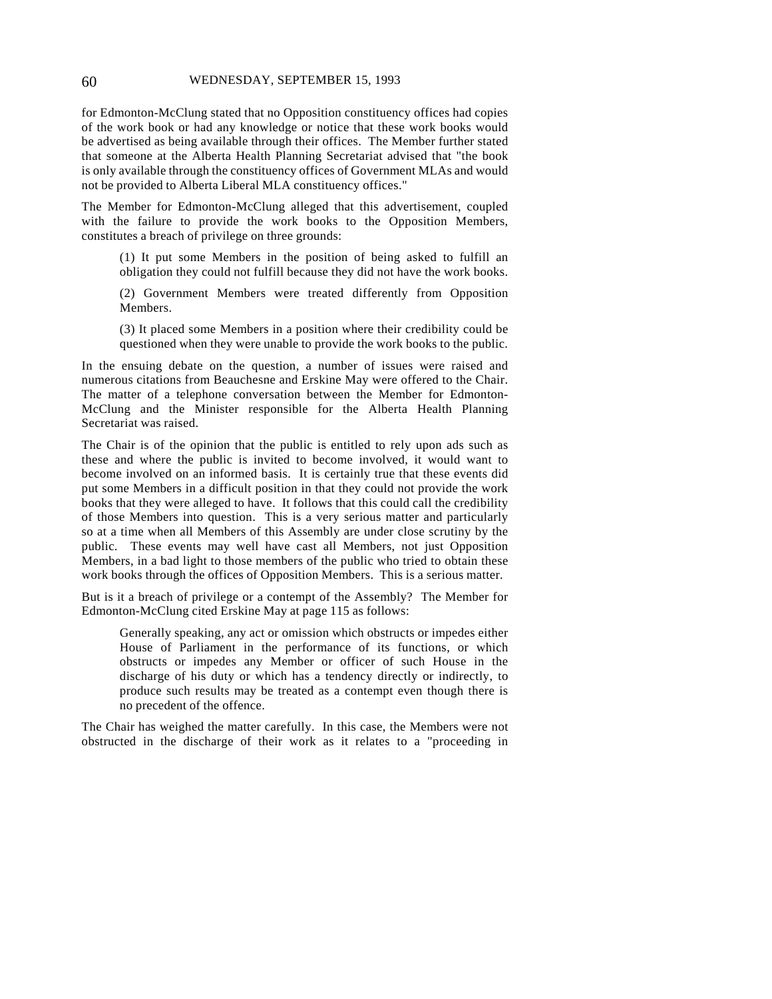for Edmonton-McClung stated that no Opposition constituency offices had copies of the work book or had any knowledge or notice that these work books would be advertised as being available through their offices. The Member further stated that someone at the Alberta Health Planning Secretariat advised that "the book is only available through the constituency offices of Government MLAs and would not be provided to Alberta Liberal MLA constituency offices."

The Member for Edmonton-McClung alleged that this advertisement, coupled with the failure to provide the work books to the Opposition Members, constitutes a breach of privilege on three grounds:

(1) It put some Members in the position of being asked to fulfill an obligation they could not fulfill because they did not have the work books.

(2) Government Members were treated differently from Opposition Members.

(3) It placed some Members in a position where their credibility could be questioned when they were unable to provide the work books to the public.

In the ensuing debate on the question, a number of issues were raised and numerous citations from Beauchesne and Erskine May were offered to the Chair. The matter of a telephone conversation between the Member for Edmonton-McClung and the Minister responsible for the Alberta Health Planning Secretariat was raised.

The Chair is of the opinion that the public is entitled to rely upon ads such as these and where the public is invited to become involved, it would want to become involved on an informed basis. It is certainly true that these events did put some Members in a difficult position in that they could not provide the work books that they were alleged to have. It follows that this could call the credibility of those Members into question. This is a very serious matter and particularly so at a time when all Members of this Assembly are under close scrutiny by the public. These events may well have cast all Members, not just Opposition Members, in a bad light to those members of the public who tried to obtain these work books through the offices of Opposition Members. This is a serious matter.

But is it a breach of privilege or a contempt of the Assembly? The Member for Edmonton-McClung cited Erskine May at page 115 as follows:

Generally speaking, any act or omission which obstructs or impedes either House of Parliament in the performance of its functions, or which obstructs or impedes any Member or officer of such House in the discharge of his duty or which has a tendency directly or indirectly, to produce such results may be treated as a contempt even though there is no precedent of the offence.

The Chair has weighed the matter carefully. In this case, the Members were not obstructed in the discharge of their work as it relates to a "proceeding in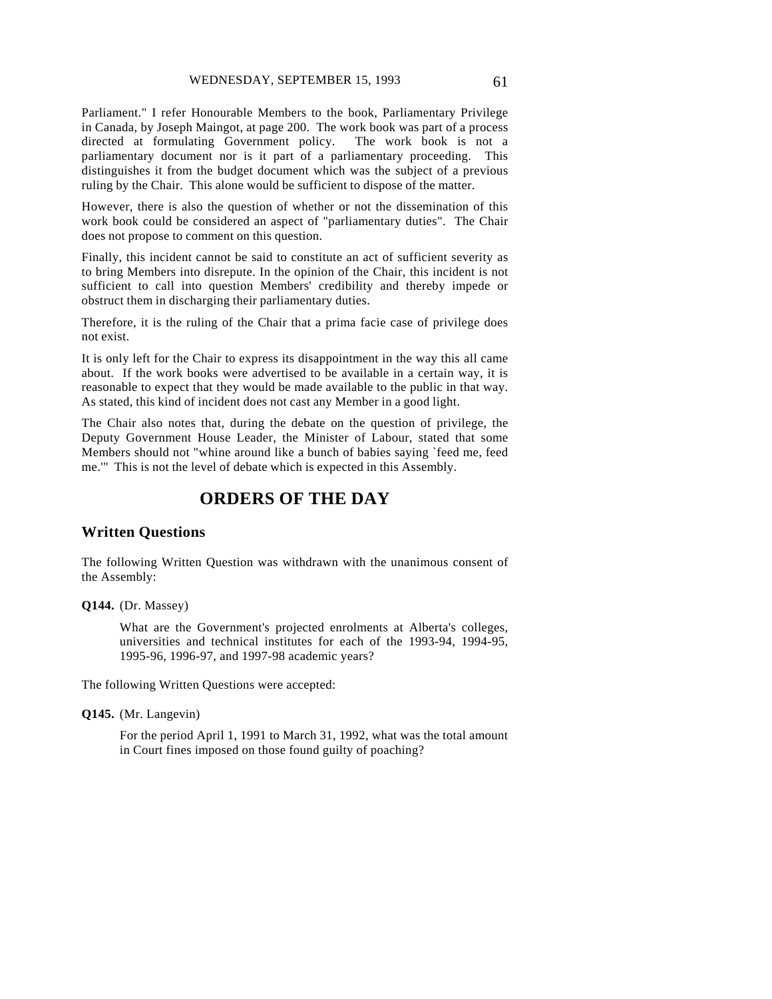Parliament." I refer Honourable Members to the book, Parliamentary Privilege in Canada, by Joseph Maingot, at page 200. The work book was part of a process directed at formulating Government policy. The work book is not a parliamentary document nor is it part of a parliamentary proceeding. This distinguishes it from the budget document which was the subject of a previous ruling by the Chair. This alone would be sufficient to dispose of the matter.

However, there is also the question of whether or not the dissemination of this work book could be considered an aspect of "parliamentary duties". The Chair does not propose to comment on this question.

Finally, this incident cannot be said to constitute an act of sufficient severity as to bring Members into disrepute. In the opinion of the Chair, this incident is not sufficient to call into question Members' credibility and thereby impede or obstruct them in discharging their parliamentary duties.

Therefore, it is the ruling of the Chair that a prima facie case of privilege does not exist.

It is only left for the Chair to express its disappointment in the way this all came about. If the work books were advertised to be available in a certain way, it is reasonable to expect that they would be made available to the public in that way. As stated, this kind of incident does not cast any Member in a good light.

The Chair also notes that, during the debate on the question of privilege, the Deputy Government House Leader, the Minister of Labour, stated that some Members should not "whine around like a bunch of babies saying `feed me, feed me.'" This is not the level of debate which is expected in this Assembly.

# **ORDERS OF THE DAY**

#### **Written Questions**

The following Written Question was withdrawn with the unanimous consent of the Assembly:

#### **Q144.** (Dr. Massey)

What are the Government's projected enrolments at Alberta's colleges, universities and technical institutes for each of the 1993-94, 1994-95, 1995-96, 1996-97, and 1997-98 academic years?

The following Written Questions were accepted:

#### **Q145.** (Mr. Langevin)

For the period April 1, 1991 to March 31, 1992, what was the total amount in Court fines imposed on those found guilty of poaching?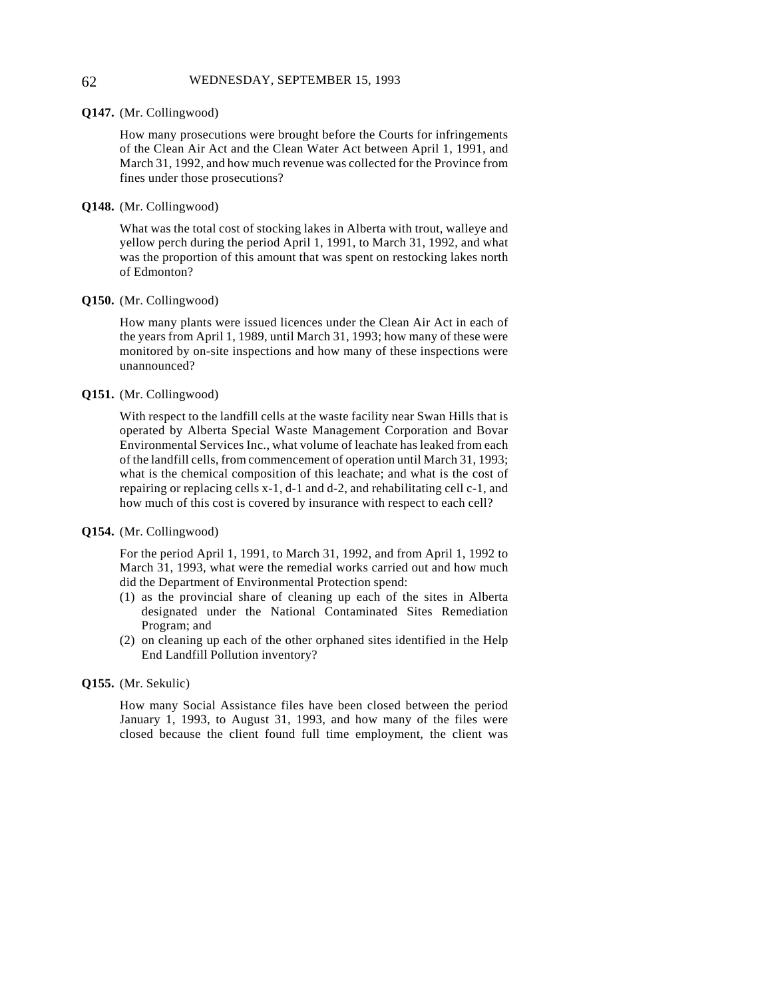#### **Q147.** (Mr. Collingwood)

How many prosecutions were brought before the Courts for infringements of the Clean Air Act and the Clean Water Act between April 1, 1991, and March 31, 1992, and how much revenue was collected for the Province from fines under those prosecutions?

#### **Q148.** (Mr. Collingwood)

What was the total cost of stocking lakes in Alberta with trout, walleye and yellow perch during the period April 1, 1991, to March 31, 1992, and what was the proportion of this amount that was spent on restocking lakes north of Edmonton?

#### **Q150.** (Mr. Collingwood)

How many plants were issued licences under the Clean Air Act in each of the years from April 1, 1989, until March 31, 1993; how many of these were monitored by on-site inspections and how many of these inspections were unannounced?

#### **Q151.** (Mr. Collingwood)

With respect to the landfill cells at the waste facility near Swan Hills that is operated by Alberta Special Waste Management Corporation and Bovar Environmental Services Inc., what volume of leachate has leaked from each of the landfill cells, from commencement of operation until March 31, 1993; what is the chemical composition of this leachate; and what is the cost of repairing or replacing cells x-1, d-1 and d-2, and rehabilitating cell c-1, and how much of this cost is covered by insurance with respect to each cell?

#### **Q154.** (Mr. Collingwood)

For the period April 1, 1991, to March 31, 1992, and from April 1, 1992 to March 31, 1993, what were the remedial works carried out and how much did the Department of Environmental Protection spend:

- (1) as the provincial share of cleaning up each of the sites in Alberta designated under the National Contaminated Sites Remediation Program; and
- (2) on cleaning up each of the other orphaned sites identified in the Help End Landfill Pollution inventory?

#### **Q155.** (Mr. Sekulic)

How many Social Assistance files have been closed between the period January 1, 1993, to August 31, 1993, and how many of the files were closed because the client found full time employment, the client was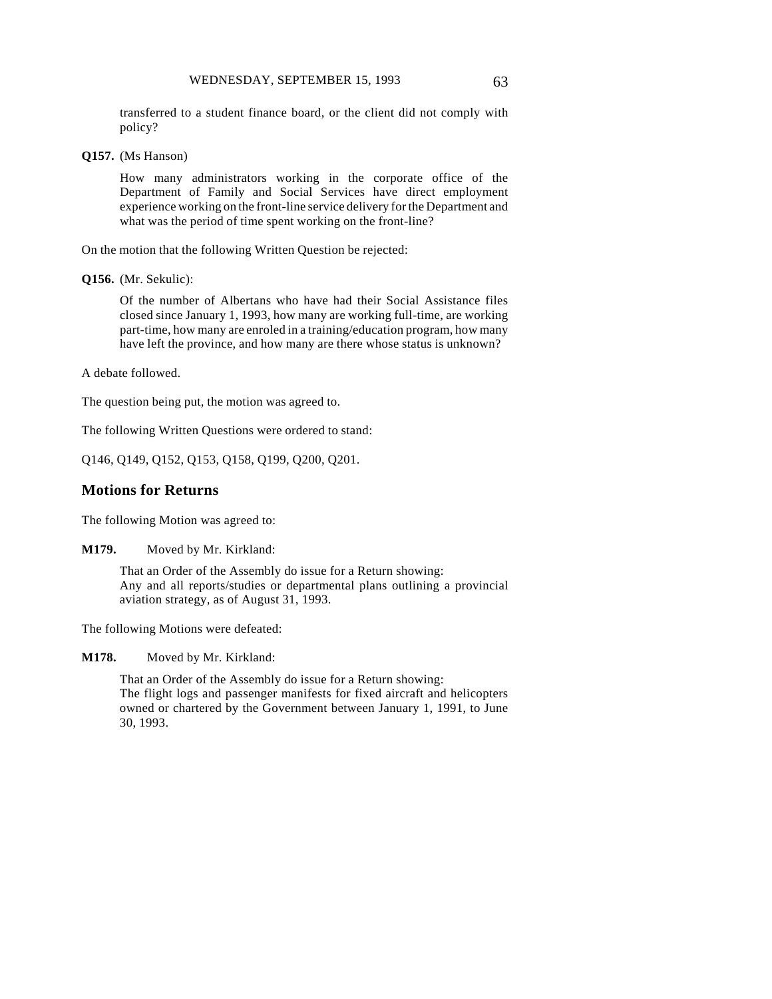transferred to a student finance board, or the client did not comply with policy?

**Q157.** (Ms Hanson)

How many administrators working in the corporate office of the Department of Family and Social Services have direct employment experience working on the front-line service delivery for the Department and what was the period of time spent working on the front-line?

On the motion that the following Written Question be rejected:

**Q156.** (Mr. Sekulic):

Of the number of Albertans who have had their Social Assistance files closed since January 1, 1993, how many are working full-time, are working part-time, how many are enroled in a training/education program, how many have left the province, and how many are there whose status is unknown?

A debate followed.

The question being put, the motion was agreed to.

The following Written Questions were ordered to stand:

Q146, Q149, Q152, Q153, Q158, Q199, Q200, Q201.

#### **Motions for Returns**

The following Motion was agreed to:

**M179.** Moved by Mr. Kirkland:

That an Order of the Assembly do issue for a Return showing: Any and all reports/studies or departmental plans outlining a provincial aviation strategy, as of August 31, 1993.

The following Motions were defeated:

**M178.** Moved by Mr. Kirkland:

That an Order of the Assembly do issue for a Return showing: The flight logs and passenger manifests for fixed aircraft and helicopters owned or chartered by the Government between January 1, 1991, to June 30, 1993.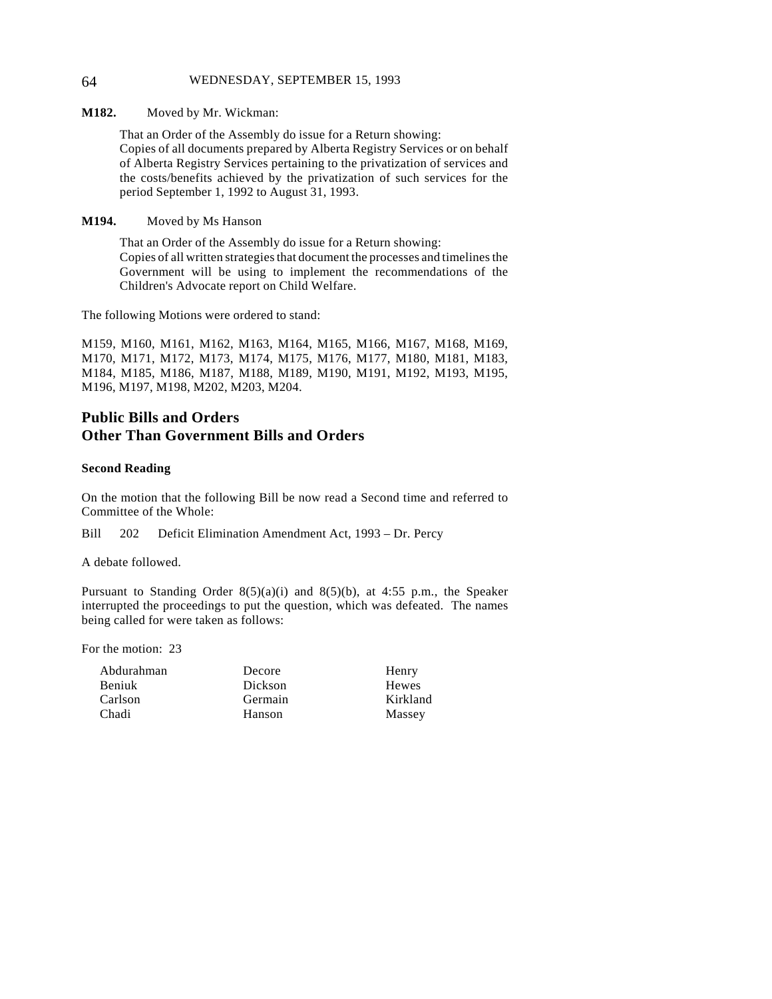#### 64 WEDNESDAY, SEPTEMBER 15, 1993

**M182.** Moved by Mr. Wickman:

That an Order of the Assembly do issue for a Return showing: Copies of all documents prepared by Alberta Registry Services or on behalf of Alberta Registry Services pertaining to the privatization of services and the costs/benefits achieved by the privatization of such services for the period September 1, 1992 to August 31, 1993.

#### **M194.** Moved by Ms Hanson

That an Order of the Assembly do issue for a Return showing: Copies of all written strategies that document the processes and timelines the Government will be using to implement the recommendations of the Children's Advocate report on Child Welfare.

The following Motions were ordered to stand:

M159, M160, M161, M162, M163, M164, M165, M166, M167, M168, M169, M170, M171, M172, M173, M174, M175, M176, M177, M180, M181, M183, M184, M185, M186, M187, M188, M189, M190, M191, M192, M193, M195, M196, M197, M198, M202, M203, M204.

## **Public Bills and Orders Other Than Government Bills and Orders**

#### **Second Reading**

On the motion that the following Bill be now read a Second time and referred to Committee of the Whole:

Bill 202 Deficit Elimination Amendment Act, 1993 – Dr. Percy

A debate followed.

Pursuant to Standing Order  $8(5)(a)(i)$  and  $8(5)(b)$ , at 4:55 p.m., the Speaker interrupted the proceedings to put the question, which was defeated. The names being called for were taken as follows:

For the motion: 23

| Abdurahman |  |
|------------|--|
| Beniuk     |  |
| Carlson    |  |
| Chadi      |  |

Decore Dickson Germain Hanson

Henry Hewes Kirkland Massey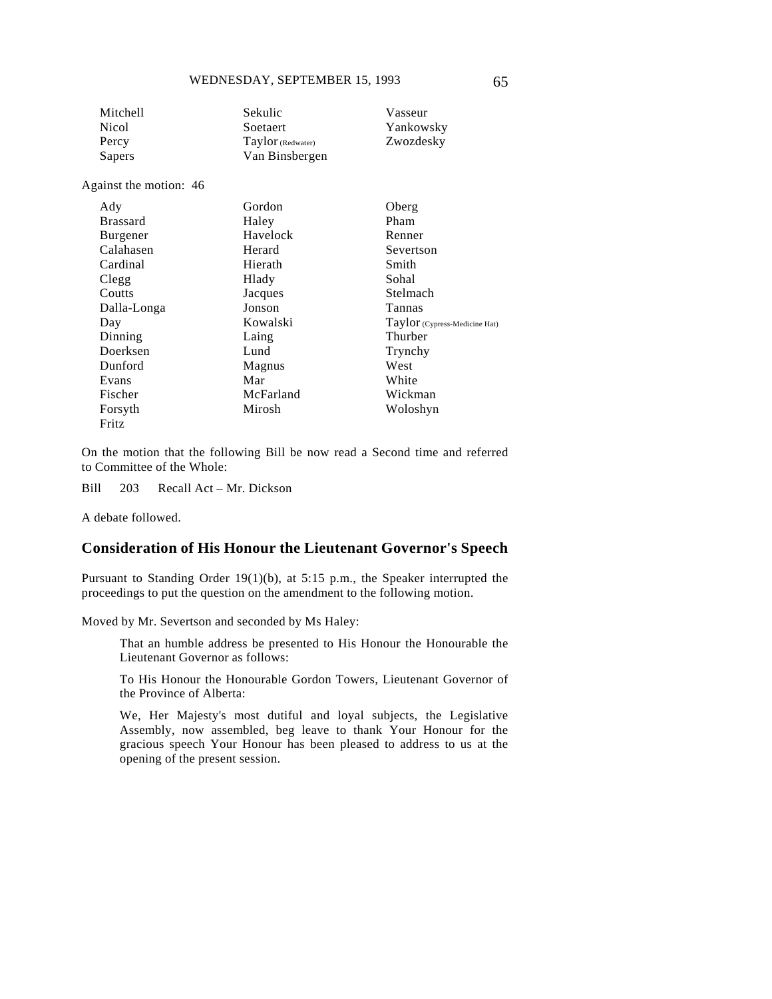| Mitchell | Sekulic           | Vasseur   |
|----------|-------------------|-----------|
| Nicol    | Soetaert          | Yankowsky |
| Percy    | Taylor (Redwater) | Zwozdesky |
| Sapers   | Van Binsbergen    |           |
|          |                   |           |

Against the motion: 46

| Ady             | Gordon    | Oberg                         |
|-----------------|-----------|-------------------------------|
| <b>Brassard</b> | Haley     | Pham                          |
| Burgener        | Havelock  | Renner                        |
| Calahasen       | Herard    | Severtson                     |
| Cardinal        | Hierath   | Smith                         |
| Clegg           | Hlady     | Sohal                         |
| Coutts          | Jacques   | Stelmach                      |
| Dalla-Longa     | Jonson    | Tannas                        |
| Day             | Kowalski  | Taylor (Cypress-Medicine Hat) |
| Dinning         | Laing     | Thurber                       |
| Doerksen        | Lund      | Trynchy                       |
| Dunford         | Magnus    | West                          |
| Evans           | Mar       | White                         |
| Fischer         | McFarland | Wickman                       |
| Forsyth         | Mirosh    | Woloshyn                      |
| Fritz           |           |                               |

On the motion that the following Bill be now read a Second time and referred to Committee of the Whole:

Bill 203 Recall Act – Mr. Dickson

A debate followed.

## **Consideration of His Honour the Lieutenant Governor's Speech**

Pursuant to Standing Order 19(1)(b), at 5:15 p.m., the Speaker interrupted the proceedings to put the question on the amendment to the following motion.

Moved by Mr. Severtson and seconded by Ms Haley:

That an humble address be presented to His Honour the Honourable the Lieutenant Governor as follows:

To His Honour the Honourable Gordon Towers, Lieutenant Governor of the Province of Alberta:

We, Her Majesty's most dutiful and loyal subjects, the Legislative Assembly, now assembled, beg leave to thank Your Honour for the gracious speech Your Honour has been pleased to address to us at the opening of the present session.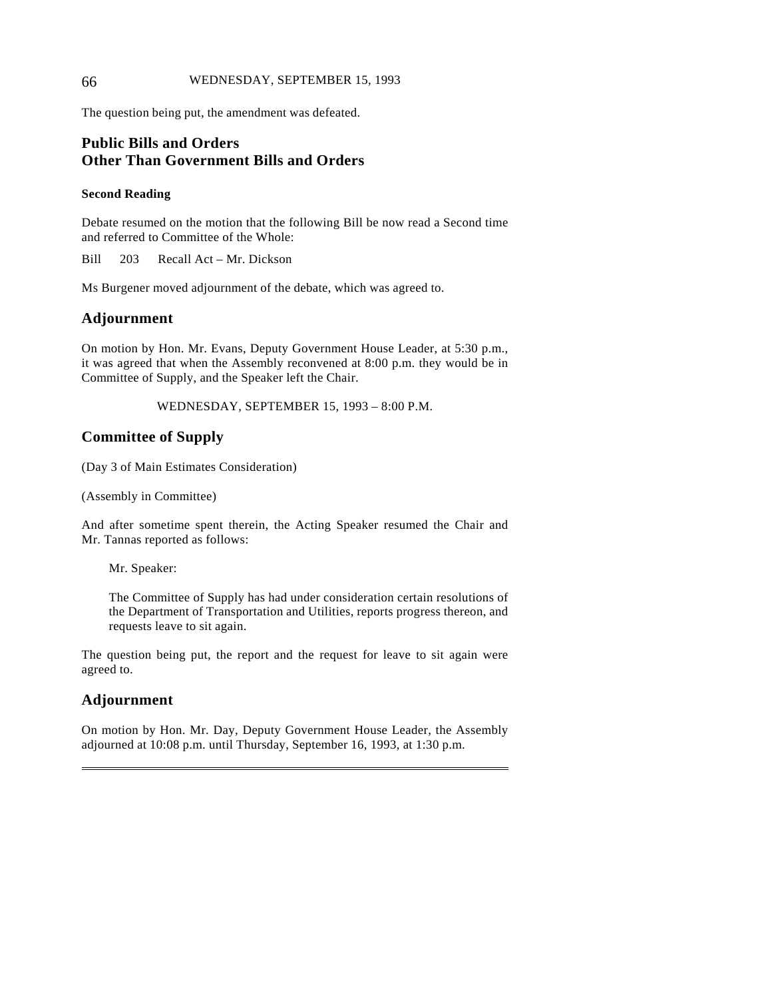### 66 WEDNESDAY, SEPTEMBER 15, 1993

The question being put, the amendment was defeated.

## **Public Bills and Orders Other Than Government Bills and Orders**

### **Second Reading**

Debate resumed on the motion that the following Bill be now read a Second time and referred to Committee of the Whole:

Bill 203 Recall Act – Mr. Dickson

Ms Burgener moved adjournment of the debate, which was agreed to.

## **Adjournment**

On motion by Hon. Mr. Evans, Deputy Government House Leader, at 5:30 p.m., it was agreed that when the Assembly reconvened at 8:00 p.m. they would be in Committee of Supply, and the Speaker left the Chair.

WEDNESDAY, SEPTEMBER 15, 1993 – 8:00 P.M.

## **Committee of Supply**

(Day 3 of Main Estimates Consideration)

(Assembly in Committee)

And after sometime spent therein, the Acting Speaker resumed the Chair and Mr. Tannas reported as follows:

Mr. Speaker:

The Committee of Supply has had under consideration certain resolutions of the Department of Transportation and Utilities, reports progress thereon, and requests leave to sit again.

The question being put, the report and the request for leave to sit again were agreed to.

## **Adjournment**

 $\overline{a}$ 

On motion by Hon. Mr. Day, Deputy Government House Leader, the Assembly adjourned at 10:08 p.m. until Thursday, September 16, 1993, at 1:30 p.m.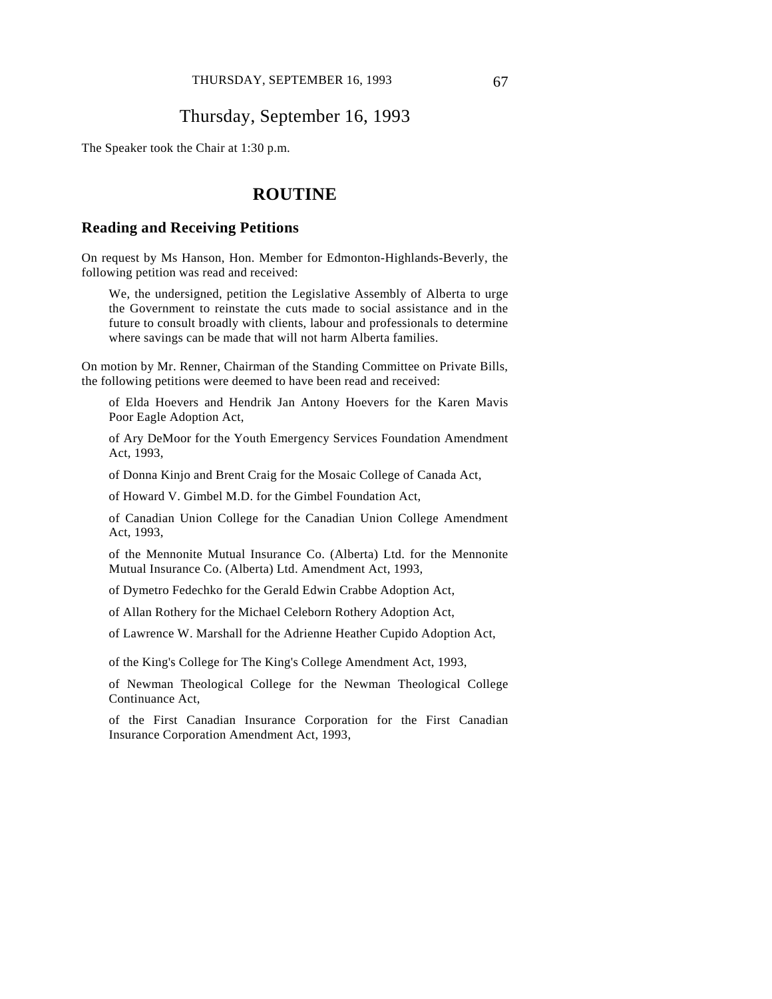## Thursday, September 16, 1993

The Speaker took the Chair at 1:30 p.m.

## **ROUTINE**

## **Reading and Receiving Petitions**

On request by Ms Hanson, Hon. Member for Edmonton-Highlands-Beverly, the following petition was read and received:

We, the undersigned, petition the Legislative Assembly of Alberta to urge the Government to reinstate the cuts made to social assistance and in the future to consult broadly with clients, labour and professionals to determine where savings can be made that will not harm Alberta families.

On motion by Mr. Renner, Chairman of the Standing Committee on Private Bills, the following petitions were deemed to have been read and received:

of Elda Hoevers and Hendrik Jan Antony Hoevers for the Karen Mavis Poor Eagle Adoption Act,

of Ary DeMoor for the Youth Emergency Services Foundation Amendment Act, 1993,

of Donna Kinjo and Brent Craig for the Mosaic College of Canada Act,

of Howard V. Gimbel M.D. for the Gimbel Foundation Act,

of Canadian Union College for the Canadian Union College Amendment Act, 1993,

of the Mennonite Mutual Insurance Co. (Alberta) Ltd. for the Mennonite Mutual Insurance Co. (Alberta) Ltd. Amendment Act, 1993,

of Dymetro Fedechko for the Gerald Edwin Crabbe Adoption Act,

of Allan Rothery for the Michael Celeborn Rothery Adoption Act,

of Lawrence W. Marshall for the Adrienne Heather Cupido Adoption Act,

of the King's College for The King's College Amendment Act, 1993,

of Newman Theological College for the Newman Theological College Continuance Act,

of the First Canadian Insurance Corporation for the First Canadian Insurance Corporation Amendment Act, 1993,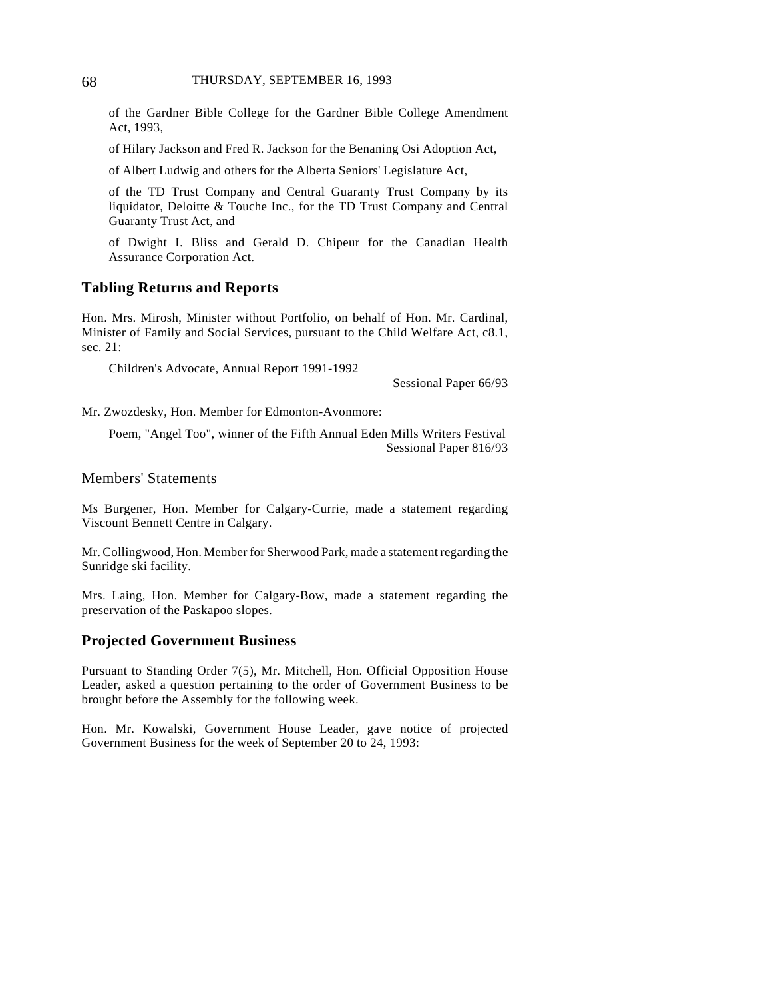of the Gardner Bible College for the Gardner Bible College Amendment Act, 1993,

of Hilary Jackson and Fred R. Jackson for the Benaning Osi Adoption Act,

of Albert Ludwig and others for the Alberta Seniors' Legislature Act,

of the TD Trust Company and Central Guaranty Trust Company by its liquidator, Deloitte & Touche Inc., for the TD Trust Company and Central Guaranty Trust Act, and

of Dwight I. Bliss and Gerald D. Chipeur for the Canadian Health Assurance Corporation Act.

### **Tabling Returns and Reports**

Hon. Mrs. Mirosh, Minister without Portfolio, on behalf of Hon. Mr. Cardinal, Minister of Family and Social Services, pursuant to the Child Welfare Act, c8.1, sec. 21:

Children's Advocate, Annual Report 1991-1992

Sessional Paper 66/93

Mr. Zwozdesky, Hon. Member for Edmonton-Avonmore:

Poem, "Angel Too", winner of the Fifth Annual Eden Mills Writers Festival Sessional Paper 816/93

Members' Statements

Ms Burgener, Hon. Member for Calgary-Currie, made a statement regarding Viscount Bennett Centre in Calgary.

Mr. Collingwood, Hon. Member for Sherwood Park, made a statement regarding the Sunridge ski facility.

Mrs. Laing, Hon. Member for Calgary-Bow, made a statement regarding the preservation of the Paskapoo slopes.

## **Projected Government Business**

Pursuant to Standing Order 7(5), Mr. Mitchell, Hon. Official Opposition House Leader, asked a question pertaining to the order of Government Business to be brought before the Assembly for the following week.

Hon. Mr. Kowalski, Government House Leader, gave notice of projected Government Business for the week of September 20 to 24, 1993: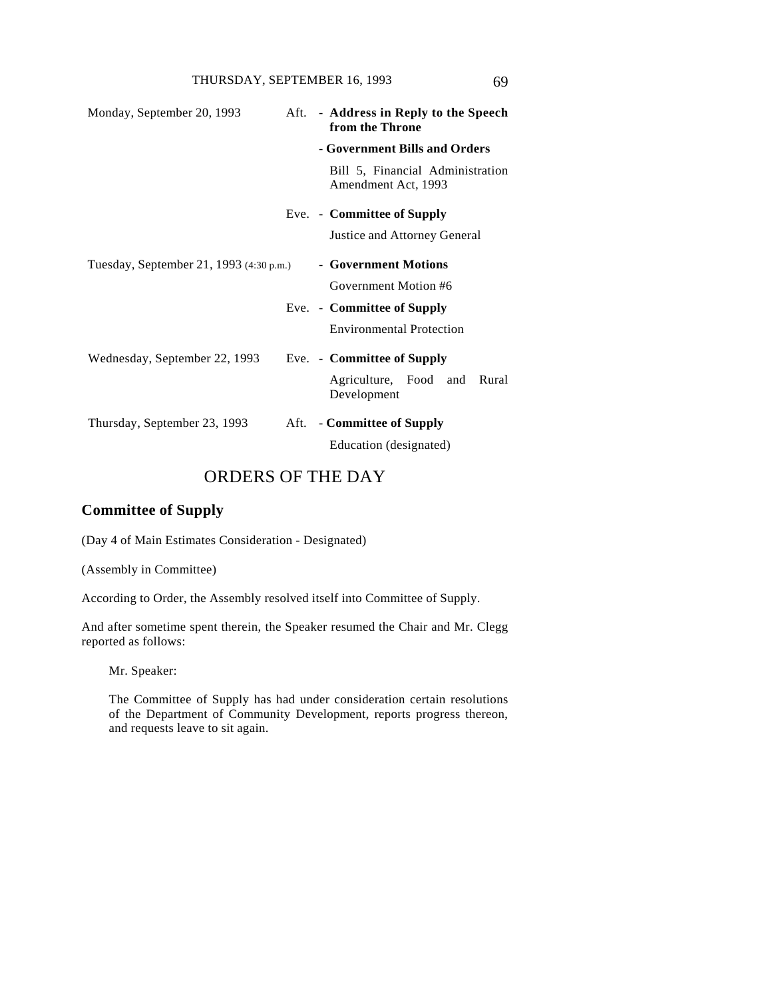| Monday, September 20, 1993              |      | Aft. - Address in Reply to the Speech<br>from the Throne |
|-----------------------------------------|------|----------------------------------------------------------|
|                                         |      | - Government Bills and Orders                            |
|                                         |      | Bill 5, Financial Administration<br>Amendment Act, 1993  |
|                                         |      | Eve. - Committee of Supply                               |
|                                         |      | Justice and Attorney General                             |
| Tuesday, September 21, 1993 (4:30 p.m.) |      | - Government Motions                                     |
|                                         |      | Government Motion #6                                     |
|                                         |      | Eve. - Committee of Supply                               |
|                                         |      | <b>Environmental Protection</b>                          |
| Wednesday, September 22, 1993           |      | Eve. - Committee of Supply                               |
|                                         |      | Agriculture, Food and<br>Rural<br>Development            |
| Thursday, September 23, 1993            | Aft. | - Committee of Supply                                    |
|                                         |      | Education (designated)                                   |

# ORDERS OF THE DAY

## **Committee of Supply**

(Day 4 of Main Estimates Consideration - Designated)

(Assembly in Committee)

According to Order, the Assembly resolved itself into Committee of Supply.

And after sometime spent therein, the Speaker resumed the Chair and Mr. Clegg reported as follows:

Mr. Speaker:

The Committee of Supply has had under consideration certain resolutions of the Department of Community Development, reports progress thereon, and requests leave to sit again.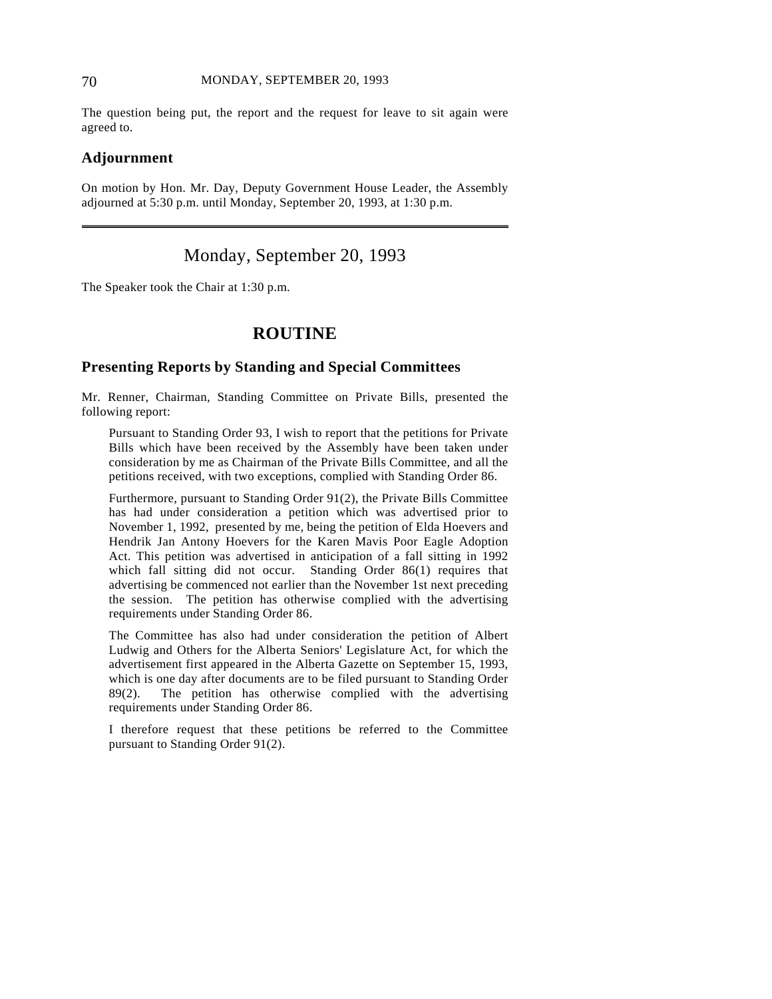### 70 MONDAY, SEPTEMBER 20, 1993

The question being put, the report and the request for leave to sit again were agreed to.

### **Adjournment**

 $\overline{a}$ 

On motion by Hon. Mr. Day, Deputy Government House Leader, the Assembly adjourned at 5:30 p.m. until Monday, September 20, 1993, at 1:30 p.m.

# Monday, September 20, 1993

The Speaker took the Chair at 1:30 p.m.

# **ROUTINE**

#### **Presenting Reports by Standing and Special Committees**

Mr. Renner, Chairman, Standing Committee on Private Bills, presented the following report:

Pursuant to Standing Order 93, I wish to report that the petitions for Private Bills which have been received by the Assembly have been taken under consideration by me as Chairman of the Private Bills Committee, and all the petitions received, with two exceptions, complied with Standing Order 86.

Furthermore, pursuant to Standing Order 91(2), the Private Bills Committee has had under consideration a petition which was advertised prior to November 1, 1992, presented by me, being the petition of Elda Hoevers and Hendrik Jan Antony Hoevers for the Karen Mavis Poor Eagle Adoption Act. This petition was advertised in anticipation of a fall sitting in 1992 which fall sitting did not occur. Standing Order 86(1) requires that advertising be commenced not earlier than the November 1st next preceding the session. The petition has otherwise complied with the advertising requirements under Standing Order 86.

The Committee has also had under consideration the petition of Albert Ludwig and Others for the Alberta Seniors' Legislature Act, for which the advertisement first appeared in the Alberta Gazette on September 15, 1993, which is one day after documents are to be filed pursuant to Standing Order 89(2). The petition has otherwise complied with the advertising requirements under Standing Order 86.

I therefore request that these petitions be referred to the Committee pursuant to Standing Order 91(2).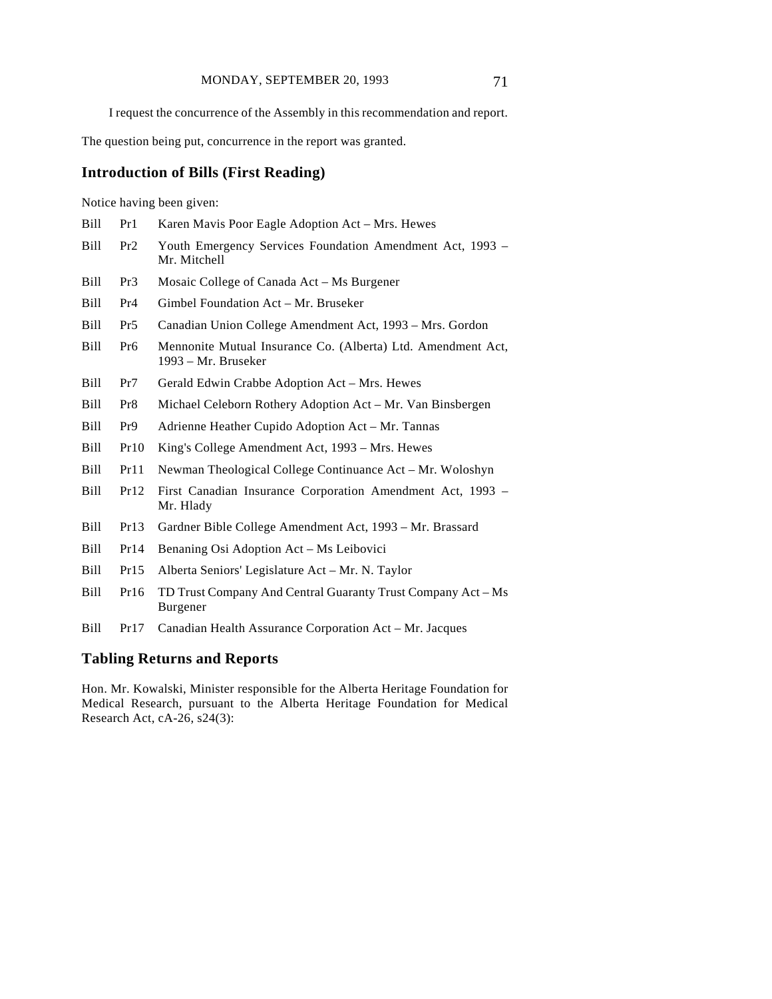I request the concurrence of the Assembly in this recommendation and report.

The question being put, concurrence in the report was granted.

Bill Pr1 Karen Mavis Poor Eagle Adoption Act – Mrs. Hewes

### **Introduction of Bills (First Reading)**

Notice having been given:

| Bill | Pr2             | Youth Emergency Services Foundation Amendment Act, 1993 –<br>Mr. Mitchell           |
|------|-----------------|-------------------------------------------------------------------------------------|
| Bill | Pr3             | Mosaic College of Canada Act – Ms Burgener                                          |
| Bill | Pr <sub>4</sub> | Gimbel Foundation Act – Mr. Bruseker                                                |
| Bill | Pr5             | Canadian Union College Amendment Act, 1993 – Mrs. Gordon                            |
| Bill | Pr6             | Mennonite Mutual Insurance Co. (Alberta) Ltd. Amendment Act,<br>1993 – Mr. Bruseker |
| Bill | Pr7             | Gerald Edwin Crabbe Adoption Act – Mrs. Hewes                                       |
| Bill | Pr8             | Michael Celeborn Rothery Adoption Act – Mr. Van Binsbergen                          |
| Bill | Pr9             | Adrienne Heather Cupido Adoption Act – Mr. Tannas                                   |
| Bill | Pr10            | King's College Amendment Act, 1993 – Mrs. Hewes                                     |
| Bill | Pr11            | Newman Theological College Continuance Act – Mr. Woloshyn                           |
| Bill | Pr12            | First Canadian Insurance Corporation Amendment Act, 1993 -<br>Mr. Hlady             |
| Bill | Pr13            | Gardner Bible College Amendment Act, 1993 – Mr. Brassard                            |

- Bill Pr14 Benaning Osi Adoption Act Ms Leibovici
- Bill Pr15 Alberta Seniors' Legislature Act Mr. N. Taylor
- Bill Pr16 TD Trust Company And Central Guaranty Trust Company Act Ms Burgener
- Bill Pr17 Canadian Health Assurance Corporation Act Mr. Jacques

### **Tabling Returns and Reports**

Hon. Mr. Kowalski, Minister responsible for the Alberta Heritage Foundation for Medical Research, pursuant to the Alberta Heritage Foundation for Medical Research Act, cA-26, s24(3):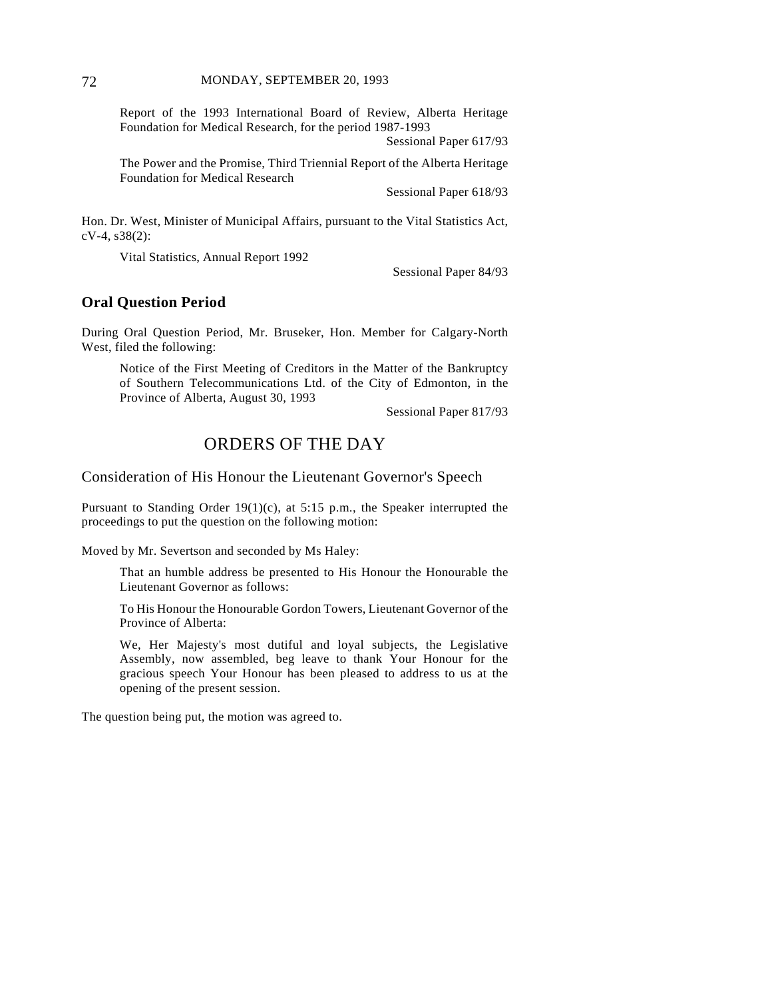Report of the 1993 International Board of Review, Alberta Heritage Foundation for Medical Research, for the period 1987-1993

Sessional Paper 617/93

The Power and the Promise, Third Triennial Report of the Alberta Heritage Foundation for Medical Research

Sessional Paper 618/93

Hon. Dr. West, Minister of Municipal Affairs, pursuant to the Vital Statistics Act, cV-4, s38(2):

Vital Statistics, Annual Report 1992

Sessional Paper 84/93

#### **Oral Question Period**

During Oral Question Period, Mr. Bruseker, Hon. Member for Calgary-North West, filed the following:

Notice of the First Meeting of Creditors in the Matter of the Bankruptcy of Southern Telecommunications Ltd. of the City of Edmonton, in the Province of Alberta, August 30, 1993

Sessional Paper 817/93

### ORDERS OF THE DAY

Consideration of His Honour the Lieutenant Governor's Speech

Pursuant to Standing Order 19(1)(c), at 5:15 p.m., the Speaker interrupted the proceedings to put the question on the following motion:

Moved by Mr. Severtson and seconded by Ms Haley:

That an humble address be presented to His Honour the Honourable the Lieutenant Governor as follows:

To His Honour the Honourable Gordon Towers, Lieutenant Governor of the Province of Alberta:

We, Her Majesty's most dutiful and loyal subjects, the Legislative Assembly, now assembled, beg leave to thank Your Honour for the gracious speech Your Honour has been pleased to address to us at the opening of the present session.

The question being put, the motion was agreed to.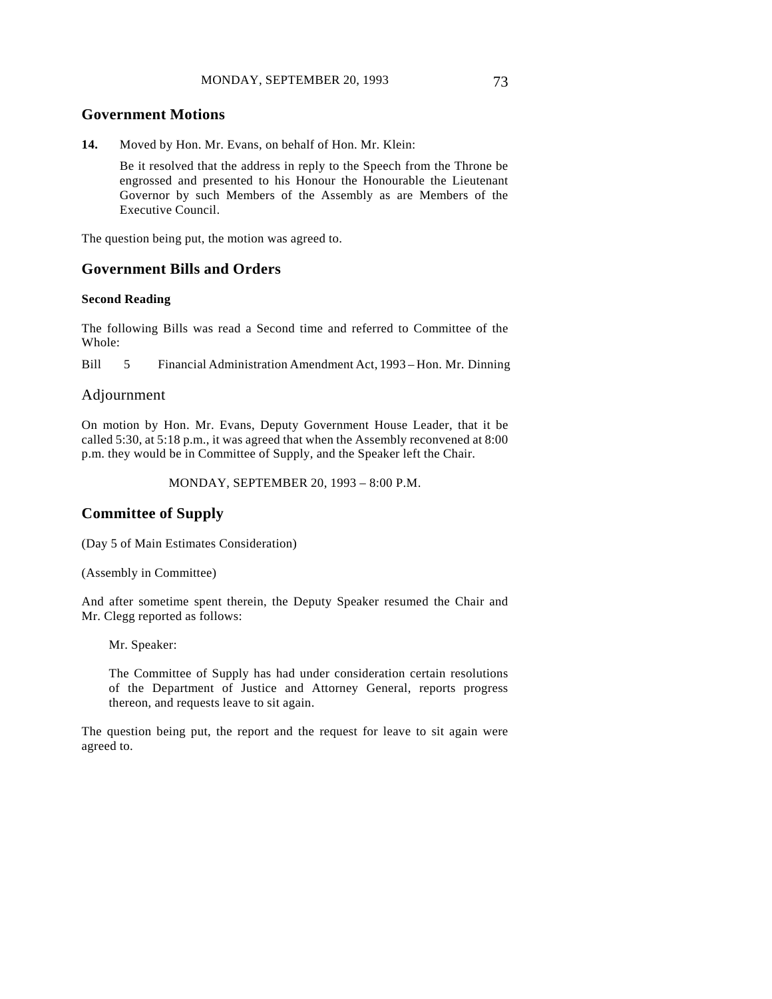#### **Government Motions**

**14.** Moved by Hon. Mr. Evans, on behalf of Hon. Mr. Klein:

Be it resolved that the address in reply to the Speech from the Throne be engrossed and presented to his Honour the Honourable the Lieutenant Governor by such Members of the Assembly as are Members of the Executive Council.

The question being put, the motion was agreed to.

#### **Government Bills and Orders**

#### **Second Reading**

The following Bills was read a Second time and referred to Committee of the Whole:

Bill 5 Financial Administration Amendment Act, 1993 – Hon. Mr. Dinning

#### Adjournment

On motion by Hon. Mr. Evans, Deputy Government House Leader, that it be called 5:30, at 5:18 p.m., it was agreed that when the Assembly reconvened at 8:00 p.m. they would be in Committee of Supply, and the Speaker left the Chair.

MONDAY, SEPTEMBER 20, 1993 – 8:00 P.M.

### **Committee of Supply**

(Day 5 of Main Estimates Consideration)

(Assembly in Committee)

And after sometime spent therein, the Deputy Speaker resumed the Chair and Mr. Clegg reported as follows:

Mr. Speaker:

The Committee of Supply has had under consideration certain resolutions of the Department of Justice and Attorney General, reports progress thereon, and requests leave to sit again.

The question being put, the report and the request for leave to sit again were agreed to.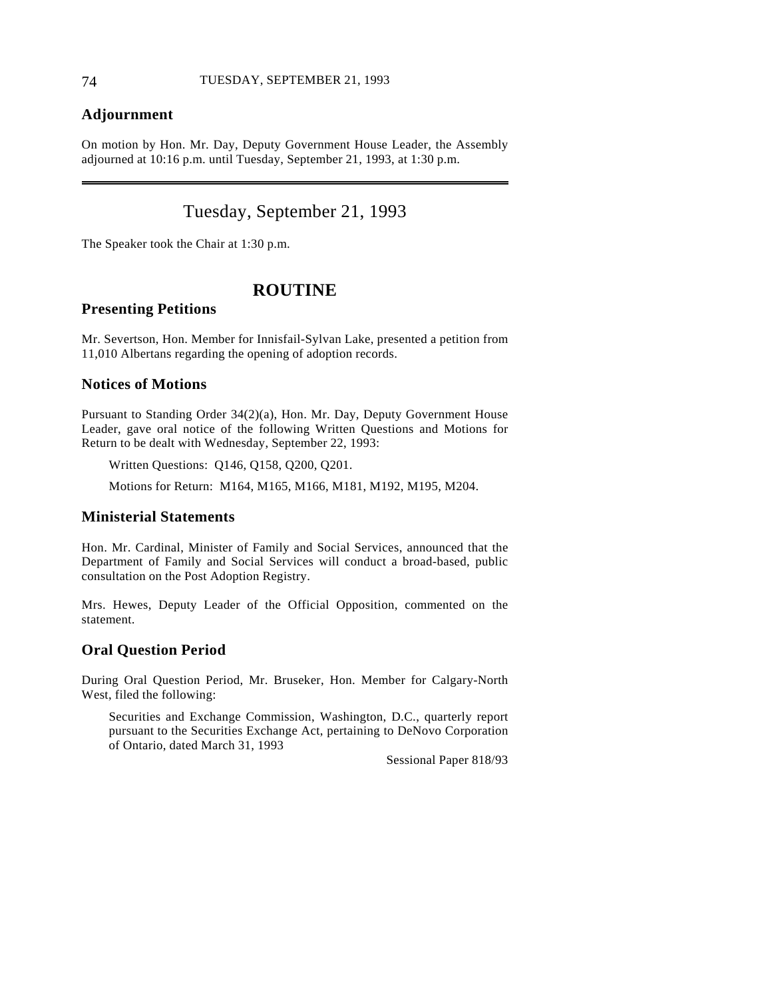### **Adjournment**

On motion by Hon. Mr. Day, Deputy Government House Leader, the Assembly adjourned at 10:16 p.m. until Tuesday, September 21, 1993, at 1:30 p.m.

# Tuesday, September 21, 1993

The Speaker took the Chair at 1:30 p.m.

### **ROUTINE**

#### **Presenting Petitions**

Mr. Severtson, Hon. Member for Innisfail-Sylvan Lake, presented a petition from 11,010 Albertans regarding the opening of adoption records.

#### **Notices of Motions**

Pursuant to Standing Order 34(2)(a), Hon. Mr. Day, Deputy Government House Leader, gave oral notice of the following Written Questions and Motions for Return to be dealt with Wednesday, September 22, 1993:

Written Questions: Q146, Q158, Q200, Q201.

Motions for Return: M164, M165, M166, M181, M192, M195, M204.

### **Ministerial Statements**

Hon. Mr. Cardinal, Minister of Family and Social Services, announced that the Department of Family and Social Services will conduct a broad-based, public consultation on the Post Adoption Registry.

Mrs. Hewes, Deputy Leader of the Official Opposition, commented on the statement.

#### **Oral Question Period**

During Oral Question Period, Mr. Bruseker, Hon. Member for Calgary-North West, filed the following:

Securities and Exchange Commission, Washington, D.C., quarterly report pursuant to the Securities Exchange Act, pertaining to DeNovo Corporation of Ontario, dated March 31, 1993

Sessional Paper 818/93

 $\overline{a}$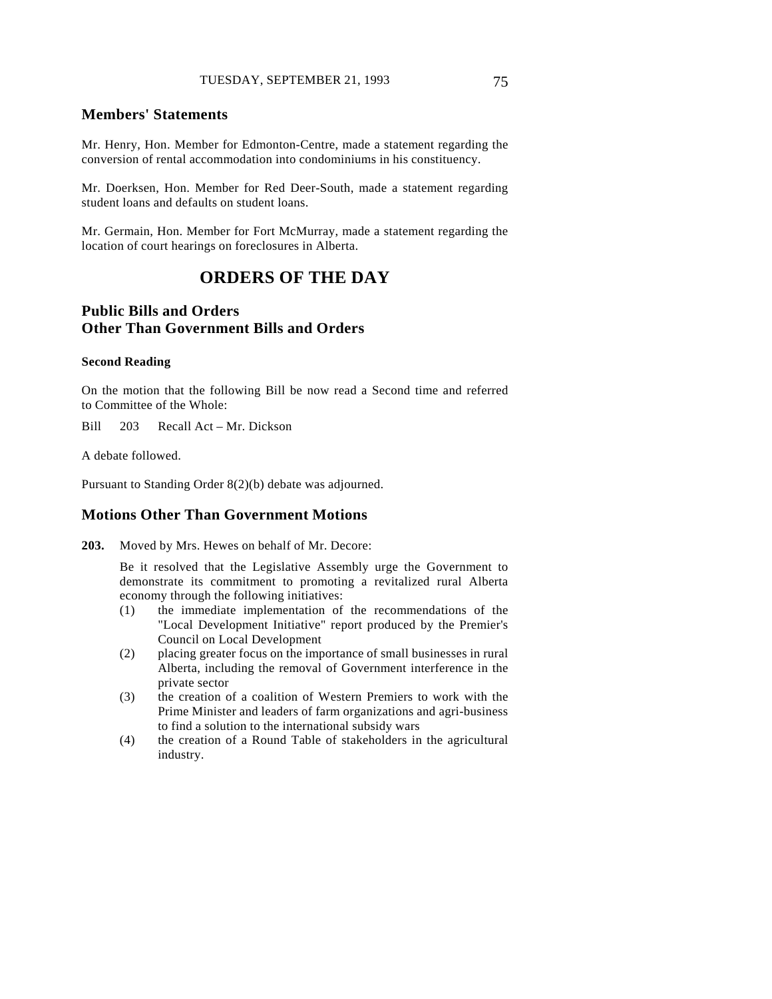#### **Members' Statements**

Mr. Henry, Hon. Member for Edmonton-Centre, made a statement regarding the conversion of rental accommodation into condominiums in his constituency.

Mr. Doerksen, Hon. Member for Red Deer-South, made a statement regarding student loans and defaults on student loans.

Mr. Germain, Hon. Member for Fort McMurray, made a statement regarding the location of court hearings on foreclosures in Alberta.

# **ORDERS OF THE DAY**

### **Public Bills and Orders Other Than Government Bills and Orders**

#### **Second Reading**

On the motion that the following Bill be now read a Second time and referred to Committee of the Whole:

Bill 203 Recall Act – Mr. Dickson

A debate followed.

Pursuant to Standing Order 8(2)(b) debate was adjourned.

### **Motions Other Than Government Motions**

**203.** Moved by Mrs. Hewes on behalf of Mr. Decore:

Be it resolved that the Legislative Assembly urge the Government to demonstrate its commitment to promoting a revitalized rural Alberta economy through the following initiatives:

- (1) the immediate implementation of the recommendations of the "Local Development Initiative" report produced by the Premier's Council on Local Development
- (2) placing greater focus on the importance of small businesses in rural Alberta, including the removal of Government interference in the private sector
- (3) the creation of a coalition of Western Premiers to work with the Prime Minister and leaders of farm organizations and agri-business to find a solution to the international subsidy wars
- (4) the creation of a Round Table of stakeholders in the agricultural industry.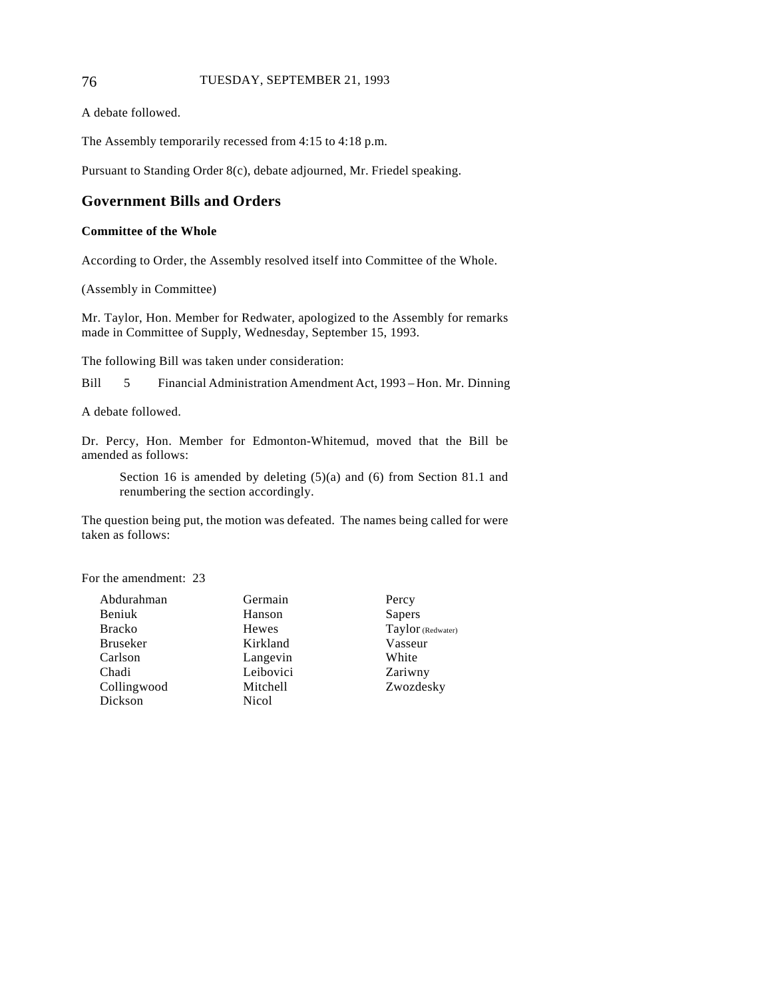#### 76 TUESDAY, SEPTEMBER 21, 1993

A debate followed.

The Assembly temporarily recessed from 4:15 to 4:18 p.m.

Pursuant to Standing Order 8(c), debate adjourned, Mr. Friedel speaking.

# **Government Bills and Orders**

#### **Committee of the Whole**

According to Order, the Assembly resolved itself into Committee of the Whole.

(Assembly in Committee)

Mr. Taylor, Hon. Member for Redwater, apologized to the Assembly for remarks made in Committee of Supply, Wednesday, September 15, 1993.

The following Bill was taken under consideration:

Bill 5 Financial Administration Amendment Act, 1993 – Hon. Mr. Dinning

A debate followed.

Dr. Percy, Hon. Member for Edmonton-Whitemud, moved that the Bill be amended as follows:

Section 16 is amended by deleting (5)(a) and (6) from Section 81.1 and renumbering the section accordingly.

The question being put, the motion was defeated. The names being called for were taken as follows:

For the amendment: 23

Abdurahman Beniuk Bracko Bruseker Carlson Chadi Collingwood Dickson

Germain Hanson Hewes Kirkland Langevin Leibovici Mitchell Nicol

**Percy** Sapers Taylor (Redwater) Vasseur White Zariwny Zwozdesky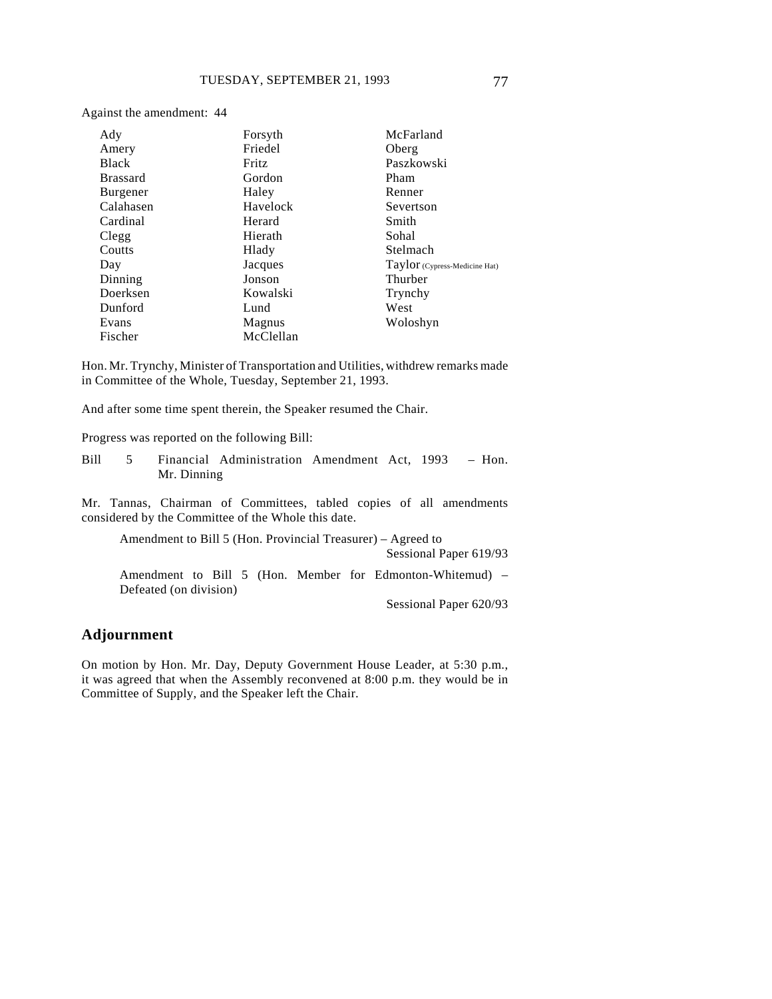| Ady             | Forsyth   | McFarland                     |
|-----------------|-----------|-------------------------------|
| Amery           | Friedel   | Oberg                         |
| <b>Black</b>    | Fritz     | Paszkowski                    |
| <b>Brassard</b> | Gordon    | Pham                          |
| <b>Burgener</b> | Haley     | Renner                        |
| Calahasen       | Havelock  | Severtson                     |
| Cardinal        | Herard    | Smith                         |
| Clegg           | Hierath   | Sohal                         |
| Coutts          | Hlady     | Stelmach                      |
| Day             | Jacques   | Taylor (Cypress-Medicine Hat) |
| Dinning         | Jonson    | Thurber                       |
| Doerksen        | Kowalski  | Trynchy                       |
| Dunford         | Lund      | West                          |
| Evans           | Magnus    | Woloshyn                      |
| Fischer         | McClellan |                               |

Hon. Mr. Trynchy, Minister of Transportation and Utilities, withdrew remarks made in Committee of the Whole, Tuesday, September 21, 1993.

And after some time spent therein, the Speaker resumed the Chair.

Progress was reported on the following Bill:

Against the amendment: 44

Bill 5 Financial Administration Amendment Act, 1993 – Hon. Mr. Dinning

Mr. Tannas, Chairman of Committees, tabled copies of all amendments considered by the Committee of the Whole this date.

Amendment to Bill 5 (Hon. Provincial Treasurer) – Agreed to

Sessional Paper 619/93

Amendment to Bill 5 (Hon. Member for Edmonton-Whitemud) – Defeated (on division)

Sessional Paper 620/93

### **Adjournment**

On motion by Hon. Mr. Day, Deputy Government House Leader, at 5:30 p.m., it was agreed that when the Assembly reconvened at 8:00 p.m. they would be in Committee of Supply, and the Speaker left the Chair.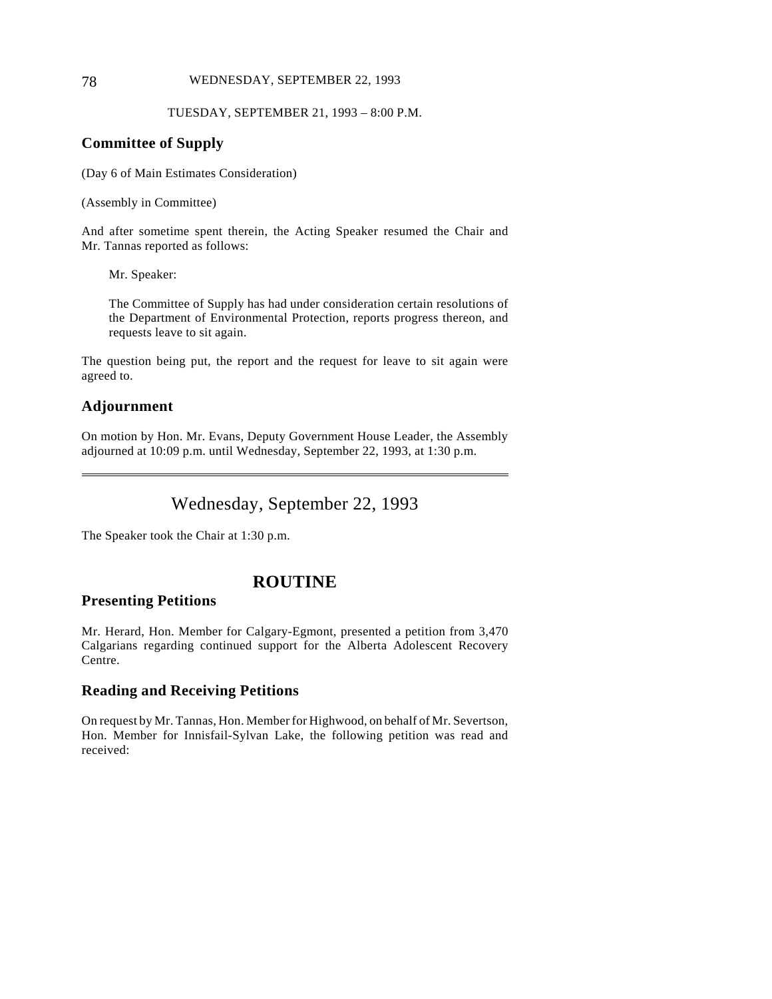#### 78 WEDNESDAY, SEPTEMBER 22, 1993

#### TUESDAY, SEPTEMBER 21, 1993 – 8:00 P.M.

### **Committee of Supply**

(Day 6 of Main Estimates Consideration)

(Assembly in Committee)

And after sometime spent therein, the Acting Speaker resumed the Chair and Mr. Tannas reported as follows:

Mr. Speaker:

The Committee of Supply has had under consideration certain resolutions of the Department of Environmental Protection, reports progress thereon, and requests leave to sit again.

The question being put, the report and the request for leave to sit again were agreed to.

### **Adjournment**

 $\overline{a}$ 

On motion by Hon. Mr. Evans, Deputy Government House Leader, the Assembly adjourned at 10:09 p.m. until Wednesday, September 22, 1993, at 1:30 p.m.

# Wednesday, September 22, 1993

The Speaker took the Chair at 1:30 p.m.

# **ROUTINE**

### **Presenting Petitions**

Mr. Herard, Hon. Member for Calgary-Egmont, presented a petition from 3,470 Calgarians regarding continued support for the Alberta Adolescent Recovery Centre.

### **Reading and Receiving Petitions**

On request by Mr. Tannas, Hon. Member for Highwood, on behalf of Mr. Severtson, Hon. Member for Innisfail-Sylvan Lake, the following petition was read and received: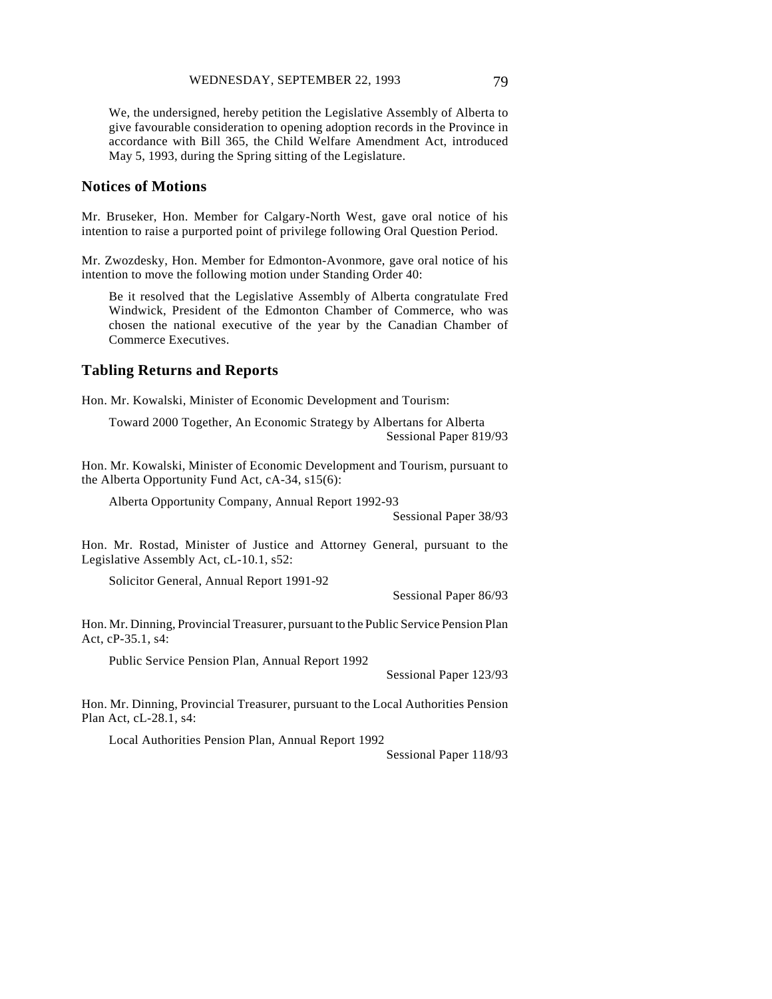We, the undersigned, hereby petition the Legislative Assembly of Alberta to give favourable consideration to opening adoption records in the Province in accordance with Bill 365, the Child Welfare Amendment Act, introduced May 5, 1993, during the Spring sitting of the Legislature.

### **Notices of Motions**

Mr. Bruseker, Hon. Member for Calgary-North West, gave oral notice of his intention to raise a purported point of privilege following Oral Question Period.

Mr. Zwozdesky, Hon. Member for Edmonton-Avonmore, gave oral notice of his intention to move the following motion under Standing Order 40:

Be it resolved that the Legislative Assembly of Alberta congratulate Fred Windwick, President of the Edmonton Chamber of Commerce, who was chosen the national executive of the year by the Canadian Chamber of Commerce Executives.

#### **Tabling Returns and Reports**

Hon. Mr. Kowalski, Minister of Economic Development and Tourism:

Toward 2000 Together, An Economic Strategy by Albertans for Alberta Sessional Paper 819/93

Hon. Mr. Kowalski, Minister of Economic Development and Tourism, pursuant to the Alberta Opportunity Fund Act, cA-34, s15(6):

Alberta Opportunity Company, Annual Report 1992-93

Sessional Paper 38/93

Hon. Mr. Rostad, Minister of Justice and Attorney General, pursuant to the Legislative Assembly Act, cL-10.1, s52:

Solicitor General, Annual Report 1991-92

Sessional Paper 86/93

Hon. Mr. Dinning, Provincial Treasurer, pursuant to the Public Service Pension Plan Act, cP-35.1, s4:

Public Service Pension Plan, Annual Report 1992

Sessional Paper 123/93

Hon. Mr. Dinning, Provincial Treasurer, pursuant to the Local Authorities Pension Plan Act, cL-28.1, s4:

Local Authorities Pension Plan, Annual Report 1992

Sessional Paper 118/93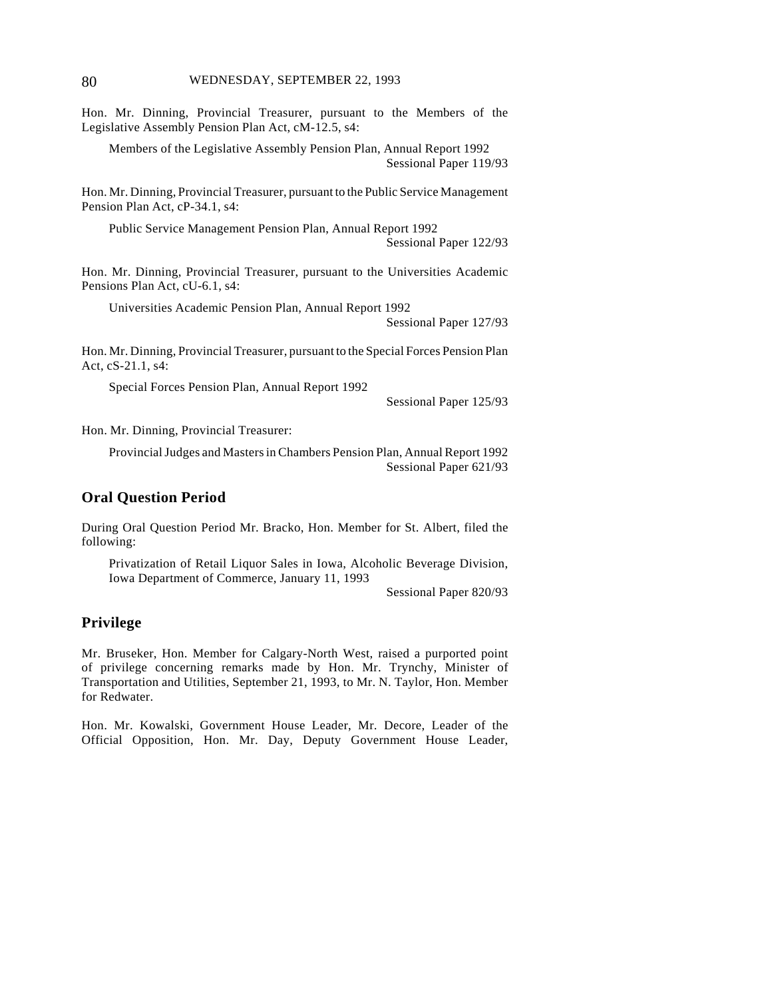Hon. Mr. Dinning, Provincial Treasurer, pursuant to the Members of the Legislative Assembly Pension Plan Act, cM-12.5, s4:

Members of the Legislative Assembly Pension Plan, Annual Report 1992 Sessional Paper 119/93

Hon. Mr. Dinning, Provincial Treasurer, pursuant to the Public Service Management Pension Plan Act, cP-34.1, s4:

Public Service Management Pension Plan, Annual Report 1992 Sessional Paper 122/93

Hon. Mr. Dinning, Provincial Treasurer, pursuant to the Universities Academic Pensions Plan Act, cU-6.1, s4:

Universities Academic Pension Plan, Annual Report 1992

Sessional Paper 127/93

Hon. Mr. Dinning, Provincial Treasurer, pursuant to the Special Forces Pension Plan Act, cS-21.1, s4:

Special Forces Pension Plan, Annual Report 1992

Sessional Paper 125/93

Hon. Mr. Dinning, Provincial Treasurer:

Provincial Judges and Masters in Chambers Pension Plan, Annual Report 1992 Sessional Paper 621/93

### **Oral Question Period**

During Oral Question Period Mr. Bracko, Hon. Member for St. Albert, filed the following:

Privatization of Retail Liquor Sales in Iowa, Alcoholic Beverage Division, Iowa Department of Commerce, January 11, 1993

Sessional Paper 820/93

### **Privilege**

Mr. Bruseker, Hon. Member for Calgary-North West, raised a purported point of privilege concerning remarks made by Hon. Mr. Trynchy, Minister of Transportation and Utilities, September 21, 1993, to Mr. N. Taylor, Hon. Member for Redwater.

Hon. Mr. Kowalski, Government House Leader, Mr. Decore, Leader of the Official Opposition, Hon. Mr. Day, Deputy Government House Leader,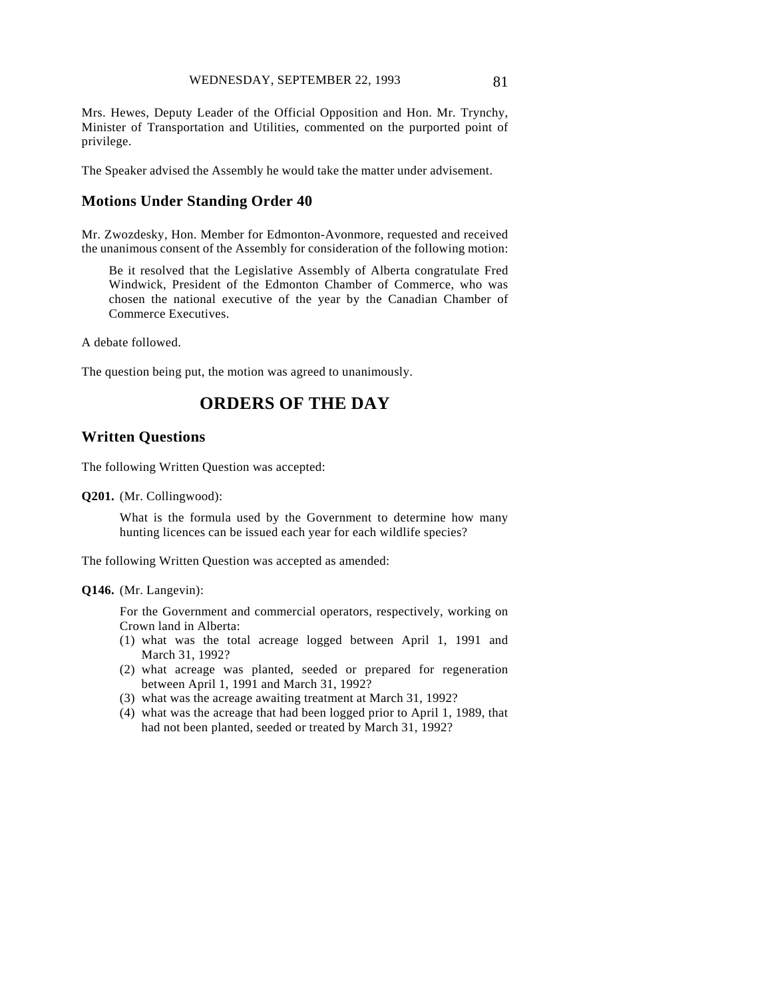Mrs. Hewes, Deputy Leader of the Official Opposition and Hon. Mr. Trynchy, Minister of Transportation and Utilities, commented on the purported point of privilege.

The Speaker advised the Assembly he would take the matter under advisement.

### **Motions Under Standing Order 40**

Mr. Zwozdesky, Hon. Member for Edmonton-Avonmore, requested and received the unanimous consent of the Assembly for consideration of the following motion:

Be it resolved that the Legislative Assembly of Alberta congratulate Fred Windwick, President of the Edmonton Chamber of Commerce, who was chosen the national executive of the year by the Canadian Chamber of Commerce Executives.

A debate followed.

The question being put, the motion was agreed to unanimously.

# **ORDERS OF THE DAY**

### **Written Questions**

The following Written Question was accepted:

**Q201.** (Mr. Collingwood):

What is the formula used by the Government to determine how many hunting licences can be issued each year for each wildlife species?

The following Written Question was accepted as amended:

#### **Q146.** (Mr. Langevin):

For the Government and commercial operators, respectively, working on Crown land in Alberta:

- (1) what was the total acreage logged between April 1, 1991 and March 31, 1992?
- (2) what acreage was planted, seeded or prepared for regeneration between April 1, 1991 and March 31, 1992?
- (3) what was the acreage awaiting treatment at March 31, 1992?
- (4) what was the acreage that had been logged prior to April 1, 1989, that had not been planted, seeded or treated by March 31, 1992?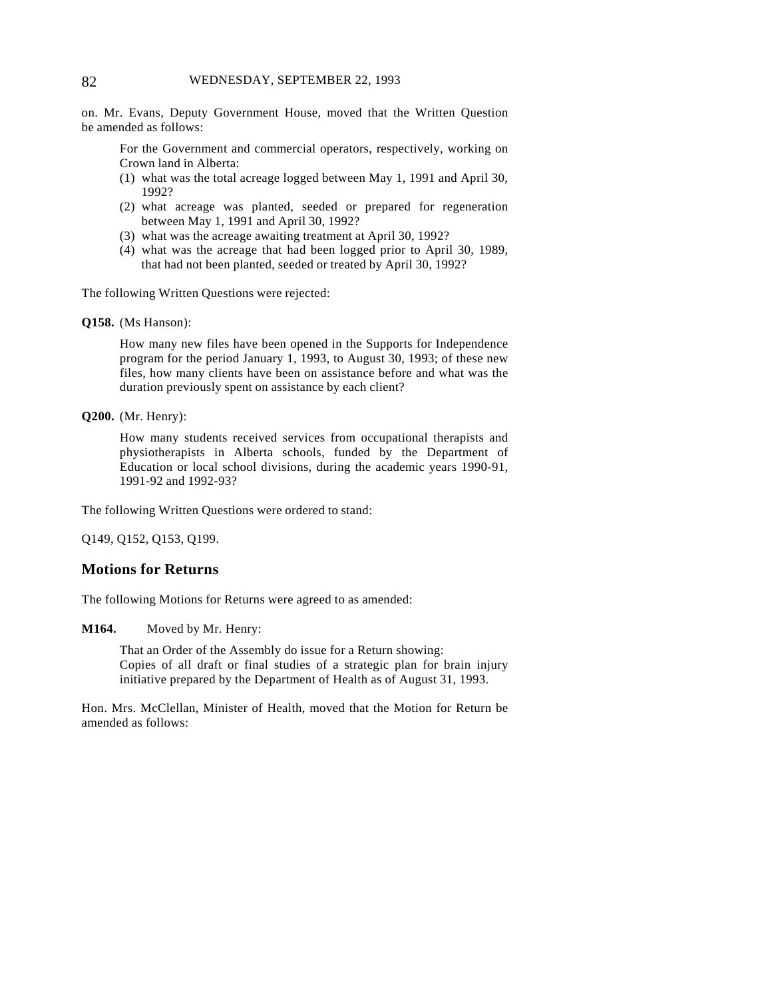on. Mr. Evans, Deputy Government House, moved that the Written Question be amended as follows:

For the Government and commercial operators, respectively, working on Crown land in Alberta:

- (1) what was the total acreage logged between May 1, 1991 and April 30, 1992?
- (2) what acreage was planted, seeded or prepared for regeneration between May 1, 1991 and April 30, 1992?
- (3) what was the acreage awaiting treatment at April 30, 1992?
- (4) what was the acreage that had been logged prior to April 30, 1989, that had not been planted, seeded or treated by April 30, 1992?

The following Written Questions were rejected:

#### **Q158.** (Ms Hanson):

How many new files have been opened in the Supports for Independence program for the period January 1, 1993, to August 30, 1993; of these new files, how many clients have been on assistance before and what was the duration previously spent on assistance by each client?

#### **Q200.** (Mr. Henry):

How many students received services from occupational therapists and physiotherapists in Alberta schools, funded by the Department of Education or local school divisions, during the academic years 1990-91, 1991-92 and 1992-93?

The following Written Questions were ordered to stand:

Q149, Q152, Q153, Q199.

#### **Motions for Returns**

The following Motions for Returns were agreed to as amended:

#### **M164.** Moved by Mr. Henry:

That an Order of the Assembly do issue for a Return showing: Copies of all draft or final studies of a strategic plan for brain injury initiative prepared by the Department of Health as of August 31, 1993.

Hon. Mrs. McClellan, Minister of Health, moved that the Motion for Return be amended as follows: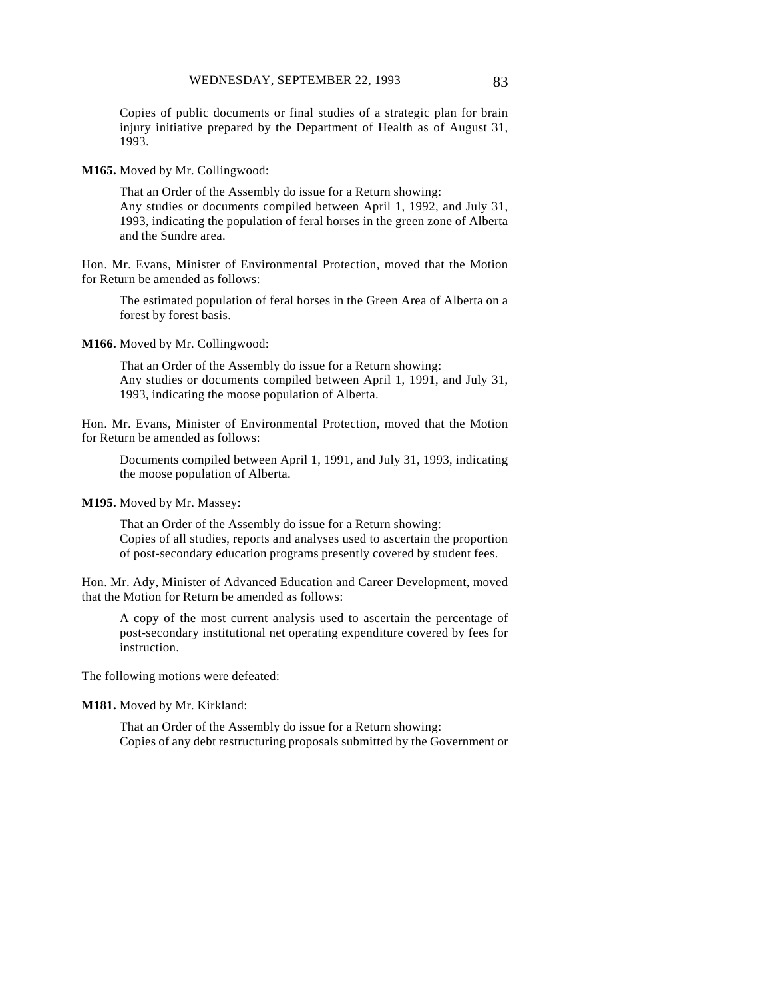Copies of public documents or final studies of a strategic plan for brain injury initiative prepared by the Department of Health as of August 31, 1993.

**M165.** Moved by Mr. Collingwood:

That an Order of the Assembly do issue for a Return showing: Any studies or documents compiled between April 1, 1992, and July 31, 1993, indicating the population of feral horses in the green zone of Alberta and the Sundre area.

Hon. Mr. Evans, Minister of Environmental Protection, moved that the Motion for Return be amended as follows:

The estimated population of feral horses in the Green Area of Alberta on a forest by forest basis.

**M166.** Moved by Mr. Collingwood:

That an Order of the Assembly do issue for a Return showing: Any studies or documents compiled between April 1, 1991, and July 31, 1993, indicating the moose population of Alberta.

Hon. Mr. Evans, Minister of Environmental Protection, moved that the Motion for Return be amended as follows:

Documents compiled between April 1, 1991, and July 31, 1993, indicating the moose population of Alberta.

**M195.** Moved by Mr. Massey:

That an Order of the Assembly do issue for a Return showing: Copies of all studies, reports and analyses used to ascertain the proportion of post-secondary education programs presently covered by student fees.

Hon. Mr. Ady, Minister of Advanced Education and Career Development, moved that the Motion for Return be amended as follows:

A copy of the most current analysis used to ascertain the percentage of post-secondary institutional net operating expenditure covered by fees for instruction.

The following motions were defeated:

**M181.** Moved by Mr. Kirkland:

That an Order of the Assembly do issue for a Return showing: Copies of any debt restructuring proposals submitted by the Government or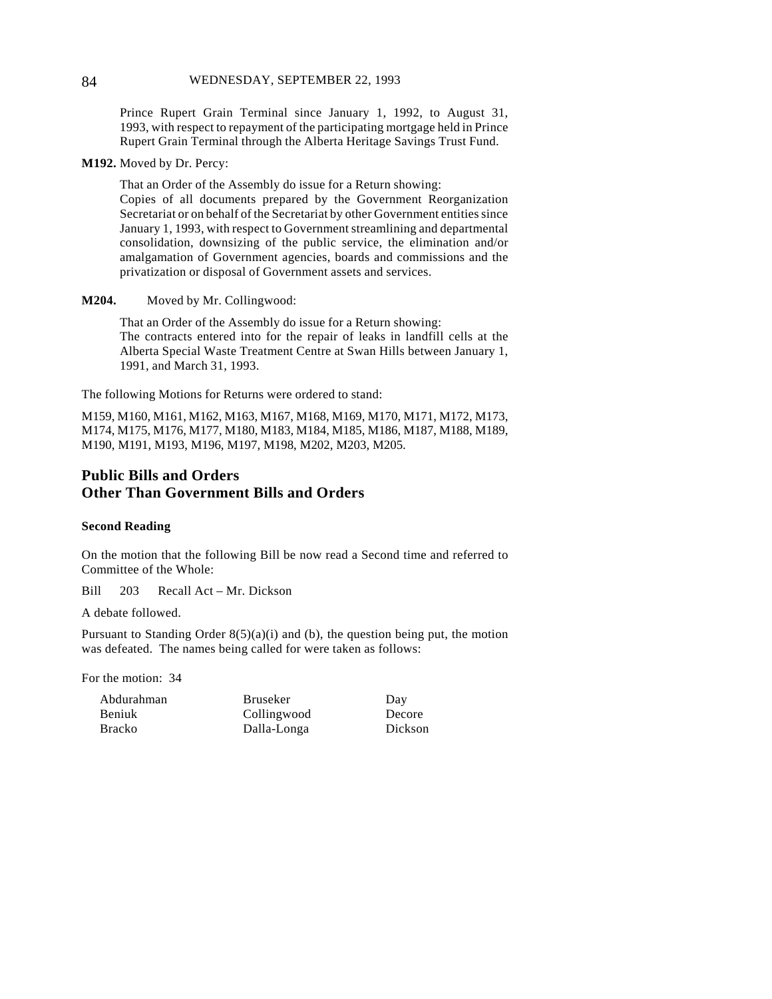#### 84 WEDNESDAY, SEPTEMBER 22, 1993

Prince Rupert Grain Terminal since January 1, 1992, to August 31, 1993, with respect to repayment of the participating mortgage held in Prince Rupert Grain Terminal through the Alberta Heritage Savings Trust Fund.

**M192.** Moved by Dr. Percy:

That an Order of the Assembly do issue for a Return showing: Copies of all documents prepared by the Government Reorganization Secretariat or on behalf of the Secretariat by other Government entities since January 1, 1993, with respect to Government streamlining and departmental consolidation, downsizing of the public service, the elimination and/or amalgamation of Government agencies, boards and commissions and the privatization or disposal of Government assets and services.

**M204.** Moved by Mr. Collingwood:

That an Order of the Assembly do issue for a Return showing: The contracts entered into for the repair of leaks in landfill cells at the Alberta Special Waste Treatment Centre at Swan Hills between January 1, 1991, and March 31, 1993.

The following Motions for Returns were ordered to stand:

M159, M160, M161, M162, M163, M167, M168, M169, M170, M171, M172, M173, M174, M175, M176, M177, M180, M183, M184, M185, M186, M187, M188, M189, M190, M191, M193, M196, M197, M198, M202, M203, M205.

# **Public Bills and Orders Other Than Government Bills and Orders**

#### **Second Reading**

On the motion that the following Bill be now read a Second time and referred to Committee of the Whole:

Bill 203 Recall Act – Mr. Dickson

A debate followed.

Pursuant to Standing Order  $8(5)(a)(i)$  and (b), the question being put, the motion was defeated. The names being called for were taken as follows:

For the motion: 34

| Abdurahman |  |
|------------|--|
| Beniuk     |  |
| Bracko     |  |

Bruseker Collingwood Dalla-Longa

Day Decore Dickson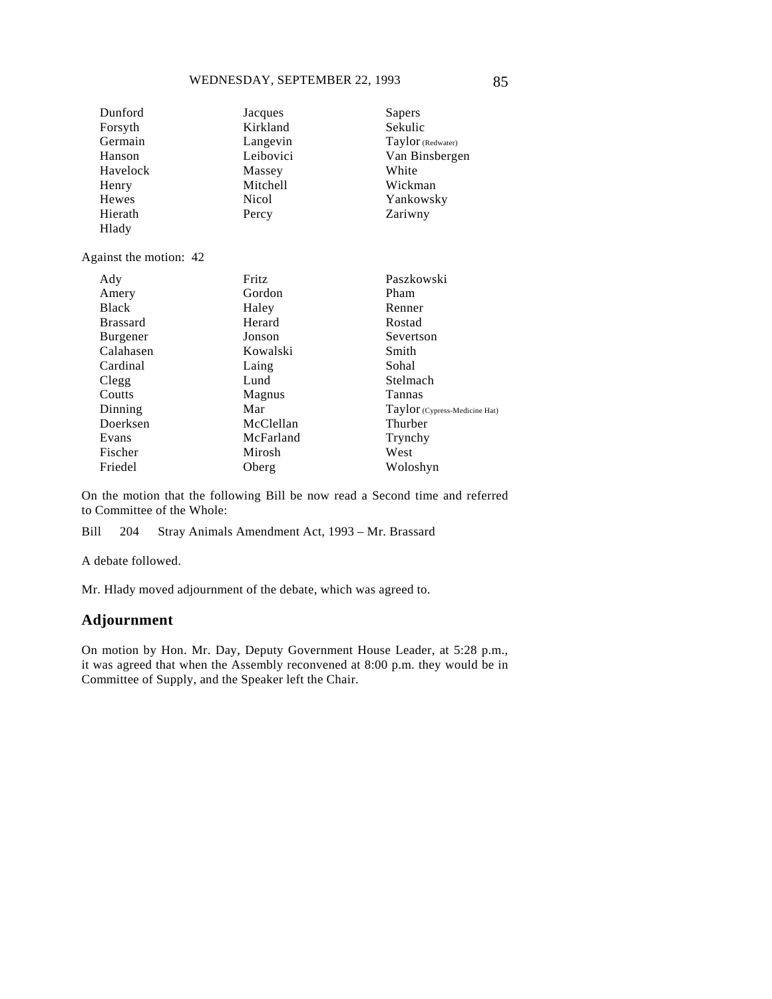| Dunford                | Jacques   | Sapers                        |
|------------------------|-----------|-------------------------------|
| Forsyth                | Kirkland  | Sekulic                       |
| Germain                | Langevin  | Taylor (Redwater)             |
| Hanson                 | Leibovici | Van Binsbergen                |
| Havelock               | Massey    | White                         |
| Henry                  | Mitchell  | Wickman                       |
| <b>Hewes</b>           | Nicol     | Yankowsky                     |
| Hierath                | Percy     | Zariwny                       |
| Hlady                  |           |                               |
| Against the motion: 42 |           |                               |
| Ady                    | Fritz     | Paszkowski                    |
| Amery                  | Gordon    | Pham                          |
| <b>Black</b>           | Haley     | Renner                        |
| <b>Brassard</b>        | Herard    | Rostad                        |
| Burgener               | Jonson    | Severtson                     |
| Calahasen              | Kowalski  | Smith                         |
| Cardinal               | Laing     | Sohal                         |
| Clegg                  | Lund      | Stelmach                      |
| Coutts                 | Magnus    | Tannas                        |
| Dinning                | Mar       | Taylor (Cypress-Medicine Hat) |
| Doerksen               | McClellan | Thurber                       |
| Evans                  | McFarland | Trynchy                       |

On the motion that the following Bill be now read a Second time and referred to Committee of the Whole:

West Woloshyn

Bill 204 Stray Animals Amendment Act, 1993 – Mr. Brassard

Mirosh Oberg

A debate followed.

Fischer Friedel

Mr. Hlady moved adjournment of the debate, which was agreed to.

# **Adjournment**

On motion by Hon. Mr. Day, Deputy Government House Leader, at 5:28 p.m., it was agreed that when the Assembly reconvened at 8:00 p.m. they would be in Committee of Supply, and the Speaker left the Chair.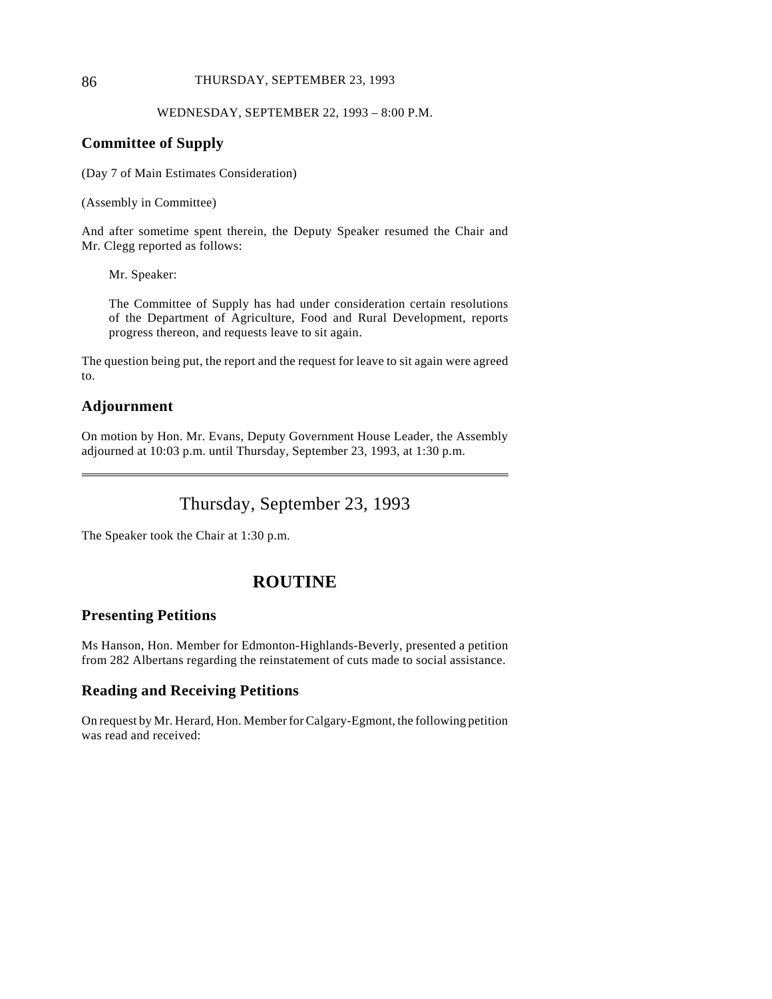#### 86 THURSDAY, SEPTEMBER 23, 1993

#### WEDNESDAY, SEPTEMBER 22, 1993 – 8:00 P.M.

### **Committee of Supply**

(Day 7 of Main Estimates Consideration)

(Assembly in Committee)

And after sometime spent therein, the Deputy Speaker resumed the Chair and Mr. Clegg reported as follows:

Mr. Speaker:

The Committee of Supply has had under consideration certain resolutions of the Department of Agriculture, Food and Rural Development, reports progress thereon, and requests leave to sit again.

The question being put, the report and the request for leave to sit again were agreed to.

### **Adjournment**

 $\overline{a}$ 

On motion by Hon. Mr. Evans, Deputy Government House Leader, the Assembly adjourned at 10:03 p.m. until Thursday, September 23, 1993, at 1:30 p.m.

# Thursday, September 23, 1993

The Speaker took the Chair at 1:30 p.m.

# **ROUTINE**

#### **Presenting Petitions**

Ms Hanson, Hon. Member for Edmonton-Highlands-Beverly, presented a petition from 282 Albertans regarding the reinstatement of cuts made to social assistance.

# **Reading and Receiving Petitions**

On request by Mr. Herard, Hon. Member for Calgary-Egmont, the following petition was read and received: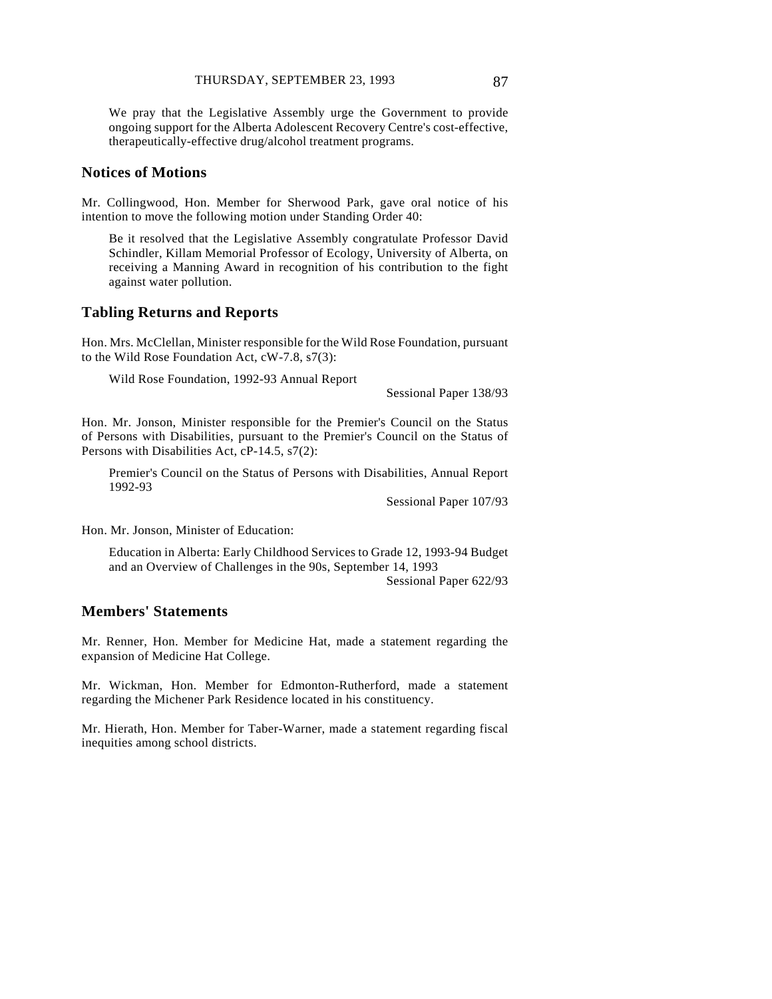We pray that the Legislative Assembly urge the Government to provide ongoing support for the Alberta Adolescent Recovery Centre's cost-effective, therapeutically-effective drug/alcohol treatment programs.

#### **Notices of Motions**

Mr. Collingwood, Hon. Member for Sherwood Park, gave oral notice of his intention to move the following motion under Standing Order 40:

Be it resolved that the Legislative Assembly congratulate Professor David Schindler, Killam Memorial Professor of Ecology, University of Alberta, on receiving a Manning Award in recognition of his contribution to the fight against water pollution.

#### **Tabling Returns and Reports**

Hon. Mrs. McClellan, Minister responsible for the Wild Rose Foundation, pursuant to the Wild Rose Foundation Act, cW-7.8, s7(3):

Wild Rose Foundation, 1992-93 Annual Report

Sessional Paper 138/93

Hon. Mr. Jonson, Minister responsible for the Premier's Council on the Status of Persons with Disabilities, pursuant to the Premier's Council on the Status of Persons with Disabilities Act, cP-14.5, s7(2):

Premier's Council on the Status of Persons with Disabilities, Annual Report 1992-93

Sessional Paper 107/93

Hon. Mr. Jonson, Minister of Education:

Education in Alberta: Early Childhood Services to Grade 12, 1993-94 Budget and an Overview of Challenges in the 90s, September 14, 1993

Sessional Paper 622/93

### **Members' Statements**

Mr. Renner, Hon. Member for Medicine Hat, made a statement regarding the expansion of Medicine Hat College.

Mr. Wickman, Hon. Member for Edmonton-Rutherford, made a statement regarding the Michener Park Residence located in his constituency.

Mr. Hierath, Hon. Member for Taber-Warner, made a statement regarding fiscal inequities among school districts.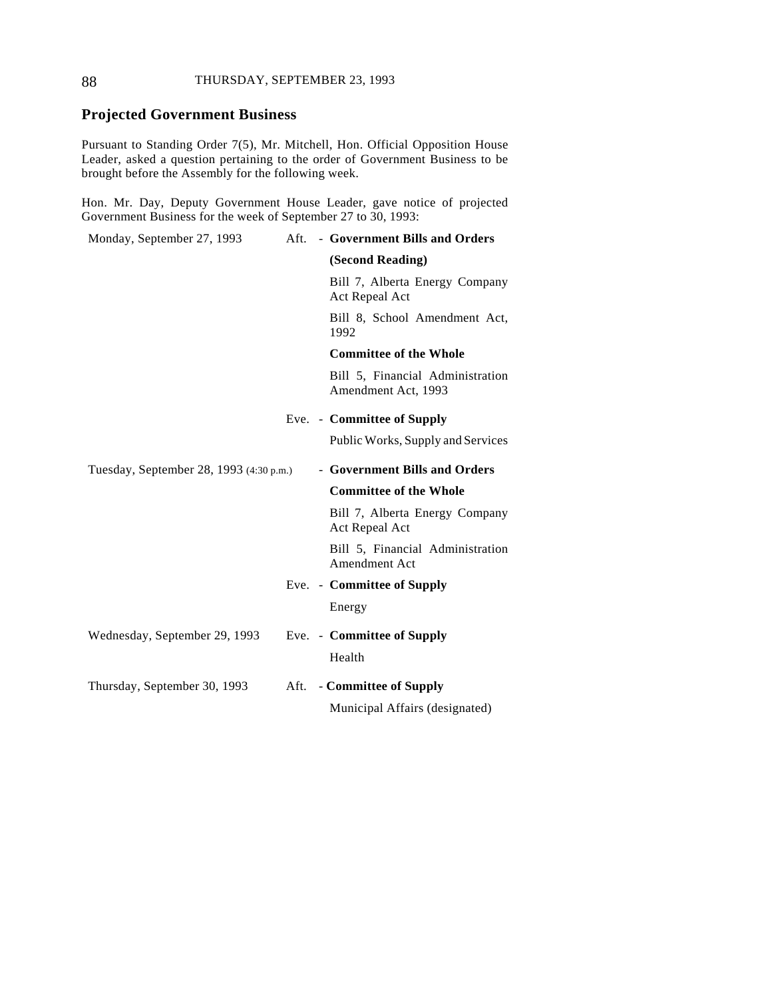### 88 THURSDAY, SEPTEMBER 23, 1993

# **Projected Government Business**

Pursuant to Standing Order 7(5), Mr. Mitchell, Hon. Official Opposition House Leader, asked a question pertaining to the order of Government Business to be brought before the Assembly for the following week.

Hon. Mr. Day, Deputy Government House Leader, gave notice of projected Government Business for the week of September 27 to 30, 1993:

| Monday, September 27, 1993              | Aft. | - Government Bills and Orders                           |
|-----------------------------------------|------|---------------------------------------------------------|
|                                         |      | (Second Reading)                                        |
|                                         |      | Bill 7, Alberta Energy Company<br>Act Repeal Act        |
|                                         |      | Bill 8, School Amendment Act,<br>1992                   |
|                                         |      | <b>Committee of the Whole</b>                           |
|                                         |      | Bill 5, Financial Administration<br>Amendment Act, 1993 |
|                                         |      | Eve. - Committee of Supply                              |
|                                         |      | Public Works, Supply and Services                       |
| Tuesday, September 28, 1993 (4:30 p.m.) |      | - Government Bills and Orders                           |
|                                         |      |                                                         |
|                                         |      | <b>Committee of the Whole</b>                           |
|                                         |      | Bill 7, Alberta Energy Company<br>Act Repeal Act        |
|                                         |      | Bill 5, Financial Administration<br>Amendment Act       |
|                                         |      | Eve. - Committee of Supply                              |
|                                         |      | Energy                                                  |
| Wednesday, September 29, 1993           |      | Eve. - Committee of Supply                              |
|                                         |      | Health                                                  |
| Thursday, September 30, 1993            |      | Aft. - Committee of Supply                              |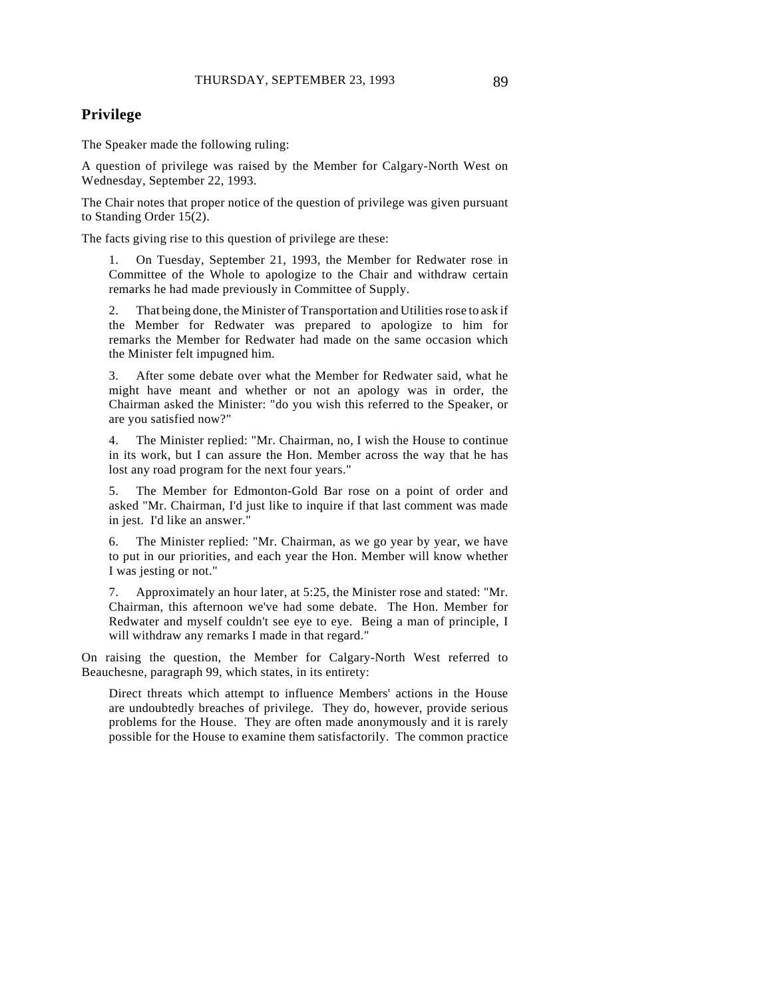### **Privilege**

The Speaker made the following ruling:

A question of privilege was raised by the Member for Calgary-North West on Wednesday, September 22, 1993.

The Chair notes that proper notice of the question of privilege was given pursuant to Standing Order 15(2).

The facts giving rise to this question of privilege are these:

1. On Tuesday, September 21, 1993, the Member for Redwater rose in Committee of the Whole to apologize to the Chair and withdraw certain remarks he had made previously in Committee of Supply.

2. That being done, the Minister of Transportation and Utilities rose to ask if the Member for Redwater was prepared to apologize to him for remarks the Member for Redwater had made on the same occasion which the Minister felt impugned him.

3. After some debate over what the Member for Redwater said, what he might have meant and whether or not an apology was in order, the Chairman asked the Minister: "do you wish this referred to the Speaker, or are you satisfied now?"

4. The Minister replied: "Mr. Chairman, no, I wish the House to continue in its work, but I can assure the Hon. Member across the way that he has lost any road program for the next four years."

5. The Member for Edmonton-Gold Bar rose on a point of order and asked "Mr. Chairman, I'd just like to inquire if that last comment was made in jest. I'd like an answer."

6. The Minister replied: "Mr. Chairman, as we go year by year, we have to put in our priorities, and each year the Hon. Member will know whether I was jesting or not."

7. Approximately an hour later, at 5:25, the Minister rose and stated: "Mr. Chairman, this afternoon we've had some debate. The Hon. Member for Redwater and myself couldn't see eye to eye. Being a man of principle, I will withdraw any remarks I made in that regard."

On raising the question, the Member for Calgary-North West referred to Beauchesne, paragraph 99, which states, in its entirety:

Direct threats which attempt to influence Members' actions in the House are undoubtedly breaches of privilege. They do, however, provide serious problems for the House. They are often made anonymously and it is rarely possible for the House to examine them satisfactorily. The common practice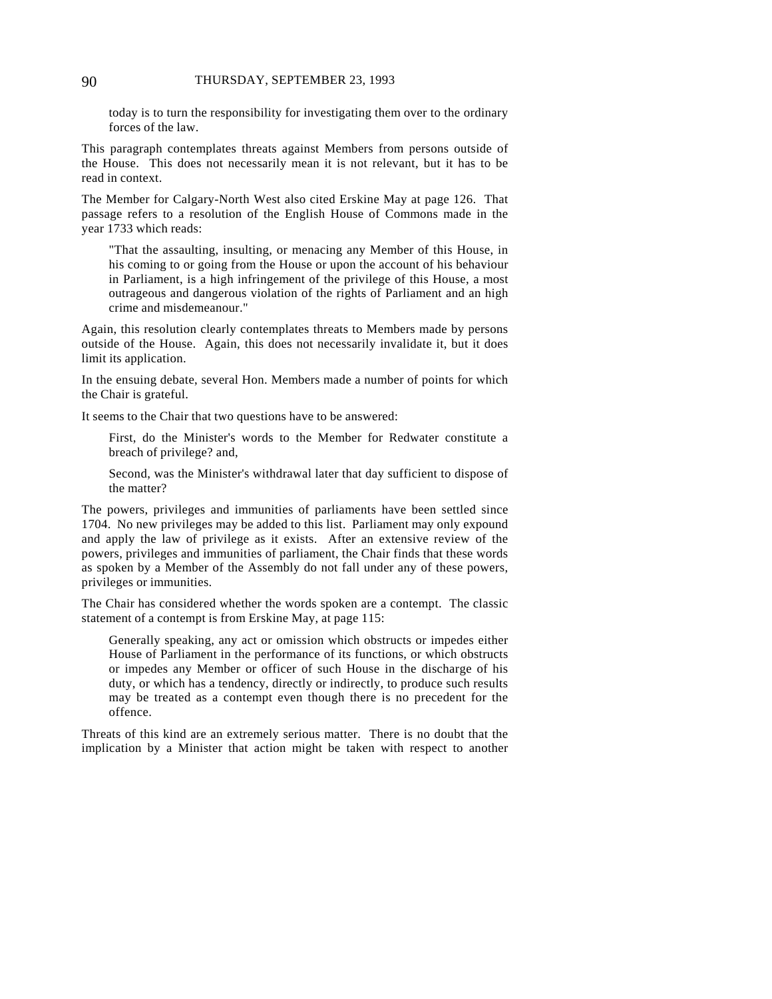today is to turn the responsibility for investigating them over to the ordinary forces of the law.

This paragraph contemplates threats against Members from persons outside of the House. This does not necessarily mean it is not relevant, but it has to be read in context.

The Member for Calgary-North West also cited Erskine May at page 126. That passage refers to a resolution of the English House of Commons made in the year 1733 which reads:

"That the assaulting, insulting, or menacing any Member of this House, in his coming to or going from the House or upon the account of his behaviour in Parliament, is a high infringement of the privilege of this House, a most outrageous and dangerous violation of the rights of Parliament and an high crime and misdemeanour."

Again, this resolution clearly contemplates threats to Members made by persons outside of the House. Again, this does not necessarily invalidate it, but it does limit its application.

In the ensuing debate, several Hon. Members made a number of points for which the Chair is grateful.

It seems to the Chair that two questions have to be answered:

First, do the Minister's words to the Member for Redwater constitute a breach of privilege? and,

Second, was the Minister's withdrawal later that day sufficient to dispose of the matter?

The powers, privileges and immunities of parliaments have been settled since 1704. No new privileges may be added to this list. Parliament may only expound and apply the law of privilege as it exists. After an extensive review of the powers, privileges and immunities of parliament, the Chair finds that these words as spoken by a Member of the Assembly do not fall under any of these powers, privileges or immunities.

The Chair has considered whether the words spoken are a contempt. The classic statement of a contempt is from Erskine May, at page 115:

Generally speaking, any act or omission which obstructs or impedes either House of Parliament in the performance of its functions, or which obstructs or impedes any Member or officer of such House in the discharge of his duty, or which has a tendency, directly or indirectly, to produce such results may be treated as a contempt even though there is no precedent for the offence.

Threats of this kind are an extremely serious matter. There is no doubt that the implication by a Minister that action might be taken with respect to another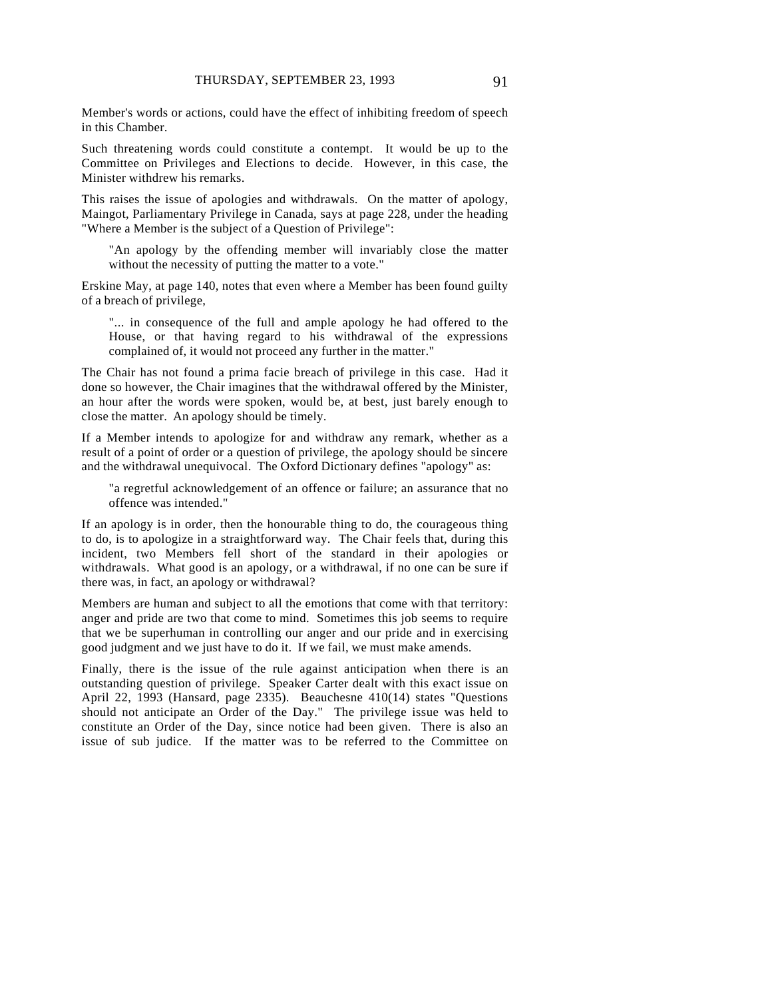Member's words or actions, could have the effect of inhibiting freedom of speech in this Chamber.

Such threatening words could constitute a contempt. It would be up to the Committee on Privileges and Elections to decide. However, in this case, the Minister withdrew his remarks.

This raises the issue of apologies and withdrawals. On the matter of apology, Maingot, Parliamentary Privilege in Canada, says at page 228, under the heading "Where a Member is the subject of a Question of Privilege":

"An apology by the offending member will invariably close the matter without the necessity of putting the matter to a vote."

Erskine May, at page 140, notes that even where a Member has been found guilty of a breach of privilege,

"... in consequence of the full and ample apology he had offered to the House, or that having regard to his withdrawal of the expressions complained of, it would not proceed any further in the matter."

The Chair has not found a prima facie breach of privilege in this case. Had it done so however, the Chair imagines that the withdrawal offered by the Minister, an hour after the words were spoken, would be, at best, just barely enough to close the matter. An apology should be timely.

If a Member intends to apologize for and withdraw any remark, whether as a result of a point of order or a question of privilege, the apology should be sincere and the withdrawal unequivocal. The Oxford Dictionary defines "apology" as:

"a regretful acknowledgement of an offence or failure; an assurance that no offence was intended."

If an apology is in order, then the honourable thing to do, the courageous thing to do, is to apologize in a straightforward way. The Chair feels that, during this incident, two Members fell short of the standard in their apologies or withdrawals. What good is an apology, or a withdrawal, if no one can be sure if there was, in fact, an apology or withdrawal?

Members are human and subject to all the emotions that come with that territory: anger and pride are two that come to mind. Sometimes this job seems to require that we be superhuman in controlling our anger and our pride and in exercising good judgment and we just have to do it. If we fail, we must make amends.

Finally, there is the issue of the rule against anticipation when there is an outstanding question of privilege. Speaker Carter dealt with this exact issue on April 22, 1993 (Hansard, page 2335). Beauchesne 410(14) states "Questions should not anticipate an Order of the Day." The privilege issue was held to constitute an Order of the Day, since notice had been given. There is also an issue of sub judice. If the matter was to be referred to the Committee on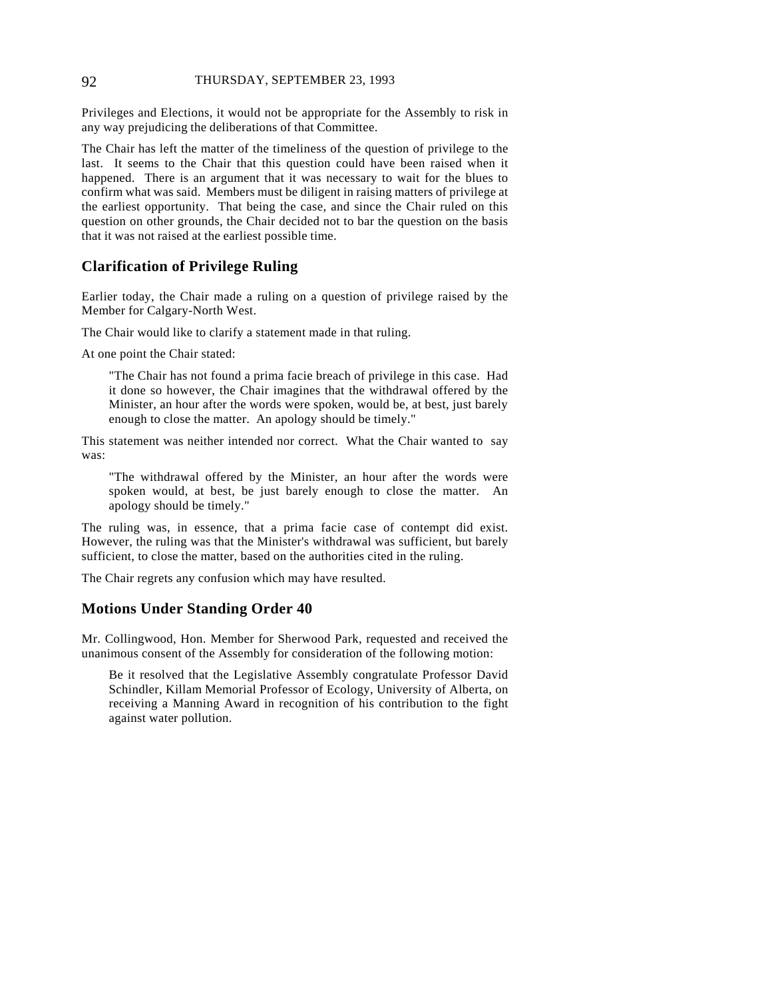#### 92 THURSDAY, SEPTEMBER 23, 1993

Privileges and Elections, it would not be appropriate for the Assembly to risk in any way prejudicing the deliberations of that Committee.

The Chair has left the matter of the timeliness of the question of privilege to the last. It seems to the Chair that this question could have been raised when it happened. There is an argument that it was necessary to wait for the blues to confirm what was said. Members must be diligent in raising matters of privilege at the earliest opportunity. That being the case, and since the Chair ruled on this question on other grounds, the Chair decided not to bar the question on the basis that it was not raised at the earliest possible time.

### **Clarification of Privilege Ruling**

Earlier today, the Chair made a ruling on a question of privilege raised by the Member for Calgary-North West.

The Chair would like to clarify a statement made in that ruling.

At one point the Chair stated:

"The Chair has not found a prima facie breach of privilege in this case. Had it done so however, the Chair imagines that the withdrawal offered by the Minister, an hour after the words were spoken, would be, at best, just barely enough to close the matter. An apology should be timely."

This statement was neither intended nor correct. What the Chair wanted to say was:

"The withdrawal offered by the Minister, an hour after the words were spoken would, at best, be just barely enough to close the matter. An apology should be timely."

The ruling was, in essence, that a prima facie case of contempt did exist. However, the ruling was that the Minister's withdrawal was sufficient, but barely sufficient, to close the matter, based on the authorities cited in the ruling.

The Chair regrets any confusion which may have resulted.

#### **Motions Under Standing Order 40**

Mr. Collingwood, Hon. Member for Sherwood Park, requested and received the unanimous consent of the Assembly for consideration of the following motion:

Be it resolved that the Legislative Assembly congratulate Professor David Schindler, Killam Memorial Professor of Ecology, University of Alberta, on receiving a Manning Award in recognition of his contribution to the fight against water pollution.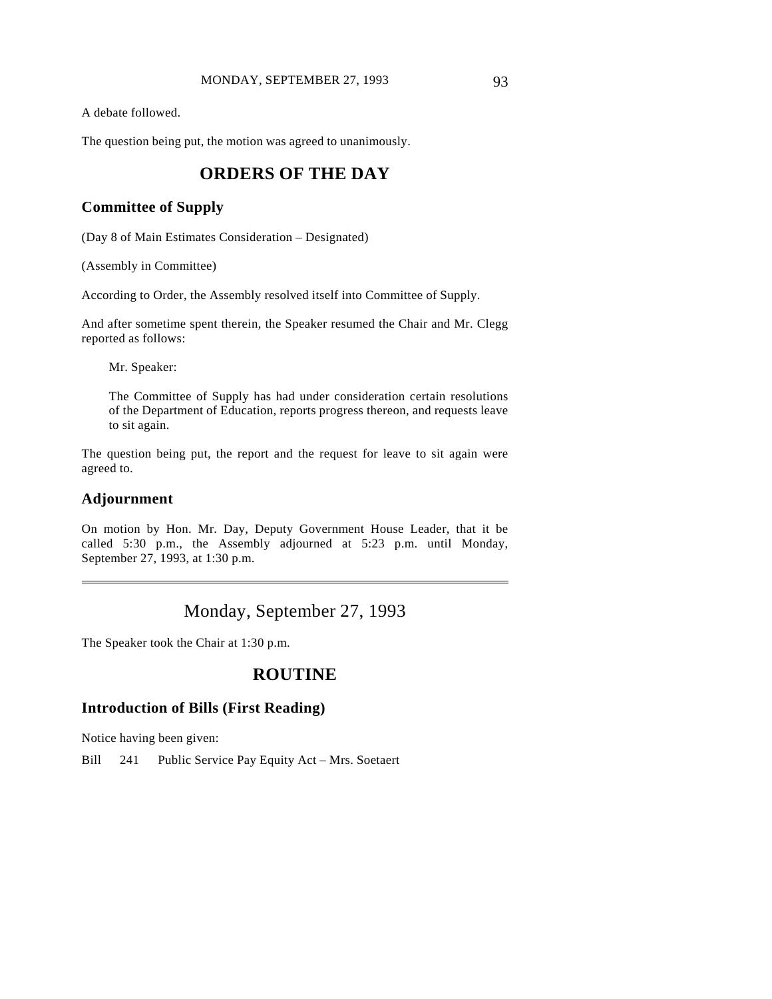A debate followed.

The question being put, the motion was agreed to unanimously.

# **ORDERS OF THE DAY**

### **Committee of Supply**

(Day 8 of Main Estimates Consideration – Designated)

(Assembly in Committee)

According to Order, the Assembly resolved itself into Committee of Supply.

And after sometime spent therein, the Speaker resumed the Chair and Mr. Clegg reported as follows:

Mr. Speaker:

The Committee of Supply has had under consideration certain resolutions of the Department of Education, reports progress thereon, and requests leave to sit again.

The question being put, the report and the request for leave to sit again were agreed to.

### **Adjournment**

 $\overline{a}$ 

On motion by Hon. Mr. Day, Deputy Government House Leader, that it be called 5:30 p.m., the Assembly adjourned at 5:23 p.m. until Monday, September 27, 1993, at 1:30 p.m.

# Monday, September 27, 1993

The Speaker took the Chair at 1:30 p.m.

# **ROUTINE**

### **Introduction of Bills (First Reading)**

Notice having been given:

Bill 241 Public Service Pay Equity Act – Mrs. Soetaert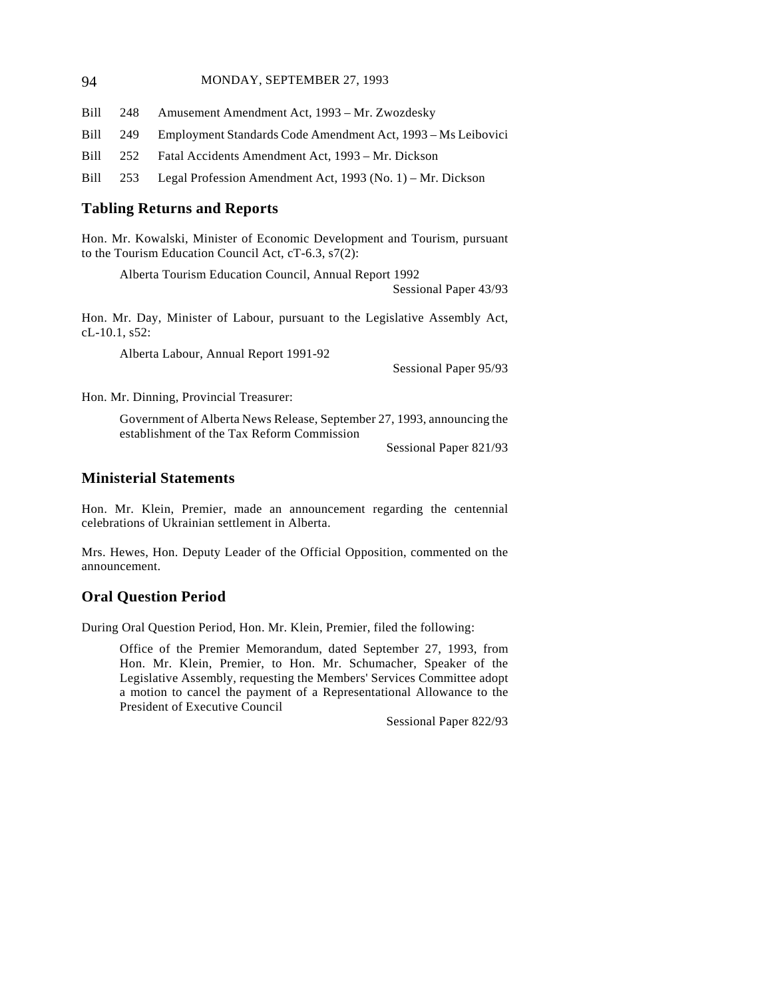#### 94 MONDAY, SEPTEMBER 27, 1993

Bill 248 Amusement Amendment Act, 1993 – Mr. Zwozdesky Bill 249 Employment Standards Code Amendment Act, 1993 – Ms Leibovici

Bill 252 Fatal Accidents Amendment Act, 1993 – Mr. Dickson

Bill 253 Legal Profession Amendment Act, 1993 (No. 1) – Mr. Dickson

### **Tabling Returns and Reports**

Hon. Mr. Kowalski, Minister of Economic Development and Tourism, pursuant to the Tourism Education Council Act, cT-6.3, s7(2):

Alberta Tourism Education Council, Annual Report 1992

Sessional Paper 43/93

Hon. Mr. Day, Minister of Labour, pursuant to the Legislative Assembly Act, cL-10.1, s52:

Alberta Labour, Annual Report 1991-92

Sessional Paper 95/93

Hon. Mr. Dinning, Provincial Treasurer:

Government of Alberta News Release, September 27, 1993, announcing the establishment of the Tax Reform Commission

Sessional Paper 821/93

### **Ministerial Statements**

Hon. Mr. Klein, Premier, made an announcement regarding the centennial celebrations of Ukrainian settlement in Alberta.

Mrs. Hewes, Hon. Deputy Leader of the Official Opposition, commented on the announcement.

### **Oral Question Period**

During Oral Question Period, Hon. Mr. Klein, Premier, filed the following:

Office of the Premier Memorandum, dated September 27, 1993, from Hon. Mr. Klein, Premier, to Hon. Mr. Schumacher, Speaker of the Legislative Assembly, requesting the Members' Services Committee adopt a motion to cancel the payment of a Representational Allowance to the President of Executive Council

Sessional Paper 822/93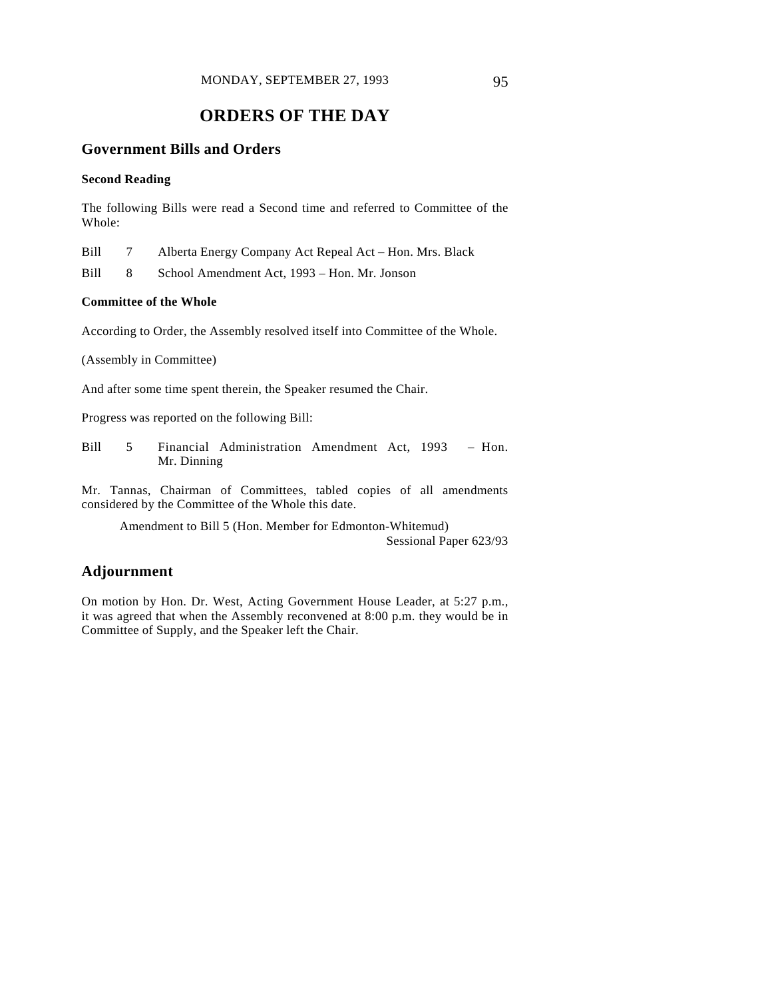# **ORDERS OF THE DAY**

### **Government Bills and Orders**

#### **Second Reading**

The following Bills were read a Second time and referred to Committee of the Whole:

Bill 7 Alberta Energy Company Act Repeal Act – Hon. Mrs. Black

Bill 8 School Amendment Act, 1993 – Hon. Mr. Jonson

#### **Committee of the Whole**

According to Order, the Assembly resolved itself into Committee of the Whole.

(Assembly in Committee)

And after some time spent therein, the Speaker resumed the Chair.

Progress was reported on the following Bill:

Bill 5 Financial Administration Amendment Act, 1993 – Hon. Mr. Dinning

Mr. Tannas, Chairman of Committees, tabled copies of all amendments considered by the Committee of the Whole this date.

Amendment to Bill 5 (Hon. Member for Edmonton-Whitemud) Sessional Paper 623/93

### **Adjournment**

On motion by Hon. Dr. West, Acting Government House Leader, at 5:27 p.m., it was agreed that when the Assembly reconvened at 8:00 p.m. they would be in Committee of Supply, and the Speaker left the Chair.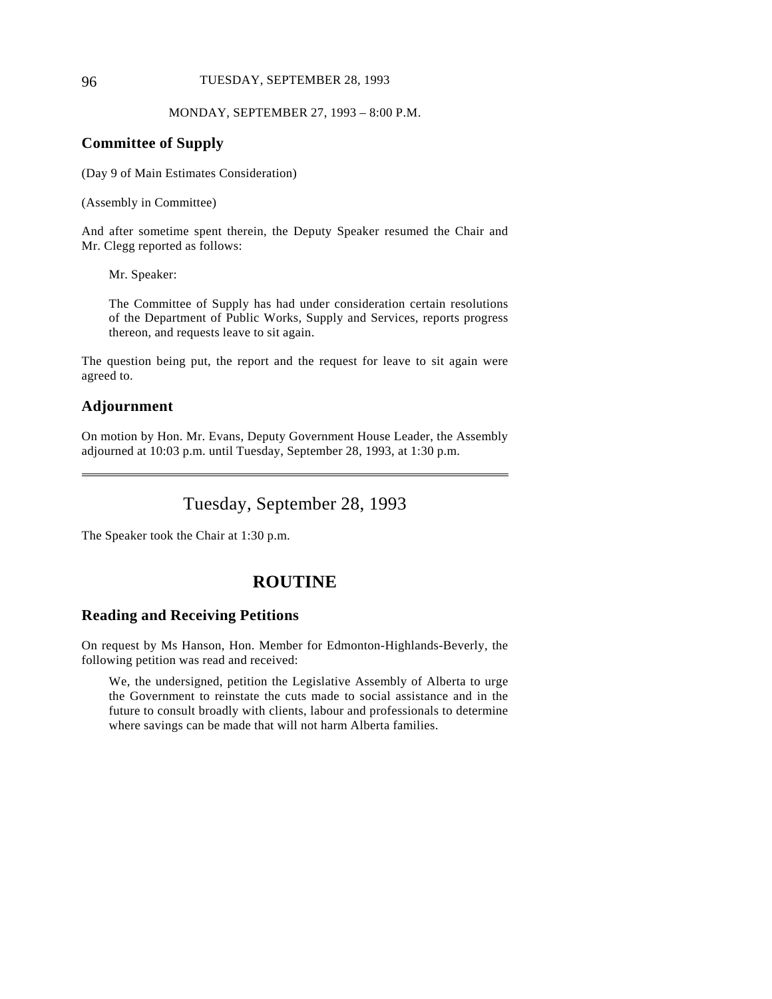#### 96 TUESDAY, SEPTEMBER 28, 1993

MONDAY, SEPTEMBER 27, 1993 – 8:00 P.M.

### **Committee of Supply**

(Day 9 of Main Estimates Consideration)

(Assembly in Committee)

And after sometime spent therein, the Deputy Speaker resumed the Chair and Mr. Clegg reported as follows:

Mr. Speaker:

The Committee of Supply has had under consideration certain resolutions of the Department of Public Works, Supply and Services, reports progress thereon, and requests leave to sit again.

The question being put, the report and the request for leave to sit again were agreed to.

### **Adjournment**

 $\overline{a}$ 

On motion by Hon. Mr. Evans, Deputy Government House Leader, the Assembly adjourned at 10:03 p.m. until Tuesday, September 28, 1993, at 1:30 p.m.

Tuesday, September 28, 1993

The Speaker took the Chair at 1:30 p.m.

# **ROUTINE**

#### **Reading and Receiving Petitions**

On request by Ms Hanson, Hon. Member for Edmonton-Highlands-Beverly, the following petition was read and received:

We, the undersigned, petition the Legislative Assembly of Alberta to urge the Government to reinstate the cuts made to social assistance and in the future to consult broadly with clients, labour and professionals to determine where savings can be made that will not harm Alberta families.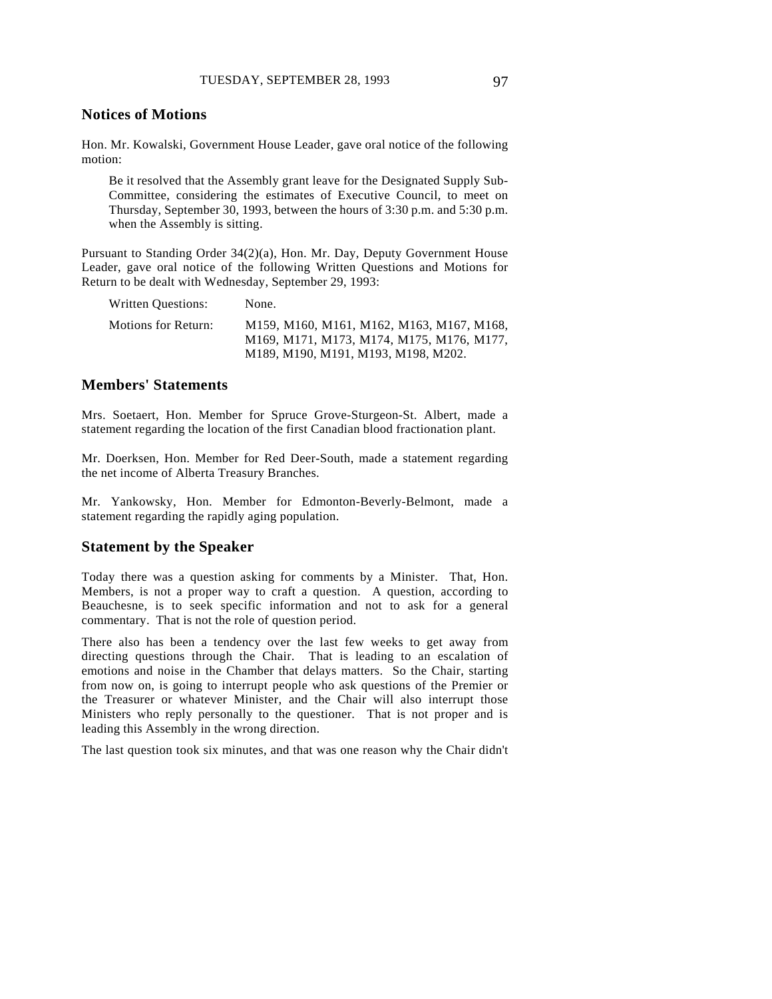#### **Notices of Motions**

Hon. Mr. Kowalski, Government House Leader, gave oral notice of the following motion:

Be it resolved that the Assembly grant leave for the Designated Supply Sub-Committee, considering the estimates of Executive Council, to meet on Thursday, September 30, 1993, between the hours of 3:30 p.m. and 5:30 p.m. when the Assembly is sitting.

Pursuant to Standing Order 34(2)(a), Hon. Mr. Day, Deputy Government House Leader, gave oral notice of the following Written Questions and Motions for Return to be dealt with Wednesday, September 29, 1993:

| Written Questions:  | None.                                                                                                                         |
|---------------------|-------------------------------------------------------------------------------------------------------------------------------|
| Motions for Return: | M159, M160, M161, M162, M163, M167, M168,<br>M169, M171, M173, M174, M175, M176, M177,<br>M189, M190, M191, M193, M198, M202. |
|                     |                                                                                                                               |

### **Members' Statements**

Mrs. Soetaert, Hon. Member for Spruce Grove-Sturgeon-St. Albert, made a statement regarding the location of the first Canadian blood fractionation plant.

Mr. Doerksen, Hon. Member for Red Deer-South, made a statement regarding the net income of Alberta Treasury Branches.

Mr. Yankowsky, Hon. Member for Edmonton-Beverly-Belmont, made a statement regarding the rapidly aging population.

#### **Statement by the Speaker**

Today there was a question asking for comments by a Minister. That, Hon. Members, is not a proper way to craft a question. A question, according to Beauchesne, is to seek specific information and not to ask for a general commentary. That is not the role of question period.

There also has been a tendency over the last few weeks to get away from directing questions through the Chair. That is leading to an escalation of emotions and noise in the Chamber that delays matters. So the Chair, starting from now on, is going to interrupt people who ask questions of the Premier or the Treasurer or whatever Minister, and the Chair will also interrupt those Ministers who reply personally to the questioner. That is not proper and is leading this Assembly in the wrong direction.

The last question took six minutes, and that was one reason why the Chair didn't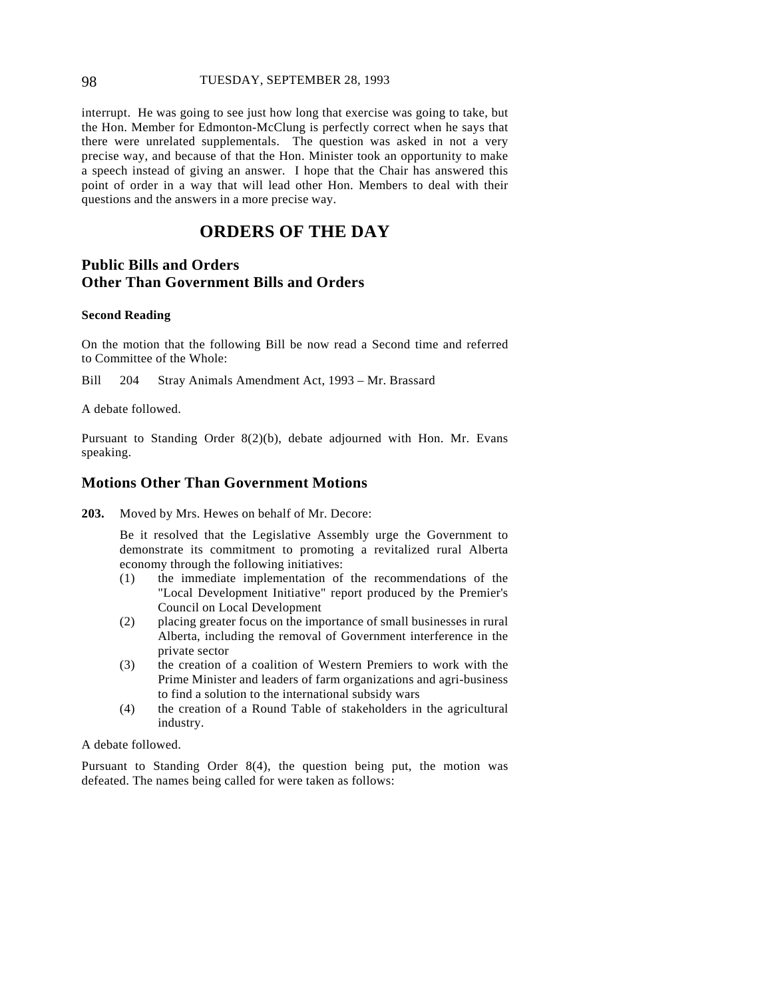#### 98 TUESDAY, SEPTEMBER 28, 1993

interrupt. He was going to see just how long that exercise was going to take, but the Hon. Member for Edmonton-McClung is perfectly correct when he says that there were unrelated supplementals. The question was asked in not a very precise way, and because of that the Hon. Minister took an opportunity to make a speech instead of giving an answer. I hope that the Chair has answered this point of order in a way that will lead other Hon. Members to deal with their questions and the answers in a more precise way.

# **ORDERS OF THE DAY**

## **Public Bills and Orders Other Than Government Bills and Orders**

#### **Second Reading**

On the motion that the following Bill be now read a Second time and referred to Committee of the Whole:

Bill 204 Stray Animals Amendment Act, 1993 – Mr. Brassard

A debate followed.

Pursuant to Standing Order 8(2)(b), debate adjourned with Hon. Mr. Evans speaking.

### **Motions Other Than Government Motions**

**203.** Moved by Mrs. Hewes on behalf of Mr. Decore:

Be it resolved that the Legislative Assembly urge the Government to demonstrate its commitment to promoting a revitalized rural Alberta economy through the following initiatives:

- (1) the immediate implementation of the recommendations of the "Local Development Initiative" report produced by the Premier's Council on Local Development
- (2) placing greater focus on the importance of small businesses in rural Alberta, including the removal of Government interference in the private sector
- (3) the creation of a coalition of Western Premiers to work with the Prime Minister and leaders of farm organizations and agri-business to find a solution to the international subsidy wars
- (4) the creation of a Round Table of stakeholders in the agricultural industry.

A debate followed.

Pursuant to Standing Order 8(4), the question being put, the motion was defeated. The names being called for were taken as follows: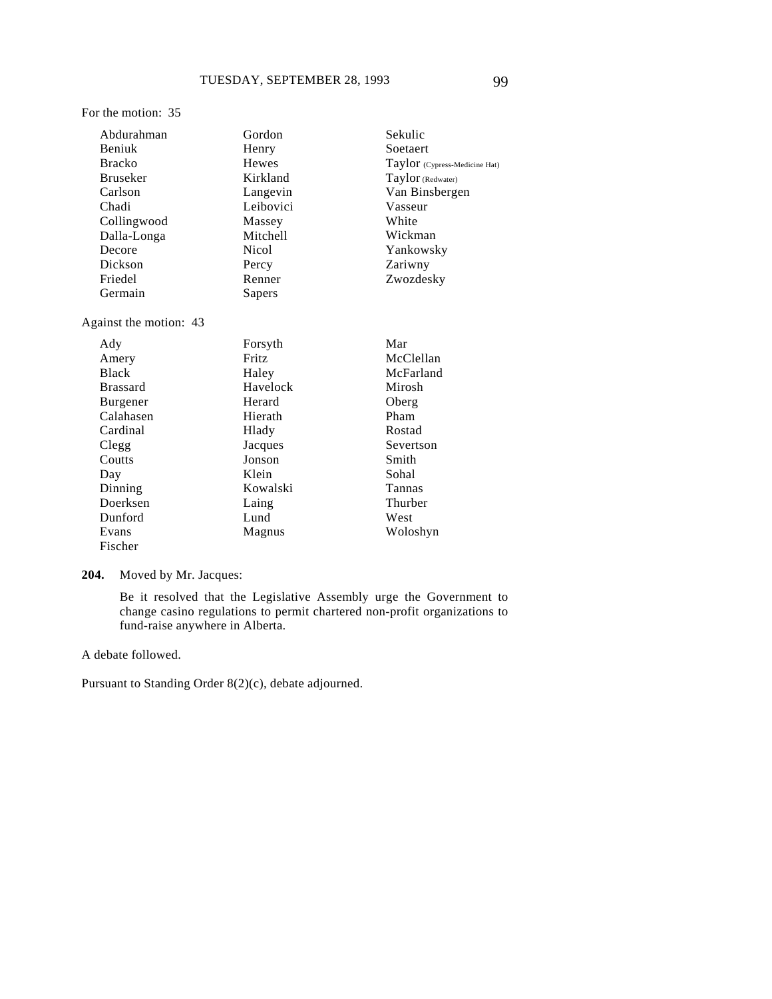#### Abdurahman Beniuk Bracko Bruseker Carlson Chadi Collingwood Dalla-Longa Decore Dickson Gordon Henry Hewes Kirkland Langevin Leibovici Massey Mitchell Nicol

Percy Renner Sapers

Against the motion: 43

Friedel Germain

For the motion: 35

| Ady             | Forsyth  | Mar       |
|-----------------|----------|-----------|
| Amery           | Fritz    | McClellan |
| <b>Black</b>    | Haley    | McFarland |
| <b>Brassard</b> | Havelock | Mirosh    |
| <b>Burgener</b> | Herard   | Oberg     |
| Calahasen       | Hierath  | Pham      |
| Cardinal        | Hlady    | Rostad    |
| Clegg           | Jacques  | Severtson |
| Coutts          | Jonson   | Smith     |
| Day             | Klein    | Sohal     |
| Dinning         | Kowalski | Tannas    |
| Doerksen        | Laing    | Thurber   |
| Dunford         | Lund     | West      |
| Evans           | Magnus   | Woloshyn  |
| Fischer         |          |           |

#### **204.** Moved by Mr. Jacques:

Be it resolved that the Legislative Assembly urge the Government to change casino regulations to permit chartered non-profit organizations to fund-raise anywhere in Alberta.

A debate followed.

Pursuant to Standing Order 8(2)(c), debate adjourned.

Sekulic Soetaert

Vasseur White Wickman Yankowsky Zariwny Zwozdesky

Taylor (Cypress-Medicine Hat) Taylor (Redwater) Van Binsbergen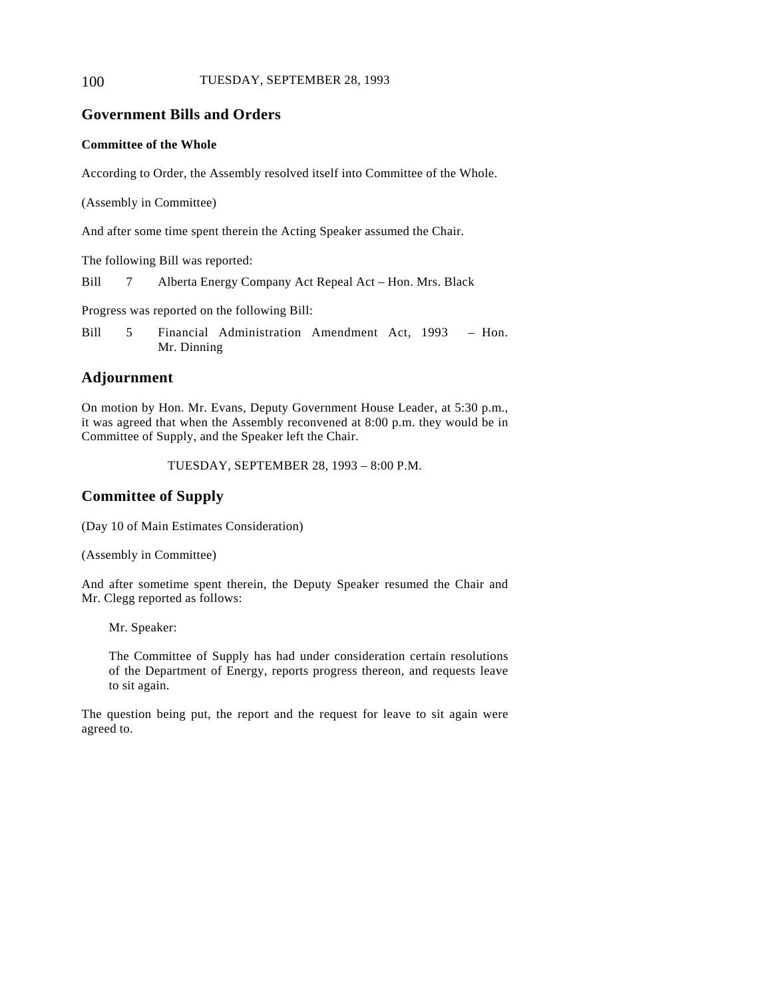#### 100 TUESDAY, SEPTEMBER 28, 1993

### **Government Bills and Orders**

#### **Committee of the Whole**

According to Order, the Assembly resolved itself into Committee of the Whole.

(Assembly in Committee)

And after some time spent therein the Acting Speaker assumed the Chair.

The following Bill was reported:

Bill 7 Alberta Energy Company Act Repeal Act – Hon. Mrs. Black

Progress was reported on the following Bill:

Bill 5 Financial Administration Amendment Act, 1993 – Hon. Mr. Dinning

### **Adjournment**

On motion by Hon. Mr. Evans, Deputy Government House Leader, at 5:30 p.m., it was agreed that when the Assembly reconvened at 8:00 p.m. they would be in Committee of Supply, and the Speaker left the Chair.

TUESDAY, SEPTEMBER 28, 1993 – 8:00 P.M.

### **Committee of Supply**

(Day 10 of Main Estimates Consideration)

(Assembly in Committee)

And after sometime spent therein, the Deputy Speaker resumed the Chair and Mr. Clegg reported as follows:

Mr. Speaker:

The Committee of Supply has had under consideration certain resolutions of the Department of Energy, reports progress thereon, and requests leave to sit again.

The question being put, the report and the request for leave to sit again were agreed to.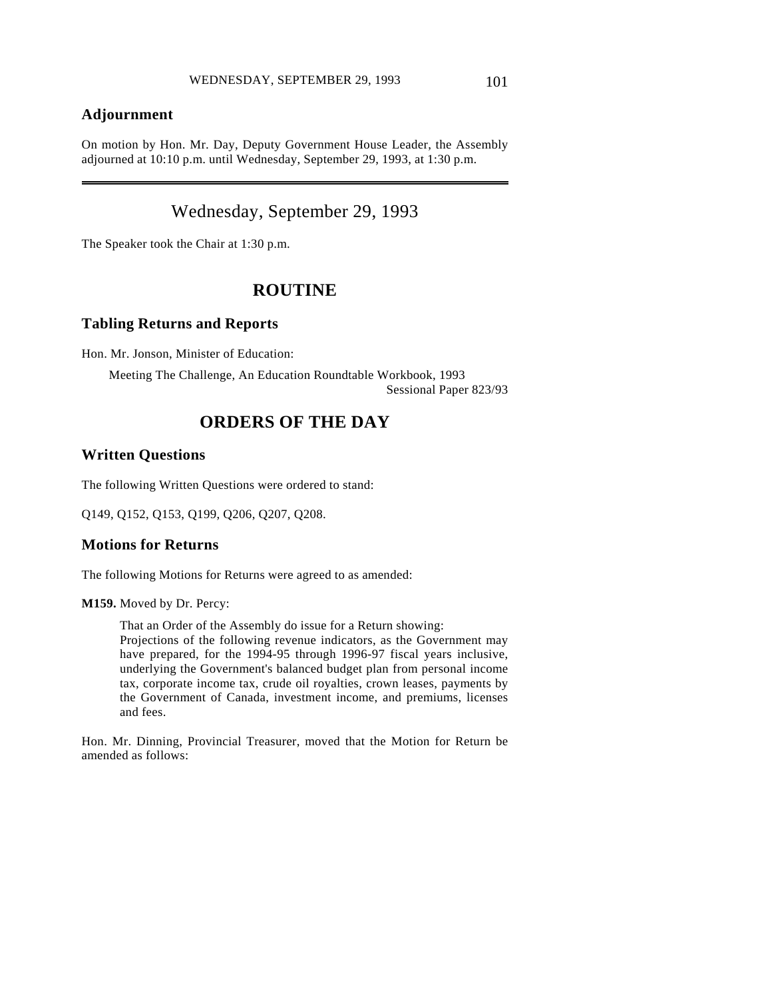### **Adjournment**

 $\overline{a}$ 

On motion by Hon. Mr. Day, Deputy Government House Leader, the Assembly adjourned at 10:10 p.m. until Wednesday, September 29, 1993, at 1:30 p.m.

# Wednesday, September 29, 1993

The Speaker took the Chair at 1:30 p.m.

# **ROUTINE**

#### **Tabling Returns and Reports**

Hon. Mr. Jonson, Minister of Education:

Meeting The Challenge, An Education Roundtable Workbook, 1993 Sessional Paper 823/93

# **ORDERS OF THE DAY**

### **Written Questions**

The following Written Questions were ordered to stand:

Q149, Q152, Q153, Q199, Q206, Q207, Q208.

### **Motions for Returns**

The following Motions for Returns were agreed to as amended:

**M159.** Moved by Dr. Percy:

That an Order of the Assembly do issue for a Return showing: Projections of the following revenue indicators, as the Government may have prepared, for the 1994-95 through 1996-97 fiscal years inclusive, underlying the Government's balanced budget plan from personal income tax, corporate income tax, crude oil royalties, crown leases, payments by the Government of Canada, investment income, and premiums, licenses and fees.

Hon. Mr. Dinning, Provincial Treasurer, moved that the Motion for Return be amended as follows: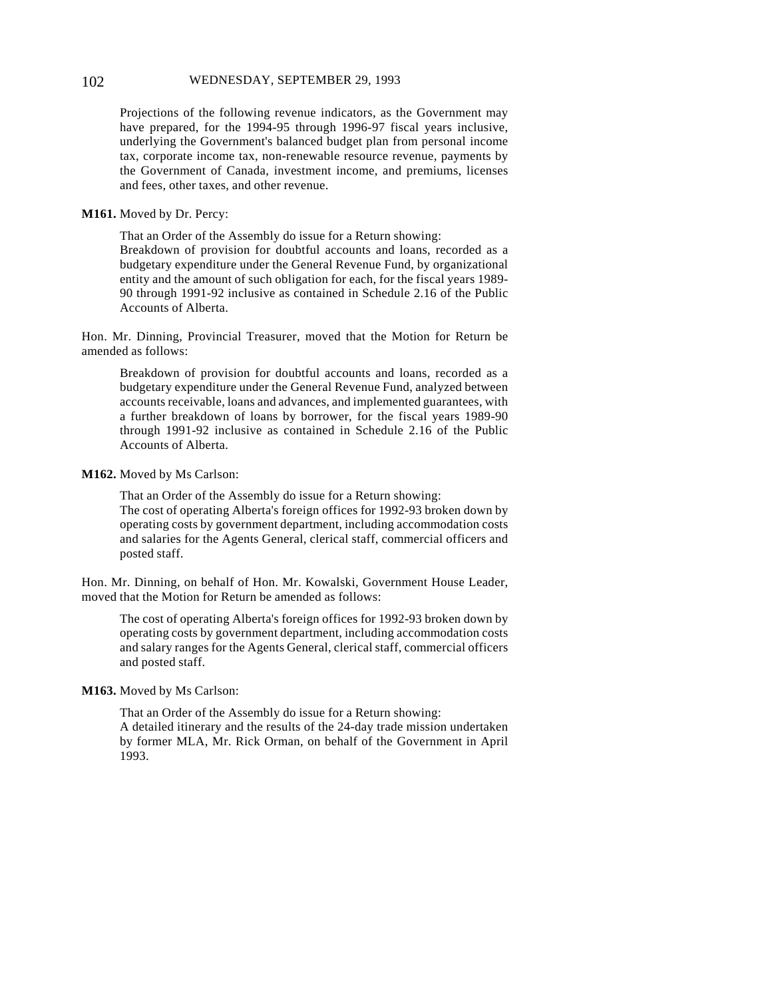#### 102 WEDNESDAY, SEPTEMBER 29, 1993

Projections of the following revenue indicators, as the Government may have prepared, for the 1994-95 through 1996-97 fiscal years inclusive, underlying the Government's balanced budget plan from personal income tax, corporate income tax, non-renewable resource revenue, payments by the Government of Canada, investment income, and premiums, licenses and fees, other taxes, and other revenue.

#### **M161.** Moved by Dr. Percy:

That an Order of the Assembly do issue for a Return showing:

Breakdown of provision for doubtful accounts and loans, recorded as a budgetary expenditure under the General Revenue Fund, by organizational entity and the amount of such obligation for each, for the fiscal years 1989- 90 through 1991-92 inclusive as contained in Schedule 2.16 of the Public Accounts of Alberta.

Hon. Mr. Dinning, Provincial Treasurer, moved that the Motion for Return be amended as follows:

Breakdown of provision for doubtful accounts and loans, recorded as a budgetary expenditure under the General Revenue Fund, analyzed between accounts receivable, loans and advances, and implemented guarantees, with a further breakdown of loans by borrower, for the fiscal years 1989-90 through 1991-92 inclusive as contained in Schedule 2.16 of the Public Accounts of Alberta.

#### **M162.** Moved by Ms Carlson:

That an Order of the Assembly do issue for a Return showing: The cost of operating Alberta's foreign offices for 1992-93 broken down by operating costs by government department, including accommodation costs and salaries for the Agents General, clerical staff, commercial officers and posted staff.

Hon. Mr. Dinning, on behalf of Hon. Mr. Kowalski, Government House Leader, moved that the Motion for Return be amended as follows:

The cost of operating Alberta's foreign offices for 1992-93 broken down by operating costs by government department, including accommodation costs and salary ranges for the Agents General, clerical staff, commercial officers and posted staff.

#### **M163.** Moved by Ms Carlson:

That an Order of the Assembly do issue for a Return showing: A detailed itinerary and the results of the 24-day trade mission undertaken by former MLA, Mr. Rick Orman, on behalf of the Government in April 1993.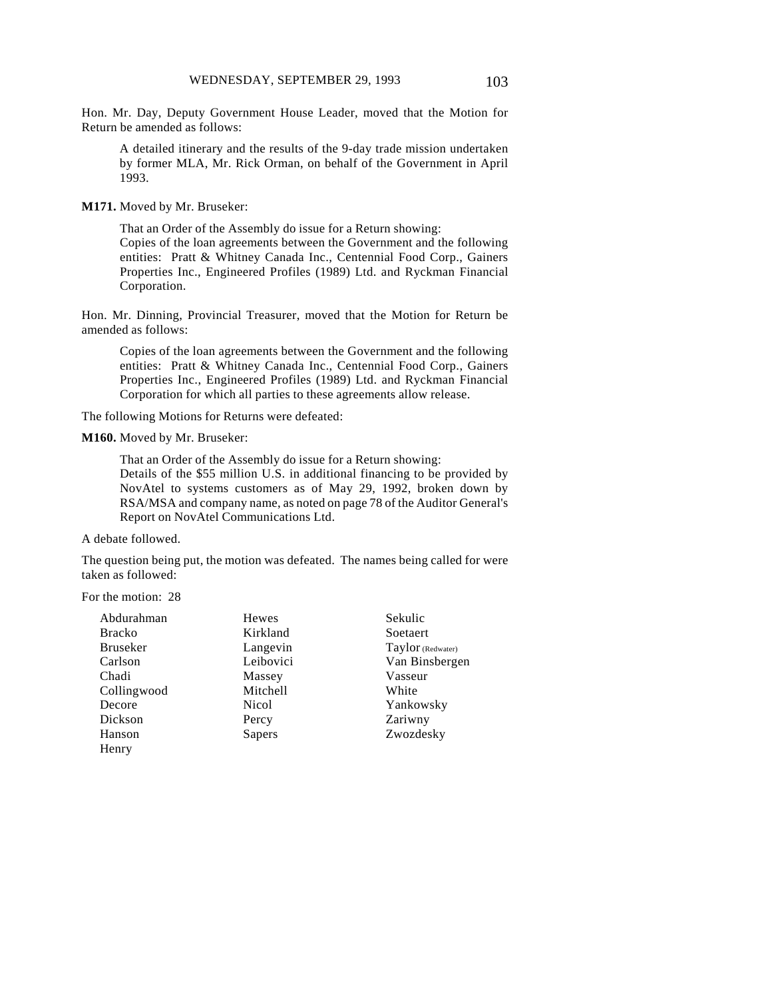Hon. Mr. Day, Deputy Government House Leader, moved that the Motion for Return be amended as follows:

A detailed itinerary and the results of the 9-day trade mission undertaken by former MLA, Mr. Rick Orman, on behalf of the Government in April 1993.

**M171.** Moved by Mr. Bruseker:

That an Order of the Assembly do issue for a Return showing: Copies of the loan agreements between the Government and the following entities: Pratt & Whitney Canada Inc., Centennial Food Corp., Gainers Properties Inc., Engineered Profiles (1989) Ltd. and Ryckman Financial Corporation.

Hon. Mr. Dinning, Provincial Treasurer, moved that the Motion for Return be amended as follows:

Copies of the loan agreements between the Government and the following entities: Pratt & Whitney Canada Inc., Centennial Food Corp., Gainers Properties Inc., Engineered Profiles (1989) Ltd. and Ryckman Financial Corporation for which all parties to these agreements allow release.

The following Motions for Returns were defeated:

**M160.** Moved by Mr. Bruseker:

That an Order of the Assembly do issue for a Return showing: Details of the \$55 million U.S. in additional financing to be provided by NovAtel to systems customers as of May 29, 1992, broken down by RSA/MSA and company name, as noted on page 78 of the Auditor General's Report on NovAtel Communications Ltd.

A debate followed.

The question being put, the motion was defeated. The names being called for were taken as followed:

For the motion: 28

| Abdurahman      | Hewes     | Sekulic           |
|-----------------|-----------|-------------------|
| <b>Bracko</b>   | Kirkland  | Soetaert          |
| <b>Bruseker</b> | Langevin  | Taylor (Redwater) |
| Carlson         | Leibovici | Van Binsbergen    |
| Chadi           | Massey    | Vasseur           |
| Collingwood     | Mitchell  | White             |
| Decore          | Nicol     | Yankowsky         |
| Dickson         | Percy     | Zariwny           |
| Hanson          | Sapers    | Zwozdesky         |
| Henry           |           |                   |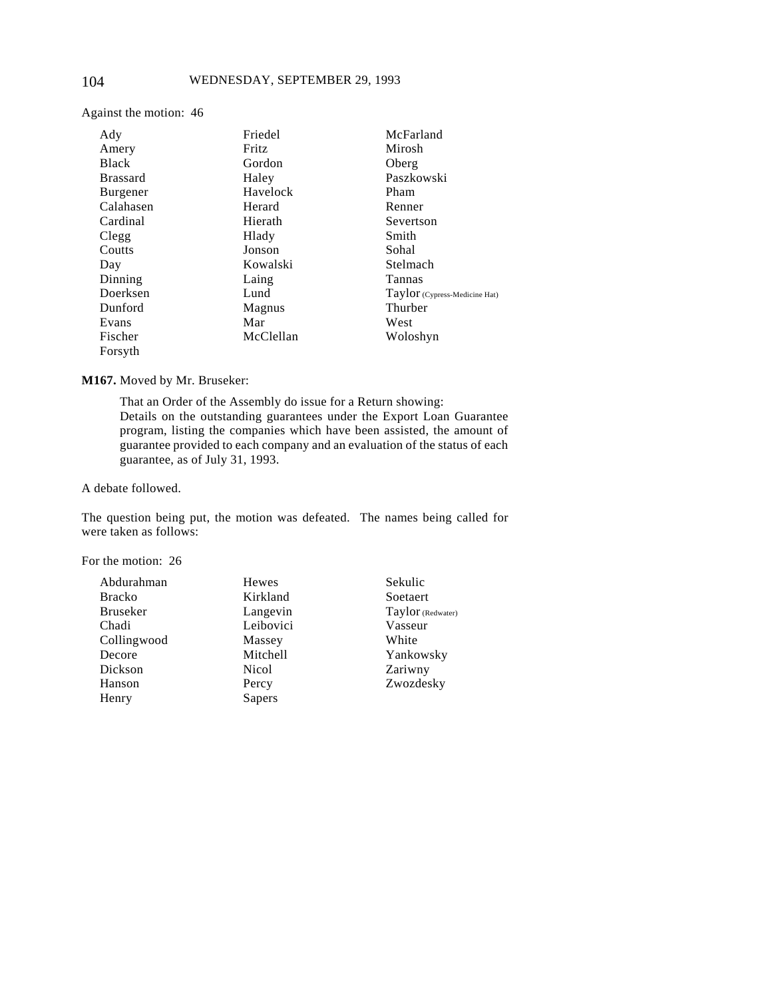Against the motion: 46

| Ady             | Friedel   | McFarland                     |
|-----------------|-----------|-------------------------------|
| Amery           | Fritz     | Mirosh                        |
| <b>Black</b>    | Gordon    | Oberg                         |
| <b>Brassard</b> | Haley     | Paszkowski                    |
| Burgener        | Havelock  | Pham                          |
| Calahasen       | Herard    | Renner                        |
| Cardinal        | Hierath   | Severtson                     |
| Clegg           | Hlady     | Smith                         |
| Coutts          | Jonson    | Sohal                         |
| Day             | Kowalski  | Stelmach                      |
| Dinning         | Laing     | Tannas                        |
| Doerksen        | Lund      | Taylor (Cypress-Medicine Hat) |
| Dunford         | Magnus    | Thurber                       |
| Evans           | Mar       | West                          |
| Fischer         | McClellan | Woloshyn                      |
| Forsyth         |           |                               |

#### **M167.** Moved by Mr. Bruseker:

That an Order of the Assembly do issue for a Return showing: Details on the outstanding guarantees under the Export Loan Guarantee program, listing the companies which have been assisted, the amount of guarantee provided to each company and an evaluation of the status of each guarantee, as of July 31, 1993.

A debate followed.

The question being put, the motion was defeated. The names being called for were taken as follows:

For the motion: 26

| Abdurahman      | <b>Hewes</b> |
|-----------------|--------------|
| <b>Bracko</b>   | Kirkland     |
| <b>Bruseker</b> | Langevin     |
| Chadi           | Leibovici    |
| Collingwood     | Massey       |
| Decore          | Mitchell     |
| Dickson         | Nicol        |
| Hanson          | Percy        |
| Henry           | Sapers       |

Sekulic Soetaert Taylor (Redwater) Vasseur White Yankowsky Zariwny Zwozdesky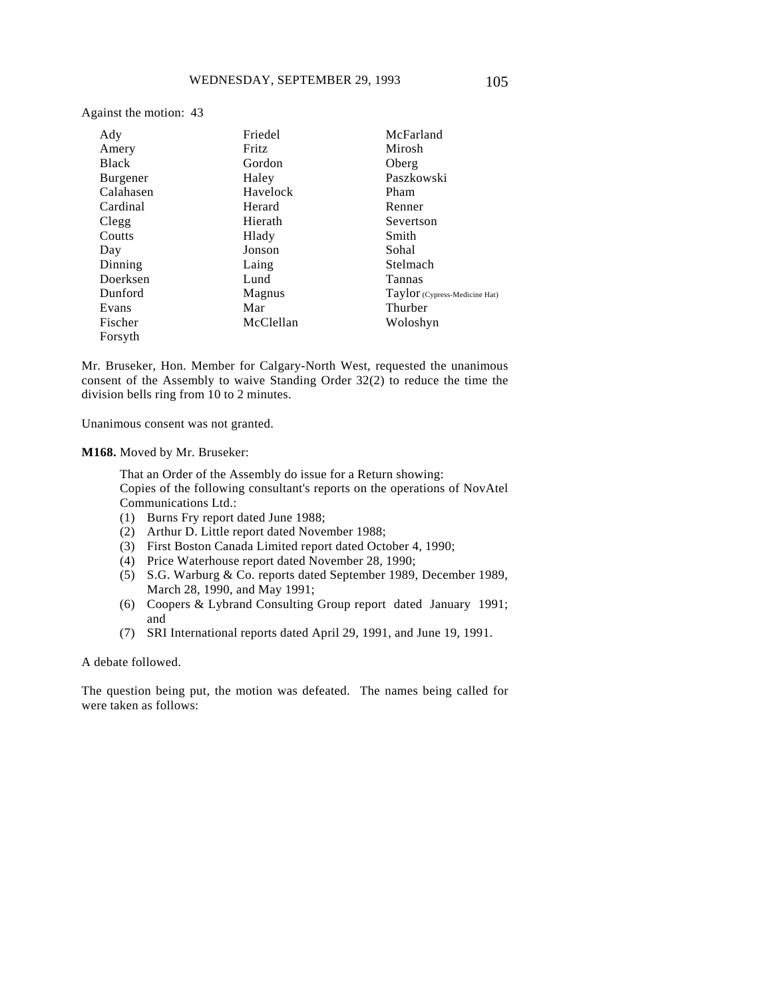Against the motion: 43

| Ady             | Friedel   | McFarland                     |
|-----------------|-----------|-------------------------------|
| Amery           | Fritz     | Mirosh                        |
| <b>Black</b>    | Gordon    | Oberg                         |
| <b>Burgener</b> | Haley     | Paszkowski                    |
| Calahasen       | Havelock  | Pham                          |
| Cardinal        | Herard    | Renner                        |
| Clegg           | Hierath   | Severtson                     |
| Coutts          | Hlady     | Smith                         |
| Day             | Jonson    | Sohal                         |
| Dinning         | Laing     | Stelmach                      |
| Doerksen        | Lund      | Tannas                        |
| Dunford         | Magnus    | Taylor (Cypress-Medicine Hat) |
| Evans           | Mar       | Thurber                       |
| Fischer         | McClellan | Woloshyn                      |
| Forsyth         |           |                               |

Mr. Bruseker, Hon. Member for Calgary-North West, requested the unanimous consent of the Assembly to waive Standing Order 32(2) to reduce the time the division bells ring from 10 to 2 minutes.

Unanimous consent was not granted.

**M168.** Moved by Mr. Bruseker:

That an Order of the Assembly do issue for a Return showing: Copies of the following consultant's reports on the operations of NovAtel Communications Ltd.:

- (1) Burns Fry report dated June 1988;
- (2) Arthur D. Little report dated November 1988;
- (3) First Boston Canada Limited report dated October 4, 1990;
- (4) Price Waterhouse report dated November 28, 1990;
- (5) S.G. Warburg & Co. reports dated September 1989, December 1989, March 28, 1990, and May 1991;
- (6) Coopers & Lybrand Consulting Group report dated January 1991; and
- (7) SRI International reports dated April 29, 1991, and June 19, 1991.

A debate followed.

The question being put, the motion was defeated. The names being called for were taken as follows: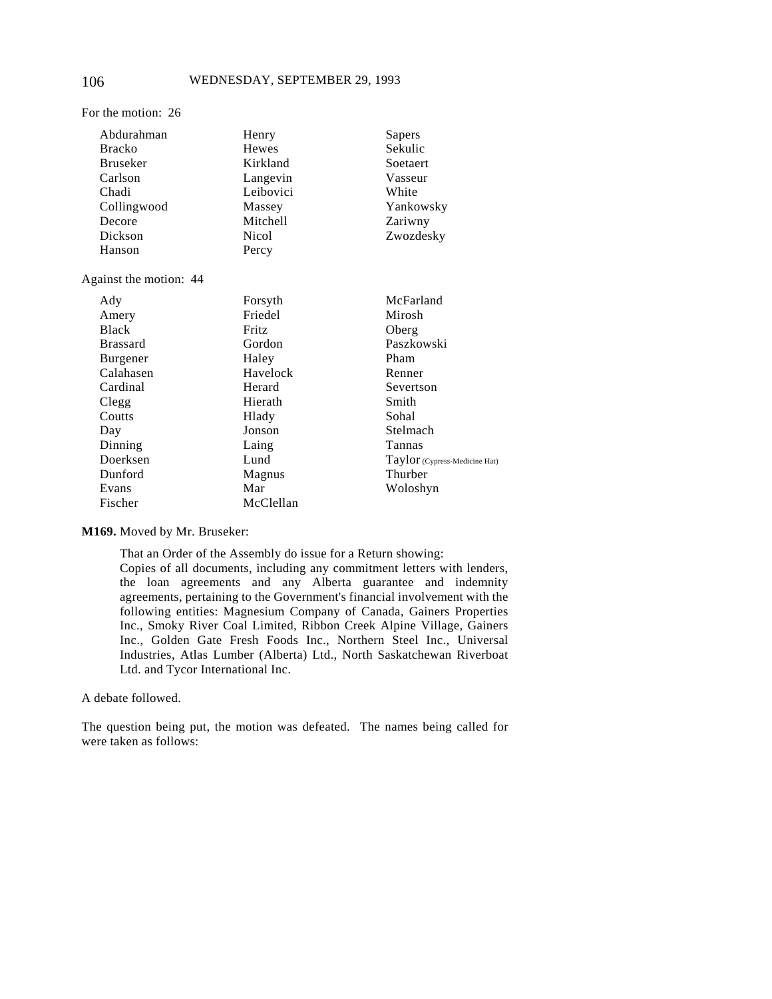| Abdurahman             | Henry        | Sapers                        |
|------------------------|--------------|-------------------------------|
| <b>Bracko</b>          | <b>Hewes</b> | Sekulic                       |
| <b>Bruseker</b>        | Kirkland     | Soetaert                      |
| Carlson                | Langevin     | Vasseur                       |
| Chadi                  | Leibovici    | White                         |
| Collingwood            | Massey       | Yankowsky                     |
| Decore                 | Mitchell     | Zariwny                       |
| Dickson                | <b>Nicol</b> | Zwozdesky                     |
| Hanson                 | Percy        |                               |
| Against the motion: 44 |              |                               |
| Ady                    | Forsyth      | McFarland                     |
| Amery                  | Friedel      | Mirosh                        |
| <b>Black</b>           | Fritz        | Oberg                         |
| <b>Brassard</b>        | Gordon       | Paszkowski                    |
| Burgener               | Haley        | Pham                          |
| Calahasen              | Havelock     | Renner                        |
| Cardinal               | Herard       | Severtson                     |
| Clegg                  | Hierath      | Smith                         |
| Coutts                 | Hlady        | Sohal                         |
| Day                    | Jonson       | Stelmach                      |
| Dinning                | Laing        | Tannas                        |
| Doerksen               | Lund         | Taylor (Cypress-Medicine Hat) |
| Dunford                | Magnus       | Thurber                       |
| Evans                  | Mar          | Woloshyn                      |
| Fischer                | McClellan    |                               |
|                        |              |                               |

**M169.** Moved by Mr. Bruseker:

That an Order of the Assembly do issue for a Return showing:

Copies of all documents, including any commitment letters with lenders, the loan agreements and any Alberta guarantee and indemnity agreements, pertaining to the Government's financial involvement with the following entities: Magnesium Company of Canada, Gainers Properties Inc., Smoky River Coal Limited, Ribbon Creek Alpine Village, Gainers Inc., Golden Gate Fresh Foods Inc., Northern Steel Inc., Universal Industries, Atlas Lumber (Alberta) Ltd., North Saskatchewan Riverboat Ltd. and Tycor International Inc.

A debate followed.

The question being put, the motion was defeated. The names being called for were taken as follows:

For the motion: 26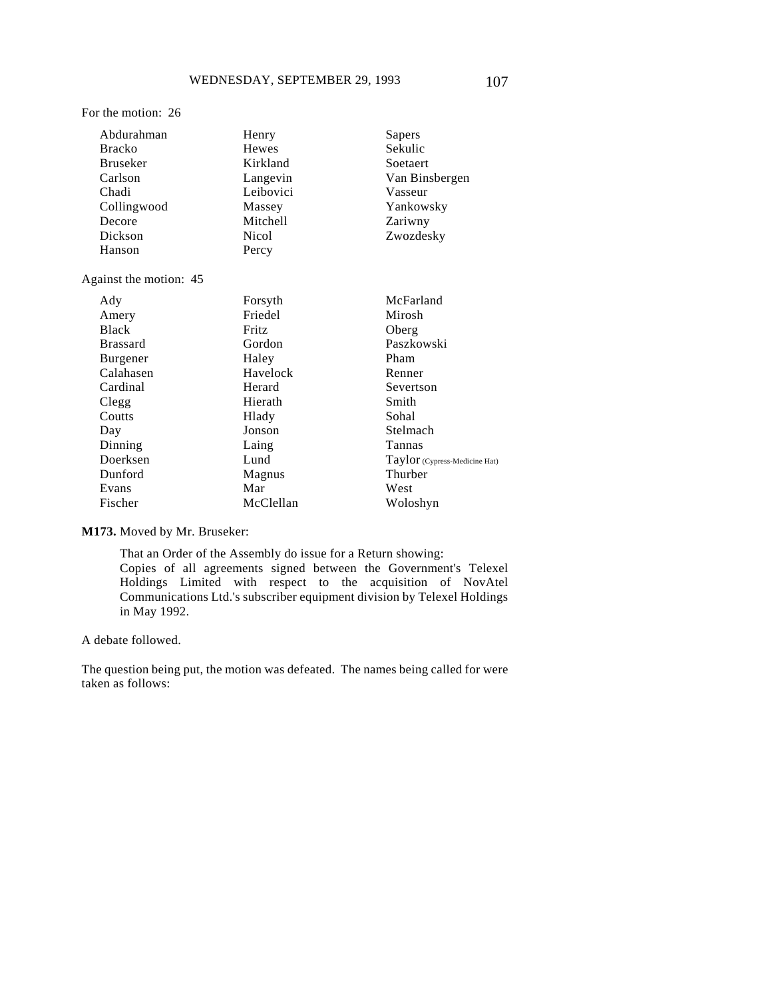#### For the motion: 26

| Abdurahman                  | Henry        | Sapers                        |
|-----------------------------|--------------|-------------------------------|
| <b>Bracko</b>               | Hewes        | Sekulic                       |
| <b>Bruseker</b><br>Kirkland |              | Soetaert                      |
| Carlson                     | Langevin     | Van Binsbergen                |
| Chadi                       | Leibovici    | Vasseur                       |
| Collingwood                 | Massey       | Yankowsky                     |
| Decore                      | Mitchell     | Zariwny                       |
| Dickson                     | <b>Nicol</b> | Zwozdesky                     |
| Hanson                      | Percy        |                               |
| Against the motion: 45      |              |                               |
| Ady                         | Forsyth      | McFarland                     |
| Amery                       | Friedel      | Mirosh                        |
| <b>Black</b>                | Fritz        | Oberg                         |
| <b>Brassard</b>             | Gordon       | Paszkowski                    |
| Burgener                    | Haley        | Pham                          |
| Calahasen                   | Havelock     | Renner                        |
| Cardinal                    | Herard       | Severtson                     |
| Clegg                       | Hierath      | Smith                         |
| Coutts                      | Hlady        | Sohal                         |
| Day                         | Jonson       | Stelmach                      |
| Dinning                     | Laing        | Tannas                        |
| Doerksen                    | Lund         | Taylor (Cypress-Medicine Hat) |
| Dunford                     | Magnus       | Thurber                       |
| Evans                       | Mar          | West                          |
| Fischer                     | McClellan    | Woloshyn                      |
|                             |              |                               |

**M173.** Moved by Mr. Bruseker:

That an Order of the Assembly do issue for a Return showing: Copies of all agreements signed between the Government's Telexel Holdings Limited with respect to the acquisition of NovAtel Communications Ltd.'s subscriber equipment division by Telexel Holdings in May 1992.

A debate followed.

The question being put, the motion was defeated. The names being called for were taken as follows: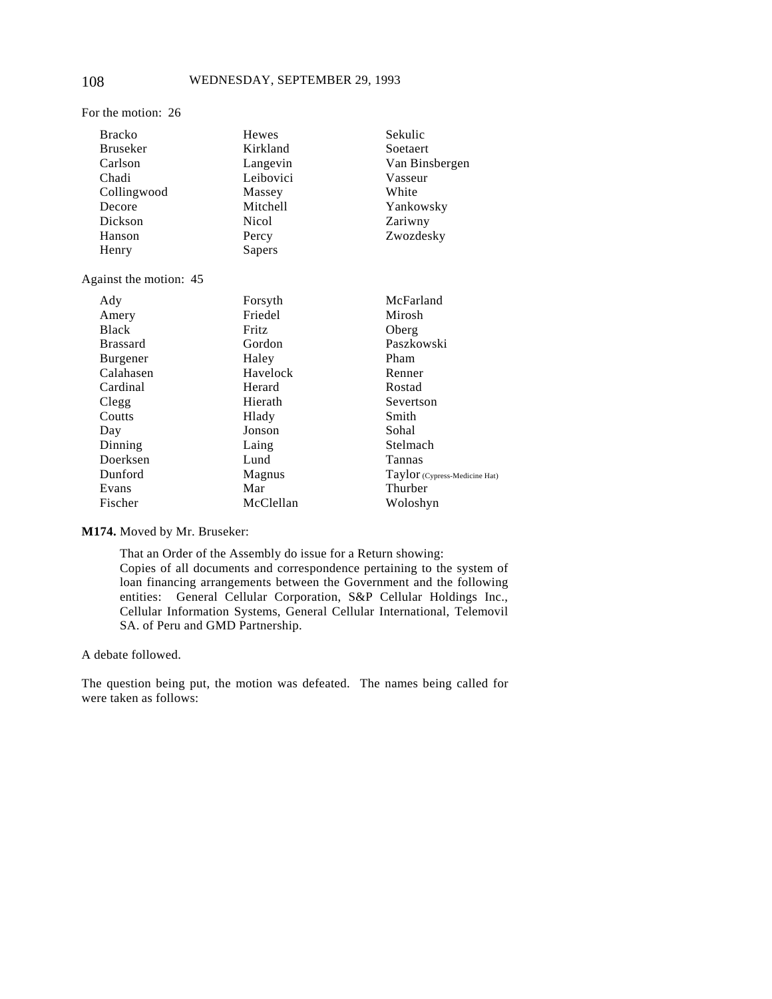| <b>Bracko</b>          | <b>Hewes</b> | Sekulic                       |
|------------------------|--------------|-------------------------------|
| <b>Bruseker</b>        | Kirkland     | Soetaert                      |
| Carlson                | Langevin     | Van Binsbergen                |
| Chadi                  | Leibovici    | Vasseur                       |
| Collingwood            | Massey       | White                         |
| Decore                 | Mitchell     | Yankowsky                     |
| Dickson                | <b>Nicol</b> | Zariwny                       |
|                        |              |                               |
| Hanson                 | Percy        | Zwozdesky                     |
| Henry                  | Sapers       |                               |
| Against the motion: 45 |              |                               |
| Ady                    | Forsyth      | McFarland                     |
| Amery                  | Friedel      | Mirosh                        |
| <b>Black</b>           | Fritz        | Oberg                         |
| <b>Brassard</b>        | Gordon       | Paszkowski                    |
| Burgener               | Haley        | Pham                          |
| Calahasen              | Havelock     | Renner                        |
| Cardinal               | Herard       | Rostad                        |
| Clegg                  | Hierath      | Severtson                     |
| Coutts                 | Hlady        | Smith                         |
| Day                    | Jonson       | Sohal                         |
| Dinning                | Laing        | Stelmach                      |
| Doerksen               | Lund         | Tannas                        |
| Dunford                | Magnus       | Taylor (Cypress-Medicine Hat) |
| Evans                  | Mar          | Thurber                       |
| Fischer                | McClellan    | Woloshyn                      |
|                        |              |                               |

**M174.** Moved by Mr. Bruseker:

That an Order of the Assembly do issue for a Return showing: Copies of all documents and correspondence pertaining to the system of loan financing arrangements between the Government and the following entities: General Cellular Corporation, S&P Cellular Holdings Inc., Cellular Information Systems, General Cellular International, Telemovil SA. of Peru and GMD Partnership.

A debate followed.

The question being put, the motion was defeated. The names being called for were taken as follows:

For the motion: 26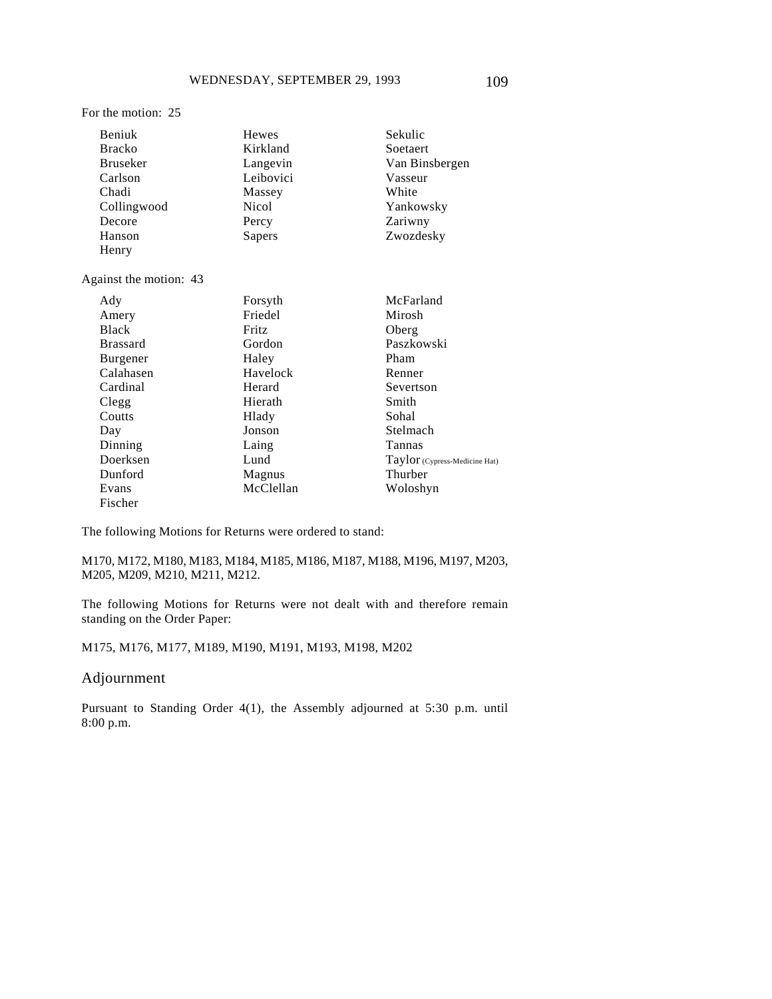#### For the motion: 25

| Beniuk                      | Hewes                | Sekulic                       |
|-----------------------------|----------------------|-------------------------------|
| <b>Bracko</b>               | Kirkland<br>Soetaert |                               |
| <b>Bruseker</b><br>Langevin |                      | Van Binsbergen                |
| Carlson                     | Leibovici            | Vasseur                       |
| Chadi                       | Massey               | White                         |
| Collingwood                 | <b>Nicol</b>         | Yankowsky                     |
| Decore                      | Percy                | Zariwny                       |
| Hanson                      | Sapers               | Zwozdesky                     |
| Henry                       |                      |                               |
| Against the motion: 43      |                      |                               |
| Ady                         | Forsyth              | McFarland                     |
| Amery                       | Friedel              | Mirosh                        |
| <b>Black</b>                | Fritz                | Oberg                         |
| <b>Brassard</b>             | Gordon               | Paszkowski                    |
| Burgener                    | Haley                | Pham                          |
| Calahasen                   | Havelock             | Renner                        |
| Cardinal                    | Herard               | Severtson                     |
| Clegg                       | Hierath              | Smith                         |
| Coutts                      | Hlady                | Sohal                         |
| Day                         | Jonson               | Stelmach                      |
| Dinning                     | Laing                | Tannas                        |
| Doerksen                    | Lund                 | Taylor (Cypress-Medicine Hat) |
| Dunford                     | Magnus               | Thurber                       |
| Evans                       | McClellan            | Woloshyn                      |
| Fischer                     |                      |                               |

The following Motions for Returns were ordered to stand:

M170, M172, M180, M183, M184, M185, M186, M187, M188, M196, M197, M203, M205, M209, M210, M211, M212.

The following Motions for Returns were not dealt with and therefore remain standing on the Order Paper:

M175, M176, M177, M189, M190, M191, M193, M198, M202

### Adjournment

Pursuant to Standing Order 4(1), the Assembly adjourned at 5:30 p.m. until 8:00 p.m.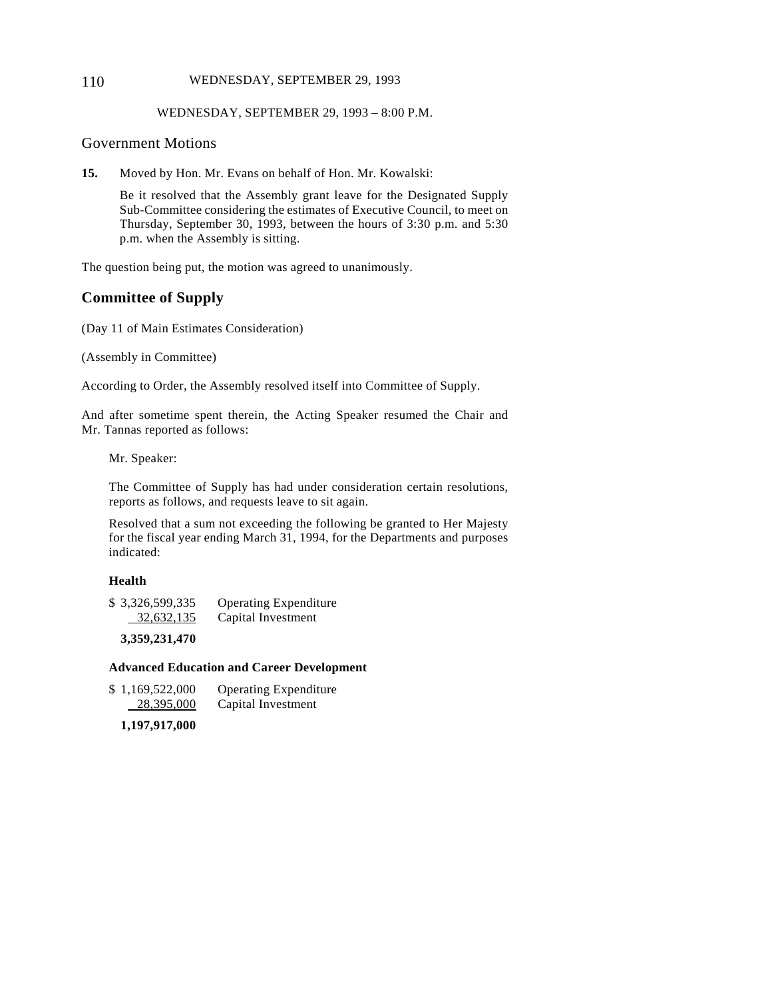#### 110 WEDNESDAY, SEPTEMBER 29, 1993

#### WEDNESDAY, SEPTEMBER 29, 1993 – 8:00 P.M.

### Government Motions

**15.** Moved by Hon. Mr. Evans on behalf of Hon. Mr. Kowalski:

Be it resolved that the Assembly grant leave for the Designated Supply Sub-Committee considering the estimates of Executive Council, to meet on Thursday, September 30, 1993, between the hours of 3:30 p.m. and 5:30 p.m. when the Assembly is sitting.

The question being put, the motion was agreed to unanimously.

# **Committee of Supply**

(Day 11 of Main Estimates Consideration)

(Assembly in Committee)

According to Order, the Assembly resolved itself into Committee of Supply.

And after sometime spent therein, the Acting Speaker resumed the Chair and Mr. Tannas reported as follows:

Mr. Speaker:

The Committee of Supply has had under consideration certain resolutions, reports as follows, and requests leave to sit again.

Resolved that a sum not exceeding the following be granted to Her Majesty for the fiscal year ending March 31, 1994, for the Departments and purposes indicated:

#### **Health**

| \$3,326,599,335 | <b>Operating Expenditure</b> |
|-----------------|------------------------------|
| 32,632,135      | Capital Investment           |

**3,359,231,470**

### **Advanced Education and Career Development**

| \$1,169,522,000 | <b>Operating Expenditure</b> |
|-----------------|------------------------------|
| 28,395,000      | Capital Investment           |

**1,197,917,000**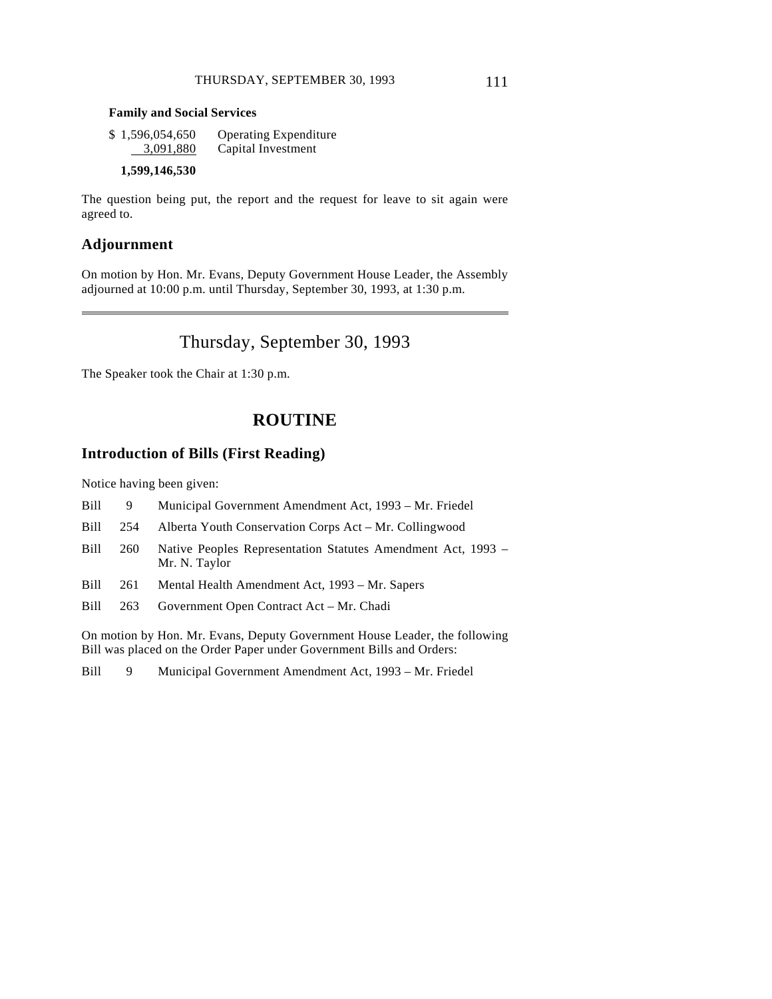#### **Family and Social Services**

| \$1,596,054,650 | <b>Operating Expenditure</b> |
|-----------------|------------------------------|
| 3,091,880       | Capital Investment           |

#### **1,599,146,530**

The question being put, the report and the request for leave to sit again were agreed to.

### **Adjournment**

 $\overline{a}$ 

On motion by Hon. Mr. Evans, Deputy Government House Leader, the Assembly adjourned at 10:00 p.m. until Thursday, September 30, 1993, at 1:30 p.m.

# Thursday, September 30, 1993

The Speaker took the Chair at 1:30 p.m.

# **ROUTINE**

### **Introduction of Bills (First Reading)**

Notice having been given:

- Bill 9 Municipal Government Amendment Act, 1993 Mr. Friedel
- Bill 254 Alberta Youth Conservation Corps Act Mr. Collingwood
- Bill 260 Native Peoples Representation Statutes Amendment Act, 1993 Mr. N. Taylor
- Bill 261 Mental Health Amendment Act, 1993 Mr. Sapers
- Bill 263 Government Open Contract Act Mr. Chadi

On motion by Hon. Mr. Evans, Deputy Government House Leader, the following Bill was placed on the Order Paper under Government Bills and Orders:

Bill 9 Municipal Government Amendment Act, 1993 – Mr. Friedel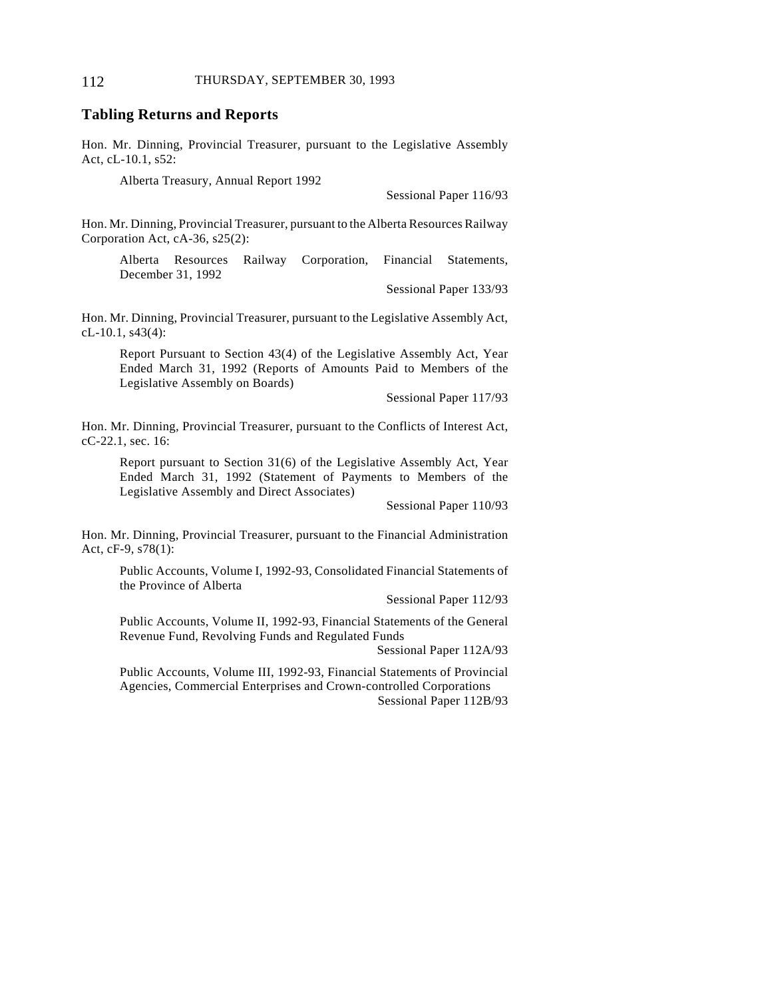### **Tabling Returns and Reports**

Hon. Mr. Dinning, Provincial Treasurer, pursuant to the Legislative Assembly Act, cL-10.1, s52:

Alberta Treasury, Annual Report 1992

Sessional Paper 116/93

Hon. Mr. Dinning, Provincial Treasurer, pursuant to the Alberta Resources Railway Corporation Act, cA-36, s25(2):

Alberta Resources Railway Corporation, Financial Statements, December 31, 1992

Sessional Paper 133/93

Hon. Mr. Dinning, Provincial Treasurer, pursuant to the Legislative Assembly Act, cL-10.1, s43(4):

Report Pursuant to Section 43(4) of the Legislative Assembly Act, Year Ended March 31, 1992 (Reports of Amounts Paid to Members of the Legislative Assembly on Boards)

Sessional Paper 117/93

Hon. Mr. Dinning, Provincial Treasurer, pursuant to the Conflicts of Interest Act, cC-22.1, sec. 16:

Report pursuant to Section 31(6) of the Legislative Assembly Act, Year Ended March 31, 1992 (Statement of Payments to Members of the Legislative Assembly and Direct Associates)

Sessional Paper 110/93

Hon. Mr. Dinning, Provincial Treasurer, pursuant to the Financial Administration Act, cF-9, s78(1):

Public Accounts, Volume I, 1992-93, Consolidated Financial Statements of the Province of Alberta

Sessional Paper 112/93

Public Accounts, Volume II, 1992-93, Financial Statements of the General Revenue Fund, Revolving Funds and Regulated Funds

Sessional Paper 112A/93

Public Accounts, Volume III, 1992-93, Financial Statements of Provincial Agencies, Commercial Enterprises and Crown-controlled Corporations Sessional Paper 112B/93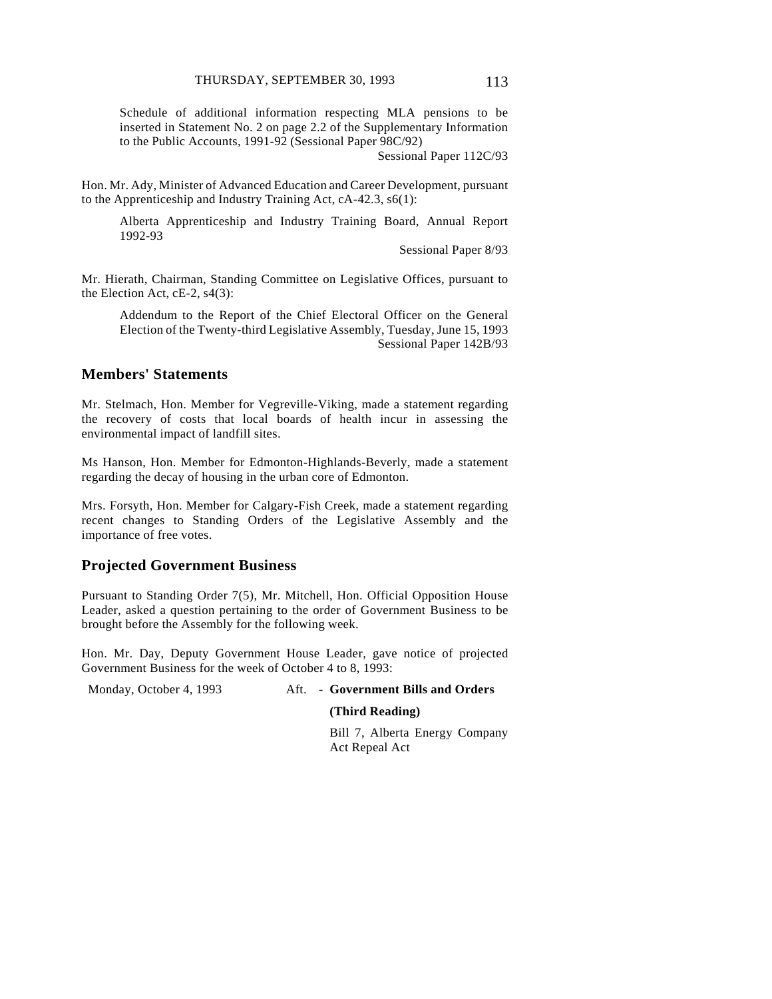Schedule of additional information respecting MLA pensions to be inserted in Statement No. 2 on page 2.2 of the Supplementary Information to the Public Accounts, 1991-92 (Sessional Paper 98C/92)

Sessional Paper 112C/93

Hon. Mr. Ady, Minister of Advanced Education and Career Development, pursuant to the Apprenticeship and Industry Training Act, cA-42.3, s6(1):

Alberta Apprenticeship and Industry Training Board, Annual Report 1992-93

Sessional Paper 8/93

Mr. Hierath, Chairman, Standing Committee on Legislative Offices, pursuant to the Election Act, cE-2, s4(3):

Addendum to the Report of the Chief Electoral Officer on the General Election of the Twenty-third Legislative Assembly, Tuesday, June 15, 1993 Sessional Paper 142B/93

# **Members' Statements**

Mr. Stelmach, Hon. Member for Vegreville-Viking, made a statement regarding the recovery of costs that local boards of health incur in assessing the environmental impact of landfill sites.

Ms Hanson, Hon. Member for Edmonton-Highlands-Beverly, made a statement regarding the decay of housing in the urban core of Edmonton.

Mrs. Forsyth, Hon. Member for Calgary-Fish Creek, made a statement regarding recent changes to Standing Orders of the Legislative Assembly and the importance of free votes.

#### **Projected Government Business**

Pursuant to Standing Order 7(5), Mr. Mitchell, Hon. Official Opposition House Leader, asked a question pertaining to the order of Government Business to be brought before the Assembly for the following week.

Hon. Mr. Day, Deputy Government House Leader, gave notice of projected Government Business for the week of October 4 to 8, 1993:

Monday, October 4, 1993 Aft. - **Government Bills and Orders**

#### **(Third Reading)**

Bill 7, Alberta Energy Company Act Repeal Act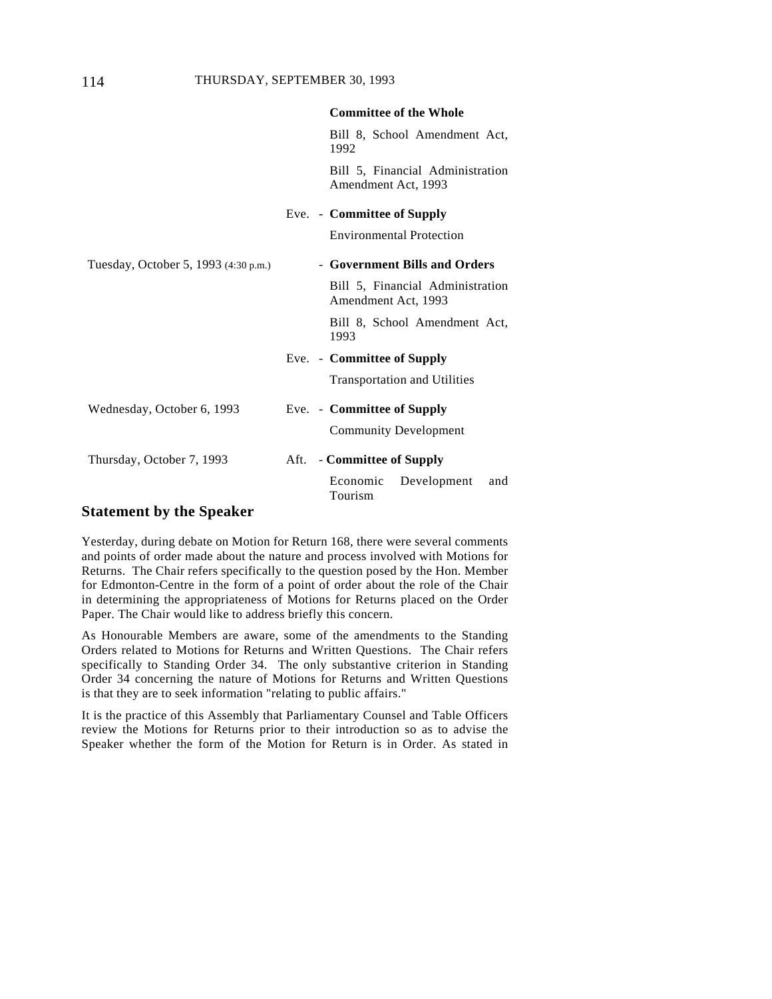|                                      | <b>Committee of the Whole</b>                              |
|--------------------------------------|------------------------------------------------------------|
|                                      | Bill 8, School Amendment Act,<br>1992                      |
|                                      | Bill 5, Financial Administration<br>Amendment Act, 1993    |
|                                      | Eve. - Committee of Supply                                 |
|                                      | <b>Environmental Protection</b>                            |
| Tuesday, October 5, 1993 (4:30 p.m.) | - Government Bills and Orders                              |
|                                      | Bill 5, Financial Administration<br>Amendment Act, 1993    |
|                                      | Bill 8, School Amendment Act,<br>1993                      |
|                                      | Eve. - Committee of Supply                                 |
|                                      | <b>Transportation and Utilities</b>                        |
| Wednesday, October 6, 1993           | Eve. - Committee of Supply<br><b>Community Development</b> |
| Thursday, October 7, 1993            | - Committee of Supply<br>Aft.                              |
|                                      | Economic<br>Development<br>and<br>Tourism                  |

#### **Statement by the Speaker**

Yesterday, during debate on Motion for Return 168, there were several comments and points of order made about the nature and process involved with Motions for Returns. The Chair refers specifically to the question posed by the Hon. Member for Edmonton-Centre in the form of a point of order about the role of the Chair in determining the appropriateness of Motions for Returns placed on the Order Paper. The Chair would like to address briefly this concern.

As Honourable Members are aware, some of the amendments to the Standing Orders related to Motions for Returns and Written Questions. The Chair refers specifically to Standing Order 34. The only substantive criterion in Standing Order 34 concerning the nature of Motions for Returns and Written Questions is that they are to seek information "relating to public affairs."

It is the practice of this Assembly that Parliamentary Counsel and Table Officers review the Motions for Returns prior to their introduction so as to advise the Speaker whether the form of the Motion for Return is in Order. As stated in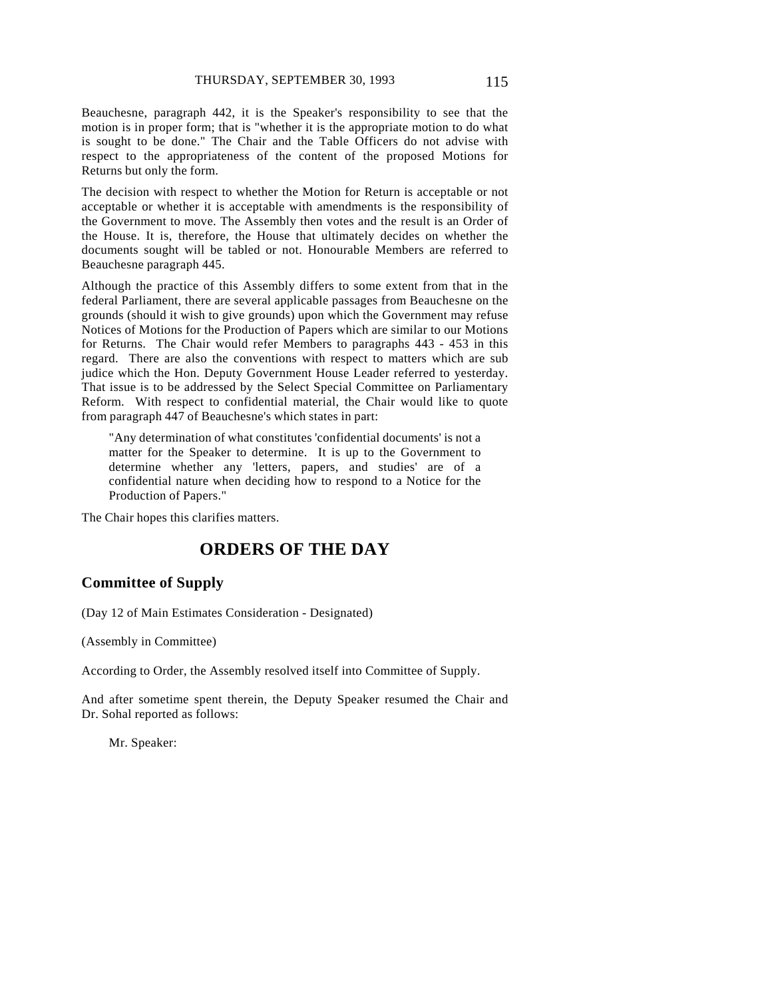Beauchesne, paragraph 442, it is the Speaker's responsibility to see that the motion is in proper form; that is "whether it is the appropriate motion to do what is sought to be done." The Chair and the Table Officers do not advise with respect to the appropriateness of the content of the proposed Motions for Returns but only the form.

The decision with respect to whether the Motion for Return is acceptable or not acceptable or whether it is acceptable with amendments is the responsibility of the Government to move. The Assembly then votes and the result is an Order of the House. It is, therefore, the House that ultimately decides on whether the documents sought will be tabled or not. Honourable Members are referred to Beauchesne paragraph 445.

Although the practice of this Assembly differs to some extent from that in the federal Parliament, there are several applicable passages from Beauchesne on the grounds (should it wish to give grounds) upon which the Government may refuse Notices of Motions for the Production of Papers which are similar to our Motions for Returns. The Chair would refer Members to paragraphs 443 - 453 in this regard. There are also the conventions with respect to matters which are sub judice which the Hon. Deputy Government House Leader referred to yesterday. That issue is to be addressed by the Select Special Committee on Parliamentary Reform. With respect to confidential material, the Chair would like to quote from paragraph 447 of Beauchesne's which states in part:

"Any determination of what constitutes 'confidential documents' is not a matter for the Speaker to determine. It is up to the Government to determine whether any 'letters, papers, and studies' are of a confidential nature when deciding how to respond to a Notice for the Production of Papers."

The Chair hopes this clarifies matters.

# **ORDERS OF THE DAY**

#### **Committee of Supply**

(Day 12 of Main Estimates Consideration - Designated)

(Assembly in Committee)

According to Order, the Assembly resolved itself into Committee of Supply.

And after sometime spent therein, the Deputy Speaker resumed the Chair and Dr. Sohal reported as follows:

Mr. Speaker: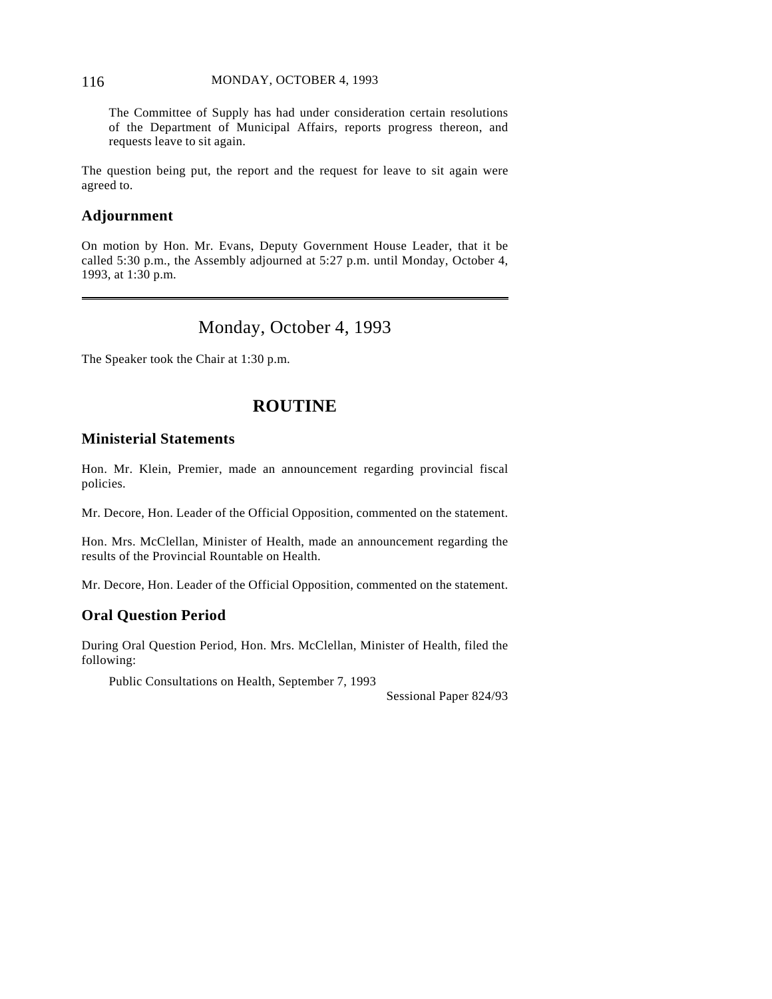#### 116 MONDAY, OCTOBER 4, 1993

The Committee of Supply has had under consideration certain resolutions of the Department of Municipal Affairs, reports progress thereon, and requests leave to sit again.

The question being put, the report and the request for leave to sit again were agreed to.

# **Adjournment**

 $\overline{a}$ 

On motion by Hon. Mr. Evans, Deputy Government House Leader, that it be called 5:30 p.m., the Assembly adjourned at 5:27 p.m. until Monday, October 4, 1993, at 1:30 p.m.

# Monday, October 4, 1993

The Speaker took the Chair at 1:30 p.m.

# **ROUTINE**

# **Ministerial Statements**

Hon. Mr. Klein, Premier, made an announcement regarding provincial fiscal policies.

Mr. Decore, Hon. Leader of the Official Opposition, commented on the statement.

Hon. Mrs. McClellan, Minister of Health, made an announcement regarding the results of the Provincial Rountable on Health.

Mr. Decore, Hon. Leader of the Official Opposition, commented on the statement.

# **Oral Question Period**

During Oral Question Period, Hon. Mrs. McClellan, Minister of Health, filed the following:

Public Consultations on Health, September 7, 1993

Sessional Paper 824/93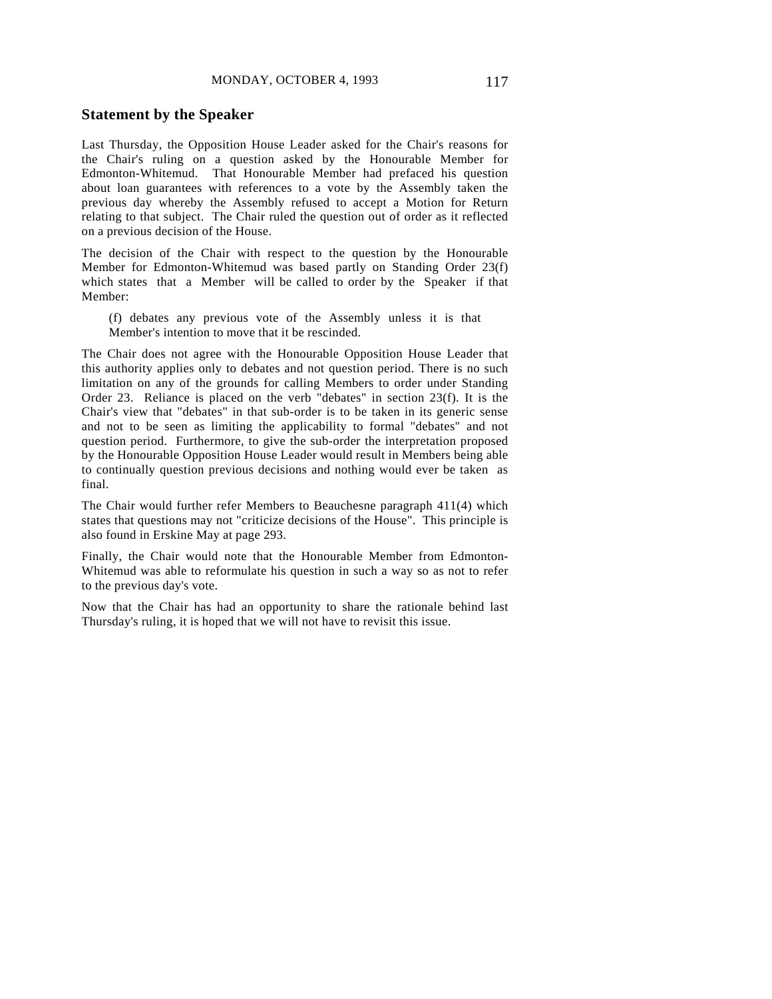#### **Statement by the Speaker**

Last Thursday, the Opposition House Leader asked for the Chair's reasons for the Chair's ruling on a question asked by the Honourable Member for Edmonton-Whitemud. That Honourable Member had prefaced his question about loan guarantees with references to a vote by the Assembly taken the previous day whereby the Assembly refused to accept a Motion for Return relating to that subject. The Chair ruled the question out of order as it reflected on a previous decision of the House.

The decision of the Chair with respect to the question by the Honourable Member for Edmonton-Whitemud was based partly on Standing Order 23(f) which states that a Member will be called to order by the Speaker if that Member:

(f) debates any previous vote of the Assembly unless it is that Member's intention to move that it be rescinded.

The Chair does not agree with the Honourable Opposition House Leader that this authority applies only to debates and not question period. There is no such limitation on any of the grounds for calling Members to order under Standing Order 23. Reliance is placed on the verb "debates" in section 23(f). It is the Chair's view that "debates" in that sub-order is to be taken in its generic sense and not to be seen as limiting the applicability to formal "debates" and not question period. Furthermore, to give the sub-order the interpretation proposed by the Honourable Opposition House Leader would result in Members being able to continually question previous decisions and nothing would ever be taken as final.

The Chair would further refer Members to Beauchesne paragraph 411(4) which states that questions may not "criticize decisions of the House". This principle is also found in Erskine May at page 293.

Finally, the Chair would note that the Honourable Member from Edmonton-Whitemud was able to reformulate his question in such a way so as not to refer to the previous day's vote.

Now that the Chair has had an opportunity to share the rationale behind last Thursday's ruling, it is hoped that we will not have to revisit this issue.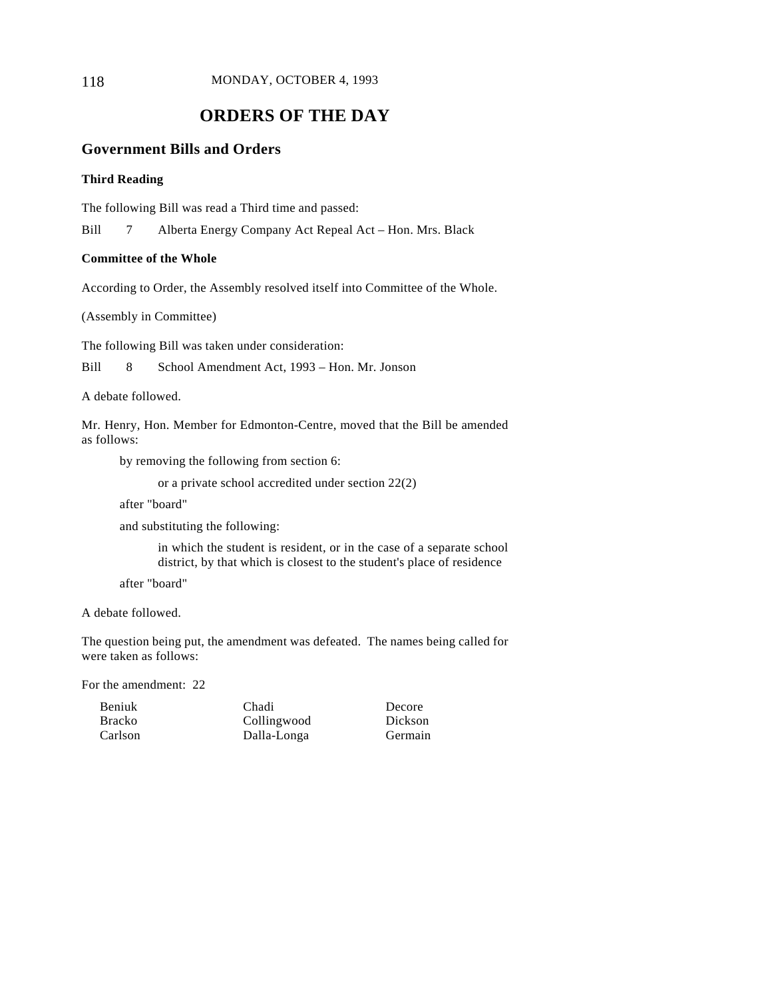118 MONDAY, OCTOBER 4, 1993

# **ORDERS OF THE DAY**

# **Government Bills and Orders**

### **Third Reading**

The following Bill was read a Third time and passed:

Bill 7 Alberta Energy Company Act Repeal Act – Hon. Mrs. Black

#### **Committee of the Whole**

According to Order, the Assembly resolved itself into Committee of the Whole.

(Assembly in Committee)

The following Bill was taken under consideration:

Bill 8 School Amendment Act, 1993 – Hon. Mr. Jonson

A debate followed.

Mr. Henry, Hon. Member for Edmonton-Centre, moved that the Bill be amended as follows:

by removing the following from section 6:

or a private school accredited under section 22(2)

after "board"

and substituting the following:

in which the student is resident, or in the case of a separate school district, by that which is closest to the student's place of residence

after "board"

A debate followed.

The question being put, the amendment was defeated. The names being called for were taken as follows:

For the amendment: 22

| <b>Beniuk</b> | Chadi       |
|---------------|-------------|
| <b>Bracko</b> | Collingwood |
| Carlson       | Dalla-Longa |

Decore Dickson Germain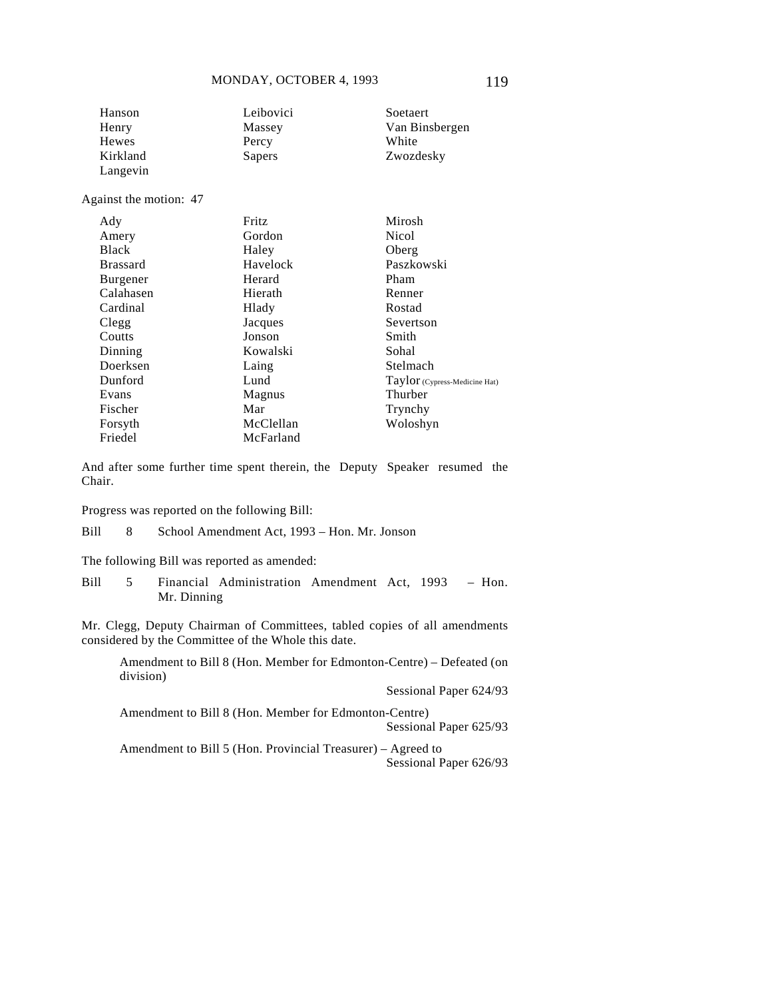| Hanson                 | Leibovici | Soetaert                      |
|------------------------|-----------|-------------------------------|
| Henry                  | Massey    | Van Binsbergen                |
| <b>Hewes</b>           | Percy     | White                         |
| Kirkland               | Sapers    | Zwozdesky                     |
| Langevin               |           |                               |
| Against the motion: 47 |           |                               |
| Ady                    | Fritz     | Mirosh                        |
| Amery                  | Gordon    | <b>Nicol</b>                  |
| <b>Black</b>           | Haley     | Oberg                         |
| <b>Brassard</b>        | Havelock  | Paszkowski                    |
| Burgener               | Herard    | Pham                          |
| Calahasen              | Hierath   | Renner                        |
| Cardinal               | Hlady     | Rostad                        |
| Clegg                  | Jacques   | Severtson                     |
| Coutts                 | Jonson    | Smith                         |
| Dinning                | Kowalski  | Sohal                         |
| Doerksen               | Laing     | Stelmach                      |
| Dunford                | Lund      | Taylor (Cypress-Medicine Hat) |
| Evans                  | Magnus    | Thurber                       |
| Fischer                | Mar       | Trynchy                       |
| Forsyth                | McClellan | Woloshyn                      |
| Friedel                | McFarland |                               |

And after some further time spent therein, the Deputy Speaker resumed the Chair.

Progress was reported on the following Bill:

Bill 8 School Amendment Act, 1993 – Hon. Mr. Jonson

The following Bill was reported as amended:

Bill 5 Financial Administration Amendment Act, 1993 – Hon. Mr. Dinning

Mr. Clegg, Deputy Chairman of Committees, tabled copies of all amendments considered by the Committee of the Whole this date.

Amendment to Bill 8 (Hon. Member for Edmonton-Centre) – Defeated (on division)

Sessional Paper 624/93

Amendment to Bill 8 (Hon. Member for Edmonton-Centre) Sessional Paper 625/93

Amendment to Bill 5 (Hon. Provincial Treasurer) – Agreed to Sessional Paper 626/93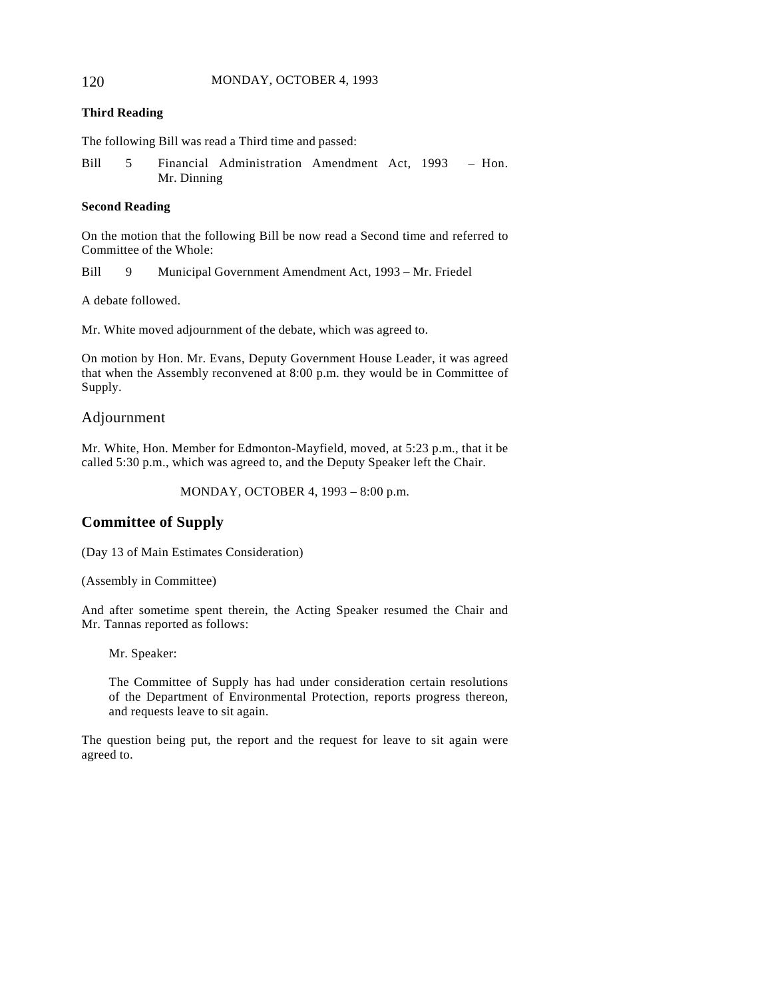#### 120 MONDAY, OCTOBER 4, 1993

#### **Third Reading**

The following Bill was read a Third time and passed:

Bill 5 Financial Administration Amendment Act, 1993 – Hon. Mr. Dinning

#### **Second Reading**

On the motion that the following Bill be now read a Second time and referred to Committee of the Whole:

Bill 9 Municipal Government Amendment Act, 1993 – Mr. Friedel

A debate followed.

Mr. White moved adjournment of the debate, which was agreed to.

On motion by Hon. Mr. Evans, Deputy Government House Leader, it was agreed that when the Assembly reconvened at 8:00 p.m. they would be in Committee of Supply.

### Adjournment

Mr. White, Hon. Member for Edmonton-Mayfield, moved, at 5:23 p.m., that it be called 5:30 p.m., which was agreed to, and the Deputy Speaker left the Chair.

MONDAY, OCTOBER 4, 1993 – 8:00 p.m.

# **Committee of Supply**

(Day 13 of Main Estimates Consideration)

(Assembly in Committee)

And after sometime spent therein, the Acting Speaker resumed the Chair and Mr. Tannas reported as follows:

Mr. Speaker:

The Committee of Supply has had under consideration certain resolutions of the Department of Environmental Protection, reports progress thereon, and requests leave to sit again.

The question being put, the report and the request for leave to sit again were agreed to.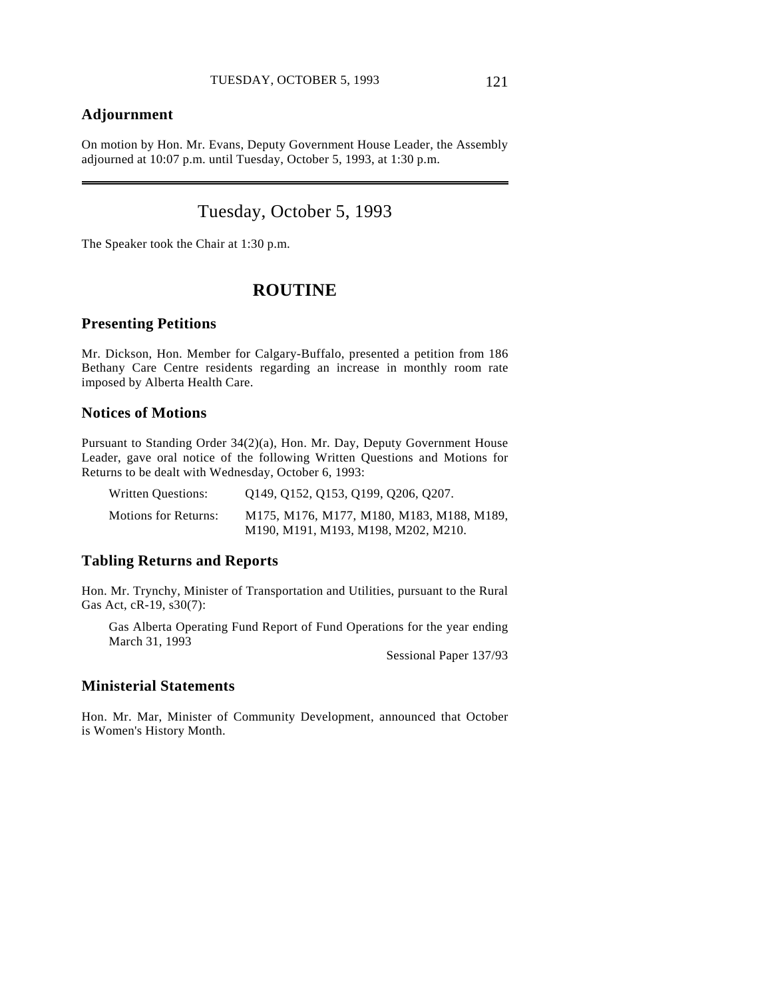# **Adjournment**

 $\overline{a}$ 

On motion by Hon. Mr. Evans, Deputy Government House Leader, the Assembly adjourned at 10:07 p.m. until Tuesday, October 5, 1993, at 1:30 p.m.

# Tuesday, October 5, 1993

The Speaker took the Chair at 1:30 p.m.

# **ROUTINE**

### **Presenting Petitions**

Mr. Dickson, Hon. Member for Calgary-Buffalo, presented a petition from 186 Bethany Care Centre residents regarding an increase in monthly room rate imposed by Alberta Health Care.

### **Notices of Motions**

Pursuant to Standing Order 34(2)(a), Hon. Mr. Day, Deputy Government House Leader, gave oral notice of the following Written Questions and Motions for Returns to be dealt with Wednesday, October 6, 1993:

| Written Questions:          | Q149, Q152, Q153, Q199, Q206, Q207.                                              |
|-----------------------------|----------------------------------------------------------------------------------|
| <b>Motions for Returns:</b> | M175, M176, M177, M180, M183, M188, M189,<br>M190, M191, M193, M198, M202, M210. |

## **Tabling Returns and Reports**

Hon. Mr. Trynchy, Minister of Transportation and Utilities, pursuant to the Rural Gas Act, cR-19, s30(7):

Gas Alberta Operating Fund Report of Fund Operations for the year ending March 31, 1993

Sessional Paper 137/93

### **Ministerial Statements**

Hon. Mr. Mar, Minister of Community Development, announced that October is Women's History Month.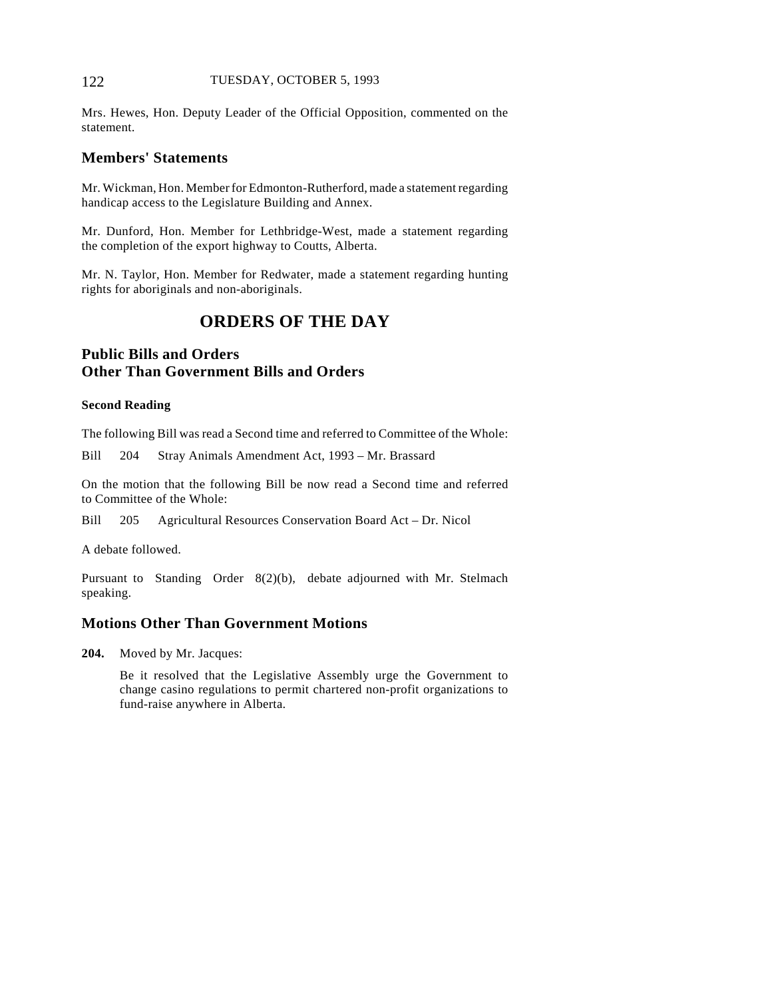#### 122 TUESDAY, OCTOBER 5, 1993

Mrs. Hewes, Hon. Deputy Leader of the Official Opposition, commented on the statement.

### **Members' Statements**

Mr. Wickman, Hon. Member for Edmonton-Rutherford, made a statement regarding handicap access to the Legislature Building and Annex.

Mr. Dunford, Hon. Member for Lethbridge-West, made a statement regarding the completion of the export highway to Coutts, Alberta.

Mr. N. Taylor, Hon. Member for Redwater, made a statement regarding hunting rights for aboriginals and non-aboriginals.

# **ORDERS OF THE DAY**

# **Public Bills and Orders Other Than Government Bills and Orders**

#### **Second Reading**

The following Bill was read a Second time and referred to Committee of the Whole:

Bill 204 Stray Animals Amendment Act, 1993 – Mr. Brassard

On the motion that the following Bill be now read a Second time and referred to Committee of the Whole:

Bill 205 Agricultural Resources Conservation Board Act – Dr. Nicol

A debate followed.

Pursuant to Standing Order 8(2)(b), debate adjourned with Mr. Stelmach speaking.

### **Motions Other Than Government Motions**

**204.** Moved by Mr. Jacques:

Be it resolved that the Legislative Assembly urge the Government to change casino regulations to permit chartered non-profit organizations to fund-raise anywhere in Alberta.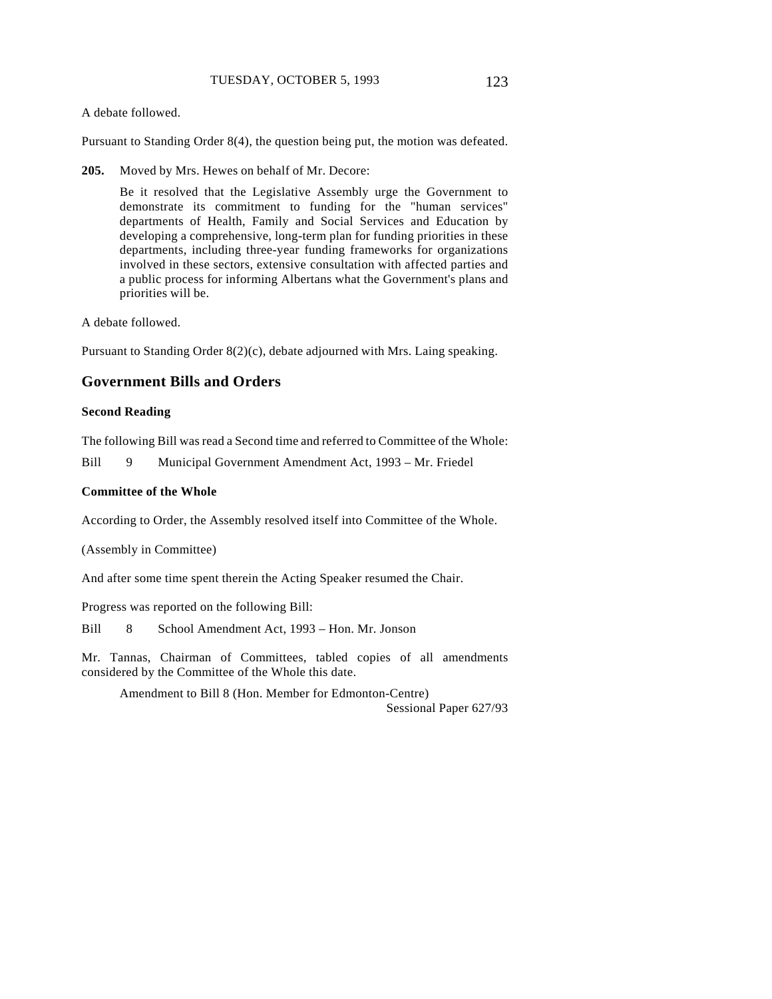A debate followed.

Pursuant to Standing Order 8(4), the question being put, the motion was defeated.

**205.** Moved by Mrs. Hewes on behalf of Mr. Decore:

Be it resolved that the Legislative Assembly urge the Government to demonstrate its commitment to funding for the "human services" departments of Health, Family and Social Services and Education by developing a comprehensive, long-term plan for funding priorities in these departments, including three-year funding frameworks for organizations involved in these sectors, extensive consultation with affected parties and a public process for informing Albertans what the Government's plans and priorities will be.

A debate followed.

Pursuant to Standing Order 8(2)(c), debate adjourned with Mrs. Laing speaking.

# **Government Bills and Orders**

#### **Second Reading**

The following Bill was read a Second time and referred to Committee of the Whole:

Bill 9 Municipal Government Amendment Act, 1993 – Mr. Friedel

#### **Committee of the Whole**

According to Order, the Assembly resolved itself into Committee of the Whole.

(Assembly in Committee)

And after some time spent therein the Acting Speaker resumed the Chair.

Progress was reported on the following Bill:

Bill 8 School Amendment Act, 1993 – Hon. Mr. Jonson

Mr. Tannas, Chairman of Committees, tabled copies of all amendments considered by the Committee of the Whole this date.

Amendment to Bill 8 (Hon. Member for Edmonton-Centre) Sessional Paper 627/93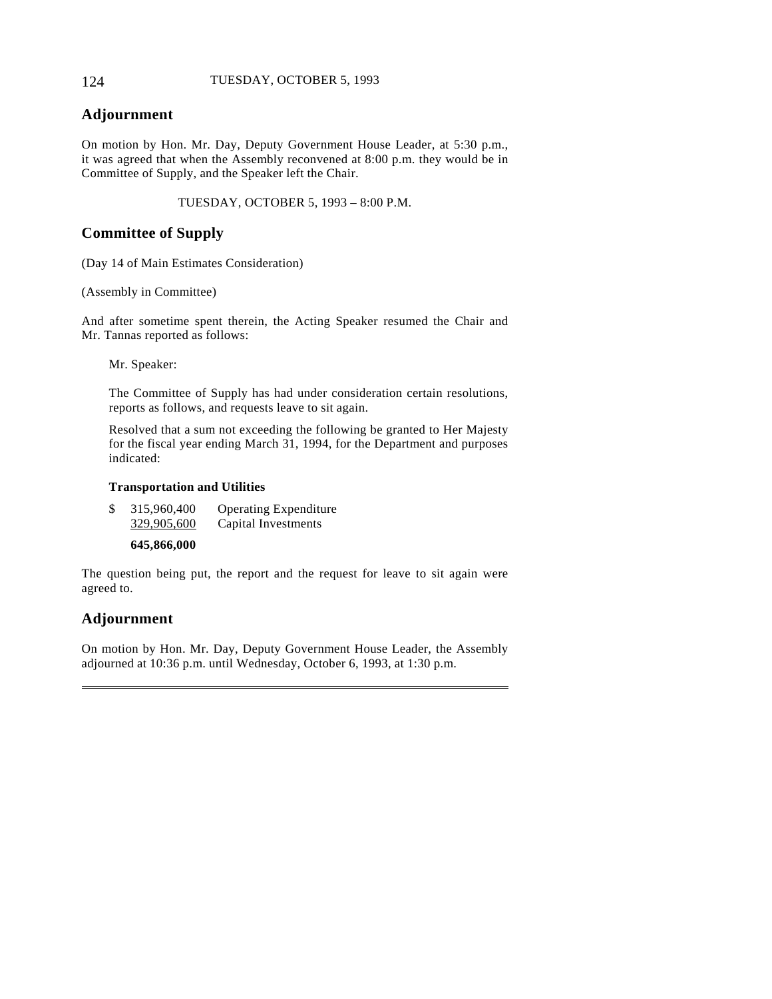### 124 TUESDAY, OCTOBER 5, 1993

# **Adjournment**

On motion by Hon. Mr. Day, Deputy Government House Leader, at 5:30 p.m., it was agreed that when the Assembly reconvened at 8:00 p.m. they would be in Committee of Supply, and the Speaker left the Chair.

TUESDAY, OCTOBER 5, 1993 – 8:00 P.M.

# **Committee of Supply**

(Day 14 of Main Estimates Consideration)

(Assembly in Committee)

And after sometime spent therein, the Acting Speaker resumed the Chair and Mr. Tannas reported as follows:

Mr. Speaker:

The Committee of Supply has had under consideration certain resolutions, reports as follows, and requests leave to sit again.

Resolved that a sum not exceeding the following be granted to Her Majesty for the fiscal year ending March 31, 1994, for the Department and purposes indicated:

#### **Transportation and Utilities**

| \$<br>315,960,400<br>329,905,600 | <b>Operating Expenditure</b><br>Capital Investments |
|----------------------------------|-----------------------------------------------------|
| 645,866,000                      |                                                     |

The question being put, the report and the request for leave to sit again were agreed to.

# **Adjournment**

 $\overline{a}$ 

On motion by Hon. Mr. Day, Deputy Government House Leader, the Assembly adjourned at 10:36 p.m. until Wednesday, October 6, 1993, at 1:30 p.m.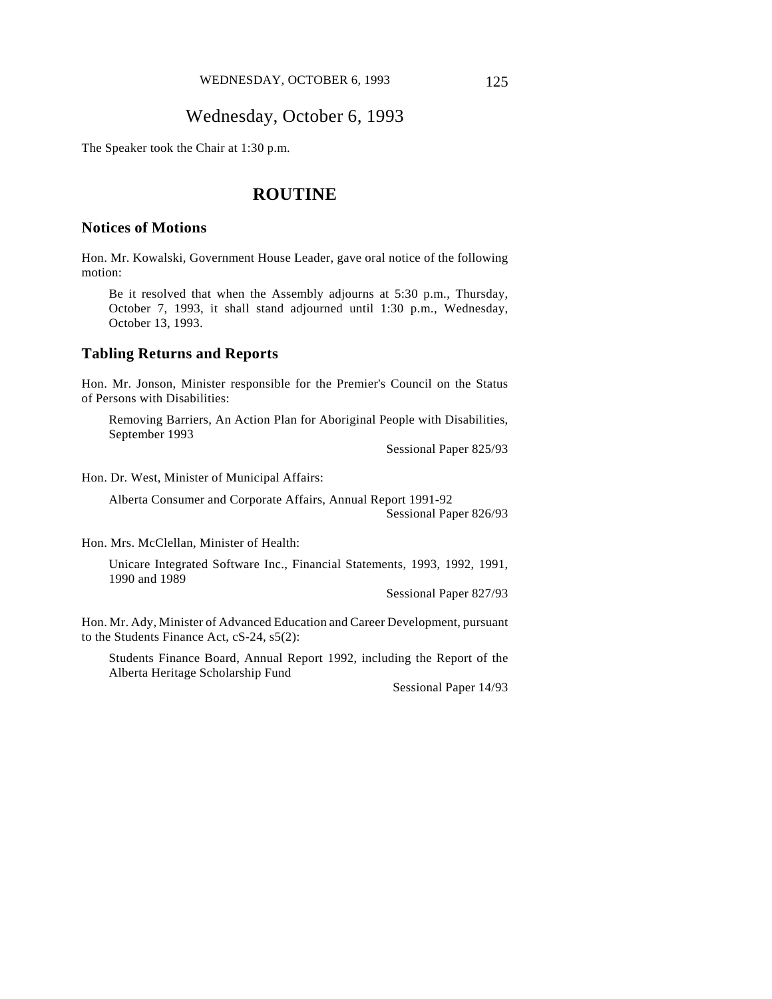# Wednesday, October 6, 1993

The Speaker took the Chair at 1:30 p.m.

# **ROUTINE**

#### **Notices of Motions**

Hon. Mr. Kowalski, Government House Leader, gave oral notice of the following motion:

Be it resolved that when the Assembly adjourns at 5:30 p.m., Thursday, October 7, 1993, it shall stand adjourned until 1:30 p.m., Wednesday, October 13, 1993.

# **Tabling Returns and Reports**

Hon. Mr. Jonson, Minister responsible for the Premier's Council on the Status of Persons with Disabilities:

Removing Barriers, An Action Plan for Aboriginal People with Disabilities, September 1993

Sessional Paper 825/93

Hon. Dr. West, Minister of Municipal Affairs:

Alberta Consumer and Corporate Affairs, Annual Report 1991-92

Sessional Paper 826/93

Hon. Mrs. McClellan, Minister of Health:

Unicare Integrated Software Inc., Financial Statements, 1993, 1992, 1991, 1990 and 1989

Sessional Paper 827/93

Hon. Mr. Ady, Minister of Advanced Education and Career Development, pursuant to the Students Finance Act, cS-24, s5(2):

Students Finance Board, Annual Report 1992, including the Report of the Alberta Heritage Scholarship Fund

Sessional Paper 14/93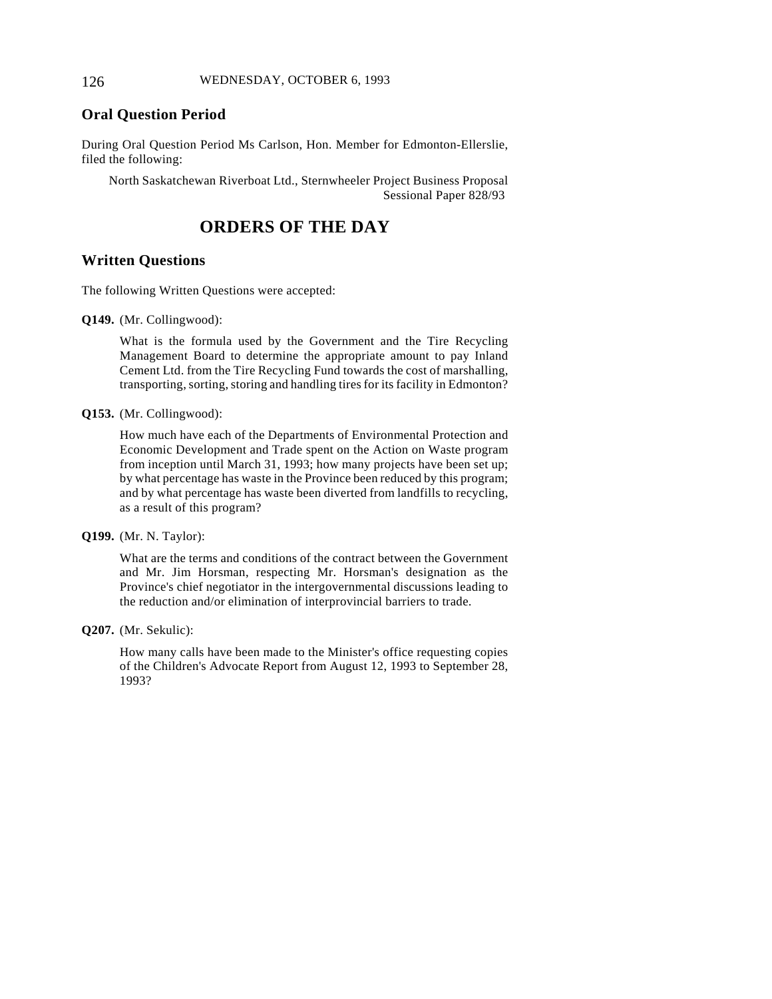### **Oral Question Period**

During Oral Question Period Ms Carlson, Hon. Member for Edmonton-Ellerslie, filed the following:

North Saskatchewan Riverboat Ltd., Sternwheeler Project Business Proposal Sessional Paper 828/93

# **ORDERS OF THE DAY**

### **Written Questions**

The following Written Questions were accepted:

**Q149.** (Mr. Collingwood):

What is the formula used by the Government and the Tire Recycling Management Board to determine the appropriate amount to pay Inland Cement Ltd. from the Tire Recycling Fund towards the cost of marshalling, transporting, sorting, storing and handling tires for its facility in Edmonton?

**Q153.** (Mr. Collingwood):

How much have each of the Departments of Environmental Protection and Economic Development and Trade spent on the Action on Waste program from inception until March 31, 1993; how many projects have been set up; by what percentage has waste in the Province been reduced by this program; and by what percentage has waste been diverted from landfills to recycling, as a result of this program?

**Q199.** (Mr. N. Taylor):

What are the terms and conditions of the contract between the Government and Mr. Jim Horsman, respecting Mr. Horsman's designation as the Province's chief negotiator in the intergovernmental discussions leading to the reduction and/or elimination of interprovincial barriers to trade.

**Q207.** (Mr. Sekulic):

How many calls have been made to the Minister's office requesting copies of the Children's Advocate Report from August 12, 1993 to September 28, 1993?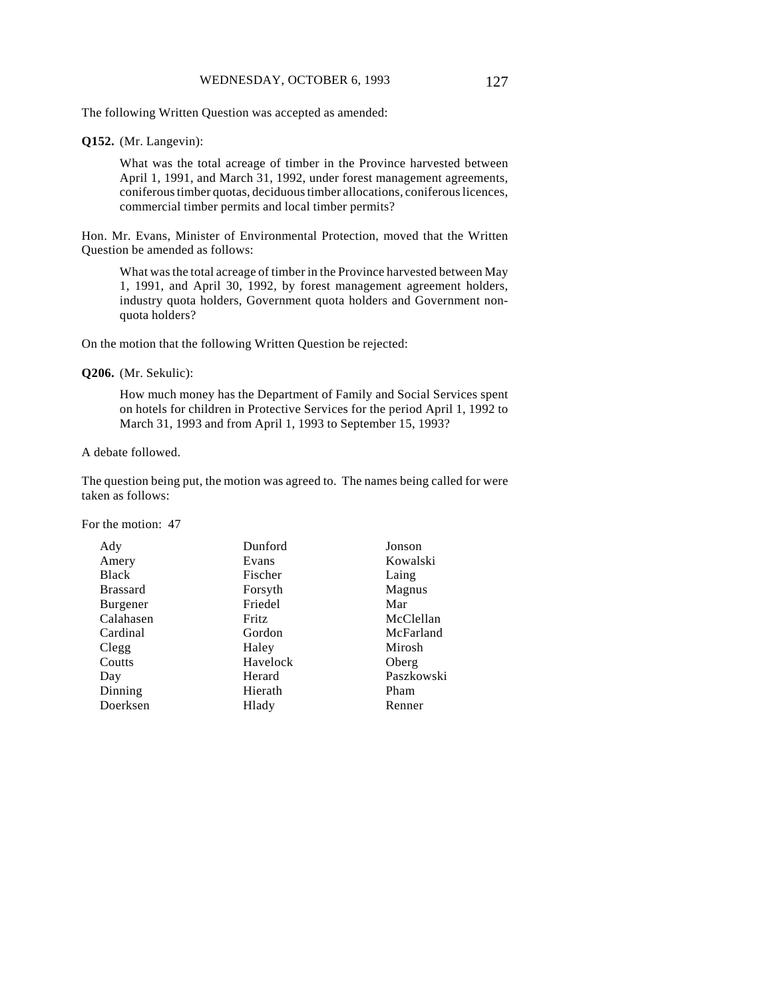The following Written Question was accepted as amended:

#### **Q152.** (Mr. Langevin):

What was the total acreage of timber in the Province harvested between April 1, 1991, and March 31, 1992, under forest management agreements, coniferous timber quotas, deciduous timber allocations, coniferous licences, commercial timber permits and local timber permits?

Hon. Mr. Evans, Minister of Environmental Protection, moved that the Written Question be amended as follows:

What was the total acreage of timber in the Province harvested between May 1, 1991, and April 30, 1992, by forest management agreement holders, industry quota holders, Government quota holders and Government nonquota holders?

On the motion that the following Written Question be rejected:

**Q206.** (Mr. Sekulic):

How much money has the Department of Family and Social Services spent on hotels for children in Protective Services for the period April 1, 1992 to March 31, 1993 and from April 1, 1993 to September 15, 1993?

A debate followed.

The question being put, the motion was agreed to. The names being called for were taken as follows:

For the motion: 47

| Dunford      | Jonson     |
|--------------|------------|
| Evans        | Kowalski   |
| Fischer      | Laing      |
| Forsyth      | Magnus     |
| Friedel      | Mar        |
| <b>Fritz</b> | McClellan  |
| Gordon       | McFarland  |
| Haley        | Mirosh     |
| Havelock     | Oberg      |
| Herard       | Paszkowski |
| Hierath      | Pham       |
| Hlady        | Renner     |
|              |            |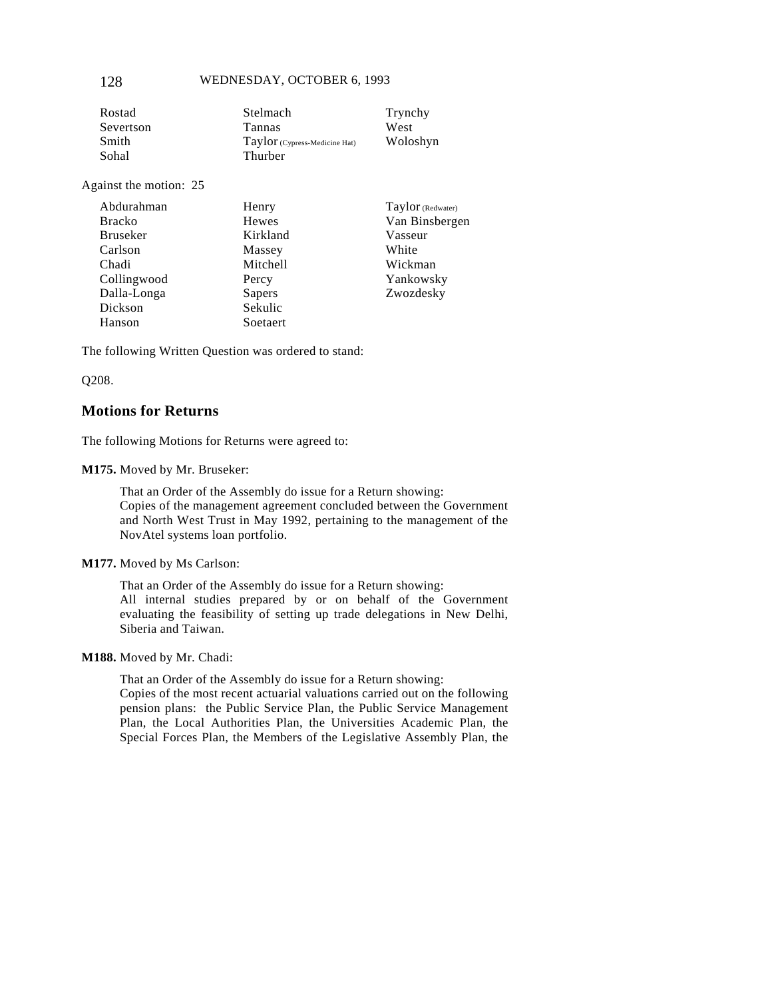#### 128 WEDNESDAY, OCTOBER 6, 1993

| Stelmach                      | Trynchy  |
|-------------------------------|----------|
| <b>Tannas</b>                 | West     |
| Taylor (Cypress-Medicine Hat) | Woloshyn |
| Thurber                       |          |
|                               |          |

Against the motion: 25

| Abdurahman      | Henry    | Taylor (Redwater) |
|-----------------|----------|-------------------|
| <b>Bracko</b>   | Hewes    | Van Binsbergen    |
| <b>Bruseker</b> | Kirkland | Vasseur           |
| Carlson         | Massey   | White             |
| Chadi           | Mitchell | Wickman           |
| Collingwood     | Percy    | Yankowsky         |
| Dalla-Longa     | Sapers   | Zwozdesky         |
| Dickson         | Sekulic  |                   |
| Hanson          | Soetaert |                   |

The following Written Question was ordered to stand:

Q208.

### **Motions for Returns**

The following Motions for Returns were agreed to:

**M175.** Moved by Mr. Bruseker:

That an Order of the Assembly do issue for a Return showing: Copies of the management agreement concluded between the Government and North West Trust in May 1992, pertaining to the management of the NovAtel systems loan portfolio.

**M177.** Moved by Ms Carlson:

That an Order of the Assembly do issue for a Return showing: All internal studies prepared by or on behalf of the Government evaluating the feasibility of setting up trade delegations in New Delhi, Siberia and Taiwan.

**M188.** Moved by Mr. Chadi:

That an Order of the Assembly do issue for a Return showing:

Copies of the most recent actuarial valuations carried out on the following pension plans: the Public Service Plan, the Public Service Management Plan, the Local Authorities Plan, the Universities Academic Plan, the Special Forces Plan, the Members of the Legislative Assembly Plan, the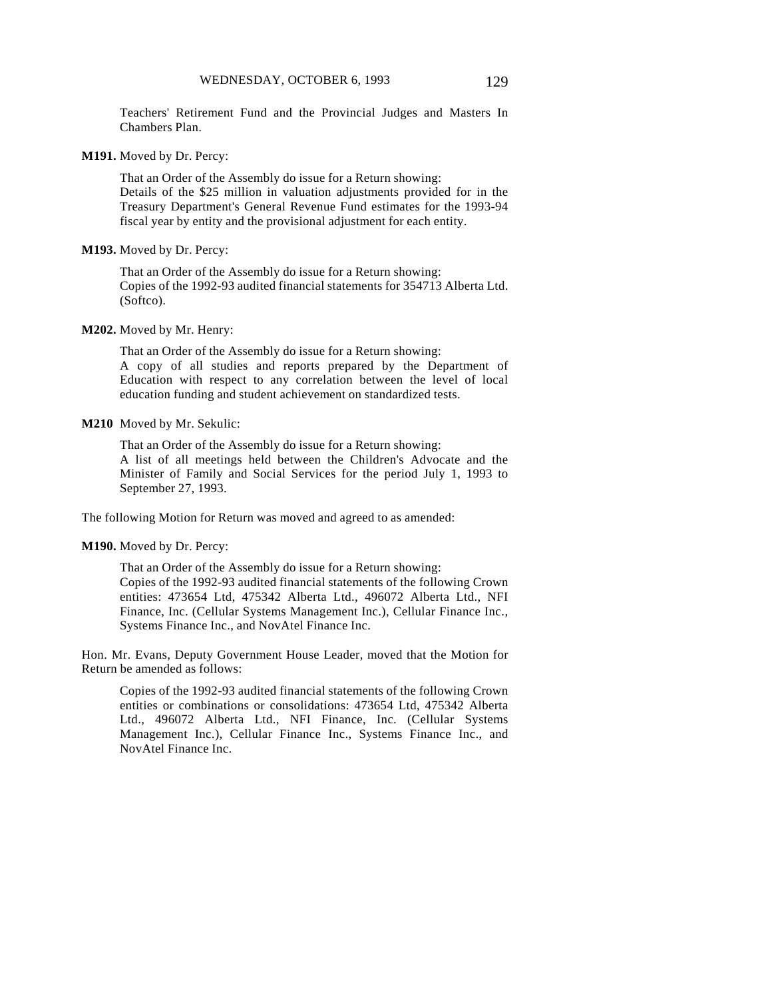Chambers Plan.

**M191.** Moved by Dr. Percy:

That an Order of the Assembly do issue for a Return showing: Details of the \$25 million in valuation adjustments provided for in the Treasury Department's General Revenue Fund estimates for the 1993-94 fiscal year by entity and the provisional adjustment for each entity.

#### **M193.** Moved by Dr. Percy:

That an Order of the Assembly do issue for a Return showing: Copies of the 1992-93 audited financial statements for 354713 Alberta Ltd. (Softco).

#### **M202.** Moved by Mr. Henry:

That an Order of the Assembly do issue for a Return showing: A copy of all studies and reports prepared by the Department of Education with respect to any correlation between the level of local education funding and student achievement on standardized tests.

#### **M210** Moved by Mr. Sekulic:

That an Order of the Assembly do issue for a Return showing: A list of all meetings held between the Children's Advocate and the Minister of Family and Social Services for the period July 1, 1993 to September 27, 1993.

The following Motion for Return was moved and agreed to as amended:

#### **M190.** Moved by Dr. Percy:

That an Order of the Assembly do issue for a Return showing: Copies of the 1992-93 audited financial statements of the following Crown entities: 473654 Ltd, 475342 Alberta Ltd., 496072 Alberta Ltd., NFI Finance, Inc. (Cellular Systems Management Inc.), Cellular Finance Inc., Systems Finance Inc., and NovAtel Finance Inc.

Hon. Mr. Evans, Deputy Government House Leader, moved that the Motion for Return be amended as follows:

Copies of the 1992-93 audited financial statements of the following Crown entities or combinations or consolidations: 473654 Ltd, 475342 Alberta Ltd., 496072 Alberta Ltd., NFI Finance, Inc. (Cellular Systems Management Inc.), Cellular Finance Inc., Systems Finance Inc., and NovAtel Finance Inc.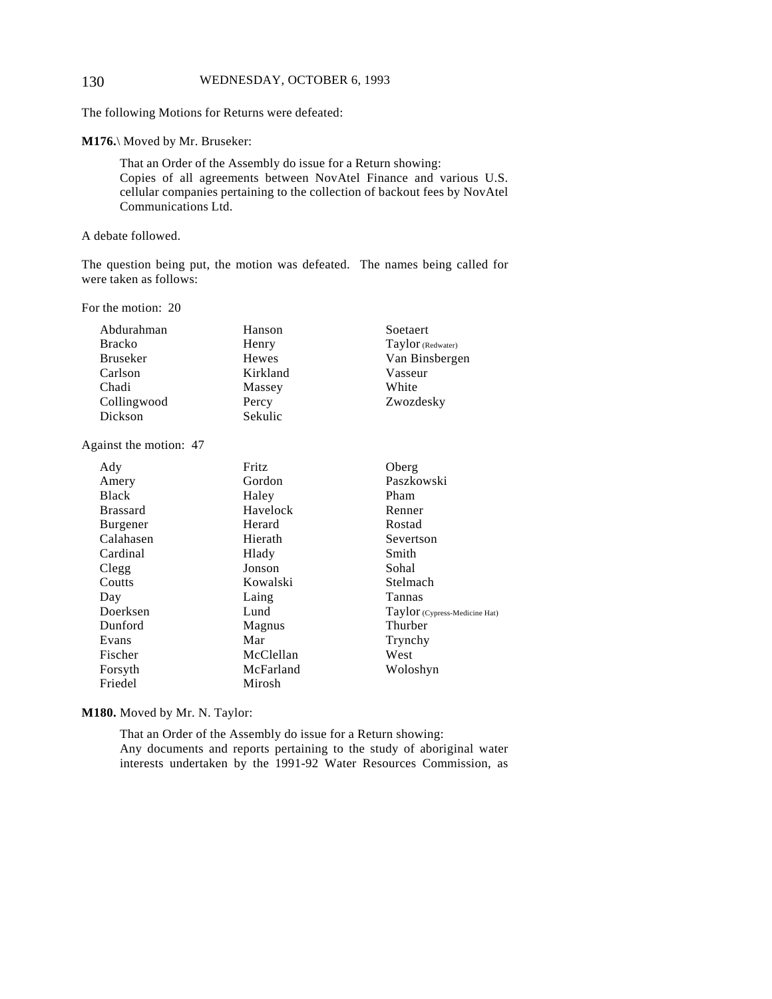#### 130 WEDNESDAY, OCTOBER 6, 1993

The following Motions for Returns were defeated:

**M176.**\ Moved by Mr. Bruseker:

That an Order of the Assembly do issue for a Return showing: Copies of all agreements between NovAtel Finance and various U.S. cellular companies pertaining to the collection of backout fees by NovAtel Communications Ltd.

A debate followed.

The question being put, the motion was defeated. The names being called for were taken as follows:

For the motion: 20

| Abdurahman      | Hanson   | Soetaert          |
|-----------------|----------|-------------------|
| <b>Bracko</b>   | Henry    | Taylor (Redwater) |
| <b>Bruseker</b> | Hewes    | Van Binsbergen    |
| Carlson         | Kirkland | Vasseur           |
| Chadi           | Massey   | White             |
| Collingwood     | Percy    | Zwozdesky         |
| Dickson         | Sekulic  |                   |

Against the motion: 47

| Ady             | Fritz     | Oberg                         |
|-----------------|-----------|-------------------------------|
| Amery           | Gordon    | Paszkowski                    |
| <b>Black</b>    | Haley     | Pham                          |
| <b>Brassard</b> | Havelock  | Renner                        |
| Burgener        | Herard    | Rostad                        |
| Calahasen       | Hierath   | Severtson                     |
| Cardinal        | Hlady     | Smith                         |
| Clegg           | Jonson    | Sohal                         |
| Coutts          | Kowalski  | Stelmach                      |
| Day             | Laing     | Tannas                        |
| Doerksen        | Lund      | Taylor (Cypress-Medicine Hat) |
| Dunford         | Magnus    | Thurber                       |
| Evans           | Mar       | Trynchy                       |
| Fischer         | McClellan | West                          |
| Forsyth         | McFarland | Woloshyn                      |
| Friedel         | Mirosh    |                               |

**M180.** Moved by Mr. N. Taylor:

That an Order of the Assembly do issue for a Return showing: Any documents and reports pertaining to the study of aboriginal water interests undertaken by the 1991-92 Water Resources Commission, as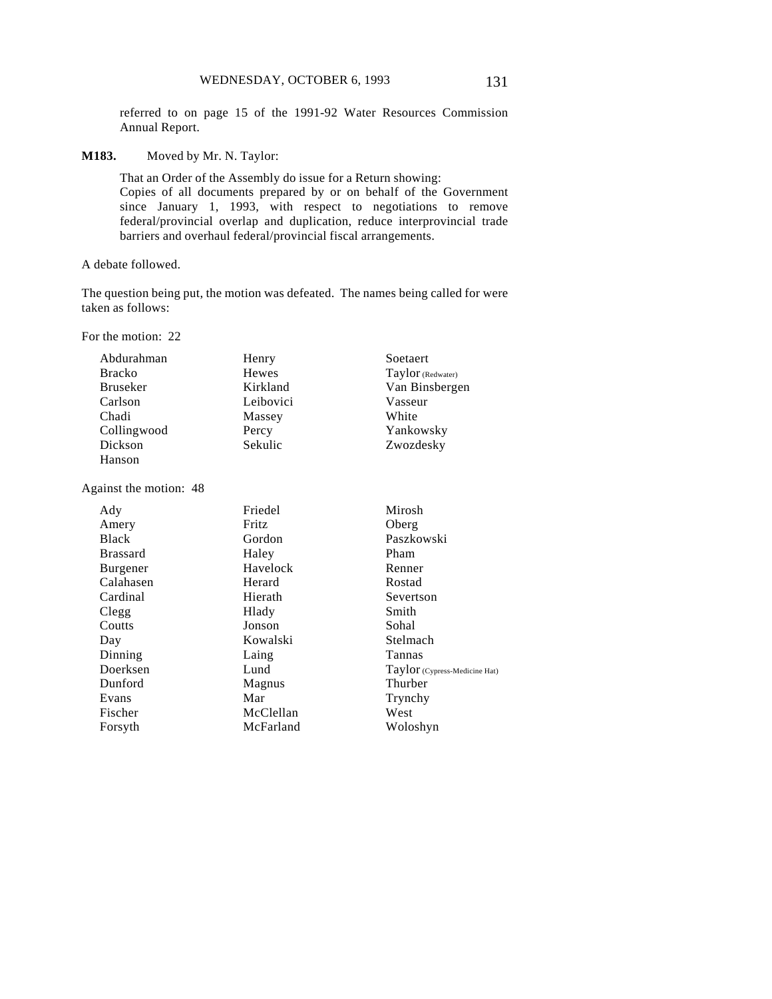referred to on page 15 of the 1991-92 Water Resources Commission Annual Report.

**M183.** Moved by Mr. N. Taylor:

That an Order of the Assembly do issue for a Return showing: Copies of all documents prepared by or on behalf of the Government since January 1, 1993, with respect to negotiations to remove federal/provincial overlap and duplication, reduce interprovincial trade barriers and overhaul federal/provincial fiscal arrangements.

A debate followed.

The question being put, the motion was defeated. The names being called for were taken as follows:

For the motion: 22

| Abdurahman      | Henry     | Soetaert          |
|-----------------|-----------|-------------------|
| <b>Bracko</b>   | Hewes     | Taylor (Redwater) |
| <b>Bruseker</b> | Kirkland  | Van Binsbergen    |
| Carlson         | Leibovici | Vasseur           |
| Chadi           | Massey    | White             |
| Collingwood     | Percy     | Yankowsky         |
| Dickson         | Sekulic   | Zwozdesky         |
| Hanson          |           |                   |

Against the motion: 48

| Ady             | Friedel   | Mirosh                        |
|-----------------|-----------|-------------------------------|
| Amery           | Fritz     | Oberg                         |
| <b>Black</b>    | Gordon    | Paszkowski                    |
| <b>Brassard</b> | Haley     | Pham                          |
| Burgener        | Havelock  | Renner                        |
| Calahasen       | Herard    | Rostad                        |
| Cardinal        | Hierath   | Severtson                     |
| Clegg           | Hlady     | Smith                         |
| Coutts          | Jonson    | Sohal                         |
| Day             | Kowalski  | Stelmach                      |
| Dinning         | Laing     | Tannas                        |
| Doerksen        | Lund      | Taylor (Cypress-Medicine Hat) |
| Dunford         | Magnus    | Thurber                       |
| Evans           | Mar       | Trynchy                       |
| Fischer         | McClellan | West                          |
| Forsyth         | McFarland | Woloshyn                      |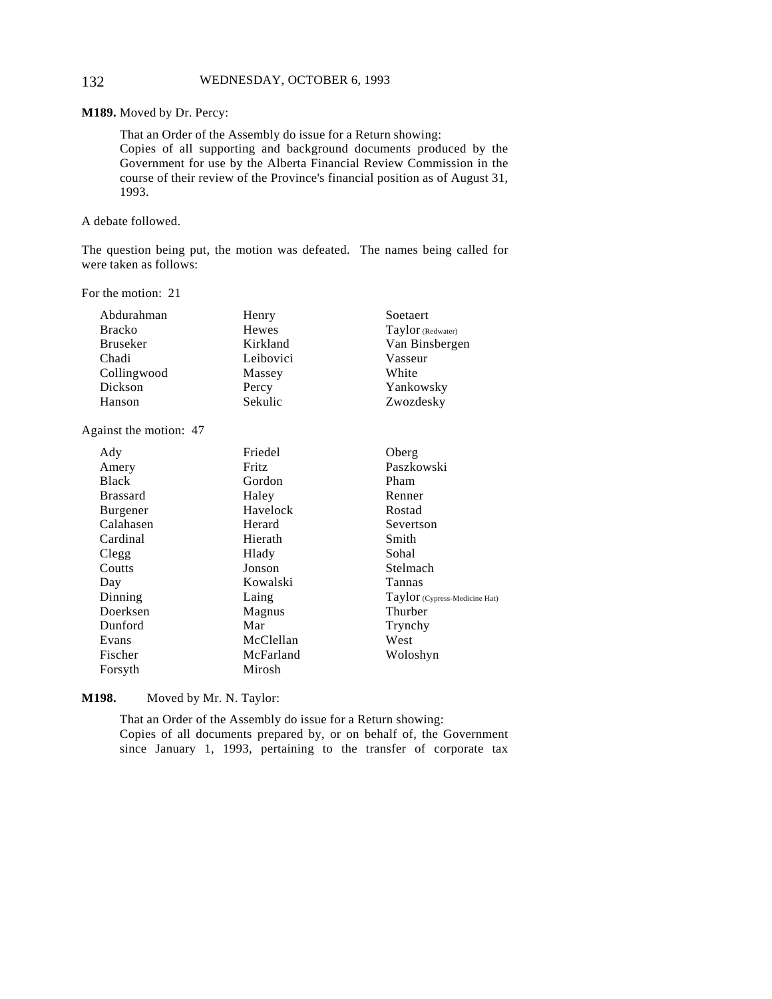#### 132 WEDNESDAY, OCTOBER 6, 1993

**M189.** Moved by Dr. Percy:

That an Order of the Assembly do issue for a Return showing: Copies of all supporting and background documents produced by the Government for use by the Alberta Financial Review Commission in the course of their review of the Province's financial position as of August 31, 1993.

A debate followed.

The question being put, the motion was defeated. The names being called for were taken as follows:

For the motion: 21

| Abdurahman      | Henry     | Soetaert          |
|-----------------|-----------|-------------------|
| <b>Bracko</b>   | Hewes     | Taylor (Redwater) |
| <b>Bruseker</b> | Kirkland  | Van Binsbergen    |
| Chadi           | Leibovici | Vasseur           |
| Collingwood     | Massey    | White             |
| Dickson         | Percy     | Yankowsky         |
| Hanson          | Sekulic   | Zwozdesky         |

Against the motion: 47

| Ady             | Friedel   | Oberg                         |
|-----------------|-----------|-------------------------------|
| Amery           | Fritz     | Paszkowski                    |
| <b>Black</b>    | Gordon    | Pham                          |
| <b>Brassard</b> | Haley     | Renner                        |
| <b>Burgener</b> | Havelock  | Rostad                        |
| Calahasen       | Herard    | Severtson                     |
| Cardinal        | Hierath   | Smith                         |
| Clegg           | Hlady     | Sohal                         |
| Coutts          | Jonson    | Stelmach                      |
| Day             | Kowalski  | Tannas                        |
| Dinning         | Laing     | Taylor (Cypress-Medicine Hat) |
| Doerksen        | Magnus    | Thurber                       |
| Dunford         | Mar       | Trynchy                       |
| Evans           | McClellan | West                          |
| Fischer         | McFarland | Woloshyn                      |
| Forsyth         | Mirosh    |                               |

**M198.** Moved by Mr. N. Taylor:

That an Order of the Assembly do issue for a Return showing: Copies of all documents prepared by, or on behalf of, the Government since January 1, 1993, pertaining to the transfer of corporate tax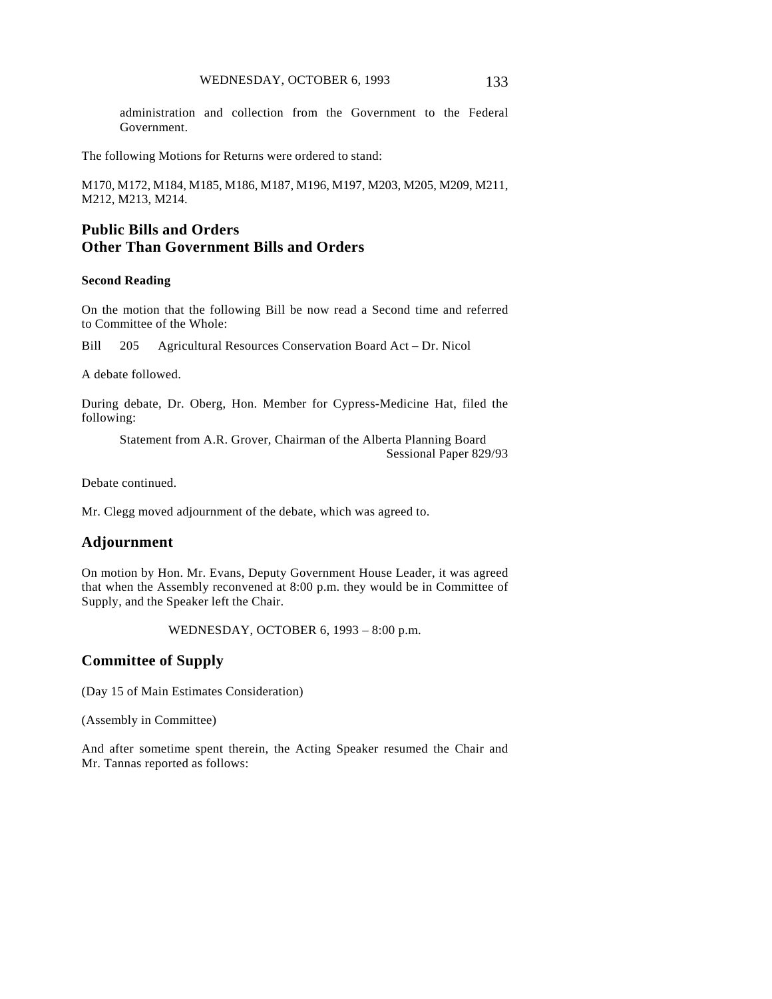administration and collection from the Government to the Federal Government.

The following Motions for Returns were ordered to stand:

M170, M172, M184, M185, M186, M187, M196, M197, M203, M205, M209, M211, M212, M213, M214.

# **Public Bills and Orders Other Than Government Bills and Orders**

#### **Second Reading**

On the motion that the following Bill be now read a Second time and referred to Committee of the Whole:

Bill 205 Agricultural Resources Conservation Board Act – Dr. Nicol

A debate followed.

During debate, Dr. Oberg, Hon. Member for Cypress-Medicine Hat, filed the following:

Statement from A.R. Grover, Chairman of the Alberta Planning Board Sessional Paper 829/93

Debate continued.

Mr. Clegg moved adjournment of the debate, which was agreed to.

### **Adjournment**

On motion by Hon. Mr. Evans, Deputy Government House Leader, it was agreed that when the Assembly reconvened at 8:00 p.m. they would be in Committee of Supply, and the Speaker left the Chair.

WEDNESDAY, OCTOBER 6, 1993 – 8:00 p.m.

# **Committee of Supply**

(Day 15 of Main Estimates Consideration)

(Assembly in Committee)

And after sometime spent therein, the Acting Speaker resumed the Chair and Mr. Tannas reported as follows: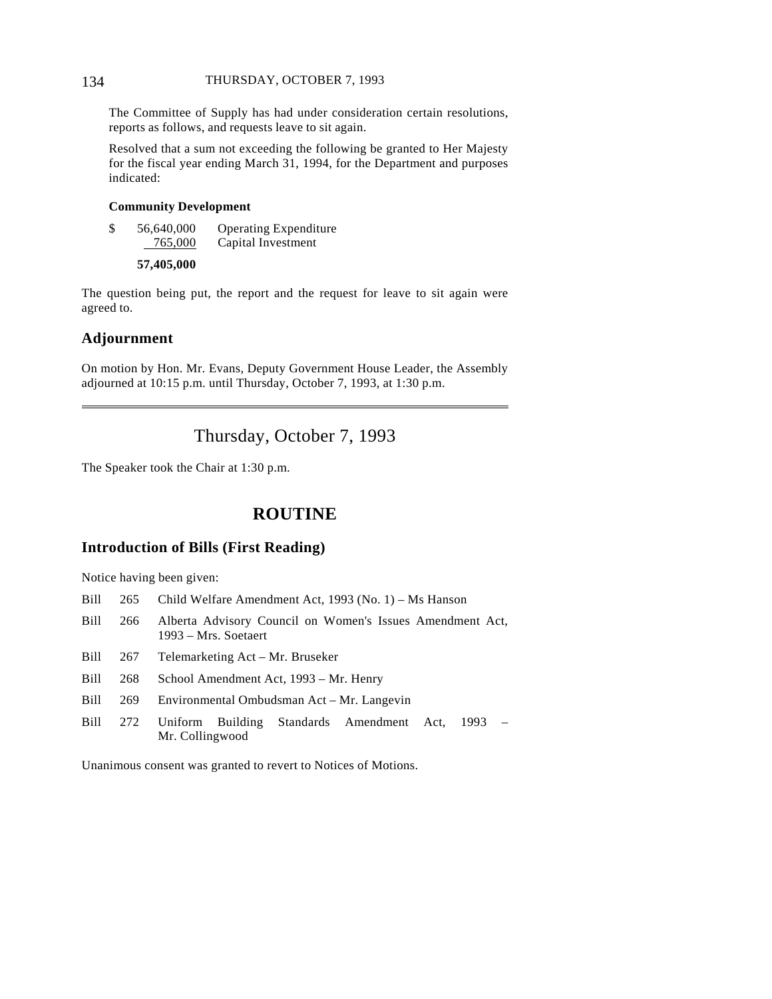#### 134 THURSDAY, OCTOBER 7, 1993

The Committee of Supply has had under consideration certain resolutions, reports as follows, and requests leave to sit again.

Resolved that a sum not exceeding the following be granted to Her Majesty for the fiscal year ending March 31, 1994, for the Department and purposes indicated:

#### **Community Development**

\$ 56,640,000 Operating Expenditure 765,000 Capital Investment

```
57,405,000
```
The question being put, the report and the request for leave to sit again were agreed to.

### **Adjournment**

 $\overline{a}$ 

On motion by Hon. Mr. Evans, Deputy Government House Leader, the Assembly adjourned at 10:15 p.m. until Thursday, October 7, 1993, at 1:30 p.m.

# Thursday, October 7, 1993

The Speaker took the Chair at 1:30 p.m.

# **ROUTINE**

# **Introduction of Bills (First Reading)**

Notice having been given:

- Bill 265 Child Welfare Amendment Act, 1993 (No. 1) Ms Hanson
- Bill 266 Alberta Advisory Council on Women's Issues Amendment Act, 1993 – Mrs. Soetaert
- Bill 267 Telemarketing Act Mr. Bruseker
- Bill 268 School Amendment Act, 1993 Mr. Henry
- Bill 269 Environmental Ombudsman Act Mr. Langevin
- Bill 272 Uniform Building Standards Amendment Act, 1993 Mr. Collingwood

Unanimous consent was granted to revert to Notices of Motions.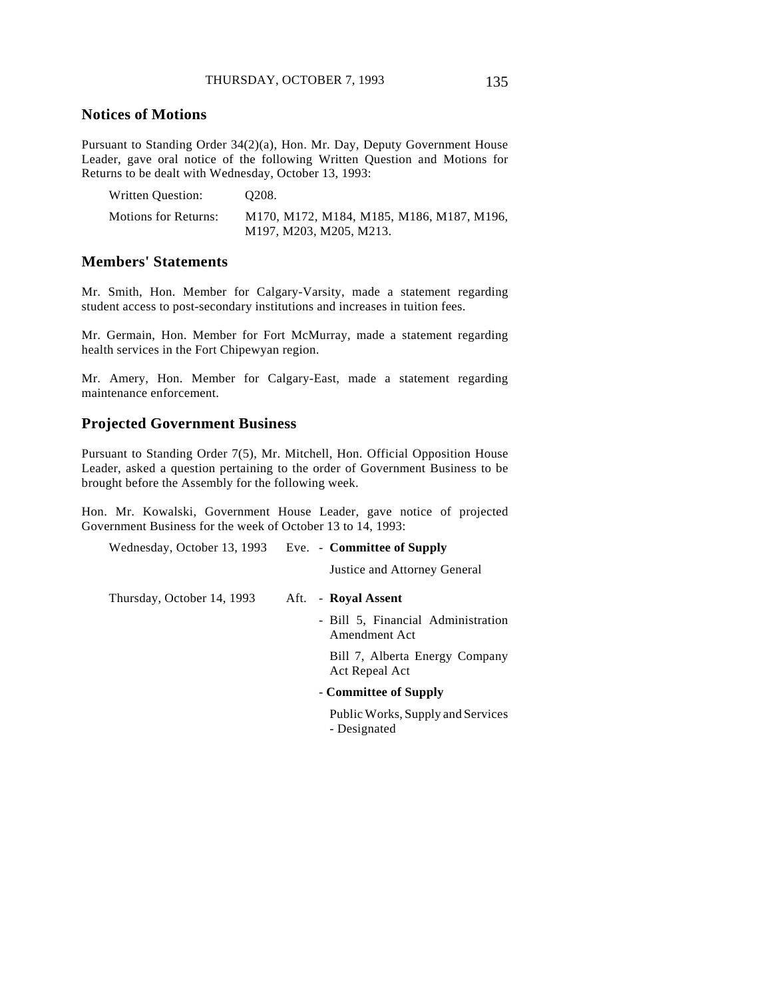### **Notices of Motions**

Pursuant to Standing Order 34(2)(a), Hon. Mr. Day, Deputy Government House Leader, gave oral notice of the following Written Question and Motions for Returns to be dealt with Wednesday, October 13, 1993:

| Written Question:           | O <sub>208</sub> .                                                   |
|-----------------------------|----------------------------------------------------------------------|
| <b>Motions for Returns:</b> | M170, M172, M184, M185, M186, M187, M196,<br>M197, M203, M205, M213. |
|                             |                                                                      |

### **Members' Statements**

Mr. Smith, Hon. Member for Calgary-Varsity, made a statement regarding student access to post-secondary institutions and increases in tuition fees.

Mr. Germain, Hon. Member for Fort McMurray, made a statement regarding health services in the Fort Chipewyan region.

Mr. Amery, Hon. Member for Calgary-East, made a statement regarding maintenance enforcement.

### **Projected Government Business**

Pursuant to Standing Order 7(5), Mr. Mitchell, Hon. Official Opposition House Leader, asked a question pertaining to the order of Government Business to be brought before the Assembly for the following week.

Hon. Mr. Kowalski, Government House Leader, gave notice of projected Government Business for the week of October 13 to 14, 1993:

Wednesday, October 13, 1993 Eve. - **Committee of Supply** Justice and Attorney General Thursday, October 14, 1993 Aft. - **Royal Assent** - Bill 5, Financial Administration Amendment Act Bill 7, Alberta Energy Company Act Repeal Act - **Committee of Supply** Public Works, Supply and Services

- Designated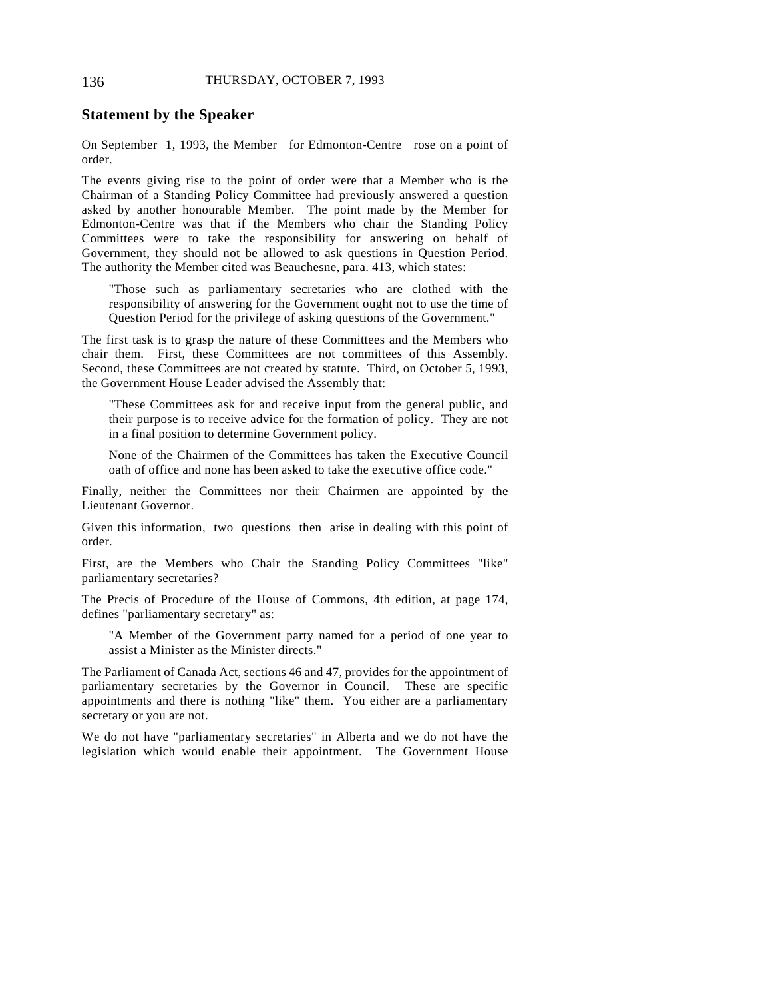#### **Statement by the Speaker**

On September 1, 1993, the Member for Edmonton-Centre rose on a point of order.

The events giving rise to the point of order were that a Member who is the Chairman of a Standing Policy Committee had previously answered a question asked by another honourable Member. The point made by the Member for Edmonton-Centre was that if the Members who chair the Standing Policy Committees were to take the responsibility for answering on behalf of Government, they should not be allowed to ask questions in Question Period. The authority the Member cited was Beauchesne, para. 413, which states:

"Those such as parliamentary secretaries who are clothed with the responsibility of answering for the Government ought not to use the time of Question Period for the privilege of asking questions of the Government."

The first task is to grasp the nature of these Committees and the Members who chair them. First, these Committees are not committees of this Assembly. Second, these Committees are not created by statute. Third, on October 5, 1993, the Government House Leader advised the Assembly that:

"These Committees ask for and receive input from the general public, and their purpose is to receive advice for the formation of policy. They are not in a final position to determine Government policy.

None of the Chairmen of the Committees has taken the Executive Council oath of office and none has been asked to take the executive office code."

Finally, neither the Committees nor their Chairmen are appointed by the Lieutenant Governor.

Given this information, two questions then arise in dealing with this point of order.

First, are the Members who Chair the Standing Policy Committees "like" parliamentary secretaries?

The Precis of Procedure of the House of Commons, 4th edition, at page 174, defines "parliamentary secretary" as:

"A Member of the Government party named for a period of one year to assist a Minister as the Minister directs."

The Parliament of Canada Act, sections 46 and 47, provides for the appointment of parliamentary secretaries by the Governor in Council. These are specific appointments and there is nothing "like" them. You either are a parliamentary secretary or you are not.

We do not have "parliamentary secretaries" in Alberta and we do not have the legislation which would enable their appointment. The Government House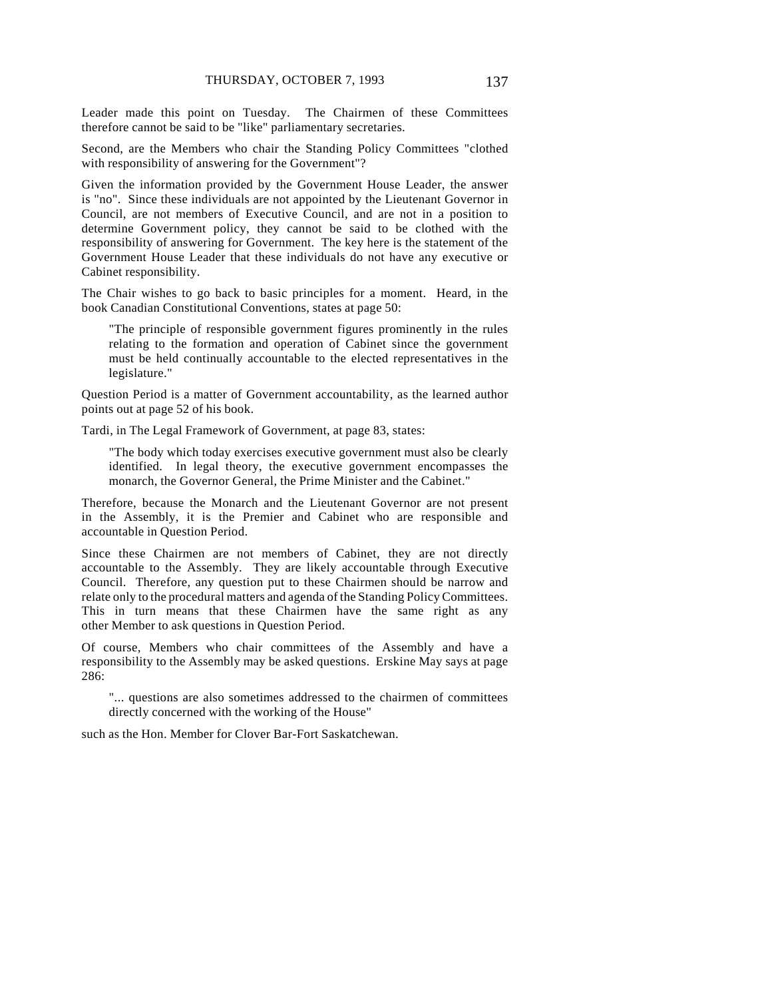Leader made this point on Tuesday. The Chairmen of these Committees therefore cannot be said to be "like" parliamentary secretaries.

Second, are the Members who chair the Standing Policy Committees "clothed with responsibility of answering for the Government"?

Given the information provided by the Government House Leader, the answer is "no". Since these individuals are not appointed by the Lieutenant Governor in Council, are not members of Executive Council, and are not in a position to determine Government policy, they cannot be said to be clothed with the responsibility of answering for Government. The key here is the statement of the Government House Leader that these individuals do not have any executive or Cabinet responsibility.

The Chair wishes to go back to basic principles for a moment. Heard, in the book Canadian Constitutional Conventions, states at page 50:

"The principle of responsible government figures prominently in the rules relating to the formation and operation of Cabinet since the government must be held continually accountable to the elected representatives in the legislature."

Question Period is a matter of Government accountability, as the learned author points out at page 52 of his book.

Tardi, in The Legal Framework of Government, at page 83, states:

"The body which today exercises executive government must also be clearly identified. In legal theory, the executive government encompasses the monarch, the Governor General, the Prime Minister and the Cabinet."

Therefore, because the Monarch and the Lieutenant Governor are not present in the Assembly, it is the Premier and Cabinet who are responsible and accountable in Question Period.

Since these Chairmen are not members of Cabinet, they are not directly accountable to the Assembly. They are likely accountable through Executive Council. Therefore, any question put to these Chairmen should be narrow and relate only to the procedural matters and agenda of the Standing Policy Committees. This in turn means that these Chairmen have the same right as any other Member to ask questions in Question Period.

Of course, Members who chair committees of the Assembly and have a responsibility to the Assembly may be asked questions. Erskine May says at page 286:

"... questions are also sometimes addressed to the chairmen of committees directly concerned with the working of the House"

such as the Hon. Member for Clover Bar-Fort Saskatchewan.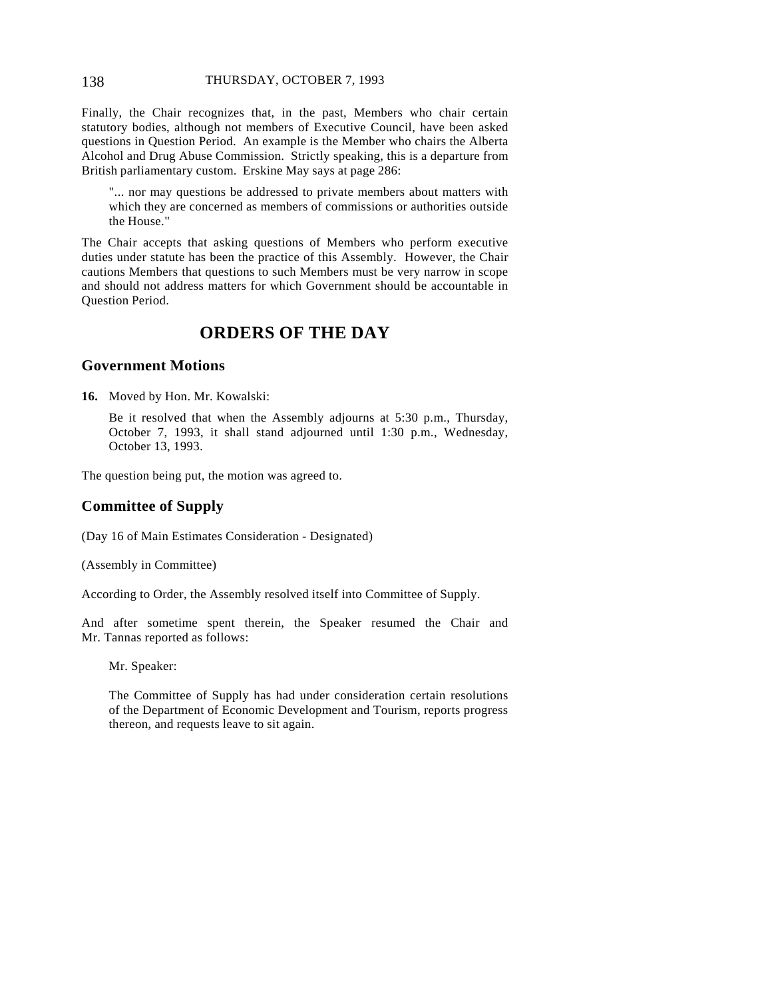#### 138 THURSDAY, OCTOBER 7, 1993

Finally, the Chair recognizes that, in the past, Members who chair certain statutory bodies, although not members of Executive Council, have been asked questions in Question Period. An example is the Member who chairs the Alberta Alcohol and Drug Abuse Commission. Strictly speaking, this is a departure from British parliamentary custom. Erskine May says at page 286:

"... nor may questions be addressed to private members about matters with which they are concerned as members of commissions or authorities outside the House."

The Chair accepts that asking questions of Members who perform executive duties under statute has been the practice of this Assembly. However, the Chair cautions Members that questions to such Members must be very narrow in scope and should not address matters for which Government should be accountable in Question Period.

# **ORDERS OF THE DAY**

#### **Government Motions**

**16.** Moved by Hon. Mr. Kowalski:

Be it resolved that when the Assembly adjourns at 5:30 p.m., Thursday, October 7, 1993, it shall stand adjourned until 1:30 p.m., Wednesday, October 13, 1993.

The question being put, the motion was agreed to.

# **Committee of Supply**

(Day 16 of Main Estimates Consideration - Designated)

(Assembly in Committee)

According to Order, the Assembly resolved itself into Committee of Supply.

And after sometime spent therein, the Speaker resumed the Chair and Mr. Tannas reported as follows:

Mr. Speaker:

The Committee of Supply has had under consideration certain resolutions of the Department of Economic Development and Tourism, reports progress thereon, and requests leave to sit again.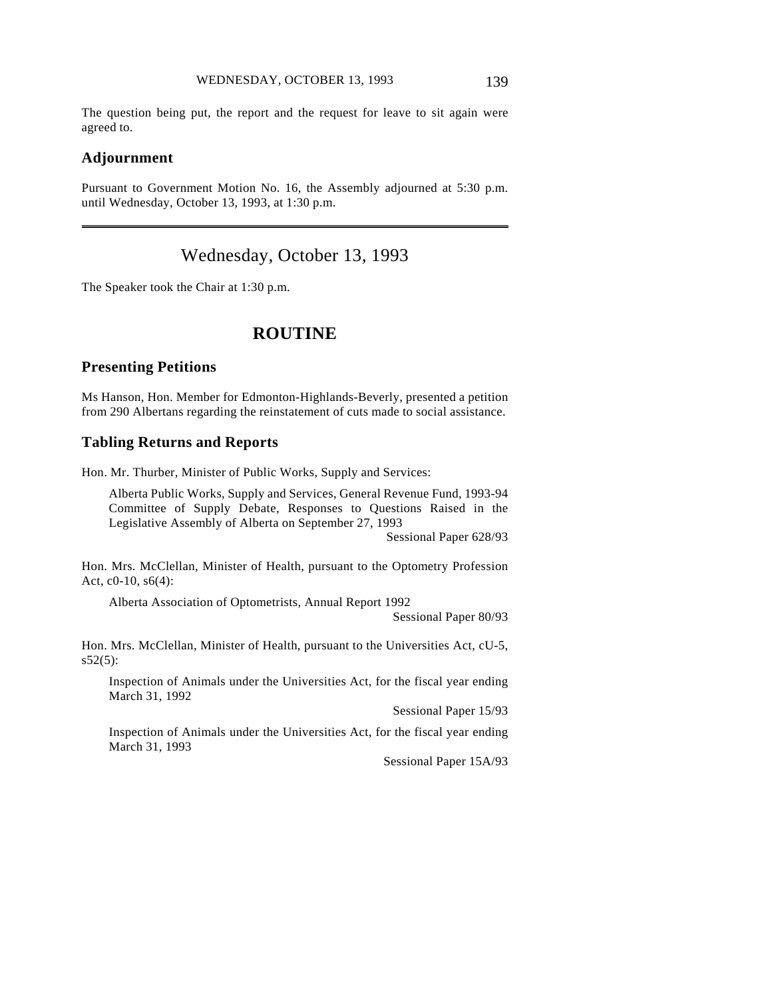The question being put, the report and the request for leave to sit again were agreed to.

#### **Adjournment**

 $\overline{a}$ 

Pursuant to Government Motion No. 16, the Assembly adjourned at 5:30 p.m. until Wednesday, October 13, 1993, at 1:30 p.m.

# Wednesday, October 13, 1993

The Speaker took the Chair at 1:30 p.m.

# **ROUTINE**

#### **Presenting Petitions**

Ms Hanson, Hon. Member for Edmonton-Highlands-Beverly, presented a petition from 290 Albertans regarding the reinstatement of cuts made to social assistance.

#### **Tabling Returns and Reports**

Hon. Mr. Thurber, Minister of Public Works, Supply and Services:

Alberta Public Works, Supply and Services, General Revenue Fund, 1993-94 Committee of Supply Debate, Responses to Questions Raised in the Legislative Assembly of Alberta on September 27, 1993

Sessional Paper 628/93

Hon. Mrs. McClellan, Minister of Health, pursuant to the Optometry Profession Act, c0-10, s6(4):

Alberta Association of Optometrists, Annual Report 1992

Sessional Paper 80/93

Hon. Mrs. McClellan, Minister of Health, pursuant to the Universities Act, cU-5,  $s52(5)$ :

Inspection of Animals under the Universities Act, for the fiscal year ending March 31, 1992

Sessional Paper 15/93

Inspection of Animals under the Universities Act, for the fiscal year ending March 31, 1993

Sessional Paper 15A/93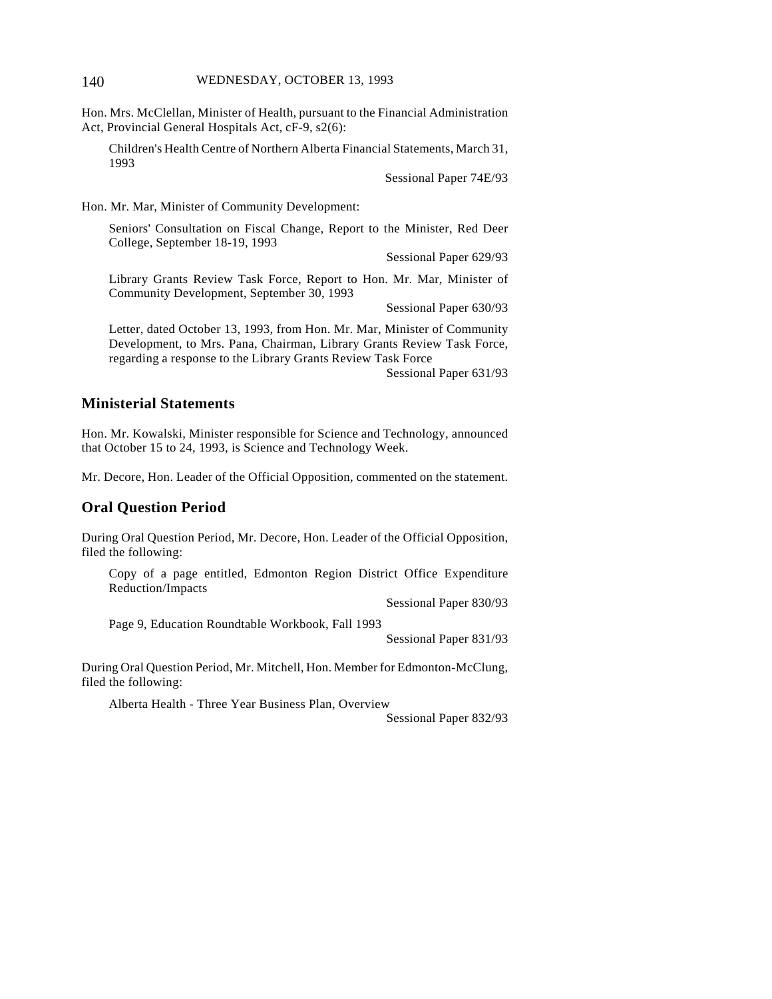Hon. Mrs. McClellan, Minister of Health, pursuant to the Financial Administration Act, Provincial General Hospitals Act, cF-9, s2(6):

Children's Health Centre of Northern Alberta Financial Statements, March 31, 1993

Sessional Paper 74E/93

Hon. Mr. Mar, Minister of Community Development:

Seniors' Consultation on Fiscal Change, Report to the Minister, Red Deer College, September 18-19, 1993

Sessional Paper 629/93

Library Grants Review Task Force, Report to Hon. Mr. Mar, Minister of Community Development, September 30, 1993

Sessional Paper 630/93

Letter, dated October 13, 1993, from Hon. Mr. Mar, Minister of Community Development, to Mrs. Pana, Chairman, Library Grants Review Task Force, regarding a response to the Library Grants Review Task Force

Sessional Paper 631/93

#### **Ministerial Statements**

Hon. Mr. Kowalski, Minister responsible for Science and Technology, announced that October 15 to 24, 1993, is Science and Technology Week.

Mr. Decore, Hon. Leader of the Official Opposition, commented on the statement.

### **Oral Question Period**

During Oral Question Period, Mr. Decore, Hon. Leader of the Official Opposition, filed the following:

Copy of a page entitled, Edmonton Region District Office Expenditure Reduction/Impacts

Sessional Paper 830/93

Page 9, Education Roundtable Workbook, Fall 1993

Sessional Paper 831/93

During Oral Question Period, Mr. Mitchell, Hon. Member for Edmonton-McClung, filed the following:

Alberta Health - Three Year Business Plan, Overview

Sessional Paper 832/93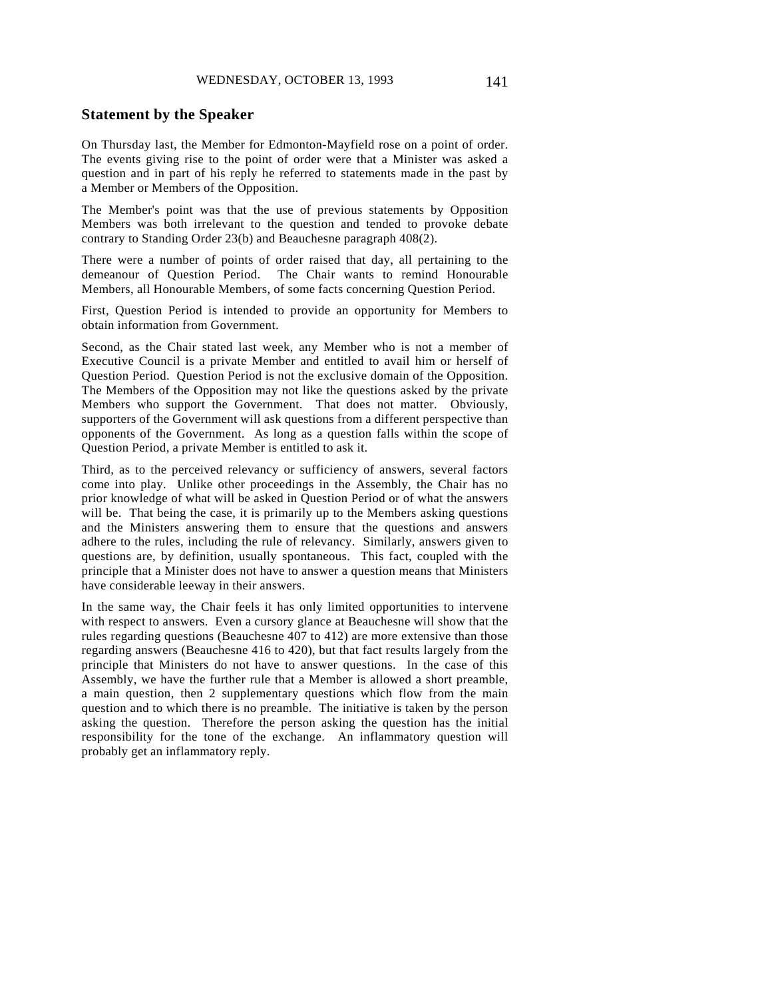#### **Statement by the Speaker**

On Thursday last, the Member for Edmonton-Mayfield rose on a point of order. The events giving rise to the point of order were that a Minister was asked a question and in part of his reply he referred to statements made in the past by a Member or Members of the Opposition.

The Member's point was that the use of previous statements by Opposition Members was both irrelevant to the question and tended to provoke debate contrary to Standing Order 23(b) and Beauchesne paragraph 408(2).

There were a number of points of order raised that day, all pertaining to the demeanour of Question Period. The Chair wants to remind Honourable Members, all Honourable Members, of some facts concerning Question Period.

First, Question Period is intended to provide an opportunity for Members to obtain information from Government.

Second, as the Chair stated last week, any Member who is not a member of Executive Council is a private Member and entitled to avail him or herself of Question Period. Question Period is not the exclusive domain of the Opposition. The Members of the Opposition may not like the questions asked by the private Members who support the Government. That does not matter. Obviously, supporters of the Government will ask questions from a different perspective than opponents of the Government. As long as a question falls within the scope of Question Period, a private Member is entitled to ask it.

Third, as to the perceived relevancy or sufficiency of answers, several factors come into play. Unlike other proceedings in the Assembly, the Chair has no prior knowledge of what will be asked in Question Period or of what the answers will be. That being the case, it is primarily up to the Members asking questions and the Ministers answering them to ensure that the questions and answers adhere to the rules, including the rule of relevancy. Similarly, answers given to questions are, by definition, usually spontaneous. This fact, coupled with the principle that a Minister does not have to answer a question means that Ministers have considerable leeway in their answers.

In the same way, the Chair feels it has only limited opportunities to intervene with respect to answers. Even a cursory glance at Beauchesne will show that the rules regarding questions (Beauchesne 407 to 412) are more extensive than those regarding answers (Beauchesne 416 to 420), but that fact results largely from the principle that Ministers do not have to answer questions. In the case of this Assembly, we have the further rule that a Member is allowed a short preamble, a main question, then 2 supplementary questions which flow from the main question and to which there is no preamble. The initiative is taken by the person asking the question. Therefore the person asking the question has the initial responsibility for the tone of the exchange. An inflammatory question will probably get an inflammatory reply.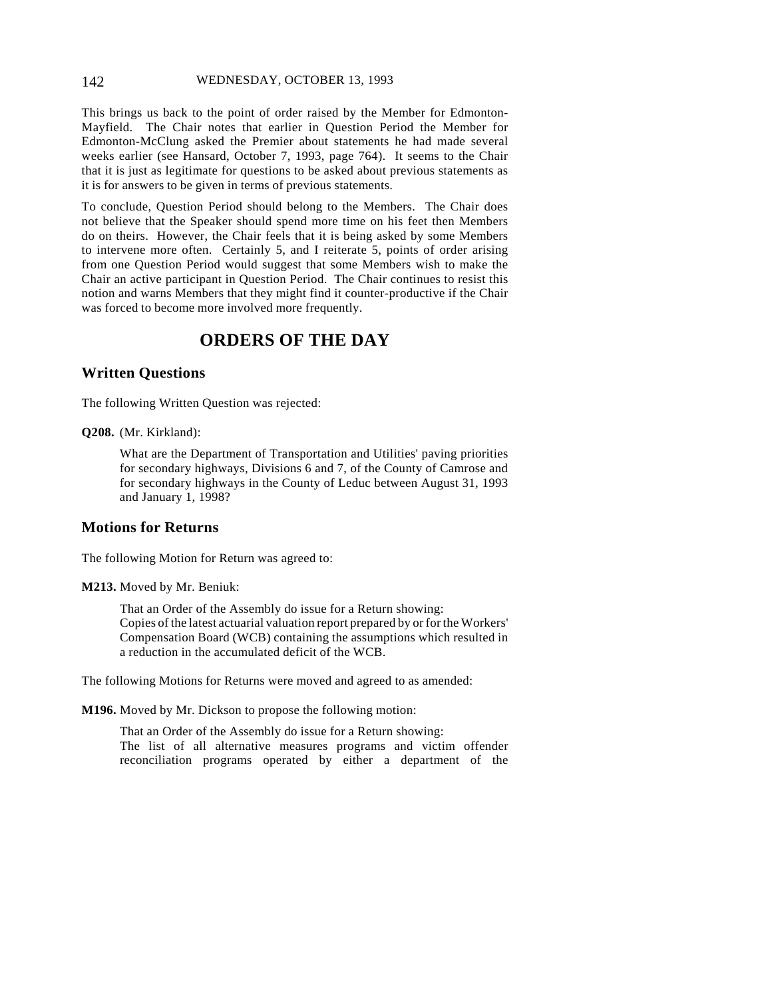#### 142 WEDNESDAY, OCTOBER 13, 1993

This brings us back to the point of order raised by the Member for Edmonton-Mayfield. The Chair notes that earlier in Question Period the Member for Edmonton-McClung asked the Premier about statements he had made several weeks earlier (see Hansard, October 7, 1993, page 764). It seems to the Chair that it is just as legitimate for questions to be asked about previous statements as it is for answers to be given in terms of previous statements.

To conclude, Question Period should belong to the Members. The Chair does not believe that the Speaker should spend more time on his feet then Members do on theirs. However, the Chair feels that it is being asked by some Members to intervene more often. Certainly 5, and I reiterate 5, points of order arising from one Question Period would suggest that some Members wish to make the Chair an active participant in Question Period. The Chair continues to resist this notion and warns Members that they might find it counter-productive if the Chair was forced to become more involved more frequently.

# **ORDERS OF THE DAY**

### **Written Questions**

The following Written Question was rejected:

**Q208.** (Mr. Kirkland):

What are the Department of Transportation and Utilities' paving priorities for secondary highways, Divisions 6 and 7, of the County of Camrose and for secondary highways in the County of Leduc between August 31, 1993 and January 1, 1998?

### **Motions for Returns**

The following Motion for Return was agreed to:

**M213.** Moved by Mr. Beniuk:

That an Order of the Assembly do issue for a Return showing: Copies of the latest actuarial valuation report prepared by or for the Workers' Compensation Board (WCB) containing the assumptions which resulted in a reduction in the accumulated deficit of the WCB.

The following Motions for Returns were moved and agreed to as amended:

**M196.** Moved by Mr. Dickson to propose the following motion:

That an Order of the Assembly do issue for a Return showing: The list of all alternative measures programs and victim offender reconciliation programs operated by either a department of the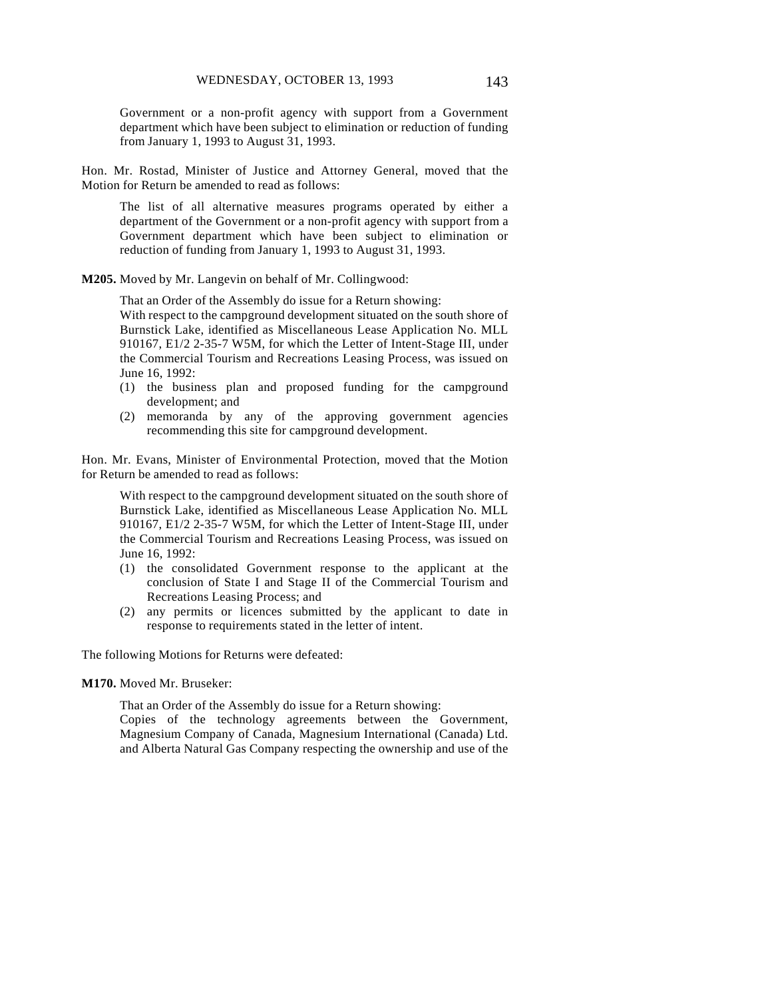Government or a non-profit agency with support from a Government department which have been subject to elimination or reduction of funding from January 1, 1993 to August 31, 1993.

Hon. Mr. Rostad, Minister of Justice and Attorney General, moved that the Motion for Return be amended to read as follows:

The list of all alternative measures programs operated by either a department of the Government or a non-profit agency with support from a Government department which have been subject to elimination or reduction of funding from January 1, 1993 to August 31, 1993.

**M205.** Moved by Mr. Langevin on behalf of Mr. Collingwood:

That an Order of the Assembly do issue for a Return showing:

With respect to the campground development situated on the south shore of Burnstick Lake, identified as Miscellaneous Lease Application No. MLL 910167, E1/2 2-35-7 W5M, for which the Letter of Intent-Stage III, under the Commercial Tourism and Recreations Leasing Process, was issued on June 16, 1992:

- (1) the business plan and proposed funding for the campground development; and
- (2) memoranda by any of the approving government agencies recommending this site for campground development.

Hon. Mr. Evans, Minister of Environmental Protection, moved that the Motion for Return be amended to read as follows:

With respect to the campground development situated on the south shore of Burnstick Lake, identified as Miscellaneous Lease Application No. MLL 910167, E1/2 2-35-7 W5M, for which the Letter of Intent-Stage III, under the Commercial Tourism and Recreations Leasing Process, was issued on June 16, 1992:

- (1) the consolidated Government response to the applicant at the conclusion of State I and Stage II of the Commercial Tourism and Recreations Leasing Process; and
- (2) any permits or licences submitted by the applicant to date in response to requirements stated in the letter of intent.

The following Motions for Returns were defeated:

**M170.** Moved Mr. Bruseker:

That an Order of the Assembly do issue for a Return showing: Copies of the technology agreements between the Government, Magnesium Company of Canada, Magnesium International (Canada) Ltd.

and Alberta Natural Gas Company respecting the ownership and use of the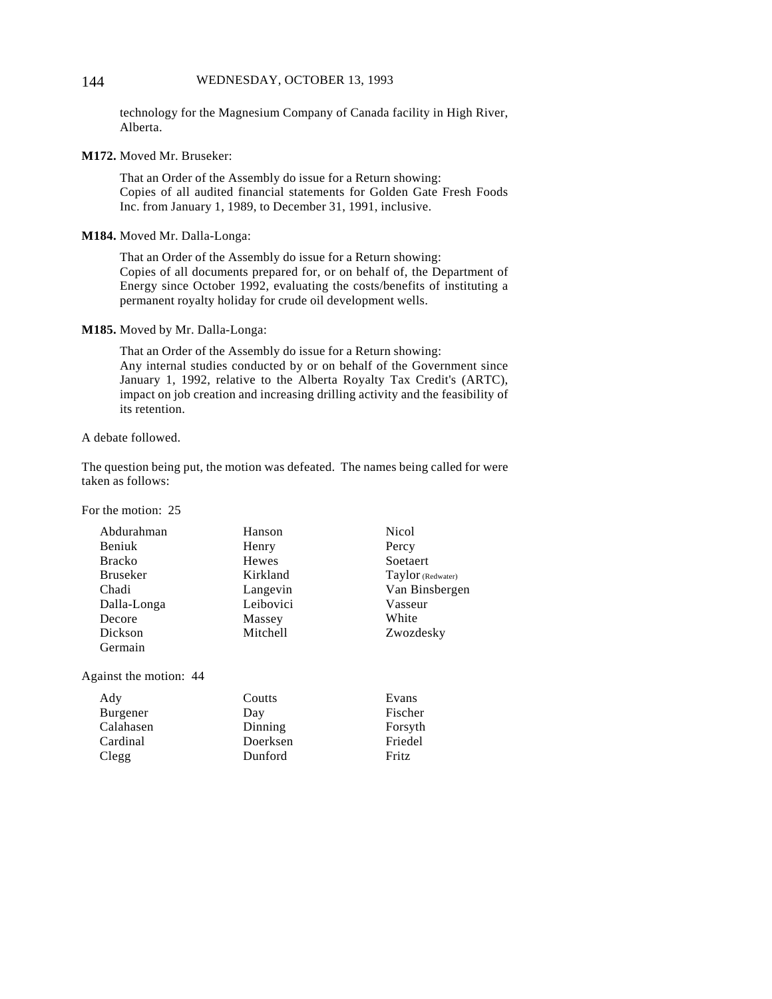#### 144 WEDNESDAY, OCTOBER 13, 1993

technology for the Magnesium Company of Canada facility in High River, Alberta.

**M172.** Moved Mr. Bruseker:

That an Order of the Assembly do issue for a Return showing: Copies of all audited financial statements for Golden Gate Fresh Foods Inc. from January 1, 1989, to December 31, 1991, inclusive.

**M184.** Moved Mr. Dalla-Longa:

That an Order of the Assembly do issue for a Return showing: Copies of all documents prepared for, or on behalf of, the Department of Energy since October 1992, evaluating the costs/benefits of instituting a permanent royalty holiday for crude oil development wells.

#### **M185.** Moved by Mr. Dalla-Longa:

That an Order of the Assembly do issue for a Return showing: Any internal studies conducted by or on behalf of the Government since January 1, 1992, relative to the Alberta Royalty Tax Credit's (ARTC), impact on job creation and increasing drilling activity and the feasibility of its retention.

#### A debate followed.

The question being put, the motion was defeated. The names being called for were taken as follows:

For the motion: 25

| Abdurahman      | Hanson    | <b>Nicol</b>      |
|-----------------|-----------|-------------------|
| Beniuk          | Henry     | Percy             |
| <b>Bracko</b>   | Hewes     | Soetaert          |
| <b>Bruseker</b> | Kirkland  | Taylor (Redwater) |
| Chadi           | Langevin  | Van Binsbergen    |
| Dalla-Longa     | Leibovici | Vasseur           |
| Decore          | Massey    | White             |
| Dickson         | Mitchell  | Zwozdesky         |
| Germain         |           |                   |
|                 |           |                   |

Against the motion: 44

| Ady       | Coutts   | Evans   |
|-----------|----------|---------|
| Burgener  | Day      | Fischer |
| Calahasen | Dinning  | Forsyth |
| Cardinal  | Doerksen | Friedel |
| Clegg     | Dunford  | Fritz   |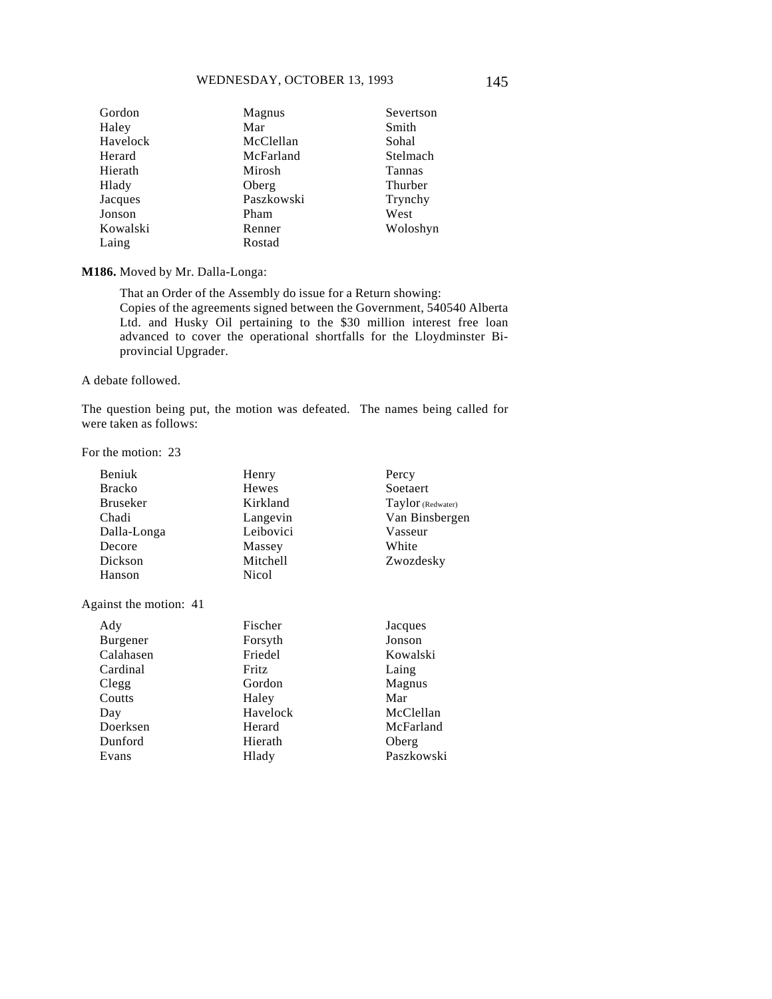| Gordon   | Magnus     | Severtson |
|----------|------------|-----------|
| Haley    | Mar        | Smith     |
| Havelock | McClellan  | Sohal     |
| Herard   | McFarland  | Stelmach  |
| Hierath  | Mirosh     | Tannas    |
| Hlady    | Oberg      | Thurber   |
| Jacques  | Paszkowski | Trynchy   |
| Jonson   | Pham       | West      |
| Kowalski | Renner     | Woloshyn  |
| Laing    | Rostad     |           |

#### **M186.** Moved by Mr. Dalla-Longa:

That an Order of the Assembly do issue for a Return showing: Copies of the agreements signed between the Government, 540540 Alberta Ltd. and Husky Oil pertaining to the \$30 million interest free loan advanced to cover the operational shortfalls for the Lloydminster Biprovincial Upgrader.

#### A debate followed.

The question being put, the motion was defeated. The names being called for were taken as follows:

For the motion: 23

| <b>Beniuk</b>   | Henry        | Percy             |
|-----------------|--------------|-------------------|
| <b>Bracko</b>   | Hewes        | Soetaert          |
| <b>Bruseker</b> | Kirkland     | Taylor (Redwater) |
| Chadi           | Langevin     | Van Binsbergen    |
| Dalla-Longa     | Leibovici    | Vasseur           |
| Decore          | Massey       | White             |
| Dickson         | Mitchell     | Zwozdesky         |
| Hanson          | <b>Nicol</b> |                   |
|                 |              |                   |

Against the motion: 41

| Jonson<br>Burgener<br>Forsyth<br>Calahasen<br>Friedel<br>Kowalski<br>Cardinal<br>Fritz<br>Laing<br>Gordon<br>Clegg<br>Magnus<br>Coutts<br>Mar<br>Haley<br>Havelock<br>Day<br>Doerksen<br>Herard<br>Dunford<br>Hierath<br>Oberg<br>Evans<br>Hlady | Ady | Fischer | Jacques    |
|--------------------------------------------------------------------------------------------------------------------------------------------------------------------------------------------------------------------------------------------------|-----|---------|------------|
|                                                                                                                                                                                                                                                  |     |         |            |
|                                                                                                                                                                                                                                                  |     |         |            |
|                                                                                                                                                                                                                                                  |     |         |            |
|                                                                                                                                                                                                                                                  |     |         |            |
|                                                                                                                                                                                                                                                  |     |         |            |
|                                                                                                                                                                                                                                                  |     |         | McClellan  |
|                                                                                                                                                                                                                                                  |     |         | McFarland  |
|                                                                                                                                                                                                                                                  |     |         |            |
|                                                                                                                                                                                                                                                  |     |         | Paszkowski |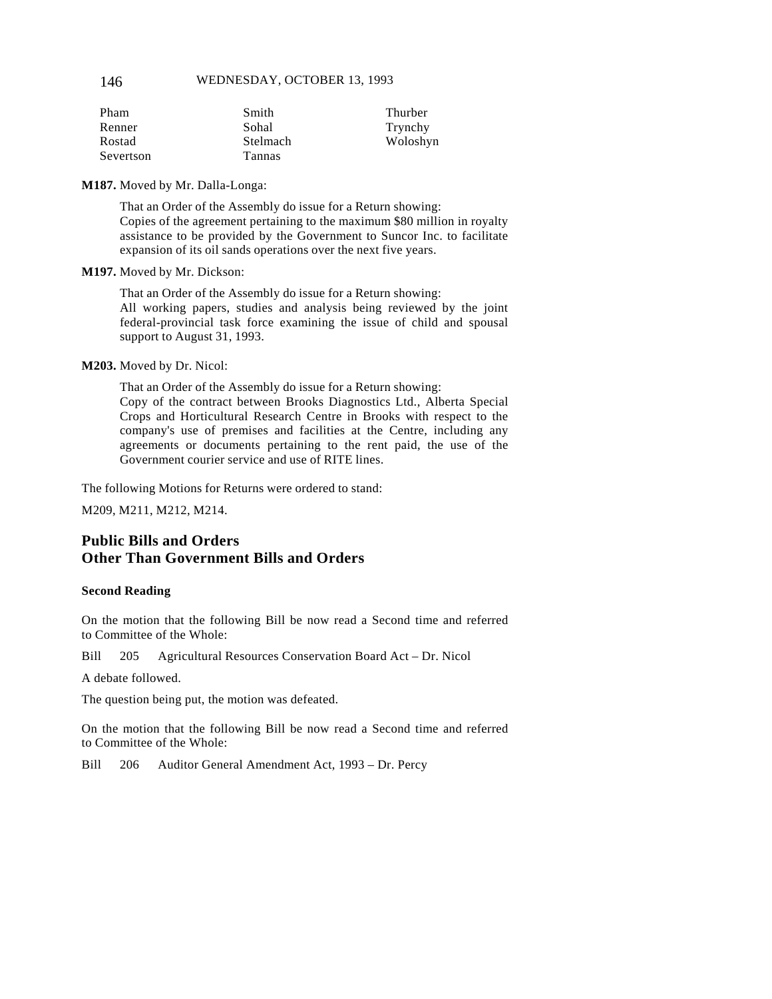146 WEDNESDAY, OCTOBER 13, 1993

| Pham      | Smith    | Thurber  |
|-----------|----------|----------|
| Renner    | Sohal    | Trynchy  |
| Rostad    | Stelmach | Woloshyn |
| Severtson | Tannas   |          |

**M187.** Moved by Mr. Dalla-Longa:

That an Order of the Assembly do issue for a Return showing: Copies of the agreement pertaining to the maximum \$80 million in royalty assistance to be provided by the Government to Suncor Inc. to facilitate expansion of its oil sands operations over the next five years.

**M197.** Moved by Mr. Dickson:

That an Order of the Assembly do issue for a Return showing: All working papers, studies and analysis being reviewed by the joint federal-provincial task force examining the issue of child and spousal support to August 31, 1993.

**M203.** Moved by Dr. Nicol:

That an Order of the Assembly do issue for a Return showing: Copy of the contract between Brooks Diagnostics Ltd., Alberta Special Crops and Horticultural Research Centre in Brooks with respect to the company's use of premises and facilities at the Centre, including any agreements or documents pertaining to the rent paid, the use of the Government courier service and use of RITE lines.

The following Motions for Returns were ordered to stand:

M209, M211, M212, M214.

# **Public Bills and Orders Other Than Government Bills and Orders**

#### **Second Reading**

On the motion that the following Bill be now read a Second time and referred to Committee of the Whole:

Bill 205 Agricultural Resources Conservation Board Act – Dr. Nicol

A debate followed.

The question being put, the motion was defeated.

On the motion that the following Bill be now read a Second time and referred to Committee of the Whole:

Bill 206 Auditor General Amendment Act, 1993 – Dr. Percy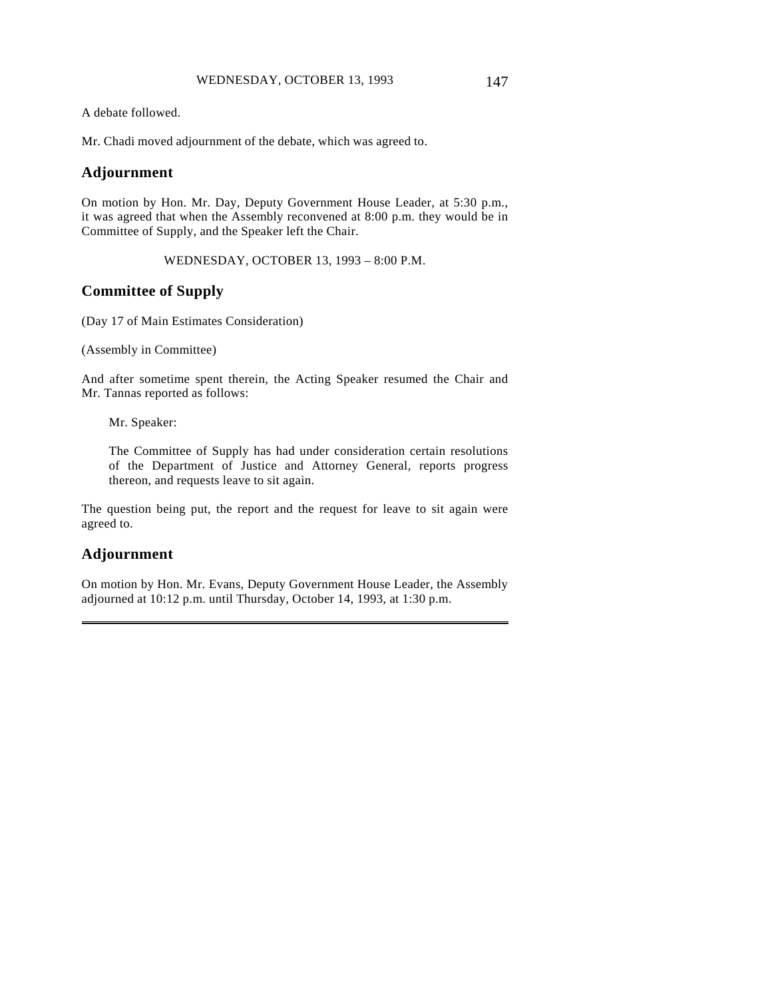A debate followed.

Mr. Chadi moved adjournment of the debate, which was agreed to.

### **Adjournment**

On motion by Hon. Mr. Day, Deputy Government House Leader, at 5:30 p.m., it was agreed that when the Assembly reconvened at 8:00 p.m. they would be in Committee of Supply, and the Speaker left the Chair.

WEDNESDAY, OCTOBER 13, 1993 – 8:00 P.M.

### **Committee of Supply**

(Day 17 of Main Estimates Consideration)

(Assembly in Committee)

And after sometime spent therein, the Acting Speaker resumed the Chair and Mr. Tannas reported as follows:

Mr. Speaker:

The Committee of Supply has had under consideration certain resolutions of the Department of Justice and Attorney General, reports progress thereon, and requests leave to sit again.

The question being put, the report and the request for leave to sit again were agreed to.

### **Adjournment**

 $\overline{a}$ 

On motion by Hon. Mr. Evans, Deputy Government House Leader, the Assembly adjourned at 10:12 p.m. until Thursday, October 14, 1993, at 1:30 p.m.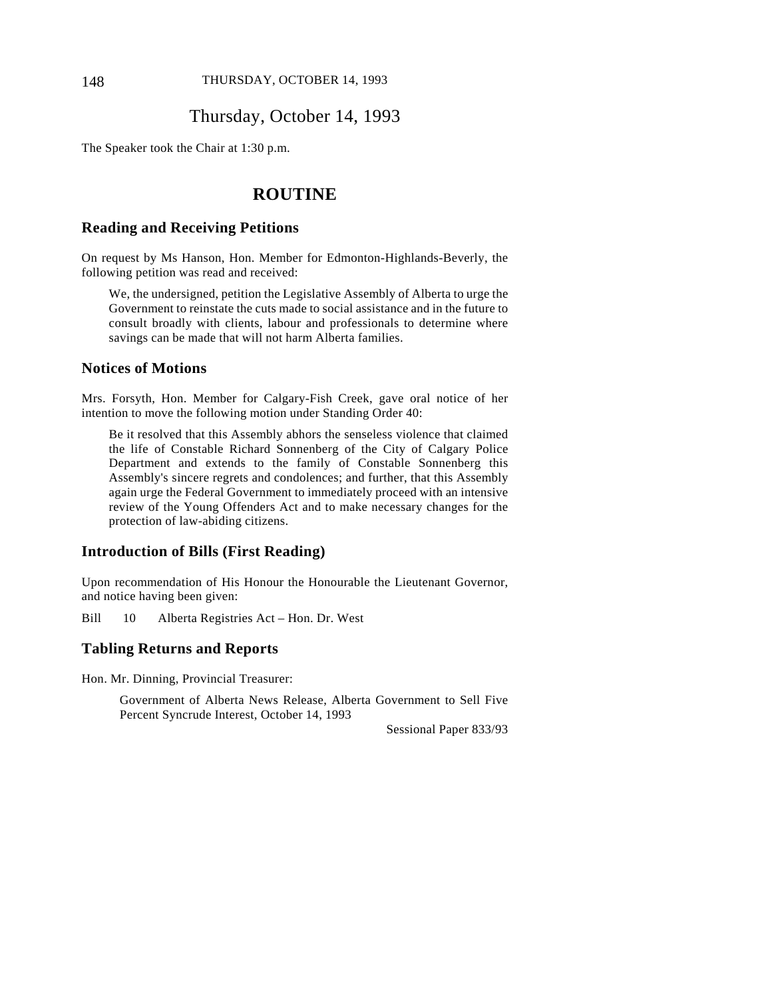### Thursday, October 14, 1993

The Speaker took the Chair at 1:30 p.m.

# **ROUTINE**

### **Reading and Receiving Petitions**

On request by Ms Hanson, Hon. Member for Edmonton-Highlands-Beverly, the following petition was read and received:

We, the undersigned, petition the Legislative Assembly of Alberta to urge the Government to reinstate the cuts made to social assistance and in the future to consult broadly with clients, labour and professionals to determine where savings can be made that will not harm Alberta families.

### **Notices of Motions**

Mrs. Forsyth, Hon. Member for Calgary-Fish Creek, gave oral notice of her intention to move the following motion under Standing Order 40:

Be it resolved that this Assembly abhors the senseless violence that claimed the life of Constable Richard Sonnenberg of the City of Calgary Police Department and extends to the family of Constable Sonnenberg this Assembly's sincere regrets and condolences; and further, that this Assembly again urge the Federal Government to immediately proceed with an intensive review of the Young Offenders Act and to make necessary changes for the protection of law-abiding citizens.

### **Introduction of Bills (First Reading)**

Upon recommendation of His Honour the Honourable the Lieutenant Governor, and notice having been given:

Bill 10 Alberta Registries Act – Hon. Dr. West

#### **Tabling Returns and Reports**

Hon. Mr. Dinning, Provincial Treasurer:

Government of Alberta News Release, Alberta Government to Sell Five Percent Syncrude Interest, October 14, 1993

Sessional Paper 833/93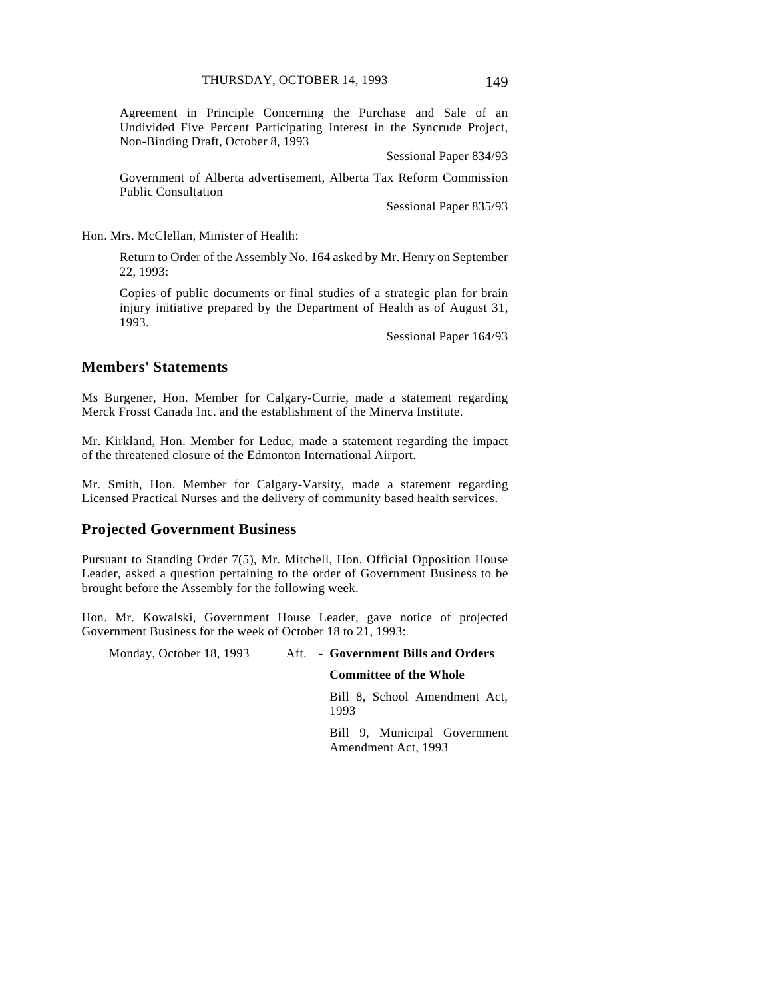Agreement in Principle Concerning the Purchase and Sale of an Undivided Five Percent Participating Interest in the Syncrude Project, Non-Binding Draft, October 8, 1993

Sessional Paper 834/93

Government of Alberta advertisement, Alberta Tax Reform Commission Public Consultation

Sessional Paper 835/93

Hon. Mrs. McClellan, Minister of Health:

Return to Order of the Assembly No. 164 asked by Mr. Henry on September 22, 1993:

Copies of public documents or final studies of a strategic plan for brain injury initiative prepared by the Department of Health as of August 31, 1993.

Sessional Paper 164/93

### **Members' Statements**

Ms Burgener, Hon. Member for Calgary-Currie, made a statement regarding Merck Frosst Canada Inc. and the establishment of the Minerva Institute.

Mr. Kirkland, Hon. Member for Leduc, made a statement regarding the impact of the threatened closure of the Edmonton International Airport.

Mr. Smith, Hon. Member for Calgary-Varsity, made a statement regarding Licensed Practical Nurses and the delivery of community based health services.

### **Projected Government Business**

Pursuant to Standing Order 7(5), Mr. Mitchell, Hon. Official Opposition House Leader, asked a question pertaining to the order of Government Business to be brought before the Assembly for the following week.

Hon. Mr. Kowalski, Government House Leader, gave notice of projected Government Business for the week of October 18 to 21, 1993:

Monday, October 18, 1993 Aft. - **Government Bills and Orders**

#### **Committee of the Whole**

Bill 8, School Amendment Act, 1993

Bill 9, Municipal Government Amendment Act, 1993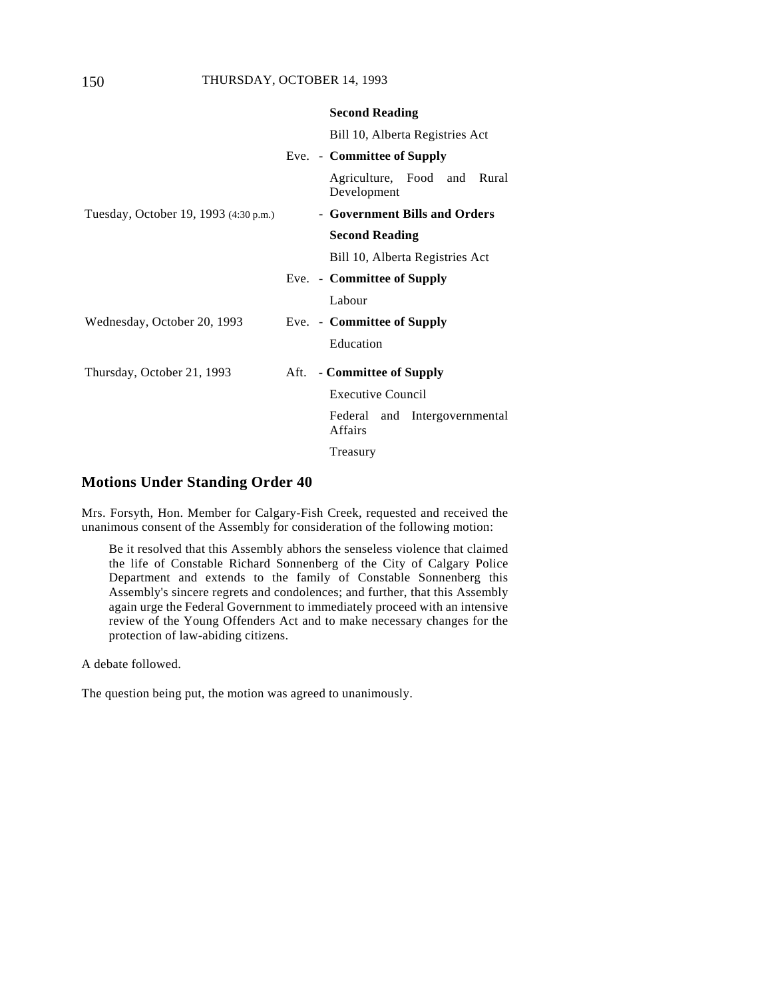|                                       | <b>Second Reading</b>                           |
|---------------------------------------|-------------------------------------------------|
|                                       | Bill 10, Alberta Registries Act                 |
|                                       | Eve. - Committee of Supply                      |
|                                       | Agriculture, Food and Rural<br>Development      |
| Tuesday, October 19, 1993 (4:30 p.m.) | - Government Bills and Orders                   |
|                                       | <b>Second Reading</b>                           |
|                                       | Bill 10, Alberta Registries Act                 |
|                                       | Eve. - Committee of Supply                      |
|                                       | Labour                                          |
| Wednesday, October 20, 1993           | Eve. - Committee of Supply                      |
|                                       | Education                                       |
| Thursday, October 21, 1993            | Aft. - Committee of Supply                      |
|                                       | <b>Executive Council</b>                        |
|                                       | Federal and Intergovernmental<br><b>Affairs</b> |
|                                       | Treasury                                        |

### **Motions Under Standing Order 40**

Mrs. Forsyth, Hon. Member for Calgary-Fish Creek, requested and received the unanimous consent of the Assembly for consideration of the following motion:

Be it resolved that this Assembly abhors the senseless violence that claimed the life of Constable Richard Sonnenberg of the City of Calgary Police Department and extends to the family of Constable Sonnenberg this Assembly's sincere regrets and condolences; and further, that this Assembly again urge the Federal Government to immediately proceed with an intensive review of the Young Offenders Act and to make necessary changes for the protection of law-abiding citizens.

A debate followed.

The question being put, the motion was agreed to unanimously.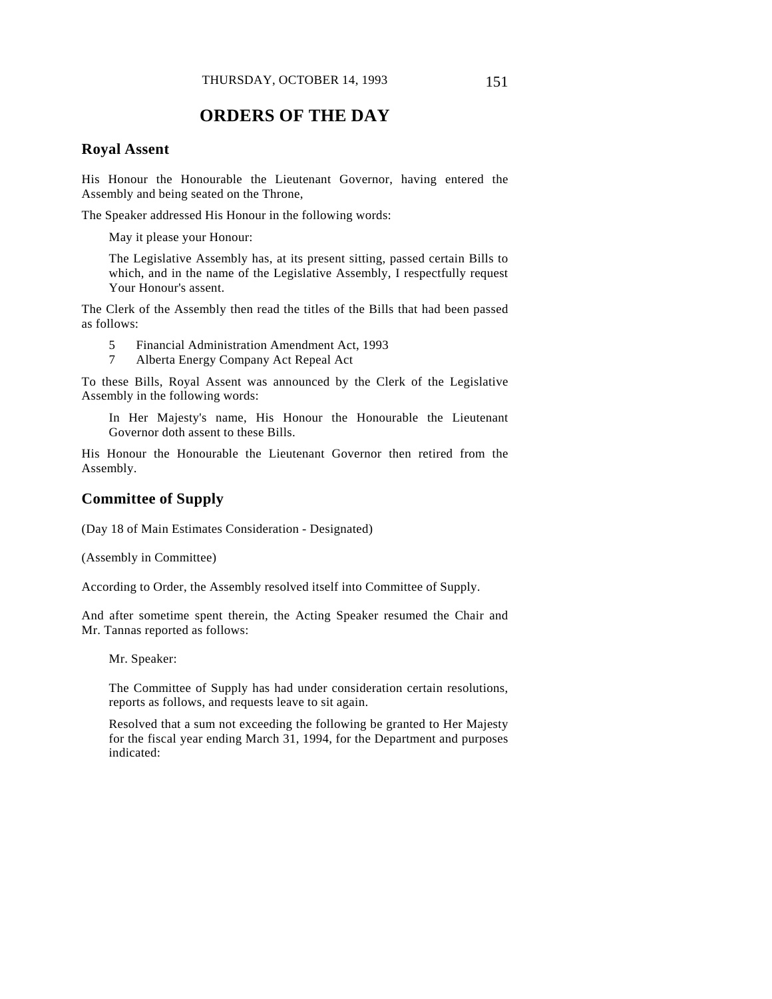# **ORDERS OF THE DAY**

### **Royal Assent**

His Honour the Honourable the Lieutenant Governor, having entered the Assembly and being seated on the Throne,

The Speaker addressed His Honour in the following words:

May it please your Honour:

The Legislative Assembly has, at its present sitting, passed certain Bills to which, and in the name of the Legislative Assembly, I respectfully request Your Honour's assent.

The Clerk of the Assembly then read the titles of the Bills that had been passed as follows:

5 Financial Administration Amendment Act, 1993

7 Alberta Energy Company Act Repeal Act

To these Bills, Royal Assent was announced by the Clerk of the Legislative Assembly in the following words:

In Her Majesty's name, His Honour the Honourable the Lieutenant Governor doth assent to these Bills.

His Honour the Honourable the Lieutenant Governor then retired from the Assembly.

### **Committee of Supply**

(Day 18 of Main Estimates Consideration - Designated)

(Assembly in Committee)

According to Order, the Assembly resolved itself into Committee of Supply.

And after sometime spent therein, the Acting Speaker resumed the Chair and Mr. Tannas reported as follows:

Mr. Speaker:

The Committee of Supply has had under consideration certain resolutions, reports as follows, and requests leave to sit again.

Resolved that a sum not exceeding the following be granted to Her Majesty for the fiscal year ending March 31, 1994, for the Department and purposes indicated: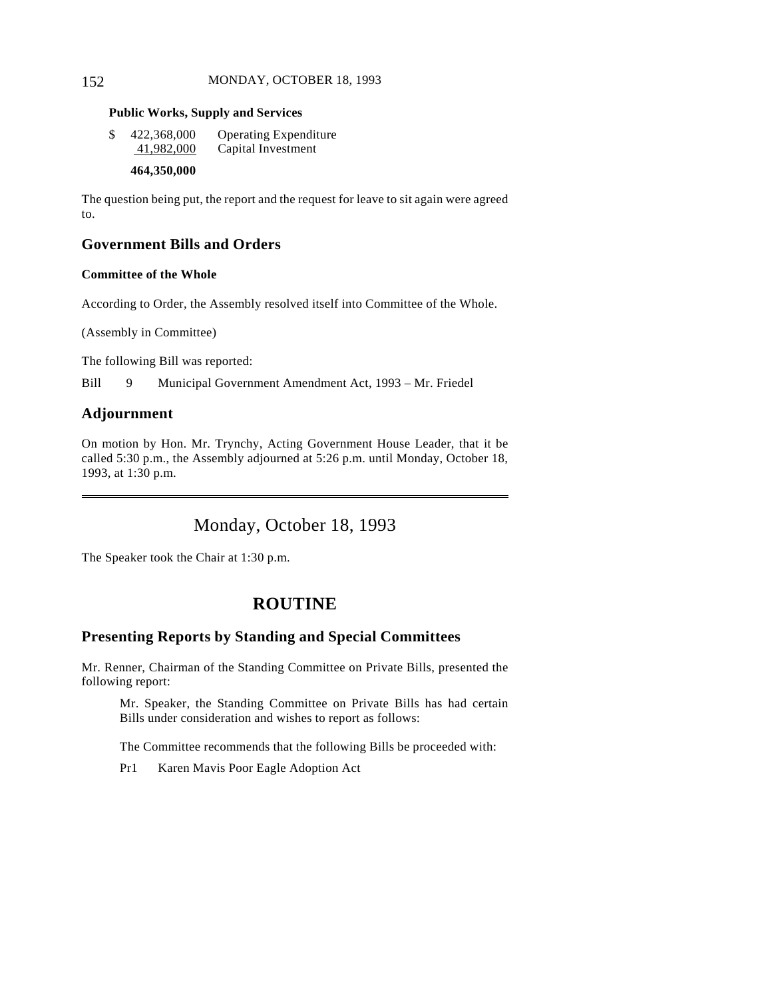### 152 MONDAY, OCTOBER 18, 1993

#### **Public Works, Supply and Services**

| \$<br>422,368,000 | <b>Operating Expenditure</b> |
|-------------------|------------------------------|
| 41,982,000        | Capital Investment           |

### **464,350,000**

The question being put, the report and the request for leave to sit again were agreed to.

# **Government Bills and Orders**

### **Committee of the Whole**

According to Order, the Assembly resolved itself into Committee of the Whole.

(Assembly in Committee)

The following Bill was reported:

Bill 9 Municipal Government Amendment Act, 1993 – Mr. Friedel

### **Adjournment**

 $\overline{a}$ 

On motion by Hon. Mr. Trynchy, Acting Government House Leader, that it be called 5:30 p.m., the Assembly adjourned at 5:26 p.m. until Monday, October 18, 1993, at 1:30 p.m.

# Monday, October 18, 1993

The Speaker took the Chair at 1:30 p.m.

# **ROUTINE**

### **Presenting Reports by Standing and Special Committees**

Mr. Renner, Chairman of the Standing Committee on Private Bills, presented the following report:

Mr. Speaker, the Standing Committee on Private Bills has had certain Bills under consideration and wishes to report as follows:

The Committee recommends that the following Bills be proceeded with:

Pr1 Karen Mavis Poor Eagle Adoption Act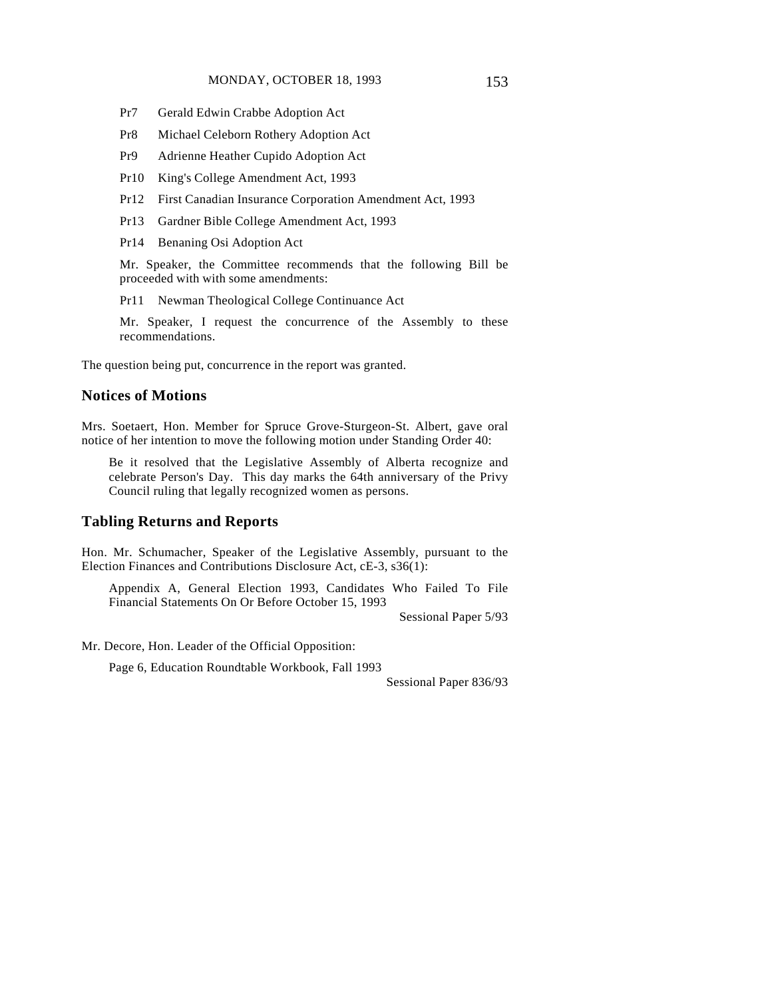- Pr7 Gerald Edwin Crabbe Adoption Act
- Pr8 Michael Celeborn Rothery Adoption Act
- Pr9 Adrienne Heather Cupido Adoption Act
- Pr10 King's College Amendment Act, 1993
- Pr12 First Canadian Insurance Corporation Amendment Act, 1993
- Pr13 Gardner Bible College Amendment Act, 1993
- Pr14 Benaning Osi Adoption Act

Mr. Speaker, the Committee recommends that the following Bill be proceeded with with some amendments:

Pr11 Newman Theological College Continuance Act

Mr. Speaker, I request the concurrence of the Assembly to these recommendations.

The question being put, concurrence in the report was granted.

### **Notices of Motions**

Mrs. Soetaert, Hon. Member for Spruce Grove-Sturgeon-St. Albert, gave oral notice of her intention to move the following motion under Standing Order 40:

Be it resolved that the Legislative Assembly of Alberta recognize and celebrate Person's Day. This day marks the 64th anniversary of the Privy Council ruling that legally recognized women as persons.

#### **Tabling Returns and Reports**

Hon. Mr. Schumacher, Speaker of the Legislative Assembly, pursuant to the Election Finances and Contributions Disclosure Act, cE-3, s36(1):

Appendix A, General Election 1993, Candidates Who Failed To File Financial Statements On Or Before October 15, 1993

Sessional Paper 5/93

Mr. Decore, Hon. Leader of the Official Opposition:

Page 6, Education Roundtable Workbook, Fall 1993

Sessional Paper 836/93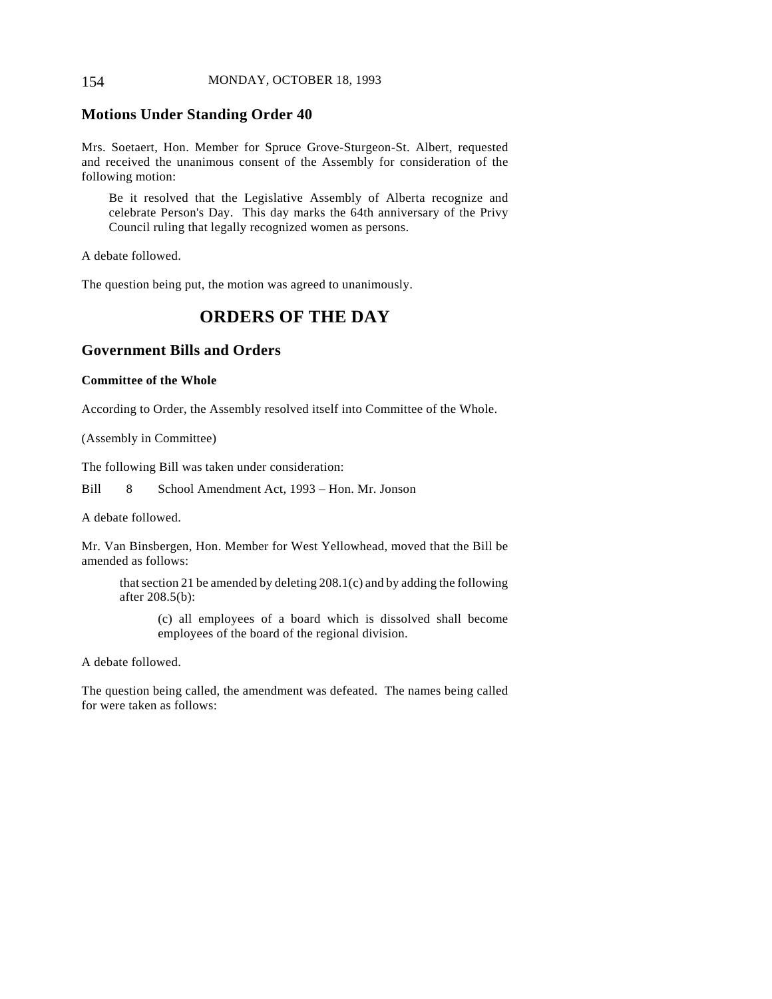### 154 MONDAY, OCTOBER 18, 1993

### **Motions Under Standing Order 40**

Mrs. Soetaert, Hon. Member for Spruce Grove-Sturgeon-St. Albert, requested and received the unanimous consent of the Assembly for consideration of the following motion:

Be it resolved that the Legislative Assembly of Alberta recognize and celebrate Person's Day. This day marks the 64th anniversary of the Privy Council ruling that legally recognized women as persons.

A debate followed.

The question being put, the motion was agreed to unanimously.

# **ORDERS OF THE DAY**

### **Government Bills and Orders**

#### **Committee of the Whole**

According to Order, the Assembly resolved itself into Committee of the Whole.

(Assembly in Committee)

The following Bill was taken under consideration:

Bill 8 School Amendment Act, 1993 – Hon. Mr. Jonson

A debate followed.

Mr. Van Binsbergen, Hon. Member for West Yellowhead, moved that the Bill be amended as follows:

that section 21 be amended by deleting 208.1(c) and by adding the following after 208.5(b):

(c) all employees of a board which is dissolved shall become employees of the board of the regional division.

A debate followed.

The question being called, the amendment was defeated. The names being called for were taken as follows: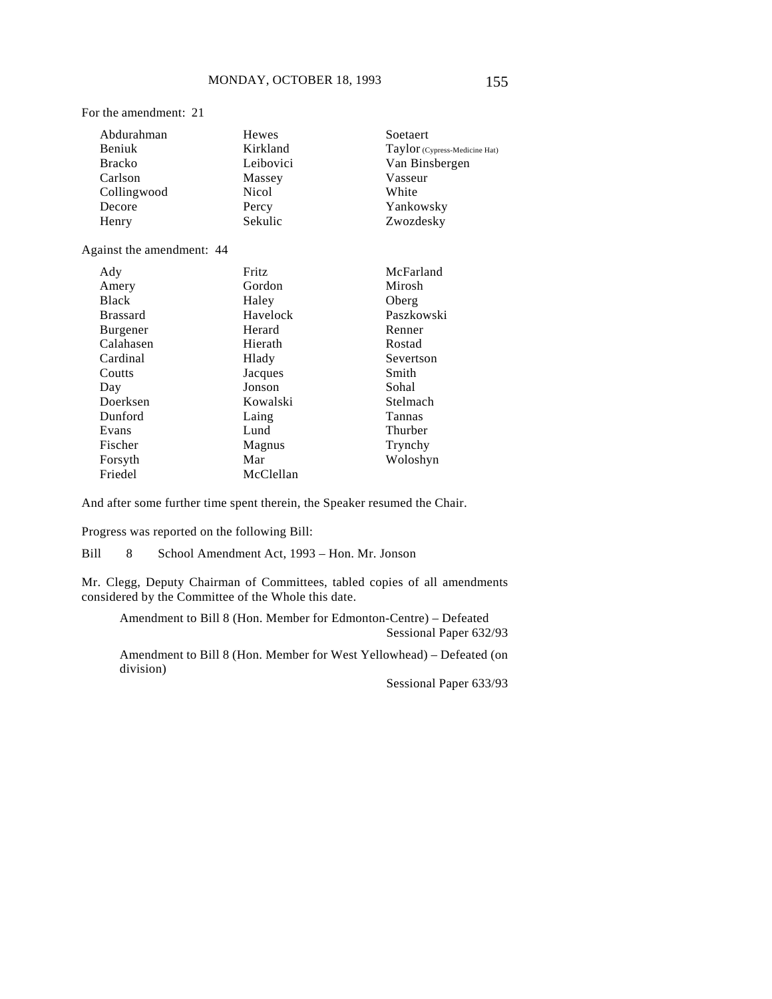For the amendment: 21

| Abdurahman    | Hewes        | Soetaert                      |
|---------------|--------------|-------------------------------|
| Beniuk        | Kirkland     | Taylor (Cypress-Medicine Hat) |
| <b>Bracko</b> | Leibovici    | Van Binsbergen                |
| Carlson       | Massey       | Vasseur                       |
| Collingwood   | <b>Nicol</b> | White                         |
| Decore        | Percy        | Yankowsky                     |
| Henry         | Sekulic      | Zwozdesky                     |

#### Against the amendment: 44

| Ady             | Fritz     | McFarland  |
|-----------------|-----------|------------|
| Amery           | Gordon    | Mirosh     |
| <b>Black</b>    | Haley     | Oberg      |
| <b>Brassard</b> | Havelock  | Paszkowski |
| <b>Burgener</b> | Herard    | Renner     |
| Calahasen       | Hierath   | Rostad     |
| Cardinal        | Hlady     | Severtson  |
| Coutts          | Jacques   | Smith      |
| Day             | Jonson    | Sohal      |
| Doerksen        | Kowalski  | Stelmach   |
| Dunford         | Laing     | Tannas     |
| Evans           | Lund      | Thurber    |
| Fischer         | Magnus    | Trynchy    |
| Forsyth         | Mar       | Woloshyn   |
| Friedel         | McClellan |            |

And after some further time spent therein, the Speaker resumed the Chair.

Progress was reported on the following Bill:

Bill 8 School Amendment Act, 1993 – Hon. Mr. Jonson

Mr. Clegg, Deputy Chairman of Committees, tabled copies of all amendments considered by the Committee of the Whole this date.

Amendment to Bill 8 (Hon. Member for Edmonton-Centre) – Defeated Sessional Paper 632/93

Amendment to Bill 8 (Hon. Member for West Yellowhead) – Defeated (on division)

Sessional Paper 633/93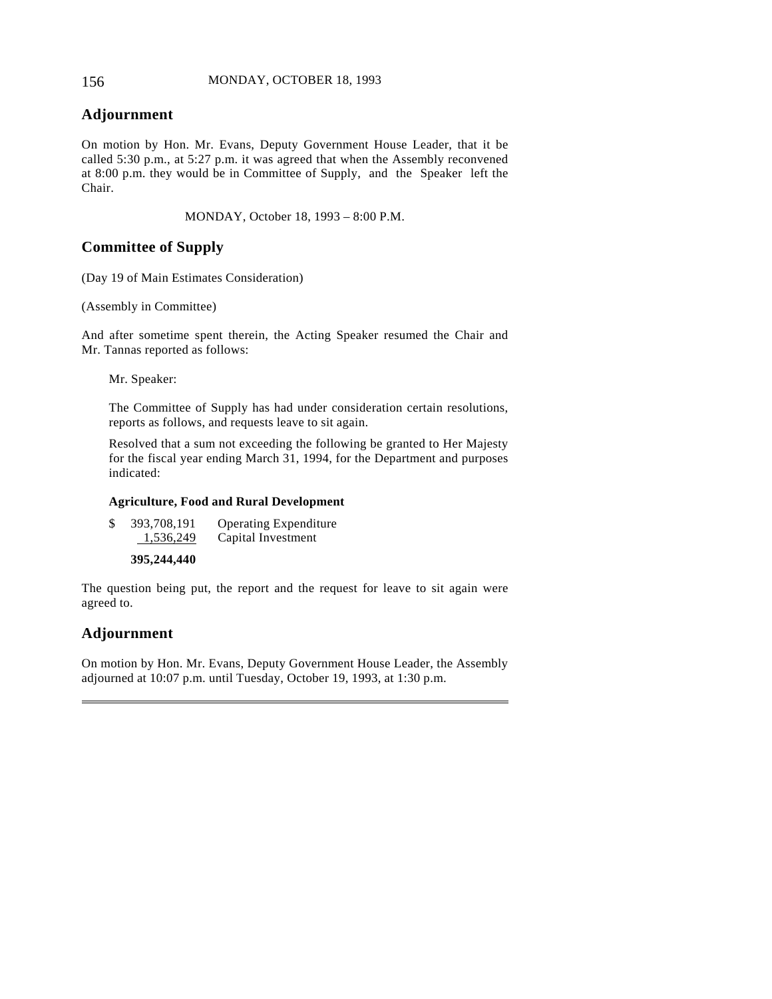### 156 MONDAY, OCTOBER 18, 1993

### **Adjournment**

On motion by Hon. Mr. Evans, Deputy Government House Leader, that it be called 5:30 p.m., at 5:27 p.m. it was agreed that when the Assembly reconvened at 8:00 p.m. they would be in Committee of Supply, and the Speaker left the Chair.

MONDAY, October 18, 1993 – 8:00 P.M.

### **Committee of Supply**

(Day 19 of Main Estimates Consideration)

(Assembly in Committee)

And after sometime spent therein, the Acting Speaker resumed the Chair and Mr. Tannas reported as follows:

Mr. Speaker:

The Committee of Supply has had under consideration certain resolutions, reports as follows, and requests leave to sit again.

Resolved that a sum not exceeding the following be granted to Her Majesty for the fiscal year ending March 31, 1994, for the Department and purposes indicated:

#### **Agriculture, Food and Rural Development**

| \$<br>393,708,191 | <b>Operating Expenditure</b> |
|-------------------|------------------------------|
| 1,536,249         | Capital Investment           |

**395,244,440**

The question being put, the report and the request for leave to sit again were agreed to.

### **Adjournment**

 $\overline{a}$ 

On motion by Hon. Mr. Evans, Deputy Government House Leader, the Assembly adjourned at 10:07 p.m. until Tuesday, October 19, 1993, at 1:30 p.m.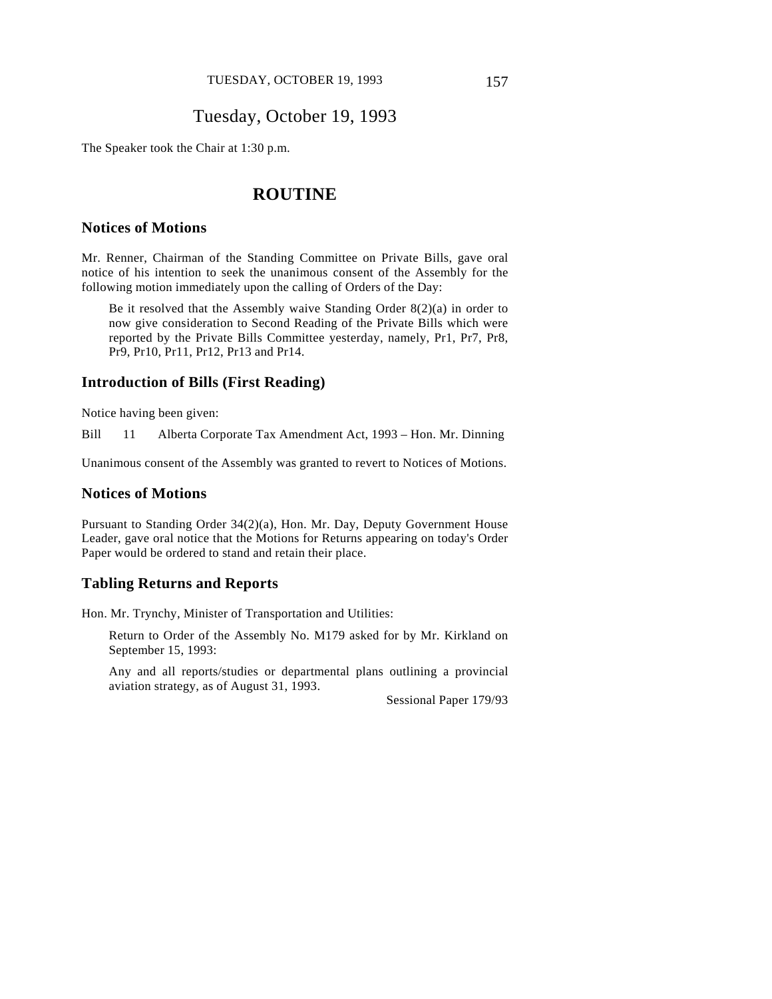# Tuesday, October 19, 1993

The Speaker took the Chair at 1:30 p.m.

# **ROUTINE**

### **Notices of Motions**

Mr. Renner, Chairman of the Standing Committee on Private Bills, gave oral notice of his intention to seek the unanimous consent of the Assembly for the following motion immediately upon the calling of Orders of the Day:

Be it resolved that the Assembly waive Standing Order 8(2)(a) in order to now give consideration to Second Reading of the Private Bills which were reported by the Private Bills Committee yesterday, namely, Pr1, Pr7, Pr8, Pr9, Pr10, Pr11, Pr12, Pr13 and Pr14.

#### **Introduction of Bills (First Reading)**

Notice having been given:

Bill 11 Alberta Corporate Tax Amendment Act, 1993 – Hon. Mr. Dinning

Unanimous consent of the Assembly was granted to revert to Notices of Motions.

#### **Notices of Motions**

Pursuant to Standing Order 34(2)(a), Hon. Mr. Day, Deputy Government House Leader, gave oral notice that the Motions for Returns appearing on today's Order Paper would be ordered to stand and retain their place.

### **Tabling Returns and Reports**

Hon. Mr. Trynchy, Minister of Transportation and Utilities:

Return to Order of the Assembly No. M179 asked for by Mr. Kirkland on September 15, 1993:

Any and all reports/studies or departmental plans outlining a provincial aviation strategy, as of August 31, 1993.

Sessional Paper 179/93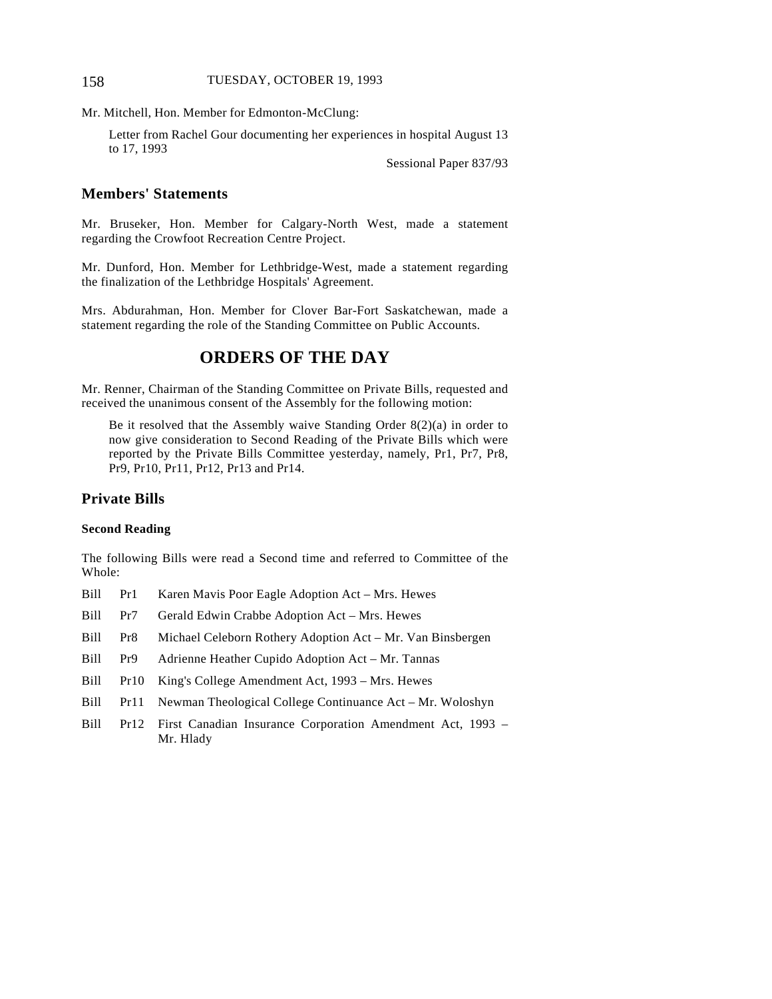#### 158 TUESDAY, OCTOBER 19, 1993

Mr. Mitchell, Hon. Member for Edmonton-McClung:

Letter from Rachel Gour documenting her experiences in hospital August 13 to 17, 1993

Sessional Paper 837/93

### **Members' Statements**

Mr. Bruseker, Hon. Member for Calgary-North West, made a statement regarding the Crowfoot Recreation Centre Project.

Mr. Dunford, Hon. Member for Lethbridge-West, made a statement regarding the finalization of the Lethbridge Hospitals' Agreement.

Mrs. Abdurahman, Hon. Member for Clover Bar-Fort Saskatchewan, made a statement regarding the role of the Standing Committee on Public Accounts.

## **ORDERS OF THE DAY**

Mr. Renner, Chairman of the Standing Committee on Private Bills, requested and received the unanimous consent of the Assembly for the following motion:

Be it resolved that the Assembly waive Standing Order 8(2)(a) in order to now give consideration to Second Reading of the Private Bills which were reported by the Private Bills Committee yesterday, namely, Pr1, Pr7, Pr8, Pr9, Pr10, Pr11, Pr12, Pr13 and Pr14.

### **Private Bills**

#### **Second Reading**

The following Bills were read a Second time and referred to Committee of the Whole:

- Bill Pr1 Karen Mavis Poor Eagle Adoption Act Mrs. Hewes
- Bill Pr7 Gerald Edwin Crabbe Adoption Act Mrs. Hewes
- Bill Pr8 Michael Celeborn Rothery Adoption Act Mr. Van Binsbergen
- Bill Pr9 Adrienne Heather Cupido Adoption Act Mr. Tannas
- Bill Pr10 King's College Amendment Act, 1993 Mrs. Hewes
- Bill Pr11 Newman Theological College Continuance Act Mr. Woloshyn
- Bill Pr12 First Canadian Insurance Corporation Amendment Act, 1993 Mr. Hlady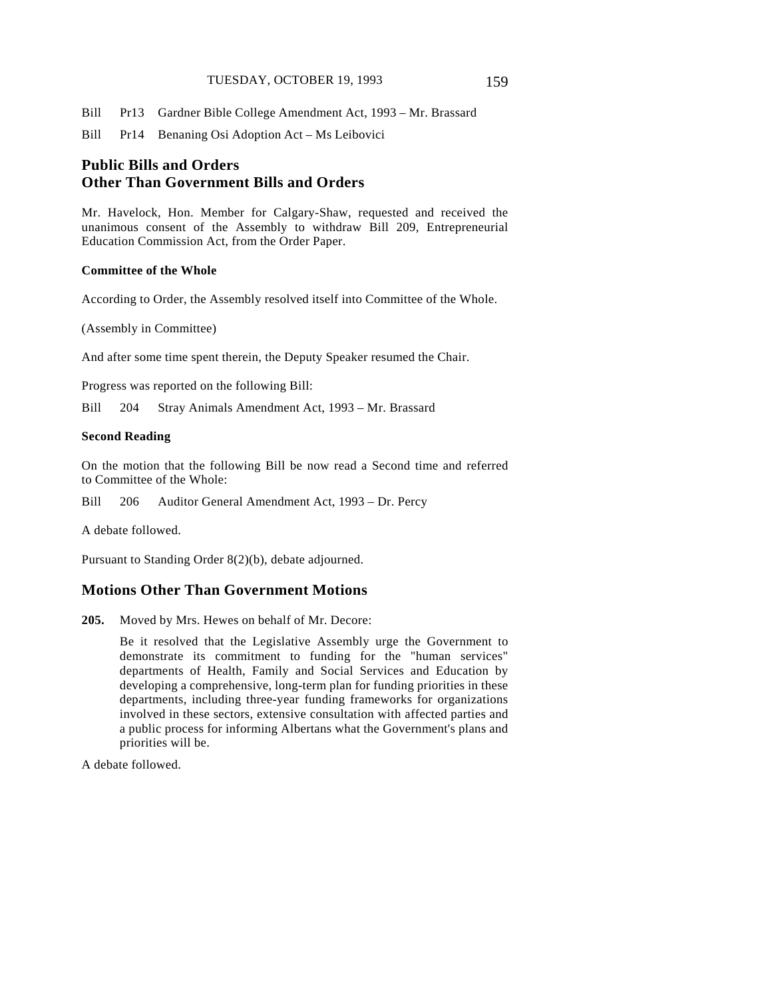#### TUESDAY, OCTOBER 19, 1993 159

Bill Pr13 Gardner Bible College Amendment Act, 1993 – Mr. Brassard

Bill Pr14 Benaning Osi Adoption Act – Ms Leibovici

## **Public Bills and Orders Other Than Government Bills and Orders**

Mr. Havelock, Hon. Member for Calgary-Shaw, requested and received the unanimous consent of the Assembly to withdraw Bill 209, Entrepreneurial Education Commission Act, from the Order Paper.

#### **Committee of the Whole**

According to Order, the Assembly resolved itself into Committee of the Whole.

(Assembly in Committee)

And after some time spent therein, the Deputy Speaker resumed the Chair.

Progress was reported on the following Bill:

Bill 204 Stray Animals Amendment Act, 1993 – Mr. Brassard

### **Second Reading**

On the motion that the following Bill be now read a Second time and referred to Committee of the Whole:

Bill 206 Auditor General Amendment Act, 1993 – Dr. Percy

A debate followed.

Pursuant to Standing Order 8(2)(b), debate adjourned.

### **Motions Other Than Government Motions**

**205.** Moved by Mrs. Hewes on behalf of Mr. Decore:

Be it resolved that the Legislative Assembly urge the Government to demonstrate its commitment to funding for the "human services" departments of Health, Family and Social Services and Education by developing a comprehensive, long-term plan for funding priorities in these departments, including three-year funding frameworks for organizations involved in these sectors, extensive consultation with affected parties and a public process for informing Albertans what the Government's plans and priorities will be.

A debate followed.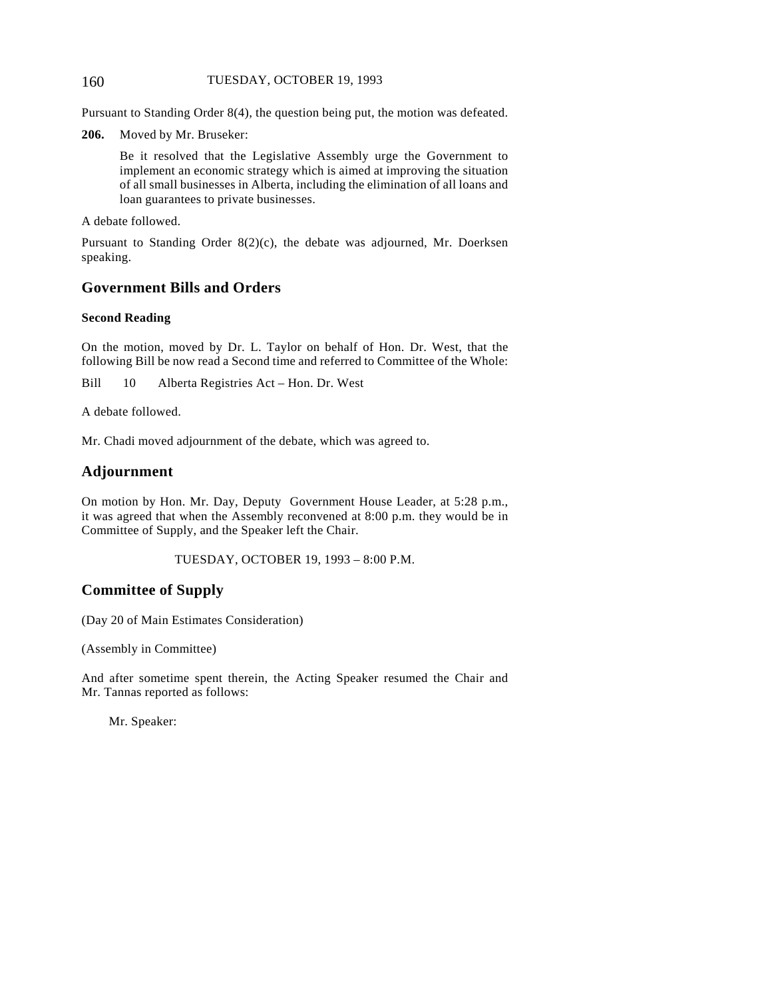#### 160 TUESDAY, OCTOBER 19, 1993

Pursuant to Standing Order 8(4), the question being put, the motion was defeated.

**206.** Moved by Mr. Bruseker:

Be it resolved that the Legislative Assembly urge the Government to implement an economic strategy which is aimed at improving the situation of all small businesses in Alberta, including the elimination of all loans and loan guarantees to private businesses.

A debate followed.

Pursuant to Standing Order 8(2)(c), the debate was adjourned, Mr. Doerksen speaking.

### **Government Bills and Orders**

#### **Second Reading**

On the motion, moved by Dr. L. Taylor on behalf of Hon. Dr. West, that the following Bill be now read a Second time and referred to Committee of the Whole:

Bill 10 Alberta Registries Act – Hon. Dr. West

A debate followed.

Mr. Chadi moved adjournment of the debate, which was agreed to.

### **Adjournment**

On motion by Hon. Mr. Day, Deputy Government House Leader, at 5:28 p.m., it was agreed that when the Assembly reconvened at 8:00 p.m. they would be in Committee of Supply, and the Speaker left the Chair.

TUESDAY, OCTOBER 19, 1993 – 8:00 P.M.

### **Committee of Supply**

(Day 20 of Main Estimates Consideration)

(Assembly in Committee)

And after sometime spent therein, the Acting Speaker resumed the Chair and Mr. Tannas reported as follows:

Mr. Speaker: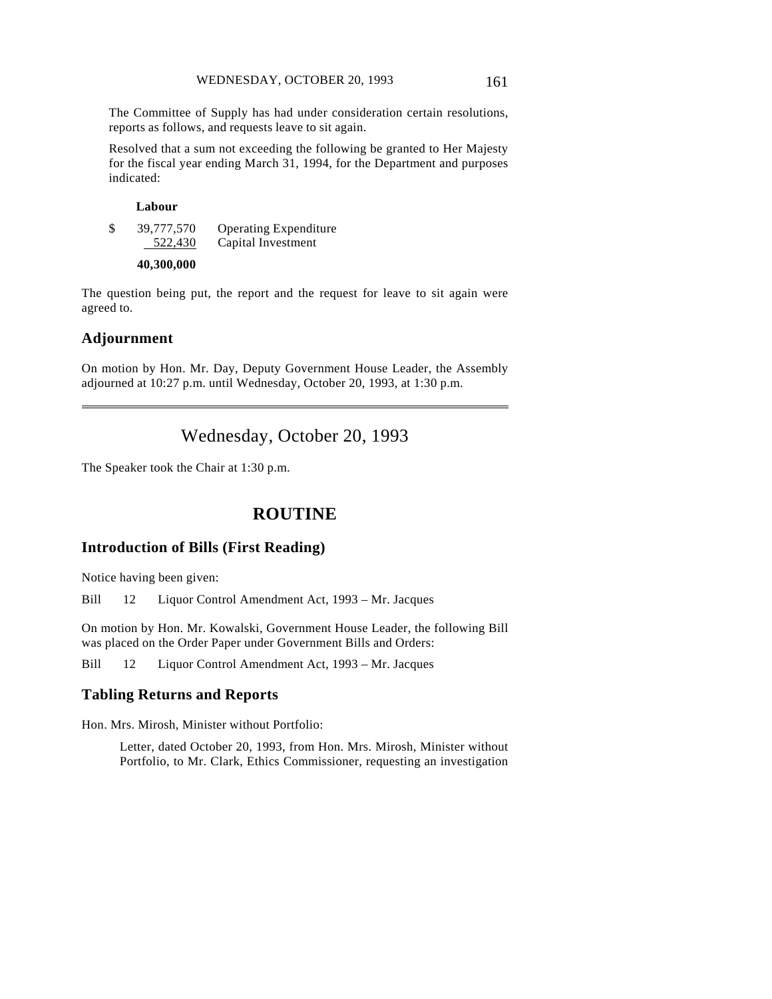The Committee of Supply has had under consideration certain resolutions, reports as follows, and requests leave to sit again.

Resolved that a sum not exceeding the following be granted to Her Majesty for the fiscal year ending March 31, 1994, for the Department and purposes indicated:

#### **Labour**

\$ 39,777,570 Operating Expenditure 522,430 Capital Investment

#### **40,300,000**

The question being put, the report and the request for leave to sit again were agreed to.

#### **Adjournment**

 $\overline{a}$ 

On motion by Hon. Mr. Day, Deputy Government House Leader, the Assembly adjourned at 10:27 p.m. until Wednesday, October 20, 1993, at 1:30 p.m.

# Wednesday, October 20, 1993

The Speaker took the Chair at 1:30 p.m.

# **ROUTINE**

### **Introduction of Bills (First Reading)**

Notice having been given:

Bill 12 Liquor Control Amendment Act, 1993 – Mr. Jacques

On motion by Hon. Mr. Kowalski, Government House Leader, the following Bill was placed on the Order Paper under Government Bills and Orders:

Bill 12 Liquor Control Amendment Act, 1993 – Mr. Jacques

### **Tabling Returns and Reports**

Hon. Mrs. Mirosh, Minister without Portfolio:

Letter, dated October 20, 1993, from Hon. Mrs. Mirosh, Minister without Portfolio, to Mr. Clark, Ethics Commissioner, requesting an investigation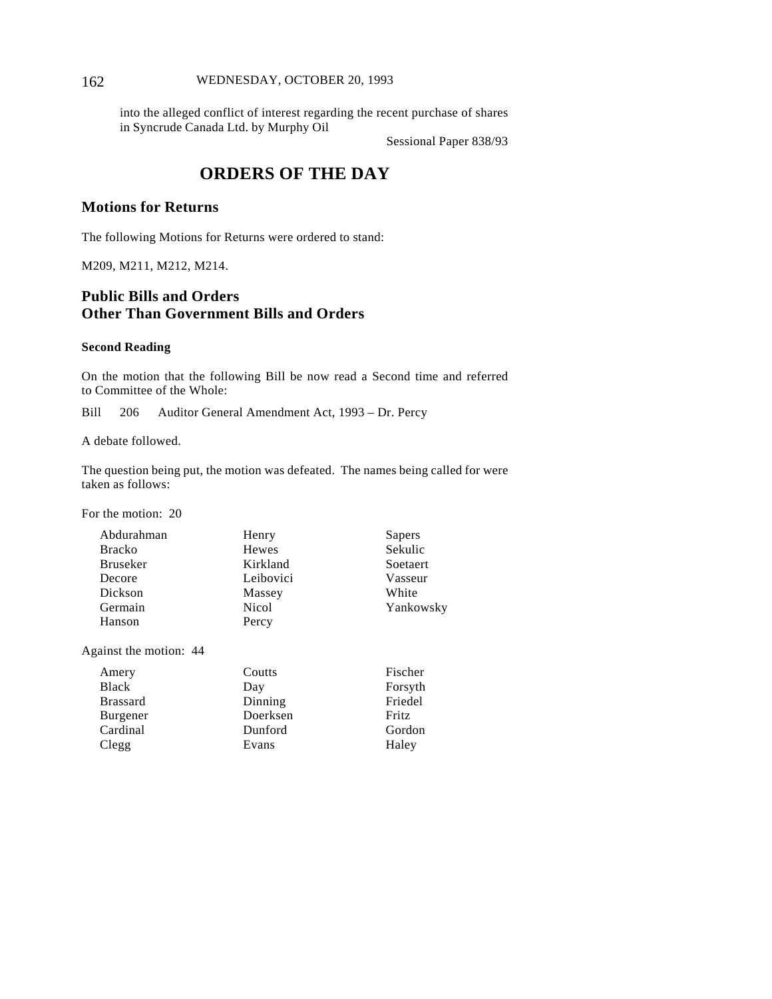#### 162 WEDNESDAY, OCTOBER 20, 1993

into the alleged conflict of interest regarding the recent purchase of shares in Syncrude Canada Ltd. by Murphy Oil

Sessional Paper 838/93

# **ORDERS OF THE DAY**

### **Motions for Returns**

The following Motions for Returns were ordered to stand:

M209, M211, M212, M214.

### **Public Bills and Orders Other Than Government Bills and Orders**

#### **Second Reading**

On the motion that the following Bill be now read a Second time and referred to Committee of the Whole:

Bill 206 Auditor General Amendment Act, 1993 – Dr. Percy

A debate followed.

The question being put, the motion was defeated. The names being called for were taken as follows:

For the motion: 20

| Abdurahman      | Henry     | Sapers    |
|-----------------|-----------|-----------|
| <b>Bracko</b>   | Hewes     | Sekulic   |
| <b>Bruseker</b> | Kirkland  | Soetaert  |
| Decore          | Leibovici | Vasseur   |
| Dickson         | Massey    | White     |
| Germain         | Nicol     | Yankowsky |
| Hanson          | Percy     |           |
|                 |           |           |

Against the motion: 44

| Amery           | Coutts   | Fischer |
|-----------------|----------|---------|
| <b>Black</b>    | Day      | Forsyth |
| <b>Brassard</b> | Dinning  | Friedel |
| <b>Burgener</b> | Doerksen | Fritz   |
| Cardinal        | Dunford  | Gordon  |
| Clegg           | Evans    | Haley   |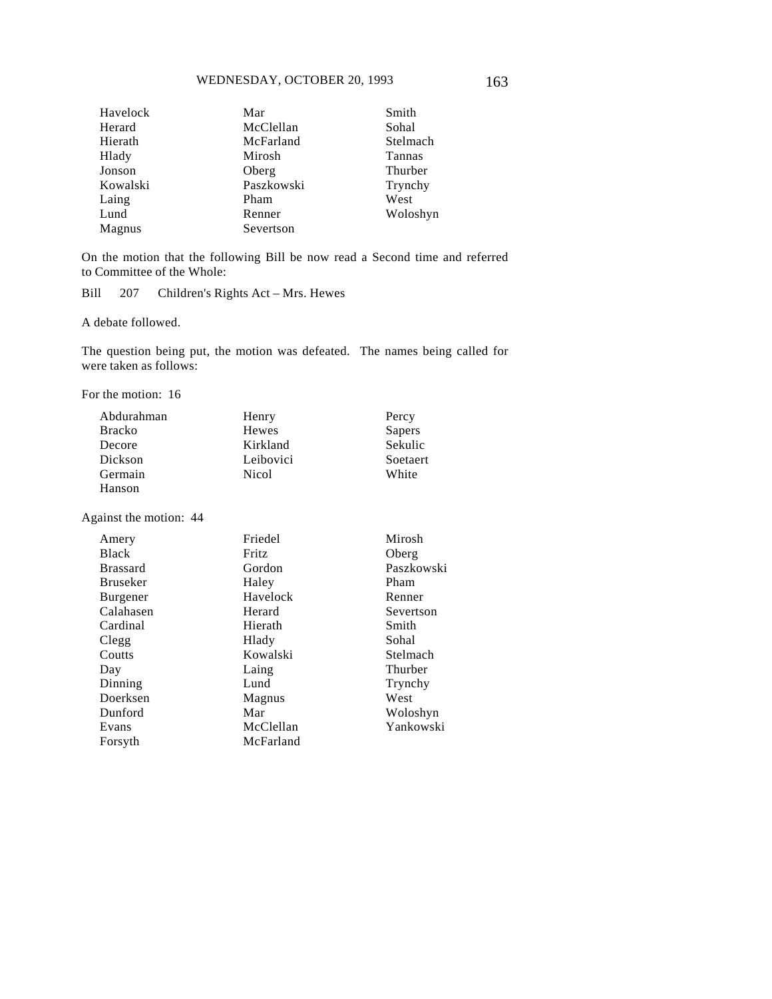| Havelock | Mar        | Smith    |
|----------|------------|----------|
| Herard   | McClellan  | Sohal    |
| Hierath  | McFarland  | Stelmach |
| Hlady    | Mirosh     | Tannas   |
| Jonson   | Oberg      | Thurber  |
| Kowalski | Paszkowski | Trynchy  |
| Laing    | Pham       | West     |
| Lund     | Renner     | Woloshyn |
| Magnus   | Severtson  |          |

On the motion that the following Bill be now read a Second time and referred to Committee of the Whole:

Bill 207 Children's Rights Act – Mrs. Hewes

A debate followed.

The question being put, the motion was defeated. The names being called for were taken as follows:

For the motion: 16

| Abdurahman    | Henry     | Percy    |
|---------------|-----------|----------|
| <b>Bracko</b> | Hewes     | Sapers   |
| Decore        | Kirkland  | Sekulic  |
| Dickson       | Leibovici | Soetaert |
| Germain       | Nicol     | White    |
| Hanson        |           |          |

Against the motion: 44

| Mirosh     |
|------------|
| Oberg      |
| Paszkowski |
| Pham       |
| Renner     |
| Severtson  |
| Smith      |
| Sohal      |
| Stelmach   |
| Thurber    |
| Trynchy    |
| West       |
| Woloshyn   |
| Yankowski  |
|            |
|            |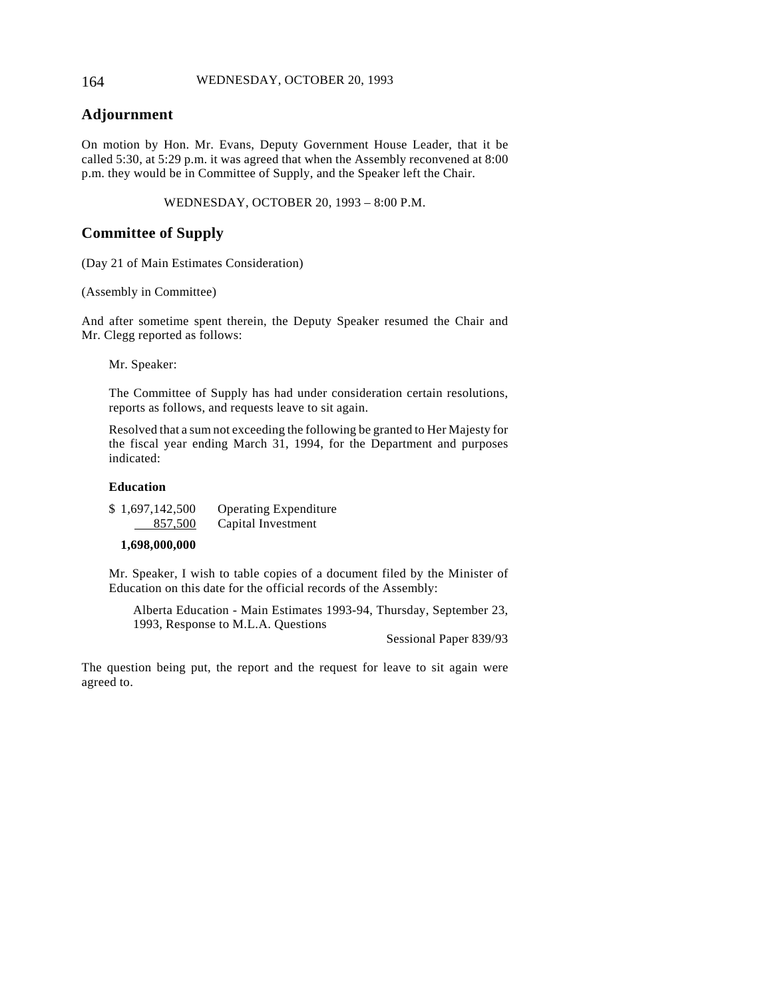#### 164 WEDNESDAY, OCTOBER 20, 1993

### **Adjournment**

On motion by Hon. Mr. Evans, Deputy Government House Leader, that it be called 5:30, at 5:29 p.m. it was agreed that when the Assembly reconvened at 8:00 p.m. they would be in Committee of Supply, and the Speaker left the Chair.

WEDNESDAY, OCTOBER 20, 1993 – 8:00 P.M.

### **Committee of Supply**

(Day 21 of Main Estimates Consideration)

(Assembly in Committee)

And after sometime spent therein, the Deputy Speaker resumed the Chair and Mr. Clegg reported as follows:

Mr. Speaker:

The Committee of Supply has had under consideration certain resolutions, reports as follows, and requests leave to sit again.

Resolved that a sum not exceeding the following be granted to Her Majesty for the fiscal year ending March 31, 1994, for the Department and purposes indicated:

#### **Education**

| \$1,697,142,500 | <b>Operating Expenditure</b> |
|-----------------|------------------------------|
| 857,500         | Capital Investment           |

#### **1,698,000,000**

Mr. Speaker, I wish to table copies of a document filed by the Minister of Education on this date for the official records of the Assembly:

Alberta Education - Main Estimates 1993-94, Thursday, September 23, 1993, Response to M.L.A. Questions

Sessional Paper 839/93

The question being put, the report and the request for leave to sit again were agreed to.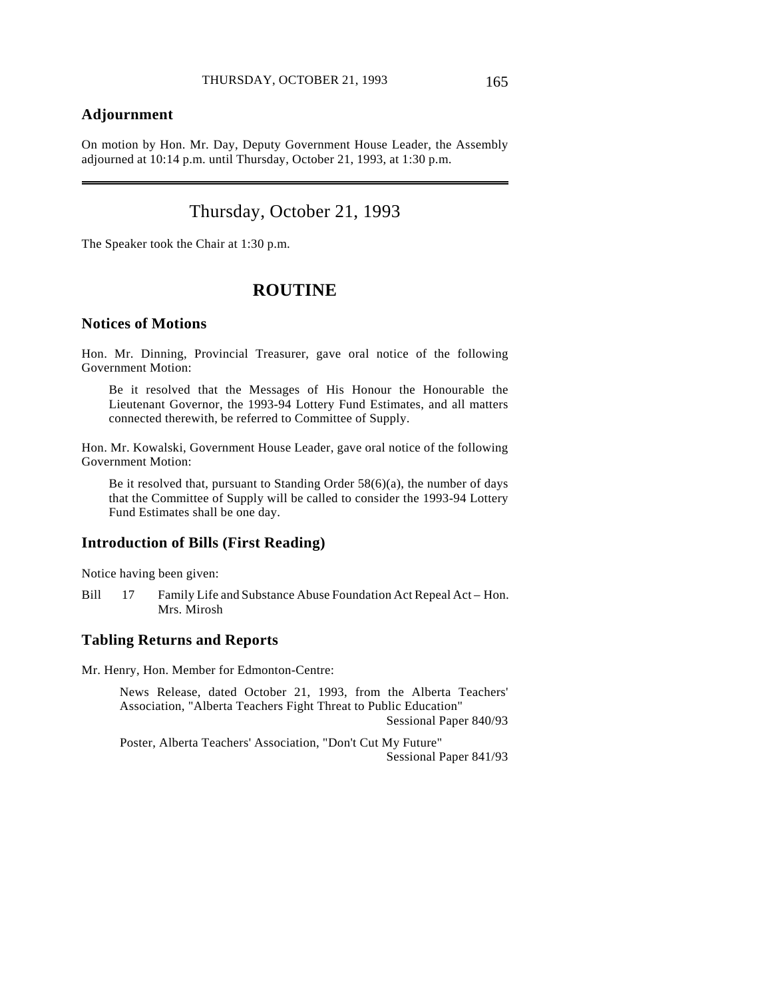### **Adjournment**

 $\overline{a}$ 

On motion by Hon. Mr. Day, Deputy Government House Leader, the Assembly adjourned at 10:14 p.m. until Thursday, October 21, 1993, at 1:30 p.m.

# Thursday, October 21, 1993

The Speaker took the Chair at 1:30 p.m.

### **ROUTINE**

#### **Notices of Motions**

Hon. Mr. Dinning, Provincial Treasurer, gave oral notice of the following Government Motion:

Be it resolved that the Messages of His Honour the Honourable the Lieutenant Governor, the 1993-94 Lottery Fund Estimates, and all matters connected therewith, be referred to Committee of Supply.

Hon. Mr. Kowalski, Government House Leader, gave oral notice of the following Government Motion:

Be it resolved that, pursuant to Standing Order 58(6)(a), the number of days that the Committee of Supply will be called to consider the 1993-94 Lottery Fund Estimates shall be one day.

### **Introduction of Bills (First Reading)**

Notice having been given:

Bill 17 Family Life and Substance Abuse Foundation Act Repeal Act – Hon. Mrs. Mirosh

### **Tabling Returns and Reports**

Mr. Henry, Hon. Member for Edmonton-Centre:

News Release, dated October 21, 1993, from the Alberta Teachers' Association, "Alberta Teachers Fight Threat to Public Education" Sessional Paper 840/93

Poster, Alberta Teachers' Association, "Don't Cut My Future" Sessional Paper 841/93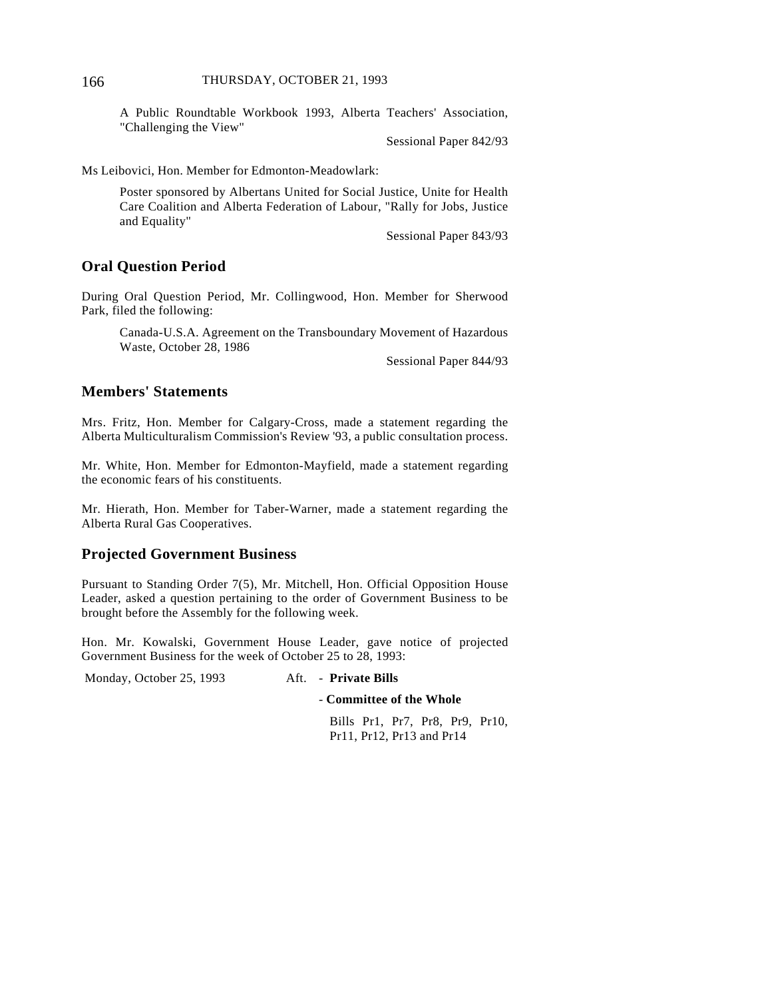A Public Roundtable Workbook 1993, Alberta Teachers' Association, "Challenging the View"

Sessional Paper 842/93

Ms Leibovici, Hon. Member for Edmonton-Meadowlark:

Poster sponsored by Albertans United for Social Justice, Unite for Health Care Coalition and Alberta Federation of Labour, "Rally for Jobs, Justice and Equality"

Sessional Paper 843/93

### **Oral Question Period**

During Oral Question Period, Mr. Collingwood, Hon. Member for Sherwood Park, filed the following:

Canada-U.S.A. Agreement on the Transboundary Movement of Hazardous Waste, October 28, 1986

Sessional Paper 844/93

### **Members' Statements**

Mrs. Fritz, Hon. Member for Calgary-Cross, made a statement regarding the Alberta Multiculturalism Commission's Review '93, a public consultation process.

Mr. White, Hon. Member for Edmonton-Mayfield, made a statement regarding the economic fears of his constituents.

Mr. Hierath, Hon. Member for Taber-Warner, made a statement regarding the Alberta Rural Gas Cooperatives.

### **Projected Government Business**

Pursuant to Standing Order 7(5), Mr. Mitchell, Hon. Official Opposition House Leader, asked a question pertaining to the order of Government Business to be brought before the Assembly for the following week.

Hon. Mr. Kowalski, Government House Leader, gave notice of projected Government Business for the week of October 25 to 28, 1993:

Monday, October 25, 1993 Aft. - **Private Bills**

- **Committee of the Whole**

Bills Pr1, Pr7, Pr8, Pr9, Pr10, Pr11, Pr12, Pr13 and Pr14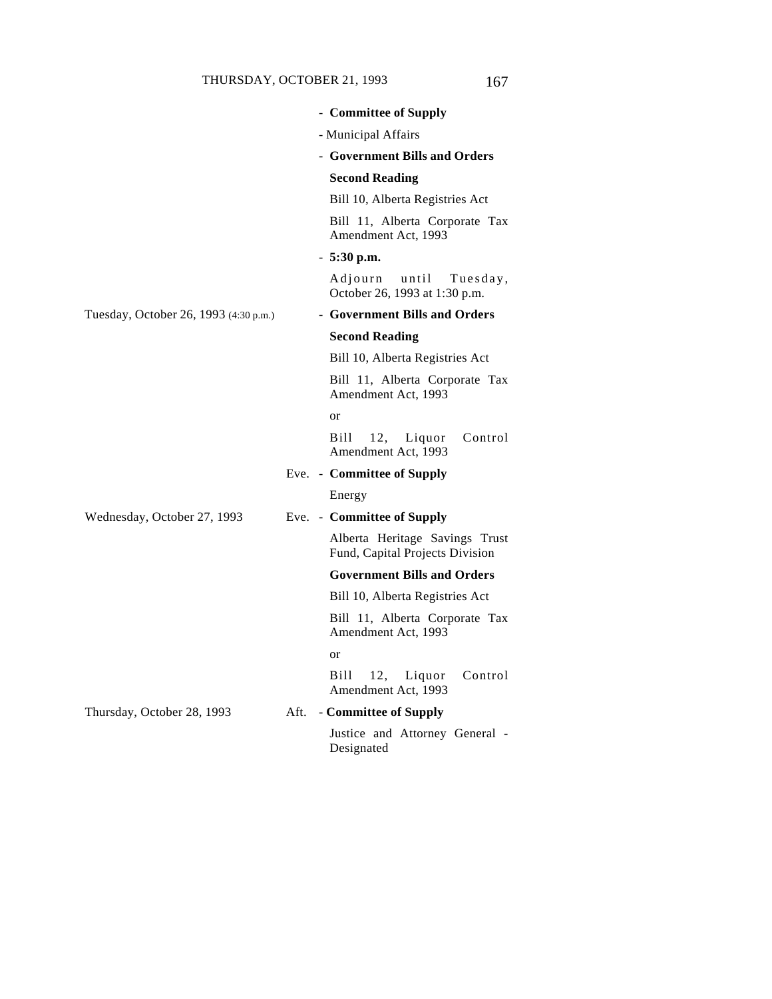|      | - Committee of Supply                                             |
|------|-------------------------------------------------------------------|
|      | - Municipal Affairs                                               |
|      | - Government Bills and Orders                                     |
|      | <b>Second Reading</b>                                             |
|      | Bill 10, Alberta Registries Act                                   |
|      | Bill 11, Alberta Corporate Tax<br>Amendment Act, 1993             |
|      | $-5:30$ p.m.                                                      |
|      | Adjourn until Tuesday,<br>October 26, 1993 at 1:30 p.m.           |
|      | - Government Bills and Orders                                     |
|      | <b>Second Reading</b>                                             |
|      | Bill 10, Alberta Registries Act                                   |
|      | Bill 11, Alberta Corporate Tax<br>Amendment Act, 1993             |
|      | or                                                                |
|      | Bill<br>12,<br>Liquor<br>Control<br>Amendment Act, 1993           |
|      | Eve. - Committee of Supply                                        |
|      | Energy                                                            |
|      | Eve. - Committee of Supply                                        |
|      | Alberta Heritage Savings Trust<br>Fund, Capital Projects Division |
|      | <b>Government Bills and Orders</b>                                |
|      | Bill 10, Alberta Registries Act                                   |
|      | Bill 11, Alberta Corporate Tax<br>Amendment Act, 1993             |
|      | or                                                                |
|      | 12, Liquor<br>Control<br>Bill<br>Amendment Act, 1993              |
| Aft. | - Committee of Supply                                             |
|      | Justice and Attorney General -<br>Designated                      |
|      |                                                                   |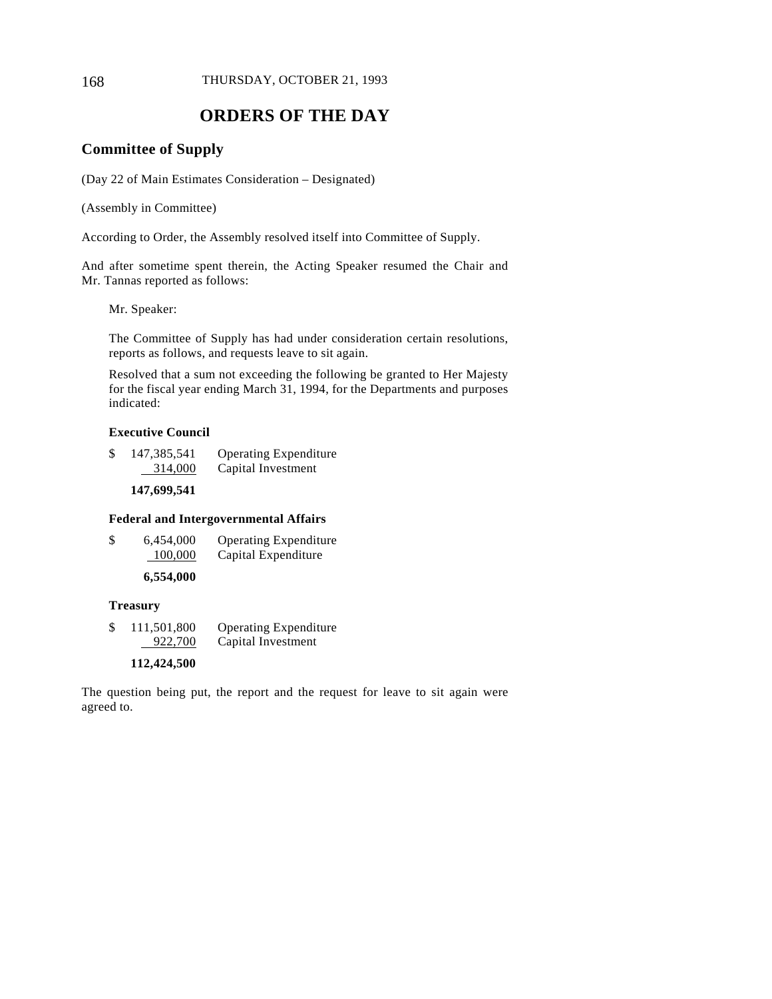# **ORDERS OF THE DAY**

### **Committee of Supply**

(Day 22 of Main Estimates Consideration – Designated)

(Assembly in Committee)

According to Order, the Assembly resolved itself into Committee of Supply.

And after sometime spent therein, the Acting Speaker resumed the Chair and Mr. Tannas reported as follows:

Mr. Speaker:

The Committee of Supply has had under consideration certain resolutions, reports as follows, and requests leave to sit again.

Resolved that a sum not exceeding the following be granted to Her Majesty for the fiscal year ending March 31, 1994, for the Departments and purposes indicated:

### **Executive Council**

| \$<br>147,385,541 | <b>Operating Expenditure</b> |
|-------------------|------------------------------|
| 314,000           | Capital Investment           |

**147,699,541**

#### **Federal and Intergovernmental Affairs**

| \$<br>6,454,000 | <b>Operating Expenditure</b> |
|-----------------|------------------------------|
| 100,000         | Capital Expenditure          |
|                 |                              |

### **6,554,000**

#### **Treasury**

\$ 111,501,800 Operating Expenditure 922,700 Capital Investment

#### **112,424,500**

The question being put, the report and the request for leave to sit again were agreed to.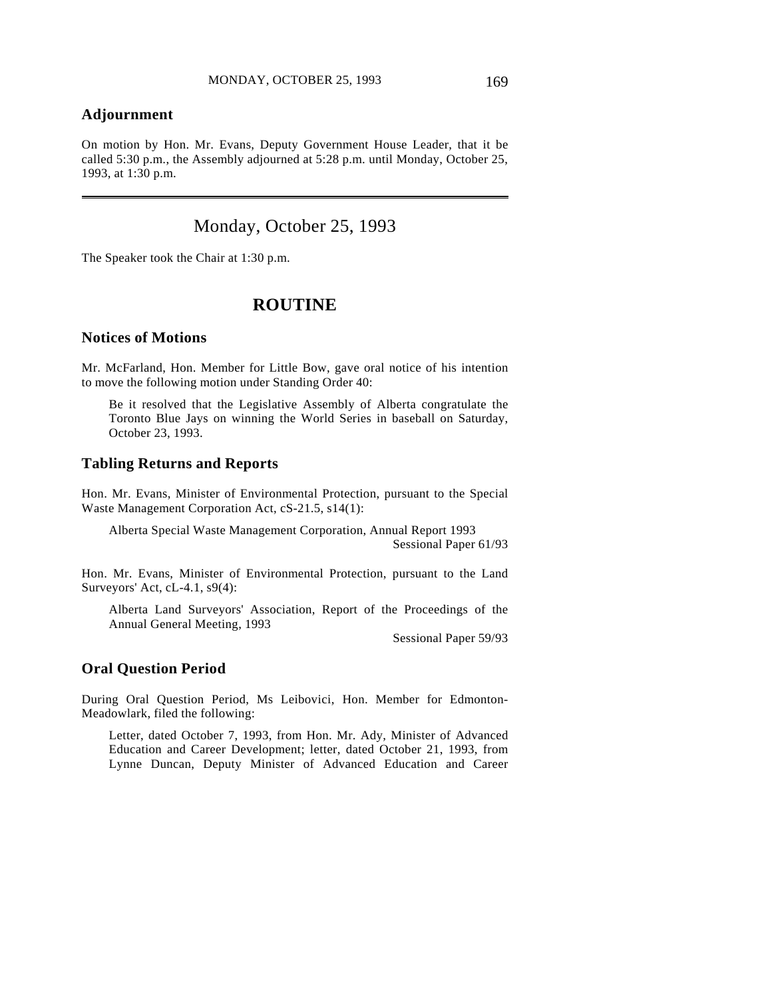### **Adjournment**

 $\overline{a}$ 

On motion by Hon. Mr. Evans, Deputy Government House Leader, that it be called 5:30 p.m., the Assembly adjourned at 5:28 p.m. until Monday, October 25, 1993, at 1:30 p.m.

# Monday, October 25, 1993

The Speaker took the Chair at 1:30 p.m.

### **ROUTINE**

### **Notices of Motions**

Mr. McFarland, Hon. Member for Little Bow, gave oral notice of his intention to move the following motion under Standing Order 40:

Be it resolved that the Legislative Assembly of Alberta congratulate the Toronto Blue Jays on winning the World Series in baseball on Saturday, October 23, 1993.

#### **Tabling Returns and Reports**

Hon. Mr. Evans, Minister of Environmental Protection, pursuant to the Special Waste Management Corporation Act, cS-21.5, s14(1):

Alberta Special Waste Management Corporation, Annual Report 1993 Sessional Paper 61/93

Hon. Mr. Evans, Minister of Environmental Protection, pursuant to the Land Surveyors' Act, cL-4.1, s9(4):

Alberta Land Surveyors' Association, Report of the Proceedings of the Annual General Meeting, 1993

Sessional Paper 59/93

### **Oral Question Period**

During Oral Question Period, Ms Leibovici, Hon. Member for Edmonton-Meadowlark, filed the following:

Letter, dated October 7, 1993, from Hon. Mr. Ady, Minister of Advanced Education and Career Development; letter, dated October 21, 1993, from Lynne Duncan, Deputy Minister of Advanced Education and Career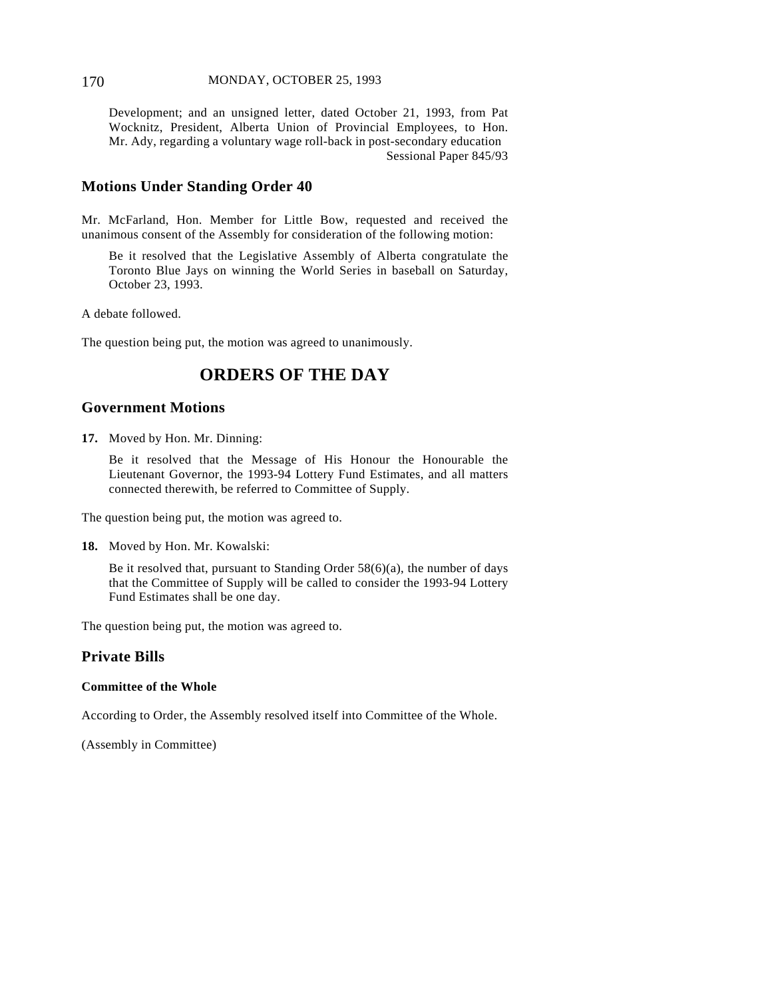#### 170 MONDAY, OCTOBER 25, 1993

Development; and an unsigned letter, dated October 21, 1993, from Pat Wocknitz, President, Alberta Union of Provincial Employees, to Hon. Mr. Ady, regarding a voluntary wage roll-back in post-secondary education Sessional Paper 845/93

### **Motions Under Standing Order 40**

Mr. McFarland, Hon. Member for Little Bow, requested and received the unanimous consent of the Assembly for consideration of the following motion:

Be it resolved that the Legislative Assembly of Alberta congratulate the Toronto Blue Jays on winning the World Series in baseball on Saturday, October 23, 1993.

A debate followed.

The question being put, the motion was agreed to unanimously.

# **ORDERS OF THE DAY**

#### **Government Motions**

**17.** Moved by Hon. Mr. Dinning:

Be it resolved that the Message of His Honour the Honourable the Lieutenant Governor, the 1993-94 Lottery Fund Estimates, and all matters connected therewith, be referred to Committee of Supply.

The question being put, the motion was agreed to.

**18.** Moved by Hon. Mr. Kowalski:

Be it resolved that, pursuant to Standing Order 58(6)(a), the number of days that the Committee of Supply will be called to consider the 1993-94 Lottery Fund Estimates shall be one day.

The question being put, the motion was agreed to.

### **Private Bills**

#### **Committee of the Whole**

According to Order, the Assembly resolved itself into Committee of the Whole.

(Assembly in Committee)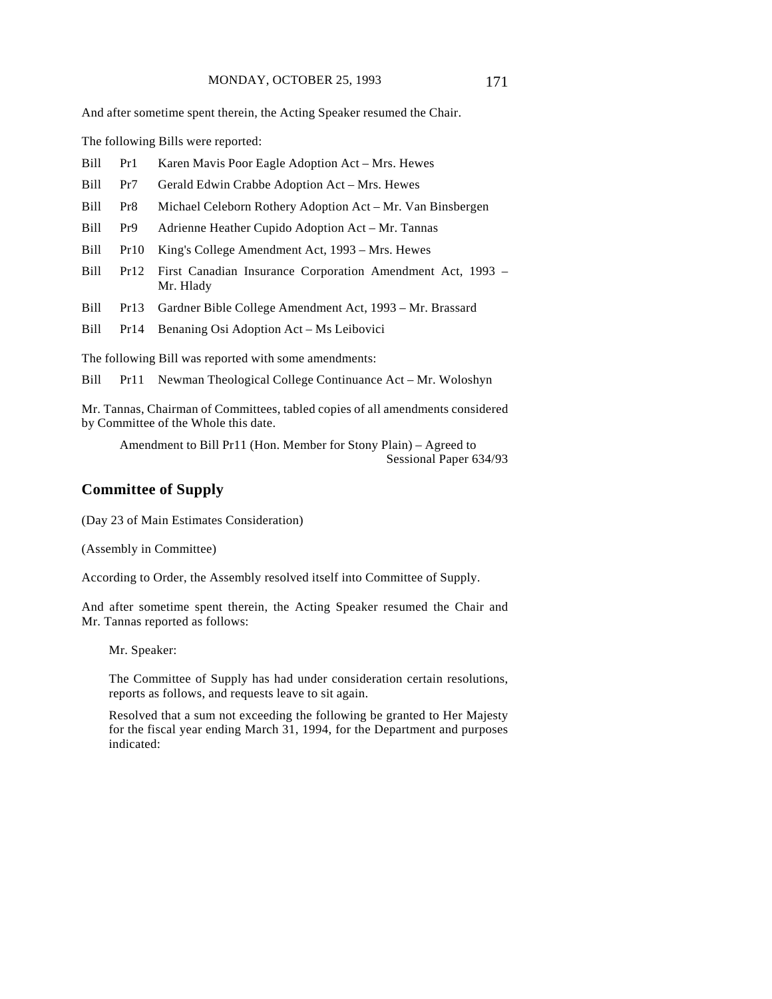And after sometime spent therein, the Acting Speaker resumed the Chair.

The following Bills were reported:

- Bill Pr1 Karen Mavis Poor Eagle Adoption Act Mrs. Hewes
- Bill Pr7 Gerald Edwin Crabbe Adoption Act Mrs. Hewes
- Bill Pr8 Michael Celeborn Rothery Adoption Act Mr. Van Binsbergen
- Bill Pr9 Adrienne Heather Cupido Adoption Act Mr. Tannas
- Bill Pr10 King's College Amendment Act, 1993 Mrs. Hewes
- Bill Pr12 First Canadian Insurance Corporation Amendment Act, 1993 Mr. Hlady
- Bill Pr13 Gardner Bible College Amendment Act, 1993 Mr. Brassard
- Bill Pr14 Benaning Osi Adoption Act Ms Leibovici

The following Bill was reported with some amendments:

Bill Pr11 Newman Theological College Continuance Act – Mr. Woloshyn

Mr. Tannas, Chairman of Committees, tabled copies of all amendments considered by Committee of the Whole this date.

Amendment to Bill Pr11 (Hon. Member for Stony Plain) – Agreed to Sessional Paper 634/93

### **Committee of Supply**

(Day 23 of Main Estimates Consideration)

(Assembly in Committee)

According to Order, the Assembly resolved itself into Committee of Supply.

And after sometime spent therein, the Acting Speaker resumed the Chair and Mr. Tannas reported as follows:

Mr. Speaker:

The Committee of Supply has had under consideration certain resolutions, reports as follows, and requests leave to sit again.

Resolved that a sum not exceeding the following be granted to Her Majesty for the fiscal year ending March 31, 1994, for the Department and purposes indicated: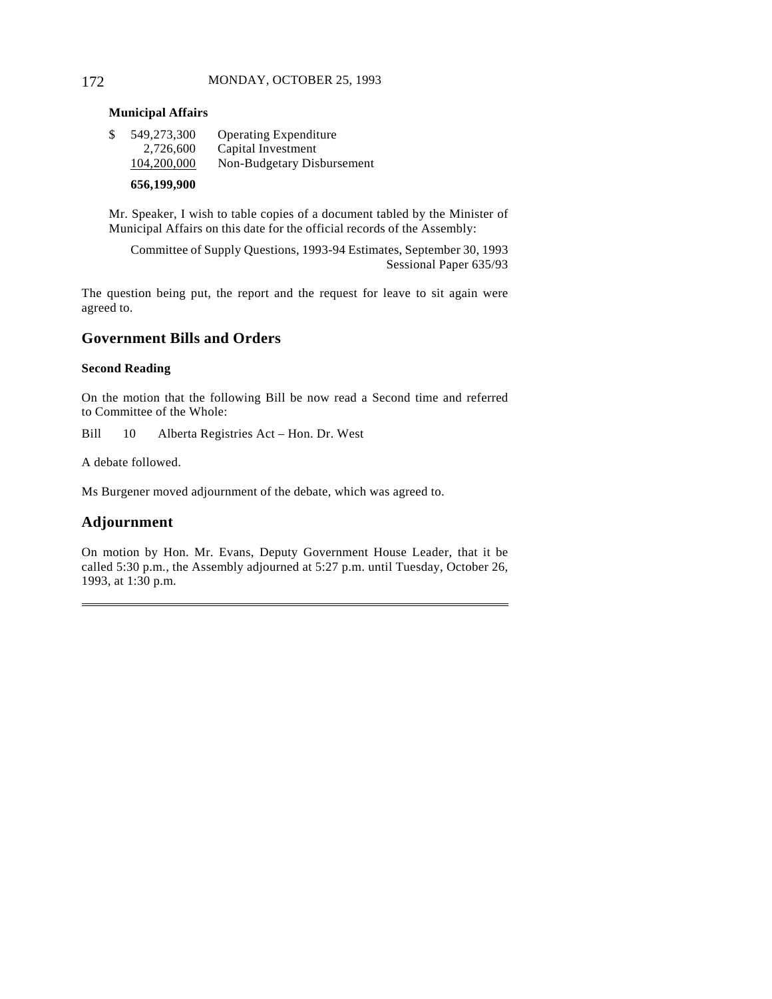#### 172 MONDAY, OCTOBER 25, 1993

#### **Municipal Affairs**

| 656,199,900       |                              |
|-------------------|------------------------------|
| 104,200,000       | Non-Budgetary Disbursement   |
| 2,726,600         | Capital Investment           |
| \$<br>549,273,300 | <b>Operating Expenditure</b> |

Mr. Speaker, I wish to table copies of a document tabled by the Minister of Municipal Affairs on this date for the official records of the Assembly:

Committee of Supply Questions, 1993-94 Estimates, September 30, 1993 Sessional Paper 635/93

The question being put, the report and the request for leave to sit again were agreed to.

### **Government Bills and Orders**

#### **Second Reading**

On the motion that the following Bill be now read a Second time and referred to Committee of the Whole:

Bill 10 Alberta Registries Act – Hon. Dr. West

A debate followed.

Ms Burgener moved adjournment of the debate, which was agreed to.

### **Adjournment**

 $\overline{a}$ 

On motion by Hon. Mr. Evans, Deputy Government House Leader, that it be called 5:30 p.m., the Assembly adjourned at 5:27 p.m. until Tuesday, October 26, 1993, at 1:30 p.m.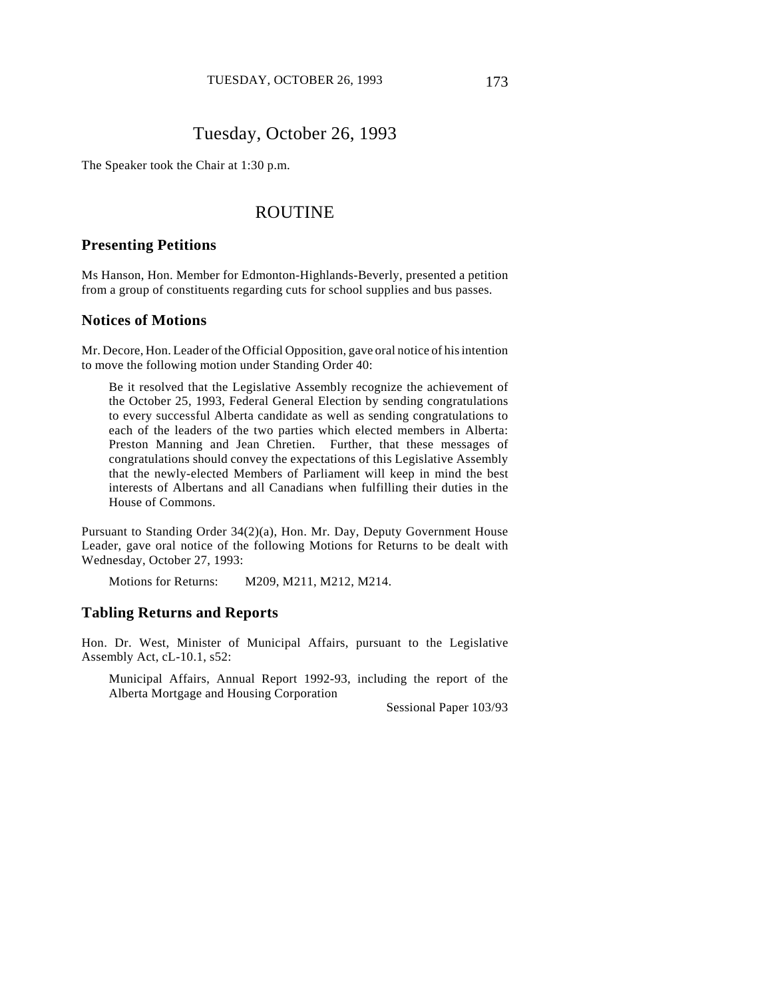# Tuesday, October 26, 1993

The Speaker took the Chair at 1:30 p.m.

## ROUTINE

### **Presenting Petitions**

Ms Hanson, Hon. Member for Edmonton-Highlands-Beverly, presented a petition from a group of constituents regarding cuts for school supplies and bus passes.

#### **Notices of Motions**

Mr. Decore, Hon. Leader of the Official Opposition, gave oral notice of his intention to move the following motion under Standing Order 40:

Be it resolved that the Legislative Assembly recognize the achievement of the October 25, 1993, Federal General Election by sending congratulations to every successful Alberta candidate as well as sending congratulations to each of the leaders of the two parties which elected members in Alberta: Preston Manning and Jean Chretien. Further, that these messages of congratulations should convey the expectations of this Legislative Assembly that the newly-elected Members of Parliament will keep in mind the best interests of Albertans and all Canadians when fulfilling their duties in the House of Commons.

Pursuant to Standing Order 34(2)(a), Hon. Mr. Day, Deputy Government House Leader, gave oral notice of the following Motions for Returns to be dealt with Wednesday, October 27, 1993:

Motions for Returns: M209, M211, M212, M214.

#### **Tabling Returns and Reports**

Hon. Dr. West, Minister of Municipal Affairs, pursuant to the Legislative Assembly Act, cL-10.1, s52:

Municipal Affairs, Annual Report 1992-93, including the report of the Alberta Mortgage and Housing Corporation

Sessional Paper 103/93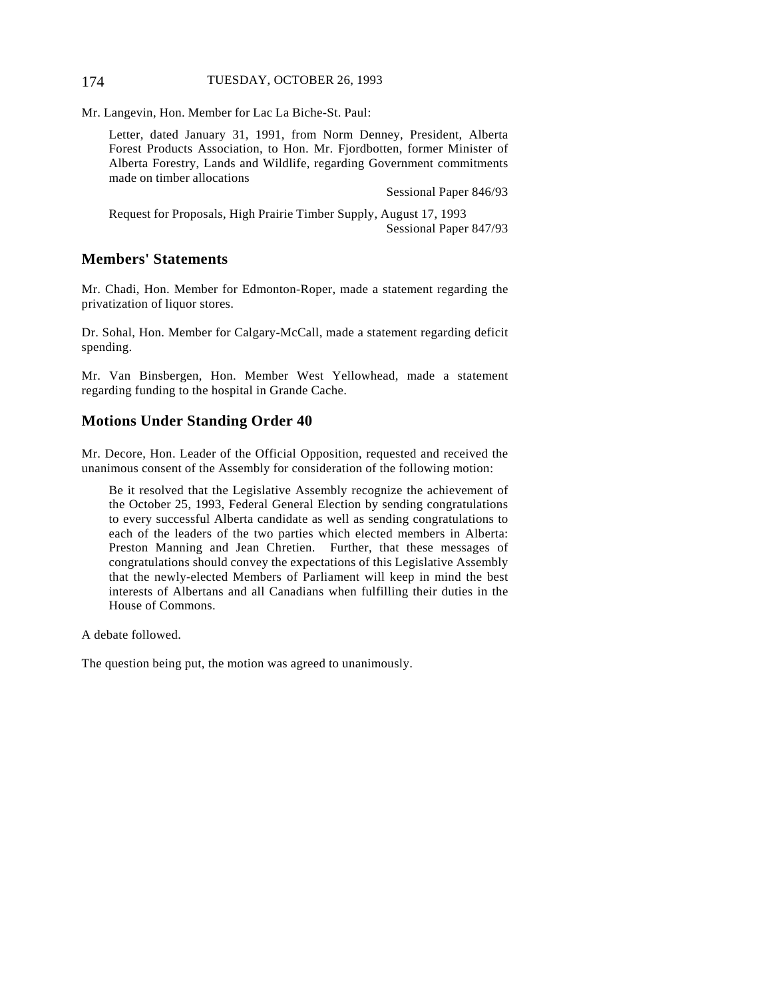#### 174 TUESDAY, OCTOBER 26, 1993

Mr. Langevin, Hon. Member for Lac La Biche-St. Paul:

Letter, dated January 31, 1991, from Norm Denney, President, Alberta Forest Products Association, to Hon. Mr. Fjordbotten, former Minister of Alberta Forestry, Lands and Wildlife, regarding Government commitments made on timber allocations

Sessional Paper 846/93

Request for Proposals, High Prairie Timber Supply, August 17, 1993 Sessional Paper 847/93

### **Members' Statements**

Mr. Chadi, Hon. Member for Edmonton-Roper, made a statement regarding the privatization of liquor stores.

Dr. Sohal, Hon. Member for Calgary-McCall, made a statement regarding deficit spending.

Mr. Van Binsbergen, Hon. Member West Yellowhead, made a statement regarding funding to the hospital in Grande Cache.

### **Motions Under Standing Order 40**

Mr. Decore, Hon. Leader of the Official Opposition, requested and received the unanimous consent of the Assembly for consideration of the following motion:

Be it resolved that the Legislative Assembly recognize the achievement of the October 25, 1993, Federal General Election by sending congratulations to every successful Alberta candidate as well as sending congratulations to each of the leaders of the two parties which elected members in Alberta: Preston Manning and Jean Chretien. Further, that these messages of congratulations should convey the expectations of this Legislative Assembly that the newly-elected Members of Parliament will keep in mind the best interests of Albertans and all Canadians when fulfilling their duties in the House of Commons.

A debate followed.

The question being put, the motion was agreed to unanimously.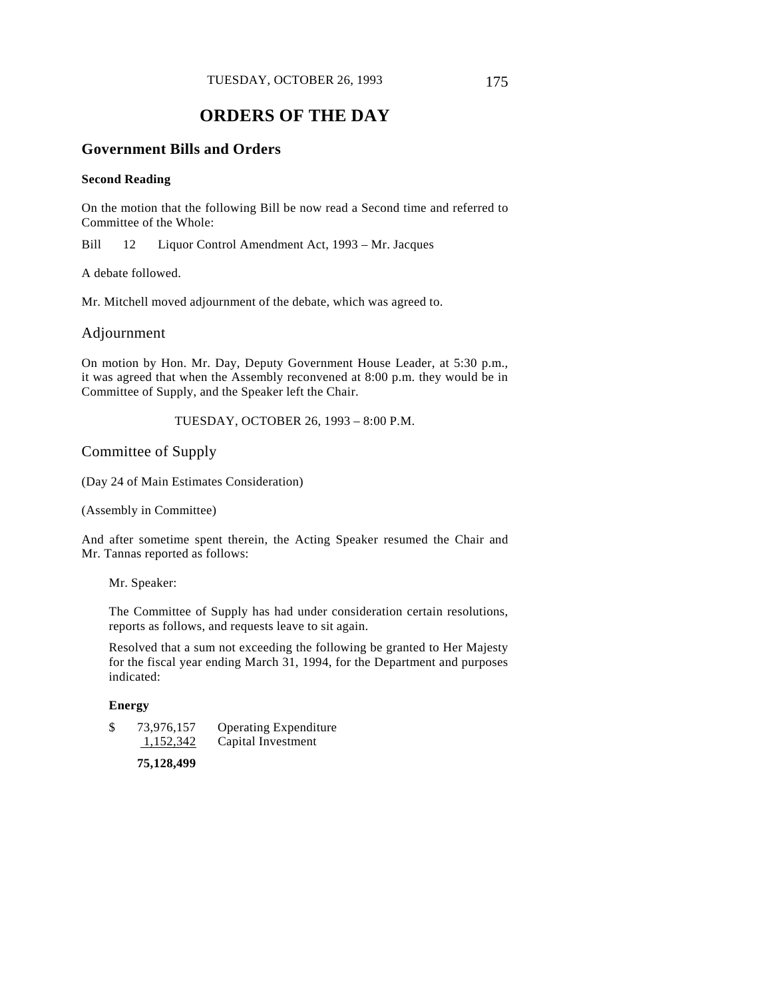# **ORDERS OF THE DAY**

### **Government Bills and Orders**

#### **Second Reading**

On the motion that the following Bill be now read a Second time and referred to Committee of the Whole:

Bill 12 Liquor Control Amendment Act, 1993 – Mr. Jacques

A debate followed.

Mr. Mitchell moved adjournment of the debate, which was agreed to.

Adjournment

On motion by Hon. Mr. Day, Deputy Government House Leader, at 5:30 p.m., it was agreed that when the Assembly reconvened at 8:00 p.m. they would be in Committee of Supply, and the Speaker left the Chair.

TUESDAY, OCTOBER 26, 1993 – 8:00 P.M.

### Committee of Supply

(Day 24 of Main Estimates Consideration)

(Assembly in Committee)

And after sometime spent therein, the Acting Speaker resumed the Chair and Mr. Tannas reported as follows:

Mr. Speaker:

The Committee of Supply has had under consideration certain resolutions, reports as follows, and requests leave to sit again.

Resolved that a sum not exceeding the following be granted to Her Majesty for the fiscal year ending March 31, 1994, for the Department and purposes indicated:

#### **Energy**

\$ 73,976,157 Operating Expenditure 1,152,342 Capital Investment

**75,128,499**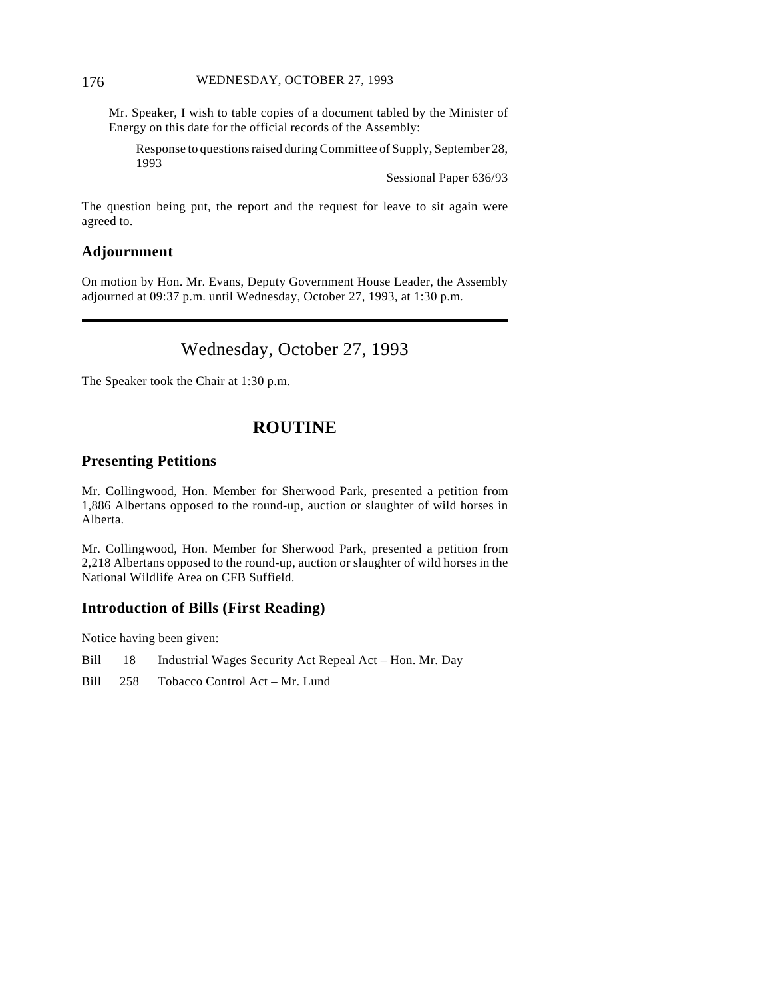#### 176 WEDNESDAY, OCTOBER 27, 1993

Mr. Speaker, I wish to table copies of a document tabled by the Minister of Energy on this date for the official records of the Assembly:

Response to questions raised during Committee of Supply, September 28, 1993

Sessional Paper 636/93

The question being put, the report and the request for leave to sit again were agreed to.

### **Adjournment**

On motion by Hon. Mr. Evans, Deputy Government House Leader, the Assembly adjourned at 09:37 p.m. until Wednesday, October 27, 1993, at 1:30 p.m.

# Wednesday, October 27, 1993

The Speaker took the Chair at 1:30 p.m.

# **ROUTINE**

### **Presenting Petitions**

Mr. Collingwood, Hon. Member for Sherwood Park, presented a petition from 1,886 Albertans opposed to the round-up, auction or slaughter of wild horses in Alberta.

Mr. Collingwood, Hon. Member for Sherwood Park, presented a petition from 2,218 Albertans opposed to the round-up, auction or slaughter of wild horses in the National Wildlife Area on CFB Suffield.

### **Introduction of Bills (First Reading)**

Notice having been given:

Bill 18 Industrial Wages Security Act Repeal Act – Hon. Mr. Day

Bill 258 Tobacco Control Act – Mr. Lund

 $\overline{a}$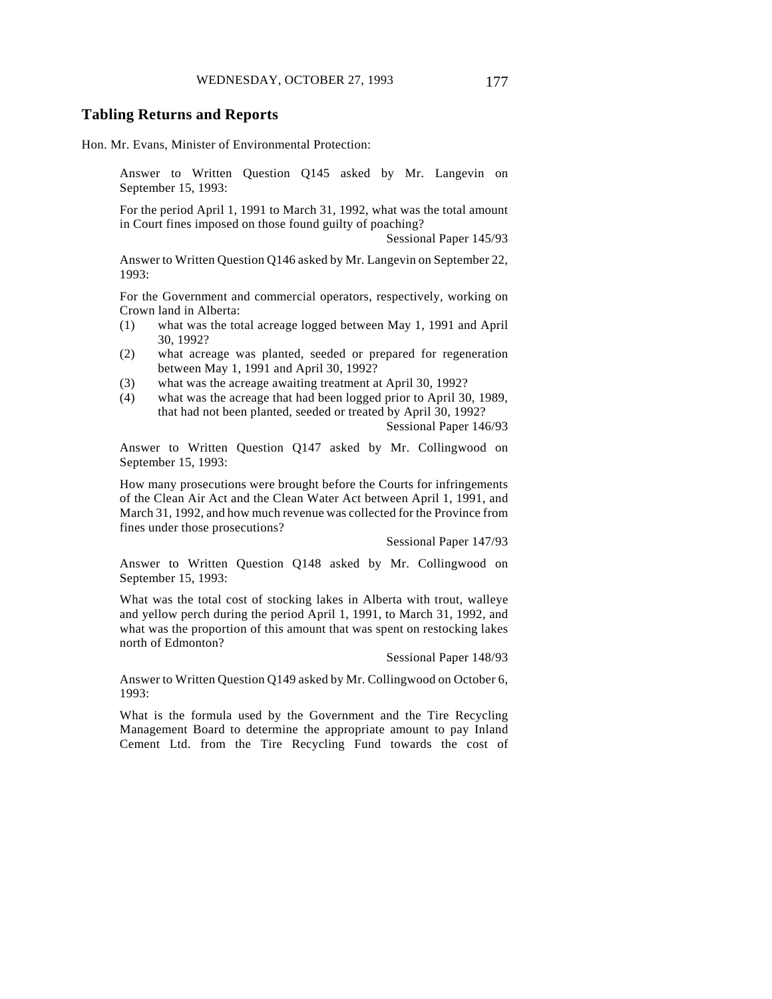#### **Tabling Returns and Reports**

Hon. Mr. Evans, Minister of Environmental Protection:

Answer to Written Question Q145 asked by Mr. Langevin on September 15, 1993:

For the period April 1, 1991 to March 31, 1992, what was the total amount in Court fines imposed on those found guilty of poaching?

Sessional Paper 145/93

Answer to Written Question Q146 asked by Mr. Langevin on September 22, 1993:

For the Government and commercial operators, respectively, working on Crown land in Alberta:

- (1) what was the total acreage logged between May 1, 1991 and April 30, 1992?
- (2) what acreage was planted, seeded or prepared for regeneration between May 1, 1991 and April 30, 1992?
- (3) what was the acreage awaiting treatment at April 30, 1992?
- (4) what was the acreage that had been logged prior to April 30, 1989, that had not been planted, seeded or treated by April 30, 1992?

Sessional Paper 146/93

Answer to Written Question Q147 asked by Mr. Collingwood on September 15, 1993:

How many prosecutions were brought before the Courts for infringements of the Clean Air Act and the Clean Water Act between April 1, 1991, and March 31, 1992, and how much revenue was collected for the Province from fines under those prosecutions?

Sessional Paper 147/93

Answer to Written Question Q148 asked by Mr. Collingwood on September 15, 1993:

What was the total cost of stocking lakes in Alberta with trout, walleye and yellow perch during the period April 1, 1991, to March 31, 1992, and what was the proportion of this amount that was spent on restocking lakes north of Edmonton?

Sessional Paper 148/93

Answer to Written Question Q149 asked by Mr. Collingwood on October 6, 1993:

What is the formula used by the Government and the Tire Recycling Management Board to determine the appropriate amount to pay Inland Cement Ltd. from the Tire Recycling Fund towards the cost of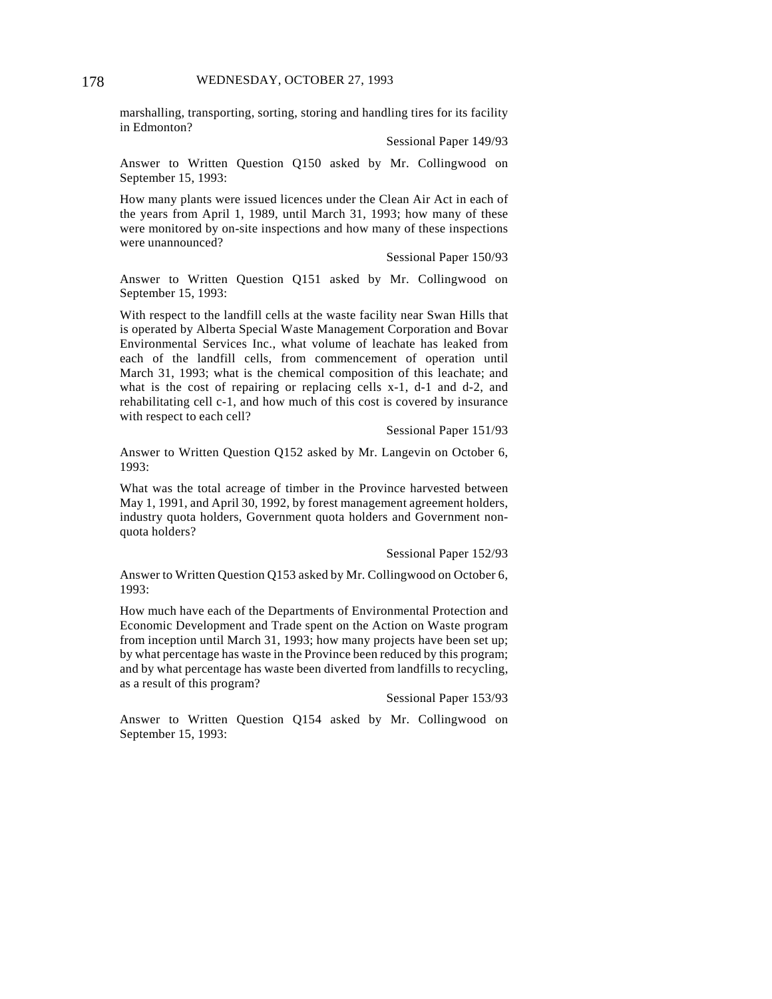marshalling, transporting, sorting, storing and handling tires for its facility in Edmonton?

Sessional Paper 149/93

Answer to Written Question Q150 asked by Mr. Collingwood on September 15, 1993:

How many plants were issued licences under the Clean Air Act in each of the years from April 1, 1989, until March 31, 1993; how many of these were monitored by on-site inspections and how many of these inspections were unannounced?

Sessional Paper 150/93

Answer to Written Question Q151 asked by Mr. Collingwood on September 15, 1993:

With respect to the landfill cells at the waste facility near Swan Hills that is operated by Alberta Special Waste Management Corporation and Bovar Environmental Services Inc., what volume of leachate has leaked from each of the landfill cells, from commencement of operation until March 31, 1993; what is the chemical composition of this leachate; and what is the cost of repairing or replacing cells x-1, d-1 and d-2, and rehabilitating cell c-1, and how much of this cost is covered by insurance with respect to each cell?

Sessional Paper 151/93

Answer to Written Question Q152 asked by Mr. Langevin on October 6, 1993:

What was the total acreage of timber in the Province harvested between May 1, 1991, and April 30, 1992, by forest management agreement holders, industry quota holders, Government quota holders and Government nonquota holders?

Sessional Paper 152/93

Answer to Written Question Q153 asked by Mr. Collingwood on October 6, 1993:

How much have each of the Departments of Environmental Protection and Economic Development and Trade spent on the Action on Waste program from inception until March 31, 1993; how many projects have been set up; by what percentage has waste in the Province been reduced by this program; and by what percentage has waste been diverted from landfills to recycling, as a result of this program?

Sessional Paper 153/93

Answer to Written Question Q154 asked by Mr. Collingwood on September 15, 1993: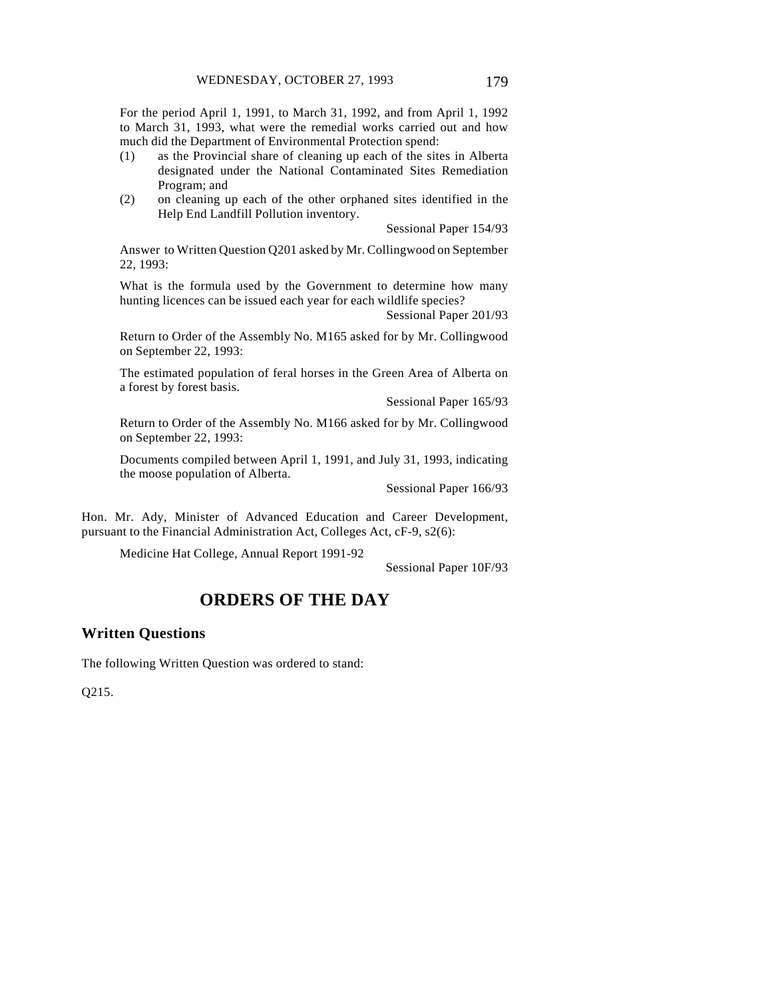For the period April 1, 1991, to March 31, 1992, and from April 1, 1992 to March 31, 1993, what were the remedial works carried out and how much did the Department of Environmental Protection spend:

- (1) as the Provincial share of cleaning up each of the sites in Alberta designated under the National Contaminated Sites Remediation Program; and
- (2) on cleaning up each of the other orphaned sites identified in the Help End Landfill Pollution inventory.

Sessional Paper 154/93

Answer to Written Question Q201 asked by Mr. Collingwood on September 22, 1993:

What is the formula used by the Government to determine how many hunting licences can be issued each year for each wildlife species?

Sessional Paper 201/93

Return to Order of the Assembly No. M165 asked for by Mr. Collingwood on September 22, 1993:

The estimated population of feral horses in the Green Area of Alberta on a forest by forest basis.

Sessional Paper 165/93

Return to Order of the Assembly No. M166 asked for by Mr. Collingwood on September 22, 1993:

Documents compiled between April 1, 1991, and July 31, 1993, indicating the moose population of Alberta.

Sessional Paper 166/93

Hon. Mr. Ady, Minister of Advanced Education and Career Development, pursuant to the Financial Administration Act, Colleges Act, cF-9, s2(6):

Medicine Hat College, Annual Report 1991-92

Sessional Paper 10F/93

# **ORDERS OF THE DAY**

## **Written Questions**

The following Written Question was ordered to stand:

Q215.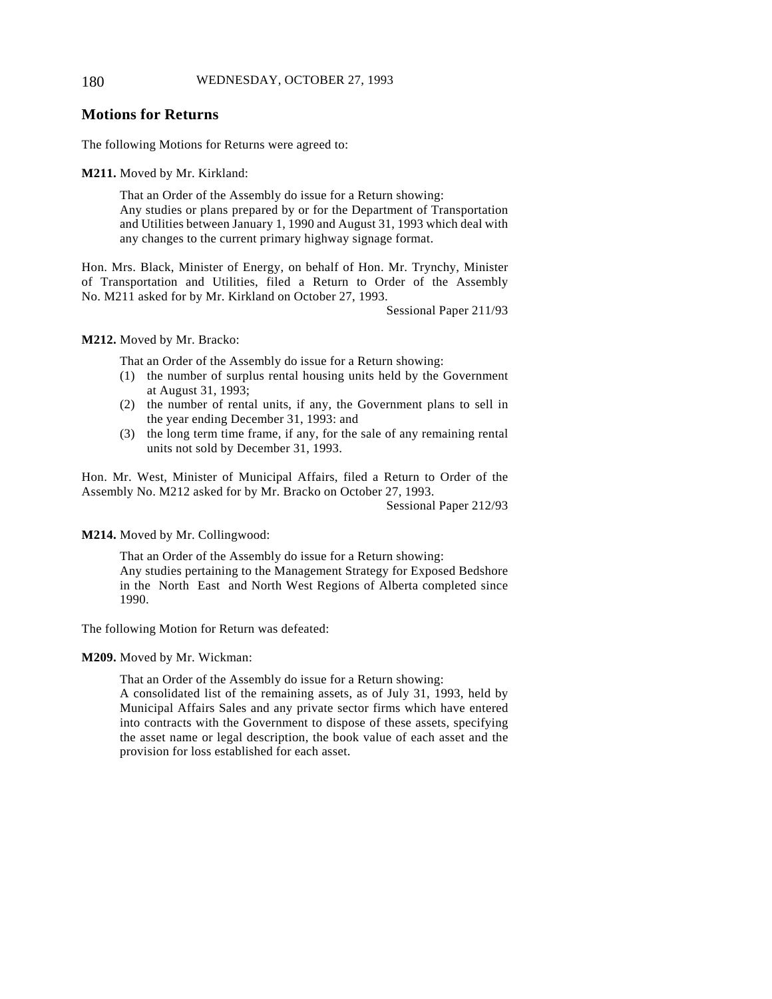## **Motions for Returns**

The following Motions for Returns were agreed to:

**M211.** Moved by Mr. Kirkland:

That an Order of the Assembly do issue for a Return showing: Any studies or plans prepared by or for the Department of Transportation and Utilities between January 1, 1990 and August 31, 1993 which deal with any changes to the current primary highway signage format.

Hon. Mrs. Black, Minister of Energy, on behalf of Hon. Mr. Trynchy, Minister of Transportation and Utilities, filed a Return to Order of the Assembly No. M211 asked for by Mr. Kirkland on October 27, 1993.

Sessional Paper 211/93

**M212.** Moved by Mr. Bracko:

That an Order of the Assembly do issue for a Return showing:

- (1) the number of surplus rental housing units held by the Government at August 31, 1993;
- (2) the number of rental units, if any, the Government plans to sell in the year ending December 31, 1993: and
- (3) the long term time frame, if any, for the sale of any remaining rental units not sold by December 31, 1993.

Hon. Mr. West, Minister of Municipal Affairs, filed a Return to Order of the Assembly No. M212 asked for by Mr. Bracko on October 27, 1993.

Sessional Paper 212/93

**M214.** Moved by Mr. Collingwood:

That an Order of the Assembly do issue for a Return showing: Any studies pertaining to the Management Strategy for Exposed Bedshore in the North East and North West Regions of Alberta completed since 1990.

The following Motion for Return was defeated:

**M209.** Moved by Mr. Wickman:

That an Order of the Assembly do issue for a Return showing:

A consolidated list of the remaining assets, as of July 31, 1993, held by Municipal Affairs Sales and any private sector firms which have entered into contracts with the Government to dispose of these assets, specifying the asset name or legal description, the book value of each asset and the provision for loss established for each asset.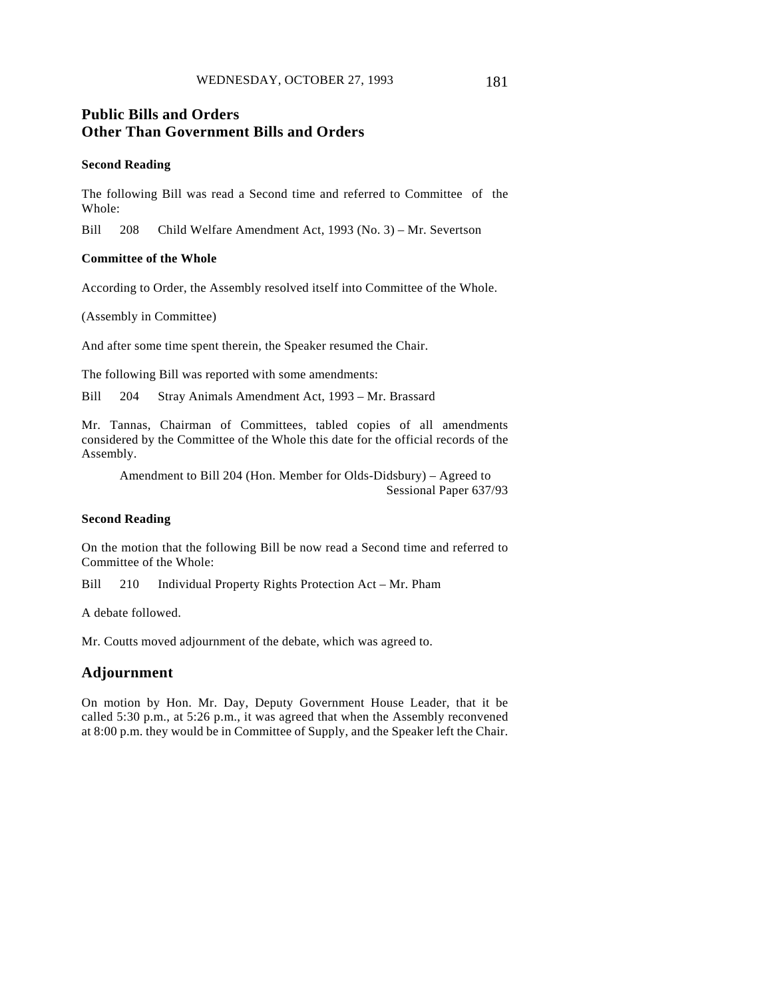# **Public Bills and Orders Other Than Government Bills and Orders**

#### **Second Reading**

The following Bill was read a Second time and referred to Committee of the Whole:

Bill 208 Child Welfare Amendment Act, 1993 (No. 3) – Mr. Severtson

#### **Committee of the Whole**

According to Order, the Assembly resolved itself into Committee of the Whole.

(Assembly in Committee)

And after some time spent therein, the Speaker resumed the Chair.

The following Bill was reported with some amendments:

Bill 204 Stray Animals Amendment Act, 1993 – Mr. Brassard

Mr. Tannas, Chairman of Committees, tabled copies of all amendments considered by the Committee of the Whole this date for the official records of the Assembly.

Amendment to Bill 204 (Hon. Member for Olds-Didsbury) – Agreed to Sessional Paper 637/93

#### **Second Reading**

On the motion that the following Bill be now read a Second time and referred to Committee of the Whole:

Bill 210 Individual Property Rights Protection Act – Mr. Pham

A debate followed.

Mr. Coutts moved adjournment of the debate, which was agreed to.

## **Adjournment**

On motion by Hon. Mr. Day, Deputy Government House Leader, that it be called 5:30 p.m., at 5:26 p.m., it was agreed that when the Assembly reconvened at 8:00 p.m. they would be in Committee of Supply, and the Speaker left the Chair.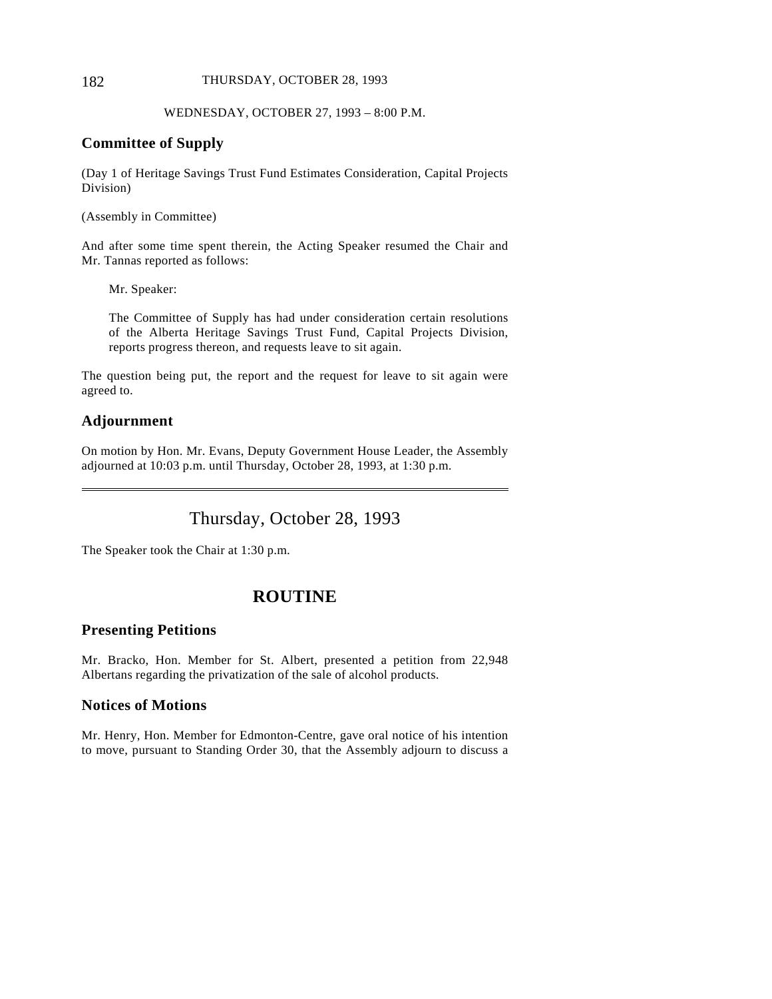#### 182 THURSDAY, OCTOBER 28, 1993

## WEDNESDAY, OCTOBER 27, 1993 – 8:00 P.M.

## **Committee of Supply**

(Day 1 of Heritage Savings Trust Fund Estimates Consideration, Capital Projects Division)

(Assembly in Committee)

And after some time spent therein, the Acting Speaker resumed the Chair and Mr. Tannas reported as follows:

Mr. Speaker:

The Committee of Supply has had under consideration certain resolutions of the Alberta Heritage Savings Trust Fund, Capital Projects Division, reports progress thereon, and requests leave to sit again.

The question being put, the report and the request for leave to sit again were agreed to.

## **Adjournment**

 $\overline{a}$ 

On motion by Hon. Mr. Evans, Deputy Government House Leader, the Assembly adjourned at 10:03 p.m. until Thursday, October 28, 1993, at 1:30 p.m.

Thursday, October 28, 1993

The Speaker took the Chair at 1:30 p.m.

# **ROUTINE**

## **Presenting Petitions**

Mr. Bracko, Hon. Member for St. Albert, presented a petition from 22,948 Albertans regarding the privatization of the sale of alcohol products.

## **Notices of Motions**

Mr. Henry, Hon. Member for Edmonton-Centre, gave oral notice of his intention to move, pursuant to Standing Order 30, that the Assembly adjourn to discuss a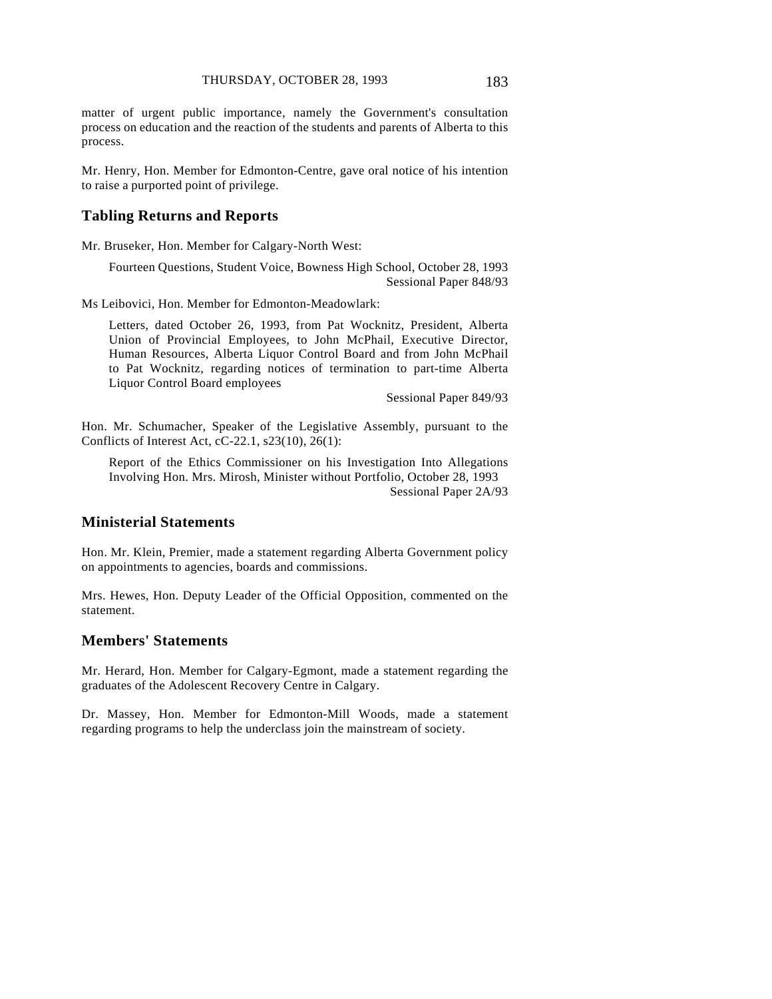matter of urgent public importance, namely the Government's consultation process on education and the reaction of the students and parents of Alberta to this process.

Mr. Henry, Hon. Member for Edmonton-Centre, gave oral notice of his intention to raise a purported point of privilege.

## **Tabling Returns and Reports**

Mr. Bruseker, Hon. Member for Calgary-North West:

Fourteen Questions, Student Voice, Bowness High School, October 28, 1993 Sessional Paper 848/93

Ms Leibovici, Hon. Member for Edmonton-Meadowlark:

Letters, dated October 26, 1993, from Pat Wocknitz, President, Alberta Union of Provincial Employees, to John McPhail, Executive Director, Human Resources, Alberta Liquor Control Board and from John McPhail to Pat Wocknitz, regarding notices of termination to part-time Alberta Liquor Control Board employees

Sessional Paper 849/93

Hon. Mr. Schumacher, Speaker of the Legislative Assembly, pursuant to the Conflicts of Interest Act, cC-22.1, s23(10), 26(1):

Report of the Ethics Commissioner on his Investigation Into Allegations Involving Hon. Mrs. Mirosh, Minister without Portfolio, October 28, 1993 Sessional Paper 2A/93

## **Ministerial Statements**

Hon. Mr. Klein, Premier, made a statement regarding Alberta Government policy on appointments to agencies, boards and commissions.

Mrs. Hewes, Hon. Deputy Leader of the Official Opposition, commented on the statement.

## **Members' Statements**

Mr. Herard, Hon. Member for Calgary-Egmont, made a statement regarding the graduates of the Adolescent Recovery Centre in Calgary.

Dr. Massey, Hon. Member for Edmonton-Mill Woods, made a statement regarding programs to help the underclass join the mainstream of society.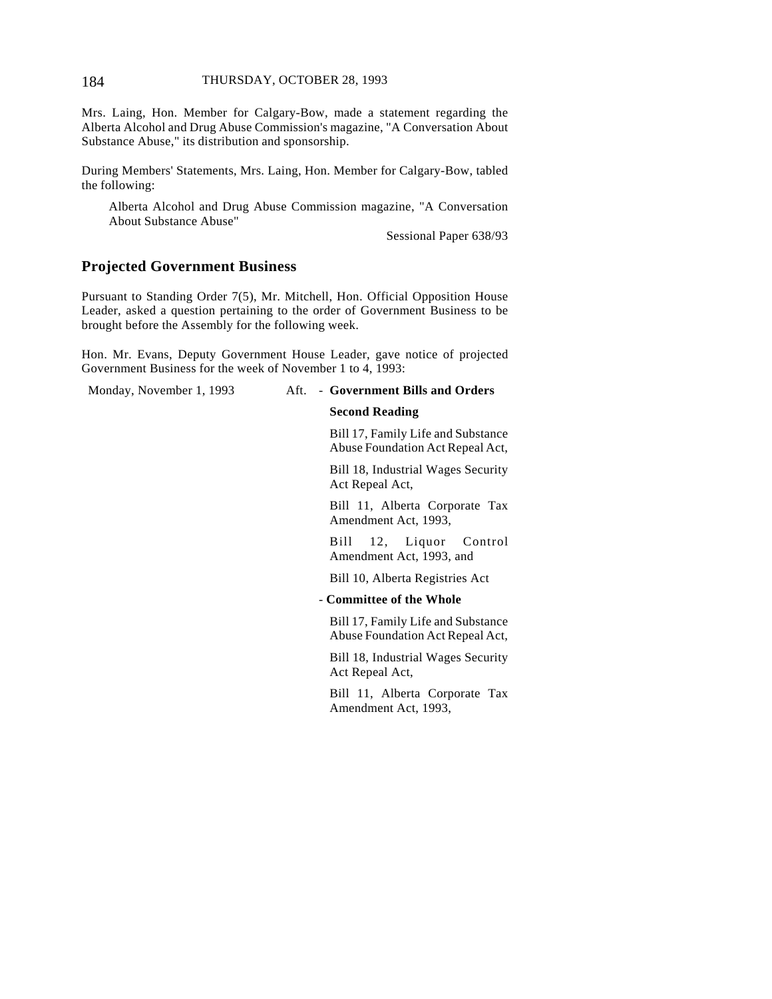#### 184 THURSDAY, OCTOBER 28, 1993

Mrs. Laing, Hon. Member for Calgary-Bow, made a statement regarding the Alberta Alcohol and Drug Abuse Commission's magazine, "A Conversation About Substance Abuse," its distribution and sponsorship.

During Members' Statements, Mrs. Laing, Hon. Member for Calgary-Bow, tabled the following:

Alberta Alcohol and Drug Abuse Commission magazine, "A Conversation About Substance Abuse"

Sessional Paper 638/93

## **Projected Government Business**

Pursuant to Standing Order 7(5), Mr. Mitchell, Hon. Official Opposition House Leader, asked a question pertaining to the order of Government Business to be brought before the Assembly for the following week.

Hon. Mr. Evans, Deputy Government House Leader, gave notice of projected Government Business for the week of November 1 to 4, 1993:

#### Monday, November 1, 1993 Aft. - **Government Bills and Orders**

#### **Second Reading**

Bill 17, Family Life and Substance Abuse Foundation Act Repeal Act,

Bill 18, Industrial Wages Security Act Repeal Act,

Bill 11, Alberta Corporate Tax Amendment Act, 1993,

Bill 12, Liquor Control Amendment Act, 1993, and

Bill 10, Alberta Registries Act

#### - **Committee of the Whole**

Bill 17, Family Life and Substance Abuse Foundation Act Repeal Act,

Bill 18, Industrial Wages Security Act Repeal Act,

Bill 11, Alberta Corporate Tax Amendment Act, 1993,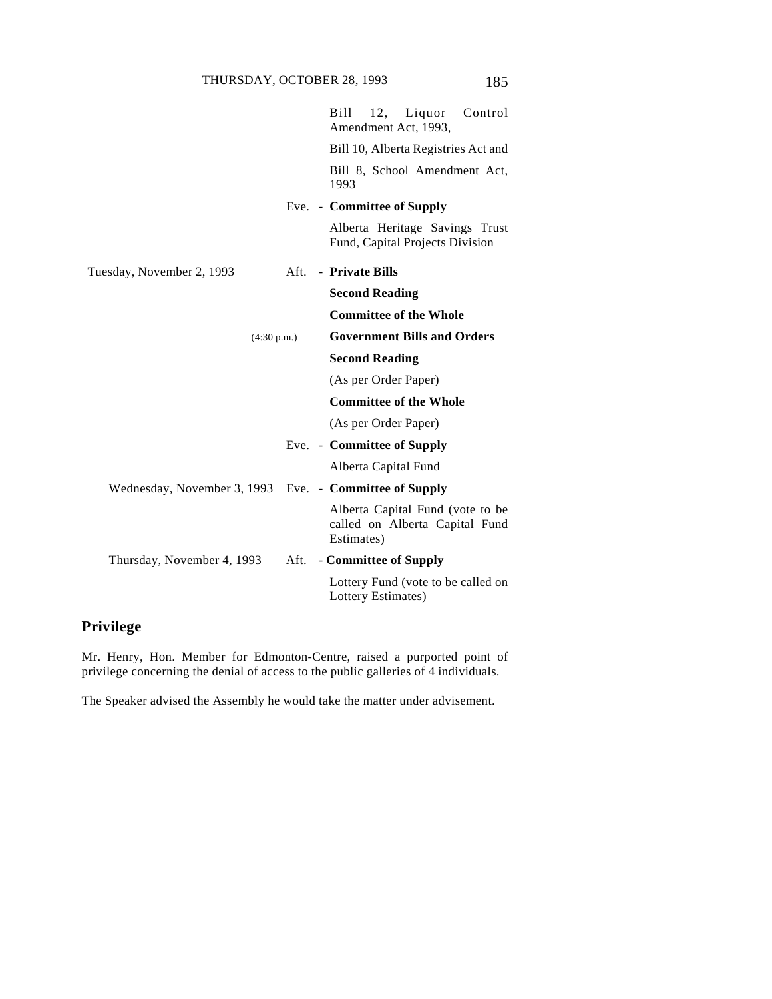|                             |      | Bill<br>12, Liquor Control<br>Amendment Act, 1993,                               |
|-----------------------------|------|----------------------------------------------------------------------------------|
|                             |      | Bill 10, Alberta Registries Act and                                              |
|                             |      | Bill 8, School Amendment Act,<br>1993                                            |
|                             |      | Eve. - Committee of Supply                                                       |
|                             |      | Alberta Heritage Savings Trust<br>Fund, Capital Projects Division                |
| Tuesday, November 2, 1993   |      | Aft. - Private Bills                                                             |
|                             |      | <b>Second Reading</b>                                                            |
|                             |      | <b>Committee of the Whole</b>                                                    |
| (4:30 p.m.)                 |      | <b>Government Bills and Orders</b>                                               |
|                             |      | <b>Second Reading</b>                                                            |
|                             |      | (As per Order Paper)                                                             |
|                             |      | <b>Committee of the Whole</b>                                                    |
|                             |      | (As per Order Paper)                                                             |
|                             |      | Eve. - Committee of Supply                                                       |
|                             |      | Alberta Capital Fund                                                             |
| Wednesday, November 3, 1993 |      | Eve. - Committee of Supply                                                       |
|                             |      | Alberta Capital Fund (vote to be<br>called on Alberta Capital Fund<br>Estimates) |
| Thursday, November 4, 1993  | Aft. | - Committee of Supply                                                            |
|                             |      | Lottery Fund (vote to be called on<br>Lottery Estimates)                         |

# **Privilege**

Mr. Henry, Hon. Member for Edmonton-Centre, raised a purported point of privilege concerning the denial of access to the public galleries of 4 individuals.

The Speaker advised the Assembly he would take the matter under advisement.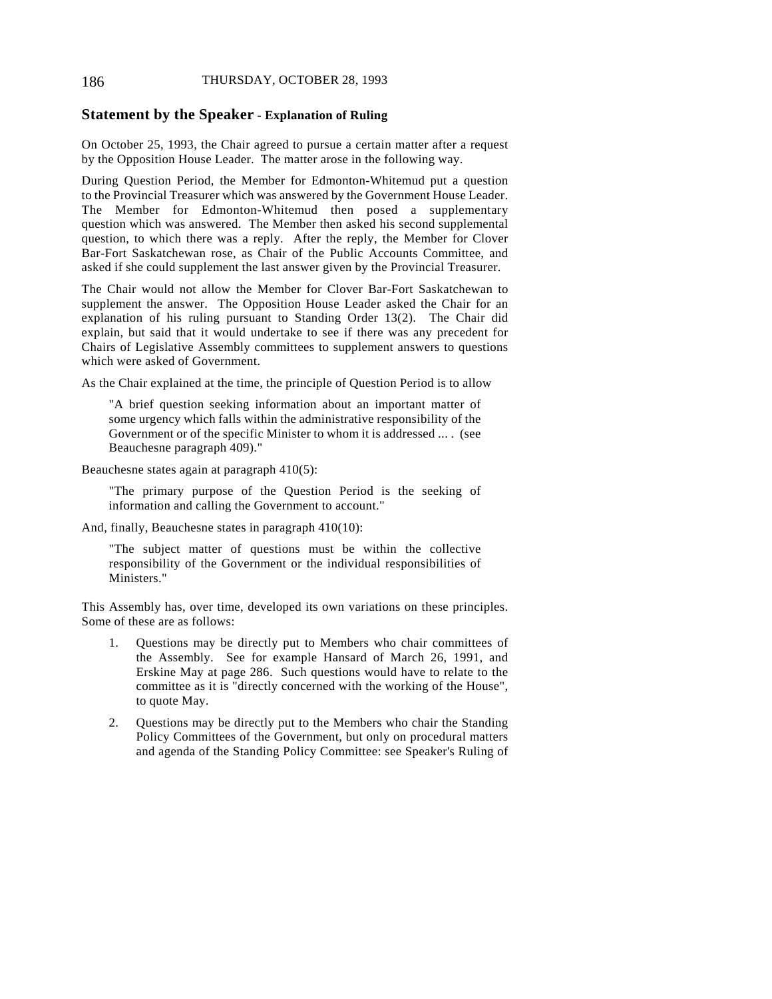## 186 THURSDAY, OCTOBER 28, 1993

#### **Statement by the Speaker - Explanation of Ruling**

On October 25, 1993, the Chair agreed to pursue a certain matter after a request by the Opposition House Leader. The matter arose in the following way.

During Question Period, the Member for Edmonton-Whitemud put a question to the Provincial Treasurer which was answered by the Government House Leader. The Member for Edmonton-Whitemud then posed a supplementary question which was answered. The Member then asked his second supplemental question, to which there was a reply. After the reply, the Member for Clover Bar-Fort Saskatchewan rose, as Chair of the Public Accounts Committee, and asked if she could supplement the last answer given by the Provincial Treasurer.

The Chair would not allow the Member for Clover Bar-Fort Saskatchewan to supplement the answer. The Opposition House Leader asked the Chair for an explanation of his ruling pursuant to Standing Order 13(2). The Chair did explain, but said that it would undertake to see if there was any precedent for Chairs of Legislative Assembly committees to supplement answers to questions which were asked of Government.

As the Chair explained at the time, the principle of Question Period is to allow

"A brief question seeking information about an important matter of some urgency which falls within the administrative responsibility of the Government or of the specific Minister to whom it is addressed ... . (see Beauchesne paragraph 409)."

Beauchesne states again at paragraph 410(5):

"The primary purpose of the Question Period is the seeking of information and calling the Government to account."

And, finally, Beauchesne states in paragraph 410(10):

"The subject matter of questions must be within the collective responsibility of the Government or the individual responsibilities of Ministers."

This Assembly has, over time, developed its own variations on these principles. Some of these are as follows:

- 1. Questions may be directly put to Members who chair committees of the Assembly. See for example Hansard of March 26, 1991, and Erskine May at page 286. Such questions would have to relate to the committee as it is "directly concerned with the working of the House", to quote May.
- 2. Questions may be directly put to the Members who chair the Standing Policy Committees of the Government, but only on procedural matters and agenda of the Standing Policy Committee: see Speaker's Ruling of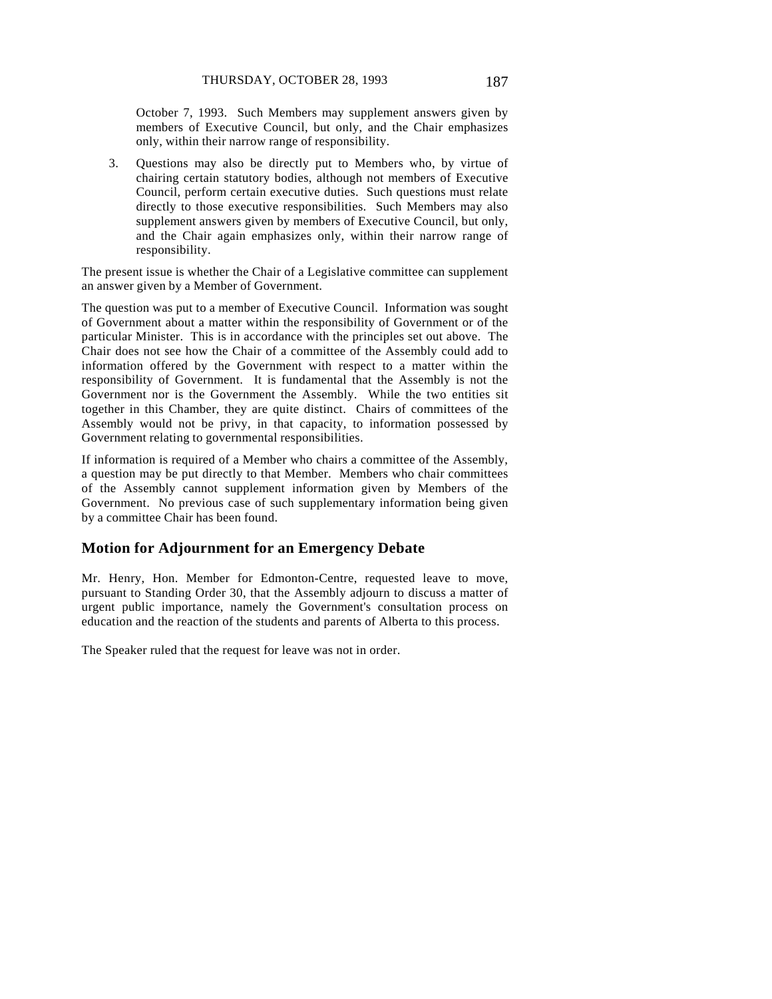October 7, 1993. Such Members may supplement answers given by members of Executive Council, but only, and the Chair emphasizes only, within their narrow range of responsibility.

3. Questions may also be directly put to Members who, by virtue of chairing certain statutory bodies, although not members of Executive Council, perform certain executive duties. Such questions must relate directly to those executive responsibilities. Such Members may also supplement answers given by members of Executive Council, but only, and the Chair again emphasizes only, within their narrow range of responsibility.

The present issue is whether the Chair of a Legislative committee can supplement an answer given by a Member of Government.

The question was put to a member of Executive Council. Information was sought of Government about a matter within the responsibility of Government or of the particular Minister. This is in accordance with the principles set out above. The Chair does not see how the Chair of a committee of the Assembly could add to information offered by the Government with respect to a matter within the responsibility of Government. It is fundamental that the Assembly is not the Government nor is the Government the Assembly. While the two entities sit together in this Chamber, they are quite distinct. Chairs of committees of the Assembly would not be privy, in that capacity, to information possessed by Government relating to governmental responsibilities.

If information is required of a Member who chairs a committee of the Assembly, a question may be put directly to that Member. Members who chair committees of the Assembly cannot supplement information given by Members of the Government. No previous case of such supplementary information being given by a committee Chair has been found.

## **Motion for Adjournment for an Emergency Debate**

Mr. Henry, Hon. Member for Edmonton-Centre, requested leave to move, pursuant to Standing Order 30, that the Assembly adjourn to discuss a matter of urgent public importance, namely the Government's consultation process on education and the reaction of the students and parents of Alberta to this process.

The Speaker ruled that the request for leave was not in order.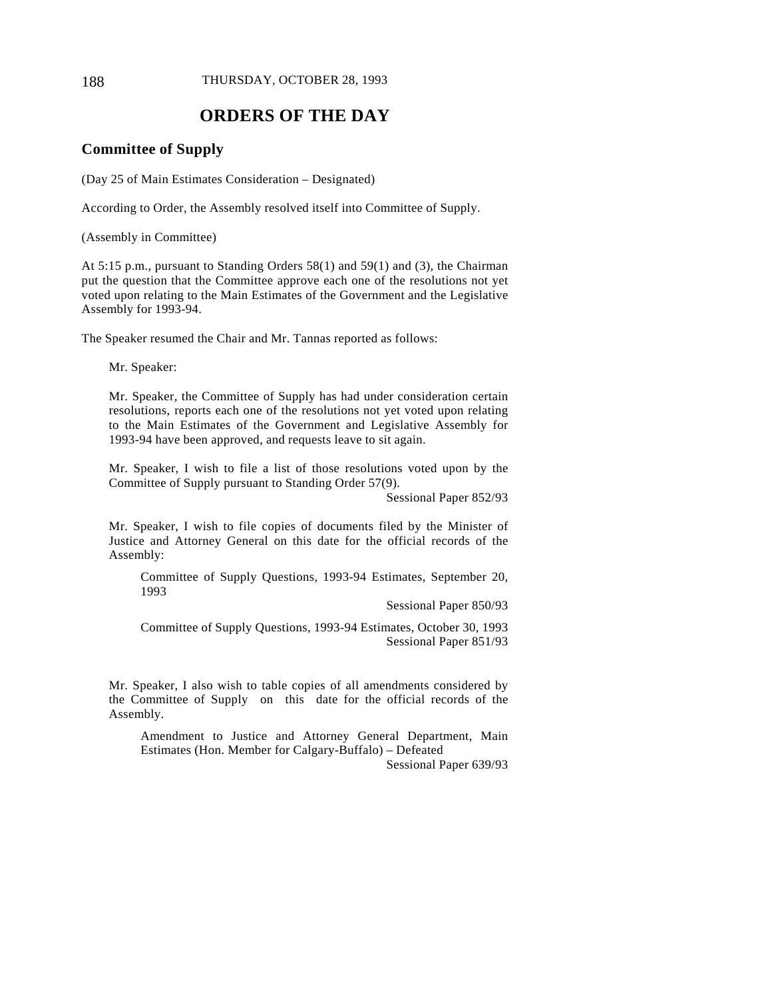#### 188 THURSDAY, OCTOBER 28, 1993

# **ORDERS OF THE DAY**

## **Committee of Supply**

(Day 25 of Main Estimates Consideration – Designated)

According to Order, the Assembly resolved itself into Committee of Supply.

(Assembly in Committee)

At 5:15 p.m., pursuant to Standing Orders 58(1) and 59(1) and (3), the Chairman put the question that the Committee approve each one of the resolutions not yet voted upon relating to the Main Estimates of the Government and the Legislative Assembly for 1993-94.

The Speaker resumed the Chair and Mr. Tannas reported as follows:

Mr. Speaker:

Mr. Speaker, the Committee of Supply has had under consideration certain resolutions, reports each one of the resolutions not yet voted upon relating to the Main Estimates of the Government and Legislative Assembly for 1993-94 have been approved, and requests leave to sit again.

Mr. Speaker, I wish to file a list of those resolutions voted upon by the Committee of Supply pursuant to Standing Order 57(9).

Sessional Paper 852/93

Mr. Speaker, I wish to file copies of documents filed by the Minister of Justice and Attorney General on this date for the official records of the Assembly:

Committee of Supply Questions, 1993-94 Estimates, September 20, 1993

Sessional Paper 850/93

Committee of Supply Questions, 1993-94 Estimates, October 30, 1993 Sessional Paper 851/93

Mr. Speaker, I also wish to table copies of all amendments considered by the Committee of Supply on this date for the official records of the Assembly.

Amendment to Justice and Attorney General Department, Main Estimates (Hon. Member for Calgary-Buffalo) – Defeated

Sessional Paper 639/93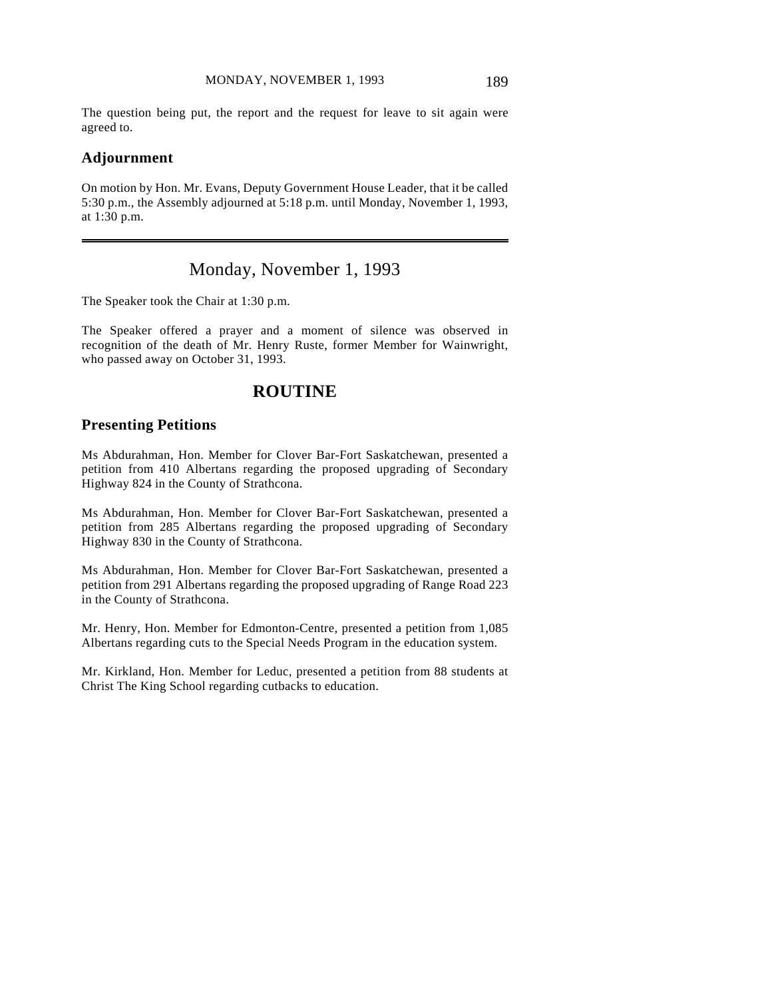The question being put, the report and the request for leave to sit again were agreed to.

## **Adjournment**

 $\overline{a}$ 

On motion by Hon. Mr. Evans, Deputy Government House Leader, that it be called 5:30 p.m., the Assembly adjourned at 5:18 p.m. until Monday, November 1, 1993, at 1:30 p.m.

# Monday, November 1, 1993

The Speaker took the Chair at 1:30 p.m.

The Speaker offered a prayer and a moment of silence was observed in recognition of the death of Mr. Henry Ruste, former Member for Wainwright, who passed away on October 31, 1993.

# **ROUTINE**

## **Presenting Petitions**

Ms Abdurahman, Hon. Member for Clover Bar-Fort Saskatchewan, presented a petition from 410 Albertans regarding the proposed upgrading of Secondary Highway 824 in the County of Strathcona.

Ms Abdurahman, Hon. Member for Clover Bar-Fort Saskatchewan, presented a petition from 285 Albertans regarding the proposed upgrading of Secondary Highway 830 in the County of Strathcona.

Ms Abdurahman, Hon. Member for Clover Bar-Fort Saskatchewan, presented a petition from 291 Albertans regarding the proposed upgrading of Range Road 223 in the County of Strathcona.

Mr. Henry, Hon. Member for Edmonton-Centre, presented a petition from 1,085 Albertans regarding cuts to the Special Needs Program in the education system.

Mr. Kirkland, Hon. Member for Leduc, presented a petition from 88 students at Christ The King School regarding cutbacks to education.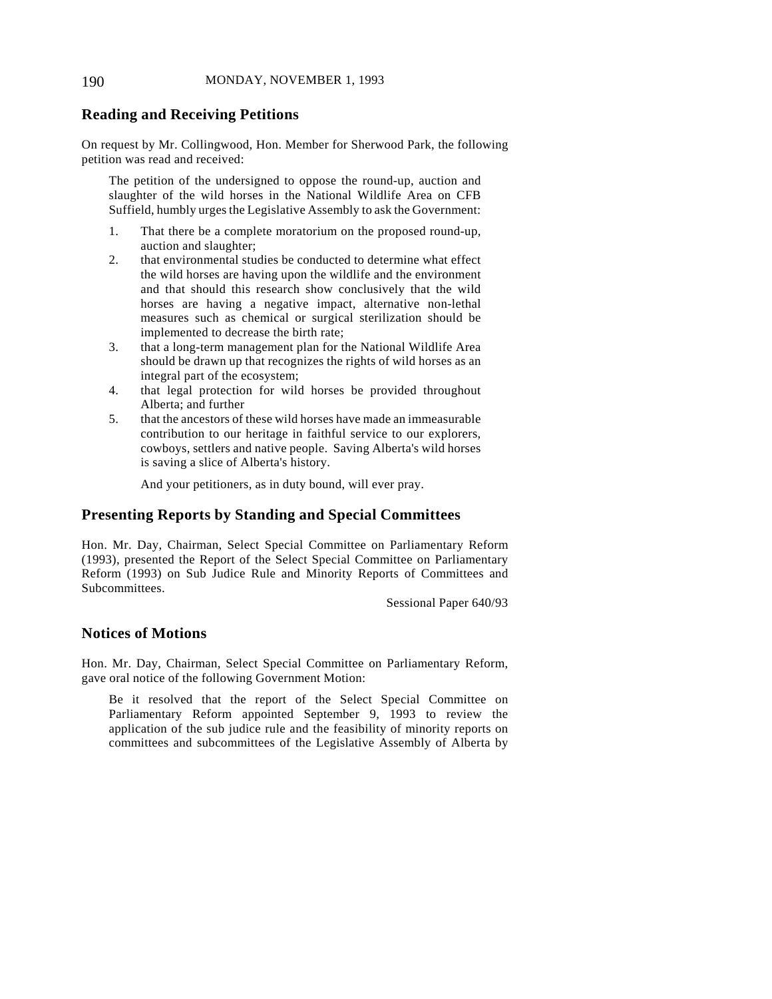## **Reading and Receiving Petitions**

On request by Mr. Collingwood, Hon. Member for Sherwood Park, the following petition was read and received:

The petition of the undersigned to oppose the round-up, auction and slaughter of the wild horses in the National Wildlife Area on CFB Suffield, humbly urges the Legislative Assembly to ask the Government:

- 1. That there be a complete moratorium on the proposed round-up, auction and slaughter;
- 2. that environmental studies be conducted to determine what effect the wild horses are having upon the wildlife and the environment and that should this research show conclusively that the wild horses are having a negative impact, alternative non-lethal measures such as chemical or surgical sterilization should be implemented to decrease the birth rate;
- 3. that a long-term management plan for the National Wildlife Area should be drawn up that recognizes the rights of wild horses as an integral part of the ecosystem;
- 4. that legal protection for wild horses be provided throughout Alberta; and further
- 5. that the ancestors of these wild horses have made an immeasurable contribution to our heritage in faithful service to our explorers, cowboys, settlers and native people. Saving Alberta's wild horses is saving a slice of Alberta's history.

And your petitioners, as in duty bound, will ever pray.

## **Presenting Reports by Standing and Special Committees**

Hon. Mr. Day, Chairman, Select Special Committee on Parliamentary Reform (1993), presented the Report of the Select Special Committee on Parliamentary Reform (1993) on Sub Judice Rule and Minority Reports of Committees and Subcommittees.

Sessional Paper 640/93

## **Notices of Motions**

Hon. Mr. Day, Chairman, Select Special Committee on Parliamentary Reform, gave oral notice of the following Government Motion:

Be it resolved that the report of the Select Special Committee on Parliamentary Reform appointed September 9, 1993 to review the application of the sub judice rule and the feasibility of minority reports on committees and subcommittees of the Legislative Assembly of Alberta by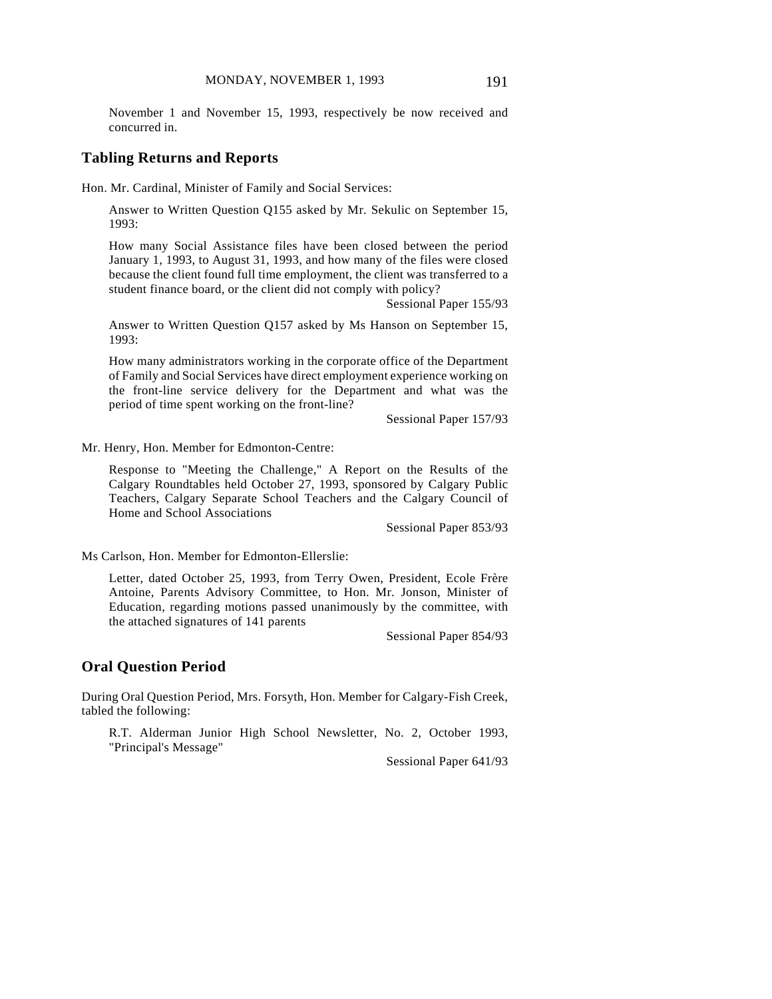November 1 and November 15, 1993, respectively be now received and concurred in.

#### **Tabling Returns and Reports**

Hon. Mr. Cardinal, Minister of Family and Social Services:

Answer to Written Question Q155 asked by Mr. Sekulic on September 15, 1993:

How many Social Assistance files have been closed between the period January 1, 1993, to August 31, 1993, and how many of the files were closed because the client found full time employment, the client was transferred to a student finance board, or the client did not comply with policy?

Sessional Paper 155/93

Answer to Written Question Q157 asked by Ms Hanson on September 15, 1993:

How many administrators working in the corporate office of the Department of Family and Social Services have direct employment experience working on the front-line service delivery for the Department and what was the period of time spent working on the front-line?

Sessional Paper 157/93

Mr. Henry, Hon. Member for Edmonton-Centre:

Response to "Meeting the Challenge," A Report on the Results of the Calgary Roundtables held October 27, 1993, sponsored by Calgary Public Teachers, Calgary Separate School Teachers and the Calgary Council of Home and School Associations

Sessional Paper 853/93

Ms Carlson, Hon. Member for Edmonton-Ellerslie:

Letter, dated October 25, 1993, from Terry Owen, President, Ecole Frère Antoine, Parents Advisory Committee, to Hon. Mr. Jonson, Minister of Education, regarding motions passed unanimously by the committee, with the attached signatures of 141 parents

Sessional Paper 854/93

## **Oral Question Period**

During Oral Question Period, Mrs. Forsyth, Hon. Member for Calgary-Fish Creek, tabled the following:

R.T. Alderman Junior High School Newsletter, No. 2, October 1993, "Principal's Message"

Sessional Paper 641/93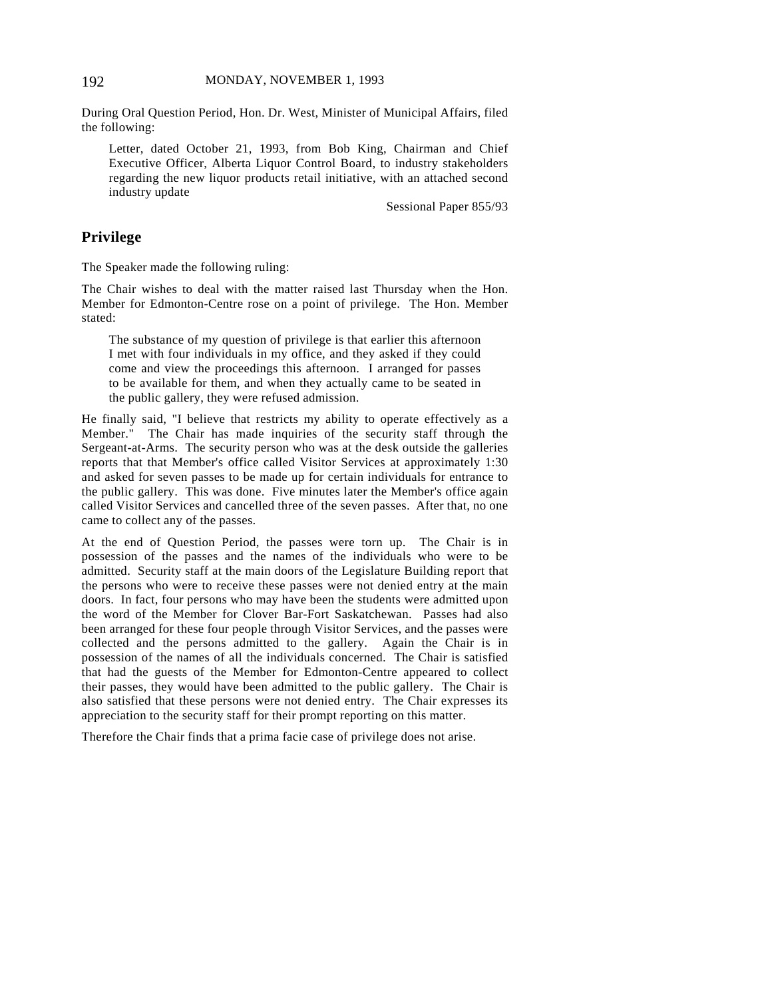During Oral Question Period, Hon. Dr. West, Minister of Municipal Affairs, filed the following:

Letter, dated October 21, 1993, from Bob King, Chairman and Chief Executive Officer, Alberta Liquor Control Board, to industry stakeholders regarding the new liquor products retail initiative, with an attached second industry update

Sessional Paper 855/93

## **Privilege**

The Speaker made the following ruling:

The Chair wishes to deal with the matter raised last Thursday when the Hon. Member for Edmonton-Centre rose on a point of privilege. The Hon. Member stated:

The substance of my question of privilege is that earlier this afternoon I met with four individuals in my office, and they asked if they could come and view the proceedings this afternoon. I arranged for passes to be available for them, and when they actually came to be seated in the public gallery, they were refused admission.

He finally said, "I believe that restricts my ability to operate effectively as a Member." The Chair has made inquiries of the security staff through the Sergeant-at-Arms. The security person who was at the desk outside the galleries reports that that Member's office called Visitor Services at approximately 1:30 and asked for seven passes to be made up for certain individuals for entrance to the public gallery. This was done. Five minutes later the Member's office again called Visitor Services and cancelled three of the seven passes. After that, no one came to collect any of the passes.

At the end of Question Period, the passes were torn up. The Chair is in possession of the passes and the names of the individuals who were to be admitted. Security staff at the main doors of the Legislature Building report that the persons who were to receive these passes were not denied entry at the main doors. In fact, four persons who may have been the students were admitted upon the word of the Member for Clover Bar-Fort Saskatchewan. Passes had also been arranged for these four people through Visitor Services, and the passes were collected and the persons admitted to the gallery. Again the Chair is in possession of the names of all the individuals concerned. The Chair is satisfied that had the guests of the Member for Edmonton-Centre appeared to collect their passes, they would have been admitted to the public gallery. The Chair is also satisfied that these persons were not denied entry. The Chair expresses its appreciation to the security staff for their prompt reporting on this matter.

Therefore the Chair finds that a prima facie case of privilege does not arise.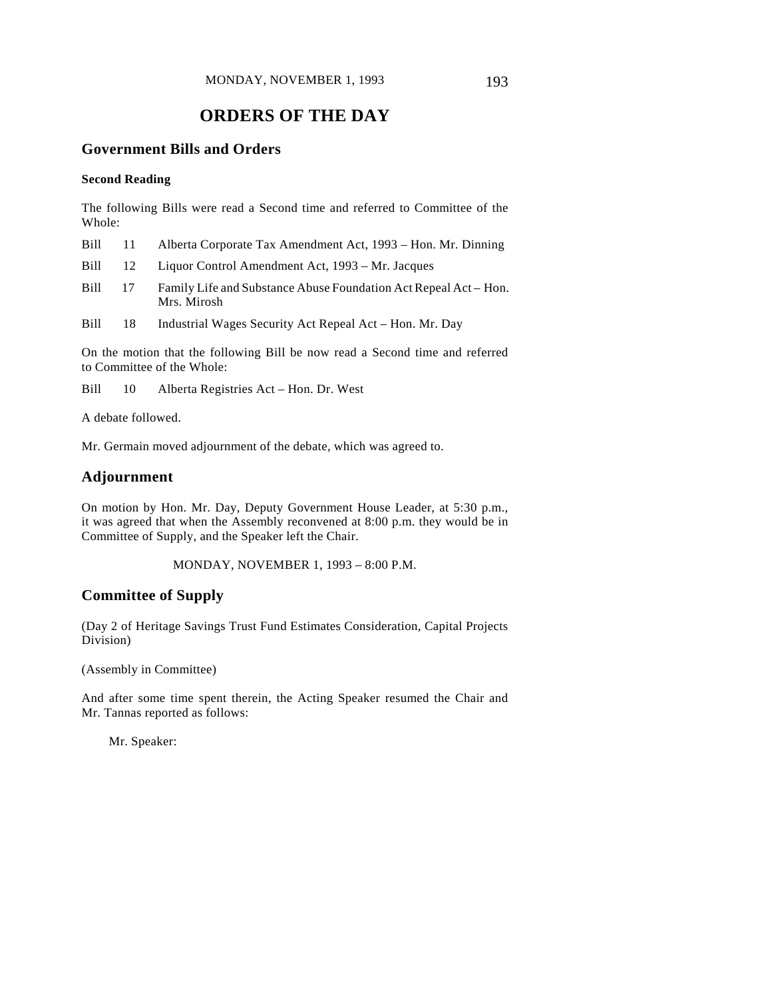# **ORDERS OF THE DAY**

## **Government Bills and Orders**

#### **Second Reading**

The following Bills were read a Second time and referred to Committee of the Whole:

| Bill | 11 Alberta Corporate Tax Amendment Act, 1993 – Hon. Mr. Dinning |
|------|-----------------------------------------------------------------|
|      |                                                                 |

Bill 12 Liquor Control Amendment Act, 1993 – Mr. Jacques

Bill 17 Family Life and Substance Abuse Foundation Act Repeal Act – Hon. Mrs. Mirosh

Bill 18 Industrial Wages Security Act Repeal Act – Hon. Mr. Day

On the motion that the following Bill be now read a Second time and referred to Committee of the Whole:

Bill 10 Alberta Registries Act – Hon. Dr. West

A debate followed.

Mr. Germain moved adjournment of the debate, which was agreed to.

## **Adjournment**

On motion by Hon. Mr. Day, Deputy Government House Leader, at 5:30 p.m., it was agreed that when the Assembly reconvened at 8:00 p.m. they would be in Committee of Supply, and the Speaker left the Chair.

MONDAY, NOVEMBER 1, 1993 – 8:00 P.M.

## **Committee of Supply**

(Day 2 of Heritage Savings Trust Fund Estimates Consideration, Capital Projects Division)

(Assembly in Committee)

And after some time spent therein, the Acting Speaker resumed the Chair and Mr. Tannas reported as follows:

Mr. Speaker: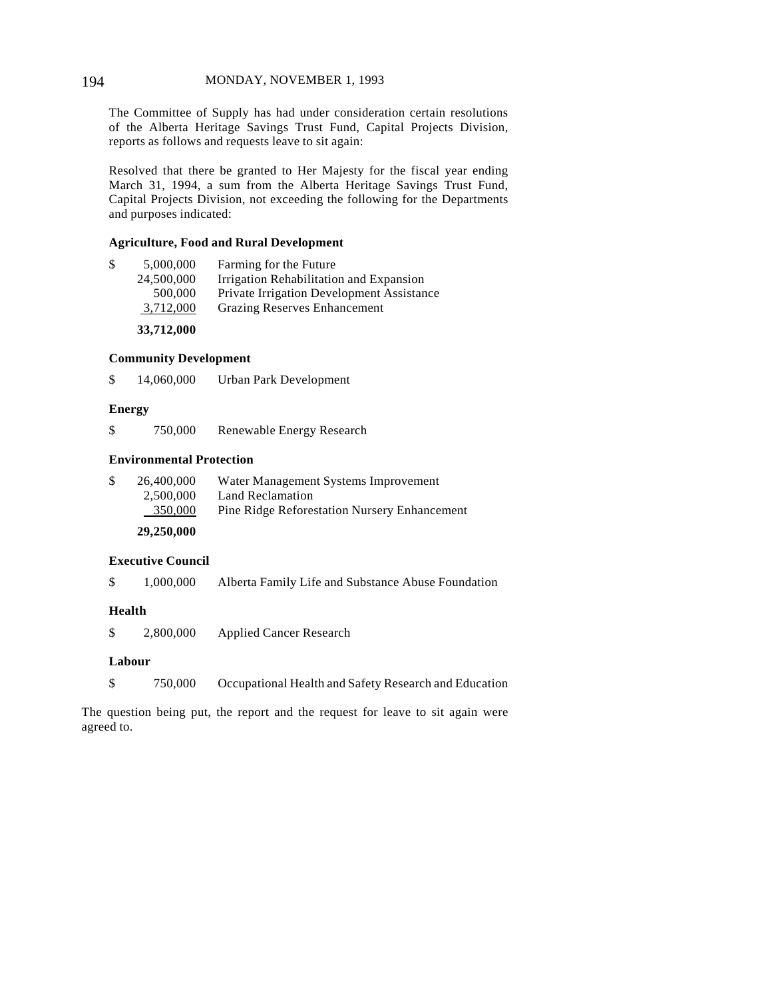#### 194 MONDAY, NOVEMBER 1, 1993

The Committee of Supply has had under consideration certain resolutions of the Alberta Heritage Savings Trust Fund, Capital Projects Division, reports as follows and requests leave to sit again:

Resolved that there be granted to Her Majesty for the fiscal year ending March 31, 1994, a sum from the Alberta Heritage Savings Trust Fund, Capital Projects Division, not exceeding the following for the Departments and purposes indicated:

#### **Agriculture, Food and Rural Development**

| \$<br>5,000,000 | Farming for the Future                    |
|-----------------|-------------------------------------------|
| 24,500,000      | Irrigation Rehabilitation and Expansion   |
| 500,000         | Private Irrigation Development Assistance |
| 3,712,000       | <b>Grazing Reserves Enhancement</b>       |
|                 |                                           |

**33,712,000**

#### **Community Development**

\$ 14,060,000 Urban Park Development

#### **Energy**

\$ 750,000 Renewable Energy Research

#### **Environmental Protection**

| 26,400,000 | Water Management Systems Improvement                |
|------------|-----------------------------------------------------|
| 2.500,000  | Land Reclamation                                    |
| 350,000    | <b>Pine Ridge Reforestation Nursery Enhancement</b> |
|            |                                                     |

# **29,250,000**

## **Executive Council**

\$ 1,000,000 Alberta Family Life and Substance Abuse Foundation

#### **Health**

\$ 2,800,000 Applied Cancer Research

#### **Labour**

\$ 750,000 Occupational Health and Safety Research and Education

The question being put, the report and the request for leave to sit again were agreed to.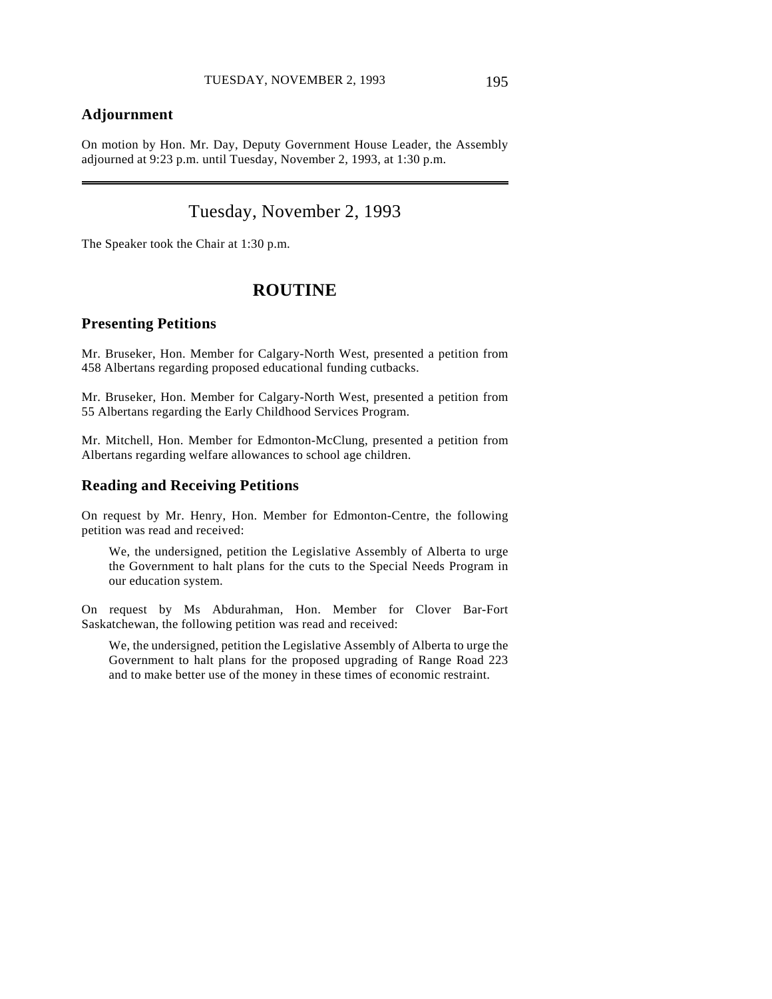## **Adjournment**

 $\overline{a}$ 

On motion by Hon. Mr. Day, Deputy Government House Leader, the Assembly adjourned at 9:23 p.m. until Tuesday, November 2, 1993, at 1:30 p.m.

# Tuesday, November 2, 1993

The Speaker took the Chair at 1:30 p.m.

# **ROUTINE**

#### **Presenting Petitions**

Mr. Bruseker, Hon. Member for Calgary-North West, presented a petition from 458 Albertans regarding proposed educational funding cutbacks.

Mr. Bruseker, Hon. Member for Calgary-North West, presented a petition from 55 Albertans regarding the Early Childhood Services Program.

Mr. Mitchell, Hon. Member for Edmonton-McClung, presented a petition from Albertans regarding welfare allowances to school age children.

### **Reading and Receiving Petitions**

On request by Mr. Henry, Hon. Member for Edmonton-Centre, the following petition was read and received:

We, the undersigned, petition the Legislative Assembly of Alberta to urge the Government to halt plans for the cuts to the Special Needs Program in our education system.

On request by Ms Abdurahman, Hon. Member for Clover Bar-Fort Saskatchewan, the following petition was read and received:

We, the undersigned, petition the Legislative Assembly of Alberta to urge the Government to halt plans for the proposed upgrading of Range Road 223 and to make better use of the money in these times of economic restraint.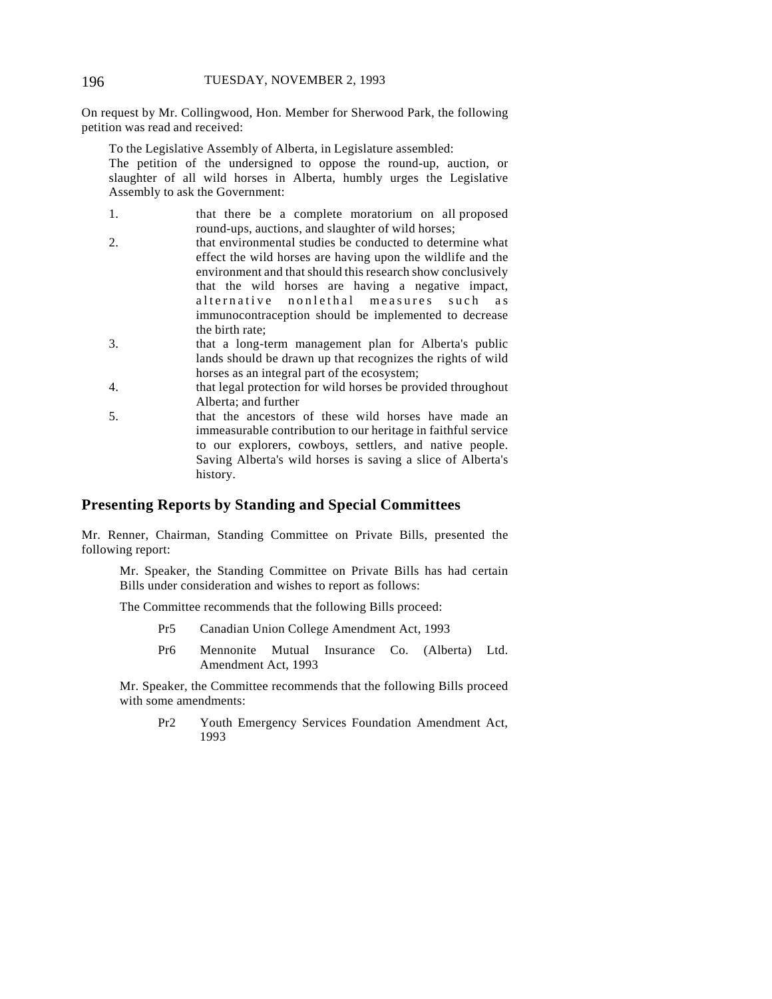On request by Mr. Collingwood, Hon. Member for Sherwood Park, the following petition was read and received:

To the Legislative Assembly of Alberta, in Legislature assembled:

The petition of the undersigned to oppose the round-up, auction, or slaughter of all wild horses in Alberta, humbly urges the Legislative Assembly to ask the Government:

- 1. that there be a complete moratorium on all proposed round-ups, auctions, and slaughter of wild horses;
- 2. that environmental studies be conducted to determine what effect the wild horses are having upon the wildlife and the environment and that should this research show conclusively that the wild horses are having a negative impact, alternative nonlethal measures such as immunocontraception should be implemented to decrease the birth rate;
- 3. that a long-term management plan for Alberta's public lands should be drawn up that recognizes the rights of wild horses as an integral part of the ecosystem;
- 4. that legal protection for wild horses be provided throughout Alberta; and further
- 5. that the ancestors of these wild horses have made an immeasurable contribution to our heritage in faithful service to our explorers, cowboys, settlers, and native people. Saving Alberta's wild horses is saving a slice of Alberta's history.

## **Presenting Reports by Standing and Special Committees**

Mr. Renner, Chairman, Standing Committee on Private Bills, presented the following report:

Mr. Speaker, the Standing Committee on Private Bills has had certain Bills under consideration and wishes to report as follows:

The Committee recommends that the following Bills proceed:

- Pr5 Canadian Union College Amendment Act, 1993
- Pr6 Mennonite Mutual Insurance Co. (Alberta) Ltd. Amendment Act, 1993

Mr. Speaker, the Committee recommends that the following Bills proceed with some amendments:

Pr2 Youth Emergency Services Foundation Amendment Act, 1993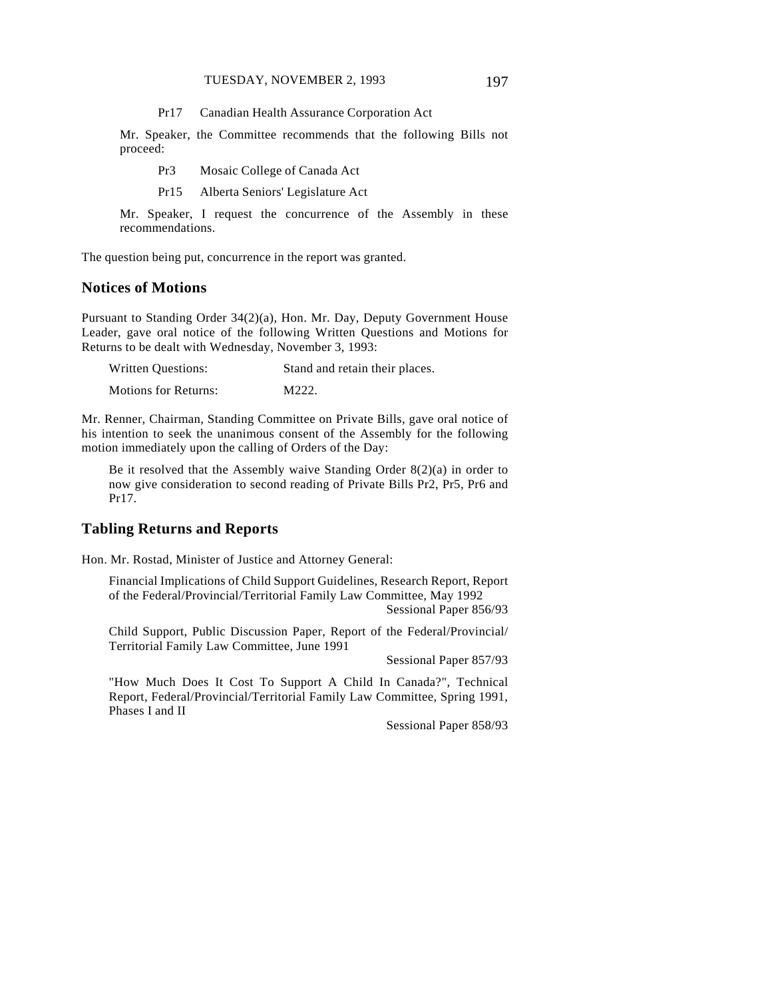Pr17 Canadian Health Assurance Corporation Act

Mr. Speaker, the Committee recommends that the following Bills not proceed:

Pr3 Mosaic College of Canada Act

Pr15 Alberta Seniors' Legislature Act

Mr. Speaker, I request the concurrence of the Assembly in these recommendations.

The question being put, concurrence in the report was granted.

## **Notices of Motions**

Pursuant to Standing Order 34(2)(a), Hon. Mr. Day, Deputy Government House Leader, gave oral notice of the following Written Questions and Motions for Returns to be dealt with Wednesday, November 3, 1993:

| Written Questions:          | Stand and retain their places. |
|-----------------------------|--------------------------------|
| <b>Motions for Returns:</b> | M222.                          |

Mr. Renner, Chairman, Standing Committee on Private Bills, gave oral notice of his intention to seek the unanimous consent of the Assembly for the following motion immediately upon the calling of Orders of the Day:

Be it resolved that the Assembly waive Standing Order 8(2)(a) in order to now give consideration to second reading of Private Bills Pr2, Pr5, Pr6 and Pr17.

## **Tabling Returns and Reports**

Hon. Mr. Rostad, Minister of Justice and Attorney General:

Financial Implications of Child Support Guidelines, Research Report, Report of the Federal/Provincial/Territorial Family Law Committee, May 1992 Sessional Paper 856/93

Child Support, Public Discussion Paper, Report of the Federal/Provincial/ Territorial Family Law Committee, June 1991

Sessional Paper 857/93

"How Much Does It Cost To Support A Child In Canada?", Technical Report, Federal/Provincial/Territorial Family Law Committee, Spring 1991, Phases I and II

Sessional Paper 858/93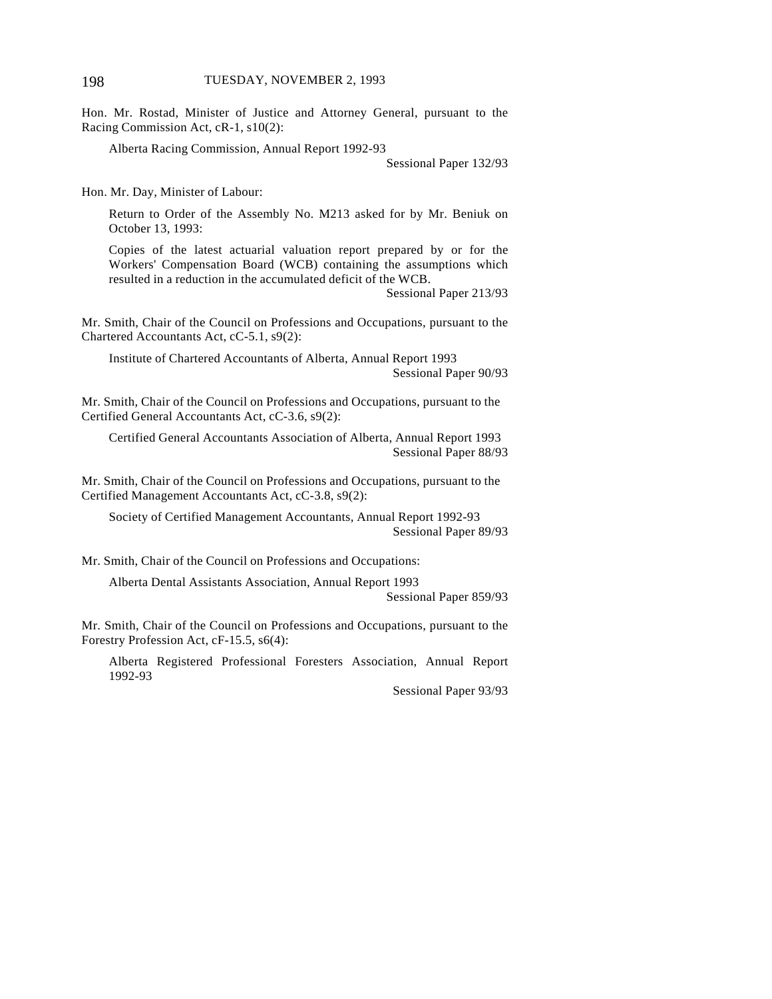Hon. Mr. Rostad, Minister of Justice and Attorney General, pursuant to the Racing Commission Act, cR-1, s10(2):

Alberta Racing Commission, Annual Report 1992-93

Sessional Paper 132/93

Hon. Mr. Day, Minister of Labour:

Return to Order of the Assembly No. M213 asked for by Mr. Beniuk on October 13, 1993:

Copies of the latest actuarial valuation report prepared by or for the Workers' Compensation Board (WCB) containing the assumptions which resulted in a reduction in the accumulated deficit of the WCB.

Sessional Paper 213/93

Mr. Smith, Chair of the Council on Professions and Occupations, pursuant to the Chartered Accountants Act, cC-5.1, s9(2):

Institute of Chartered Accountants of Alberta, Annual Report 1993 Sessional Paper 90/93

Mr. Smith, Chair of the Council on Professions and Occupations, pursuant to the Certified General Accountants Act, cC-3.6, s9(2):

Certified General Accountants Association of Alberta, Annual Report 1993 Sessional Paper 88/93

Mr. Smith, Chair of the Council on Professions and Occupations, pursuant to the Certified Management Accountants Act, cC-3.8, s9(2):

Society of Certified Management Accountants, Annual Report 1992-93 Sessional Paper 89/93

Mr. Smith, Chair of the Council on Professions and Occupations:

Alberta Dental Assistants Association, Annual Report 1993

Sessional Paper 859/93

Mr. Smith, Chair of the Council on Professions and Occupations, pursuant to the Forestry Profession Act, cF-15.5, s6(4):

Alberta Registered Professional Foresters Association, Annual Report 1992-93

Sessional Paper 93/93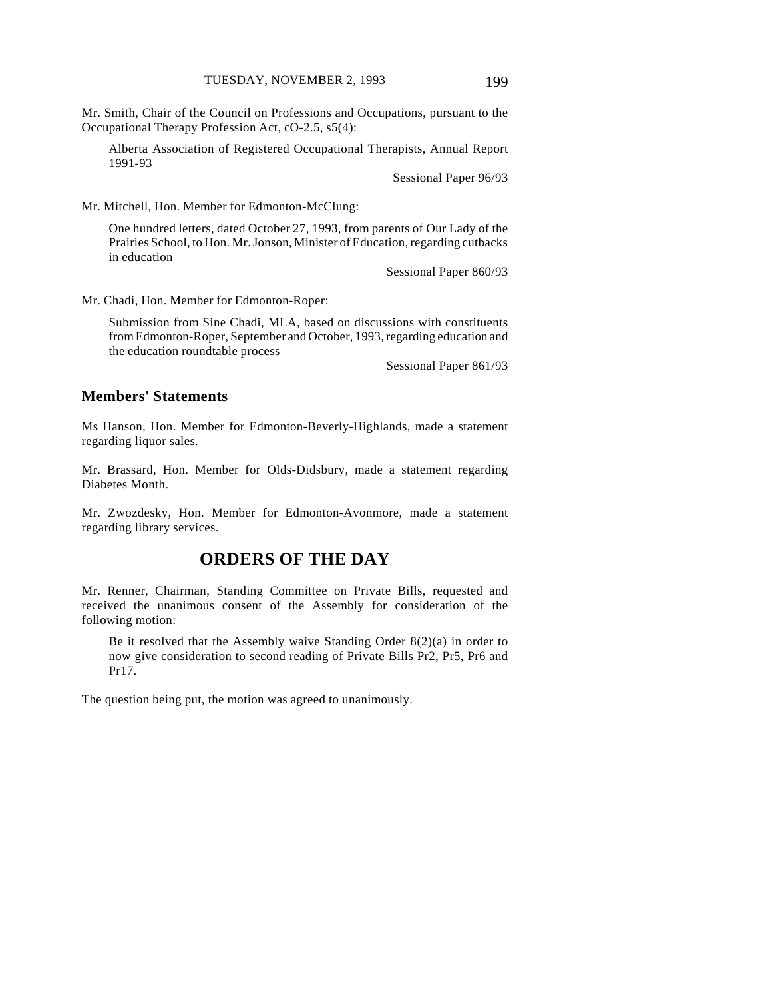Mr. Smith, Chair of the Council on Professions and Occupations, pursuant to the Occupational Therapy Profession Act, cO-2.5, s5(4):

Alberta Association of Registered Occupational Therapists, Annual Report 1991-93

Sessional Paper 96/93

Mr. Mitchell, Hon. Member for Edmonton-McClung:

One hundred letters, dated October 27, 1993, from parents of Our Lady of the Prairies School, to Hon. Mr. Jonson, Minister of Education, regarding cutbacks in education

Sessional Paper 860/93

Mr. Chadi, Hon. Member for Edmonton-Roper:

Submission from Sine Chadi, MLA, based on discussions with constituents from Edmonton-Roper, September and October, 1993, regarding education and the education roundtable process

Sessional Paper 861/93

#### **Members' Statements**

Ms Hanson, Hon. Member for Edmonton-Beverly-Highlands, made a statement regarding liquor sales.

Mr. Brassard, Hon. Member for Olds-Didsbury, made a statement regarding Diabetes Month.

Mr. Zwozdesky, Hon. Member for Edmonton-Avonmore, made a statement regarding library services.

# **ORDERS OF THE DAY**

Mr. Renner, Chairman, Standing Committee on Private Bills, requested and received the unanimous consent of the Assembly for consideration of the following motion:

Be it resolved that the Assembly waive Standing Order 8(2)(a) in order to now give consideration to second reading of Private Bills Pr2, Pr5, Pr6 and Pr17.

The question being put, the motion was agreed to unanimously.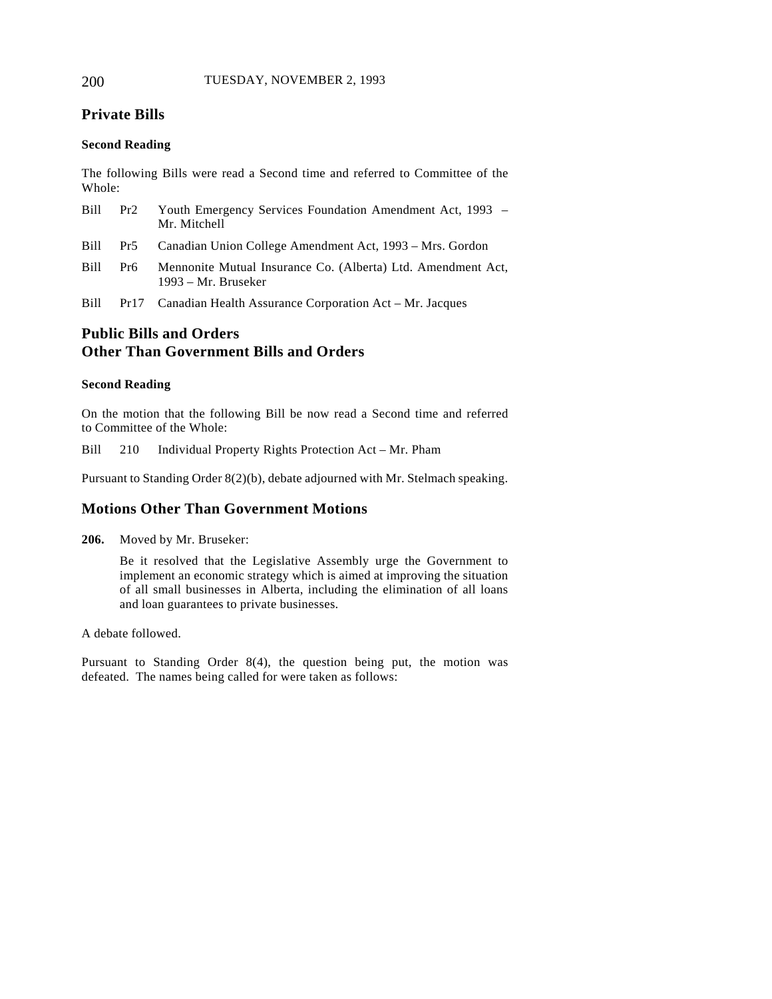# **Private Bills**

## **Second Reading**

The following Bills were read a Second time and referred to Committee of the Whole:

| Bill  | Pr2 | Youth Emergency Services Foundation Amendment Act, 1993 –<br>Mr. Mitchell           |
|-------|-----|-------------------------------------------------------------------------------------|
|       |     | Bill Pr5 Canadian Union College Amendment Act, 1993 – Mrs. Gordon                   |
| Bill- | Pr6 | Mennonite Mutual Insurance Co. (Alberta) Ltd. Amendment Act.<br>1993 – Mr. Bruseker |

Bill Pr17 Canadian Health Assurance Corporation Act – Mr. Jacques

# **Public Bills and Orders Other Than Government Bills and Orders**

### **Second Reading**

On the motion that the following Bill be now read a Second time and referred to Committee of the Whole:

Bill 210 Individual Property Rights Protection Act – Mr. Pham

Pursuant to Standing Order 8(2)(b), debate adjourned with Mr. Stelmach speaking.

## **Motions Other Than Government Motions**

**206.** Moved by Mr. Bruseker:

Be it resolved that the Legislative Assembly urge the Government to implement an economic strategy which is aimed at improving the situation of all small businesses in Alberta, including the elimination of all loans and loan guarantees to private businesses.

A debate followed.

Pursuant to Standing Order 8(4), the question being put, the motion was defeated. The names being called for were taken as follows: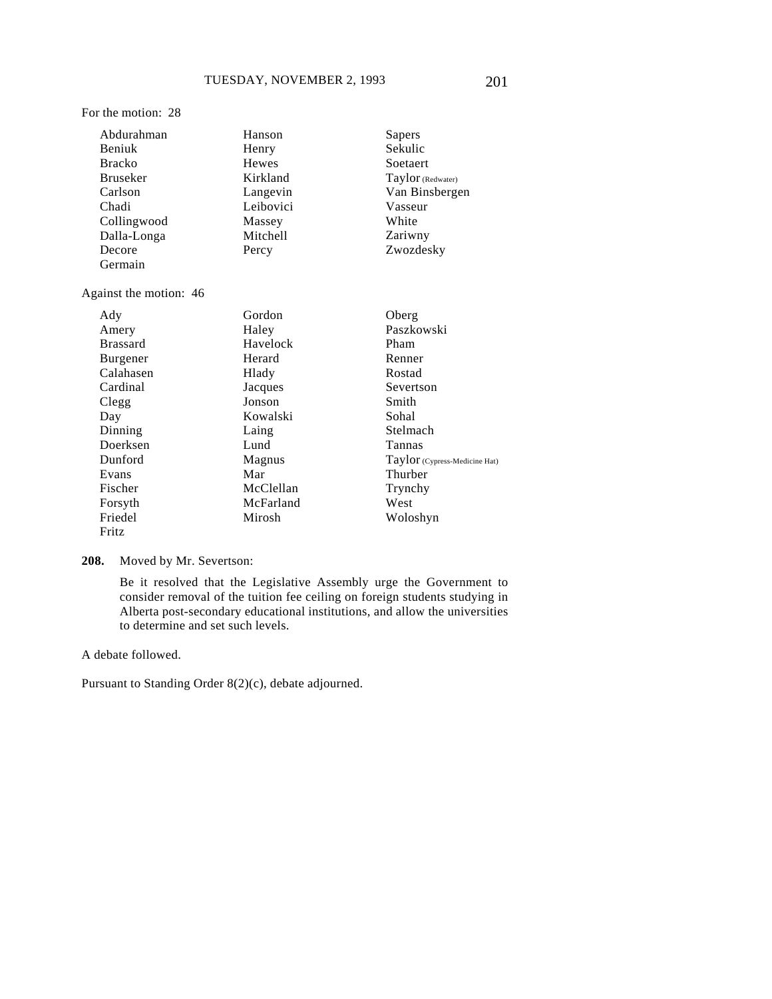#### For the motion: 28

| Abdurahman             | Hanson       | Sapers            |
|------------------------|--------------|-------------------|
| Beniuk                 | Henry        | Sekulic           |
| <b>Bracko</b>          | <b>Hewes</b> | Soetaert          |
| <b>Bruseker</b>        | Kirkland     | Taylor (Redwater) |
| Carlson                | Langevin     | Van Binsbergen    |
| Chadi                  | Leibovici    | Vasseur           |
| Collingwood            | Massey       | White             |
| Dalla-Longa            | Mitchell     | Zariwny           |
| Decore                 | Percy        | Zwozdesky         |
| Germain                |              |                   |
| Against the motion: 46 |              |                   |
| Ady                    | Gordon       | Oberg             |
| Amery                  | Haley        | Paszkowski        |
| <b>Brassard</b>        | Havelock     | Pham              |
| Burgener               | Herard       | Renner            |
| Calahasen              | Hlady        | Rostad            |
| Cardinal               | Jacques      | Severtson         |
| Clegg                  | Jonson       | Smith             |
| Day                    | Kowalski     | Sohal             |
| Dinning                | Laing        | Stelmach          |
| Doerksen               | Lund         | Tannas            |

Magnus Mar McClellan McFarland Mirosh

**208.** Moved by Mr. Severtson:

Be it resolved that the Legislative Assembly urge the Government to consider removal of the tuition fee ceiling on foreign students studying in Alberta post-secondary educational institutions, and allow the universities to determine and set such levels.

A debate followed.

Dunford Evans Fischer Forsyth Friedel Fritz

Pursuant to Standing Order 8(2)(c), debate adjourned.

Taylor (Cypress-Medicine Hat)

Thurber Trynchy West Woloshyn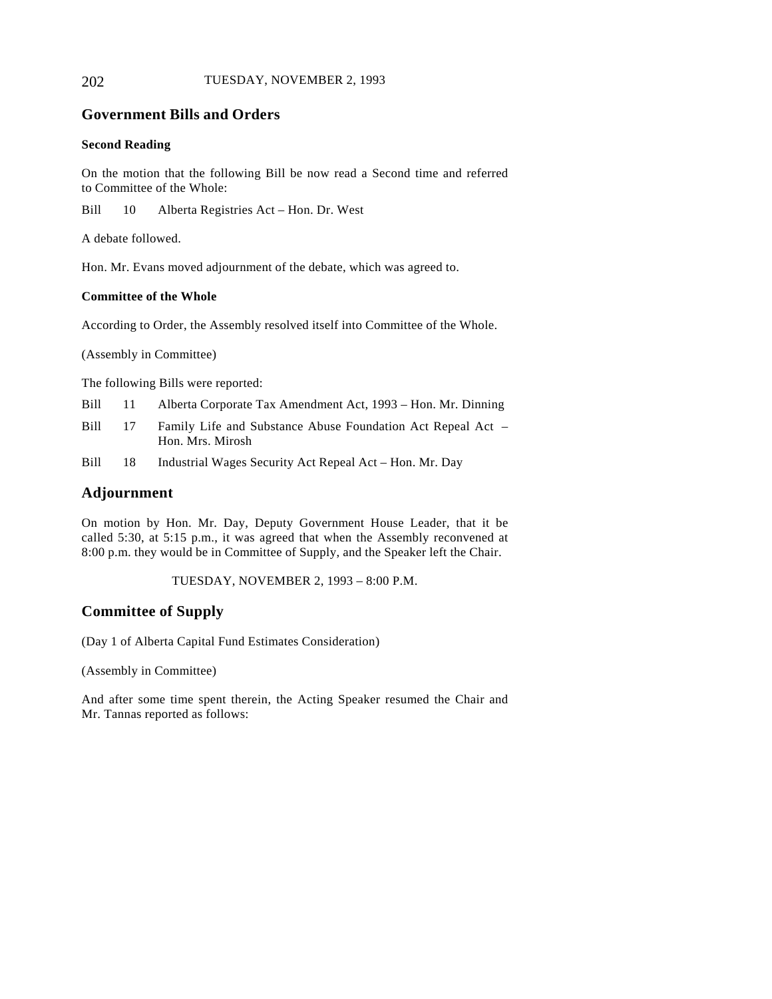## 202 TUESDAY, NOVEMBER 2, 1993

## **Government Bills and Orders**

#### **Second Reading**

On the motion that the following Bill be now read a Second time and referred to Committee of the Whole:

Bill 10 Alberta Registries Act – Hon. Dr. West

A debate followed.

Hon. Mr. Evans moved adjournment of the debate, which was agreed to.

#### **Committee of the Whole**

According to Order, the Assembly resolved itself into Committee of the Whole.

(Assembly in Committee)

The following Bills were reported:

|  |  | Bill 11 Alberta Corporate Tax Amendment Act, 1993 - Hon. Mr. Dinning |  |
|--|--|----------------------------------------------------------------------|--|
|--|--|----------------------------------------------------------------------|--|

- Bill 17 Family Life and Substance Abuse Foundation Act Repeal Act Hon. Mrs. Mirosh
- Bill 18 Industrial Wages Security Act Repeal Act Hon. Mr. Day

## **Adjournment**

On motion by Hon. Mr. Day, Deputy Government House Leader, that it be called 5:30, at 5:15 p.m., it was agreed that when the Assembly reconvened at 8:00 p.m. they would be in Committee of Supply, and the Speaker left the Chair.

TUESDAY, NOVEMBER 2, 1993 – 8:00 P.M.

## **Committee of Supply**

(Day 1 of Alberta Capital Fund Estimates Consideration)

(Assembly in Committee)

And after some time spent therein, the Acting Speaker resumed the Chair and Mr. Tannas reported as follows: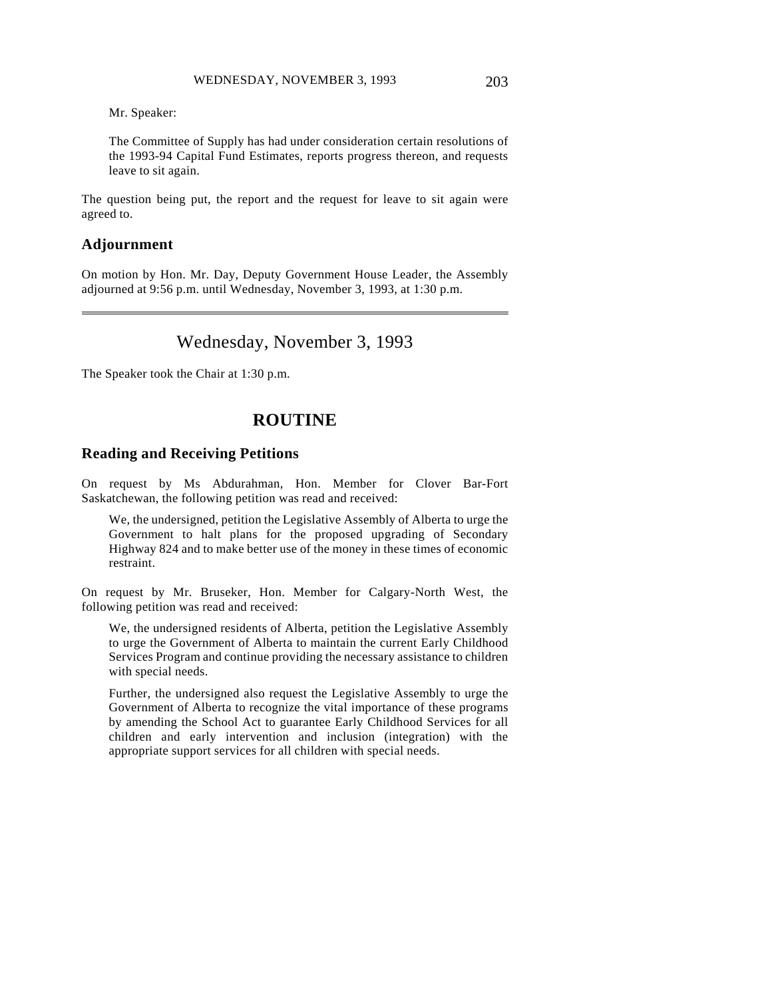Mr. Speaker:

The Committee of Supply has had under consideration certain resolutions of the 1993-94 Capital Fund Estimates, reports progress thereon, and requests leave to sit again.

The question being put, the report and the request for leave to sit again were agreed to.

## **Adjournment**

 $\overline{a}$ 

On motion by Hon. Mr. Day, Deputy Government House Leader, the Assembly adjourned at 9:56 p.m. until Wednesday, November 3, 1993, at 1:30 p.m.

# Wednesday, November 3, 1993

The Speaker took the Chair at 1:30 p.m.

# **ROUTINE**

## **Reading and Receiving Petitions**

On request by Ms Abdurahman, Hon. Member for Clover Bar-Fort Saskatchewan, the following petition was read and received:

We, the undersigned, petition the Legislative Assembly of Alberta to urge the Government to halt plans for the proposed upgrading of Secondary Highway 824 and to make better use of the money in these times of economic restraint.

On request by Mr. Bruseker, Hon. Member for Calgary-North West, the following petition was read and received:

We, the undersigned residents of Alberta, petition the Legislative Assembly to urge the Government of Alberta to maintain the current Early Childhood Services Program and continue providing the necessary assistance to children with special needs.

Further, the undersigned also request the Legislative Assembly to urge the Government of Alberta to recognize the vital importance of these programs by amending the School Act to guarantee Early Childhood Services for all children and early intervention and inclusion (integration) with the appropriate support services for all children with special needs.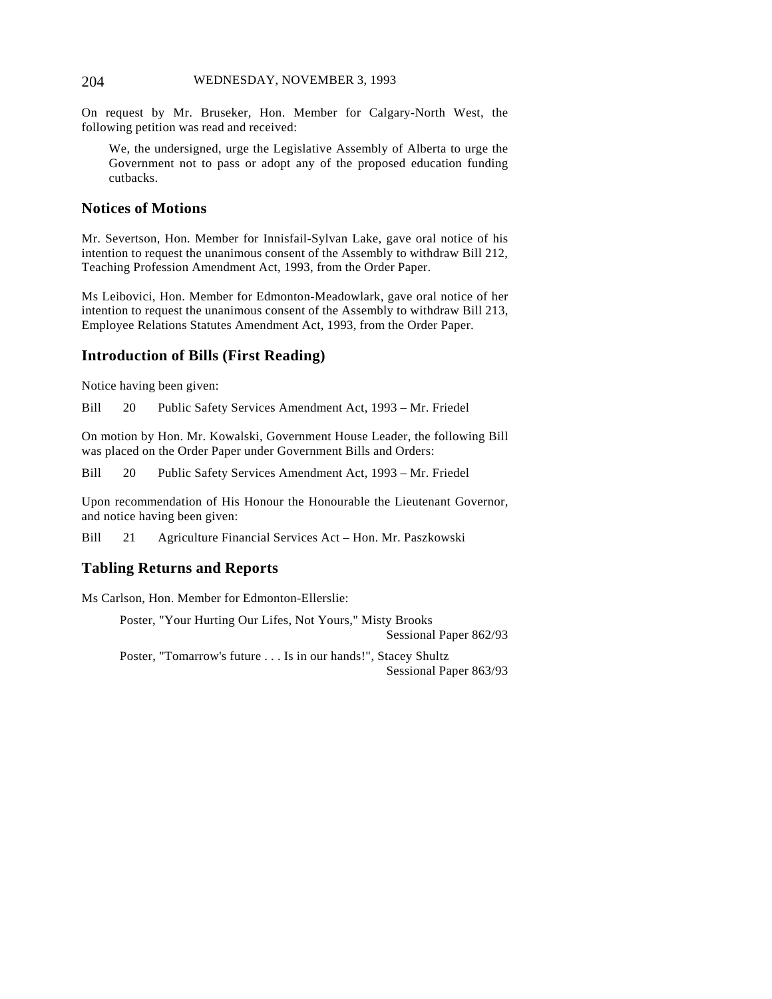#### 204 WEDNESDAY, NOVEMBER 3, 1993

On request by Mr. Bruseker, Hon. Member for Calgary-North West, the following petition was read and received:

We, the undersigned, urge the Legislative Assembly of Alberta to urge the Government not to pass or adopt any of the proposed education funding cutbacks.

## **Notices of Motions**

Mr. Severtson, Hon. Member for Innisfail-Sylvan Lake, gave oral notice of his intention to request the unanimous consent of the Assembly to withdraw Bill 212, Teaching Profession Amendment Act, 1993, from the Order Paper.

Ms Leibovici, Hon. Member for Edmonton-Meadowlark, gave oral notice of her intention to request the unanimous consent of the Assembly to withdraw Bill 213, Employee Relations Statutes Amendment Act, 1993, from the Order Paper.

## **Introduction of Bills (First Reading)**

Notice having been given:

Bill 20 Public Safety Services Amendment Act, 1993 – Mr. Friedel

On motion by Hon. Mr. Kowalski, Government House Leader, the following Bill was placed on the Order Paper under Government Bills and Orders:

Bill 20 Public Safety Services Amendment Act, 1993 – Mr. Friedel

Upon recommendation of His Honour the Honourable the Lieutenant Governor, and notice having been given:

Bill 21 Agriculture Financial Services Act – Hon. Mr. Paszkowski

## **Tabling Returns and Reports**

Ms Carlson, Hon. Member for Edmonton-Ellerslie:

Poster, "Your Hurting Our Lifes, Not Yours," Misty Brooks Sessional Paper 862/93

Poster, "Tomarrow's future . . . Is in our hands!", Stacey Shultz Sessional Paper 863/93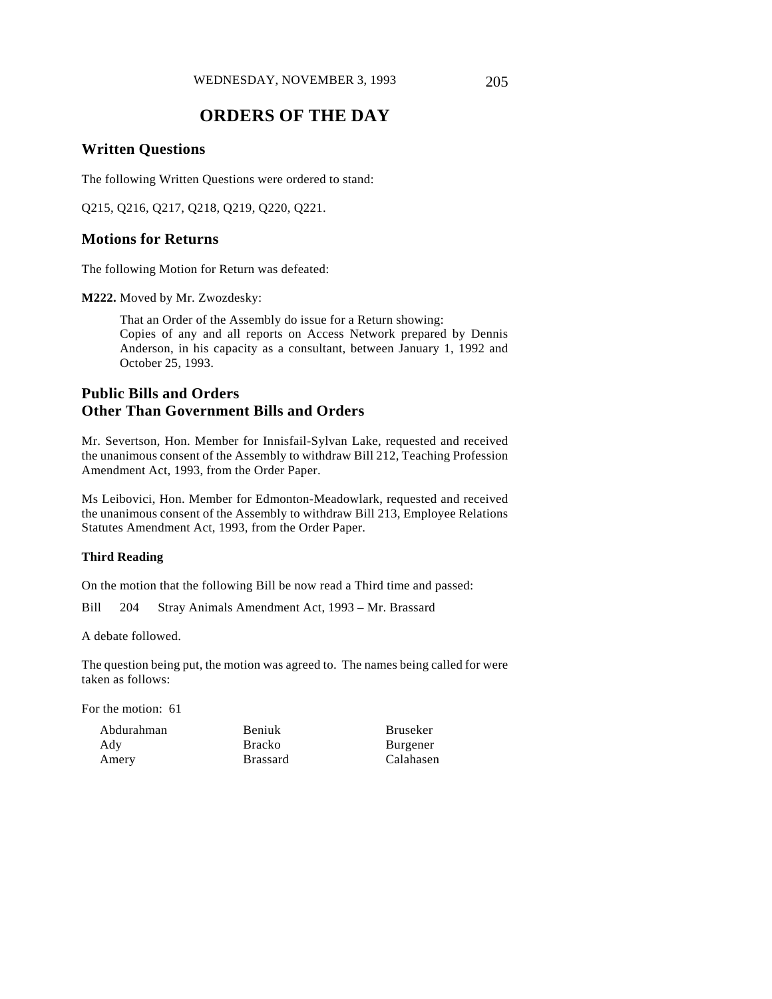# **ORDERS OF THE DAY**

## **Written Questions**

The following Written Questions were ordered to stand:

Q215, Q216, Q217, Q218, Q219, Q220, Q221.

## **Motions for Returns**

The following Motion for Return was defeated:

**M222.** Moved by Mr. Zwozdesky:

That an Order of the Assembly do issue for a Return showing: Copies of any and all reports on Access Network prepared by Dennis Anderson, in his capacity as a consultant, between January 1, 1992 and October 25, 1993.

# **Public Bills and Orders Other Than Government Bills and Orders**

Mr. Severtson, Hon. Member for Innisfail-Sylvan Lake, requested and received the unanimous consent of the Assembly to withdraw Bill 212, Teaching Profession Amendment Act, 1993, from the Order Paper.

Ms Leibovici, Hon. Member for Edmonton-Meadowlark, requested and received the unanimous consent of the Assembly to withdraw Bill 213, Employee Relations Statutes Amendment Act, 1993, from the Order Paper.

#### **Third Reading**

On the motion that the following Bill be now read a Third time and passed:

Bill 204 Stray Animals Amendment Act, 1993 – Mr. Brassard

A debate followed.

The question being put, the motion was agreed to. The names being called for were taken as follows:

For the motion: 61

Abdurahman Ady Amery

Beniuk Bracko Brassard Bruseker Burgener Calahasen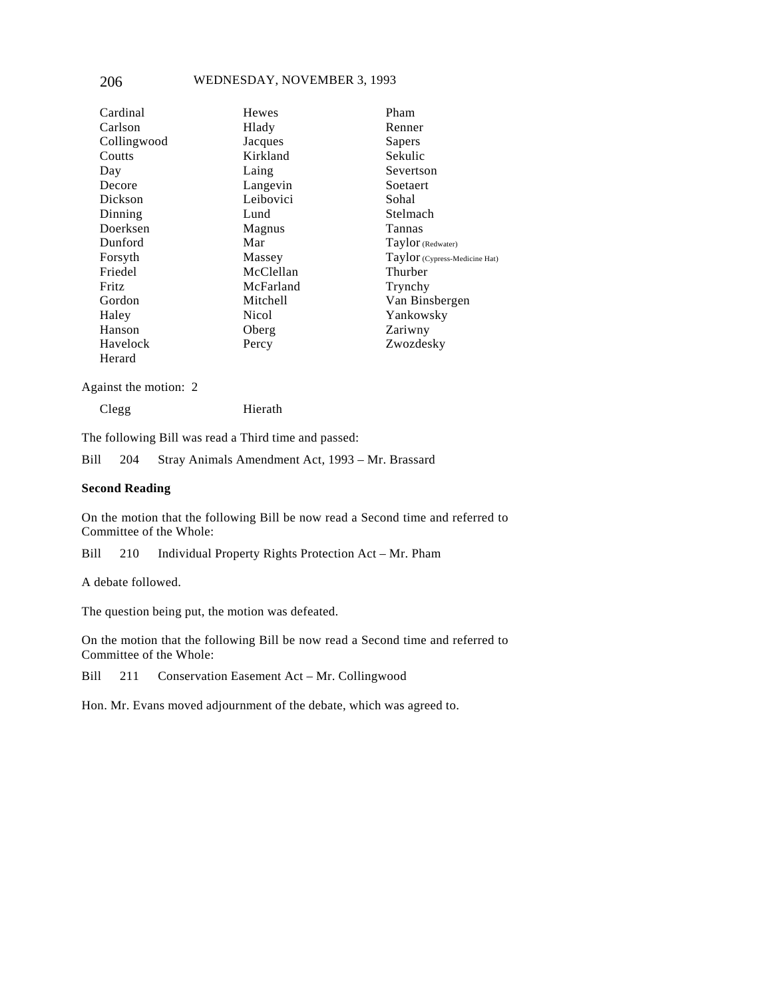## 206 WEDNESDAY, NOVEMBER 3, 1993

| Cardinal     | <b>Hewes</b> | Pham                          |
|--------------|--------------|-------------------------------|
| Carlson      | Hlady        | Renner                        |
| Collingwood  | Jacques      | Sapers                        |
| Coutts       | Kirkland     | Sekulic                       |
| Day          | Laing        | Severtson                     |
| Decore       | Langevin     | Soetaert                      |
| Dickson      | Leibovici    | Sohal                         |
| Dinning      | Lund         | Stelmach                      |
| Doerksen     | Magnus       | Tannas                        |
| Dunford      | Mar          | Taylor (Redwater)             |
| Forsyth      | Massey       | Taylor (Cypress-Medicine Hat) |
| Friedel      | McClellan    | Thurber                       |
| <b>Fritz</b> | McFarland    | Trynchy                       |
| Gordon       | Mitchell     | Van Binsbergen                |
| Haley        | Nicol        | Yankowsky                     |
| Hanson       | Oberg        | Zariwny                       |
| Havelock     | Percy        | Zwozdesky                     |
| Herard       |              |                               |

Against the motion: 2

Clegg Hierath

The following Bill was read a Third time and passed:

Bill 204 Stray Animals Amendment Act, 1993 – Mr. Brassard

#### **Second Reading**

On the motion that the following Bill be now read a Second time and referred to Committee of the Whole:

Bill 210 Individual Property Rights Protection Act – Mr. Pham

A debate followed.

The question being put, the motion was defeated.

On the motion that the following Bill be now read a Second time and referred to Committee of the Whole:

Bill 211 Conservation Easement Act – Mr. Collingwood

Hon. Mr. Evans moved adjournment of the debate, which was agreed to.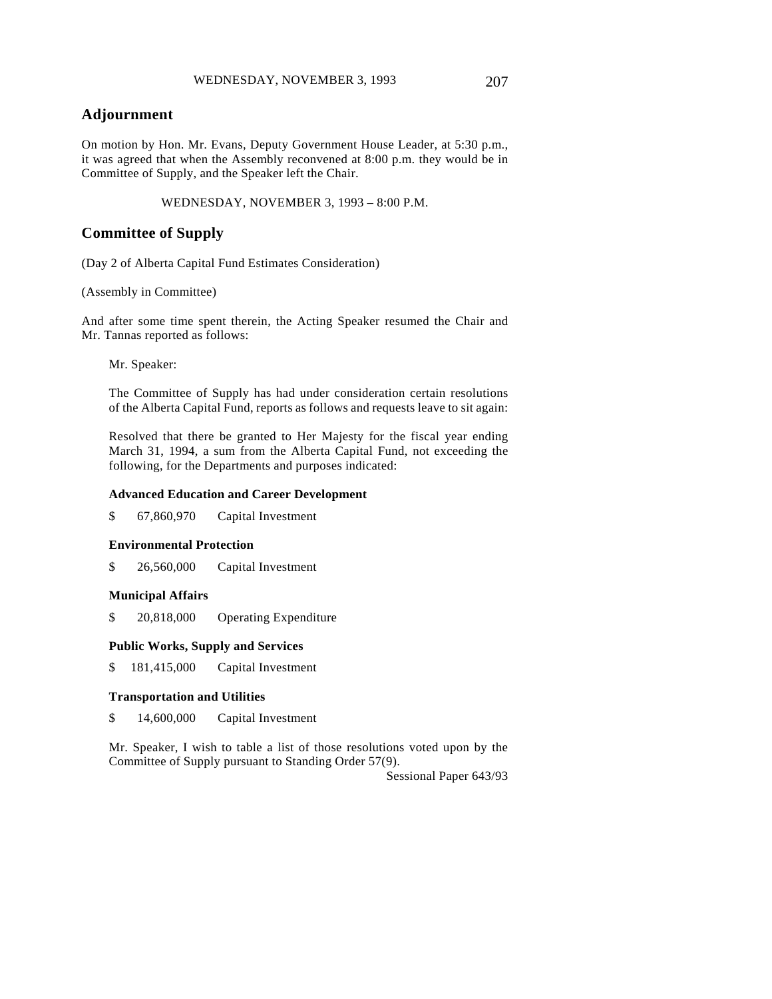On motion by Hon. Mr. Evans, Deputy Government House Leader, at 5:30 p.m., it was agreed that when the Assembly reconvened at 8:00 p.m. they would be in Committee of Supply, and the Speaker left the Chair.

WEDNESDAY, NOVEMBER 3, 1993 – 8:00 P.M.

## **Committee of Supply**

(Day 2 of Alberta Capital Fund Estimates Consideration)

(Assembly in Committee)

And after some time spent therein, the Acting Speaker resumed the Chair and Mr. Tannas reported as follows:

Mr. Speaker:

The Committee of Supply has had under consideration certain resolutions of the Alberta Capital Fund, reports as follows and requests leave to sit again:

Resolved that there be granted to Her Majesty for the fiscal year ending March 31, 1994, a sum from the Alberta Capital Fund, not exceeding the following, for the Departments and purposes indicated:

#### **Advanced Education and Career Development**

\$ 67,860,970 Capital Investment

#### **Environmental Protection**

\$ 26,560,000 Capital Investment

#### **Municipal Affairs**

\$ 20,818,000 Operating Expenditure

#### **Public Works, Supply and Services**

\$ 181,415,000 Capital Investment

#### **Transportation and Utilities**

\$ 14,600,000 Capital Investment

Mr. Speaker, I wish to table a list of those resolutions voted upon by the Committee of Supply pursuant to Standing Order 57(9).

Sessional Paper 643/93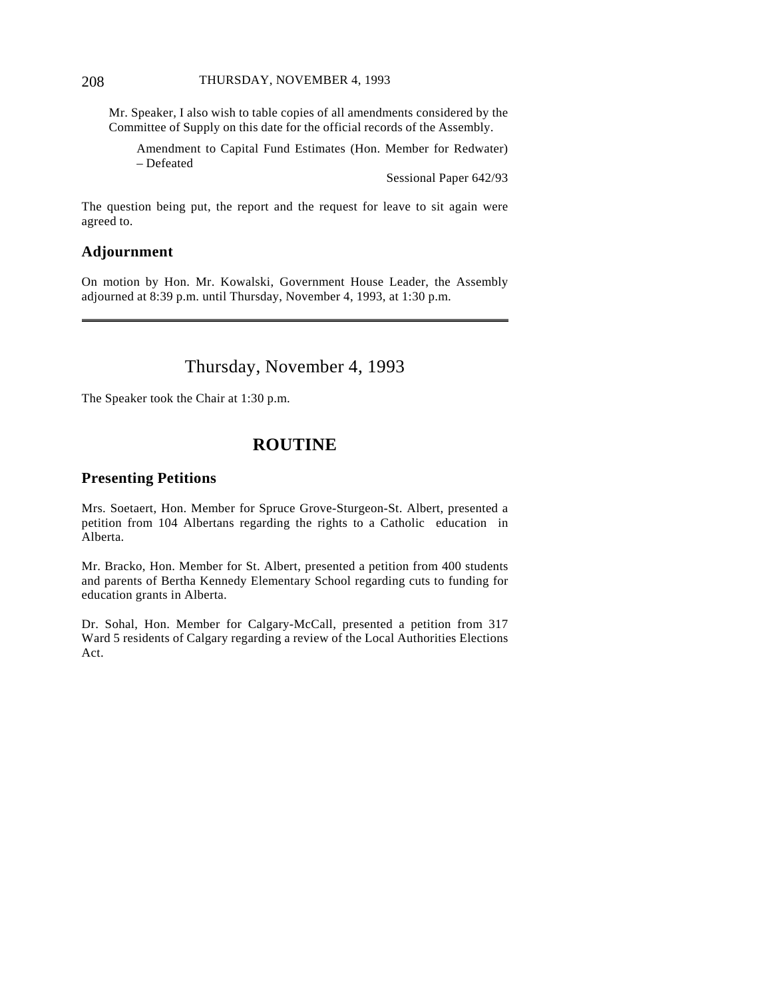#### 208 THURSDAY, NOVEMBER 4, 1993

Mr. Speaker, I also wish to table copies of all amendments considered by the Committee of Supply on this date for the official records of the Assembly.

Amendment to Capital Fund Estimates (Hon. Member for Redwater) – Defeated

Sessional Paper 642/93

The question being put, the report and the request for leave to sit again were agreed to.

## **Adjournment**

On motion by Hon. Mr. Kowalski, Government House Leader, the Assembly adjourned at 8:39 p.m. until Thursday, November 4, 1993, at 1:30 p.m.

# Thursday, November 4, 1993

The Speaker took the Chair at 1:30 p.m.

# **ROUTINE**

## **Presenting Petitions**

Mrs. Soetaert, Hon. Member for Spruce Grove-Sturgeon-St. Albert, presented a petition from 104 Albertans regarding the rights to a Catholic education in Alberta.

Mr. Bracko, Hon. Member for St. Albert, presented a petition from 400 students and parents of Bertha Kennedy Elementary School regarding cuts to funding for education grants in Alberta.

Dr. Sohal, Hon. Member for Calgary-McCall, presented a petition from 317 Ward 5 residents of Calgary regarding a review of the Local Authorities Elections Act.

 $\overline{a}$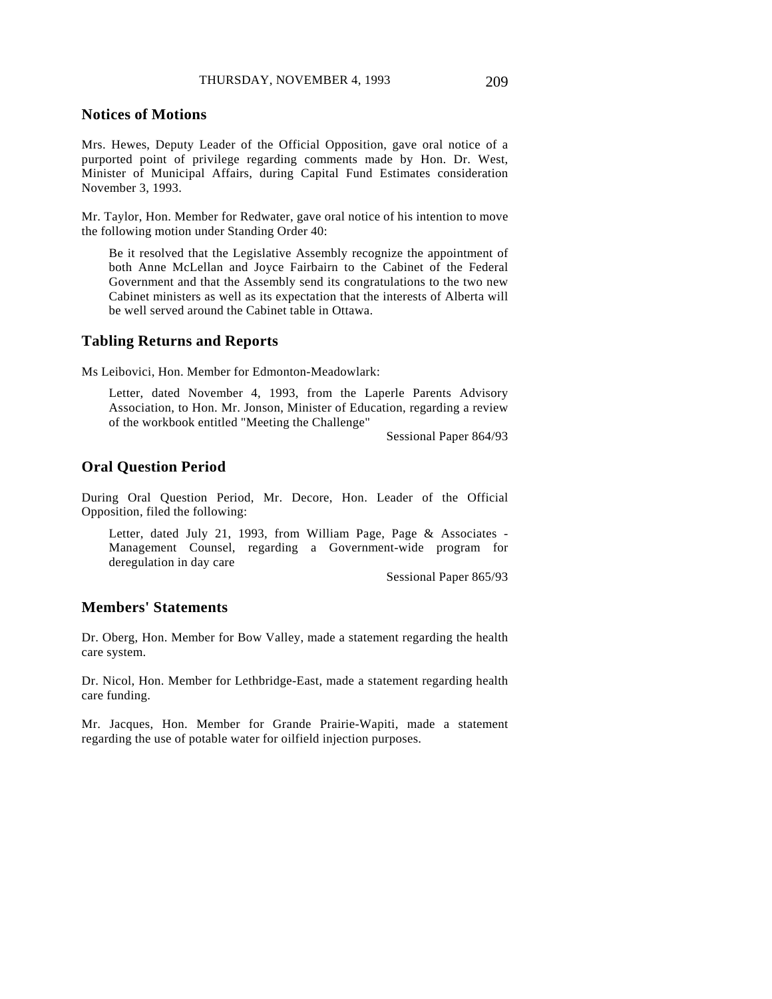## **Notices of Motions**

Mrs. Hewes, Deputy Leader of the Official Opposition, gave oral notice of a purported point of privilege regarding comments made by Hon. Dr. West, Minister of Municipal Affairs, during Capital Fund Estimates consideration November 3, 1993.

Mr. Taylor, Hon. Member for Redwater, gave oral notice of his intention to move the following motion under Standing Order 40:

Be it resolved that the Legislative Assembly recognize the appointment of both Anne McLellan and Joyce Fairbairn to the Cabinet of the Federal Government and that the Assembly send its congratulations to the two new Cabinet ministers as well as its expectation that the interests of Alberta will be well served around the Cabinet table in Ottawa.

## **Tabling Returns and Reports**

Ms Leibovici, Hon. Member for Edmonton-Meadowlark:

Letter, dated November 4, 1993, from the Laperle Parents Advisory Association, to Hon. Mr. Jonson, Minister of Education, regarding a review of the workbook entitled "Meeting the Challenge"

Sessional Paper 864/93

## **Oral Question Period**

During Oral Question Period, Mr. Decore, Hon. Leader of the Official Opposition, filed the following:

Letter, dated July 21, 1993, from William Page, Page & Associates - Management Counsel, regarding a Government-wide program for deregulation in day care

Sessional Paper 865/93

## **Members' Statements**

Dr. Oberg, Hon. Member for Bow Valley, made a statement regarding the health care system.

Dr. Nicol, Hon. Member for Lethbridge-East, made a statement regarding health care funding.

Mr. Jacques, Hon. Member for Grande Prairie-Wapiti, made a statement regarding the use of potable water for oilfield injection purposes.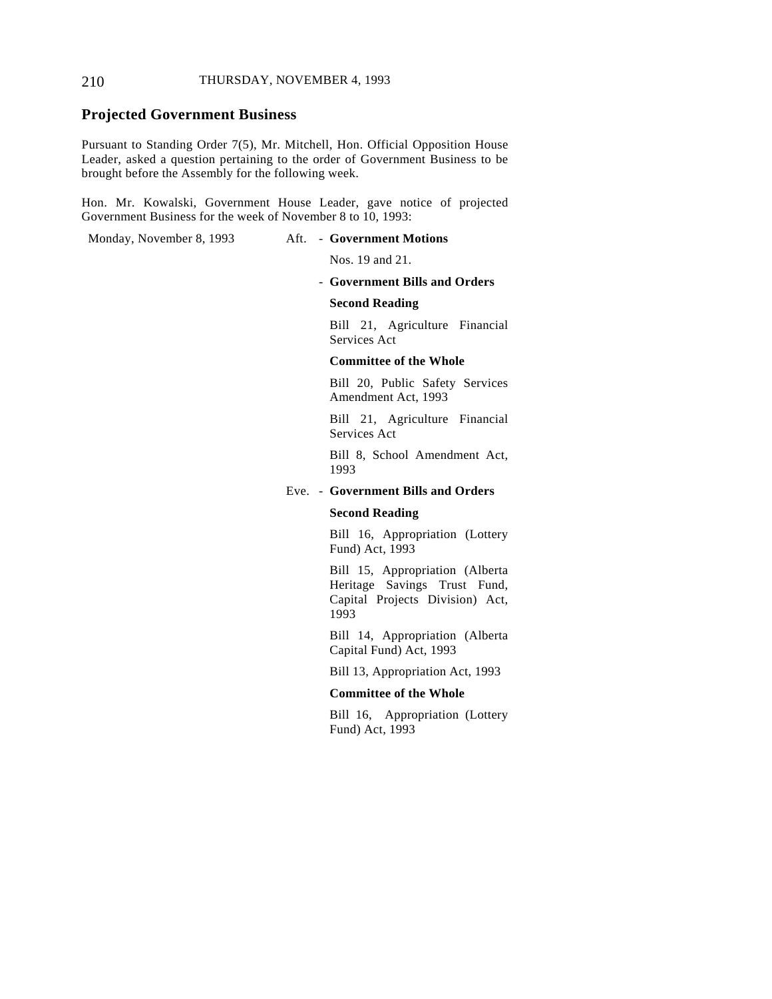#### 210 THURSDAY, NOVEMBER 4, 1993

## **Projected Government Business**

Pursuant to Standing Order 7(5), Mr. Mitchell, Hon. Official Opposition House Leader, asked a question pertaining to the order of Government Business to be brought before the Assembly for the following week.

Hon. Mr. Kowalski, Government House Leader, gave notice of projected Government Business for the week of November 8 to 10, 1993:

#### Monday, November 8, 1993 Aft. - **Government Motions**

Nos. 19 and 21.

- **Government Bills and Orders**

#### **Second Reading**

Bill 21, Agriculture Financial Services Act

#### **Committee of the Whole**

Bill 20, Public Safety Services Amendment Act, 1993

Bill 21, Agriculture Financial Services Act

Bill 8, School Amendment Act, 1993

#### Eve. - **Government Bills and Orders**

#### **Second Reading**

Bill 16, Appropriation (Lottery Fund) Act, 1993

Bill 15, Appropriation (Alberta Heritage Savings Trust Fund, Capital Projects Division) Act, 1993

Bill 14, Appropriation (Alberta Capital Fund) Act, 1993

Bill 13, Appropriation Act, 1993

#### **Committee of the Whole**

Bill 16, Appropriation (Lottery Fund) Act, 1993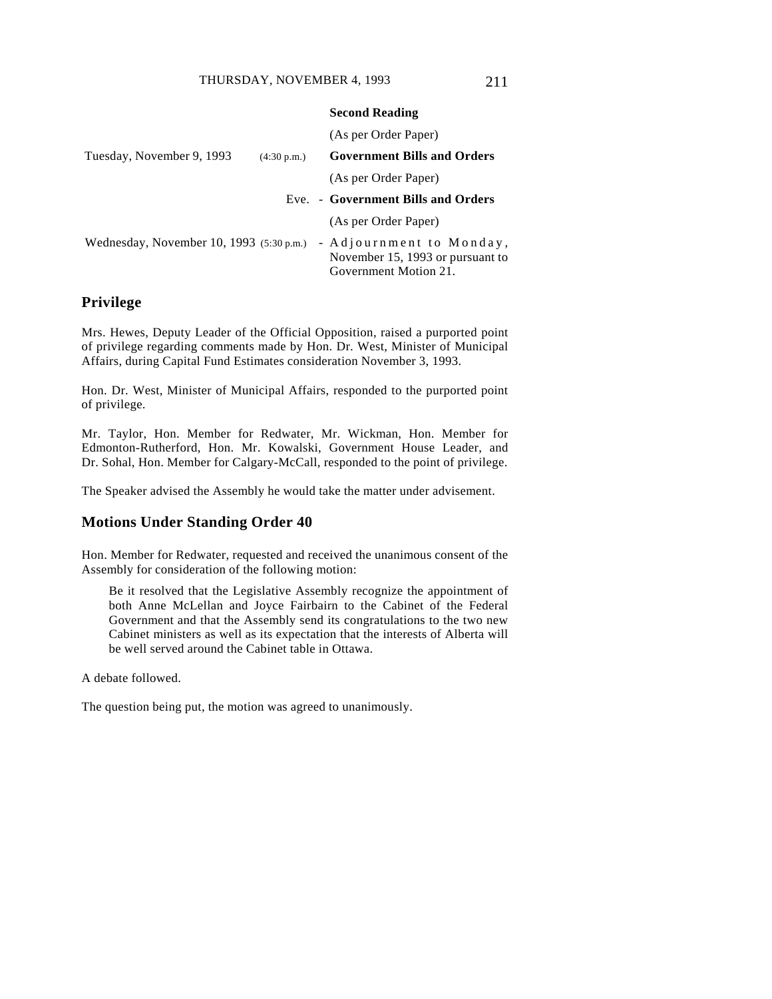|                                                    |             | <b>Second Reading</b>                                                                 |
|----------------------------------------------------|-------------|---------------------------------------------------------------------------------------|
|                                                    |             | (As per Order Paper)                                                                  |
| Tuesday, November 9, 1993                          | (4:30 p.m.) | <b>Government Bills and Orders</b>                                                    |
|                                                    |             | (As per Order Paper)                                                                  |
|                                                    |             | Eve. - Government Bills and Orders                                                    |
|                                                    |             | (As per Order Paper)                                                                  |
| Wednesday, November 10, 1993 $(5:30 \text{ p.m.})$ |             | - Adjournment to Monday,<br>November 15, 1993 or pursuant to<br>Government Motion 21. |

## **Privilege**

Mrs. Hewes, Deputy Leader of the Official Opposition, raised a purported point of privilege regarding comments made by Hon. Dr. West, Minister of Municipal Affairs, during Capital Fund Estimates consideration November 3, 1993.

Hon. Dr. West, Minister of Municipal Affairs, responded to the purported point of privilege.

Mr. Taylor, Hon. Member for Redwater, Mr. Wickman, Hon. Member for Edmonton-Rutherford, Hon. Mr. Kowalski, Government House Leader, and Dr. Sohal, Hon. Member for Calgary-McCall, responded to the point of privilege.

The Speaker advised the Assembly he would take the matter under advisement.

## **Motions Under Standing Order 40**

Hon. Member for Redwater, requested and received the unanimous consent of the Assembly for consideration of the following motion:

Be it resolved that the Legislative Assembly recognize the appointment of both Anne McLellan and Joyce Fairbairn to the Cabinet of the Federal Government and that the Assembly send its congratulations to the two new Cabinet ministers as well as its expectation that the interests of Alberta will be well served around the Cabinet table in Ottawa.

A debate followed.

The question being put, the motion was agreed to unanimously.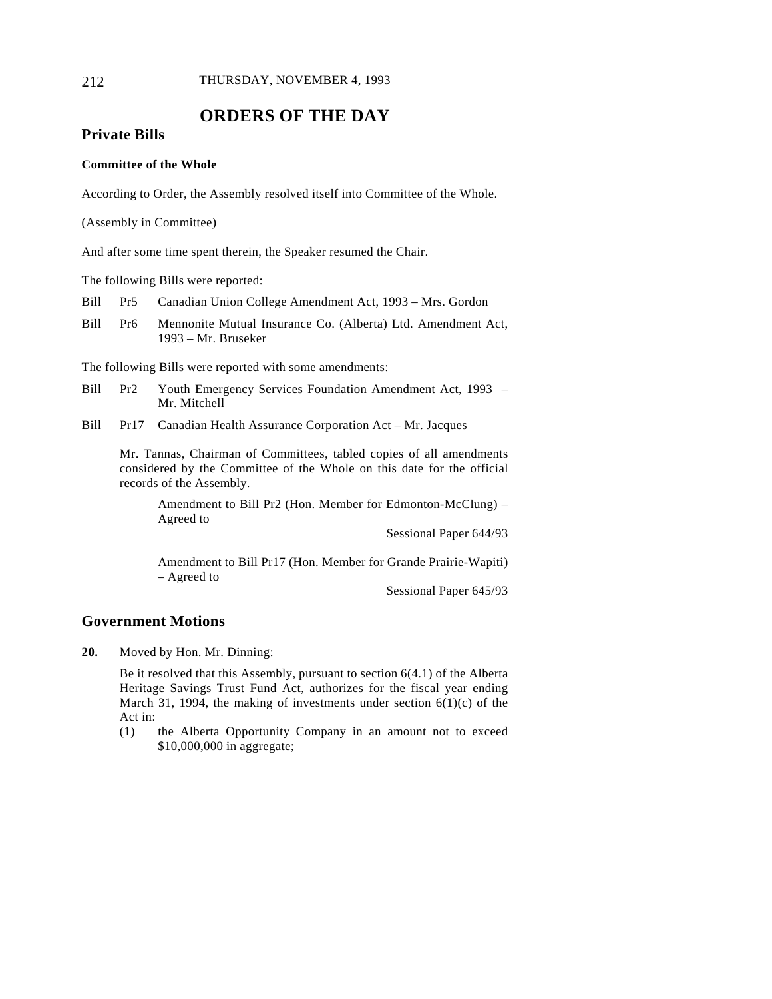# **ORDERS OF THE DAY**

## **Private Bills**

## **Committee of the Whole**

According to Order, the Assembly resolved itself into Committee of the Whole.

(Assembly in Committee)

And after some time spent therein, the Speaker resumed the Chair.

The following Bills were reported:

- Bill Pr5 Canadian Union College Amendment Act, 1993 Mrs. Gordon
- Bill Pr6 Mennonite Mutual Insurance Co. (Alberta) Ltd. Amendment Act, 1993 – Mr. Bruseker

The following Bills were reported with some amendments:

- Bill Pr2 Youth Emergency Services Foundation Amendment Act, 1993 Mr. Mitchell
- Bill Pr17 Canadian Health Assurance Corporation Act Mr. Jacques

Mr. Tannas, Chairman of Committees, tabled copies of all amendments considered by the Committee of the Whole on this date for the official records of the Assembly.

Amendment to Bill Pr2 (Hon. Member for Edmonton-McClung) – Agreed to

Sessional Paper 644/93

Amendment to Bill Pr17 (Hon. Member for Grande Prairie-Wapiti) – Agreed to

Sessional Paper 645/93

# **Government Motions**

**20.** Moved by Hon. Mr. Dinning:

Be it resolved that this Assembly, pursuant to section 6(4.1) of the Alberta Heritage Savings Trust Fund Act, authorizes for the fiscal year ending March 31, 1994, the making of investments under section  $6(1)(c)$  of the Act in:

(1) the Alberta Opportunity Company in an amount not to exceed \$10,000,000 in aggregate;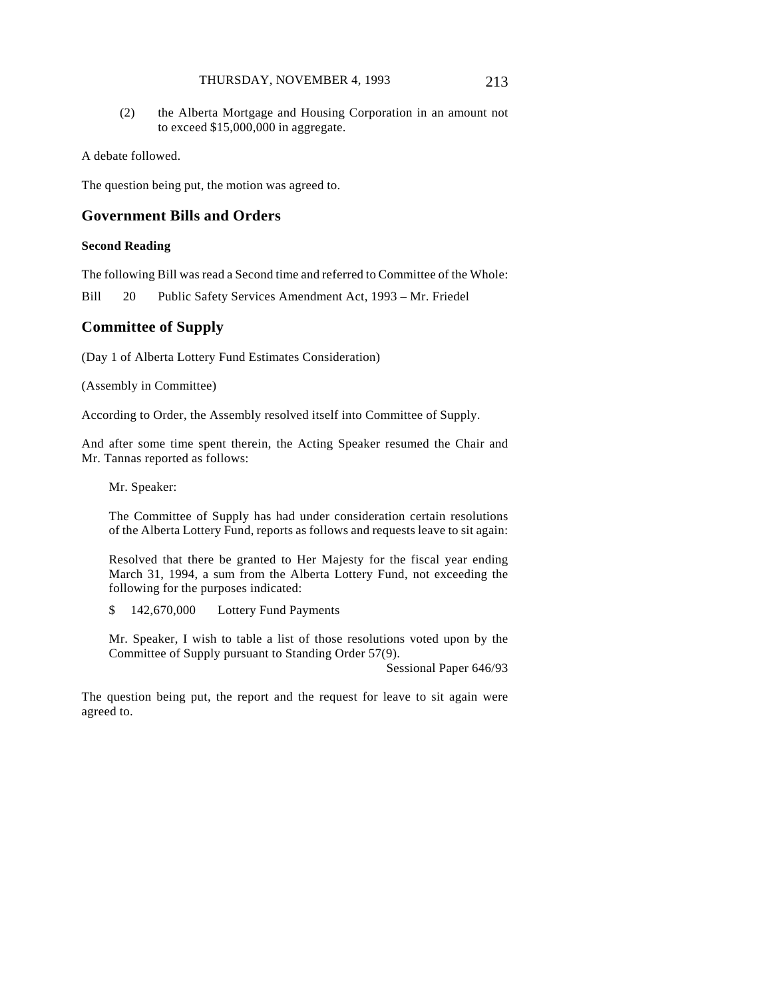#### THURSDAY, NOVEMBER 4, 1993 213

(2) the Alberta Mortgage and Housing Corporation in an amount not to exceed \$15,000,000 in aggregate.

A debate followed.

The question being put, the motion was agreed to.

## **Government Bills and Orders**

#### **Second Reading**

The following Bill was read a Second time and referred to Committee of the Whole:

Bill 20 Public Safety Services Amendment Act, 1993 – Mr. Friedel

## **Committee of Supply**

(Day 1 of Alberta Lottery Fund Estimates Consideration)

(Assembly in Committee)

According to Order, the Assembly resolved itself into Committee of Supply.

And after some time spent therein, the Acting Speaker resumed the Chair and Mr. Tannas reported as follows:

Mr. Speaker:

The Committee of Supply has had under consideration certain resolutions of the Alberta Lottery Fund, reports as follows and requests leave to sit again:

Resolved that there be granted to Her Majesty for the fiscal year ending March 31, 1994, a sum from the Alberta Lottery Fund, not exceeding the following for the purposes indicated:

\$ 142,670,000 Lottery Fund Payments

Mr. Speaker, I wish to table a list of those resolutions voted upon by the Committee of Supply pursuant to Standing Order 57(9).

Sessional Paper 646/93

The question being put, the report and the request for leave to sit again were agreed to.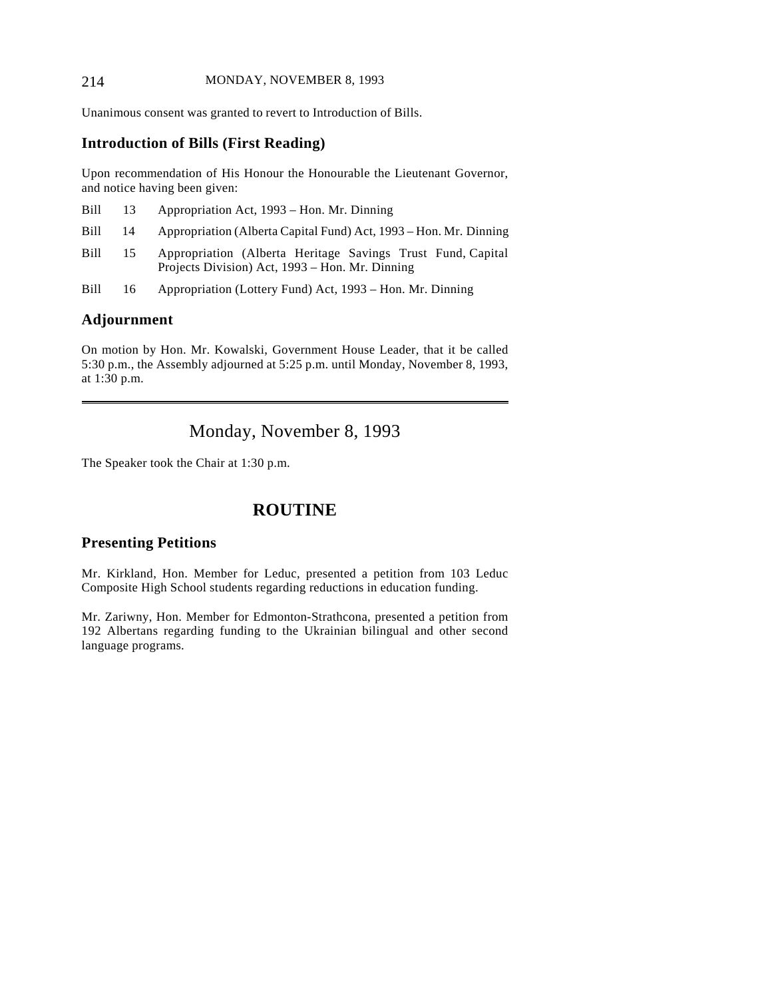#### 214 MONDAY, NOVEMBER 8, 1993

Unanimous consent was granted to revert to Introduction of Bills.

# **Introduction of Bills (First Reading)**

Upon recommendation of His Honour the Honourable the Lieutenant Governor, and notice having been given:

| Bill | 13 | Appropriation Act, 1993 – Hon. Mr. Dinning                                                                     |
|------|----|----------------------------------------------------------------------------------------------------------------|
| Bill | 14 | Appropriation (Alberta Capital Fund) Act, 1993 – Hon. Mr. Dinning                                              |
| Bill | 15 | Appropriation (Alberta Heritage Savings Trust Fund, Capital<br>Projects Division) Act, 1993 – Hon. Mr. Dinning |
| Bill | 16 | Appropriation (Lottery Fund) Act, 1993 – Hon. Mr. Dinning                                                      |

# **Adjournment**

 $\overline{a}$ 

On motion by Hon. Mr. Kowalski, Government House Leader, that it be called 5:30 p.m., the Assembly adjourned at 5:25 p.m. until Monday, November 8, 1993, at 1:30 p.m.

Monday, November 8, 1993

The Speaker took the Chair at 1:30 p.m.

# **ROUTINE**

# **Presenting Petitions**

Mr. Kirkland, Hon. Member for Leduc, presented a petition from 103 Leduc Composite High School students regarding reductions in education funding.

Mr. Zariwny, Hon. Member for Edmonton-Strathcona, presented a petition from 192 Albertans regarding funding to the Ukrainian bilingual and other second language programs.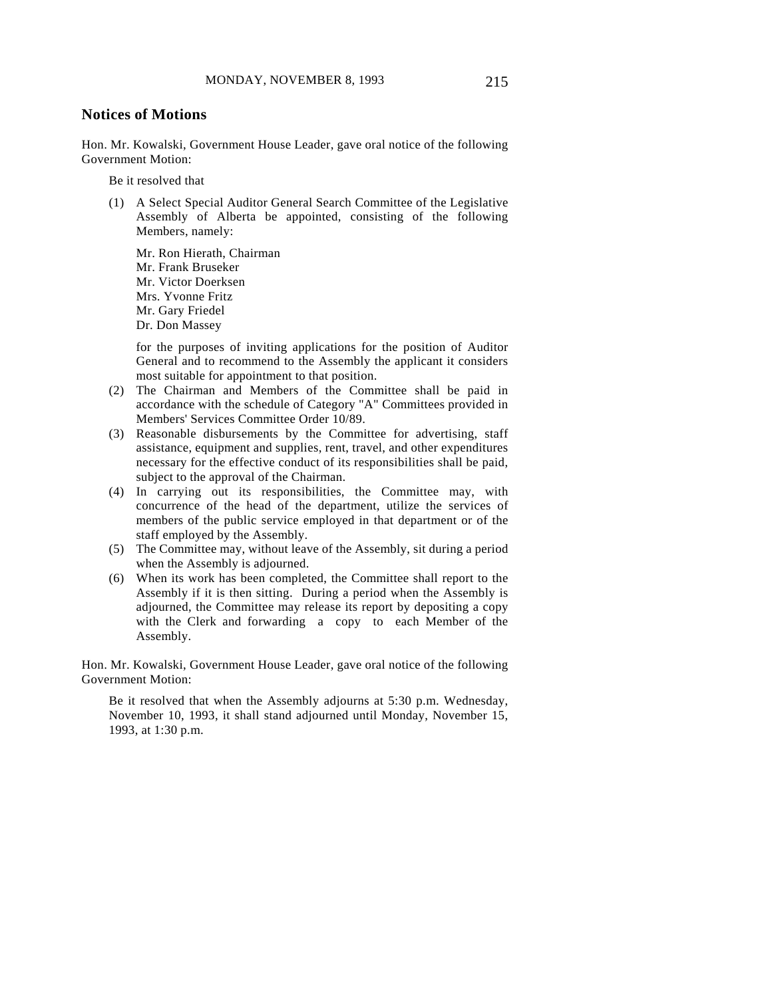# **Notices of Motions**

Hon. Mr. Kowalski, Government House Leader, gave oral notice of the following Government Motion:

Be it resolved that

(1) A Select Special Auditor General Search Committee of the Legislative Assembly of Alberta be appointed, consisting of the following Members, namely:

Mr. Ron Hierath, Chairman Mr. Frank Bruseker Mr. Victor Doerksen Mrs. Yvonne Fritz Mr. Gary Friedel Dr. Don Massey

for the purposes of inviting applications for the position of Auditor General and to recommend to the Assembly the applicant it considers most suitable for appointment to that position.

- (2) The Chairman and Members of the Committee shall be paid in accordance with the schedule of Category "A" Committees provided in Members' Services Committee Order 10/89.
- (3) Reasonable disbursements by the Committee for advertising, staff assistance, equipment and supplies, rent, travel, and other expenditures necessary for the effective conduct of its responsibilities shall be paid, subject to the approval of the Chairman.
- (4) In carrying out its responsibilities, the Committee may, with concurrence of the head of the department, utilize the services of members of the public service employed in that department or of the staff employed by the Assembly.
- (5) The Committee may, without leave of the Assembly, sit during a period when the Assembly is adjourned.
- (6) When its work has been completed, the Committee shall report to the Assembly if it is then sitting. During a period when the Assembly is adjourned, the Committee may release its report by depositing a copy with the Clerk and forwarding a copy to each Member of the Assembly.

Hon. Mr. Kowalski, Government House Leader, gave oral notice of the following Government Motion:

Be it resolved that when the Assembly adjourns at 5:30 p.m. Wednesday, November 10, 1993, it shall stand adjourned until Monday, November 15, 1993, at 1:30 p.m.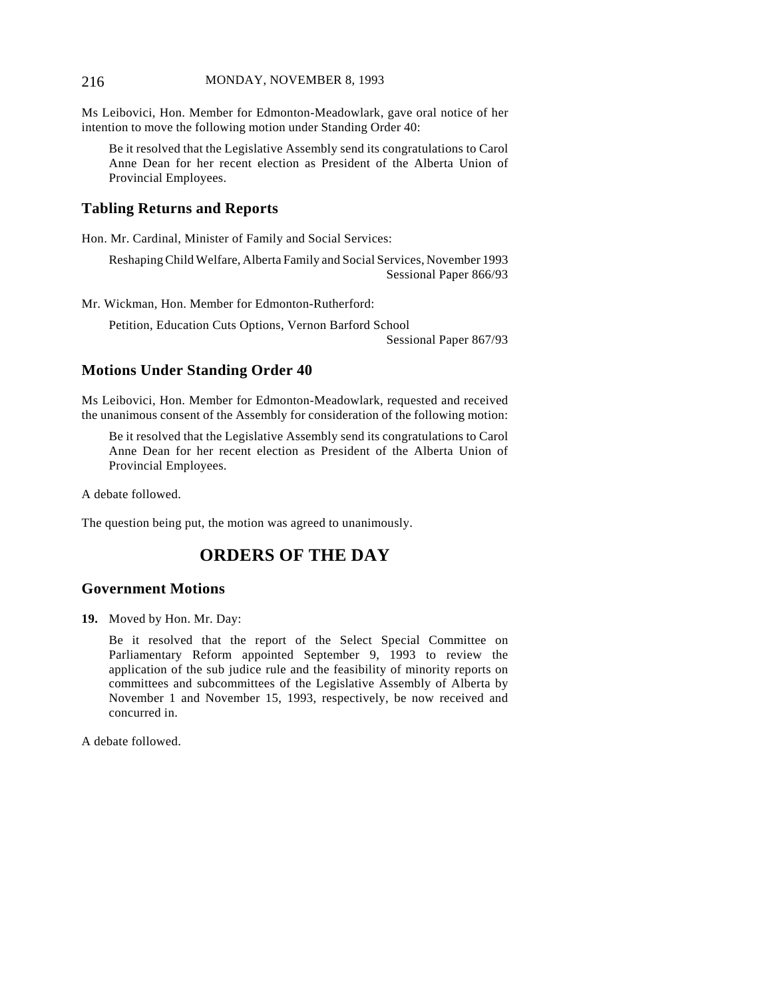#### 216 MONDAY, NOVEMBER 8, 1993

Ms Leibovici, Hon. Member for Edmonton-Meadowlark, gave oral notice of her intention to move the following motion under Standing Order 40:

Be it resolved that the Legislative Assembly send its congratulations to Carol Anne Dean for her recent election as President of the Alberta Union of Provincial Employees.

# **Tabling Returns and Reports**

Hon. Mr. Cardinal, Minister of Family and Social Services:

Reshaping Child Welfare, Alberta Family and Social Services, November 1993 Sessional Paper 866/93

Mr. Wickman, Hon. Member for Edmonton-Rutherford:

Petition, Education Cuts Options, Vernon Barford School Sessional Paper 867/93

# **Motions Under Standing Order 40**

Ms Leibovici, Hon. Member for Edmonton-Meadowlark, requested and received the unanimous consent of the Assembly for consideration of the following motion:

Be it resolved that the Legislative Assembly send its congratulations to Carol Anne Dean for her recent election as President of the Alberta Union of Provincial Employees.

A debate followed.

The question being put, the motion was agreed to unanimously.

# **ORDERS OF THE DAY**

### **Government Motions**

**19.** Moved by Hon. Mr. Day:

Be it resolved that the report of the Select Special Committee on Parliamentary Reform appointed September 9, 1993 to review the application of the sub judice rule and the feasibility of minority reports on committees and subcommittees of the Legislative Assembly of Alberta by November 1 and November 15, 1993, respectively, be now received and concurred in.

A debate followed.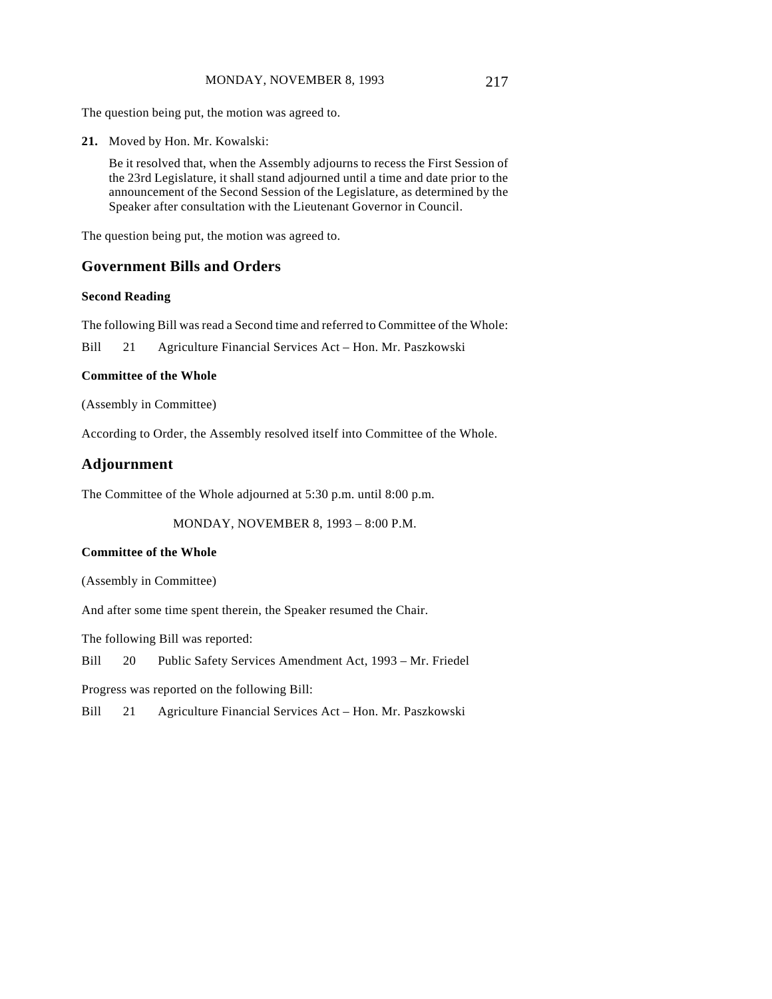**21.** Moved by Hon. Mr. Kowalski:

Be it resolved that, when the Assembly adjourns to recess the First Session of the 23rd Legislature, it shall stand adjourned until a time and date prior to the announcement of the Second Session of the Legislature, as determined by the Speaker after consultation with the Lieutenant Governor in Council.

The question being put, the motion was agreed to.

## **Government Bills and Orders**

#### **Second Reading**

The following Bill was read a Second time and referred to Committee of the Whole:

Bill 21 Agriculture Financial Services Act – Hon. Mr. Paszkowski

#### **Committee of the Whole**

(Assembly in Committee)

According to Order, the Assembly resolved itself into Committee of the Whole.

# **Adjournment**

The Committee of the Whole adjourned at 5:30 p.m. until 8:00 p.m.

MONDAY, NOVEMBER 8, 1993 – 8:00 P.M.

#### **Committee of the Whole**

(Assembly in Committee)

And after some time spent therein, the Speaker resumed the Chair.

The following Bill was reported:

Bill 20 Public Safety Services Amendment Act, 1993 – Mr. Friedel

Progress was reported on the following Bill:

Bill 21 Agriculture Financial Services Act – Hon. Mr. Paszkowski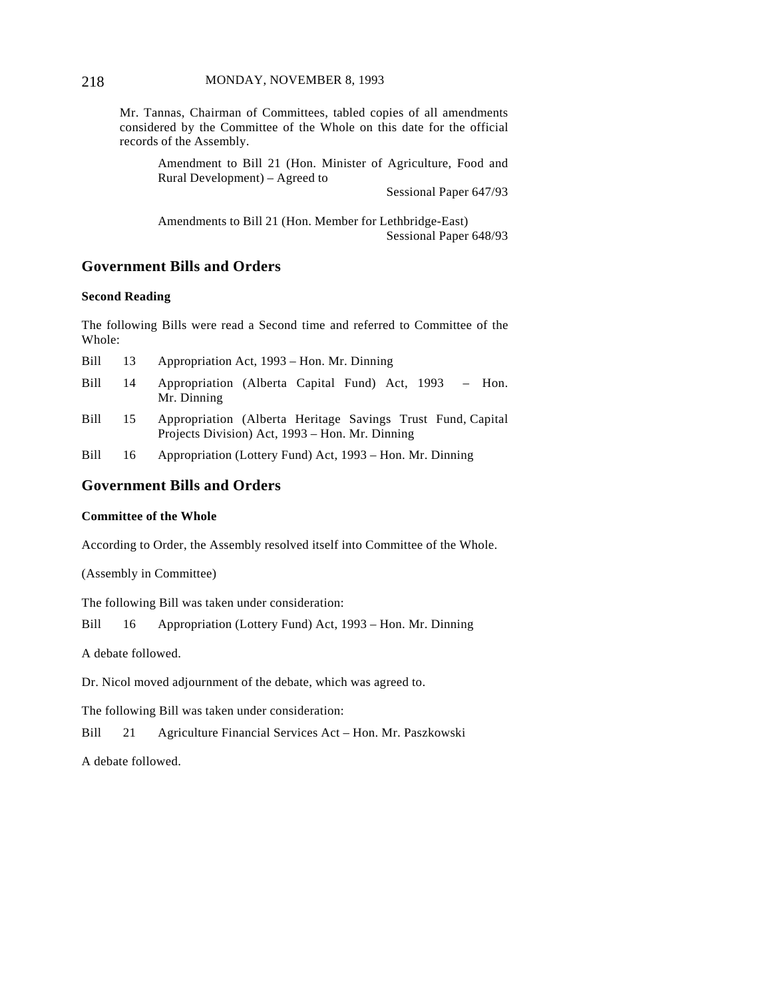Mr. Tannas, Chairman of Committees, tabled copies of all amendments considered by the Committee of the Whole on this date for the official records of the Assembly.

Amendment to Bill 21 (Hon. Minister of Agriculture, Food and Rural Development) – Agreed to

Sessional Paper 647/93

Amendments to Bill 21 (Hon. Member for Lethbridge-East) Sessional Paper 648/93

# **Government Bills and Orders**

#### **Second Reading**

The following Bills were read a Second time and referred to Committee of the Whole:

| Bill        | 13 | Appropriation Act, 1993 – Hon. Mr. Dinning                                                                     |
|-------------|----|----------------------------------------------------------------------------------------------------------------|
| Bill        | 14 | Appropriation (Alberta Capital Fund) Act, 1993<br>$-$ Hon.<br>Mr. Dinning                                      |
| Bill        | 15 | Appropriation (Alberta Heritage Savings Trust Fund, Capital<br>Projects Division) Act, 1993 – Hon. Mr. Dinning |
| <b>Bill</b> | 16 | Appropriation (Lottery Fund) Act, 1993 – Hon. Mr. Dinning                                                      |

# **Government Bills and Orders**

#### **Committee of the Whole**

According to Order, the Assembly resolved itself into Committee of the Whole.

(Assembly in Committee)

The following Bill was taken under consideration:

Bill 16 Appropriation (Lottery Fund) Act, 1993 – Hon. Mr. Dinning

A debate followed.

Dr. Nicol moved adjournment of the debate, which was agreed to.

The following Bill was taken under consideration:

Bill 21 Agriculture Financial Services Act – Hon. Mr. Paszkowski

A debate followed.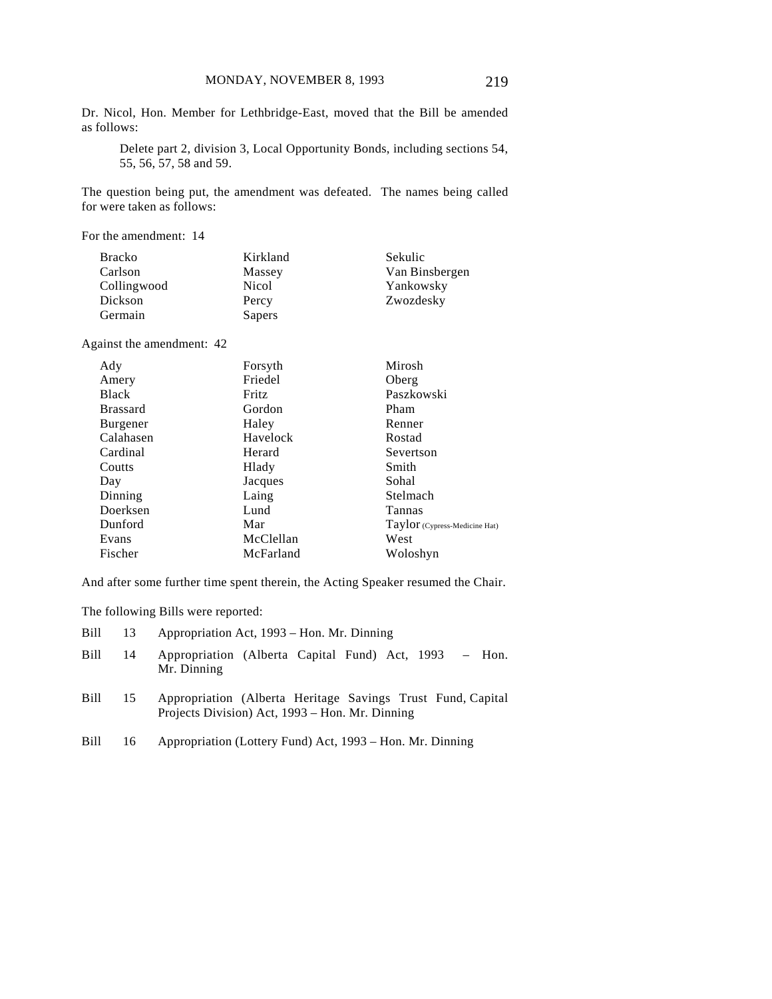Dr. Nicol, Hon. Member for Lethbridge-East, moved that the Bill be amended as follows:

Delete part 2, division 3, Local Opportunity Bonds, including sections 54, 55, 56, 57, 58 and 59.

The question being put, the amendment was defeated. The names being called for were taken as follows:

For the amendment: 14

| <b>Bracko</b> | Kirkland | Sekulic        |
|---------------|----------|----------------|
| Carlson       | Massey   | Van Binsbergen |
| Collingwood   | Nicol    | Yankowsky      |
| Dickson       | Percy    | Zwozdesky      |
| Germain       | Sapers   |                |

Against the amendment: 42

| Ady             | Forsyth   | Mirosh                        |
|-----------------|-----------|-------------------------------|
| Amery           | Friedel   | Oberg                         |
| <b>Black</b>    | Fritz     | Paszkowski                    |
| <b>Brassard</b> | Gordon    | Pham                          |
| <b>Burgener</b> | Haley     | Renner                        |
| Calahasen       | Havelock  | Rostad                        |
| Cardinal        | Herard    | Severtson                     |
| Coutts          | Hlady     | Smith                         |
| Day             | Jacques   | Sohal                         |
| Dinning         | Laing     | Stelmach                      |
| Doerksen        | Lund      | Tannas                        |
| Dunford         | Mar       | Taylor (Cypress-Medicine Hat) |
| Evans           | McClellan | West                          |
| Fischer         | McFarland | Woloshyn                      |

And after some further time spent therein, the Acting Speaker resumed the Chair.

The following Bills were reported:

| Bill        |    | Appropriation Act, 1993 – Hon. Mr. Dinning                                                                     |  |  |  |  |
|-------------|----|----------------------------------------------------------------------------------------------------------------|--|--|--|--|
| Bill        | 14 | Appropriation (Alberta Capital Fund) Act, 1993 – Hon.<br>Mr. Dinning                                           |  |  |  |  |
| <b>Bill</b> | 15 | Appropriation (Alberta Heritage Savings Trust Fund, Capital<br>Projects Division) Act, 1993 – Hon. Mr. Dinning |  |  |  |  |
| <b>Bill</b> | 16 | Appropriation (Lottery Fund) Act, 1993 – Hon. Mr. Dinning                                                      |  |  |  |  |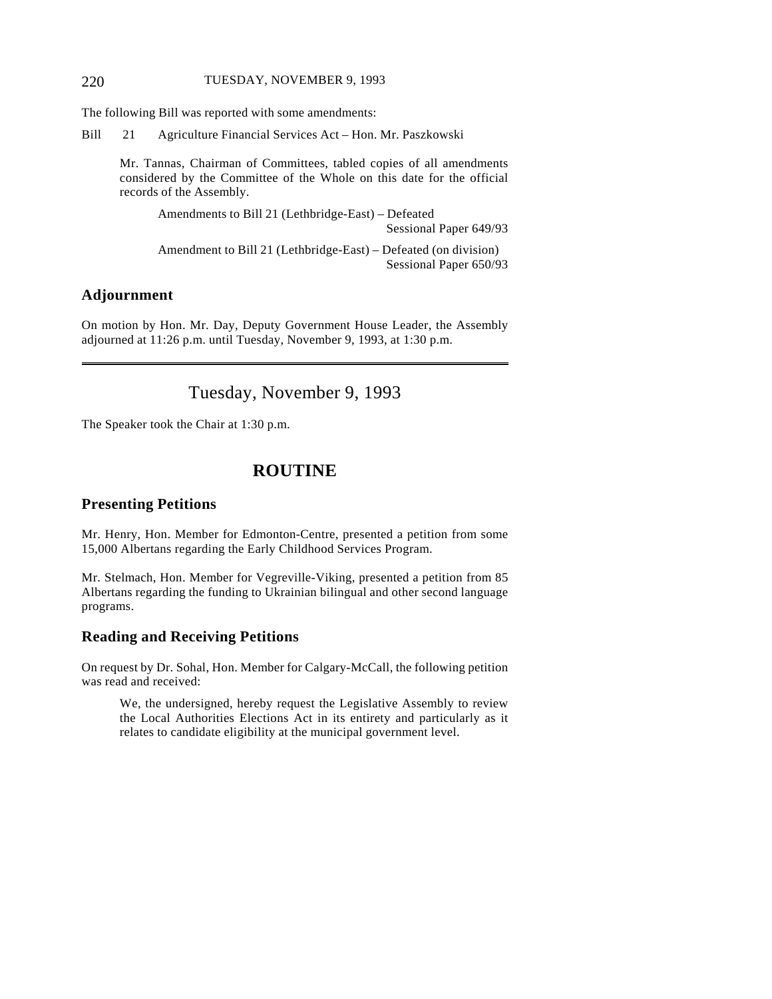The following Bill was reported with some amendments:

Bill 21 Agriculture Financial Services Act – Hon. Mr. Paszkowski

Mr. Tannas, Chairman of Committees, tabled copies of all amendments considered by the Committee of the Whole on this date for the official records of the Assembly.

Amendments to Bill 21 (Lethbridge-East) – Defeated Sessional Paper 649/93

Amendment to Bill 21 (Lethbridge-East) – Defeated (on division) Sessional Paper 650/93

# **Adjournment**

 $\overline{a}$ 

On motion by Hon. Mr. Day, Deputy Government House Leader, the Assembly adjourned at 11:26 p.m. until Tuesday, November 9, 1993, at 1:30 p.m.

# Tuesday, November 9, 1993

The Speaker took the Chair at 1:30 p.m.

# **ROUTINE**

# **Presenting Petitions**

Mr. Henry, Hon. Member for Edmonton-Centre, presented a petition from some 15,000 Albertans regarding the Early Childhood Services Program.

Mr. Stelmach, Hon. Member for Vegreville-Viking, presented a petition from 85 Albertans regarding the funding to Ukrainian bilingual and other second language programs.

# **Reading and Receiving Petitions**

On request by Dr. Sohal, Hon. Member for Calgary-McCall, the following petition was read and received:

We, the undersigned, hereby request the Legislative Assembly to review the Local Authorities Elections Act in its entirety and particularly as it relates to candidate eligibility at the municipal government level.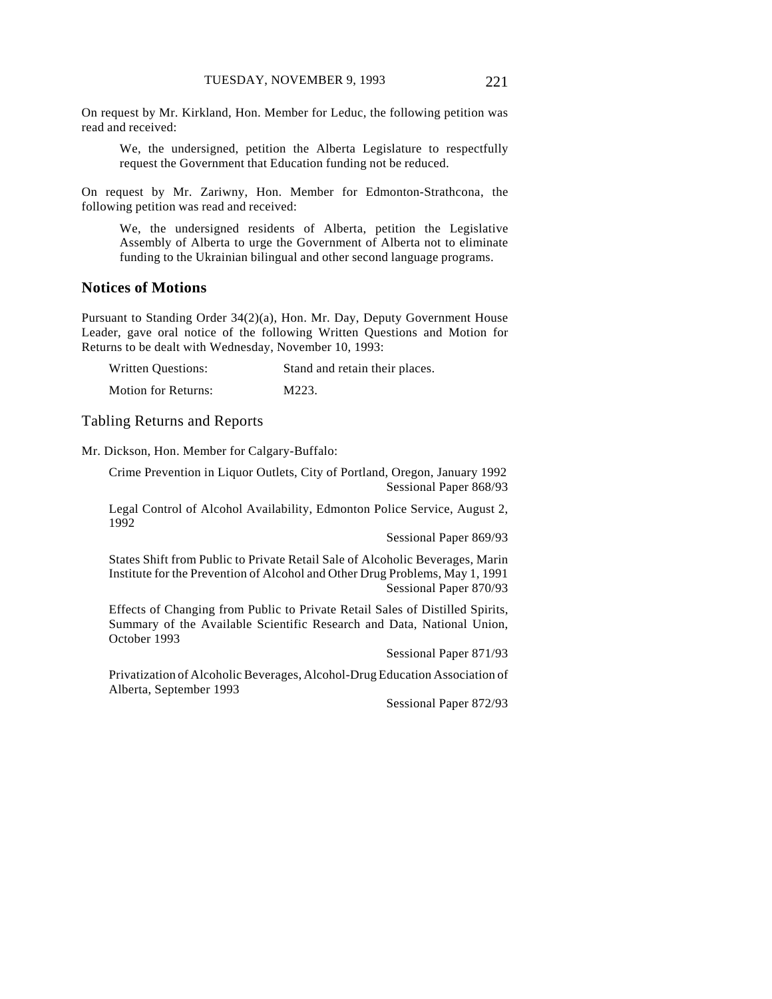On request by Mr. Kirkland, Hon. Member for Leduc, the following petition was read and received:

We, the undersigned, petition the Alberta Legislature to respectfully request the Government that Education funding not be reduced.

On request by Mr. Zariwny, Hon. Member for Edmonton-Strathcona, the following petition was read and received:

We, the undersigned residents of Alberta, petition the Legislative Assembly of Alberta to urge the Government of Alberta not to eliminate funding to the Ukrainian bilingual and other second language programs.

# **Notices of Motions**

Pursuant to Standing Order 34(2)(a), Hon. Mr. Day, Deputy Government House Leader, gave oral notice of the following Written Questions and Motion for Returns to be dealt with Wednesday, November 10, 1993:

| <b>Written Questions:</b>  | Stand and retain their places. |
|----------------------------|--------------------------------|
| <b>Motion for Returns:</b> | M223.                          |

#### Tabling Returns and Reports

Mr. Dickson, Hon. Member for Calgary-Buffalo:

Crime Prevention in Liquor Outlets, City of Portland, Oregon, January 1992 Sessional Paper 868/93

Legal Control of Alcohol Availability, Edmonton Police Service, August 2, 1992

Sessional Paper 869/93

States Shift from Public to Private Retail Sale of Alcoholic Beverages, Marin Institute for the Prevention of Alcohol and Other Drug Problems, May 1, 1991 Sessional Paper 870/93

Effects of Changing from Public to Private Retail Sales of Distilled Spirits, Summary of the Available Scientific Research and Data, National Union, October 1993

Sessional Paper 871/93

Privatization of Alcoholic Beverages, Alcohol-Drug Education Association of Alberta, September 1993

Sessional Paper 872/93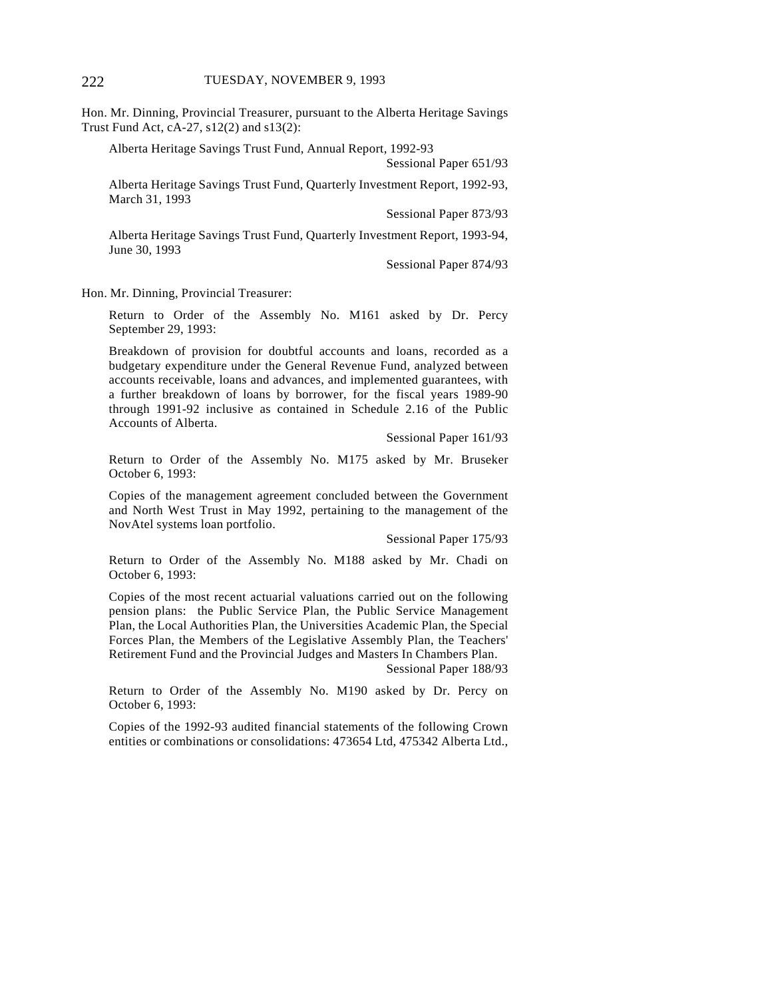Hon. Mr. Dinning, Provincial Treasurer, pursuant to the Alberta Heritage Savings Trust Fund Act, cA-27, s12(2) and s13(2):

Alberta Heritage Savings Trust Fund, Annual Report, 1992-93

Sessional Paper 651/93

Alberta Heritage Savings Trust Fund, Quarterly Investment Report, 1992-93, March 31, 1993

Sessional Paper 873/93

Alberta Heritage Savings Trust Fund, Quarterly Investment Report, 1993-94, June 30, 1993

Sessional Paper 874/93

Hon. Mr. Dinning, Provincial Treasurer:

Return to Order of the Assembly No. M161 asked by Dr. Percy September 29, 1993:

Breakdown of provision for doubtful accounts and loans, recorded as a budgetary expenditure under the General Revenue Fund, analyzed between accounts receivable, loans and advances, and implemented guarantees, with a further breakdown of loans by borrower, for the fiscal years 1989-90 through 1991-92 inclusive as contained in Schedule 2.16 of the Public Accounts of Alberta.

Sessional Paper 161/93

Return to Order of the Assembly No. M175 asked by Mr. Bruseker October 6, 1993:

Copies of the management agreement concluded between the Government and North West Trust in May 1992, pertaining to the management of the NovAtel systems loan portfolio.

Sessional Paper 175/93

Return to Order of the Assembly No. M188 asked by Mr. Chadi on October 6, 1993:

Copies of the most recent actuarial valuations carried out on the following pension plans: the Public Service Plan, the Public Service Management Plan, the Local Authorities Plan, the Universities Academic Plan, the Special Forces Plan, the Members of the Legislative Assembly Plan, the Teachers' Retirement Fund and the Provincial Judges and Masters In Chambers Plan.

Sessional Paper 188/93

Return to Order of the Assembly No. M190 asked by Dr. Percy on October 6, 1993:

Copies of the 1992-93 audited financial statements of the following Crown entities or combinations or consolidations: 473654 Ltd, 475342 Alberta Ltd.,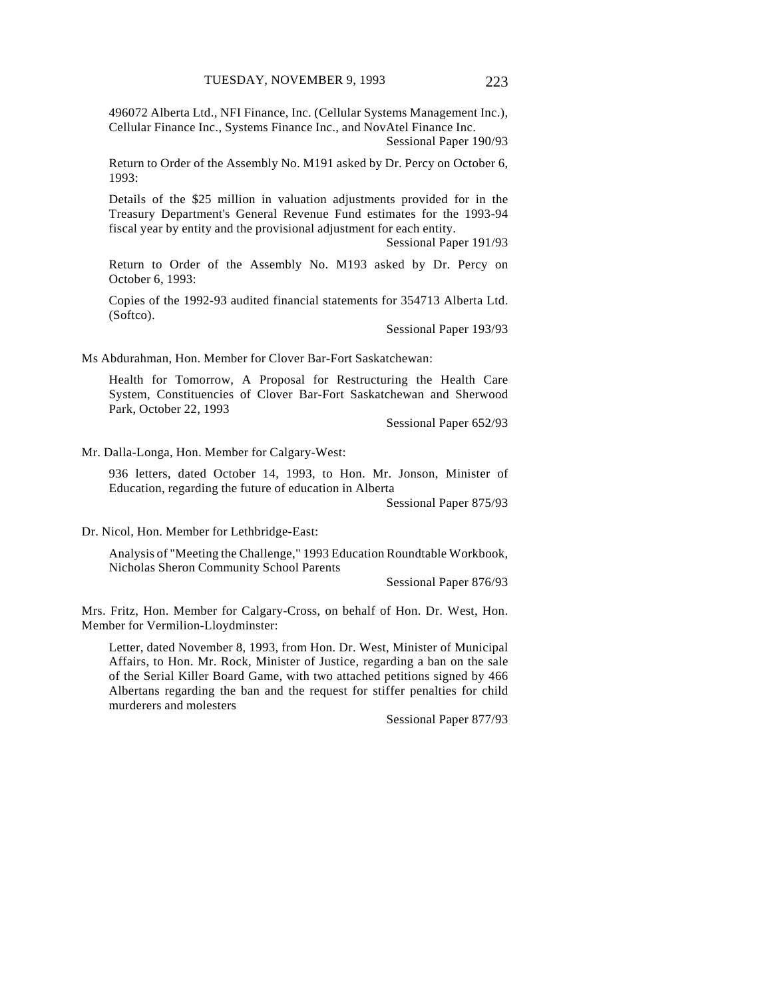496072 Alberta Ltd., NFI Finance, Inc. (Cellular Systems Management Inc.), Cellular Finance Inc., Systems Finance Inc., and NovAtel Finance Inc.

Sessional Paper 190/93

Return to Order of the Assembly No. M191 asked by Dr. Percy on October 6, 1993:

Details of the \$25 million in valuation adjustments provided for in the Treasury Department's General Revenue Fund estimates for the 1993-94 fiscal year by entity and the provisional adjustment for each entity.

Sessional Paper 191/93

Return to Order of the Assembly No. M193 asked by Dr. Percy on October 6, 1993:

Copies of the 1992-93 audited financial statements for 354713 Alberta Ltd. (Softco).

Sessional Paper 193/93

Ms Abdurahman, Hon. Member for Clover Bar-Fort Saskatchewan:

Health for Tomorrow, A Proposal for Restructuring the Health Care System, Constituencies of Clover Bar-Fort Saskatchewan and Sherwood Park, October 22, 1993

Sessional Paper 652/93

Mr. Dalla-Longa, Hon. Member for Calgary-West:

936 letters, dated October 14, 1993, to Hon. Mr. Jonson, Minister of Education, regarding the future of education in Alberta

Sessional Paper 875/93

Dr. Nicol, Hon. Member for Lethbridge-East:

Analysis of "Meeting the Challenge," 1993 Education Roundtable Workbook, Nicholas Sheron Community School Parents

Sessional Paper 876/93

Mrs. Fritz, Hon. Member for Calgary-Cross, on behalf of Hon. Dr. West, Hon. Member for Vermilion-Lloydminster:

Letter, dated November 8, 1993, from Hon. Dr. West, Minister of Municipal Affairs, to Hon. Mr. Rock, Minister of Justice, regarding a ban on the sale of the Serial Killer Board Game, with two attached petitions signed by 466 Albertans regarding the ban and the request for stiffer penalties for child murderers and molesters

Sessional Paper 877/93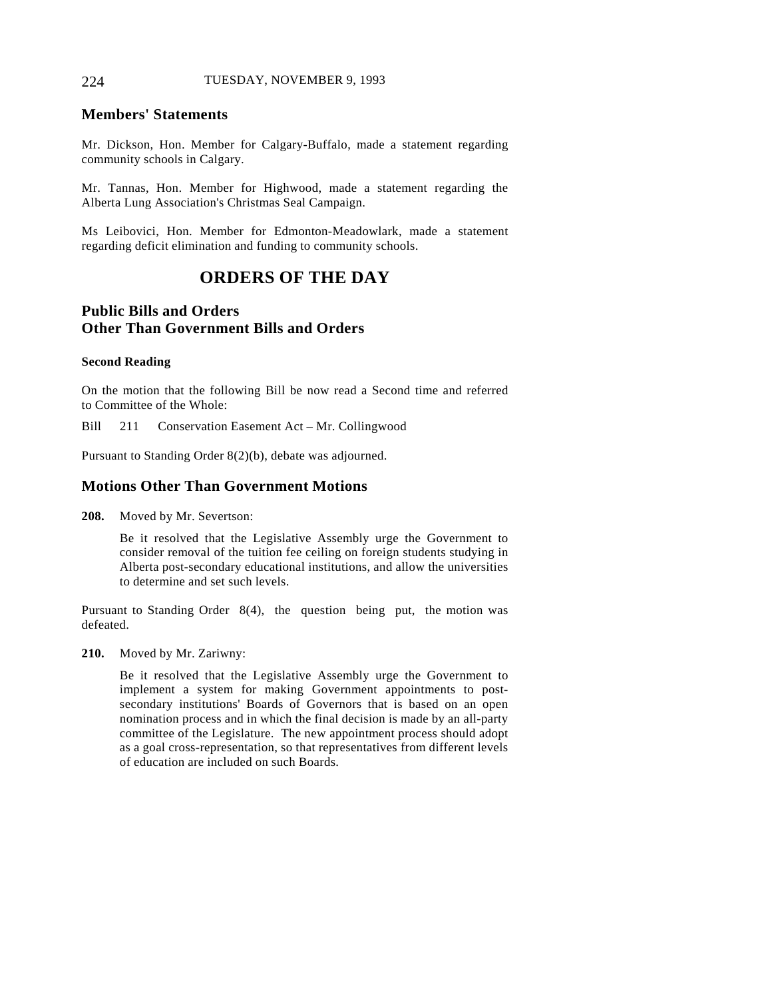## **Members' Statements**

Mr. Dickson, Hon. Member for Calgary-Buffalo, made a statement regarding community schools in Calgary.

Mr. Tannas, Hon. Member for Highwood, made a statement regarding the Alberta Lung Association's Christmas Seal Campaign.

Ms Leibovici, Hon. Member for Edmonton-Meadowlark, made a statement regarding deficit elimination and funding to community schools.

# **ORDERS OF THE DAY**

# **Public Bills and Orders Other Than Government Bills and Orders**

#### **Second Reading**

On the motion that the following Bill be now read a Second time and referred to Committee of the Whole:

Bill 211 Conservation Easement Act – Mr. Collingwood

Pursuant to Standing Order 8(2)(b), debate was adjourned.

# **Motions Other Than Government Motions**

**208.** Moved by Mr. Severtson:

Be it resolved that the Legislative Assembly urge the Government to consider removal of the tuition fee ceiling on foreign students studying in Alberta post-secondary educational institutions, and allow the universities to determine and set such levels.

Pursuant to Standing Order 8(4), the question being put, the motion was defeated.

**210.** Moved by Mr. Zariwny:

Be it resolved that the Legislative Assembly urge the Government to implement a system for making Government appointments to postsecondary institutions' Boards of Governors that is based on an open nomination process and in which the final decision is made by an all-party committee of the Legislature. The new appointment process should adopt as a goal cross-representation, so that representatives from different levels of education are included on such Boards.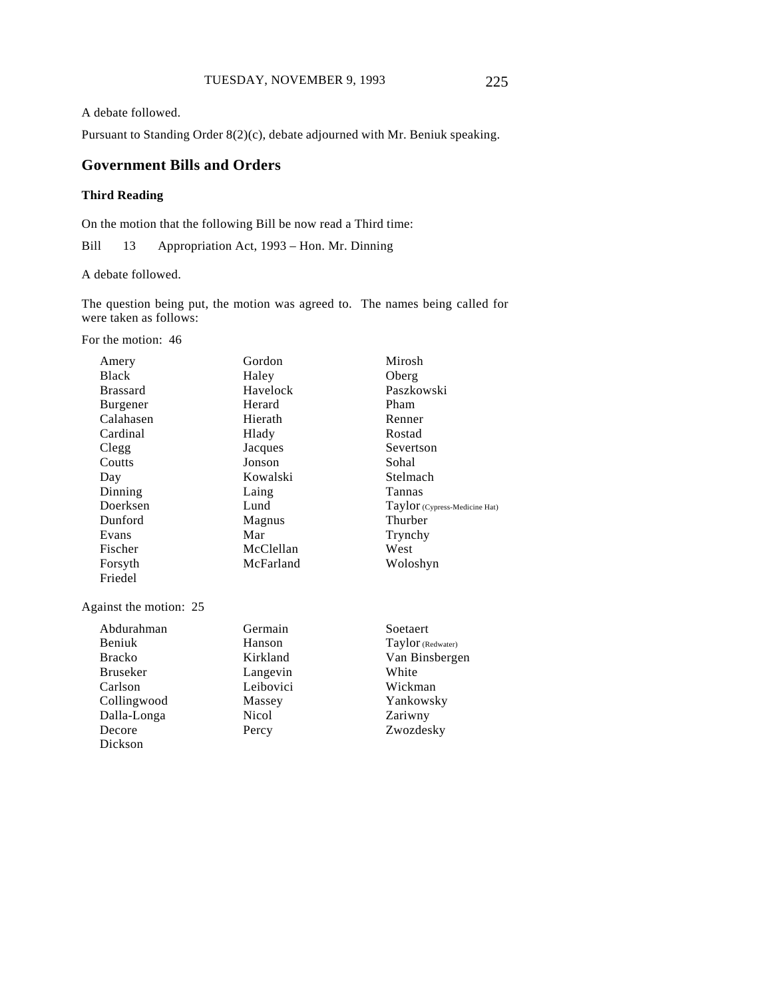A debate followed.

Pursuant to Standing Order 8(2)(c), debate adjourned with Mr. Beniuk speaking.

# **Government Bills and Orders**

# **Third Reading**

On the motion that the following Bill be now read a Third time:

Bill 13 Appropriation Act, 1993 – Hon. Mr. Dinning

A debate followed.

The question being put, the motion was agreed to. The names being called for were taken as follows:

For the motion: 46

Dickson

| Amery                  | Gordon    | Mirosh                        |
|------------------------|-----------|-------------------------------|
| <b>Black</b>           | Haley     | Oberg                         |
| <b>Brassard</b>        | Havelock  | Paszkowski                    |
| Burgener               | Herard    | Pham                          |
| Calahasen              | Hierath   | Renner                        |
| Cardinal               | Hlady     | Rostad                        |
| Clegg                  | Jacques   | Severtson                     |
| Coutts                 | Jonson    | Sohal                         |
| Day                    | Kowalski  | Stelmach                      |
| Dinning                | Laing     | Tannas                        |
| Doerksen               | Lund      | Taylor (Cypress-Medicine Hat) |
| Dunford                | Magnus    | Thurber                       |
| Evans                  | Mar       | Trynchy                       |
| Fischer                | McClellan | West                          |
| Forsyth                | McFarland | Woloshyn                      |
| Friedel                |           |                               |
| Against the motion: 25 |           |                               |
| Abdurahman             | Germain   | Soetaert                      |
| <b>Beniuk</b>          | Hanson    | Taylor (Redwater)             |
| <b>Bracko</b>          | Kirkland  | Van Binsbergen                |
| <b>Bruseker</b>        | Langevin  | White                         |
| Carlson                | Leibovici | Wickman                       |
| Collingwood            | Massey    | Yankowsky                     |
| Dalla-Longa            | Nicol     | Zariwny                       |
| Decore                 | Percy     | Zwozdesky                     |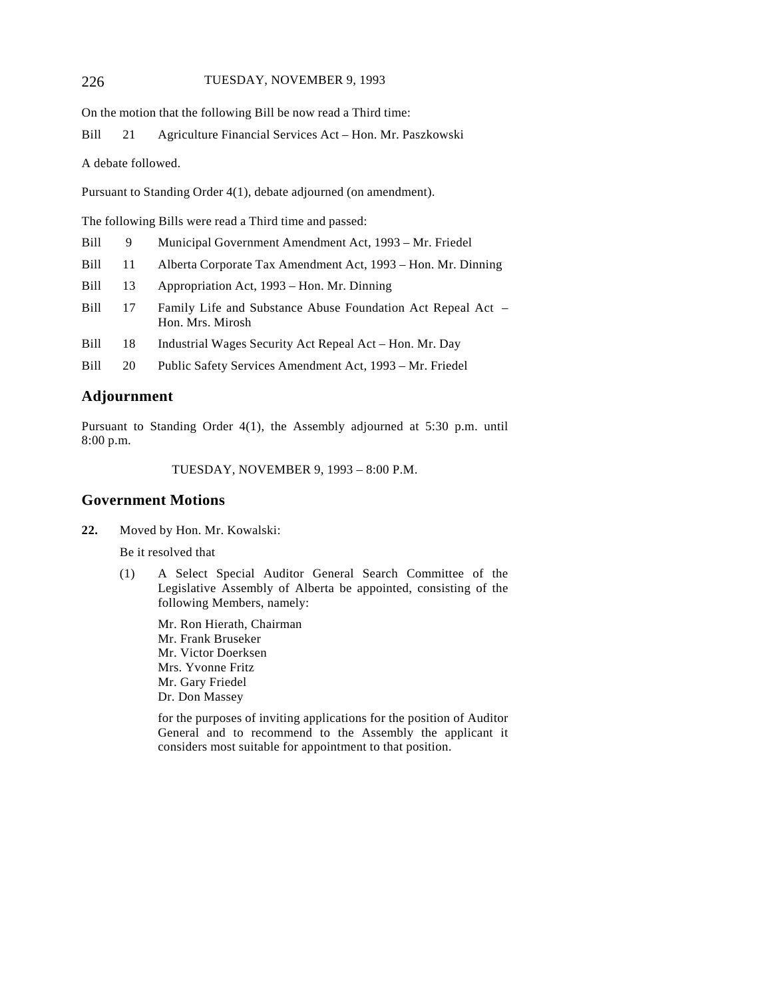On the motion that the following Bill be now read a Third time:

Bill 21 Agriculture Financial Services Act – Hon. Mr. Paszkowski

A debate followed.

Pursuant to Standing Order 4(1), debate adjourned (on amendment).

The following Bills were read a Third time and passed:

| Bill |  | Municipal Government Amendment Act, 1993 – Mr. Friedel |  |  |  |  |  |  |
|------|--|--------------------------------------------------------|--|--|--|--|--|--|
| ___  |  |                                                        |  |  |  |  |  |  |

- Bill 11 Alberta Corporate Tax Amendment Act, 1993 Hon. Mr. Dinning
- Bill 13 Appropriation Act, 1993 Hon. Mr. Dinning
- Bill 17 Family Life and Substance Abuse Foundation Act Repeal Act -Hon. Mrs. Mirosh
- Bill 18 Industrial Wages Security Act Repeal Act Hon. Mr. Day
- Bill 20 Public Safety Services Amendment Act, 1993 Mr. Friedel

### **Adjournment**

Pursuant to Standing Order 4(1), the Assembly adjourned at 5:30 p.m. until 8:00 p.m.

TUESDAY, NOVEMBER 9, 1993 – 8:00 P.M.

## **Government Motions**

**22.** Moved by Hon. Mr. Kowalski:

Be it resolved that

(1) A Select Special Auditor General Search Committee of the Legislative Assembly of Alberta be appointed, consisting of the following Members, namely:

Mr. Ron Hierath, Chairman Mr. Frank Bruseker Mr. Victor Doerksen Mrs. Yvonne Fritz Mr. Gary Friedel Dr. Don Massey

for the purposes of inviting applications for the position of Auditor General and to recommend to the Assembly the applicant it considers most suitable for appointment to that position.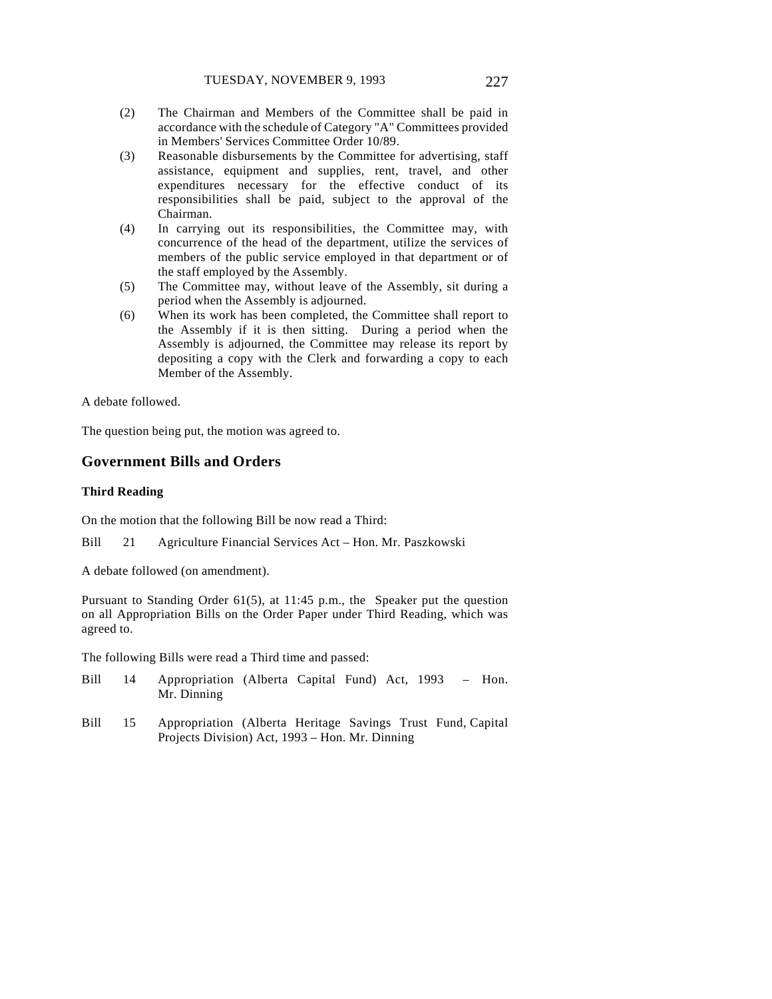- (2) The Chairman and Members of the Committee shall be paid in accordance with the schedule of Category "A" Committees provided in Members' Services Committee Order 10/89.
- (3) Reasonable disbursements by the Committee for advertising, staff assistance, equipment and supplies, rent, travel, and other expenditures necessary for the effective conduct of its responsibilities shall be paid, subject to the approval of the Chairman.
- (4) In carrying out its responsibilities, the Committee may, with concurrence of the head of the department, utilize the services of members of the public service employed in that department or of the staff employed by the Assembly.
- (5) The Committee may, without leave of the Assembly, sit during a period when the Assembly is adjourned.
- (6) When its work has been completed, the Committee shall report to the Assembly if it is then sitting. During a period when the Assembly is adjourned, the Committee may release its report by depositing a copy with the Clerk and forwarding a copy to each Member of the Assembly.

A debate followed.

The question being put, the motion was agreed to.

## **Government Bills and Orders**

#### **Third Reading**

On the motion that the following Bill be now read a Third:

Bill 21 Agriculture Financial Services Act – Hon. Mr. Paszkowski

A debate followed (on amendment).

Pursuant to Standing Order 61(5), at 11:45 p.m., the Speaker put the question on all Appropriation Bills on the Order Paper under Third Reading, which was agreed to.

The following Bills were read a Third time and passed:

- Bill 14 Appropriation (Alberta Capital Fund) Act, 1993 Hon. Mr. Dinning
- Bill 15 Appropriation (Alberta Heritage Savings Trust Fund, Capital Projects Division) Act, 1993 – Hon. Mr. Dinning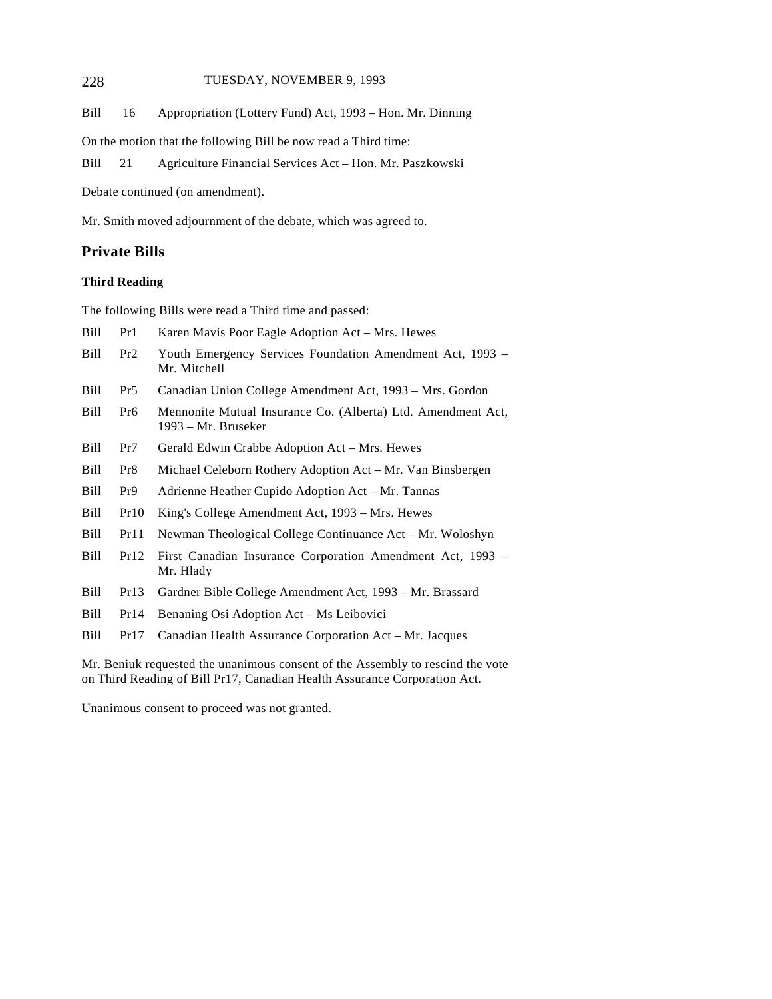Bill 16 Appropriation (Lottery Fund) Act, 1993 – Hon. Mr. Dinning

On the motion that the following Bill be now read a Third time:

Bill 21 Agriculture Financial Services Act – Hon. Mr. Paszkowski

Debate continued (on amendment).

Mr. Smith moved adjournment of the debate, which was agreed to.

# **Private Bills**

#### **Third Reading**

The following Bills were read a Third time and passed:

- Bill Pr1 Karen Mavis Poor Eagle Adoption Act Mrs. Hewes
- Bill Pr2 Youth Emergency Services Foundation Amendment Act, 1993 Mr. Mitchell
- Bill Pr5 Canadian Union College Amendment Act, 1993 Mrs. Gordon
- Bill Pr6 Mennonite Mutual Insurance Co. (Alberta) Ltd. Amendment Act, 1993 – Mr. Bruseker
- Bill Pr7 Gerald Edwin Crabbe Adoption Act Mrs. Hewes
- Bill Pr8 Michael Celeborn Rothery Adoption Act Mr. Van Binsbergen
- Bill Pr9 Adrienne Heather Cupido Adoption Act Mr. Tannas
- Bill Pr10 King's College Amendment Act, 1993 Mrs. Hewes
- Bill Pr11 Newman Theological College Continuance Act Mr. Woloshyn
- Bill Pr12 First Canadian Insurance Corporation Amendment Act, 1993 Mr. Hlady
- Bill Pr13 Gardner Bible College Amendment Act, 1993 Mr. Brassard
- Bill Pr14 Benaning Osi Adoption Act Ms Leibovici
- Bill Pr17 Canadian Health Assurance Corporation Act Mr. Jacques

Mr. Beniuk requested the unanimous consent of the Assembly to rescind the vote on Third Reading of Bill Pr17, Canadian Health Assurance Corporation Act.

Unanimous consent to proceed was not granted.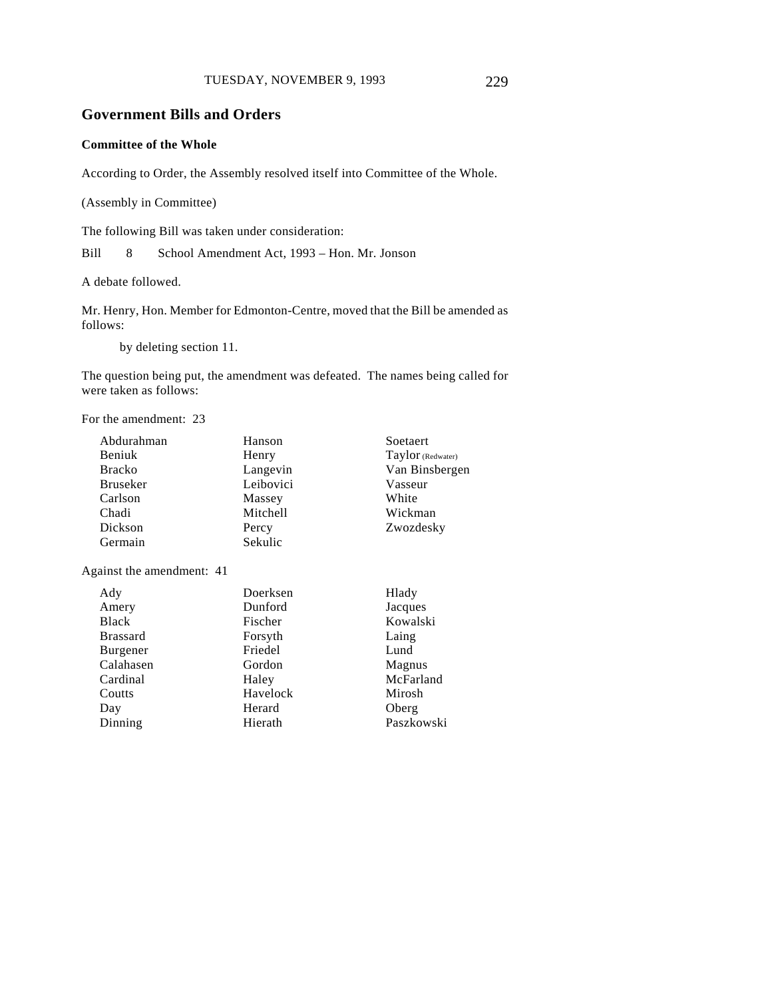# **Government Bills and Orders**

#### **Committee of the Whole**

According to Order, the Assembly resolved itself into Committee of the Whole.

(Assembly in Committee)

The following Bill was taken under consideration:

Bill 8 School Amendment Act, 1993 – Hon. Mr. Jonson

A debate followed.

Mr. Henry, Hon. Member for Edmonton-Centre, moved that the Bill be amended as follows:

by deleting section 11.

The question being put, the amendment was defeated. The names being called for were taken as follows:

For the amendment: 23

| Abdurahman      | Hanson    | Soetaert          |
|-----------------|-----------|-------------------|
| Beniuk          | Henry     | Taylor (Redwater) |
| <b>Bracko</b>   | Langevin  | Van Binsberge     |
| <b>Bruseker</b> | Leibovici | Vasseur           |
| Carlson         | Massey    | White             |
| Chadi           | Mitchell  | Wickman           |
| Dickson         | Percy     | Zwozdesky         |
| Germain         | Sekulic   |                   |
|                 |           |                   |

Against the amendment: 41

| Ady             | Doerksen |
|-----------------|----------|
| Amery           | Dunford  |
| Black           | Fischer  |
| <b>Brassard</b> | Forsyth  |
| Burgener        | Friedel  |
| Calahasen       | Gordon   |
| Cardinal        | Haley    |
| Coutts          | Havelock |
| Day             | Herard   |
| Dinning         | Hierath  |
|                 |          |

Van Binsbergen

Hlady Jacques Kowalski Laing Lund Magnus McFarland Mirosh Oberg Paszkowski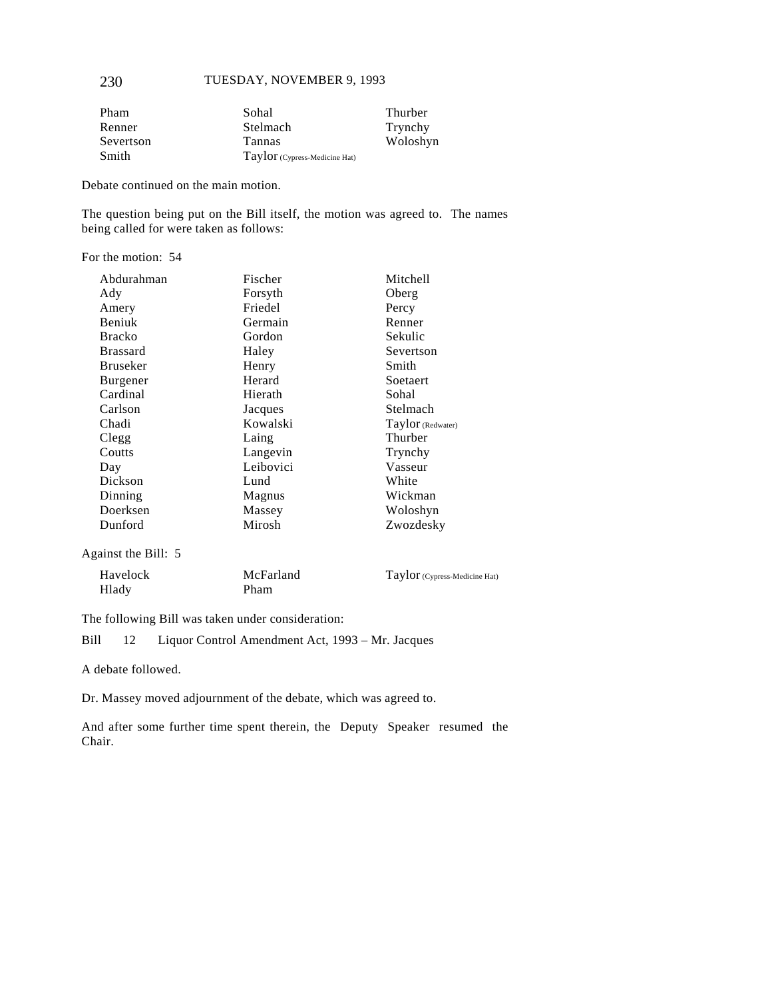| Pham      | Sohal                         | Thurber  |
|-----------|-------------------------------|----------|
| Renner    | Stelmach                      | Trynchy  |
| Severtson | <b>Tannas</b>                 | Woloshyn |
| Smith     | Taylor (Cypress-Medicine Hat) |          |

Debate continued on the main motion.

The question being put on the Bill itself, the motion was agreed to. The names being called for were taken as follows:

#### For the motion: 54

| Abdurahman      | Fischer   | Mitchell          |
|-----------------|-----------|-------------------|
| Ady             | Forsyth   | Oberg             |
| Amery           | Friedel   | Percy             |
| Beniuk          | Germain   | Renner            |
| <b>Bracko</b>   | Gordon    | Sekulic           |
| <b>Brassard</b> | Haley     | Severtson         |
| <b>Bruseker</b> | Henry     | Smith             |
| <b>Burgener</b> | Herard    | <b>Soetaert</b>   |
| Cardinal        | Hierath   | Sohal             |
| Carlson         | Jacques   | Stelmach          |
| Chadi           | Kowalski  | Taylor (Redwater) |
| Clegg           | Laing     | Thurber           |
| Coutts          | Langevin  | Trynchy           |
| Day             | Leibovici | Vasseur           |
| Dickson         | Lund      | White             |
| Dinning         | Magnus    | Wickman           |
| Doerksen        | Massey    | Woloshyn          |
| Dunford         | Mirosh    | Zwozdesky         |
|                 |           |                   |

Against the Bill: 5

| Havelock | McFarland | Taylor (Cypress-Medicine Hat) |
|----------|-----------|-------------------------------|
| Hlady    | Pham      |                               |

The following Bill was taken under consideration:

Bill 12 Liquor Control Amendment Act, 1993 – Mr. Jacques

A debate followed.

Dr. Massey moved adjournment of the debate, which was agreed to.

And after some further time spent therein, the Deputy Speaker resumed the Chair.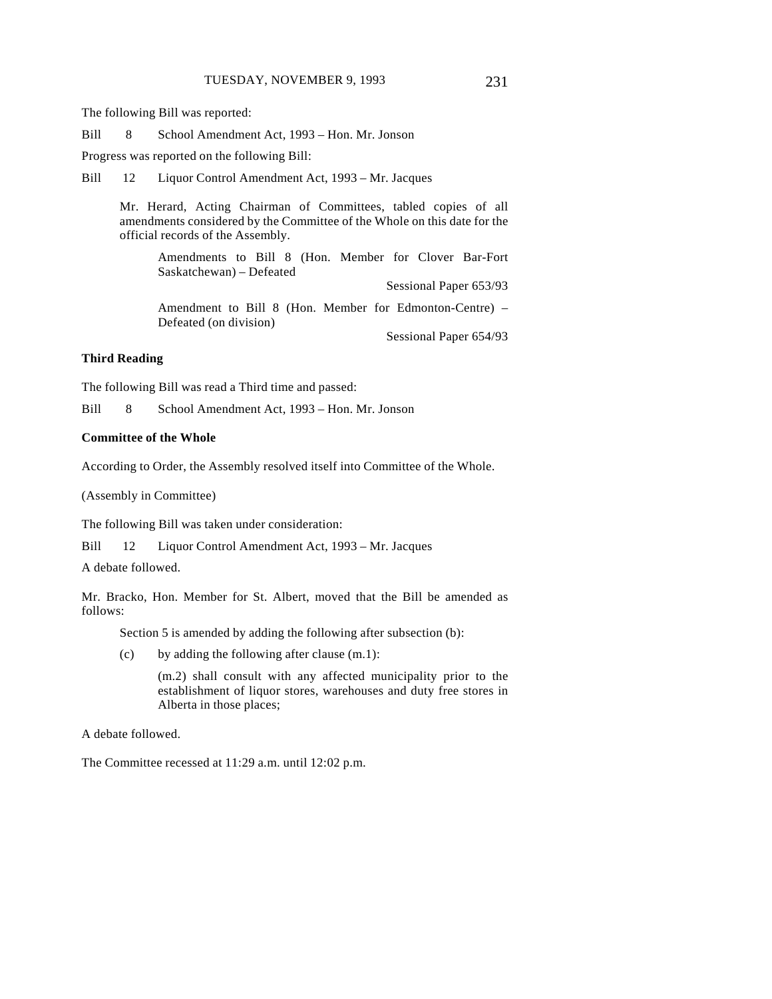The following Bill was reported:

Bill 8 School Amendment Act, 1993 – Hon. Mr. Jonson

Progress was reported on the following Bill:

Bill 12 Liquor Control Amendment Act, 1993 – Mr. Jacques

Mr. Herard, Acting Chairman of Committees, tabled copies of all amendments considered by the Committee of the Whole on this date for the official records of the Assembly.

Amendments to Bill 8 (Hon. Member for Clover Bar-Fort Saskatchewan) – Defeated

Sessional Paper 653/93

Amendment to Bill 8 (Hon. Member for Edmonton-Centre) – Defeated (on division)

Sessional Paper 654/93

#### **Third Reading**

The following Bill was read a Third time and passed:

Bill 8 School Amendment Act, 1993 – Hon. Mr. Jonson

#### **Committee of the Whole**

According to Order, the Assembly resolved itself into Committee of the Whole.

(Assembly in Committee)

The following Bill was taken under consideration:

Bill 12 Liquor Control Amendment Act, 1993 – Mr. Jacques

A debate followed.

Mr. Bracko, Hon. Member for St. Albert, moved that the Bill be amended as follows:

Section 5 is amended by adding the following after subsection (b):

(c) by adding the following after clause (m.1):

(m.2) shall consult with any affected municipality prior to the establishment of liquor stores, warehouses and duty free stores in Alberta in those places;

A debate followed.

The Committee recessed at 11:29 a.m. until 12:02 p.m.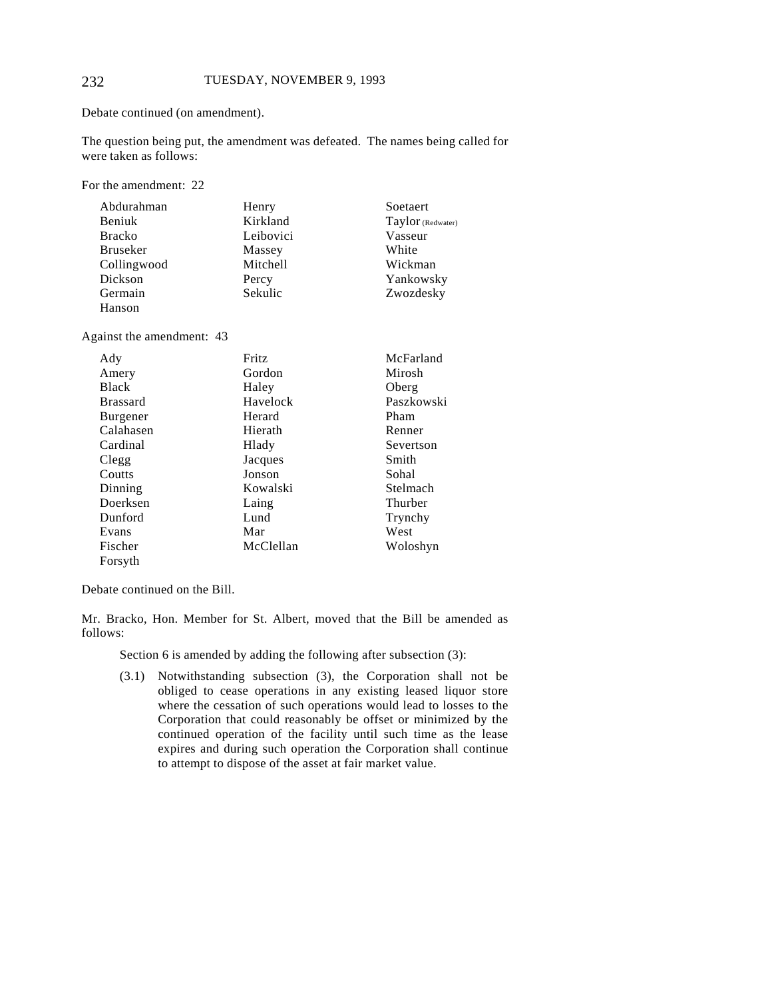Debate continued (on amendment).

The question being put, the amendment was defeated. The names being called for were taken as follows:

For the amendment: 22

| Abdurahman      | Henry     | Soetaert          |
|-----------------|-----------|-------------------|
| Beniuk          | Kirkland  | Taylor (Redwater) |
| <b>Bracko</b>   | Leibovici | Vasseur           |
| <b>Bruseker</b> | Massey    | White             |
| Collingwood     | Mitchell  | Wickman           |
| Dickson         | Percy     | Yankowsky         |
| Germain         | Sekulic   | Zwozdesky         |
| Hanson          |           |                   |

Against the amendment: 43

| Ady             | Fritz     | McFarland  |
|-----------------|-----------|------------|
| Amery           | Gordon    | Mirosh     |
| <b>Black</b>    | Haley     | Oberg      |
| <b>Brassard</b> | Havelock  | Paszkowski |
| <b>Burgener</b> | Herard    | Pham       |
| Calahasen       | Hierath   | Renner     |
| Cardinal        | Hlady     | Severtson  |
| Clegg           | Jacques   | Smith      |
| Coutts          | Jonson    | Sohal      |
| Dinning         | Kowalski  | Stelmach   |
| Doerksen        | Laing     | Thurber    |
| Dunford         | Lund      | Trynchy    |
| Evans           | Mar       | West       |
| Fischer         | McClellan | Woloshyn   |
| Forsyth         |           |            |

Debate continued on the Bill.

Mr. Bracko, Hon. Member for St. Albert, moved that the Bill be amended as follows:

Section 6 is amended by adding the following after subsection (3):

(3.1) Notwithstanding subsection (3), the Corporation shall not be obliged to cease operations in any existing leased liquor store where the cessation of such operations would lead to losses to the Corporation that could reasonably be offset or minimized by the continued operation of the facility until such time as the lease expires and during such operation the Corporation shall continue to attempt to dispose of the asset at fair market value.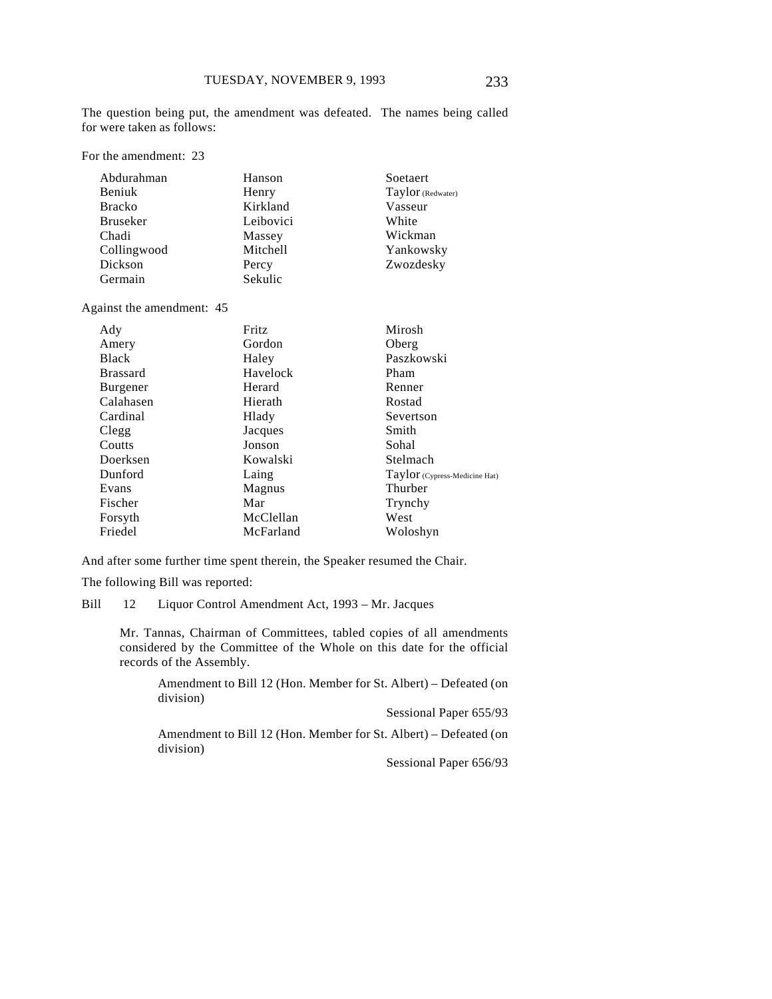The question being put, the amendment was defeated. The names being called for were taken as follows:

For the amendment: 23

| Abdurahman      | Hanson    | Soetaert          |
|-----------------|-----------|-------------------|
| <b>Beniuk</b>   | Henry     | Taylor (Redwater) |
| <b>Bracko</b>   | Kirkland  | Vasseur           |
| <b>Bruseker</b> | Leibovici | White             |
| Chadi           | Massey    | Wickman           |
| Collingwood     | Mitchell  | Yankowsky         |
| Dickson         | Percy     | Zwozdesky         |
| Germain         | Sekulic   |                   |

Against the amendment: 45

| Ady             | Fritz     | Mirosh                        |
|-----------------|-----------|-------------------------------|
| Amery           | Gordon    | Oberg                         |
| <b>Black</b>    | Haley     | Paszkowski                    |
| <b>Brassard</b> | Havelock  | Pham                          |
| <b>Burgener</b> | Herard    | Renner                        |
| Calahasen       | Hierath   | Rostad                        |
| Cardinal        | Hlady     | Severtson                     |
| Clegg           | Jacques   | Smith                         |
| Coutts          | Jonson    | Sohal                         |
| Doerksen        | Kowalski  | Stelmach                      |
| Dunford         | Laing     | Taylor (Cypress-Medicine Hat) |
| Evans           | Magnus    | Thurber                       |
| Fischer         | Mar       | Trynchy                       |
| Forsyth         | McClellan | West                          |
| Friedel         | McFarland | Woloshyn                      |

And after some further time spent therein, the Speaker resumed the Chair.

The following Bill was reported:

Bill 12 Liquor Control Amendment Act, 1993 – Mr. Jacques

Mr. Tannas, Chairman of Committees, tabled copies of all amendments considered by the Committee of the Whole on this date for the official records of the Assembly.

Amendment to Bill 12 (Hon. Member for St. Albert) – Defeated (on division)

Sessional Paper 655/93

Amendment to Bill 12 (Hon. Member for St. Albert) – Defeated (on division)

Sessional Paper 656/93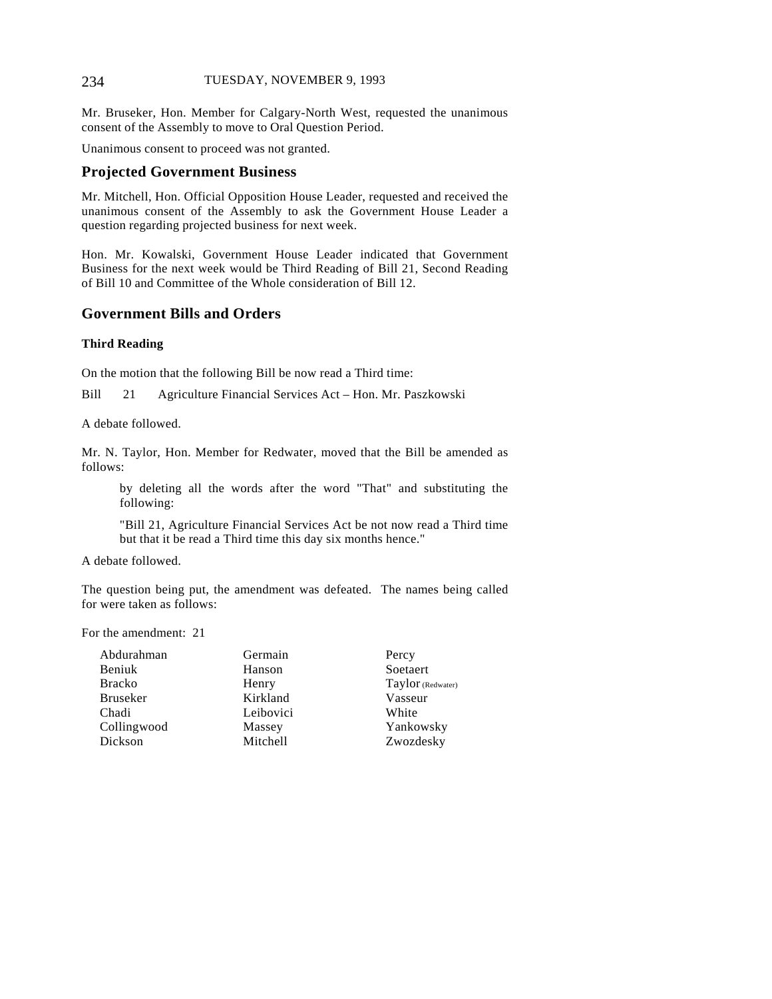Mr. Bruseker, Hon. Member for Calgary-North West, requested the unanimous consent of the Assembly to move to Oral Question Period.

Unanimous consent to proceed was not granted.

# **Projected Government Business**

Mr. Mitchell, Hon. Official Opposition House Leader, requested and received the unanimous consent of the Assembly to ask the Government House Leader a question regarding projected business for next week.

Hon. Mr. Kowalski, Government House Leader indicated that Government Business for the next week would be Third Reading of Bill 21, Second Reading of Bill 10 and Committee of the Whole consideration of Bill 12.

### **Government Bills and Orders**

#### **Third Reading**

On the motion that the following Bill be now read a Third time:

Bill 21 Agriculture Financial Services Act – Hon. Mr. Paszkowski

A debate followed.

Mr. N. Taylor, Hon. Member for Redwater, moved that the Bill be amended as follows:

by deleting all the words after the word "That" and substituting the following:

"Bill 21, Agriculture Financial Services Act be not now read a Third time but that it be read a Third time this day six months hence."

A debate followed.

The question being put, the amendment was defeated. The names being called for were taken as follows:

For the amendment: 21

| Abdurahman      | Germain         | Percy             |
|-----------------|-----------------|-------------------|
| Beniuk          | Hanson          | Soetaert          |
| <b>Bracko</b>   | Henry           | Taylor (Redwater) |
| <b>Bruseker</b> | Kirkland        | Vasseur           |
| Chadi           | Leibovici       | White             |
| Collingwood     | Massey          | Yankowsky         |
| Dickson         | <b>Mitchell</b> | Zwozdesky         |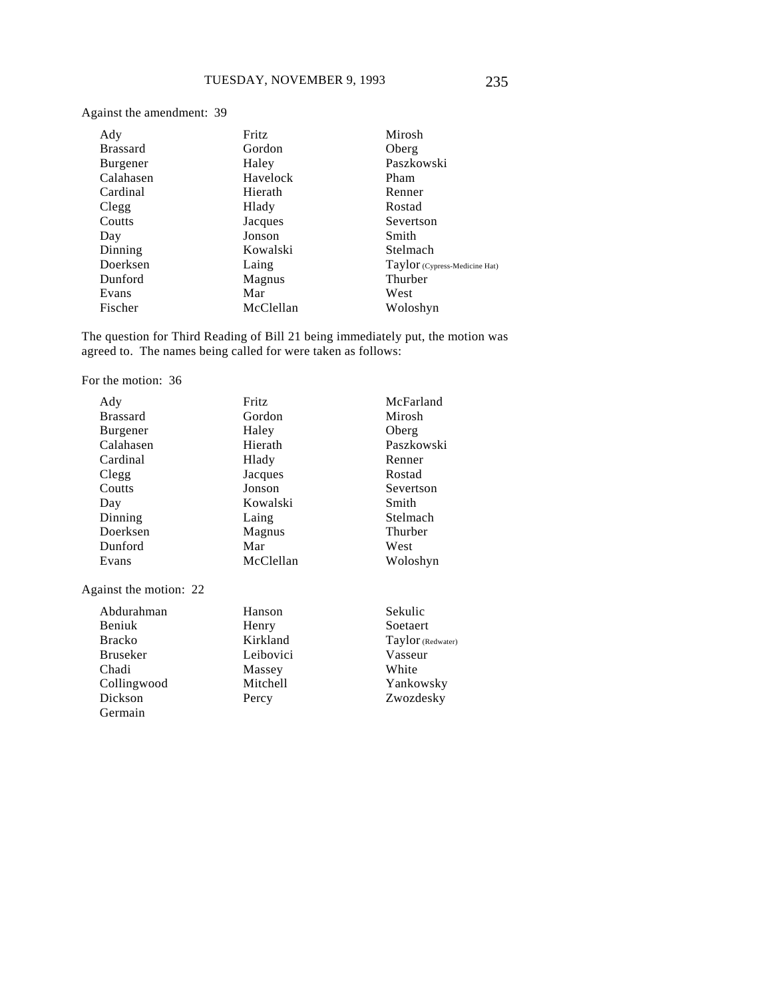Against the amendment: 39

| Ady             | Fritz     | Mirosh                        |
|-----------------|-----------|-------------------------------|
| <b>Brassard</b> | Gordon    | Oberg                         |
| Burgener        | Haley     | Paszkowski                    |
| Calahasen       | Havelock  | Pham                          |
| Cardinal        | Hierath   | Renner                        |
| Clegg           | Hlady     | Rostad                        |
| Coutts          | Jacques   | Severtson                     |
| Day             | Jonson    | Smith                         |
| Dinning         | Kowalski  | Stelmach                      |
| Doerksen        | Laing     | Taylor (Cypress-Medicine Hat) |
| Dunford         | Magnus    | Thurber                       |
| Evans           | Mar       | West                          |
| Fischer         | McClellan | Woloshyn                      |

The question for Third Reading of Bill 21 being immediately put, the motion was agreed to. The names being called for were taken as follows:

For the motion: 36

| Ady                    | Fritz     | McFarland         |
|------------------------|-----------|-------------------|
| <b>Brassard</b>        | Gordon    | Mirosh            |
| Burgener               | Haley     | Oberg             |
| Calahasen              | Hierath   | Paszkowski        |
| Cardinal               | Hlady     | Renner            |
| Clegg                  | Jacques   | Rostad            |
| Coutts                 | Jonson    | Severtson         |
| Day                    | Kowalski  | Smith             |
| Dinning                | Laing     | Stelmach          |
| Doerksen               | Magnus    | Thurber           |
| Dunford                | Mar       | West              |
| Evans                  | McClellan | Woloshyn          |
| Against the motion: 22 |           |                   |
| Abdurahman             | Hanson    | Sekulic           |
| Beniuk                 | Henry     | Soetaert          |
| <b>Bracko</b>          | Kirkland  | Taylor (Redwater) |
| <b>Bruseker</b>        | Leibovici | Vasseur           |
| Chadi                  | Massey    | White             |
| Collingwood            | Mitchell  | Yankowsky         |
| Dickson                | Percy     | Zwozdesky         |
| Germain                |           |                   |
|                        |           |                   |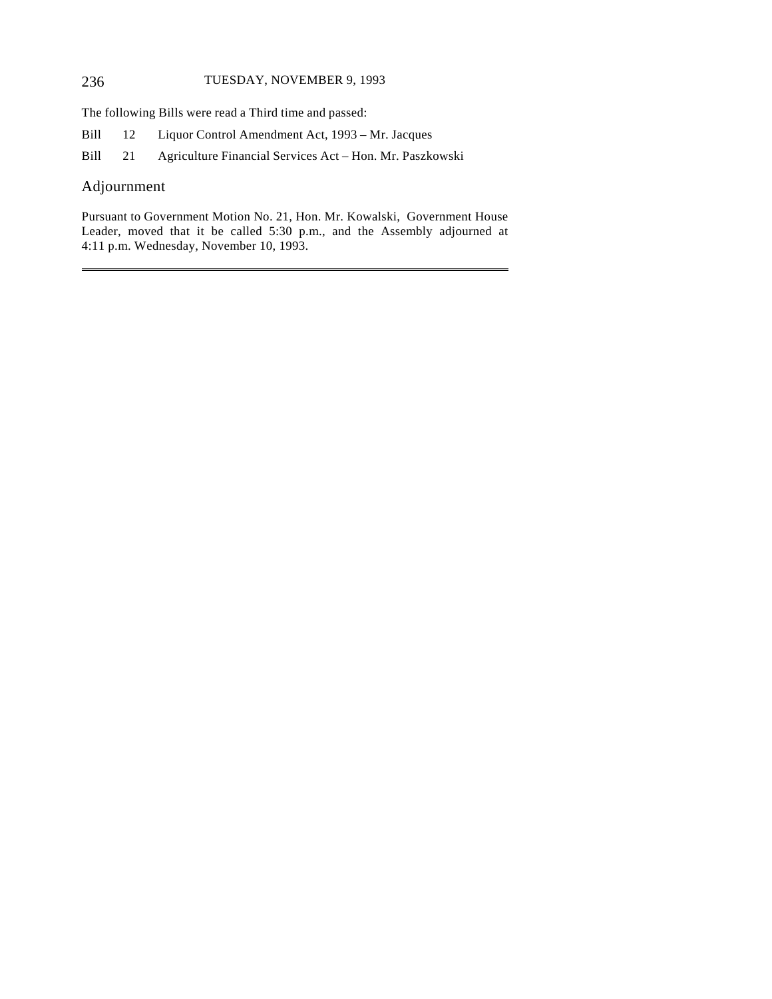The following Bills were read a Third time and passed:

Bill 12 Liquor Control Amendment Act, 1993 – Mr. Jacques

Bill 21 Agriculture Financial Services Act – Hon. Mr. Paszkowski

# Adjournment

 $\overline{a}$ 

Pursuant to Government Motion No. 21, Hon. Mr. Kowalski, Government House Leader, moved that it be called 5:30 p.m., and the Assembly adjourned at 4:11 p.m. Wednesday, November 10, 1993.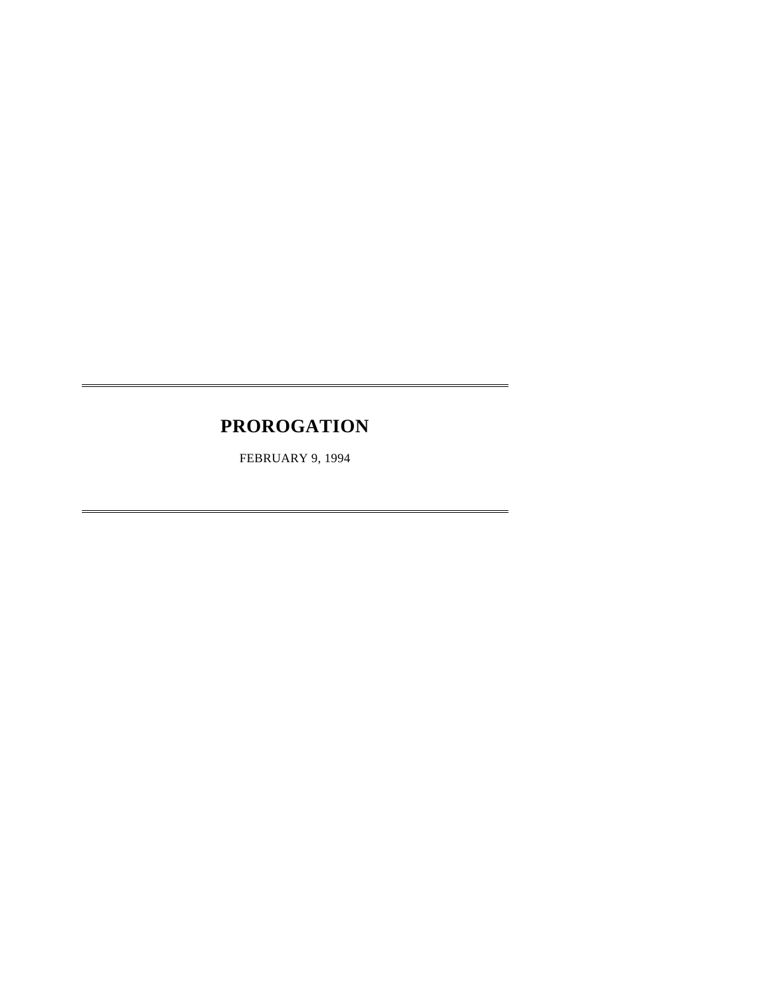# **PROROGATION**

 $\overline{a}$ 

 $\overline{a}$ 

FEBRUARY 9, 1994